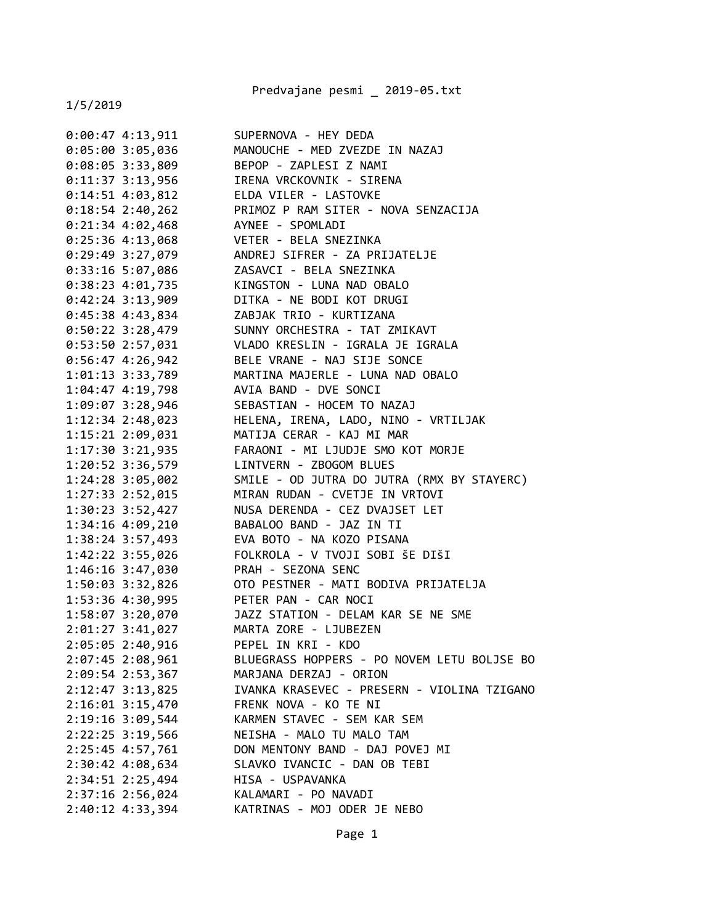Predvajane pesmi \_ 2019-05.txt

| $0:00:47$ 4:13,911                    | SUPERNOVA - HEY DEDA                        |
|---------------------------------------|---------------------------------------------|
| $0:05:00$ 3:05,036                    | MANOUCHE - MED ZVEZDE IN NAZAJ              |
| $0:08:05$ 3:33,809                    | BEPOP - ZAPLESI Z NAMI                      |
| $0:11:37$ 3:13,956                    | IRENA VRCKOVNIK - SIRENA                    |
| $0:14:51$ 4:03,812                    | ELDA VILER - LASTOVKE                       |
| $0:18:54$ 2:40,262                    | PRIMOZ P RAM SITER - NOVA SENZACIJA         |
| $0:21:34$ 4:02,468                    | AYNEE - SPOMLADI                            |
| $0:25:36$ 4:13,068                    | VETER - BELA SNEZINKA                       |
| $0:29:49$ 3:27,079                    | ANDREJ SIFRER - ZA PRIJATELJE               |
| 0:33:16 5:07,086                      | ZASAVCI - BELA SNEZINKA                     |
| $0:38:23$ 4:01,735                    | KINGSTON - LUNA NAD OBALO                   |
| $0:42:24$ 3:13,909                    | DITKA - NE BODI KOT DRUGI                   |
| 0:45:38 4:43,834                      | ZABJAK TRIO - KURTIZANA                     |
| $0:50:22$ 3:28,479                    | SUNNY ORCHESTRA - TAT ZMIKAVT               |
| $0:53:50$ 2:57,031                    | VLADO KRESLIN - IGRALA JE IGRALA            |
| $0:56:47$ 4:26,942                    | BELE VRANE - NAJ SIJE SONCE                 |
| 1:01:13 3:33,789                      | MARTINA MAJERLE - LUNA NAD OBALO            |
| $1:04:47$ $4:19,798$                  | AVIA BAND - DVE SONCI                       |
| 1:09:07 3:28,946                      | SEBASTIAN - HOCEM TO NAZAJ                  |
| $1:12:34$ $2:48,023$                  | HELENA, IRENA, LADO, NINO - VRTILJAK        |
| 1:15:21 2:09,031                      | MATIJA CERAR - KAJ MI MAR                   |
| $1:17:30$ $3:21,935$                  | FARAONI - MI LJUDJE SMO KOT MORJE           |
| 1:20:52 3:36,579                      | LINTVERN - ZBOGOM BLUES                     |
| 1:24:28 3:05,002                      | SMILE - OD JUTRA DO JUTRA (RMX BY STAYERC)  |
| 1:27:33 2:52,015                      | MIRAN RUDAN - CVETJE IN VRTOVI              |
| $1:30:23$ 3:52,427                    | NUSA DERENDA - CEZ DVAJSET LET              |
| 1:34:16 4:09,210                      | BABALOO BAND - JAZ IN TI                    |
| 1:38:24 3:57,493                      | EVA BOTO - NA KOZO PISANA                   |
| 1:42:22 3:55,026                      | FOLKROLA - V TVOJI SOBI ŠE DIŠI             |
| 1:46:16 3:47,030                      | PRAH - SEZONA SENC                          |
| 1:50:03 3:32,826                      | OTO PESTNER - MATI BODIVA PRIJATELJA        |
| 1:53:36 4:30,995 PETER PAN - CAR NOCI |                                             |
| 1:58:07 3:20,070                      | JAZZ STATION - DELAM KAR SE NE SME          |
| $2:01:27$ 3:41,027                    | MARTA ZORE - LJUBEZEN                       |
| 2:05:05 2:40,916                      | PEPEL IN KRI - KDO                          |
| $2:07:45$ $2:08,961$                  | BLUEGRASS HOPPERS - PO NOVEM LETU BOLJSE BO |
| 2:09:54 2:53,367                      | MARJANA DERZAJ - ORION                      |
| $2:12:47$ 3:13,825                    | IVANKA KRASEVEC - PRESERN - VIOLINA TZIGANO |
| $2:16:01$ $3:15,470$                  | FRENK NOVA - KO TE NI                       |
| 2:19:16 3:09,544                      | KARMEN STAVEC - SEM KAR SEM                 |
| 2:22:25 3:19,566                      | NEISHA - MALO TU MALO TAM                   |
| 2:25:45 4:57,761                      | DON MENTONY BAND - DAJ POVEJ MI             |
| 2:30:42 4:08,634                      | SLAVKO IVANCIC - DAN OB TEBI                |
| 2:34:51 2:25,494                      | HISA - USPAVANKA                            |
| 2:37:16 2:56,024                      | KALAMARI - PO NAVADI                        |
| 2:40:12 4:33,394                      | KATRINAS - MOJ ODER JE NEBO                 |
|                                       |                                             |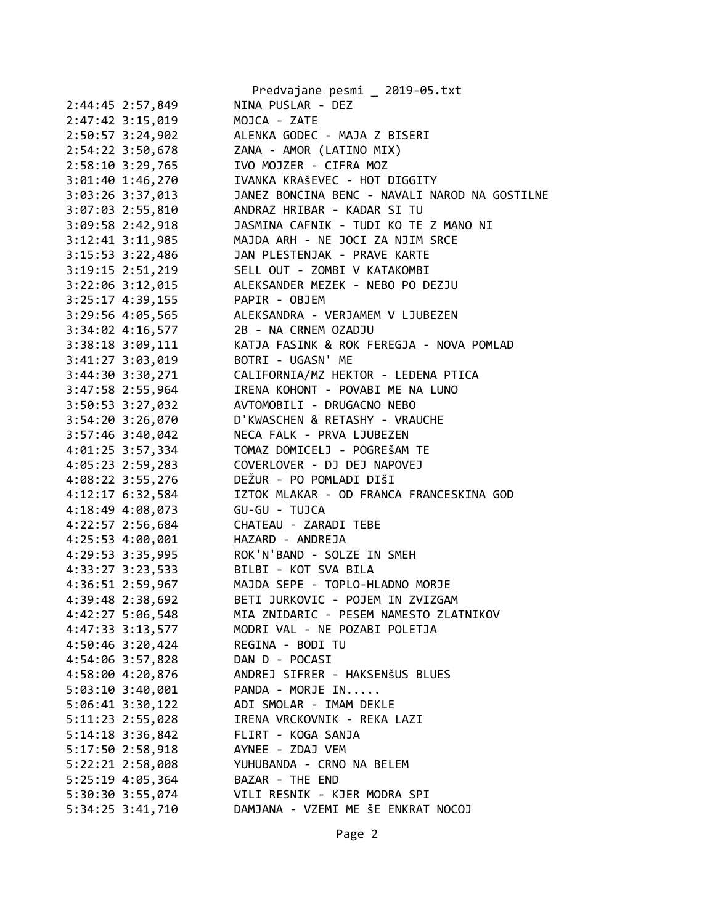| Predvajane pesmi _ 2019-05.txt                   |
|--------------------------------------------------|
| NINA PUSLAR - DEZ                                |
| MOJCA - ZATE                                     |
| ALENKA GODEC - MAJA Z BISERI                     |
| ZANA - AMOR (LATINO MIX)                         |
| IVO MOJZER - CIFRA MOZ                           |
| IVANKA KRAŠEVEC - HOT DIGGITY                    |
| JANEZ BONCINA BENC - NAVALI NAROD NA GOSTILNE    |
| ANDRAZ HRIBAR - KADAR SI TU                      |
| JASMINA CAFNIK - TUDI KO TE Z MANO NI            |
| MAJDA ARH - NE JOCI ZA NJIM SRCE                 |
| JAN PLESTENJAK - PRAVE KARTE                     |
| SELL OUT - ZOMBI V KATAKOMBI                     |
| ALEKSANDER MEZEK - NEBO PO DEZJU                 |
| PAPIR - OBJEM                                    |
| ALEKSANDRA - VERJAMEM V LJUBEZEN                 |
| 2B - NA CRNEM OZADJU                             |
| KATJA FASINK & ROK FEREGJA - NOVA POMLAD         |
| BOTRI - UGASN' ME                                |
| CALIFORNIA/MZ HEKTOR - LEDENA PTICA              |
| IRENA KOHONT - POVABI ME NA LUNO                 |
| AVTOMOBILI - DRUGACNO NEBO                       |
| D'KWASCHEN & RETASHY - VRAUCHE                   |
|                                                  |
| NECA FALK - PRVA LJUBEZEN                        |
| TOMAZ DOMICELJ - POGREŠAM TE                     |
| COVERLOVER - DJ DEJ NAPOVEJ                      |
| DEŽUR - PO POMLADI DIŠI                          |
| IZTOK MLAKAR - OD FRANCA FRANCESKINA GOD         |
| GU-GU - TUJCA                                    |
| CHATEAU - ZARADI TEBE                            |
| HAZARD - ANDREJA                                 |
| ROK'N'BAND - SOLZE IN SMEH                       |
| BILBI - KOT SVA BILA                             |
| 4:36:51 2:59,967 MAJDA SEPE - TOPLO-HLADNO MORJE |
| BETI JURKOVIC - POJEM IN ZVIZGAM                 |
| MIA ZNIDARIC - PESEM NAMESTO ZLATNIKOV           |
| MODRI VAL - NE POZABI POLETJA                    |
| REGINA - BODI TU                                 |
| DAN D - POCASI                                   |
| ANDREJ SIFRER - HAKSENŠUS BLUES                  |
| PANDA - MORJE IN                                 |
| ADI SMOLAR - IMAM DEKLE                          |
| IRENA VRCKOVNIK - REKA LAZI                      |
| FLIRT - KOGA SANJA                               |
| AYNEE - ZDAJ VEM                                 |
| YUHUBANDA - CRNO NA BELEM                        |
| BAZAR - THE END                                  |
| VILI RESNIK - KJER MODRA SPI                     |
| DAMJANA - VZEMI ME ŠE ENKRAT NOCOJ               |
|                                                  |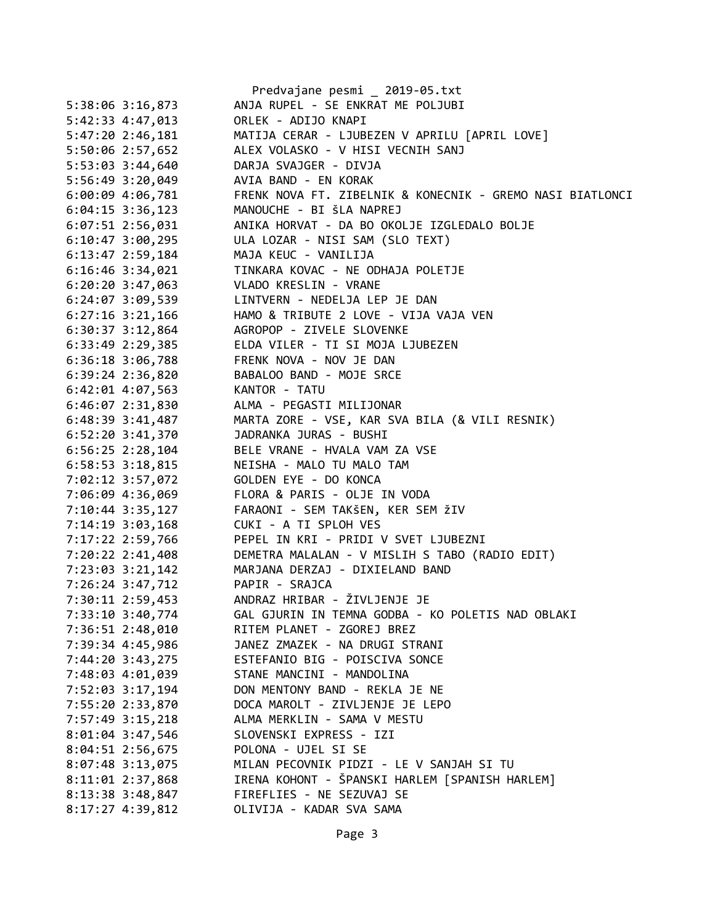|                      | Predvajane pesmi _ 2019-05.txt                            |
|----------------------|-----------------------------------------------------------|
| 5:38:06 3:16,873     | ANJA RUPEL - SE ENKRAT ME POLJUBI                         |
| 5:42:33 4:47,013     | ORLEK - ADIJO KNAPI                                       |
| 5:47:20 2:46,181     | MATIJA CERAR - LJUBEZEN V APRILU [APRIL LOVE]             |
| 5:50:06 2:57,652     | ALEX VOLASKO - V HISI VECNIH SANJ                         |
| 5:53:03 3:44,640     | DARJA SVAJGER - DIVJA                                     |
| 5:56:49 3:20,049     | AVIA BAND - EN KORAK                                      |
| 6:00:09 4:06,781     | FRENK NOVA FT. ZIBELNIK & KONECNIK - GREMO NASI BIATLONCI |
| $6:04:15$ 3:36,123   | MANOUCHE - BI ŠLA NAPREJ                                  |
| $6:07:51$ 2:56,031   | ANIKA HORVAT - DA BO OKOLJE IZGLEDALO BOLJE               |
| $6:10:47$ 3:00,295   | ULA LOZAR - NISI SAM (SLO TEXT)                           |
| 6:13:47 2:59,184     | MAJA KEUC - VANILIJA                                      |
| $6:16:46$ 3:34,021   | TINKARA KOVAC - NE ODHAJA POLETJE                         |
| $6:20:20$ 3:47,063   | VLADO KRESLIN - VRANE                                     |
| 6:24:07 3:09,539     | LINTVERN - NEDELJA LEP JE DAN                             |
| $6:27:16$ 3:21,166   | HAMO & TRIBUTE 2 LOVE - VIJA VAJA VEN                     |
| $6:30:37$ $3:12,864$ | AGROPOP - ZIVELE SLOVENKE                                 |
| $6:33:49$ $2:29,385$ | ELDA VILER - TI SI MOJA LJUBEZEN                          |
| $6:36:18$ $3:06,788$ | FRENK NOVA - NOV JE DAN                                   |
| $6:39:24$ $2:36,820$ | BABALOO BAND - MOJE SRCE                                  |
| $6:42:01$ $4:07,563$ | KANTOR - TATU                                             |
| 6:46:07 2:31,830     | ALMA - PEGASTI MILIJONAR                                  |
| 6:48:39 3:41,487     | MARTA ZORE - VSE, KAR SVA BILA (& VILI RESNIK)            |
| 6:52:20 3:41,370     | JADRANKA JURAS - BUSHI                                    |
| $6:56:25$ 2:28,104   | BELE VRANE - HVALA VAM ZA VSE                             |
| $6:58:53$ $3:18,815$ | NEISHA - MALO TU MALO TAM                                 |
| 7:02:12 3:57,072     | GOLDEN EYE - DO KONCA                                     |
| 7:06:09 4:36,069     | FLORA & PARIS - OLJE IN VODA                              |
| $7:10:44$ 3:35,127   | FARAONI - SEM TAKŠEN, KER SEM ŽIV                         |
| 7:14:19 3:03,168     | CUKI - A TI SPLOH VES                                     |
| 7:17:22 2:59,766     | PEPEL IN KRI - PRIDI V SVET LJUBEZNI                      |
| 7:20:22 2:41,408     | DEMETRA MALALAN - V MISLIH S TABO (RADIO EDIT)            |
| 7:23:03 3:21,142     | MARJANA DERZAJ - DIXIELAND BAND                           |
| 7:26:24 3:47,712     | PAPIR - SRAJCA                                            |
| 7:30:11 2:59,453     | ANDRAZ HRIBAR - ŽIVLJENJE JE                              |
| 7:33:10 3:40,774     | GAL GJURIN IN TEMNA GODBA - KO POLETIS NAD OBLAKI         |
| 7:36:51 2:48,010     | RITEM PLANET - ZGOREJ BREZ                                |
| 7:39:34 4:45,986     | JANEZ ZMAZEK - NA DRUGI STRANI                            |
| 7:44:20 3:43,275     | ESTEFANIO BIG - POISCIVA SONCE                            |
| 7:48:03 4:01,039     | STANE MANCINI - MANDOLINA                                 |
| 7:52:03 3:17,194     | DON MENTONY BAND - REKLA JE NE                            |
| 7:55:20 2:33,870     | DOCA MAROLT - ZIVLJENJE JE LEPO                           |
| 7:57:49 3:15,218     | ALMA MERKLIN - SAMA V MESTU                               |
| 8:01:04 3:47,546     | SLOVENSKI EXPRESS - IZI                                   |
| 8:04:51 2:56,675     | POLONA - UJEL SI SE                                       |
| 8:07:48 3:13,075     | MILAN PECOVNIK PIDZI - LE V SANJAH SI TU                  |
| 8:11:01 2:37,868     | IRENA KOHONT - ŠPANSKI HARLEM [SPANISH HARLEM]            |
| 8:13:38 3:48,847     | FIREFLIES - NE SEZUVAJ SE                                 |
| 8:17:27 4:39,812     | OLIVIJA - KADAR SVA SAMA                                  |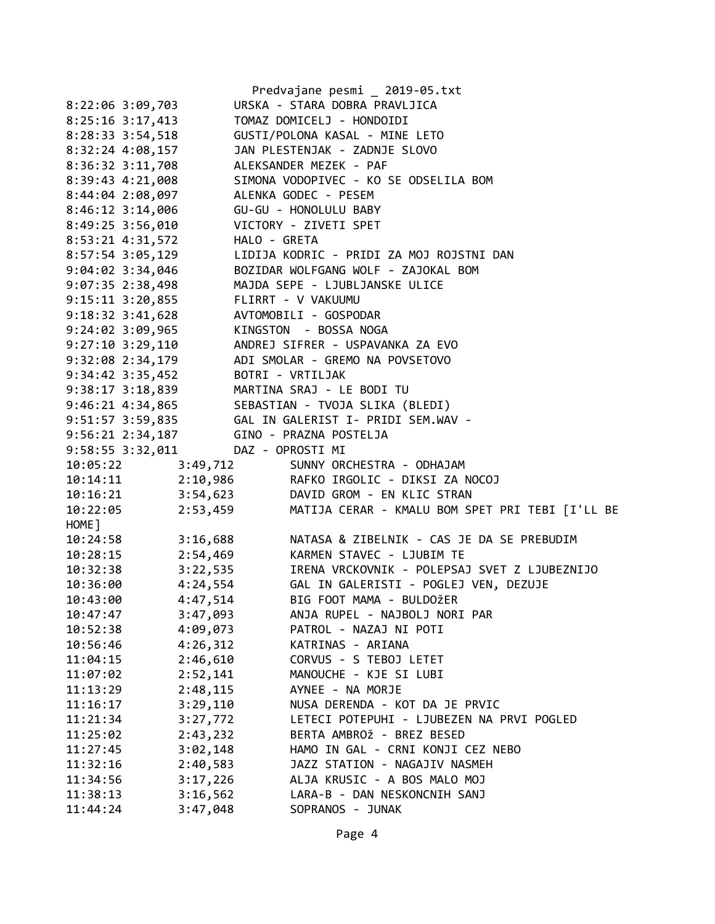|                                              | Predvajane pesmi 2019-05.txt                                                                   |
|----------------------------------------------|------------------------------------------------------------------------------------------------|
| 8:22:06 3:09,703                             | URSKA - STARA DOBRA PRAVLJICA                                                                  |
| 8:25:16 3:17,413                             | TOMAZ DOMICELJ - HONDOIDI                                                                      |
| 8:28:33 3:54,518                             | GUSTI/POLONA KASAL - MINE LETO                                                                 |
|                                              | 8:32:24 4:08,157 JAN PLESTENJAK - ZADNJE SLOVO                                                 |
| $8:36:32$ $3:11,708$                         | ALEKSANDER MEZEK - PAF                                                                         |
| 8:39:43 4:21,008                             | SIMONA VODOPIVEC - KO SE ODSELILA BOM                                                          |
| 8:44:04 2:08,097                             | ALENKA GODEC - PESEM                                                                           |
|                                              |                                                                                                |
| 8:46:12 3:14,006                             | GU-GU - HONOLULU BABY                                                                          |
| 8:49:25 3:56,010                             | VICTORY - ZIVETI SPET                                                                          |
| 8:53:21 4:31,572 HALO - GRETA                |                                                                                                |
|                                              | 8:57:54 3:05,129 LIDIJA KODRIC - PRIDI ZA MOJ ROJSTNI DAN                                      |
|                                              | 9:04:02 3:34,046 BOZIDAR WOLFGANG WOLF - ZAJOKAL BOM                                           |
|                                              | 9:07:35 2:38,498 MAJDA SEPE - LJUBLJANSKE ULICE                                                |
| 9:15:11 3:20,855 FLIRRT - V VAKUUMU          |                                                                                                |
|                                              | 9:18:32 3:41,628<br>9:24:02 3:09,965<br>9:27:10 3:29,110<br>ANDREJ SIFRER - USPAVANKA ZA EVO   |
|                                              |                                                                                                |
|                                              |                                                                                                |
|                                              | 9:32:08 2:34,179 ADI SMOLAR - GREMO NA POVSETOVO                                               |
| 9:34:42 3:35,452 BOTRI - VRTILJAK            |                                                                                                |
|                                              | 9:38:17 3:18,839<br>9:46:21 4:34,865<br>9:51:57 3:59,835<br>GAL IN GALERIST I- PRIDI SEM.WAV - |
|                                              |                                                                                                |
|                                              |                                                                                                |
| 9:56:21 2:34,187 GINO - PRAZNA POSTELJA      |                                                                                                |
| $9:58:55$ $3:32,011$                         | DAZ - OPROSTI MI                                                                               |
| 10:05:22 3:49,712                            | SUNNY ORCHESTRA - ODHAJAM                                                                      |
|                                              | 10:14:11  2:10,986  RAFKO IRGOLIC - DIKSI ZA NOCOJ                                             |
|                                              | 10:16:21 3:54,623 DAVID GROM - EN KLIC STRAN                                                   |
| 10:22:05                                     | 2:53,459 MATIJA CERAR - KMALU BOM SPET PRI TEBI [I'LL BE                                       |
| HOME ]                                       |                                                                                                |
| $10:24:58$ $3:16,688$                        | NATASA & ZIBELNIK - CAS JE DA SE PREBUDIM                                                      |
|                                              |                                                                                                |
|                                              |                                                                                                |
| $10:28:15$ 2:54,469                          | KARMEN STAVEC - LJUBIM TE                                                                      |
| $10:32:38$ $3:22,535$                        | IRENA VRCKOVNIK - POLEPSAJ SVET Z LJUBEZNIJO                                                   |
| 10:36:00 4:24,554                            | GAL IN GALERISTI - POGLEJ VEN, DEZUJE                                                          |
| 10:43:00<br>4:47,514                         | BIG FOOT MAMA - BULDOŽER                                                                       |
| 3:47,093<br>10:47:47                         | ANJA RUPEL - NAJBOLJ NORI PAR                                                                  |
| 4:09,073<br>10:52:38                         | PATROL - NAZAJ NI POTI                                                                         |
| 4:26,312<br>10:56:46                         | KATRINAS - ARIANA                                                                              |
| 2:46,610<br>11:04:15                         | CORVUS - S TEBOJ LETET                                                                         |
| 2:52,141<br>11:07:02                         | MANOUCHE - KJE SI LUBI                                                                         |
| 2:48,115<br>11:13:29                         | AYNEE - NA MORJE                                                                               |
| 3:29,110<br>11:16:17                         | NUSA DERENDA - KOT DA JE PRVIC                                                                 |
| 3:27,772<br>11:21:34                         | LETECI POTEPUHI - LJUBEZEN NA PRVI POGLED                                                      |
| 2:43,232<br>11:25:02                         | BERTA AMBROŽ - BREZ BESED                                                                      |
| 3:02,148<br>11:27:45                         | HAMO IN GAL - CRNI KONJI CEZ NEBO                                                              |
| 2:40,583<br>11:32:16                         | JAZZ STATION - NAGAJIV NASMEH                                                                  |
| 3:17,226<br>11:34:56                         | ALJA KRUSIC - A BOS MALO MOJ                                                                   |
| 11:38:13<br>3:16,562<br>3:47,048<br>11:44:24 | LARA-B - DAN NESKONCNIH SANJ<br>SOPRANOS - JUNAK                                               |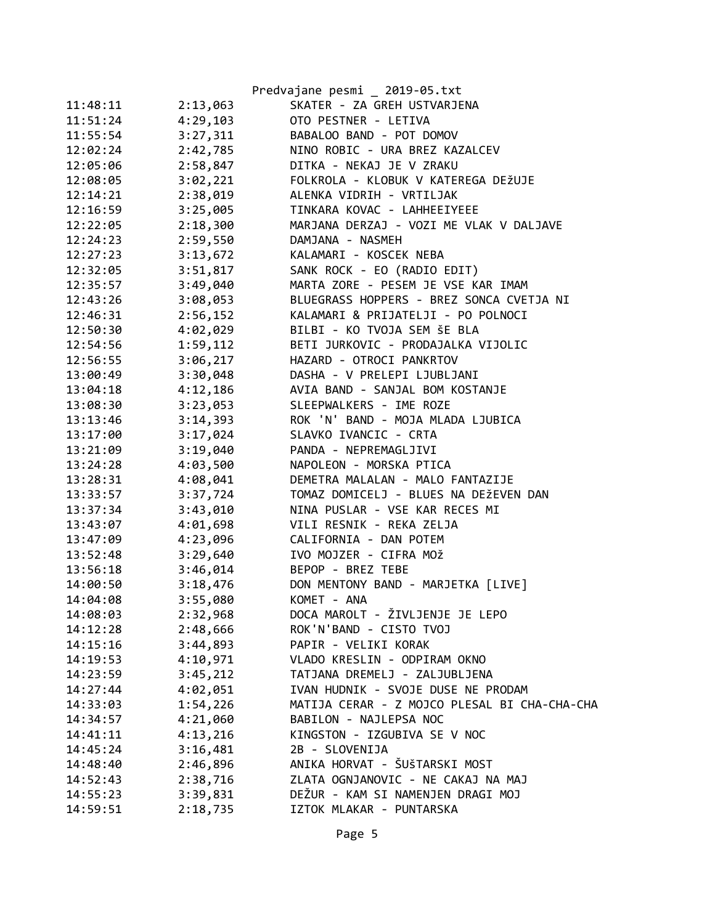|          |          | Predvajane pesmi _ 2019-05.txt               |
|----------|----------|----------------------------------------------|
| 11:48:11 | 2:13,063 | SKATER - ZA GREH USTVARJENA                  |
| 11:51:24 | 4:29,103 | OTO PESTNER - LETIVA                         |
| 11:55:54 | 3:27,311 | BABALOO BAND - POT DOMOV                     |
| 12:02:24 | 2:42,785 | NINO ROBIC - URA BREZ KAZALCEV               |
| 12:05:06 | 2:58,847 | DITKA - NEKAJ JE V ZRAKU                     |
| 12:08:05 | 3:02,221 | FOLKROLA - KLOBUK V KATEREGA DEŽUJE          |
| 12:14:21 | 2:38,019 | ALENKA VIDRIH - VRTILJAK                     |
| 12:16:59 | 3:25,005 | TINKARA KOVAC - LAHHEEIYEEE                  |
| 12:22:05 | 2:18,300 | MARJANA DERZAJ - VOZI ME VLAK V DALJAVE      |
| 12:24:23 | 2:59,550 | DAMJANA - NASMEH                             |
| 12:27:23 | 3:13,672 | KALAMARI - KOSCEK NEBA                       |
| 12:32:05 | 3:51,817 | SANK ROCK - EO (RADIO EDIT)                  |
| 12:35:57 | 3:49,040 | MARTA ZORE - PESEM JE VSE KAR IMAM           |
| 12:43:26 | 3:08,053 | BLUEGRASS HOPPERS - BREZ SONCA CVETJA NI     |
| 12:46:31 | 2:56,152 | KALAMARI & PRIJATELJI - PO POLNOCI           |
| 12:50:30 | 4:02,029 | BILBI - KO TVOJA SEM ŠE BLA                  |
| 12:54:56 | 1:59,112 | BETI JURKOVIC - PRODAJALKA VIJOLIC           |
| 12:56:55 | 3:06,217 | HAZARD - OTROCI PANKRTOV                     |
| 13:00:49 | 3:30,048 | DASHA - V PRELEPI LJUBLJANI                  |
| 13:04:18 | 4:12,186 | AVIA BAND - SANJAL BOM KOSTANJE              |
| 13:08:30 | 3:23,053 | SLEEPWALKERS - IME ROZE                      |
| 13:13:46 | 3:14,393 | ROK 'N' BAND - MOJA MLADA LJUBICA            |
| 13:17:00 | 3:17,024 | SLAVKO IVANCIC - CRTA                        |
| 13:21:09 | 3:19,040 | PANDA - NEPREMAGLJIVI                        |
| 13:24:28 | 4:03,500 | NAPOLEON - MORSKA PTICA                      |
| 13:28:31 | 4:08,041 | DEMETRA MALALAN - MALO FANTAZIJE             |
| 13:33:57 | 3:37,724 | TOMAZ DOMICELJ - BLUES NA DEŽEVEN DAN        |
| 13:37:34 | 3:43,010 | NINA PUSLAR - VSE KAR RECES MI               |
| 13:43:07 | 4:01,698 | VILI RESNIK - REKA ZELJA                     |
| 13:47:09 | 4:23,096 | CALIFORNIA - DAN POTEM                       |
| 13:52:48 | 3:29,640 | IVO MOJZER - CIFRA MOŽ                       |
| 13:56:18 | 3:46,014 | BEPOP - BREZ TEBE                            |
| 14:00:50 | 3:18,476 | DON MENTONY BAND - MARJETKA [LIVE]           |
| 14:04:08 | 3:55,080 | KOMET - ANA                                  |
| 14:08:03 | 2:32,968 | DOCA MAROLT - ŽIVLJENJE JE LEPO              |
| 14:12:28 | 2:48,666 | ROK'N'BAND - CISTO TVOJ                      |
| 14:15:16 | 3:44,893 | PAPIR - VELIKI KORAK                         |
| 14:19:53 | 4:10,971 | VLADO KRESLIN - ODPIRAM OKNO                 |
| 14:23:59 | 3:45,212 | TATJANA DREMELJ - ZALJUBLJENA                |
| 14:27:44 | 4:02,051 | IVAN HUDNIK - SVOJE DUSE NE PRODAM           |
| 14:33:03 | 1:54,226 | MATIJA CERAR - Z MOJCO PLESAL BI CHA-CHA-CHA |
| 14:34:57 | 4:21,060 | BABILON - NAJLEPSA NOC                       |
| 14:41:11 | 4:13,216 | KINGSTON - IZGUBIVA SE V NOC                 |
| 14:45:24 | 3:16,481 | 2B - SLOVENIJA                               |
| 14:48:40 | 2:46,896 | ANIKA HORVAT - ŠUŠTARSKI MOST                |
| 14:52:43 | 2:38,716 | ZLATA OGNJANOVIC - NE CAKAJ NA MAJ           |
| 14:55:23 | 3:39,831 | DEŽUR - KAM SI NAMENJEN DRAGI MOJ            |
| 14:59:51 | 2:18,735 | IZTOK MLAKAR - PUNTARSKA                     |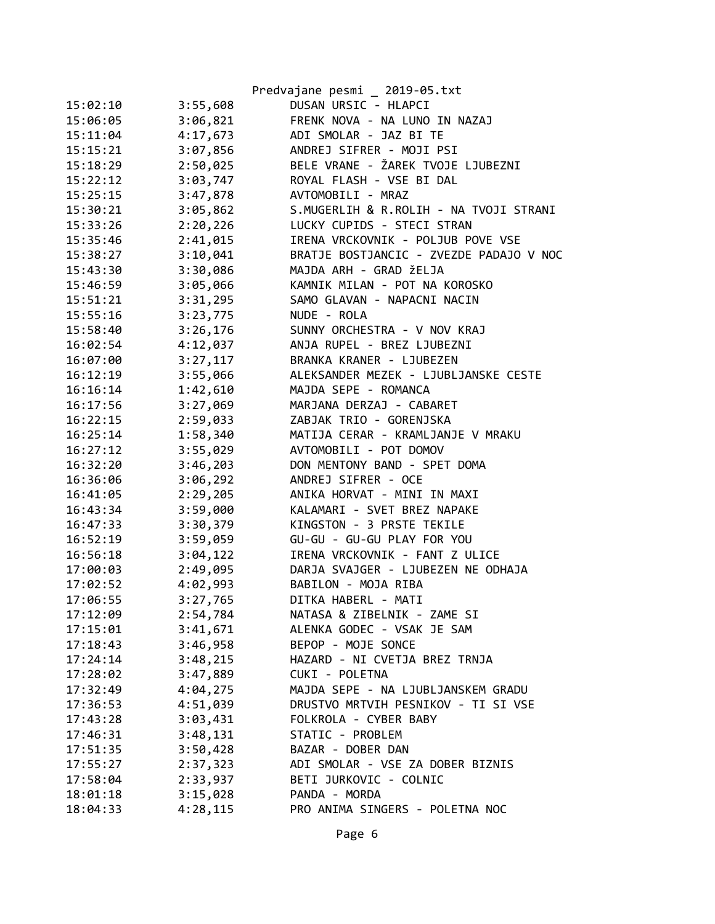|          |          | Predvajane pesmi _ 2019-05.txt          |
|----------|----------|-----------------------------------------|
| 15:02:10 | 3:55,608 | DUSAN URSIC - HLAPCI                    |
| 15:06:05 | 3:06,821 | FRENK NOVA - NA LUNO IN NAZAJ           |
| 15:11:04 | 4:17,673 | ADI SMOLAR - JAZ BI TE                  |
| 15:15:21 | 3:07,856 | ANDREJ SIFRER - MOJI PSI                |
| 15:18:29 | 2:50,025 | BELE VRANE - ŽAREK TVOJE LJUBEZNI       |
| 15:22:12 | 3:03,747 | ROYAL FLASH - VSE BI DAL                |
| 15:25:15 | 3:47,878 | AVTOMOBILI - MRAZ                       |
| 15:30:21 | 3:05,862 | S.MUGERLIH & R.ROLIH - NA TVOJI STRANI  |
| 15:33:26 | 2:20,226 | LUCKY CUPIDS - STECI STRAN              |
| 15:35:46 | 2:41,015 | IRENA VRCKOVNIK - POLJUB POVE VSE       |
| 15:38:27 | 3:10,041 | BRATJE BOSTJANCIC - ZVEZDE PADAJO V NOC |
| 15:43:30 | 3:30,086 | MAJDA ARH - GRAD ŽELJA                  |
| 15:46:59 | 3:05,066 | KAMNIK MILAN - POT NA KOROSKO           |
| 15:51:21 | 3:31,295 | SAMO GLAVAN - NAPACNI NACIN             |
| 15:55:16 | 3:23,775 | NUDE - ROLA                             |
| 15:58:40 | 3:26,176 | SUNNY ORCHESTRA - V NOV KRAJ            |
| 16:02:54 | 4:12,037 | ANJA RUPEL - BREZ LJUBEZNI              |
| 16:07:00 | 3:27,117 | BRANKA KRANER - LJUBEZEN                |
| 16:12:19 | 3:55,066 | ALEKSANDER MEZEK - LJUBLJANSKE CESTE    |
| 16:16:14 | 1:42,610 | MAJDA SEPE - ROMANCA                    |
| 16:17:56 | 3:27,069 | MARJANA DERZAJ - CABARET                |
| 16:22:15 | 2:59,033 | ZABJAK TRIO - GORENJSKA                 |
| 16:25:14 | 1:58,340 | MATIJA CERAR - KRAMLJANJE V MRAKU       |
| 16:27:12 | 3:55,029 | AVTOMOBILI - POT DOMOV                  |
| 16:32:20 | 3:46,203 | DON MENTONY BAND - SPET DOMA            |
| 16:36:06 | 3:06,292 | ANDREJ SIFRER - OCE                     |
| 16:41:05 | 2:29,205 | ANIKA HORVAT - MINI IN MAXI             |
| 16:43:34 | 3:59,000 | KALAMARI - SVET BREZ NAPAKE             |
| 16:47:33 | 3:30,379 | KINGSTON - 3 PRSTE TEKILE               |
| 16:52:19 | 3:59,059 | GU-GU - GU-GU PLAY FOR YOU              |
| 16:56:18 | 3:04,122 | IRENA VRCKOVNIK - FANT Z ULICE          |
| 17:00:03 | 2:49,095 | DARJA SVAJGER - LJUBEZEN NE ODHAJA      |
| 17:02:52 | 4:02,993 | BABILON - MOJA RIBA                     |
| 17:06:55 | 3:27,765 | DITKA HABERL - MATI                     |
| 17:12:09 | 2:54,784 | NATASA & ZIBELNIK - ZAME SI             |
| 17:15:01 | 3:41,671 | ALENKA GODEC - VSAK JE SAM              |
| 17:18:43 | 3:46,958 | BEPOP - MOJE SONCE                      |
| 17:24:14 | 3:48,215 | HAZARD - NI CVETJA BREZ TRNJA           |
| 17:28:02 | 3:47,889 | CUKI - POLETNA                          |
|          |          | MAJDA SEPE - NA LJUBLJANSKEM GRADU      |
| 17:32:49 | 4:04,275 |                                         |
| 17:36:53 | 4:51,039 | DRUSTVO MRTVIH PESNIKOV - TI SI VSE     |
| 17:43:28 | 3:03,431 | FOLKROLA - CYBER BABY                   |
| 17:46:31 | 3:48,131 | STATIC - PROBLEM                        |
| 17:51:35 | 3:50,428 | BAZAR - DOBER DAN                       |
| 17:55:27 | 2:37,323 | ADI SMOLAR - VSE ZA DOBER BIZNIS        |
| 17:58:04 | 2:33,937 | BETI JURKOVIC - COLNIC                  |
| 18:01:18 | 3:15,028 | PANDA - MORDA                           |
| 18:04:33 | 4:28,115 | PRO ANIMA SINGERS - POLETNA NOC         |
|          |          |                                         |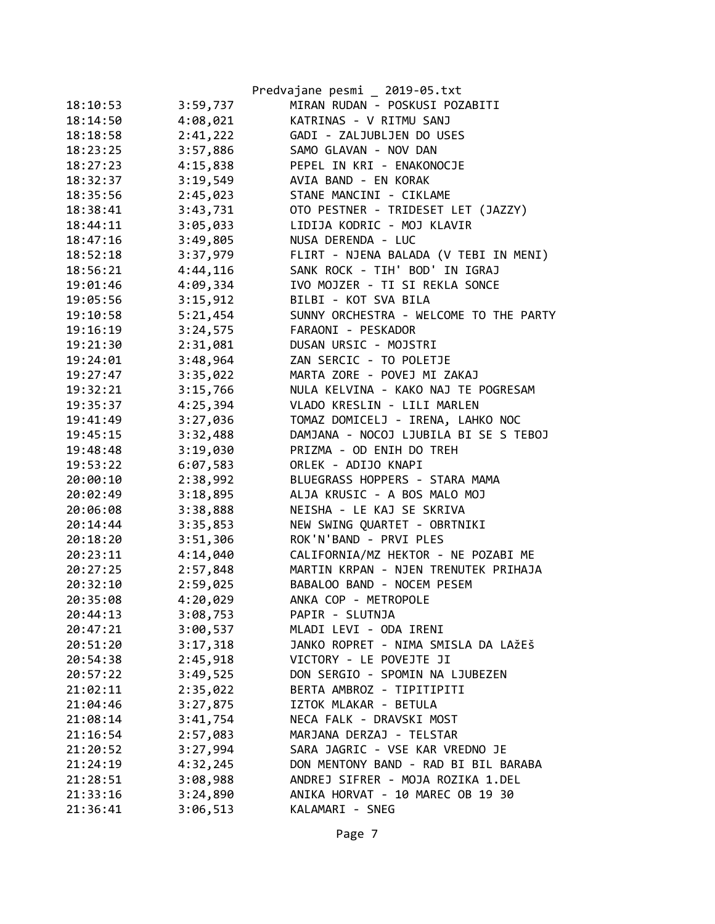|          |          | Predvajane pesmi _ 2019-05.txt         |
|----------|----------|----------------------------------------|
| 18:10:53 | 3:59,737 | MIRAN RUDAN - POSKUSI POZABITI         |
| 18:14:50 | 4:08,021 | KATRINAS - V RITMU SANJ                |
| 18:18:58 | 2:41,222 | GADI - ZALJUBLJEN DO USES              |
| 18:23:25 | 3:57,886 | SAMO GLAVAN - NOV DAN                  |
| 18:27:23 | 4:15,838 | PEPEL IN KRI - ENAKONOCJE              |
| 18:32:37 | 3:19,549 | AVIA BAND - EN KORAK                   |
| 18:35:56 | 2:45,023 | STANE MANCINI - CIKLAME                |
| 18:38:41 | 3:43,731 | OTO PESTNER - TRIDESET LET (JAZZY)     |
| 18:44:11 | 3:05,033 | LIDIJA KODRIC - MOJ KLAVIR             |
| 18:47:16 | 3:49,805 | NUSA DERENDA - LUC                     |
| 18:52:18 | 3:37,979 | FLIRT - NJENA BALADA (V TEBI IN MENI)  |
| 18:56:21 | 4:44,116 | SANK ROCK - TIH' BOD' IN IGRAJ         |
| 19:01:46 | 4:09,334 | IVO MOJZER - TI SI REKLA SONCE         |
| 19:05:56 | 3:15,912 | BILBI - KOT SVA BILA                   |
| 19:10:58 | 5:21,454 | SUNNY ORCHESTRA - WELCOME TO THE PARTY |
| 19:16:19 | 3:24,575 | FARAONI - PESKADOR                     |
| 19:21:30 | 2:31,081 | DUSAN URSIC - MOJSTRI                  |
| 19:24:01 | 3:48,964 | ZAN SERCIC - TO POLETJE                |
| 19:27:47 | 3:35,022 | MARTA ZORE - POVEJ MI ZAKAJ            |
| 19:32:21 | 3:15,766 | NULA KELVINA - KAKO NAJ TE POGRESAM    |
| 19:35:37 | 4:25,394 | VLADO KRESLIN - LILI MARLEN            |
| 19:41:49 | 3:27,036 | TOMAZ DOMICELJ - IRENA, LAHKO NOC      |
| 19:45:15 | 3:32,488 | DAMJANA - NOCOJ LJUBILA BI SE S TEBOJ  |
| 19:48:48 | 3:19,030 | PRIZMA - OD ENIH DO TREH               |
| 19:53:22 | 6:07,583 | ORLEK - ADIJO KNAPI                    |
| 20:00:10 | 2:38,992 | BLUEGRASS HOPPERS - STARA MAMA         |
| 20:02:49 | 3:18,895 | ALJA KRUSIC - A BOS MALO MOJ           |
| 20:06:08 | 3:38,888 | NEISHA - LE KAJ SE SKRIVA              |
| 20:14:44 | 3:35,853 | NEW SWING QUARTET - OBRTNIKI           |
| 20:18:20 | 3:51,306 | ROK'N'BAND - PRVI PLES                 |
| 20:23:11 | 4:14,040 | CALIFORNIA/MZ HEKTOR - NE POZABI ME    |
| 20:27:25 | 2:57,848 | MARTIN KRPAN - NJEN TRENUTEK PRIHAJA   |
| 20:32:10 | 2:59,025 | BABALOO BAND - NOCEM PESEM             |
| 20:35:08 | 4:20,029 | ANKA COP - METROPOLE                   |
| 20:44:13 | 3:08,753 | PAPIR - SLUTNJA                        |
| 20:47:21 | 3:00,537 | MLADI LEVI - ODA IRENI                 |
| 20:51:20 | 3:17,318 | JANKO ROPRET - NIMA SMISLA DA LAŽEŠ    |
| 20:54:38 | 2:45,918 | VICTORY - LE POVEJTE JI                |
| 20:57:22 | 3:49,525 | DON SERGIO - SPOMIN NA LJUBEZEN        |
| 21:02:11 | 2:35,022 | BERTA AMBROZ - TIPITIPITI              |
| 21:04:46 | 3:27,875 | IZTOK MLAKAR - BETULA                  |
| 21:08:14 | 3:41,754 | NECA FALK - DRAVSKI MOST               |
| 21:16:54 | 2:57,083 | MARJANA DERZAJ - TELSTAR               |
| 21:20:52 | 3:27,994 | SARA JAGRIC - VSE KAR VREDNO JE        |
| 21:24:19 | 4:32,245 | DON MENTONY BAND - RAD BI BIL BARABA   |
| 21:28:51 | 3:08,988 | ANDREJ SIFRER - MOJA ROZIKA 1.DEL      |
| 21:33:16 | 3:24,890 | ANIKA HORVAT - 10 MAREC OB 19 30       |
| 21:36:41 | 3:06,513 | KALAMARI - SNEG                        |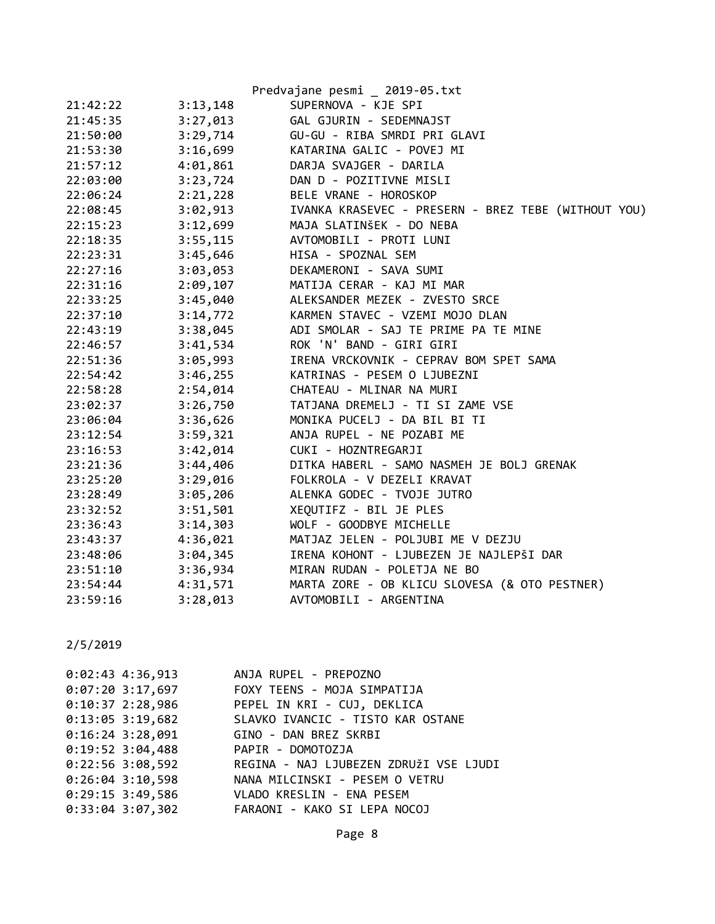|          |          | Predvajane pesmi _ 2019-05.txt                      |
|----------|----------|-----------------------------------------------------|
| 21:42:22 | 3:13,148 | SUPERNOVA - KJE SPI                                 |
| 21:45:35 | 3:27,013 | GAL GJURIN - SEDEMNAJST                             |
| 21:50:00 | 3:29,714 | GU-GU - RIBA SMRDI PRI GLAVI                        |
| 21:53:30 | 3:16,699 | KATARINA GALIC - POVEJ MI                           |
| 21:57:12 | 4:01,861 | DARJA SVAJGER - DARILA                              |
| 22:03:00 | 3:23,724 | DAN D - POZITIVNE MISLI                             |
| 22:06:24 | 2:21,228 | BELE VRANE - HOROSKOP                               |
| 22:08:45 | 3:02,913 | IVANKA KRASEVEC - PRESERN - BREZ TEBE (WITHOUT YOU) |
| 22:15:23 | 3:12,699 | MAJA SLATINŠEK - DO NEBA                            |
| 22:18:35 | 3:55,115 | AVTOMOBILI - PROTI LUNI                             |
| 22:23:31 | 3:45,646 | HISA - SPOZNAL SEM                                  |
| 22:27:16 | 3:03,053 | DEKAMERONI - SAVA SUMI                              |
| 22:31:16 | 2:09,107 | MATIJA CERAR - KAJ MI MAR                           |
| 22:33:25 | 3:45,040 | ALEKSANDER MEZEK - ZVESTO SRCE                      |
| 22:37:10 | 3:14,772 | KARMEN STAVEC - VZEMI MOJO DLAN                     |
| 22:43:19 | 3:38,045 | ADI SMOLAR - SAJ TE PRIME PA TE MINE                |
| 22:46:57 | 3:41,534 | ROK 'N' BAND - GIRI GIRI                            |
| 22:51:36 | 3:05,993 | IRENA VRCKOVNIK - CEPRAV BOM SPET SAMA              |
| 22:54:42 | 3:46,255 | KATRINAS - PESEM O LJUBEZNI                         |
| 22:58:28 | 2:54,014 | CHATEAU - MLINAR NA MURI                            |
| 23:02:37 | 3:26,750 | TATJANA DREMELJ - TI SI ZAME VSE                    |
| 23:06:04 | 3:36,626 | MONIKA PUCELJ - DA BIL BI TI                        |
| 23:12:54 | 3:59,321 | ANJA RUPEL - NE POZABI ME                           |
| 23:16:53 | 3:42,014 | CUKI - HOZNTREGARJI                                 |
| 23:21:36 | 3:44,406 | DITKA HABERL - SAMO NASMEH JE BOLJ GRENAK           |
| 23:25:20 | 3:29,016 | FOLKROLA - V DEZELI KRAVAT                          |
| 23:28:49 | 3:05,206 | ALENKA GODEC - TVOJE JUTRO                          |
| 23:32:52 | 3:51,501 | XEQUTIFZ - BIL JE PLES                              |
| 23:36:43 | 3:14,303 | WOLF - GOODBYE MICHELLE                             |
| 23:43:37 | 4:36,021 | MATJAZ JELEN - POLJUBI ME V DEZJU                   |
| 23:48:06 | 3:04,345 | IRENA KOHONT - LJUBEZEN JE NAJLEPŠI DAR             |
| 23:51:10 | 3:36,934 | MIRAN RUDAN - POLETJA NE BO                         |
| 23:54:44 | 4:31,571 | MARTA ZORE - OB KLICU SLOVESA (& OTO PESTNER)       |
| 23:59:16 | 3:28,013 | AVTOMOBILI - ARGENTINA                              |

| $0:02:43$ 4:36,913 | ANJA RUPEL - PREPOZNO                                   |
|--------------------|---------------------------------------------------------|
|                    | 0:07:20 3:17,697 FOXY TEENS - MOJA SIMPATIJA            |
|                    | 0:10:37 2:28,986 PEPEL IN KRI - CUJ, DEKLICA            |
|                    | 0:13:05 3:19,682 SLAVKO IVANCIC - TISTO KAR OSTANE      |
|                    | 0:16:24 3:28,091 GINO - DAN BREZ SKRBI                  |
|                    | 0:19:52 3:04,488 PAPIR - DOMOTOZJA                      |
|                    | 0:22:56 3:08,592 REGINA - NAJ LJUBEZEN ZDRUŽI VSE LJUDI |
| $0:26:04$ 3:10,598 | NANA MILCINSKI - PESEM O VETRU                          |
|                    | 0:29:15 3:49,586 VLADO KRESLIN - ENA PESEM              |
| $0:33:04$ 3:07,302 | FARAONI - KAKO SI LEPA NOCOJ                            |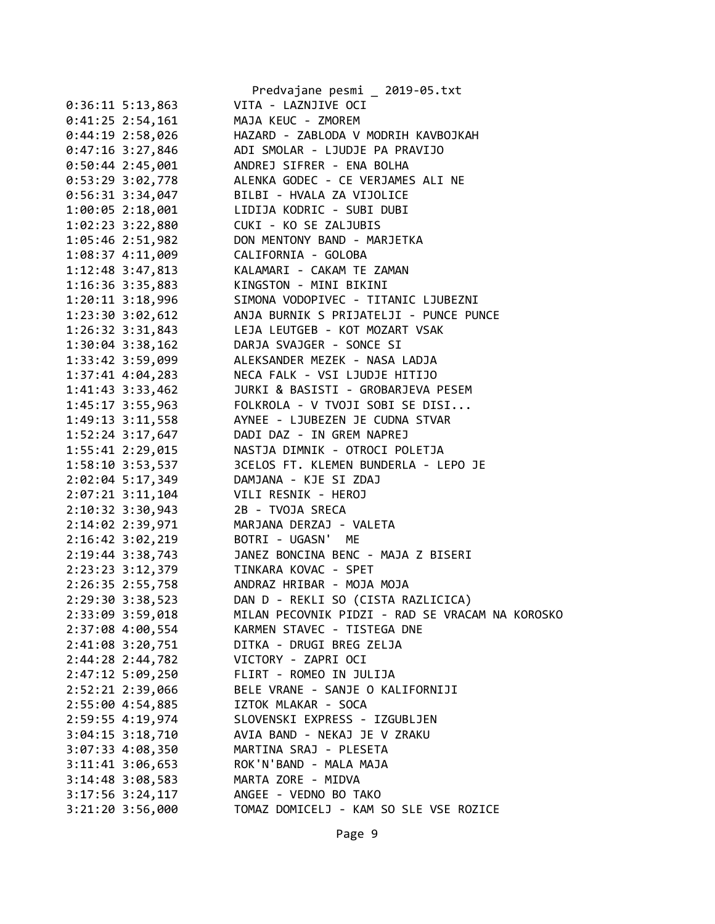|                      | Predvajane pesmi _ 2019-05.txt                        |
|----------------------|-------------------------------------------------------|
| $0:36:11 \t5:13,863$ | VITA - LAZNJIVE OCI                                   |
| $0:41:25$ 2:54,161   | MAJA KEUC - ZMOREM                                    |
|                      | 0:44:19 2:58,026 HAZARD - ZABLODA V MODRIH KAVBOJKAH  |
|                      | 0:47:16 3:27,846 ADI SMOLAR - LJUDJE PA PRAVIJO       |
| $0:50:44$ 2:45,001   | ANDREJ SIFRER - ENA BOLHA                             |
| $0:53:29$ 3:02,778   | ALENKA GODEC - CE VERJAMES ALI NE                     |
| $0:56:31$ 3:34,047   | BILBI - HVALA ZA VIJOLICE                             |
| $1:00:05$ 2:18,001   | LIDIJA KODRIC - SUBI DUBI                             |
| $1:02:23$ $3:22,880$ | CUKI - KO SE ZALJUBIS                                 |
|                      | 1:05:46 2:51,982 DON MENTONY BAND - MARJETKA          |
|                      | 1:08:37 4:11,009 CALIFORNIA - GOLOBA                  |
|                      | 1:12:48 3:47,813 KALAMARI - CAKAM TE ZAMAN            |
|                      | 1:16:36 3:35,883 KINGSTON - MINI BIKINI               |
| $1:20:11$ $3:18,996$ | SIMONA VODOPIVEC - TITANIC LJUBEZNI                   |
| 1:23:30 3:02,612     | ANJA BURNIK S PRIJATELJI - PUNCE PUNCE                |
|                      | 1:26:32 3:31,843 LEJA LEUTGEB - KOT MOZART VSAK       |
|                      | 1:30:04 3:38,162 DARJA SVAJGER - SONCE SI             |
|                      | 1:33:42 3:59,099 ALEKSANDER MEZEK - NASA LADJA        |
| 1:37:41 4:04,283     | NECA FALK - VSI LJUDJE HITIJO                         |
| $1:41:43$ $3:33,462$ | JURKI & BASISTI - GROBARJEVA PESEM                    |
| $1:45:17$ 3:55,963   | FOLKROLA - V TVOJI SOBI SE DISI                       |
|                      | AYNEE - LJUBEZEN JE CUDNA STVAR                       |
| $1:49:13$ $3:11,558$ |                                                       |
| $1:52:24$ 3:17,647   | DADI DAZ - IN GREM NAPREJ                             |
|                      | 1:55:41 2:29,015 NASTJA DIMNIK - OTROCI POLETJA       |
|                      | 1:58:10 3:53,537 3CELOS FT. KLEMEN BUNDERLA - LEPO JE |
|                      | 2:02:04 5:17,349 DAMJANA - KJE SI ZDAJ                |
| $2:07:21$ $3:11,104$ | VILI RESNIK - HEROJ                                   |
| $2:10:32$ 3:30,943   | 2B - TVOJA SRECA                                      |
| 2:14:02 2:39,971     | MARJANA DERZAJ - VALETA                               |
| 2:16:42 3:02,219     | BOTRI - UGASN' ME                                     |
|                      | 2:19:44 3:38,743 JANEZ BONCINA BENC - MAJA Z BISERI   |
|                      | 2:23:23 3:12,379 TINKARA KOVAC - SPET                 |
|                      | 2:26:35 2:55,758 ANDRAZ HRIBAR - MOJA MOJA            |
| 2:29:30 3:38,523     | DAN D - REKLI SO (CISTA RAZLICICA)                    |
| 2:33:09 3:59,018     | MILAN PECOVNIK PIDZI - RAD SE VRACAM NA KOROSKO       |
| 2:37:08 4:00,554     | KARMEN STAVEC - TISTEGA DNE                           |
| 2:41:08 3:20,751     | DITKA - DRUGI BREG ZELJA                              |
| 2:44:28 2:44,782     | VICTORY - ZAPRI OCI                                   |
| 2:47:12 5:09,250     | FLIRT - ROMEO IN JULIJA                               |
| 2:52:21 2:39,066     | BELE VRANE - SANJE O KALIFORNIJI                      |
| 2:55:00 4:54,885     | IZTOK MLAKAR - SOCA                                   |
| 2:59:55 4:19,974     | SLOVENSKI EXPRESS - IZGUBLJEN                         |
| $3:04:15$ $3:18,710$ | AVIA BAND - NEKAJ JE V ZRAKU                          |
| 3:07:33 4:08,350     | MARTINA SRAJ - PLESETA                                |
| $3:11:41$ $3:06,653$ | ROK'N'BAND - MALA MAJA                                |
| $3:14:48$ $3:08,583$ | MARTA ZORE - MIDVA                                    |
| $3:17:56$ $3:24,117$ | ANGEE - VEDNO BO TAKO                                 |
| $3:21:20$ $3:56,000$ | TOMAZ DOMICELJ - KAM SO SLE VSE ROZICE                |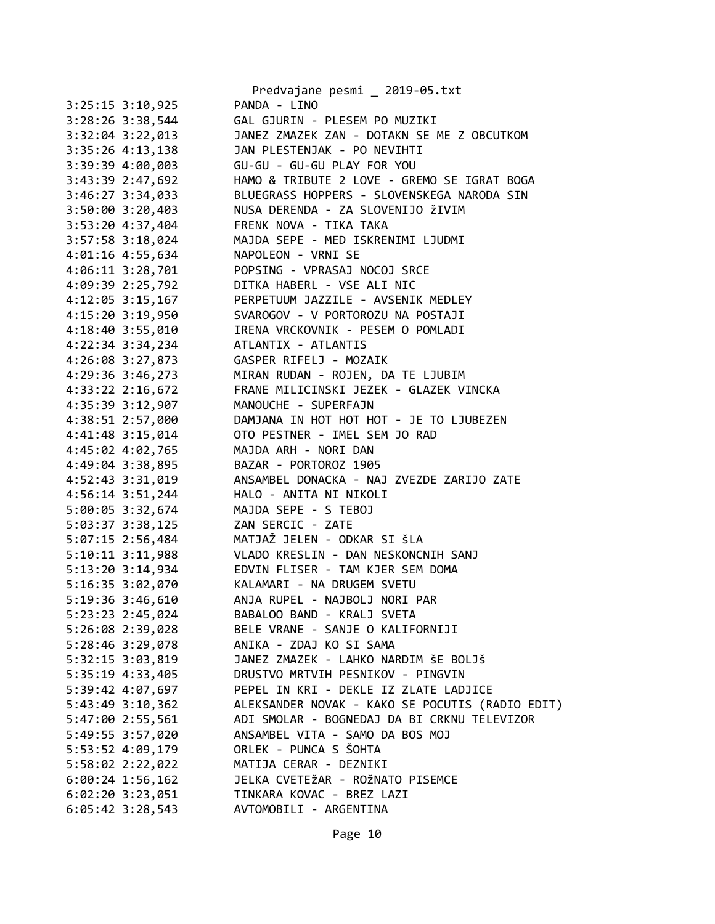|                      | Predvajane pesmi _ 2019-05.txt                    |
|----------------------|---------------------------------------------------|
| $3:25:15$ $3:10,925$ | PANDA - LINO                                      |
| $3:28:26$ 3:38,544   | GAL GJURIN - PLESEM PO MUZIKI                     |
| 3:32:04 3:22,013     | JANEZ ZMAZEK ZAN - DOTAKN SE ME Z OBCUTKOM        |
| 3:35:26 4:13,138     | JAN PLESTENJAK - PO NEVIHTI                       |
| 3:39:39 4:00,003     | GU-GU - GU-GU PLAY FOR YOU                        |
| 3:43:39 2:47,692     | HAMO & TRIBUTE 2 LOVE - GREMO SE IGRAT BOGA       |
| 3:46:27 3:34,033     | BLUEGRASS HOPPERS - SLOVENSKEGA NARODA SIN        |
| 3:50:00 3:20,403     | NUSA DERENDA - ZA SLOVENIJO ŽIVIM                 |
| 3:53:20 4:37,404     | FRENK NOVA - TIKA TAKA                            |
| 3:57:58 3:18,024     | MAJDA SEPE - MED ISKRENIMI LJUDMI                 |
| 4:01:16 4:55,634     | NAPOLEON - VRNI SE                                |
| $4:06:11$ $3:28,701$ | POPSING - VPRASAJ NOCOJ SRCE                      |
| 4:09:39 2:25,792     | DITKA HABERL - VSE ALI NIC                        |
| $4:12:05$ 3:15,167   | PERPETUUM JAZZILE - AVSENIK MEDLEY                |
| 4:15:20 3:19,950     | SVAROGOV - V PORTOROZU NA POSTAJI                 |
| 4:18:40 3:55,010     | IRENA VRCKOVNIK - PESEM O POMLADI                 |
| 4:22:34 3:34,234     | ATLANTIX - ATLANTIS                               |
| $4:26:08$ 3:27,873   | GASPER RIFELJ - MOZAIK                            |
| $4:29:36$ 3:46,273   | MIRAN RUDAN - ROJEN, DA TE LJUBIM                 |
| $4:33:22$ $2:16,672$ | FRANE MILICINSKI JEZEK - GLAZEK VINCKA            |
| 4:35:39 3:12,907     | MANOUCHE - SUPERFAJN                              |
| 4:38:51 2:57,000     | DAMJANA IN HOT HOT HOT - JE TO LJUBEZEN           |
| 4:41:48 3:15,014     | OTO PESTNER - IMEL SEM JO RAD                     |
| 4:45:02 4:02,765     | MAJDA ARH - NORI DAN                              |
| 4:49:04 3:38,895     | BAZAR - PORTOROZ 1905                             |
| 4:52:43 3:31,019     | ANSAMBEL DONACKA - NAJ ZVEZDE ZARIJO ZATE         |
| $4:56:14$ 3:51,244   | HALO - ANITA NI NIKOLI                            |
| 5:00:05 3:32,674     | MAJDA SEPE - S TEBOJ                              |
| 5:03:37 3:38,125     | ZAN SERCIC - ZATE                                 |
| 5:07:15 2:56,484     | MATJAŽ JELEN - ODKAR SI ŠLA                       |
| 5:10:11 3:11,988     | VLADO KRESLIN - DAN NESKONCNIH SANJ               |
|                      | 5:13:20 3:14,934 EDVIN FLISER - TAM KJER SEM DOMA |
| 5:16:35 3:02,070     | KALAMARI - NA DRUGEM SVETU                        |
| 5:19:36 3:46,610     | ANJA RUPEL - NAJBOLJ NORI PAR                     |
| 5:23:23 2:45,024     | BABALOO BAND - KRALJ SVETA                        |
| 5:26:08 2:39,028     | BELE VRANE - SANJE O KALIFORNIJI                  |
| 5:28:46 3:29,078     | ANIKA - ZDAJ KO SI SAMA                           |
| $5:32:15$ $3:03,819$ | JANEZ ZMAZEK - LAHKO NARDIM ŠE BOLJŠ              |
| 5:35:19 4:33,405     | DRUSTVO MRTVIH PESNIKOV - PINGVIN                 |
| 5:39:42 4:07,697     | PEPEL IN KRI - DEKLE IZ ZLATE LADJICE             |
| $5:43:49$ $3:10,362$ | ALEKSANDER NOVAK - KAKO SE POCUTIS (RADIO EDIT)   |
| 5:47:00 2:55,561     | ADI SMOLAR - BOGNEDAJ DA BI CRKNU TELEVIZOR       |
| 5:49:55 3:57,020     | ANSAMBEL VITA - SAMO DA BOS MOJ                   |
|                      | ORLEK - PUNCA S ŠOHTA                             |
| 5:53:52 4:09,179     | MATIJA CERAR - DEZNIKI                            |
| 5:58:02 2:22,022     | JELKA CVETEŽAR - ROŽNATO PISEMCE                  |
| $6:00:24$ 1:56,162   |                                                   |
| $6:02:20$ 3:23,051   | TINKARA KOVAC - BREZ LAZI                         |
| $6:05:42$ 3:28,543   | AVTOMOBILI - ARGENTINA                            |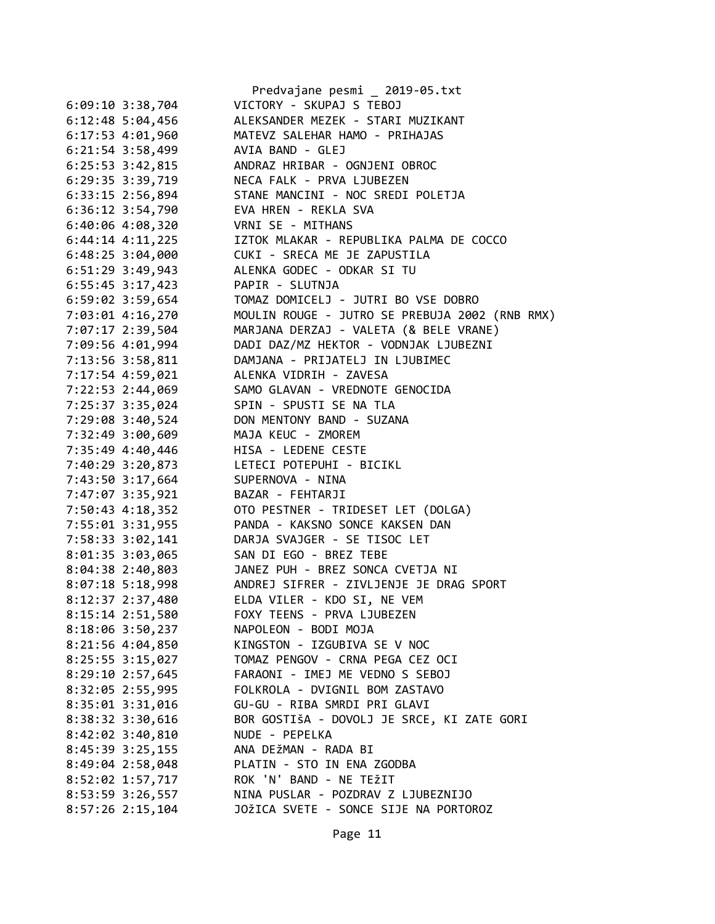|                      | Predvajane pesmi _ 2019-05.txt                 |
|----------------------|------------------------------------------------|
| $6:09:10$ 3:38,704   | VICTORY - SKUPAJ S TEBOJ                       |
| $6:12:48$ 5:04,456   | ALEKSANDER MEZEK - STARI MUZIKANT              |
| 6:17:53 4:01,960     | MATEVZ SALEHAR HAMO - PRIHAJAS                 |
| $6:21:54$ 3:58,499   | AVIA BAND - GLEJ                               |
| $6:25:53$ $3:42,815$ | ANDRAZ HRIBAR - OGNJENI OBROC                  |
| 6:29:35 3:39,719     | NECA FALK - PRVA LJUBEZEN                      |
| 6:33:15 2:56,894     | STANE MANCINI - NOC SREDI POLETJA              |
| 6:36:12 3:54,790     | EVA HREN - REKLA SVA                           |
| $6:40:06$ 4:08,320   | VRNI SE - MITHANS                              |
| $6:44:14$ $4:11,225$ | IZTOK MLAKAR - REPUBLIKA PALMA DE COCCO        |
| $6:48:25$ 3:04,000   | CUKI - SRECA ME JE ZAPUSTILA                   |
| $6:51:29$ 3:49,943   | ALENKA GODEC - ODKAR SI TU                     |
| $6:55:45$ 3:17,423   | PAPIR - SLUTNJA                                |
| 6:59:02 3:59,654     | TOMAZ DOMICELJ - JUTRI BO VSE DOBRO            |
| 7:03:01 4:16,270     | MOULIN ROUGE - JUTRO SE PREBUJA 2002 (RNB RMX) |
| 7:07:17 2:39,504     | MARJANA DERZAJ - VALETA (& BELE VRANE)         |
|                      |                                                |
| 7:09:56 4:01,994     | DADI DAZ/MZ HEKTOR - VODNJAK LJUBEZNI          |
| 7:13:56 3:58,811     | DAMJANA - PRIJATELJ IN LJUBIMEC                |
| 7:17:54 4:59,021     | ALENKA VIDRIH - ZAVESA                         |
| 7:22:53 2:44,069     | SAMO GLAVAN - VREDNOTE GENOCIDA                |
| 7:25:37 3:35,024     | SPIN - SPUSTI SE NA TLA                        |
| 7:29:08 3:40,524     | DON MENTONY BAND - SUZANA                      |
| 7:32:49 3:00,609     | MAJA KEUC - ZMOREM                             |
| 7:35:49 4:40,446     | HISA - LEDENE CESTE                            |
| 7:40:29 3:20,873     | LETECI POTEPUHI - BICIKL                       |
| 7:43:50 3:17,664     | SUPERNOVA - NINA                               |
| 7:47:07 3:35,921     | BAZAR - FEHTARJI                               |
| 7:50:43 4:18,352     | OTO PESTNER - TRIDESET LET (DOLGA)             |
| 7:55:01 3:31,955     | PANDA - KAKSNO SONCE KAKSEN DAN                |
| 7:58:33 3:02,141     | DARJA SVAJGER - SE TISOC LET                   |
| 8:01:35 3:03,065     | SAN DI EGO - BREZ TEBE                         |
| 8:04:38 2:40,803     | JANEZ PUH - BREZ SONCA CVETJA NI               |
| $8:07:18$ 5:18,998   | ANDREJ SIFRER - ZIVLJENJE JE DRAG SPORT        |
| 8:12:37 2:37,480     | ELDA VILER - KDO SI, NE VEM                    |
| 8:15:14 2:51,580     | FOXY TEENS - PRVA LJUBEZEN                     |
| 8:18:06 3:50,237     | NAPOLEON - BODI MOJA                           |
| 8:21:56 4:04,850     | KINGSTON - IZGUBIVA SE V NOC                   |
| 8:25:55 3:15,027     | TOMAZ PENGOV - CRNA PEGA CEZ OCI               |
| 8:29:10 2:57,645     | FARAONI - IMEJ ME VEDNO S SEBOJ                |
| 8:32:05 2:55,995     | FOLKROLA - DVIGNIL BOM ZASTAVO                 |
| 8:35:01 3:31,016     | GU-GU - RIBA SMRDI PRI GLAVI                   |
| 8:38:32 3:30,616     | BOR GOSTIŠA - DOVOLJ JE SRCE, KI ZATE GORI     |
| 8:42:02 3:40,810     | NUDE - PEPELKA                                 |
| 8:45:39 3:25,155     | ANA DEŽMAN - RADA BI                           |
| 8:49:04 2:58,048     | PLATIN - STO IN ENA ZGODBA                     |
| 8:52:02 1:57,717     | ROK 'N' BAND - NE TEŽIT                        |
| 8:53:59 3:26,557     | NINA PUSLAR - POZDRAV Z LJUBEZNIJO             |
|                      |                                                |
| 8:57:26 2:15,104     | JOŽICA SVETE - SONCE SIJE NA PORTOROZ          |

Page 11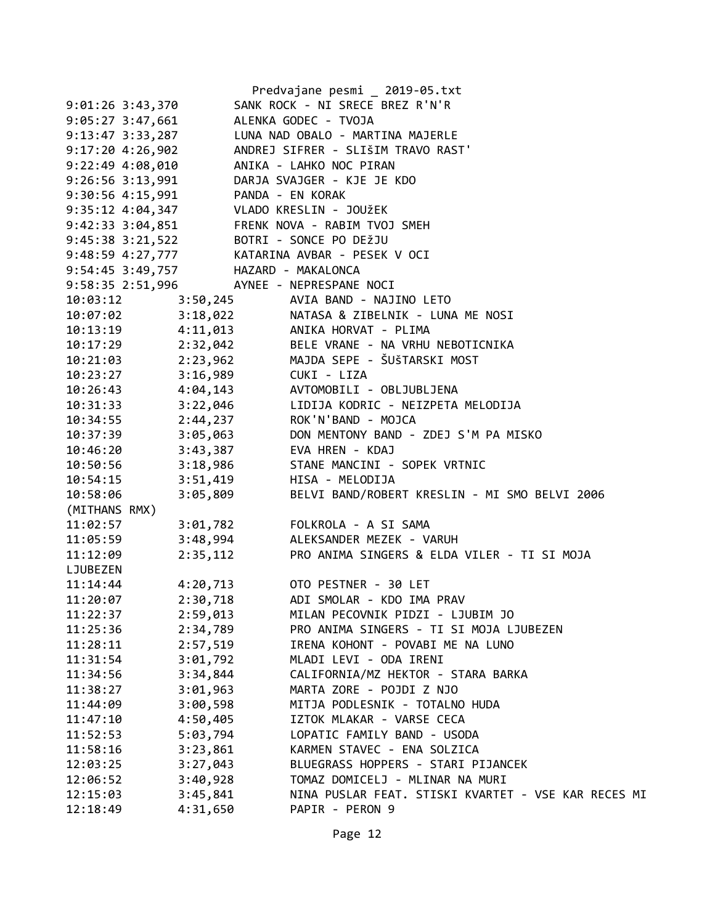|                      |                                                                              | Predvajane pesmi _ 2019-05.txt                                                                  |
|----------------------|------------------------------------------------------------------------------|-------------------------------------------------------------------------------------------------|
| 9:01:26 3:43,370     |                                                                              | SANK ROCK - NI SRECE BREZ R'N'R                                                                 |
| $9:05:27$ 3:47,661   |                                                                              | ALENKA GODEC - TVOJA                                                                            |
| $9:13:47$ $3:33,287$ |                                                                              | LUNA NAD OBALO - MARTINA MAJERLE                                                                |
| $9:17:20$ 4:26,902   |                                                                              | ANDREJ SIFRER - SLIŠIM TRAVO RAST'                                                              |
| $9:22:49$ $4:08,010$ |                                                                              | ANIKA - LAHKO NOC PIRAN                                                                         |
|                      |                                                                              | 9:26:56 3:13,991 DARJA SVAJGER - KJE JE KDO                                                     |
|                      | 9:30:56 4:15,991 PANDA - EN KORAK<br>9:35:12 4:04,347 VLADO KRESLIN - JOUŽEK |                                                                                                 |
|                      |                                                                              |                                                                                                 |
|                      |                                                                              | 9:42:33 3:04,851 FRENK NOVA - RABIM TVOJ SMEH                                                   |
|                      | 9:45:38 3:21,522 BOTRI - SONCE PO DEŽJU                                      |                                                                                                 |
|                      |                                                                              | 9:48:59 4:27,777 KATARINA AVBAR - PESEK V OCI                                                   |
|                      | 9:54:45 3:49,757 HAZARD - MAKALONCA                                          |                                                                                                 |
|                      | 9:58:35 2:51,996 AYNEE - NEPRESPANE NOCI                                     |                                                                                                 |
|                      |                                                                              |                                                                                                 |
|                      |                                                                              | 10:03:12 3:50,245 AVIA BAND - NAJINO LETO<br>10:07:02 3:18,022 NATASA & ZIBELNIK - LUNA ME NOSI |
|                      |                                                                              | 10:13:19  4:11,013  ANIKA HORVAT - PLIMA                                                        |
|                      |                                                                              | 10:17:29 2:32,042 BELE VRANE - NA VRHU NEBOTICNIKA                                              |
|                      |                                                                              | 10:21:03 2:23,962 MAJDA SEPE - ŠUŠTARSKI MOST                                                   |
|                      | 10:23:27 3:16,989 CUKI - LIZA                                                |                                                                                                 |
|                      |                                                                              | 10:26:43  4:04,143  AVTOMOBILI - OBLJUBLJENA                                                    |
| 10:31:33             |                                                                              | 3:22,046<br>2:44,237 ROK'N'BAND - MOJCA                                                         |
| 10:34:55             |                                                                              |                                                                                                 |
|                      |                                                                              | 10:37:39 3:05,063 DON MENTONY BAND - ZDEJ S'M PA MISKO                                          |
|                      | 10:46:20 3:43,387 EVA HREN - KDAJ                                            |                                                                                                 |
|                      |                                                                              | 10:50:56 3:18,986 STANE MANCINI - SOPEK VRTNIC                                                  |
| 10:54:15             |                                                                              |                                                                                                 |
| 10:58:06             |                                                                              | 3:05,809 BELVI BAND/ROBERT KRESLIN - MI SMO BELVI 2006                                          |
| (MITHANS RMX)        |                                                                              |                                                                                                 |
| 11:02:57             |                                                                              | 3:01,782    FOLKROLA - A SI SAMA                                                                |
| 11:05:59             |                                                                              | 3:48,994 ALEKSANDER MEZEK - VARUH                                                               |
| 11:12:09             |                                                                              | 2:35,112 PRO ANIMA SINGERS & ELDA VILER - TI SI MOJA                                            |
| LJUBEZEN             |                                                                              |                                                                                                 |
| 11:14:44             |                                                                              | 4:20,713 OTO PESTNER - 30 LET                                                                   |
| 11:20:07             |                                                                              | 2:30,718 ADI SMOLAR - KDO IMA PRAV                                                              |
| 11:22:37             | 2:59,013                                                                     | MILAN PECOVNIK PIDZI - LJUBIM JO                                                                |
| 11:25:36             | 2:34,789                                                                     | PRO ANIMA SINGERS - TI SI MOJA LJUBEZEN                                                         |
| 11:28:11             | 2:57,519                                                                     | IRENA KOHONT - POVABI ME NA LUNO                                                                |
| 11:31:54             | 3:01,792                                                                     | MLADI LEVI - ODA IRENI                                                                          |
| 11:34:56             | 3:34,844                                                                     | CALIFORNIA/MZ HEKTOR - STARA BARKA                                                              |
| 11:38:27             | 3:01,963                                                                     | MARTA ZORE - POJDI Z NJO                                                                        |
| 11:44:09             | 3:00,598                                                                     | MITJA PODLESNIK - TOTALNO HUDA                                                                  |
| 11:47:10             | 4:50,405                                                                     | IZTOK MLAKAR - VARSE CECA                                                                       |
| 11:52:53             | 5:03,794                                                                     | LOPATIC FAMILY BAND - USODA                                                                     |
| 11:58:16             | 3:23,861                                                                     | KARMEN STAVEC - ENA SOLZICA                                                                     |
| 12:03:25             | 3:27,043                                                                     | BLUEGRASS HOPPERS - STARI PIJANCEK                                                              |
| 12:06:52             | 3:40,928                                                                     | TOMAZ DOMICELJ - MLINAR NA MURI                                                                 |
| 12:15:03             | 3:45,841                                                                     | NINA PUSLAR FEAT. STISKI KVARTET - VSE KAR RECES MI                                             |
| 12:18:49             | 4:31,650                                                                     | PAPIR - PERON 9                                                                                 |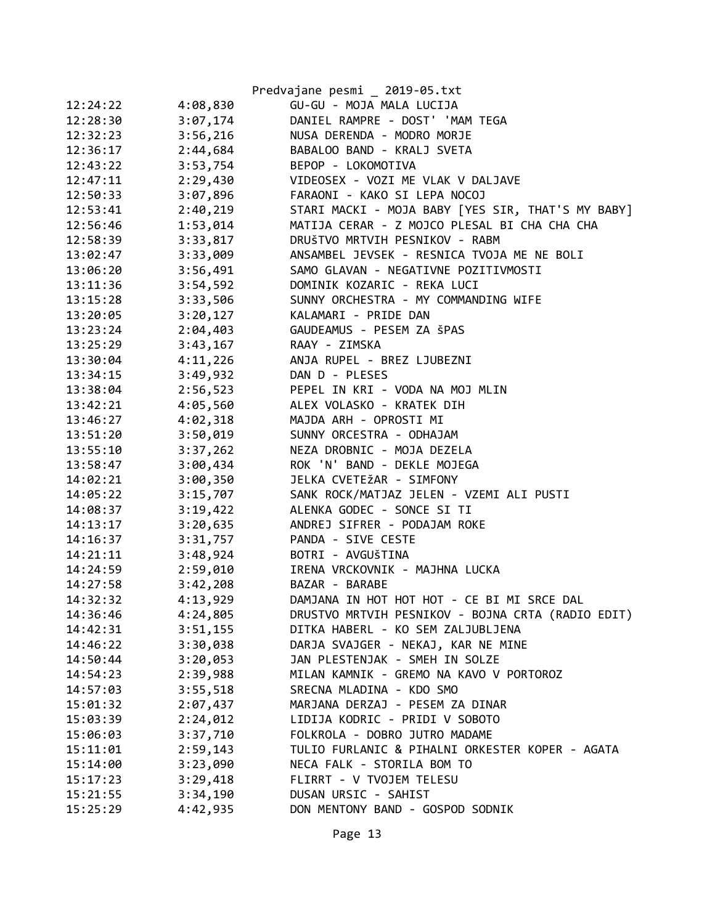|          |          | Predvajane pesmi _ 2019-05.txt                    |
|----------|----------|---------------------------------------------------|
| 12:24:22 | 4:08,830 | GU-GU - MOJA MALA LUCIJA                          |
| 12:28:30 | 3:07,174 | DANIEL RAMPRE - DOST' 'MAM TEGA                   |
| 12:32:23 | 3:56,216 | NUSA DERENDA - MODRO MORJE                        |
| 12:36:17 | 2:44,684 | BABALOO BAND - KRALJ SVETA                        |
| 12:43:22 | 3:53,754 | BEPOP - LOKOMOTIVA                                |
| 12:47:11 | 2:29,430 | VIDEOSEX - VOZI ME VLAK V DALJAVE                 |
| 12:50:33 | 3:07,896 | FARAONI - KAKO SI LEPA NOCOJ                      |
| 12:53:41 | 2:40,219 | STARI MACKI - MOJA BABY [YES SIR, THAT'S MY BABY] |
| 12:56:46 | 1:53,014 | MATIJA CERAR - Z MOJCO PLESAL BI CHA CHA CHA      |
| 12:58:39 | 3:33,817 | DRUŠTVO MRTVIH PESNIKOV - RABM                    |
| 13:02:47 | 3:33,009 | ANSAMBEL JEVSEK - RESNICA TVOJA ME NE BOLI        |
| 13:06:20 | 3:56,491 | SAMO GLAVAN - NEGATIVNE POZITIVMOSTI              |
| 13:11:36 | 3:54,592 | DOMINIK KOZARIC - REKA LUCI                       |
| 13:15:28 | 3:33,506 | SUNNY ORCHESTRA - MY COMMANDING WIFE              |
| 13:20:05 | 3:20,127 | KALAMARI - PRIDE DAN                              |
| 13:23:24 | 2:04,403 | GAUDEAMUS - PESEM ZA ŠPAS                         |
| 13:25:29 | 3:43,167 | RAAY - ZIMSKA                                     |
| 13:30:04 | 4:11,226 | ANJA RUPEL - BREZ LJUBEZNI                        |
| 13:34:15 | 3:49,932 | DAN D - PLESES                                    |
| 13:38:04 | 2:56,523 | PEPEL IN KRI - VODA NA MOJ MLIN                   |
| 13:42:21 | 4:05,560 | ALEX VOLASKO - KRATEK DIH                         |
| 13:46:27 | 4:02,318 | MAJDA ARH - OPROSTI MI                            |
| 13:51:20 | 3:50,019 | SUNNY ORCESTRA - ODHAJAM                          |
| 13:55:10 | 3:37,262 | NEZA DROBNIC - MOJA DEZELA                        |
| 13:58:47 | 3:00,434 | ROK 'N' BAND - DEKLE MOJEGA                       |
| 14:02:21 | 3:00,350 | JELKA CVETEŽAR - SIMFONY                          |
| 14:05:22 | 3:15,707 | SANK ROCK/MATJAZ JELEN - VZEMI ALI PUSTI          |
| 14:08:37 | 3:19,422 | ALENKA GODEC - SONCE SI TI                        |
| 14:13:17 | 3:20,635 | ANDREJ SIFRER - PODAJAM ROKE                      |
| 14:16:37 | 3:31,757 | PANDA - SIVE CESTE                                |
| 14:21:11 | 3:48,924 | BOTRI - AVGUŠTINA                                 |
| 14:24:59 | 2:59,010 | IRENA VRCKOVNIK - MAJHNA LUCKA                    |
| 14:27:58 | 3:42,208 | BAZAR - BARABE                                    |
| 14:32:32 | 4:13,929 | DAMJANA IN HOT HOT HOT - CE BI MI SRCE DAL        |
| 14:36:46 | 4:24,805 | DRUSTVO MRTVIH PESNIKOV - BOJNA CRTA (RADIO EDIT) |
| 14:42:31 | 3:51,155 | DITKA HABERL - KO SEM ZALJUBLJENA                 |
| 14:46:22 | 3:30,038 | DARJA SVAJGER - NEKAJ, KAR NE MINE                |
| 14:50:44 | 3:20,053 | JAN PLESTENJAK - SMEH IN SOLZE                    |
| 14:54:23 | 2:39,988 | MILAN KAMNIK - GREMO NA KAVO V PORTOROZ           |
| 14:57:03 | 3:55,518 | SRECNA MLADINA - KDO SMO                          |
| 15:01:32 | 2:07,437 | MARJANA DERZAJ - PESEM ZA DINAR                   |
| 15:03:39 | 2:24,012 | LIDIJA KODRIC - PRIDI V SOBOTO                    |
| 15:06:03 | 3:37,710 | FOLKROLA - DOBRO JUTRO MADAME                     |
| 15:11:01 | 2:59,143 | TULIO FURLANIC & PIHALNI ORKESTER KOPER - AGATA   |
| 15:14:00 | 3:23,090 | NECA FALK - STORILA BOM TO                        |
| 15:17:23 | 3:29,418 | FLIRRT - V TVOJEM TELESU                          |
| 15:21:55 | 3:34,190 | DUSAN URSIC - SAHIST                              |
| 15:25:29 | 4:42,935 | DON MENTONY BAND - GOSPOD SODNIK                  |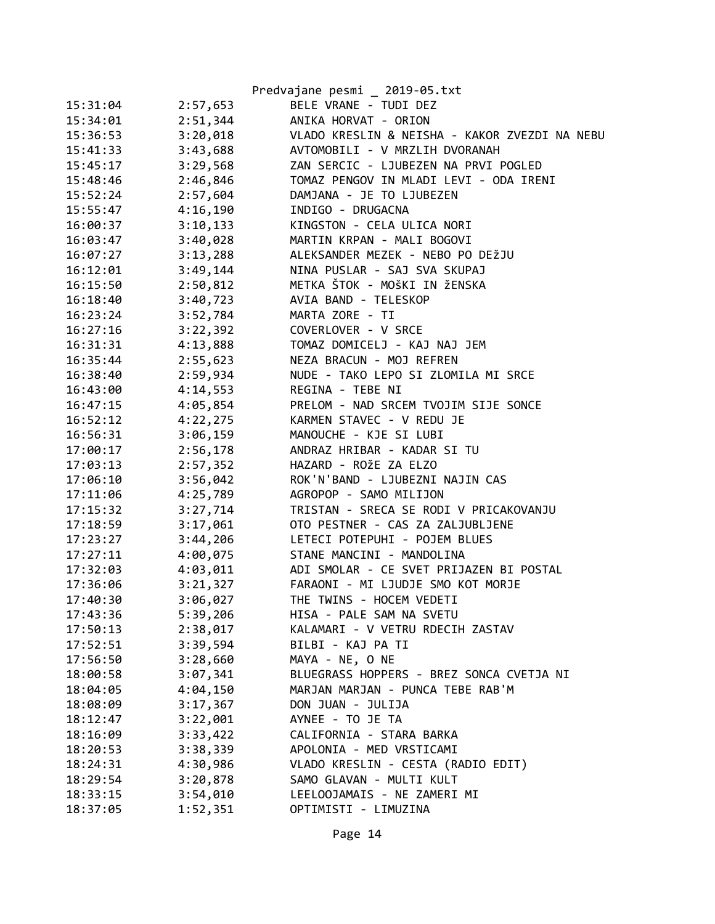|          |          | Predvajane pesmi _ 2019-05.txt                |
|----------|----------|-----------------------------------------------|
| 15:31:04 | 2:57,653 | BELE VRANE - TUDI DEZ                         |
| 15:34:01 | 2:51,344 | ANIKA HORVAT - ORION                          |
| 15:36:53 | 3:20,018 | VLADO KRESLIN & NEISHA - KAKOR ZVEZDI NA NEBU |
| 15:41:33 | 3:43,688 | AVTOMOBILI - V MRZLIH DVORANAH                |
| 15:45:17 | 3:29,568 | ZAN SERCIC - LJUBEZEN NA PRVI POGLED          |
| 15:48:46 | 2:46,846 | TOMAZ PENGOV IN MLADI LEVI - ODA IRENI        |
| 15:52:24 | 2:57,604 | DAMJANA - JE TO LJUBEZEN                      |
| 15:55:47 | 4:16,190 | INDIGO - DRUGACNA                             |
| 16:00:37 | 3:10,133 | KINGSTON - CELA ULICA NORI                    |
| 16:03:47 | 3:40,028 | MARTIN KRPAN - MALI BOGOVI                    |
| 16:07:27 | 3:13,288 | ALEKSANDER MEZEK - NEBO PO DEŽJU              |
| 16:12:01 | 3:49,144 | NINA PUSLAR - SAJ SVA SKUPAJ                  |
| 16:15:50 | 2:50,812 | METKA ŠTOK - MOŠKI IN ŽENSKA                  |
| 16:18:40 | 3:40,723 | AVIA BAND - TELESKOP                          |
| 16:23:24 | 3:52,784 | MARTA ZORE - TI                               |
| 16:27:16 | 3:22,392 | COVERLOVER - V SRCE                           |
| 16:31:31 | 4:13,888 | TOMAZ DOMICELJ - KAJ NAJ JEM                  |
| 16:35:44 | 2:55,623 | NEZA BRACUN - MOJ REFREN                      |
| 16:38:40 | 2:59,934 | NUDE - TAKO LEPO SI ZLOMILA MI SRCE           |
| 16:43:00 | 4:14,553 | REGINA - TEBE NI                              |
| 16:47:15 | 4:05,854 | PRELOM - NAD SRCEM TVOJIM SIJE SONCE          |
| 16:52:12 | 4:22,275 | KARMEN STAVEC - V REDU JE                     |
| 16:56:31 | 3:06,159 | MANOUCHE - KJE SI LUBI                        |
| 17:00:17 | 2:56,178 | ANDRAZ HRIBAR - KADAR SI TU                   |
| 17:03:13 | 2:57,352 | HAZARD - ROŽE ZA ELZO                         |
| 17:06:10 | 3:56,042 | ROK'N'BAND - LJUBEZNI NAJIN CAS               |
| 17:11:06 | 4:25,789 | AGROPOP - SAMO MILIJON                        |
| 17:15:32 | 3:27,714 | TRISTAN - SRECA SE RODI V PRICAKOVANJU        |
| 17:18:59 | 3:17,061 | OTO PESTNER - CAS ZA ZALJUBLJENE              |
| 17:23:27 | 3:44,206 | LETECI POTEPUHI - POJEM BLUES                 |
| 17:27:11 | 4:00,075 | STANE MANCINI - MANDOLINA                     |
| 17:32:03 | 4:03,011 | ADI SMOLAR - CE SVET PRIJAZEN BI POSTAL       |
| 17:36:06 | 3:21,327 | FARAONI - MI LJUDJE SMO KOT MORJE             |
| 17:40:30 | 3:06,027 | THE TWINS - HOCEM VEDETI                      |
| 17:43:36 | 5:39,206 | HISA - PALE SAM NA SVETU                      |
| 17:50:13 | 2:38,017 | KALAMARI - V VETRU RDECIH ZASTAV              |
| 17:52:51 | 3:39,594 | BILBI - KAJ PA TI                             |
| 17:56:50 | 3:28,660 | MAYA - NE, O NE                               |
| 18:00:58 | 3:07,341 | BLUEGRASS HOPPERS - BREZ SONCA CVETJA NI      |
| 18:04:05 | 4:04,150 | MARJAN MARJAN - PUNCA TEBE RAB'M              |
| 18:08:09 | 3:17,367 | DON JUAN - JULIJA                             |
| 18:12:47 | 3:22,001 | AYNEE - TO JE TA                              |
| 18:16:09 | 3:33,422 | CALIFORNIA - STARA BARKA                      |
| 18:20:53 | 3:38,339 | APOLONIA - MED VRSTICAMI                      |
| 18:24:31 | 4:30,986 | VLADO KRESLIN - CESTA (RADIO EDIT)            |
| 18:29:54 | 3:20,878 | SAMO GLAVAN - MULTI KULT                      |
| 18:33:15 | 3:54,010 | LEELOOJAMAIS - NE ZAMERI MI                   |
| 18:37:05 | 1:52,351 | OPTIMISTI - LIMUZINA                          |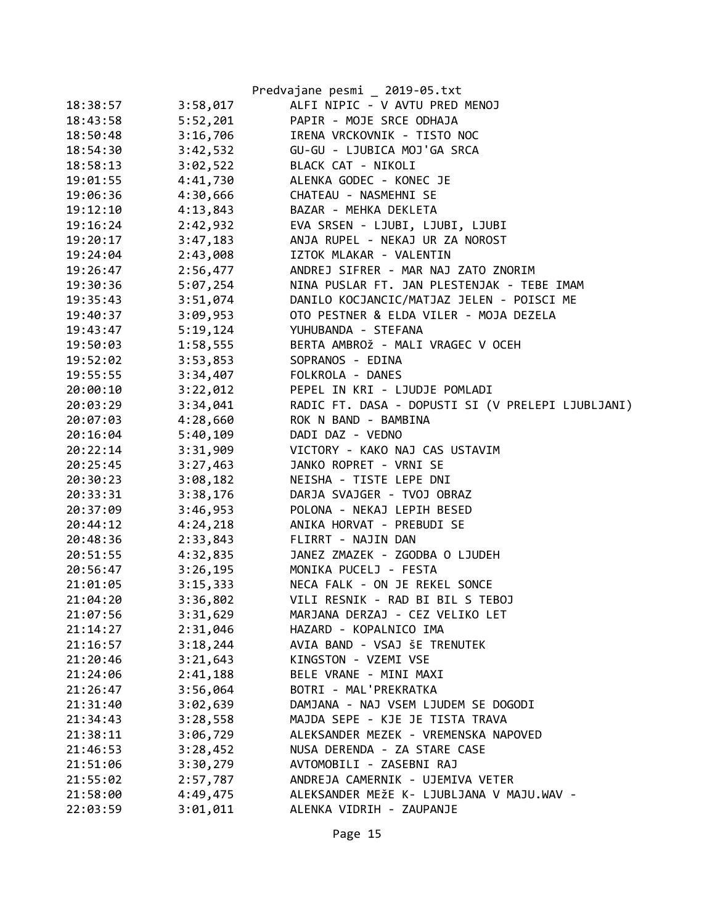|          |          | Predvajane pesmi _ 2019-05.txt                    |
|----------|----------|---------------------------------------------------|
| 18:38:57 | 3:58,017 | ALFI NIPIC - V AVTU PRED MENOJ                    |
| 18:43:58 | 5:52,201 | PAPIR - MOJE SRCE ODHAJA                          |
| 18:50:48 | 3:16,706 | IRENA VRCKOVNIK - TISTO NOC                       |
| 18:54:30 | 3:42,532 | GU-GU - LJUBICA MOJ'GA SRCA                       |
| 18:58:13 | 3:02,522 | BLACK CAT - NIKOLI                                |
| 19:01:55 | 4:41,730 | ALENKA GODEC - KONEC JE                           |
| 19:06:36 | 4:30,666 | CHATEAU - NASMEHNI SE                             |
| 19:12:10 | 4:13,843 | BAZAR - MEHKA DEKLETA                             |
| 19:16:24 | 2:42,932 | EVA SRSEN - LJUBI, LJUBI, LJUBI                   |
| 19:20:17 | 3:47,183 | ANJA RUPEL - NEKAJ UR ZA NOROST                   |
| 19:24:04 | 2:43,008 | IZTOK MLAKAR - VALENTIN                           |
| 19:26:47 | 2:56,477 | ANDREJ SIFRER - MAR NAJ ZATO ZNORIM               |
| 19:30:36 | 5:07,254 | NINA PUSLAR FT. JAN PLESTENJAK - TEBE IMAM        |
| 19:35:43 | 3:51,074 | DANILO KOCJANCIC/MATJAZ JELEN - POISCI ME         |
| 19:40:37 | 3:09,953 | OTO PESTNER & ELDA VILER - MOJA DEZELA            |
| 19:43:47 | 5:19,124 | YUHUBANDA - STEFANA                               |
| 19:50:03 | 1:58,555 | BERTA AMBROŽ - MALI VRAGEC V OCEH                 |
| 19:52:02 | 3:53,853 | SOPRANOS - EDINA                                  |
| 19:55:55 | 3:34,407 | FOLKROLA - DANES                                  |
| 20:00:10 | 3:22,012 | PEPEL IN KRI - LJUDJE POMLADI                     |
| 20:03:29 | 3:34,041 | RADIC FT. DASA - DOPUSTI SI (V PRELEPI LJUBLJANI) |
| 20:07:03 | 4:28,660 | ROK N BAND - BAMBINA                              |
| 20:16:04 | 5:40,109 | DADI DAZ - VEDNO                                  |
| 20:22:14 | 3:31,909 | VICTORY - KAKO NAJ CAS USTAVIM                    |
| 20:25:45 | 3:27,463 | JANKO ROPRET - VRNI SE                            |
| 20:30:23 | 3:08,182 | NEISHA - TISTE LEPE DNI                           |
| 20:33:31 | 3:38,176 | DARJA SVAJGER - TVOJ OBRAZ                        |
| 20:37:09 | 3:46,953 | POLONA - NEKAJ LEPIH BESED                        |
| 20:44:12 | 4:24,218 | ANIKA HORVAT - PREBUDI SE                         |
| 20:48:36 | 2:33,843 | FLIRRT - NAJIN DAN                                |
| 20:51:55 | 4:32,835 | JANEZ ZMAZEK - ZGODBA O LJUDEH                    |
| 20:56:47 | 3:26,195 | MONIKA PUCELJ - FESTA                             |
| 21:01:05 | 3:15,333 | NECA FALK - ON JE REKEL SONCE                     |
| 21:04:20 | 3:36,802 | VILI RESNIK - RAD BI BIL S TEBOJ                  |
| 21:07:56 | 3:31,629 | MARJANA DERZAJ - CEZ VELIKO LET                   |
| 21:14:27 | 2:31,046 | HAZARD - KOPALNICO IMA                            |
| 21:16:57 | 3:18,244 | AVIA BAND - VSAJ ŠE TRENUTEK                      |
| 21:20:46 | 3:21,643 | KINGSTON - VZEMI VSE                              |
| 21:24:06 | 2:41,188 | BELE VRANE - MINI MAXI                            |
| 21:26:47 | 3:56,064 | BOTRI - MAL'PREKRATKA                             |
| 21:31:40 | 3:02,639 | DAMJANA - NAJ VSEM LJUDEM SE DOGODI               |
| 21:34:43 | 3:28,558 | MAJDA SEPE - KJE JE TISTA TRAVA                   |
| 21:38:11 | 3:06,729 | ALEKSANDER MEZEK - VREMENSKA NAPOVED              |
| 21:46:53 | 3:28,452 | NUSA DERENDA - ZA STARE CASE                      |
| 21:51:06 | 3:30,279 | AVTOMOBILI - ZASEBNI RAJ                          |
| 21:55:02 | 2:57,787 | ANDREJA CAMERNIK - UJEMIVA VETER                  |
| 21:58:00 | 4:49,475 | ALEKSANDER MEŽE K- LJUBLJANA V MAJU.WAV -         |
| 22:03:59 | 3:01,011 | ALENKA VIDRIH - ZAUPANJE                          |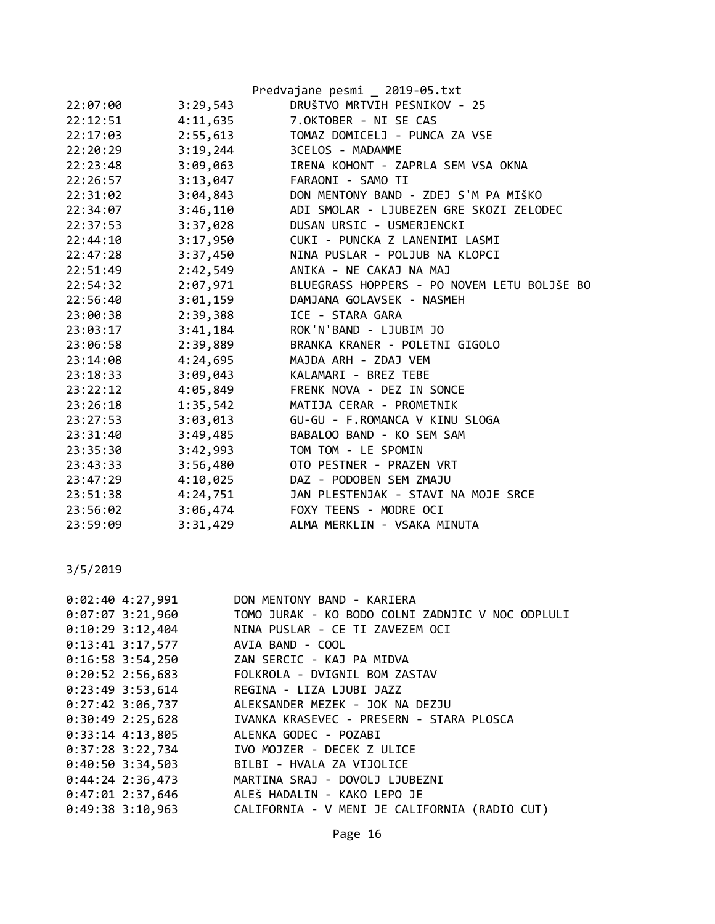|          |          | Predvajane pesmi 2019-05.txt                |
|----------|----------|---------------------------------------------|
| 22:07:00 | 3:29,543 | DRUŠTVO MRTVIH PESNIKOV - 25                |
| 22:12:51 | 4:11,635 | 7.OKTOBER - NI SE CAS                       |
| 22:17:03 | 2:55,613 | TOMAZ DOMICELJ - PUNCA ZA VSE               |
| 22:20:29 | 3:19,244 | 3CELOS - MADAMME                            |
| 22:23:48 | 3:09,063 | IRENA KOHONT - ZAPRLA SEM VSA OKNA          |
| 22:26:57 | 3:13,047 | FARAONI - SAMO TI                           |
| 22:31:02 | 3:04,843 | DON MENTONY BAND - ZDEJ S'M PA MIŠKO        |
| 22:34:07 | 3:46,110 | ADI SMOLAR - LJUBEZEN GRE SKOZI ZELODEC     |
| 22:37:53 | 3:37,028 | DUSAN URSIC - USMERJENCKI                   |
| 22:44:10 | 3:17,950 | CUKI - PUNCKA Z LANENIMI LASMI              |
| 22:47:28 | 3:37,450 | NINA PUSLAR - POLJUB NA KLOPCI              |
| 22:51:49 | 2:42,549 | ANIKA - NE CAKAJ NA MAJ                     |
| 22:54:32 | 2:07,971 | BLUEGRASS HOPPERS - PO NOVEM LETU BOLJŠE BO |
| 22:56:40 | 3:01,159 | DAMJANA GOLAVSEK - NASMEH                   |
| 23:00:38 | 2:39,388 | ICE - STARA GARA                            |
| 23:03:17 | 3:41,184 | ROK'N'BAND - LJUBIM JO                      |
| 23:06:58 | 2:39,889 | BRANKA KRANER - POLETNI GIGOLO              |
| 23:14:08 | 4:24,695 | MAJDA ARH - ZDAJ VEM                        |
| 23:18:33 | 3:09,043 | KALAMARI - BREZ TEBE                        |
| 23:22:12 | 4:05,849 | FRENK NOVA - DEZ IN SONCE                   |
| 23:26:18 | 1:35,542 | MATIJA CERAR - PROMETNIK                    |
| 23:27:53 | 3:03,013 | GU-GU - F.ROMANCA V KINU SLOGA              |
| 23:31:40 | 3:49,485 | BABALOO BAND - KO SEM SAM                   |
| 23:35:30 | 3:42,993 | TOM TOM - LE SPOMIN                         |
| 23:43:33 | 3:56,480 | OTO PESTNER - PRAZEN VRT                    |
| 23:47:29 | 4:10,025 | DAZ - PODOBEN SEM ZMAJU                     |
| 23:51:38 | 4:24,751 | JAN PLESTENJAK - STAVI NA MOJE SRCE         |
| 23:56:02 | 3:06,474 | FOXY TEENS - MODRE OCI                      |
| 23:59:09 | 3:31,429 | ALMA MERKLIN - VSAKA MINUTA                 |

| $0:02:40$ 4:27,991 | DON MENTONY BAND - KARIERA                       |
|--------------------|--------------------------------------------------|
| 0:07:07 3:21,960   | TOMO JURAK - KO BODO COLNI ZADNJIC V NOC ODPLULI |
| $0:10:29$ 3:12,404 | NINA PUSLAR - CE TI ZAVEZEM OCI                  |
| $0:13:41$ 3:17,577 | AVIA BAND - COOL                                 |
|                    | 0:16:58 3:54,250 ZAN SERCIC - KAJ PA MIDVA       |
| 0:20:52 2:56,683   | FOLKROLA - DVIGNIL BOM ZASTAV                    |
| $0:23:49$ 3:53,614 | REGINA - LIZA LJUBI JAZZ                         |
| $0:27:42$ 3:06,737 | ALEKSANDER MEZEK - JOK NA DEZJU                  |
| $0:30:49$ 2:25,628 | IVANKA KRASEVEC - PRESERN - STARA PLOSCA         |
| $0:33:14$ 4:13,805 | ALENKA GODEC - POZABI                            |
| 0:37:28 3:22,734   | IVO MOJZER - DECEK Z ULICE                       |
| 0:40:50 3:34,503   | BILBI - HVALA ZA VIJOLICE                        |
| $0:44:24$ 2:36,473 | MARTINA SRAJ - DOVOLJ LJUBEZNI                   |
| $0:47:01$ 2:37,646 | ALEŠ HADALIN - KAKO LEPO JE                      |
| $0:49:38$ 3:10,963 | CALIFORNIA - V MENI JE CALIFORNIA (RADIO CUT)    |
|                    |                                                  |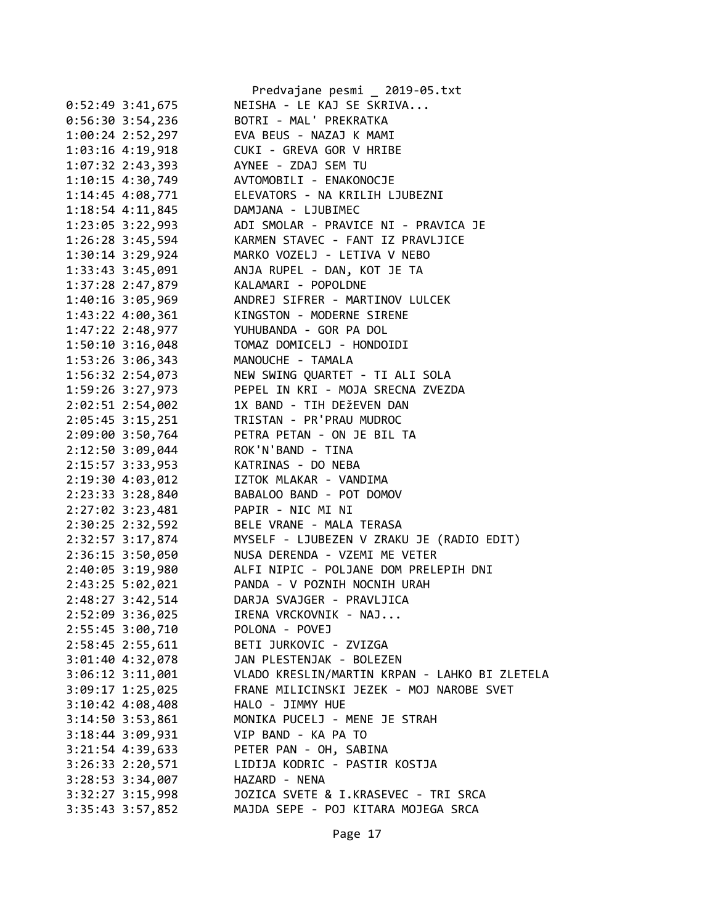|                      | Predvajane pesmi _ 2019-05.txt                |
|----------------------|-----------------------------------------------|
| $0:52:49$ 3:41,675   | NEISHA - LE KAJ SE SKRIVA                     |
| $0:56:30$ 3:54,236   | BOTRI - MAL' PREKRATKA                        |
| 1:00:24 2:52,297     | EVA BEUS - NAZAJ K MAMI                       |
| 1:03:16 4:19,918     | CUKI - GREVA GOR V HRIBE                      |
| 1:07:32 2:43,393     | AYNEE - ZDAJ SEM TU                           |
| 1:10:15 4:30,749     | AVTOMOBILI - ENAKONOCJE                       |
| 1:14:45 4:08,771     | ELEVATORS - NA KRILIH LJUBEZNI                |
| 1:18:54 4:11,845     | DAMJANA - LJUBIMEC                            |
| 1:23:05 3:22,993     | ADI SMOLAR - PRAVICE NI - PRAVICA JE          |
| 1:26:28 3:45,594     | KARMEN STAVEC - FANT IZ PRAVLJICE             |
| 1:30:14 3:29,924     | MARKO VOZELJ - LETIVA V NEBO                  |
| 1:33:43 3:45,091     | ANJA RUPEL - DAN, KOT JE TA                   |
| 1:37:28 2:47,879     | KALAMARI - POPOLDNE                           |
| 1:40:16 3:05,969     | ANDREJ SIFRER - MARTINOV LULCEK               |
| 1:43:22 4:00,361     | KINGSTON - MODERNE SIRENE                     |
| 1:47:22 2:48,977     | YUHUBANDA - GOR PA DOL                        |
| 1:50:10 3:16,048     | TOMAZ DOMICELJ - HONDOIDI                     |
| 1:53:26 3:06,343     | MANOUCHE - TAMALA                             |
| 1:56:32 2:54,073     | NEW SWING QUARTET - TI ALI SOLA               |
| 1:59:26 3:27,973     | PEPEL IN KRI - MOJA SRECNA ZVEZDA             |
|                      |                                               |
| 2:02:51 2:54,002     | 1X BAND - TIH DEŽEVEN DAN                     |
| 2:05:45 3:15,251     | TRISTAN - PR'PRAU MUDROC                      |
| 2:09:00 3:50,764     | PETRA PETAN - ON JE BIL TA                    |
| 2:12:50 3:09,044     | ROK'N'BAND - TINA                             |
| 2:15:57 3:33,953     | KATRINAS - DO NEBA                            |
| 2:19:30 4:03,012     | IZTOK MLAKAR - VANDIMA                        |
| 2:23:33 3:28,840     | BABALOO BAND - POT DOMOV                      |
| 2:27:02 3:23,481     | PAPIR - NIC MI NI                             |
| 2:30:25 2:32,592     | BELE VRANE - MALA TERASA                      |
| 2:32:57 3:17,874     | MYSELF - LJUBEZEN V ZRAKU JE (RADIO EDIT)     |
| 2:36:15 3:50,050     | NUSA DERENDA - VZEMI ME VETER                 |
| 2:40:05 3:19,980     | ALFI NIPIC - POLJANE DOM PRELEPIH DNI         |
| 2:43:25 5:02,021     | PANDA - V POZNIH NOCNIH URAH                  |
| 2:48:27 3:42,514     | DARJA SVAJGER - PRAVLJICA                     |
| 2:52:09 3:36,025     | IRENA VRCKOVNIK - NAJ                         |
| 2:55:45 3:00,710     | POLONA - POVEJ                                |
| 2:58:45 2:55,611     | BETI JURKOVIC - ZVIZGA                        |
| 3:01:40 4:32,078     | JAN PLESTENJAK - BOLEZEN                      |
| $3:06:12$ $3:11,001$ | VLADO KRESLIN/MARTIN KRPAN - LAHKO BI ZLETELA |
| $3:09:17$ 1:25,025   | FRANE MILICINSKI JEZEK - MOJ NAROBE SVET      |
| 3:10:42 4:08,408     | HALO - JIMMY HUE                              |
| 3:14:50 3:53,861     | MONIKA PUCELJ - MENE JE STRAH                 |
| 3:18:44 3:09,931     | VIP BAND - KA PA TO                           |
| $3:21:54$ 4:39,633   | PETER PAN - OH, SABINA                        |
| 3:26:33 2:20,571     | LIDIJA KODRIC - PASTIR KOSTJA                 |
| 3:28:53 3:34,007     | HAZARD - NENA                                 |
| $3:32:27$ $3:15,998$ | JOZICA SVETE & I.KRASEVEC - TRI SRCA          |
| $3:35:43$ $3:57,852$ | MAJDA SEPE - POJ KITARA MOJEGA SRCA           |
|                      |                                               |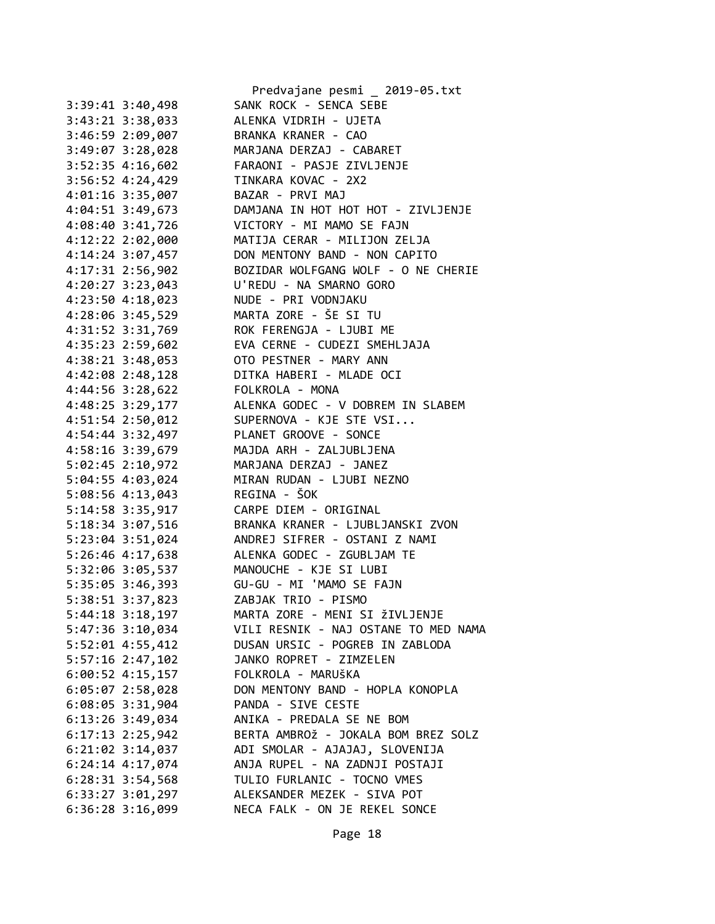|                      | Predvajane pesmi _ 2019-05.txt       |
|----------------------|--------------------------------------|
| $3:39:41$ $3:40,498$ | SANK ROCK - SENCA SEBE               |
| 3:43:21 3:38,033     | ALENKA VIDRIH - UJETA                |
| 3:46:59 2:09,007     | BRANKA KRANER - CAO                  |
| 3:49:07 3:28,028     | MARJANA DERZAJ - CABARET             |
| 3:52:35 4:16,602     | FARAONI - PASJE ZIVLJENJE            |
| 3:56:52 4:24,429     | TINKARA KOVAC - 2X2                  |
| 4:01:16 3:35,007     | BAZAR - PRVI MAJ                     |
| 4:04:51 3:49,673     | DAMJANA IN HOT HOT HOT - ZIVLJENJE   |
| 4:08:40 3:41,726     | VICTORY - MI MAMO SE FAJN            |
| 4:12:22 2:02,000     | MATIJA CERAR - MILIJON ZELJA         |
| 4:14:24 3:07,457     | DON MENTONY BAND - NON CAPITO        |
| 4:17:31 2:56,902     | BOZIDAR WOLFGANG WOLF - O NE CHERIE  |
| 4:20:27 3:23,043     | U'REDU - NA SMARNO GORO              |
| 4:23:50 4:18,023     | NUDE - PRI VODNJAKU                  |
| 4:28:06 3:45,529     | MARTA ZORE - ŠE SI TU                |
| 4:31:52 3:31,769     | ROK FERENGJA - LJUBI ME              |
| 4:35:23 2:59,602     | EVA CERNE - CUDEZI SMEHLJAJA         |
| $4:38:21$ $3:48,053$ | OTO PESTNER - MARY ANN               |
| 4:42:08 2:48,128     | DITKA HABERI - MLADE OCI             |
| 4:44:56 3:28,622     | FOLKROLA - MONA                      |
| 4:48:25 3:29,177     | ALENKA GODEC - V DOBREM IN SLABEM    |
| 4:51:54 2:50,012     | SUPERNOVA - KJE STE VSI              |
| 4:54:44 3:32,497     | PLANET GROOVE - SONCE                |
| 4:58:16 3:39,679     | MAJDA ARH - ZALJUBLJENA              |
| 5:02:45 2:10,972     | MARJANA DERZAJ - JANEZ               |
| 5:04:55 4:03,024     | MIRAN RUDAN - LJUBI NEZNO            |
| 5:08:56 4:13,043     | REGINA - ŠOK                         |
| 5:14:58 3:35,917     | CARPE DIEM - ORIGINAL                |
| 5:18:34 3:07,516     | BRANKA KRANER - LJUBLJANSKI ZVON     |
| 5:23:04 3:51,024     | ANDREJ SIFRER - OSTANI Z NAMI        |
| $5:26:46$ 4:17,638   | ALENKA GODEC - ZGUBLJAM TE           |
| 5:32:06 3:05,537     | MANOUCHE - KJE SI LUBI               |
| 5:35:05 3:46,393     | GU-GU - MI 'MAMO SE FAJN             |
| 5:38:51 3:37,823     | ZABJAK TRIO - PISMO                  |
| $5:44:18$ $3:18,197$ | MARTA ZORE - MENI SI ŽIVLJENJE       |
| 5:47:36 3:10,034     | VILI RESNIK - NAJ OSTANE TO MED NAMA |
| 5:52:01 4:55,412     | DUSAN URSIC - POGREB IN ZABLODA      |
| 5:57:16 2:47,102     | JANKO ROPRET - ZIMZELEN              |
| $6:00:52$ 4:15,157   | FOLKROLA - MARUŠKA                   |
| $6:05:07$ 2:58,028   | DON MENTONY BAND - HOPLA KONOPLA     |
| 6:08:05 3:31,904     | PANDA - SIVE CESTE                   |
| $6:13:26$ 3:49,034   | ANIKA - PREDALA SE NE BOM            |
| $6:17:13$ $2:25,942$ | BERTA AMBROŽ - JOKALA BOM BREZ SOLZ  |
| 6:21:02 3:14,037     | ADI SMOLAR - AJAJAJ, SLOVENIJA       |
| $6:24:14$ $4:17,074$ | ANJA RUPEL - NA ZADNJI POSTAJI       |
| $6:28:31$ $3:54,568$ | TULIO FURLANIC - TOCNO VMES          |
| $6:33:27$ $3:01,297$ | ALEKSANDER MEZEK - SIVA POT          |
| $6:36:28$ 3:16,099   | NECA FALK - ON JE REKEL SONCE        |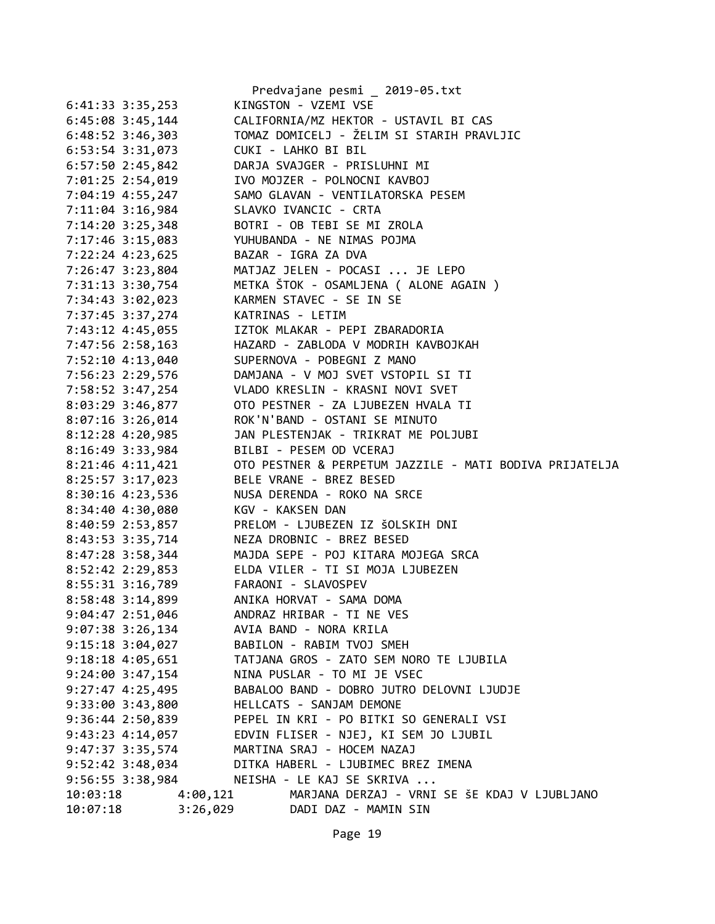|          |                      | Predvajane pesmi _ 2019-05.txt                                                      |
|----------|----------------------|-------------------------------------------------------------------------------------|
|          | 6:41:33 3:35,253     | KINGSTON - VZEMI VSE                                                                |
|          | 6:45:08 3:45,144     | CALIFORNIA/MZ HEKTOR - USTAVIL BI CAS                                               |
|          | 6:48:52 3:46,303     | TOMAZ DOMICELJ - ŽELIM SI STARIH PRAVLJIC                                           |
|          | 6:53:54 3:31,073     | CUKI - LAHKO BI BIL                                                                 |
|          | 6:57:50 2:45,842     | DARJA SVAJGER - PRISLUHNI MI                                                        |
|          |                      | 7:01:25 2:54,019 IVO MOJZER - POLNOCNI KAVBOJ                                       |
|          | 7:04:19 4:55,247     | SAMO GLAVAN - VENTILATORSKA PESEM                                                   |
|          | $7:11:04$ 3:16,984   | SLAVKO IVANCIC - CRTA                                                               |
|          | $7:14:20$ 3:25,348   | BOTRI - OB TEBI SE MI ZROLA                                                         |
|          |                      |                                                                                     |
|          |                      | 7:17:46 3:15,083 YUHUBANDA - NE NIMAS POJMA<br>7:22:24 4:23,625 BAZAR - IGRA ZA DVA |
|          |                      |                                                                                     |
|          | 7:26:47 3:23,804     | MATJAZ JELEN - POCASI  JE LEPO                                                      |
|          | 7:31:13 3:30,754     | METKA ŠTOK - OSAMLJENA ( ALONE AGAIN )                                              |
|          | 7:34:43 3:02,023     | KARMEN STAVEC - SE IN SE                                                            |
|          |                      | 7:37:45 3:37,274 KATRINAS - LETIM                                                   |
|          |                      | 7:43:12 4:45,055 IZTOK MLAKAR - PEPI ZBARADORIA                                     |
|          |                      | 7:47:56 2:58,163 HAZARD - ZABLODA V MODRIH KAVBOJKAH                                |
|          |                      | 7:52:10 4:13,040 SUPERNOVA - POBEGNI Z MANO                                         |
|          |                      | 7:56:23 2:29,576 DAMJANA - V MOJ SVET VSTOPIL SI TI                                 |
|          |                      | 7:58:52 3:47,254 VLADO KRESLIN - KRASNI NOVI SVET                                   |
|          | 8:03:29 3:46,877     | OTO PESTNER - ZA LJUBEZEN HVALA TI                                                  |
|          | $8:07:16$ 3:26,014   | ROK'N'BAND - OSTANI SE MINUTO                                                       |
|          | $8:12:28$ 4:20,985   | JAN PLESTENJAK - TRIKRAT ME POLJUBI                                                 |
|          |                      | 8:16:49 3:33,984 BILBI - PESEM OD VCERAJ                                            |
|          | $8:21:46$ 4:11,421   | OTO PESTNER & PERPETUM JAZZILE - MATI BODIVA PRIJATELJA                             |
|          | $8:25:57$ 3:17,023   | BELE VRANE - BREZ BESED                                                             |
|          | 8:30:16 4:23,536     | NUSA DERENDA - ROKO NA SRCE                                                         |
|          | 8:34:40 4:30,080     | KGV - KAKSEN DAN                                                                    |
|          | 8:40:59 2:53,857     | PRELOM - LJUBEZEN IZ ŠOLSKIH DNI                                                    |
|          | 8:43:53 3:35,714     | NEZA DROBNIC - BREZ BESED                                                           |
|          |                      | 8:47:28 3:58,344 MAJDA SEPE - POJ KITARA MOJEGA SRCA                                |
|          |                      | 8:52:42 2:29,853 ELDA VILER - TI SI MOJA LJUBEZEN                                   |
|          |                      | 8:55:31 3:16,789 FARAONI - SLAVOSPEV                                                |
|          | 8:58:48 3:14,899     | ANIKA HORVAT - SAMA DOMA                                                            |
|          | 9:04:47 2:51,046     | ANDRAZ HRIBAR - TI NE VES                                                           |
|          | $9:07:38$ 3:26,134   | AVIA BAND - NORA KRILA                                                              |
|          | $9:15:18$ $3:04,027$ | BABILON - RABIM TVOJ SMEH                                                           |
|          | $9:18:18$ 4:05,651   | TATJANA GROS - ZATO SEM NORO TE LJUBILA                                             |
|          | $9:24:00$ $3:47,154$ | NINA PUSLAR - TO MI JE VSEC                                                         |
|          | $9:27:47$ $4:25,495$ | BABALOO BAND - DOBRO JUTRO DELOVNI LJUDJE                                           |
|          | 9:33:00 3:43,800     | HELLCATS - SANJAM DEMONE                                                            |
|          |                      | PEPEL IN KRI - PO BITKI SO GENERALI VSI                                             |
|          | $9:36:44$ 2:50,839   |                                                                                     |
|          | $9:43:23$ $4:14,057$ | EDVIN FLISER - NJEJ, KI SEM JO LJUBIL                                               |
|          | $9:47:37$ $3:35,574$ | MARTINA SRAJ - HOCEM NAZAJ                                                          |
|          | 9:52:42 3:48,034     | DITKA HABERL - LJUBIMEC BREZ IMENA                                                  |
|          |                      | 9:56:55 3:38,984 NEISHA - LE KAJ SE SKRIVA                                          |
| 10:03:18 | 4:00,121             | MARJANA DERZAJ - VRNI SE ŠE KDAJ V LJUBLJANO                                        |
| 10:07:18 | 3:26,029             | DADI DAZ - MAMIN SIN                                                                |
|          |                      |                                                                                     |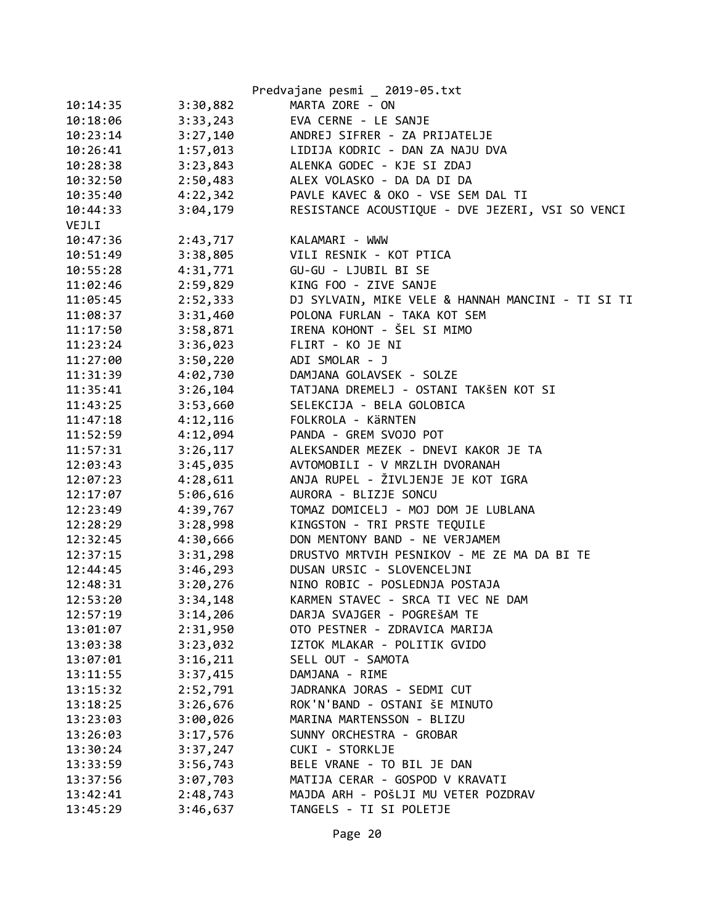|          |          | Predvajane pesmi _ 2019-05.txt                    |
|----------|----------|---------------------------------------------------|
| 10:14:35 | 3:30,882 | MARTA ZORE - ON                                   |
| 10:18:06 | 3:33,243 | EVA CERNE - LE SANJE                              |
| 10:23:14 | 3:27,140 | ANDREJ SIFRER - ZA PRIJATELJE                     |
| 10:26:41 | 1:57,013 | LIDIJA KODRIC - DAN ZA NAJU DVA                   |
| 10:28:38 | 3:23,843 | ALENKA GODEC - KJE SI ZDAJ                        |
| 10:32:50 | 2:50,483 | ALEX VOLASKO - DA DA DI DA                        |
| 10:35:40 | 4:22,342 | PAVLE KAVEC & OKO - VSE SEM DAL TI                |
| 10:44:33 | 3:04,179 | RESISTANCE ACOUSTIQUE - DVE JEZERI, VSI SO VENCI  |
| VEJLI    |          |                                                   |
| 10:47:36 | 2:43,717 | KALAMARI - WWW                                    |
| 10:51:49 | 3:38,805 | VILI RESNIK - KOT PTICA                           |
| 10:55:28 | 4:31,771 | GU-GU - LJUBIL BI SE                              |
| 11:02:46 | 2:59,829 | KING FOO - ZIVE SANJE                             |
| 11:05:45 | 2:52,333 | DJ SYLVAIN, MIKE VELE & HANNAH MANCINI - TI SI TI |
| 11:08:37 | 3:31,460 | POLONA FURLAN - TAKA KOT SEM                      |
| 11:17:50 | 3:58,871 | IRENA KOHONT - ŠEL SI MIMO                        |
| 11:23:24 | 3:36,023 | FLIRT - KO JE NI                                  |
| 11:27:00 | 3:50,220 | ADI SMOLAR - J                                    |
| 11:31:39 | 4:02,730 | DAMJANA GOLAVSEK - SOLZE                          |
| 11:35:41 | 3:26,104 | TATJANA DREMELJ - OSTANI TAKŠEN KOT SI            |
| 11:43:25 | 3:53,660 | SELEKCIJA - BELA GOLOBICA                         |
| 11:47:18 | 4:12,116 | FOLKROLA - KÄRNTEN                                |
| 11:52:59 | 4:12,094 | PANDA - GREM SVOJO POT                            |
| 11:57:31 | 3:26,117 | ALEKSANDER MEZEK - DNEVI KAKOR JE TA              |
| 12:03:43 | 3:45,035 | AVTOMOBILI - V MRZLIH DVORANAH                    |
| 12:07:23 | 4:28,611 | ANJA RUPEL - ŽIVLJENJE JE KOT IGRA                |
| 12:17:07 | 5:06,616 | AURORA - BLIZJE SONCU                             |
| 12:23:49 | 4:39,767 | TOMAZ DOMICELJ - MOJ DOM JE LUBLANA               |
| 12:28:29 | 3:28,998 | KINGSTON - TRI PRSTE TEQUILE                      |
| 12:32:45 | 4:30,666 | DON MENTONY BAND - NE VERJAMEM                    |
| 12:37:15 | 3:31,298 | DRUSTVO MRTVIH PESNIKOV - ME ZE MA DA BI TE       |
| 12:44:45 | 3:46,293 | DUSAN URSIC - SLOVENCELJNI                        |
| 12:48:31 | 3:20,276 | NINO ROBIC - POSLEDNJA POSTAJA                    |
| 12:53:20 | 3:34,148 | KARMEN STAVEC - SRCA TI VEC NE DAM                |
| 12:57:19 | 3:14,206 | DARJA SVAJGER - POGREŠAM TE                       |
| 13:01:07 | 2:31,950 | OTO PESTNER - ZDRAVICA MARIJA                     |
| 13:03:38 | 3:23,032 | IZTOK MLAKAR - POLITIK GVIDO                      |
| 13:07:01 | 3:16,211 | SELL OUT - SAMOTA                                 |
| 13:11:55 | 3:37,415 | DAMJANA - RIME                                    |
| 13:15:32 | 2:52,791 | JADRANKA JORAS - SEDMI CUT                        |
| 13:18:25 | 3:26,676 | ROK'N'BAND - OSTANI ŠE MINUTO                     |
| 13:23:03 | 3:00,026 | MARINA MARTENSSON - BLIZU                         |
| 13:26:03 | 3:17,576 | SUNNY ORCHESTRA - GROBAR                          |
| 13:30:24 | 3:37,247 | CUKI - STORKLJE                                   |
| 13:33:59 | 3:56,743 | BELE VRANE - TO BIL JE DAN                        |
| 13:37:56 | 3:07,703 | MATIJA CERAR - GOSPOD V KRAVATI                   |
| 13:42:41 | 2:48,743 | MAJDA ARH - POŠLJI MU VETER POZDRAV               |
| 13:45:29 | 3:46,637 | TANGELS - TI SI POLETJE                           |
|          |          |                                                   |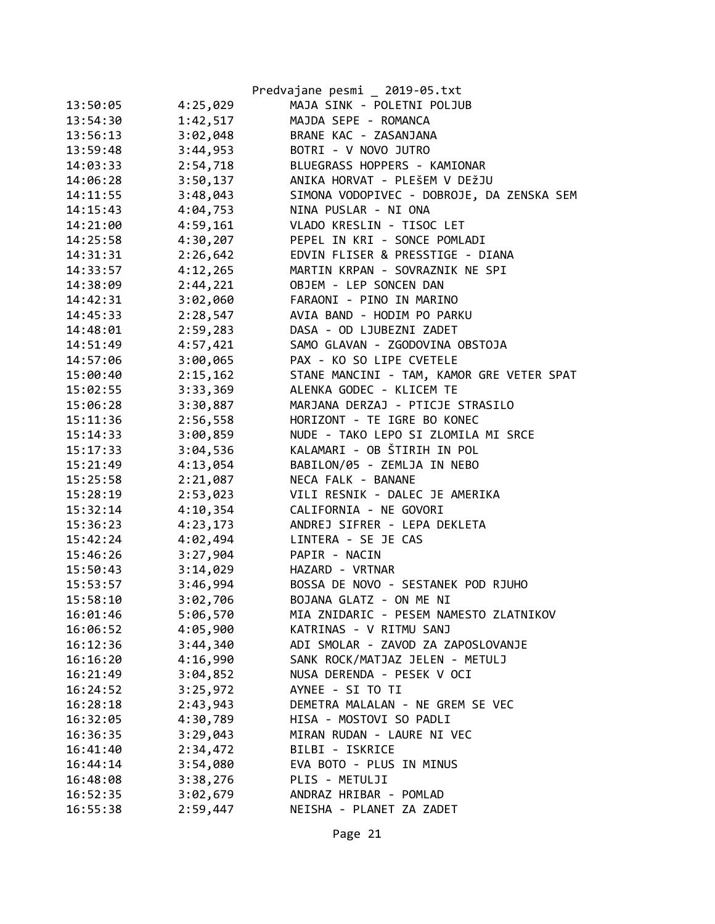|          |          | Predvajane pesmi _ 2019-05.txt            |
|----------|----------|-------------------------------------------|
| 13:50:05 | 4:25,029 | MAJA SINK - POLETNI POLJUB                |
| 13:54:30 | 1:42,517 | MAJDA SEPE - ROMANCA                      |
| 13:56:13 | 3:02,048 | BRANE KAC - ZASANJANA                     |
| 13:59:48 | 3:44,953 | BOTRI - V NOVO JUTRO                      |
| 14:03:33 | 2:54,718 | BLUEGRASS HOPPERS - KAMIONAR              |
| 14:06:28 | 3:50,137 | ANIKA HORVAT - PLEŠEM V DEŽJU             |
| 14:11:55 | 3:48,043 | SIMONA VODOPIVEC - DOBROJE, DA ZENSKA SEM |
| 14:15:43 | 4:04,753 | NINA PUSLAR - NI ONA                      |
| 14:21:00 | 4:59,161 | VLADO KRESLIN - TISOC LET                 |
| 14:25:58 | 4:30,207 | PEPEL IN KRI - SONCE POMLADI              |
| 14:31:31 | 2:26,642 | EDVIN FLISER & PRESSTIGE - DIANA          |
| 14:33:57 | 4:12,265 | MARTIN KRPAN - SOVRAZNIK NE SPI           |
| 14:38:09 | 2:44,221 | OBJEM - LEP SONCEN DAN                    |
| 14:42:31 | 3:02,060 | FARAONI - PINO IN MARINO                  |
| 14:45:33 | 2:28,547 | AVIA BAND - HODIM PO PARKU                |
| 14:48:01 | 2:59,283 | DASA - OD LJUBEZNI ZADET                  |
| 14:51:49 | 4:57,421 | SAMO GLAVAN - ZGODOVINA OBSTOJA           |
| 14:57:06 | 3:00,065 | PAX - KO SO LIPE CVETELE                  |
| 15:00:40 | 2:15,162 | STANE MANCINI - TAM, KAMOR GRE VETER SPAT |
| 15:02:55 | 3:33,369 | ALENKA GODEC - KLICEM TE                  |
| 15:06:28 | 3:30,887 | MARJANA DERZAJ - PTICJE STRASILO          |
| 15:11:36 | 2:56,558 | HORIZONT - TE IGRE BO KONEC               |
| 15:14:33 | 3:00,859 | NUDE - TAKO LEPO SI ZLOMILA MI SRCE       |
| 15:17:33 | 3:04,536 | KALAMARI - OB ŠTIRIH IN POL               |
| 15:21:49 | 4:13,054 | BABILON/05 - ZEMLJA IN NEBO               |
| 15:25:58 | 2:21,087 | NECA FALK - BANANE                        |
| 15:28:19 | 2:53,023 | VILI RESNIK - DALEC JE AMERIKA            |
| 15:32:14 | 4:10,354 | CALIFORNIA - NE GOVORI                    |
| 15:36:23 | 4:23,173 | ANDREJ SIFRER - LEPA DEKLETA              |
| 15:42:24 | 4:02,494 | LINTERA - SE JE CAS                       |
| 15:46:26 | 3:27,904 | PAPIR - NACIN                             |
| 15:50:43 | 3:14,029 | HAZARD - VRTNAR                           |
| 15:53:57 | 3:46,994 | BOSSA DE NOVO - SESTANEK POD RJUHO        |
| 15:58:10 | 3:02,706 | BOJANA GLATZ - ON ME NI                   |
| 16:01:46 | 5:06,570 | MIA ZNIDARIC - PESEM NAMESTO ZLATNIKOV    |
| 16:06:52 | 4:05,900 | KATRINAS - V RITMU SANJ                   |
| 16:12:36 | 3:44,340 | ADI SMOLAR - ZAVOD ZA ZAPOSLOVANJE        |
| 16:16:20 | 4:16,990 | SANK ROCK/MATJAZ JELEN - METULJ           |
| 16:21:49 | 3:04,852 | NUSA DERENDA - PESEK V OCI                |
| 16:24:52 | 3:25,972 | AYNEE - SI TO TI                          |
| 16:28:18 | 2:43,943 | DEMETRA MALALAN - NE GREM SE VEC          |
| 16:32:05 | 4:30,789 | HISA - MOSTOVI SO PADLI                   |
| 16:36:35 | 3:29,043 | MIRAN RUDAN - LAURE NI VEC                |
| 16:41:40 | 2:34,472 | BILBI - ISKRICE                           |
| 16:44:14 | 3:54,080 | EVA BOTO - PLUS IN MINUS                  |
| 16:48:08 | 3:38,276 | PLIS - METULJI                            |
| 16:52:35 | 3:02,679 | ANDRAZ HRIBAR - POMLAD                    |
| 16:55:38 | 2:59,447 | NEISHA - PLANET ZA ZADET                  |
|          |          |                                           |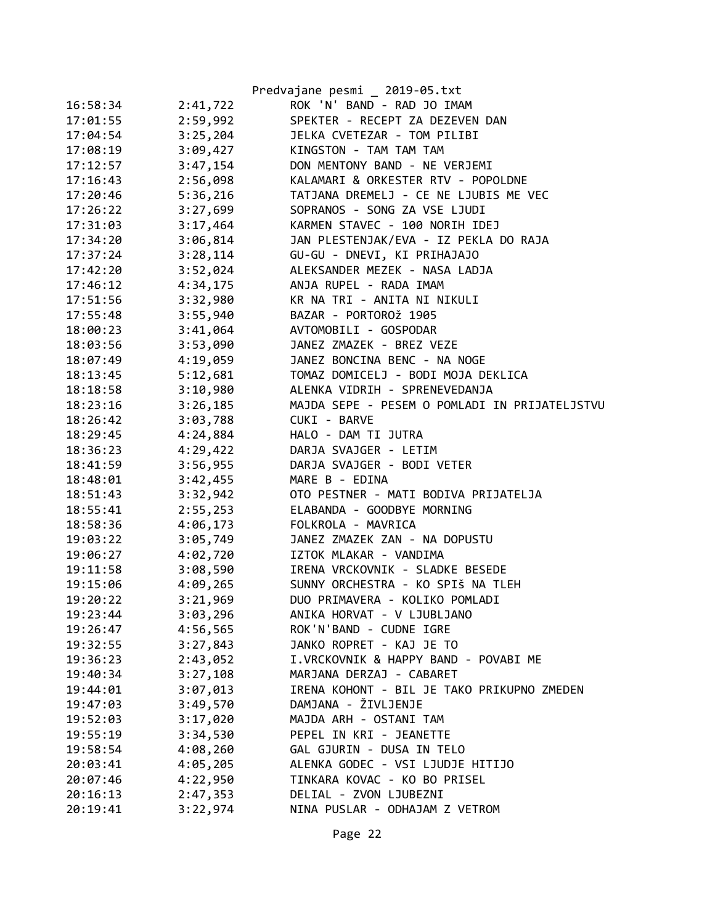|          |          | Predvajane pesmi _ 2019-05.txt                |
|----------|----------|-----------------------------------------------|
| 16:58:34 | 2:41,722 | ROK 'N' BAND - RAD JO IMAM                    |
| 17:01:55 | 2:59,992 | SPEKTER - RECEPT ZA DEZEVEN DAN               |
| 17:04:54 | 3:25,204 | JELKA CVETEZAR - TOM PILIBI                   |
| 17:08:19 | 3:09,427 | KINGSTON - TAM TAM TAM                        |
| 17:12:57 | 3:47,154 | DON MENTONY BAND - NE VERJEMI                 |
| 17:16:43 | 2:56,098 | KALAMARI & ORKESTER RTV - POPOLDNE            |
| 17:20:46 | 5:36,216 | TATJANA DREMELJ - CE NE LJUBIS ME VEC         |
| 17:26:22 | 3:27,699 | SOPRANOS - SONG ZA VSE LJUDI                  |
| 17:31:03 | 3:17,464 | KARMEN STAVEC - 100 NORIH IDEJ                |
| 17:34:20 | 3:06,814 | JAN PLESTENJAK/EVA - IZ PEKLA DO RAJA         |
| 17:37:24 | 3:28,114 | GU-GU - DNEVI, KI PRIHAJAJO                   |
| 17:42:20 | 3:52,024 | ALEKSANDER MEZEK - NASA LADJA                 |
| 17:46:12 | 4:34,175 | ANJA RUPEL - RADA IMAM                        |
| 17:51:56 | 3:32,980 | KR NA TRI - ANITA NI NIKULI                   |
| 17:55:48 | 3:55,940 | BAZAR - PORTOROŽ 1905                         |
| 18:00:23 | 3:41,064 | AVTOMOBILI - GOSPODAR                         |
| 18:03:56 | 3:53,090 | JANEZ ZMAZEK - BREZ VEZE                      |
| 18:07:49 | 4:19,059 | JANEZ BONCINA BENC - NA NOGE                  |
| 18:13:45 | 5:12,681 | TOMAZ DOMICELJ - BODI MOJA DEKLICA            |
| 18:18:58 | 3:10,980 | ALENKA VIDRIH - SPRENEVEDANJA                 |
| 18:23:16 | 3:26,185 | MAJDA SEPE - PESEM O POMLADI IN PRIJATELJSTVU |
| 18:26:42 | 3:03,788 | CUKI - BARVE                                  |
| 18:29:45 | 4:24,884 | HALO - DAM TI JUTRA                           |
| 18:36:23 | 4:29,422 | DARJA SVAJGER - LETIM                         |
| 18:41:59 | 3:56,955 | DARJA SVAJGER - BODI VETER                    |
| 18:48:01 | 3:42,455 | MARE B - EDINA                                |
| 18:51:43 | 3:32,942 | OTO PESTNER - MATI BODIVA PRIJATELJA          |
| 18:55:41 | 2:55,253 | ELABANDA - GOODBYE MORNING                    |
| 18:58:36 | 4:06,173 | FOLKROLA - MAVRICA                            |
| 19:03:22 | 3:05,749 | JANEZ ZMAZEK ZAN - NA DOPUSTU                 |
| 19:06:27 | 4:02,720 | IZTOK MLAKAR - VANDIMA                        |
| 19:11:58 | 3:08,590 | IRENA VRCKOVNIK - SLADKE BESEDE               |
| 19:15:06 | 4:09,265 | SUNNY ORCHESTRA - KO SPIŠ NA TLEH             |
| 19:20:22 | 3:21,969 | DUO PRIMAVERA - KOLIKO POMLADI                |
| 19:23:44 | 3:03,296 | ANIKA HORVAT - V LJUBLJANO                    |
| 19:26:47 | 4:56,565 | ROK'N'BAND - CUDNE IGRE                       |
| 19:32:55 | 3:27,843 | JANKO ROPRET - KAJ JE TO                      |
| 19:36:23 | 2:43,052 | I.VRCKOVNIK & HAPPY BAND - POVABI ME          |
| 19:40:34 | 3:27,108 | MARJANA DERZAJ - CABARET                      |
| 19:44:01 | 3:07,013 | IRENA KOHONT - BIL JE TAKO PRIKUPNO ZMEDEN    |
| 19:47:03 | 3:49,570 | DAMJANA - ŽIVLJENJE                           |
| 19:52:03 | 3:17,020 | MAJDA ARH - OSTANI TAM                        |
| 19:55:19 | 3:34,530 | PEPEL IN KRI - JEANETTE                       |
| 19:58:54 | 4:08,260 | GAL GJURIN - DUSA IN TELO                     |
| 20:03:41 | 4:05,205 | ALENKA GODEC - VSI LJUDJE HITIJO              |
| 20:07:46 | 4:22,950 | TINKARA KOVAC - KO BO PRISEL                  |
| 20:16:13 | 2:47,353 | DELIAL - ZVON LJUBEZNI                        |
| 20:19:41 | 3:22,974 | NINA PUSLAR - ODHAJAM Z VETROM                |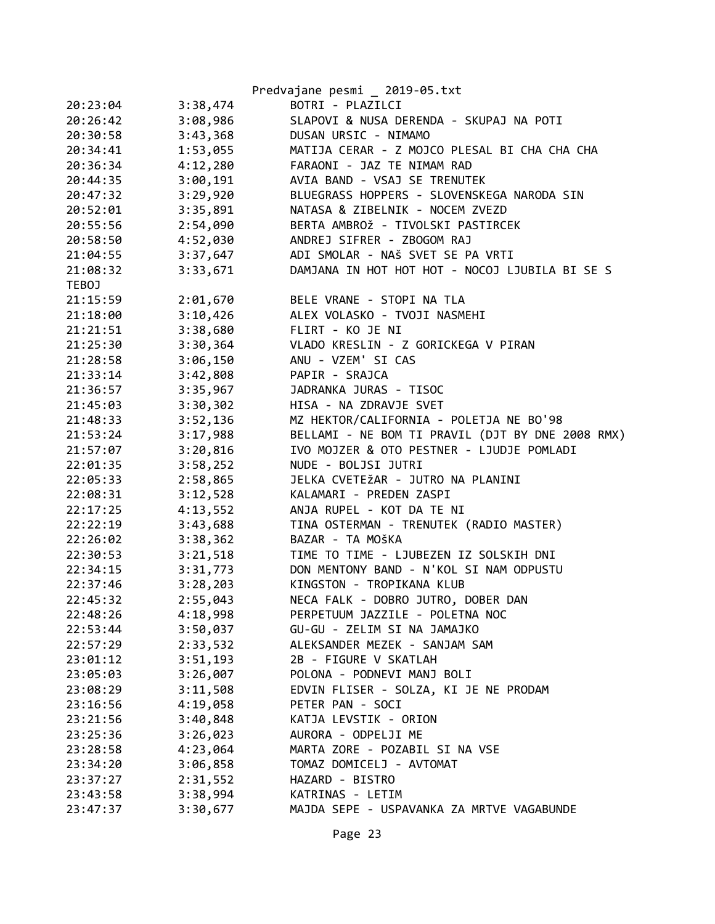|          | Predvajane pesmi _ 2019-05.txt                                                                                                                                                                                                                                                                                                                                                                                                                                                   |
|----------|----------------------------------------------------------------------------------------------------------------------------------------------------------------------------------------------------------------------------------------------------------------------------------------------------------------------------------------------------------------------------------------------------------------------------------------------------------------------------------|
| 3:38,474 | BOTRI - PLAZILCI                                                                                                                                                                                                                                                                                                                                                                                                                                                                 |
| 3:08,986 | SLAPOVI & NUSA DERENDA - SKUPAJ NA POTI                                                                                                                                                                                                                                                                                                                                                                                                                                          |
| 3:43,368 | DUSAN URSIC - NIMAMO                                                                                                                                                                                                                                                                                                                                                                                                                                                             |
| 1:53,055 | MATIJA CERAR - Z MOJCO PLESAL BI CHA CHA CHA                                                                                                                                                                                                                                                                                                                                                                                                                                     |
| 4:12,280 | FARAONI - JAZ TE NIMAM RAD                                                                                                                                                                                                                                                                                                                                                                                                                                                       |
| 3:00,191 | AVIA BAND - VSAJ SE TRENUTEK                                                                                                                                                                                                                                                                                                                                                                                                                                                     |
| 3:29,920 | BLUEGRASS HOPPERS - SLOVENSKEGA NARODA SIN                                                                                                                                                                                                                                                                                                                                                                                                                                       |
| 3:35,891 | NATASA & ZIBELNIK - NOCEM ZVEZD                                                                                                                                                                                                                                                                                                                                                                                                                                                  |
|          | BERTA AMBROŽ - TIVOLSKI PASTIRCEK                                                                                                                                                                                                                                                                                                                                                                                                                                                |
|          | ANDREJ SIFRER - ZBOGOM RAJ                                                                                                                                                                                                                                                                                                                                                                                                                                                       |
|          | ADI SMOLAR - NAŠ SVET SE PA VRTI                                                                                                                                                                                                                                                                                                                                                                                                                                                 |
|          | DAMJANA IN HOT HOT HOT - NOCOJ LJUBILA BI SE S                                                                                                                                                                                                                                                                                                                                                                                                                                   |
|          |                                                                                                                                                                                                                                                                                                                                                                                                                                                                                  |
|          | BELE VRANE - STOPI NA TLA                                                                                                                                                                                                                                                                                                                                                                                                                                                        |
|          | ALEX VOLASKO - TVOJI NASMEHI                                                                                                                                                                                                                                                                                                                                                                                                                                                     |
|          | FLIRT - KO JE NI                                                                                                                                                                                                                                                                                                                                                                                                                                                                 |
|          | VLADO KRESLIN - Z GORICKEGA V PIRAN                                                                                                                                                                                                                                                                                                                                                                                                                                              |
|          | ANU - VZEM' SI CAS                                                                                                                                                                                                                                                                                                                                                                                                                                                               |
|          | PAPIR - SRAJCA                                                                                                                                                                                                                                                                                                                                                                                                                                                                   |
|          | JADRANKA JURAS - TISOC                                                                                                                                                                                                                                                                                                                                                                                                                                                           |
|          | HISA - NA ZDRAVJE SVET                                                                                                                                                                                                                                                                                                                                                                                                                                                           |
|          | MZ HEKTOR/CALIFORNIA - POLETJA NE BO'98                                                                                                                                                                                                                                                                                                                                                                                                                                          |
|          | BELLAMI - NE BOM TI PRAVIL (DJT BY DNE 2008 RMX)                                                                                                                                                                                                                                                                                                                                                                                                                                 |
|          | IVO MOJZER & OTO PESTNER - LJUDJE POMLADI                                                                                                                                                                                                                                                                                                                                                                                                                                        |
|          | NUDE - BOLJSI JUTRI                                                                                                                                                                                                                                                                                                                                                                                                                                                              |
|          | JELKA CVETEŽAR - JUTRO NA PLANINI                                                                                                                                                                                                                                                                                                                                                                                                                                                |
|          | KALAMARI - PREDEN ZASPI                                                                                                                                                                                                                                                                                                                                                                                                                                                          |
|          | ANJA RUPEL - KOT DA TE NI                                                                                                                                                                                                                                                                                                                                                                                                                                                        |
|          | TINA OSTERMAN - TRENUTEK (RADIO MASTER)                                                                                                                                                                                                                                                                                                                                                                                                                                          |
|          | BAZAR - TA MOŠKA                                                                                                                                                                                                                                                                                                                                                                                                                                                                 |
|          | TIME TO TIME - LJUBEZEN IZ SOLSKIH DNI                                                                                                                                                                                                                                                                                                                                                                                                                                           |
|          | DON MENTONY BAND - N'KOL SI NAM ODPUSTU                                                                                                                                                                                                                                                                                                                                                                                                                                          |
|          | KINGSTON - TROPIKANA KLUB                                                                                                                                                                                                                                                                                                                                                                                                                                                        |
|          | NECA FALK - DOBRO JUTRO, DOBER DAN                                                                                                                                                                                                                                                                                                                                                                                                                                               |
|          | PERPETUUM JAZZILE - POLETNA NOC                                                                                                                                                                                                                                                                                                                                                                                                                                                  |
|          | GU-GU - ZELIM SI NA JAMAJKO                                                                                                                                                                                                                                                                                                                                                                                                                                                      |
|          | ALEKSANDER MEZEK - SANJAM SAM                                                                                                                                                                                                                                                                                                                                                                                                                                                    |
|          | 2B - FIGURE V SKATLAH                                                                                                                                                                                                                                                                                                                                                                                                                                                            |
|          | POLONA - PODNEVI MANJ BOLI                                                                                                                                                                                                                                                                                                                                                                                                                                                       |
|          | EDVIN FLISER - SOLZA, KI JE NE PRODAM                                                                                                                                                                                                                                                                                                                                                                                                                                            |
|          | PETER PAN - SOCI                                                                                                                                                                                                                                                                                                                                                                                                                                                                 |
|          | KATJA LEVSTIK - ORION                                                                                                                                                                                                                                                                                                                                                                                                                                                            |
|          | AURORA - ODPELJI ME                                                                                                                                                                                                                                                                                                                                                                                                                                                              |
|          | MARTA ZORE - POZABIL SI NA VSE                                                                                                                                                                                                                                                                                                                                                                                                                                                   |
|          | TOMAZ DOMICELJ - AVTOMAT                                                                                                                                                                                                                                                                                                                                                                                                                                                         |
|          | HAZARD - BISTRO                                                                                                                                                                                                                                                                                                                                                                                                                                                                  |
|          | KATRINAS - LETIM                                                                                                                                                                                                                                                                                                                                                                                                                                                                 |
|          | MAJDA SEPE - USPAVANKA ZA MRTVE VAGABUNDE                                                                                                                                                                                                                                                                                                                                                                                                                                        |
|          |                                                                                                                                                                                                                                                                                                                                                                                                                                                                                  |
|          | 2:54,090<br>4:52,030<br>3:37,647<br>3:33,671<br>2:01,670<br>3:10,426<br>3:38,680<br>3:30,364<br>3:06,150<br>3:42,808<br>3:35,967<br>3:30,302<br>3:52,136<br>3:17,988<br>3:20,816<br>3:58,252<br>2:58,865<br>3:12,528<br>4:13,552<br>3:43,688<br>3:38,362<br>3:21,518<br>3:31,773<br>3:28,203<br>2:55,043<br>4:18,998<br>3:50,037<br>2:33,532<br>3:51,193<br>3:26,007<br>3:11,508<br>4:19,058<br>3:40,848<br>3:26,023<br>4:23,064<br>3:06,858<br>2:31,552<br>3:38,994<br>3:30,677 |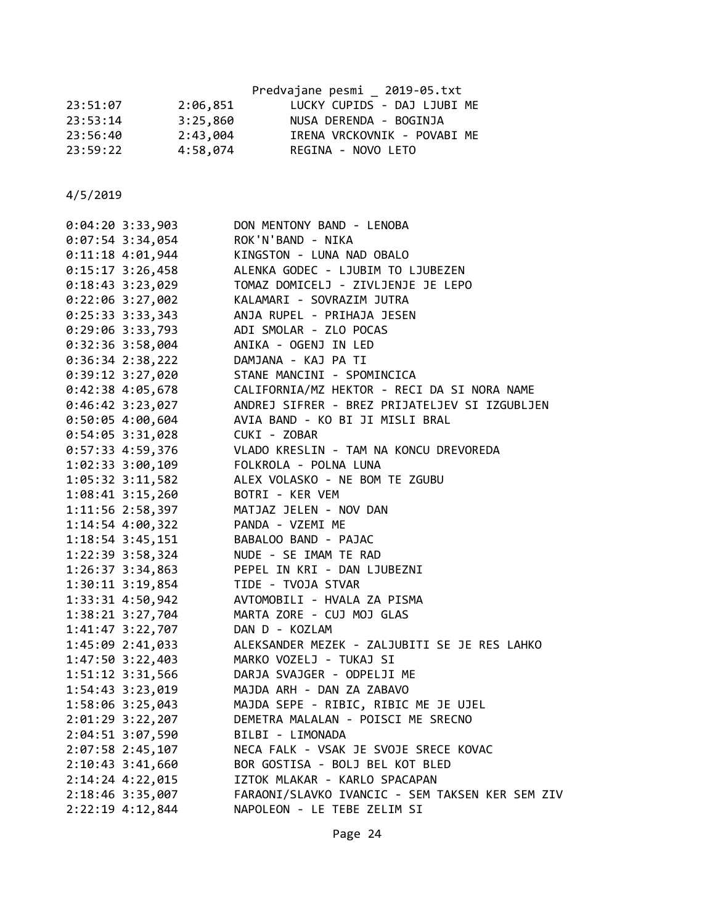|          | Predvajane pesmi 2019-05.txt |
|----------|------------------------------|
| 2:06,851 | LUCKY CUPIDS - DAJ LJUBI ME  |
| 3:25,860 | NUSA DERENDA - BOGINJA       |
| 2:43,004 | IRENA VRCKOVNIK - POVABI ME  |
| 4:58,074 | REGINA - NOVO LETO           |
|          |                              |

| $0:04:20$ 3:33,903   | DON MENTONY BAND - LENOBA                       |
|----------------------|-------------------------------------------------|
| 0:07:54 3:34,054     | ROK'N'BAND - NIKA                               |
| $0:11:18$ 4:01,944   | KINGSTON - LUNA NAD OBALO                       |
| $0:15:17$ 3:26,458   | ALENKA GODEC - LJUBIM TO LJUBEZEN               |
| $0:18:43$ 3:23,029   | TOMAZ DOMICELJ - ZIVLJENJE JE LEPO              |
| $0:22:06$ 3:27,002   | KALAMARI - SOVRAZIM JUTRA                       |
| $0:25:33$ 3:33,343   | ANJA RUPEL - PRIHAJA JESEN                      |
| 0:29:06 3:33,793     | ADI SMOLAR - ZLO POCAS                          |
| $0:32:36$ 3:58,004   | ANIKA - OGENJ IN LED                            |
| $0:36:34$ 2:38,222   | DAMJANA - KAJ PA TI                             |
| $0:39:12$ 3:27,020   | STANE MANCINI - SPOMINCICA                      |
| $0:42:38$ 4:05,678   | CALIFORNIA/MZ HEKTOR - RECI DA SI NORA NAME     |
| $0:46:42$ 3:23,027   | ANDREJ SIFRER - BREZ PRIJATELJEV SI IZGUBLJEN   |
| $0:50:05$ 4:00,604   | AVIA BAND - KO BI JI MISLI BRAL                 |
| $0:54:05$ 3:31,028   | CUKI - ZOBAR                                    |
| 0:57:33 4:59,376     | VLADO KRESLIN - TAM NA KONCU DREVOREDA          |
| 1:02:33 3:00,109     | FOLKROLA - POLNA LUNA                           |
| 1:05:32 3:11,582     | ALEX VOLASKO - NE BOM TE ZGUBU                  |
| 1:08:41 3:15,260     | BOTRI - KER VEM                                 |
| 1:11:56 2:58,397     | MATJAZ JELEN - NOV DAN                          |
| 1:14:54 4:00,322     | PANDA - VZEMI ME                                |
| 1:18:54 3:45,151     | BABALOO BAND - PAJAC                            |
| 1:22:39 3:58,324     | NUDE - SE IMAM TE RAD                           |
| $1:26:37$ 3:34,863   | PEPEL IN KRI - DAN LJUBEZNI                     |
| $1:30:11$ $3:19,854$ | TIDE - TVOJA STVAR                              |
| 1:33:31 4:50,942     | AVTOMOBILI - HVALA ZA PISMA                     |
| 1:38:21 3:27,704     | MARTA ZORE - CUJ MOJ GLAS                       |
| 1:41:47 3:22,707     | DAN D - KOZLAM                                  |
| 1:45:09 2:41,033     | ALEKSANDER MEZEK - ZALJUBITI SE JE RES LAHKO    |
| $1:47:50$ 3:22,403   | MARKO VOZELJ - TUKAJ SI                         |
| 1:51:12 3:31,566     | DARJA SVAJGER - ODPELJI ME                      |
| 1:54:43 3:23,019     | MAJDA ARH - DAN ZA ZABAVO                       |
| 1:58:06 3:25,043     | MAJDA SEPE - RIBIC, RIBIC ME JE UJEL            |
| 2:01:29 3:22,207     | DEMETRA MALALAN - POISCI ME SRECNO              |
| 2:04:51 3:07,590     | BILBI - LIMONADA                                |
| 2:07:58 2:45,107     | NECA FALK - VSAK JE SVOJE SRECE KOVAC           |
| 2:10:43 3:41,660     | BOR GOSTISA - BOLJ BEL KOT BLED                 |
| 2:14:24 4:22,015     | IZTOK MLAKAR - KARLO SPACAPAN                   |
| 2:18:46 3:35,007     | FARAONI/SLAVKO IVANCIC - SEM TAKSEN KER SEM ZIV |
| 2:22:19 4:12,844     | NAPOLEON - LE TEBE ZELIM SI                     |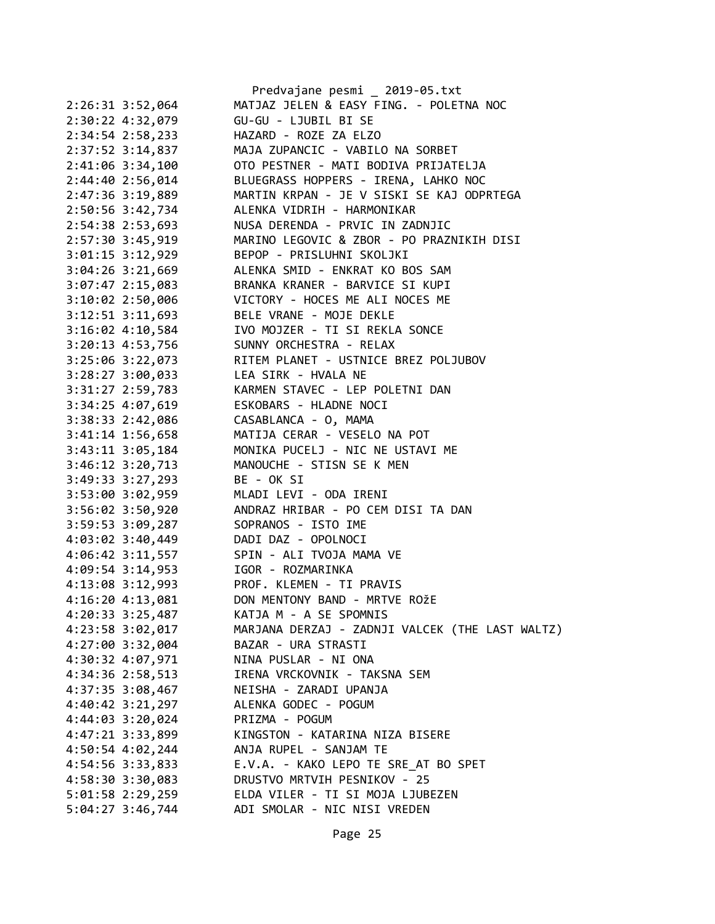|                                      | Predvajane pesmi _ 2019-05.txt                  |
|--------------------------------------|-------------------------------------------------|
| 2:26:31 3:52,064                     | MATJAZ JELEN & EASY FING. - POLETNA NOC         |
| 2:30:22 4:32,079                     | GU-GU - LJUBIL BI SE                            |
| $2:34:54$ $2:58,233$                 | HAZARD - ROZE ZA ELZO                           |
| 2:37:52 3:14,837                     | MAJA ZUPANCIC - VABILO NA SORBET                |
| 2:41:06 3:34,100                     | OTO PESTNER - MATI BODIVA PRIJATELJA            |
| 2:44:40 2:56,014                     | BLUEGRASS HOPPERS - IRENA, LAHKO NOC            |
| 2:47:36 3:19,889                     | MARTIN KRPAN - JE V SISKI SE KAJ ODPRTEGA       |
| 2:50:56 3:42,734                     | ALENKA VIDRIH - HARMONIKAR                      |
| 2:54:38 2:53,693                     | NUSA DERENDA - PRVIC IN ZADNJIC                 |
| $2:57:30$ 3:45,919                   | MARINO LEGOVIC & ZBOR - PO PRAZNIKIH DISI       |
| $3:01:15$ $3:12,929$                 | BEPOP - PRISLUHNI SKOLJKI                       |
| $3:04:26$ $3:21,669$                 | ALENKA SMID - ENKRAT KO BOS SAM                 |
| $3:07:47$ 2:15,083                   | BRANKA KRANER - BARVICE SI KUPI                 |
| $3:10:02$ 2:50,006                   | VICTORY - HOCES ME ALI NOCES ME                 |
| $3:12:51$ $3:11,693$                 | BELE VRANE - MOJE DEKLE                         |
| $3:16:02$ 4:10,584                   | IVO MOJZER - TI SI REKLA SONCE                  |
| 3:20:13 4:53,756                     | SUNNY ORCHESTRA - RELAX                         |
| 3:25:06 3:22,073                     | RITEM PLANET - USTNICE BREZ POLJUBOV            |
| $3:28:27$ $3:00,033$                 | LEA SIRK - HVALA NE                             |
| $3:31:27$ $2:59,783$                 | KARMEN STAVEC - LEP POLETNI DAN                 |
| $3:34:25$ 4:07,619                   | ESKOBARS - HLADNE NOCI                          |
| 3:38:33 2:42,086                     | CASABLANCA - O, MAMA                            |
| 3:41:14 1:56,658                     | MATIJA CERAR - VESELO NA POT                    |
| $3:43:11$ $3:05,184$                 | MONIKA PUCELJ - NIC NE USTAVI ME                |
| $3:46:12$ $3:20,713$                 | MANOUCHE - STISN SE K MEN                       |
| $3:49:33$ $3:27,293$                 | BE - OK SI                                      |
| 3:53:00 3:02,959                     | MLADI LEVI - ODA IRENI                          |
| $3:56:02$ $3:50,920$                 | ANDRAZ HRIBAR - PO CEM DISI TA DAN              |
| 3:59:53 3:09,287                     | SOPRANOS - ISTO IME                             |
| 4:03:02 3:40,449                     | DADI DAZ - OPOLNOCI                             |
| 4:06:42 3:11,557                     | SPIN - ALI TVOJA MAMA VE                        |
|                                      | 4:09:54 3:14,953 IGOR - ROZMARINKA              |
| $4:13:08$ 3:12,993                   | PROF. KLEMEN - TI PRAVIS                        |
| 4:16:20 4:13,081                     | DON MENTONY BAND - MRTVE ROŽE                   |
| 4:20:33 3:25,487                     | KATJA M - A SE SPOMNIS                          |
| 4:23:58 3:02,017                     | MARJANA DERZAJ - ZADNJI VALCEK (THE LAST WALTZ) |
| 4:27:00 3:32,004                     | BAZAR - URA STRASTI                             |
|                                      | NINA PUSLAR - NI ONA                            |
| 4:30:32 4:07,971<br>4:34:36 2:58,513 |                                                 |
|                                      | IRENA VRCKOVNIK - TAKSNA SEM                    |
| 4:37:35 3:08,467                     | NEISHA - ZARADI UPANJA<br>ALENKA GODEC - POGUM  |
| 4:40:42 3:21,297                     |                                                 |
| $4:44:03$ 3:20,024                   | PRIZMA - POGUM                                  |
| 4:47:21 3:33,899                     | KINGSTON - KATARINA NIZA BISERE                 |
| $4:50:54$ $4:02,244$                 | ANJA RUPEL - SANJAM TE                          |
| 4:54:56 3:33,833                     | E.V.A. - KAKO LEPO TE SRE AT BO SPET            |
| 4:58:30 3:30,083                     | DRUSTVO MRTVIH PESNIKOV - 25                    |
| 5:01:58 2:29,259                     | ELDA VILER - TI SI MOJA LJUBEZEN                |
| $5:04:27$ 3:46,744                   | ADI SMOLAR - NIC NISI VREDEN                    |

Page 25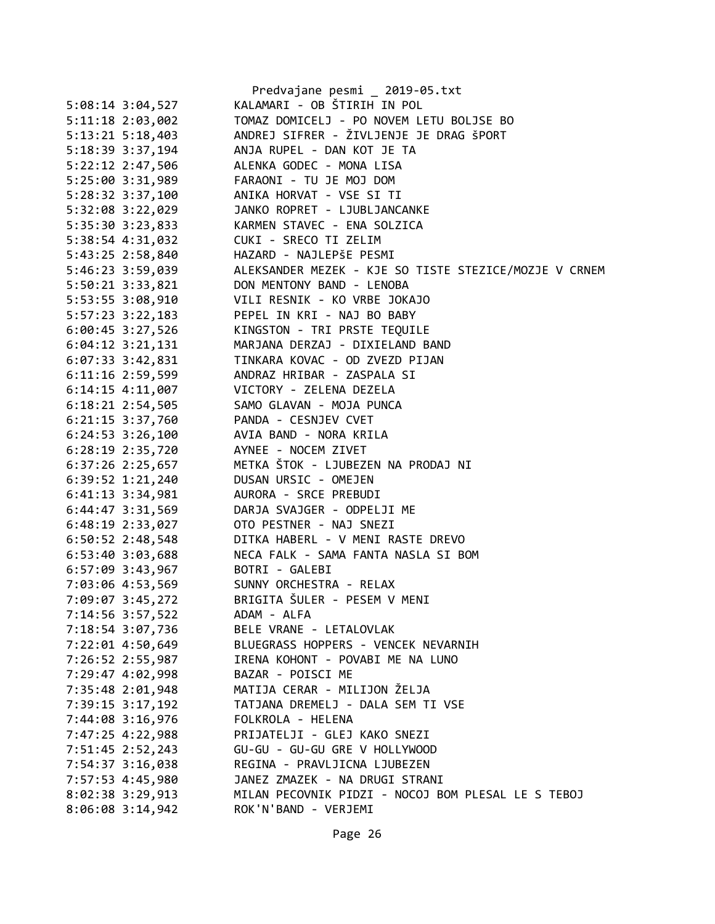|                      | Predvajane pesmi _ 2019-05.txt                        |
|----------------------|-------------------------------------------------------|
| $5:08:14$ 3:04,527   | KALAMARI - OB ŠTIRIH IN POL                           |
| 5:11:18 2:03,002     | TOMAZ DOMICELJ - PO NOVEM LETU BOLJSE BO              |
| $5:13:21$ $5:18,403$ | ANDREJ SIFRER - ŽIVLJENJE JE DRAG ŠPORT               |
| 5:18:39 3:37,194     | ANJA RUPEL - DAN KOT JE TA                            |
| 5:22:12 2:47,506     | ALENKA GODEC - MONA LISA                              |
| 5:25:00 3:31,989     | FARAONI - TU JE MOJ DOM                               |
| 5:28:32 3:37,100     | ANIKA HORVAT - VSE SI TI                              |
| 5:32:08 3:22,029     | JANKO ROPRET - LJUBLJANCANKE                          |
| 5:35:30 3:23,833     | KARMEN STAVEC - ENA SOLZICA                           |
| 5:38:54 4:31,032     | CUKI - SRECO TI ZELIM                                 |
| 5:43:25 2:58,840     | HAZARD - NAJLEPŠE PESMI                               |
| 5:46:23 3:59,039     | ALEKSANDER MEZEK - KJE SO TISTE STEZICE/MOZJE V CRNEM |
| 5:50:21 3:33,821     | DON MENTONY BAND - LENOBA                             |
| 5:53:55 3:08,910     | VILI RESNIK - KO VRBE JOKAJO                          |
| 5:57:23 3:22,183     | PEPEL IN KRI - NAJ BO BABY                            |
| 6:00:45 3:27,526     | KINGSTON - TRI PRSTE TEQUILE                          |
| $6:04:12$ 3:21,131   | MARJANA DERZAJ - DIXIELAND BAND                       |
| $6:07:33$ 3:42,831   | TINKARA KOVAC - OD ZVEZD PIJAN                        |
| $6:11:16$ 2:59,599   | ANDRAZ HRIBAR - ZASPALA SI                            |
| $6:14:15$ $4:11,007$ | VICTORY - ZELENA DEZELA                               |
| $6:18:21$ 2:54,505   | SAMO GLAVAN - MOJA PUNCA                              |
| $6:21:15$ 3:37,760   | PANDA - CESNJEV CVET                                  |
| $6:24:53$ $3:26,100$ | AVIA BAND - NORA KRILA                                |
| $6:28:19$ $2:35,720$ | AYNEE - NOCEM ZIVET                                   |
| 6:37:26 2:25,657     | METKA ŠTOK - LJUBEZEN NA PRODAJ NI                    |
| $6:39:52$ 1:21,240   | DUSAN URSIC - OMEJEN                                  |
| $6:41:13$ $3:34,981$ | AURORA - SRCE PREBUDI                                 |
| 6:44:47 3:31,569     | DARJA SVAJGER - ODPELJI ME                            |
| 6:48:19 2:33,027     | OTO PESTNER - NAJ SNEZI                               |
| 6:50:52 2:48,548     | DITKA HABERL - V MENI RASTE DREVO                     |
|                      | NECA FALK - SAMA FANTA NASLA SI BOM                   |
| 6:53:40 3:03,688     | BOTRI - GALEBI                                        |
| 6:57:09 3:43,967     |                                                       |
| 7:03:06 4:53,569     | SUNNY ORCHESTRA - RELAX                               |
| 7:09:07 3:45,272     | BRIGITA ŠULER - PESEM V MENI<br>ADAM - ALFA           |
| 7:14:56 3:57,522     |                                                       |
| 7:18:54 3:07,736     | BELE VRANE - LETALOVLAK                               |
| 7:22:01 4:50,649     | BLUEGRASS HOPPERS - VENCEK NEVARNIH                   |
| 7:26:52 2:55,987     | IRENA KOHONT - POVABI ME NA LUNO                      |
| 7:29:47 4:02,998     | BAZAR - POISCI ME                                     |
| 7:35:48 2:01,948     | MATIJA CERAR - MILIJON ŽELJA                          |
| 7:39:15 3:17,192     | TATJANA DREMELJ - DALA SEM TI VSE                     |
| 7:44:08 3:16,976     | FOLKROLA - HELENA                                     |
| 7:47:25 4:22,988     | PRIJATELJI - GLEJ KAKO SNEZI                          |
| 7:51:45 2:52,243     | GU-GU - GU-GU GRE V HOLLYWOOD                         |
| 7:54:37 3:16,038     | REGINA - PRAVLJICNA LJUBEZEN                          |
| 7:57:53 4:45,980     | JANEZ ZMAZEK - NA DRUGI STRANI                        |
| 8:02:38 3:29,913     | MILAN PECOVNIK PIDZI - NOCOJ BOM PLESAL LE S TEBOJ    |
| $8:06:08$ 3:14,942   | ROK'N'BAND - VERJEMI                                  |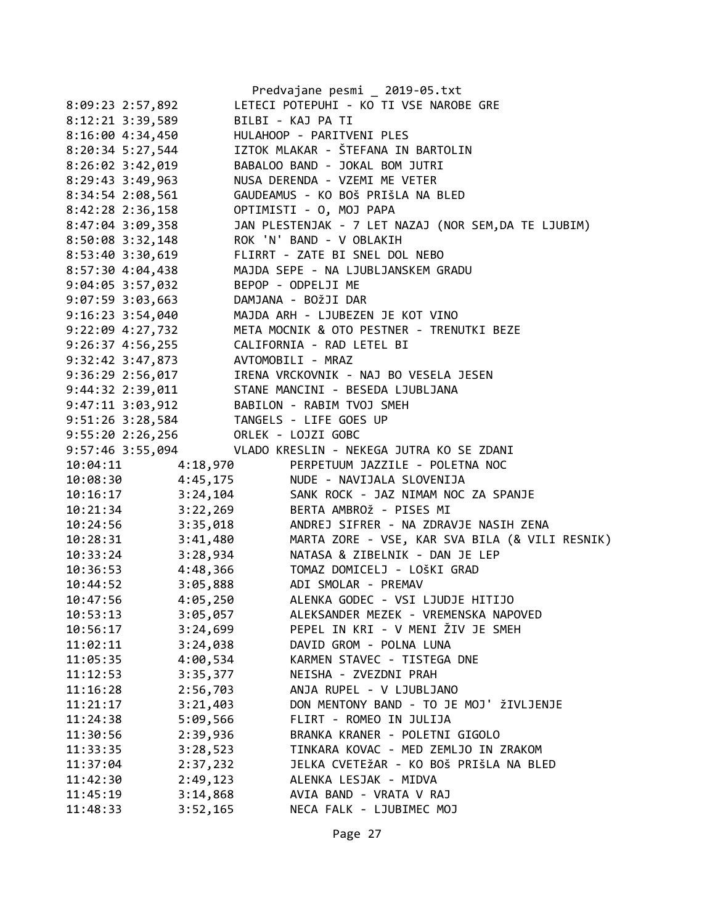|                    |                  | Predvajane pesmi _ 2019-05.txt                                      |
|--------------------|------------------|---------------------------------------------------------------------|
| 8:09:23 2:57,892   |                  | LETECI POTEPUHI - KO TI VSE NAROBE GRE                              |
|                    | 8:12:21 3:39,589 | BILBI - KAJ PA TI                                                   |
|                    | 8:16:00 4:34,450 | HULAHOOP - PARITVENI PLES                                           |
| $8:20:34$ 5:27,544 |                  | IZTOK MLAKAR - ŠTEFANA IN BARTOLIN                                  |
| 8:26:02 3:42,019   |                  | BABALOO BAND - JOKAL BOM JUTRI                                      |
| 8:29:43 3:49,963   |                  | NUSA DERENDA - VZEMI ME VETER                                       |
| 8:34:54 2:08,561   |                  | GAUDEAMUS - KO BOŠ PRIŠLA NA BLED                                   |
| 8:42:28 2:36,158   |                  | OPTIMISTI - O, MOJ PAPA                                             |
| 8:47:04 3:09,358   |                  | JAN PLESTENJAK - 7 LET NAZAJ (NOR SEM, DA TE LJUBIM)                |
| 8:50:08 3:32,148   |                  | ROK 'N' BAND - V OBLAKIH                                            |
|                    | 8:53:40 3:30,619 | FLIRRT - ZATE BI SNEL DOL NEBO                                      |
| 8:57:30 4:04,438   |                  | MAJDA SEPE - NA LJUBLJANSKEM GRADU                                  |
| 9:04:05 3:57,032   |                  | BEPOP - ODPELJI ME                                                  |
| $9:07:59$ 3:03,663 |                  | DAMJANA - BOŽJI DAR                                                 |
|                    | 9:16:23 3:54,040 | MAJDA ARH - LJUBEZEN JE KOT VINO                                    |
|                    | 9:22:09 4:27,732 | META MOCNIK & OTO PESTNER - TRENUTKI BEZE                           |
|                    |                  | 9:26:37 4:56,255 CALIFORNIA - RAD LETEL BI                          |
|                    |                  | 9:32:42 3:47,873 AVTOMOBILI - MRAZ                                  |
|                    |                  | 9:36:29 2:56,017 IRENA VRCKOVNIK - NAJ BO VESELA JESEN              |
|                    |                  | 9:44:32 2:39,011 STANE MANCINI - BESEDA LJUBLJANA                   |
|                    |                  | 9:47:11 3:03,912 BABILON - RABIM TVOJ SMEH                          |
|                    |                  | 9:51:26 3:28,584 TANGELS - LIFE GOES UP                             |
|                    |                  | 9:55:20 2:26,256 ORLEK - LOJZI GOBC                                 |
|                    |                  | 9:57:46 3:55,094 VLADO KRESLIN - NEKEGA JUTRA KO SE ZDANI           |
|                    |                  | 10:04:11 4:18,970 PERPETUUM JAZZILE - POLETNA NOC                   |
| 10:08:30           |                  | 4:45,175 NUDE - NAVIJALA SLOVENIJA                                  |
| 10:16:17           |                  | 3:24,104 SANK ROCK - JAZ NIMAM NOC ZA SPANJE                        |
| 10:21:34           |                  | 3:22,269 BERTA AMBROŽ - PISES MI                                    |
| 10:24:56           |                  | 3:35,018<br>3:41,480 MARTA ZORE - VSE, KAR SVA BILA (& VILI RESNIK) |
| 10:28:31           |                  |                                                                     |
| 10:33:24           |                  | 3:28,934 NATASA & ZIBELNIK - DAN JE LEP                             |
| 10:36:53           |                  | 4:48,366 TOMAZ DOMICELJ - LOŠKI GRAD                                |
| 10:44:52           |                  | 3:05,888 ADI SMOLAR - PREMAV                                        |
| 10:47:56           | 4:05,250         | ALENKA GODEC - VSI LJUDJE HITIJO                                    |
| 10:53:13           | 3:05,057         | ALEKSANDER MEZEK - VREMENSKA NAPOVED                                |
| 10:56:17           | 3:24,699         | PEPEL IN KRI - V MENI ŽIV JE SMEH                                   |
| 11:02:11           | 3:24,038         | DAVID GROM - POLNA LUNA                                             |
| 11:05:35           | 4:00,534         | KARMEN STAVEC - TISTEGA DNE                                         |
| 11:12:53           | 3:35,377         | NEISHA - ZVEZDNI PRAH                                               |
| 11:16:28           | 2:56,703         | ANJA RUPEL - V LJUBLJANO                                            |
| 11:21:17           | 3:21,403         | DON MENTONY BAND - TO JE MOJ' ŽIVLJENJE                             |
| 11:24:38           | 5:09,566         | FLIRT - ROMEO IN JULIJA                                             |
| 11:30:56           | 2:39,936         | BRANKA KRANER - POLETNI GIGOLO                                      |
| 11:33:35           | 3:28,523         | TINKARA KOVAC - MED ZEMLJO IN ZRAKOM                                |
| 11:37:04           | 2:37,232         | JELKA CVETEŽAR - KO BOŠ PRIŠLA NA BLED                              |
| 11:42:30           | 2:49,123         | ALENKA LESJAK - MIDVA                                               |
| 11:45:19           | 3:14,868         | AVIA BAND - VRATA V RAJ                                             |
| 11:48:33           | 3:52,165         | NECA FALK - LJUBIMEC MOJ                                            |
|                    |                  |                                                                     |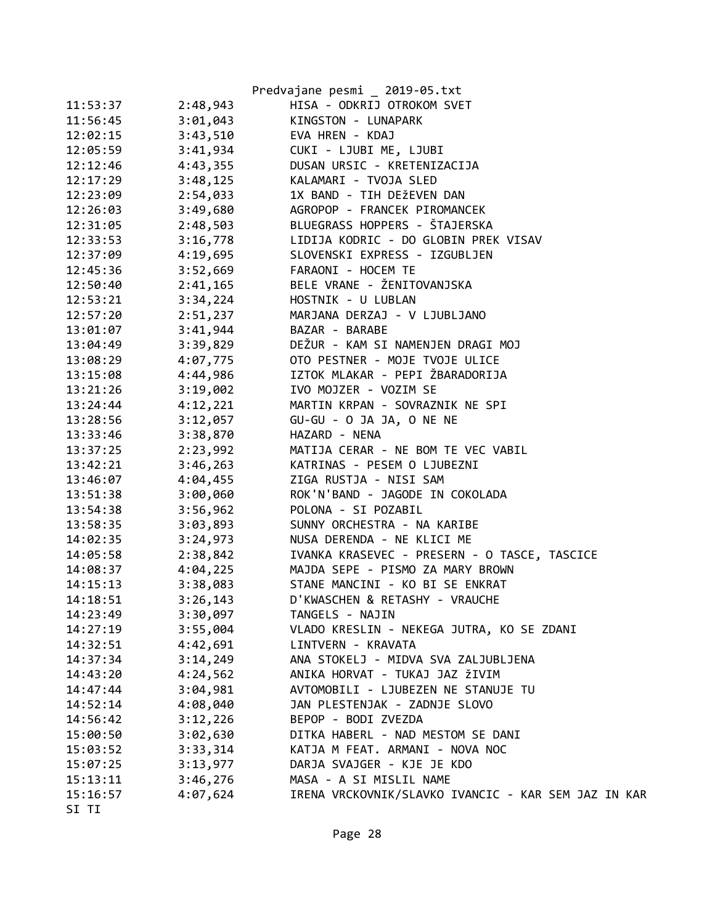|          |          | Predvajane pesmi _ 2019-05.txt                      |
|----------|----------|-----------------------------------------------------|
| 11:53:37 | 2:48,943 | HISA - ODKRIJ OTROKOM SVET                          |
| 11:56:45 | 3:01,043 | KINGSTON - LUNAPARK                                 |
| 12:02:15 | 3:43,510 | EVA HREN - KDAJ                                     |
| 12:05:59 | 3:41,934 | CUKI - LJUBI ME, LJUBI                              |
| 12:12:46 | 4:43,355 | DUSAN URSIC - KRETENIZACIJA                         |
| 12:17:29 | 3:48,125 | KALAMARI - TVOJA SLED                               |
| 12:23:09 | 2:54,033 | 1X BAND - TIH DEŽEVEN DAN                           |
| 12:26:03 | 3:49,680 | AGROPOP - FRANCEK PIROMANCEK                        |
| 12:31:05 | 2:48,503 | BLUEGRASS HOPPERS - ŠTAJERSKA                       |
| 12:33:53 | 3:16,778 | LIDIJA KODRIC - DO GLOBIN PREK VISAV                |
| 12:37:09 | 4:19,695 | SLOVENSKI EXPRESS - IZGUBLJEN                       |
| 12:45:36 | 3:52,669 | FARAONI - HOCEM TE                                  |
| 12:50:40 | 2:41,165 | BELE VRANE - ŽENITOVANJSKA                          |
| 12:53:21 | 3:34,224 | HOSTNIK - U LUBLAN                                  |
| 12:57:20 | 2:51,237 | MARJANA DERZAJ - V LJUBLJANO                        |
| 13:01:07 | 3:41,944 | BAZAR - BARABE                                      |
| 13:04:49 | 3:39,829 | DEŽUR - KAM SI NAMENJEN DRAGI MOJ                   |
| 13:08:29 | 4:07,775 | OTO PESTNER - MOJE TVOJE ULICE                      |
| 13:15:08 | 4:44,986 | IZTOK MLAKAR - PEPI ŽBARADORIJA                     |
| 13:21:26 | 3:19,002 | IVO MOJZER - VOZIM SE                               |
| 13:24:44 | 4:12,221 | MARTIN KRPAN - SOVRAZNIK NE SPI                     |
| 13:28:56 | 3:12,057 | GU-GU - O JA JA, O NE NE                            |
| 13:33:46 | 3:38,870 | HAZARD - NENA                                       |
| 13:37:25 | 2:23,992 | MATIJA CERAR - NE BOM TE VEC VABIL                  |
| 13:42:21 | 3:46,263 | KATRINAS - PESEM O LJUBEZNI                         |
| 13:46:07 | 4:04,455 | ZIGA RUSTJA - NISI SAM                              |
| 13:51:38 | 3:00,060 | ROK'N'BAND - JAGODE IN COKOLADA                     |
| 13:54:38 | 3:56,962 | POLONA - SI POZABIL                                 |
| 13:58:35 | 3:03,893 | SUNNY ORCHESTRA - NA KARIBE                         |
| 14:02:35 | 3:24,973 | NUSA DERENDA - NE KLICI ME                          |
| 14:05:58 | 2:38,842 | IVANKA KRASEVEC - PRESERN - O TASCE, TASCICE        |
| 14:08:37 |          | 4:04,225 MAJDA SEPE - PISMO ZA MARY BROWN           |
| 14:15:13 | 3:38,083 | STANE MANCINI - KO BI SE ENKRAT                     |
| 14:18:51 | 3:26,143 | D'KWASCHEN & RETASHY - VRAUCHE                      |
| 14:23:49 | 3:30,097 | TANGELS - NAJIN                                     |
| 14:27:19 | 3:55,004 | VLADO KRESLIN - NEKEGA JUTRA, KO SE ZDANI           |
| 14:32:51 | 4:42,691 | LINTVERN - KRAVATA                                  |
| 14:37:34 | 3:14,249 | ANA STOKELJ - MIDVA SVA ZALJUBLJENA                 |
| 14:43:20 | 4:24,562 | ANIKA HORVAT - TUKAJ JAZ ŽIVIM                      |
| 14:47:44 | 3:04,981 | AVTOMOBILI - LJUBEZEN NE STANUJE TU                 |
| 14:52:14 | 4:08,040 | JAN PLESTENJAK - ZADNJE SLOVO                       |
| 14:56:42 | 3:12,226 | BEPOP - BODI ZVEZDA                                 |
| 15:00:50 | 3:02,630 | DITKA HABERL - NAD MESTOM SE DANI                   |
| 15:03:52 | 3:33,314 | KATJA M FEAT. ARMANI - NOVA NOC                     |
| 15:07:25 | 3:13,977 | DARJA SVAJGER - KJE JE KDO                          |
| 15:13:11 | 3:46,276 | MASA - A SI MISLIL NAME                             |
| 15:16:57 | 4:07,624 | IRENA VRCKOVNIK/SLAVKO IVANCIC - KAR SEM JAZ IN KAR |
| SI TI    |          |                                                     |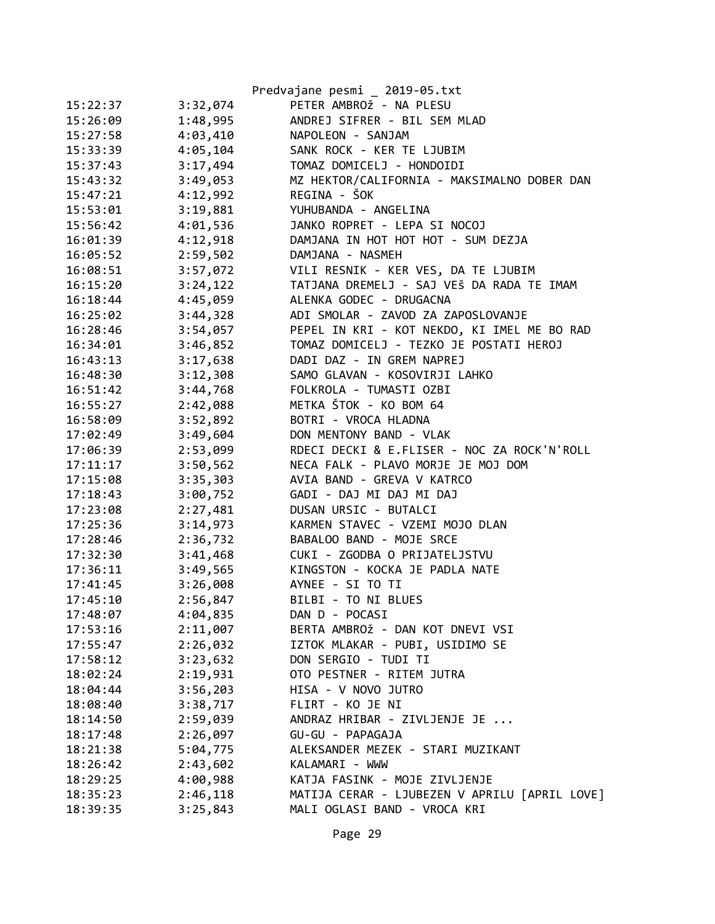|          |          | Predvajane pesmi _ 2019-05.txt                |
|----------|----------|-----------------------------------------------|
| 15:22:37 | 3:32,074 | PETER AMBROŽ - NA PLESU                       |
| 15:26:09 | 1:48,995 | ANDREJ SIFRER - BIL SEM MLAD                  |
| 15:27:58 | 4:03,410 | NAPOLEON - SANJAM                             |
| 15:33:39 | 4:05,104 | SANK ROCK - KER TE LJUBIM                     |
| 15:37:43 | 3:17,494 | TOMAZ DOMICELJ - HONDOIDI                     |
| 15:43:32 | 3:49,053 | MZ HEKTOR/CALIFORNIA - MAKSIMALNO DOBER DAN   |
| 15:47:21 | 4:12,992 | REGINA - ŠOK                                  |
| 15:53:01 | 3:19,881 | YUHUBANDA - ANGELINA                          |
| 15:56:42 | 4:01,536 | JANKO ROPRET - LEPA SI NOCOJ                  |
| 16:01:39 | 4:12,918 | DAMJANA IN HOT HOT HOT - SUM DEZJA            |
| 16:05:52 | 2:59,502 | DAMJANA - NASMEH                              |
| 16:08:51 | 3:57,072 | VILI RESNIK - KER VES, DA TE LJUBIM           |
| 16:15:20 | 3:24,122 | TATJANA DREMELJ - SAJ VEŠ DA RADA TE IMAM     |
| 16:18:44 | 4:45,059 | ALENKA GODEC - DRUGACNA                       |
| 16:25:02 | 3:44,328 | ADI SMOLAR - ZAVOD ZA ZAPOSLOVANJE            |
| 16:28:46 | 3:54,057 | PEPEL IN KRI - KOT NEKDO, KI IMEL ME BO RAD   |
| 16:34:01 | 3:46,852 | TOMAZ DOMICELJ - TEZKO JE POSTATI HEROJ       |
| 16:43:13 | 3:17,638 | DADI DAZ - IN GREM NAPREJ                     |
| 16:48:30 | 3:12,308 | SAMO GLAVAN - KOSOVIRJI LAHKO                 |
| 16:51:42 | 3:44,768 | FOLKROLA - TUMASTI OZBI                       |
| 16:55:27 | 2:42,088 | METKA ŠTOK - KO BOM 64                        |
| 16:58:09 | 3:52,892 | BOTRI - VROCA HLADNA                          |
| 17:02:49 | 3:49,604 | DON MENTONY BAND - VLAK                       |
| 17:06:39 | 2:53,099 | RDECI DECKI & E.FLISER - NOC ZA ROCK'N'ROLL   |
| 17:11:17 | 3:50,562 | NECA FALK - PLAVO MORJE JE MOJ DOM            |
| 17:15:08 | 3:35,303 | AVIA BAND - GREVA V KATRCO                    |
| 17:18:43 | 3:00,752 | GADI - DAJ MI DAJ MI DAJ                      |
| 17:23:08 | 2:27,481 | DUSAN URSIC - BUTALCI                         |
| 17:25:36 | 3:14,973 | KARMEN STAVEC - VZEMI MOJO DLAN               |
| 17:28:46 | 2:36,732 | BABALOO BAND - MOJE SRCE                      |
| 17:32:30 | 3:41,468 | CUKI - ZGODBA O PRIJATELJSTVU                 |
| 17:36:11 | 3:49,565 | KINGSTON - KOCKA JE PADLA NATE                |
| 17:41:45 | 3:26,008 | AYNEE - SI TO TI                              |
| 17:45:10 | 2:56,847 | BILBI - TO NI BLUES                           |
| 17:48:07 | 4:04,835 | DAN D - POCASI                                |
| 17:53:16 | 2:11,007 | BERTA AMBROŽ - DAN KOT DNEVI VSI              |
| 17:55:47 | 2:26,032 | IZTOK MLAKAR - PUBI, USIDIMO SE               |
| 17:58:12 | 3:23,632 | DON SERGIO - TUDI TI                          |
| 18:02:24 | 2:19,931 | OTO PESTNER - RITEM JUTRA                     |
| 18:04:44 | 3:56,203 | HISA - V NOVO JUTRO                           |
| 18:08:40 | 3:38,717 | FLIRT - KO JE NI                              |
| 18:14:50 | 2:59,039 | ANDRAZ HRIBAR - ZIVLJENJE JE                  |
| 18:17:48 | 2:26,097 | GU-GU - PAPAGAJA                              |
| 18:21:38 | 5:04,775 | ALEKSANDER MEZEK - STARI MUZIKANT             |
| 18:26:42 | 2:43,602 | KALAMARI - WWW                                |
| 18:29:25 | 4:00,988 | KATJA FASINK - MOJE ZIVLJENJE                 |
| 18:35:23 | 2:46,118 | MATIJA CERAR - LJUBEZEN V APRILU [APRIL LOVE] |
| 18:39:35 | 3:25,843 | MALI OGLASI BAND - VROCA KRI                  |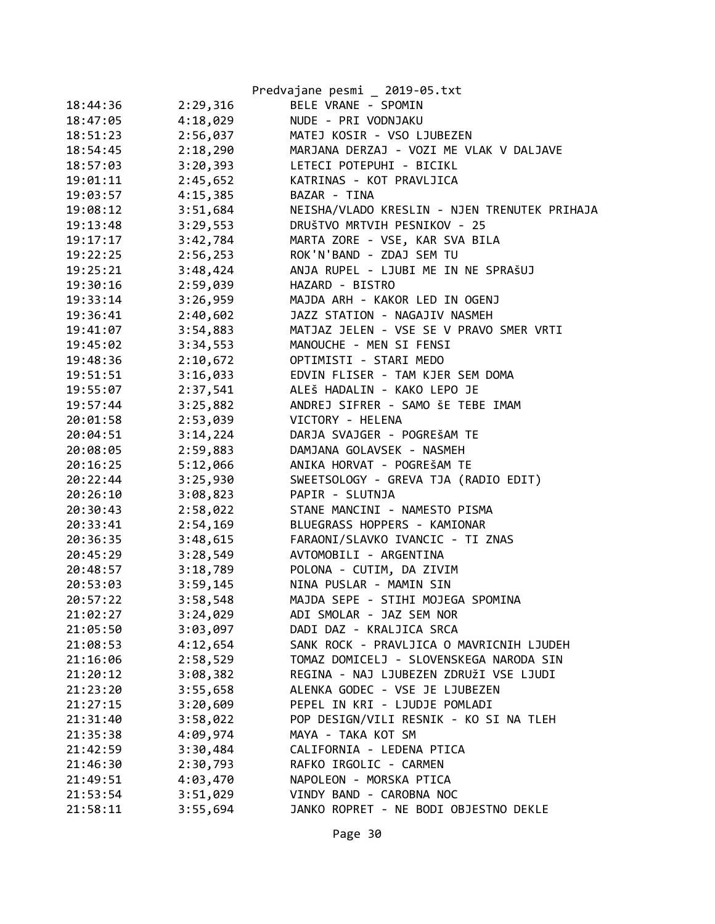|          |          | Predvajane pesmi _ 2019-05.txt               |
|----------|----------|----------------------------------------------|
| 18:44:36 | 2:29,316 | BELE VRANE - SPOMIN                          |
| 18:47:05 | 4:18,029 | NUDE - PRI VODNJAKU                          |
| 18:51:23 | 2:56,037 | MATEJ KOSIR - VSO LJUBEZEN                   |
| 18:54:45 | 2:18,290 | MARJANA DERZAJ - VOZI ME VLAK V DALJAVE      |
| 18:57:03 | 3:20,393 | LETECI POTEPUHI - BICIKL                     |
| 19:01:11 | 2:45,652 | KATRINAS - KOT PRAVLJICA                     |
| 19:03:57 | 4:15,385 | BAZAR - TINA                                 |
| 19:08:12 | 3:51,684 | NEISHA/VLADO KRESLIN - NJEN TRENUTEK PRIHAJA |
| 19:13:48 | 3:29,553 | DRUŠTVO MRTVIH PESNIKOV - 25                 |
| 19:17:17 | 3:42,784 | MARTA ZORE - VSE, KAR SVA BILA               |
| 19:22:25 | 2:56,253 | ROK'N'BAND - ZDAJ SEM TU                     |
| 19:25:21 | 3:48,424 | ANJA RUPEL - LJUBI ME IN NE SPRAŠUJ          |
| 19:30:16 | 2:59,039 | HAZARD - BISTRO                              |
| 19:33:14 | 3:26,959 | MAJDA ARH - KAKOR LED IN OGENJ               |
| 19:36:41 | 2:40,602 | JAZZ STATION - NAGAJIV NASMEH                |
| 19:41:07 | 3:54,883 | MATJAZ JELEN - VSE SE V PRAVO SMER VRTI      |
| 19:45:02 | 3:34,553 | MANOUCHE - MEN SI FENSI                      |
| 19:48:36 | 2:10,672 | OPTIMISTI - STARI MEDO                       |
| 19:51:51 | 3:16,033 | EDVIN FLISER - TAM KJER SEM DOMA             |
| 19:55:07 | 2:37,541 | ALEŠ HADALIN - KAKO LEPO JE                  |
| 19:57:44 | 3:25,882 | ANDREJ SIFRER - SAMO ŠE TEBE IMAM            |
| 20:01:58 | 2:53,039 | VICTORY - HELENA                             |
| 20:04:51 | 3:14,224 | DARJA SVAJGER - POGREŠAM TE                  |
| 20:08:05 | 2:59,883 | DAMJANA GOLAVSEK - NASMEH                    |
| 20:16:25 | 5:12,066 | ANIKA HORVAT - POGREŠAM TE                   |
| 20:22:44 | 3:25,930 | SWEETSOLOGY - GREVA TJA (RADIO EDIT)         |
| 20:26:10 | 3:08,823 | PAPIR - SLUTNJA                              |
| 20:30:43 | 2:58,022 | STANE MANCINI - NAMESTO PISMA                |
| 20:33:41 | 2:54,169 | BLUEGRASS HOPPERS - KAMIONAR                 |
| 20:36:35 | 3:48,615 | FARAONI/SLAVKO IVANCIC - TI ZNAS             |
| 20:45:29 | 3:28,549 | AVTOMOBILI - ARGENTINA                       |
| 20:48:57 | 3:18,789 | POLONA - CUTIM, DA ZIVIM                     |
| 20:53:03 | 3:59,145 | NINA PUSLAR - MAMIN SIN                      |
| 20:57:22 | 3:58,548 | MAJDA SEPE - STIHI MOJEGA SPOMINA            |
| 21:02:27 | 3:24,029 | ADI SMOLAR - JAZ SEM NOR                     |
| 21:05:50 | 3:03,097 | DADI DAZ - KRALJICA SRCA                     |
| 21:08:53 | 4:12,654 | SANK ROCK - PRAVLJICA O MAVRICNIH LJUDEH     |
| 21:16:06 | 2:58,529 | TOMAZ DOMICELJ - SLOVENSKEGA NARODA SIN      |
| 21:20:12 | 3:08,382 | REGINA - NAJ LJUBEZEN ZDRUŽI VSE LJUDI       |
| 21:23:20 | 3:55,658 | ALENKA GODEC - VSE JE LJUBEZEN               |
| 21:27:15 | 3:20,609 | PEPEL IN KRI - LJUDJE POMLADI                |
| 21:31:40 | 3:58,022 | POP DESIGN/VILI RESNIK - KO SI NA TLEH       |
| 21:35:38 | 4:09,974 | MAYA - TAKA KOT SM                           |
| 21:42:59 | 3:30,484 | CALIFORNIA - LEDENA PTICA                    |
| 21:46:30 | 2:30,793 | RAFKO IRGOLIC - CARMEN                       |
| 21:49:51 | 4:03,470 | NAPOLEON - MORSKA PTICA                      |
| 21:53:54 | 3:51,029 | VINDY BAND - CAROBNA NOC                     |
| 21:58:11 | 3:55,694 | JANKO ROPRET - NE BODI OBJESTNO DEKLE        |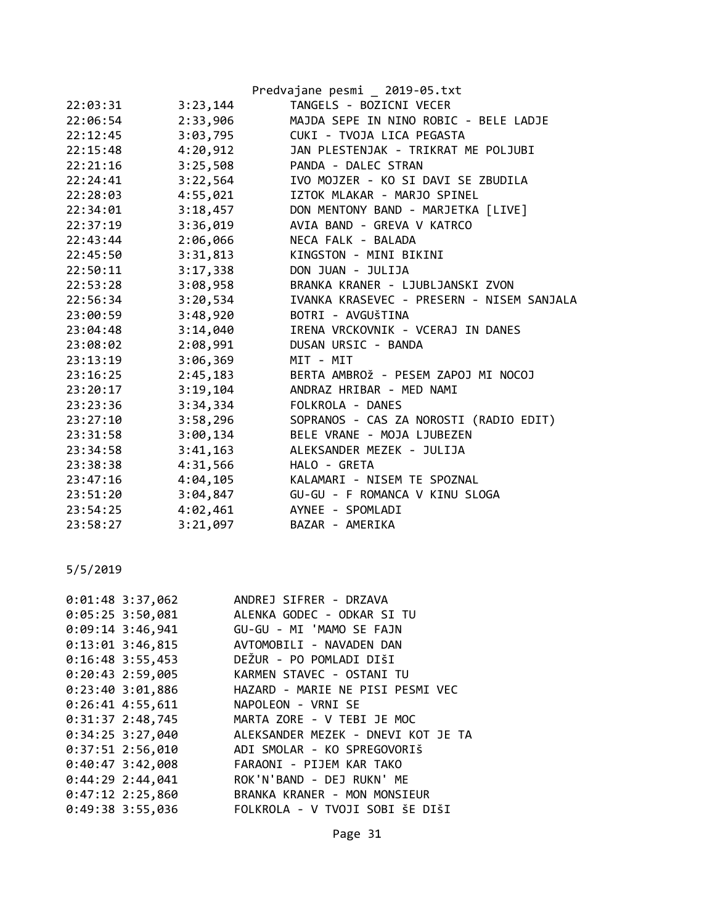| 22:03:31 | 3:23,144 | Predvajane pesmi 2019-05.txt<br>TANGELS - BOZICNI VECER |
|----------|----------|---------------------------------------------------------|
| 22:06:54 | 2:33,906 | MAJDA SEPE IN NINO ROBIC - BELE LADJE                   |
| 22:12:45 | 3:03,795 | CUKI - TVOJA LICA PEGASTA                               |
| 22:15:48 | 4:20,912 | JAN PLESTENJAK - TRIKRAT ME POLJUBI                     |
| 22:21:16 | 3:25,508 | PANDA - DALEC STRAN                                     |
| 22:24:41 | 3:22,564 | IVO MOJZER - KO SI DAVI SE ZBUDILA                      |
| 22:28:03 | 4:55,021 | IZTOK MLAKAR - MARJO SPINEL                             |
| 22:34:01 | 3:18,457 | DON MENTONY BAND - MARJETKA [LIVE]                      |
| 22:37:19 | 3:36,019 | AVIA BAND - GREVA V KATRCO                              |
| 22:43:44 | 2:06,066 | NECA FALK - BALADA                                      |
| 22:45:50 | 3:31,813 | KINGSTON - MINI BIKINI                                  |
| 22:50:11 | 3:17,338 | DON JUAN - JULIJA                                       |
| 22:53:28 | 3:08,958 | BRANKA KRANER - LJUBLJANSKI ZVON                        |
| 22:56:34 | 3:20,534 | IVANKA KRASEVEC - PRESERN - NISEM SANJALA               |
| 23:00:59 | 3:48,920 | BOTRI - AVGUŠTINA                                       |
| 23:04:48 | 3:14,040 | IRENA VRCKOVNIK - VCERAJ IN DANES                       |
| 23:08:02 | 2:08,991 | DUSAN URSIC - BANDA                                     |
| 23:13:19 | 3:06,369 | MIT - MIT                                               |
| 23:16:25 | 2:45,183 | BERTA AMBROŽ - PESEM ZAPOJ MI NOCOJ                     |
| 23:20:17 | 3:19,104 | ANDRAZ HRIBAR - MED NAMI                                |
| 23:23:36 | 3:34,334 | FOLKROLA - DANES                                        |
| 23:27:10 | 3:58,296 | SOPRANOS - CAS ZA NOROSTI (RADIO EDIT)                  |
| 23:31:58 | 3:00,134 | BELE VRANE - MOJA LJUBEZEN                              |
| 23:34:58 | 3:41,163 | ALEKSANDER MEZEK - JULIJA                               |
| 23:38:38 | 4:31,566 | HALO - GRETA                                            |
| 23:47:16 | 4:04,105 | KALAMARI - NISEM TE SPOZNAL                             |
| 23:51:20 | 3:04,847 | GU-GU - F ROMANCA V KINU SLOGA                          |
| 23:54:25 | 4:02,461 | AYNEE - SPOMLADI                                        |
| 23:58:27 | 3:21,097 | BAZAR - AMERIKA                                         |
|          |          |                                                         |

| $0:01:48$ 3:37,062 | ANDREJ SIFRER - DRZAVA             |
|--------------------|------------------------------------|
| $0:05:25$ 3:50,081 | ALENKA GODEC - ODKAR SI TU         |
|                    |                                    |
| $0:13:01$ 3:46,815 | AVTOMOBILI - NAVADEN DAN           |
| $0:16:48$ 3:55,453 | DEŽUR - PO POMLADI DIŠI            |
| $0:20:43$ 2:59,005 | KARMEN STAVEC - OSTANI TU          |
| 0:23:403:01,886    | HAZARD - MARIE NE PISI PESMI VEC   |
| $0:26:41$ 4:55,611 | NAPOLEON - VRNI SE                 |
| $0:31:37$ 2:48,745 | MARTA ZORE - V TEBI JE MOC         |
| $0:34:25$ 3:27,040 | ALEKSANDER MEZEK - DNEVI KOT JE TA |
| $0:37:51$ 2:56,010 | ADI SMOLAR - KO SPREGOVORIŠ        |
| $0:40:47$ 3:42,008 | FARAONI - PIJEM KAR TAKO           |
| $0:44:29$ 2:44,041 | ROK'N'BAND - DEJ RUKN' ME          |
| $0:47:12$ 2:25,860 | BRANKA KRANER - MON MONSIEUR       |
| $0:49:38$ 3:55,036 | FOLKROLA - V TVOJI SOBI ŠE DIŠI    |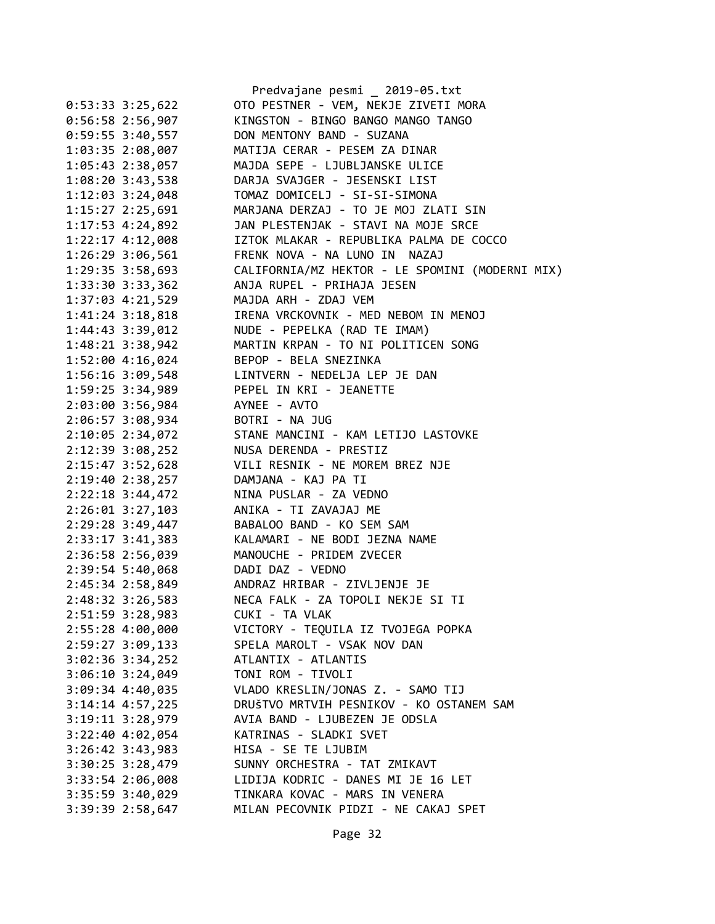|                                      | Predvajane pesmi _ 2019-05.txt                  |
|--------------------------------------|-------------------------------------------------|
| $0:53:33 \ 3:25,622$                 | OTO PESTNER - VEM, NEKJE ZIVETI MORA            |
| $0:56:58$ 2:56,907                   | KINGSTON - BINGO BANGO MANGO TANGO              |
| $0:59:55$ 3:40,557                   | DON MENTONY BAND - SUZANA                       |
| 1:03:35 2:08,007                     | MATIJA CERAR - PESEM ZA DINAR                   |
| 1:05:43 2:38,057                     | MAJDA SEPE - LJUBLJANSKE ULICE                  |
| 1:08:20 3:43,538                     | DARJA SVAJGER - JESENSKI LIST                   |
| 1:12:03 3:24,048                     | TOMAZ DOMICELJ - SI-SI-SIMONA                   |
| 1:15:27 2:25,691                     | MARJANA DERZAJ - TO JE MOJ ZLATI SIN            |
| 1:17:53 4:24,892                     | JAN PLESTENJAK - STAVI NA MOJE SRCE             |
| 1:22:17 4:12,008                     | IZTOK MLAKAR - REPUBLIKA PALMA DE COCCO         |
| 1:26:29 3:06,561                     | FRENK NOVA - NA LUNO IN<br>NAZAJ                |
| $1:29:35$ 3:58,693                   | CALIFORNIA/MZ HEKTOR - LE SPOMINI (MODERNI MIX) |
| 1:33:30 3:33,362                     | ANJA RUPEL - PRIHAJA JESEN                      |
| 1:37:03 4:21,529                     | MAJDA ARH - ZDAJ VEM                            |
| 1:41:24 3:18,818                     | IRENA VRCKOVNIK - MED NEBOM IN MENOJ            |
| 1:44:43 3:39,012                     | NUDE - PEPELKA (RAD TE IMAM)                    |
| 1:48:21 3:38,942                     | MARTIN KRPAN - TO NI POLITICEN SONG             |
| 1:52:00 4:16,024                     | BEPOP - BELA SNEZINKA                           |
| 1:56:16 3:09,548                     | LINTVERN - NEDELJA LEP JE DAN                   |
| 1:59:25 3:34,989                     | PEPEL IN KRI - JEANETTE                         |
| 2:03:00 3:56,984                     | AYNEE - AVTO                                    |
| 2:06:57 3:08,934                     | BOTRI - NA JUG                                  |
| 2:10:05 2:34,072                     | STANE MANCINI - KAM LETIJO LASTOVKE             |
|                                      | NUSA DERENDA - PRESTIZ                          |
| 2:12:39 3:08,252                     | VILI RESNIK - NE MOREM BREZ NJE                 |
| 2:15:47 3:52,628<br>2:19:40 2:38,257 | DAMJANA - KAJ PA TI                             |
|                                      | NINA PUSLAR - ZA VEDNO                          |
| 2:22:18 3:44,472                     | ANIKA - TI ZAVAJAJ ME                           |
| 2:26:01 3:27,103                     |                                                 |
| 2:29:28 3:49,447                     | BABALOO BAND - KO SEM SAM                       |
| 2:33:17 3:41,383                     | KALAMARI - NE BODI JEZNA NAME                   |
| 2:36:58 2:56,039                     | MANOUCHE - PRIDEM ZVECER                        |
| 2:39:54 5:40,068                     | DADI DAZ - VEDNO                                |
| 2:45:34 2:58,849                     | ANDRAZ HRIBAR - ZIVLJENJE JE                    |
| 2:48:32 3:26,583                     | NECA FALK - ZA TOPOLI NEKJE SI TI               |
| 2:51:59 3:28,983                     | CUKI - TA VLAK                                  |
| 2:55:28 4:00,000                     | VICTORY - TEQUILA IZ TVOJEGA POPKA              |
| 2:59:27 3:09,133                     | SPELA MAROLT - VSAK NOV DAN                     |
| $3:02:36$ $3:34,252$                 | ATLANTIX - ATLANTIS                             |
| $3:06:10$ $3:24,049$                 | TONI ROM - TIVOLI                               |
| 3:09:34 4:40,035                     | VLADO KRESLIN/JONAS Z. - SAMO TIJ               |
| $3:14:14$ 4:57,225                   | DRUŠTVO MRTVIH PESNIKOV - KO OSTANEM SAM        |
| 3:19:11 3:28,979                     | AVIA BAND - LJUBEZEN JE ODSLA                   |
| 3:22:40 4:02,054                     | KATRINAS - SLADKI SVET                          |
| $3:26:42$ $3:43,983$                 | HISA - SE TE LJUBIM                             |
| $3:30:25$ $3:28,479$                 | SUNNY ORCHESTRA - TAT ZMIKAVT                   |
| 3:33:54 2:06,008                     | LIDIJA KODRIC - DANES MI JE 16 LET              |
| $3:35:59$ $3:40,029$                 | TINKARA KOVAC - MARS IN VENERA                  |
| 3:39:39 2:58,647                     | MILAN PECOVNIK PIDZI - NE CAKAJ SPET            |
|                                      |                                                 |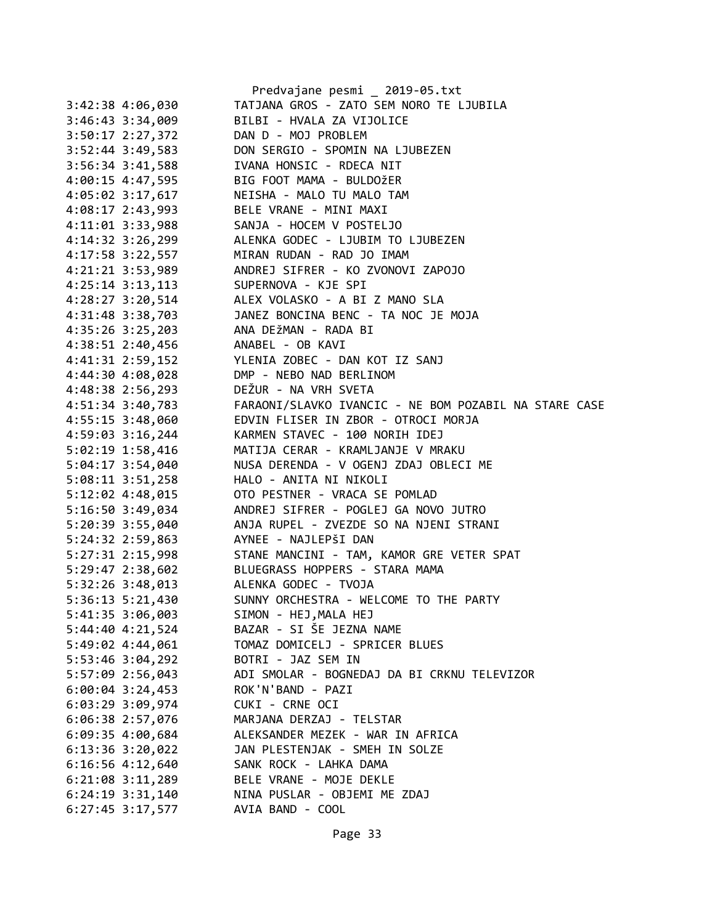|                      |                      | Predvajane pesmi _ 2019-05.txt                        |
|----------------------|----------------------|-------------------------------------------------------|
|                      | 3:42:38 4:06,030     | TATJANA GROS - ZATO SEM NORO TE LJUBILA               |
|                      | 3:46:43 3:34,009     | BILBI - HVALA ZA VIJOLICE                             |
|                      | 3:50:17 2:27,372     | DAN D - MOJ PROBLEM                                   |
|                      | 3:52:44 3:49,583     | DON SERGIO - SPOMIN NA LJUBEZEN                       |
|                      | 3:56:34 3:41,588     | IVANA HONSIC - RDECA NIT                              |
|                      | 4:00:15 4:47,595     | BIG FOOT MAMA - BULDOŽER                              |
|                      | $4:05:02$ 3:17,617   | NEISHA - MALO TU MALO TAM                             |
| 4:08:17 2:43,993     |                      | BELE VRANE - MINI MAXI                                |
|                      | $4:11:01$ $3:33,988$ | SANJA - HOCEM V POSTELJO                              |
|                      |                      | 4:14:32 3:26,299 ALENKA GODEC - LJUBIM TO LJUBEZEN    |
|                      |                      | 4:17:58 3:22,557 MIRAN RUDAN - RAD JO IMAM            |
|                      | 4:21:21 3:53,989     | ANDREJ SIFRER - KO ZVONOVI ZAPOJO                     |
|                      | $4:25:14$ 3:13, 113  | SUPERNOVA - KJE SPI                                   |
|                      |                      | $4:28:27$ 3:20,514 ALEX VOLASKO - A BI Z MANO SLA     |
|                      | 4:31:48 3:38,703     | JANEZ BONCINA BENC - TA NOC JE MOJA                   |
|                      | 4:35:26 3:25,203     | ANA DEŽMAN - RADA BI                                  |
|                      | 4:38:51 2:40,456     | ANABEL - OB KAVI                                      |
|                      | 4:41:31 2:59,152     | YLENIA ZOBEC - DAN KOT IZ SANJ                        |
|                      | $4:44:30$ $4:08,028$ | DMP - NEBO NAD BERLINOM                               |
|                      | 4:48:38 2:56,293     | DEŽUR - NA VRH SVETA                                  |
|                      | 4:51:34 3:40,783     | FARAONI/SLAVKO IVANCIC - NE BOM POZABIL NA STARE CASE |
|                      | $4:55:15$ 3:48,060   | EDVIN FLISER IN ZBOR - OTROCI MORJA                   |
| 4:59:03 3:16,244     |                      | KARMEN STAVEC - 100 NORIH IDEJ                        |
|                      | $5:02:19$ 1:58,416   | MATIJA CERAR - KRAMLJANJE V MRAKU                     |
|                      | 5:04:17 3:54,040     | NUSA DERENDA - V OGENJ ZDAJ OBLECI ME                 |
|                      | 5:08:11 3:51,258     | HALO - ANITA NI NIKOLI                                |
|                      | 5:12:02 4:48,015     | OTO PESTNER - VRACA SE POMLAD                         |
| 5:16:50 3:49,034     |                      | ANDREJ SIFRER - POGLEJ GA NOVO JUTRO                  |
|                      | 5:20:39 3:55,040     | ANJA RUPEL - ZVEZDE SO NA NJENI STRANI                |
|                      | 5:24:32 2:59,863     | AYNEE - NAJLEPŠI DAN                                  |
|                      | 5:27:31 2:15,998     | STANE MANCINI - TAM, KAMOR GRE VETER SPAT             |
|                      |                      | 5:29:47 2:38,602 BLUEGRASS HOPPERS - STARA MAMA       |
|                      |                      | 5:32:26 3:48,013 ALENKA GODEC - TVOJA                 |
| 5:36:13 5:21,430     |                      | SUNNY ORCHESTRA - WELCOME TO THE PARTY                |
| 5:41:35 3:06,003     |                      | SIMON - HEJ, MALA HEJ                                 |
| 5:44:40 4:21,524     |                      | BAZAR - SI ŠE JEZNA NAME                              |
| 5:49:02 4:44,061     |                      | TOMAZ DOMICELJ - SPRICER BLUES                        |
| 5:53:46 3:04,292     |                      | BOTRI - JAZ SEM IN                                    |
| 5:57:09 2:56,043     |                      | ADI SMOLAR - BOGNEDAJ DA BI CRKNU TELEVIZOR           |
| $6:00:04$ 3:24,453   |                      | ROK'N'BAND - PAZI                                     |
| 6:03:29 3:09,974     |                      | CUKI - CRNE OCI                                       |
| 6:06:38 2:57,076     |                      | MARJANA DERZAJ - TELSTAR                              |
| $6:09:35$ 4:00,684   |                      | ALEKSANDER MEZEK - WAR IN AFRICA                      |
| 6:13:36 3:20,022     |                      | JAN PLESTENJAK - SMEH IN SOLZE                        |
| $6:16:56$ 4:12,640   |                      | SANK ROCK - LAHKA DAMA                                |
| $6:21:08$ 3:11,289   |                      | BELE VRANE - MOJE DEKLE                               |
| $6:24:19$ $3:31,140$ |                      | NINA PUSLAR - OBJEMI ME ZDAJ                          |
| $6:27:45$ 3:17,577   |                      | AVIA BAND - COOL                                      |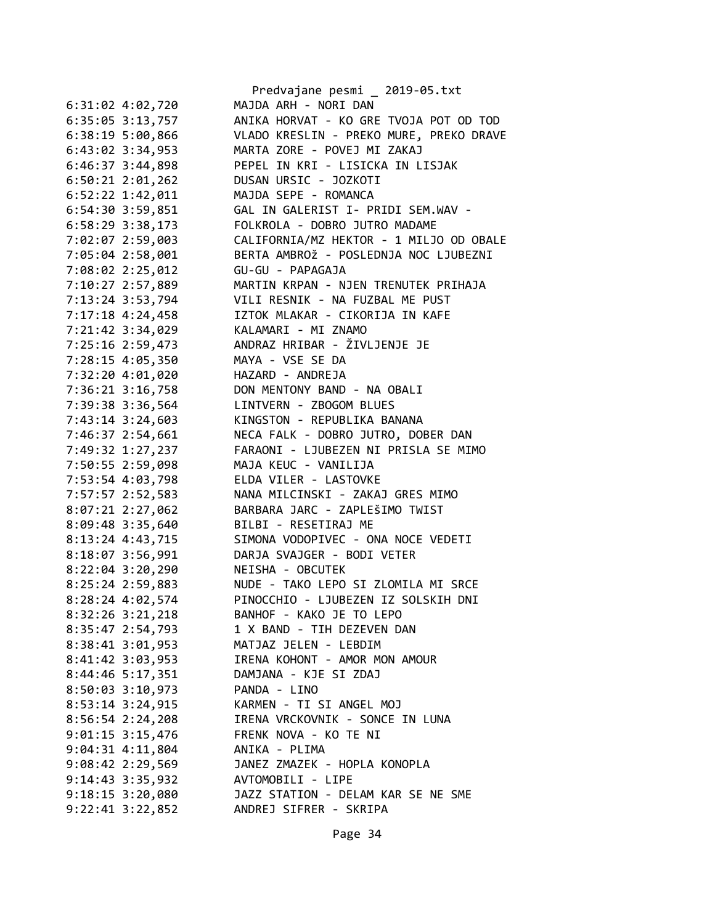|                                        | Predvajane pesmi _ 2019-05.txt                      |
|----------------------------------------|-----------------------------------------------------|
| 6:31:02 4:02,720                       | MAJDA ARH - NORI DAN                                |
| 6:35:05 3:13,757                       | ANIKA HORVAT - KO GRE TVOJA POT OD TOD              |
| 6:38:195:00,866                        | VLADO KRESLIN - PREKO MURE, PREKO DRAVE             |
| $6:43:02$ $3:34,953$                   | MARTA ZORE - POVEJ MI ZAKAJ                         |
| $6:46:37$ 3:44,898                     | PEPEL IN KRI - LISICKA IN LISJAK                    |
| $6:50:21$ $2:01,262$                   | DUSAN URSIC - JOZKOTI                               |
| 6:52:22 1:42,011                       | MAJDA SEPE - ROMANCA                                |
| 6:54:30 3:59,851                       | GAL IN GALERIST I- PRIDI SEM.WAV -                  |
| $6:58:29$ 3:38,173                     | FOLKROLA - DOBRO JUTRO MADAME                       |
| 7:02:07 2:59,003                       | CALIFORNIA/MZ HEKTOR - 1 MILJO OD OBALE             |
| 7:05:04 2:58,001                       | BERTA AMBROŽ - POSLEDNJA NOC LJUBEZNI               |
| 7:08:02 2:25,012                       | GU-GU - PAPAGAJA                                    |
| 7:10:27 2:57,889                       | MARTIN KRPAN - NJEN TRENUTEK PRIHAJA                |
| 7:13:24 3:53,794                       | VILI RESNIK - NA FUZBAL ME PUST                     |
| 7:17:18 4:24,458                       | IZTOK MLAKAR - CIKORIJA IN KAFE                     |
| 7:21:42 3:34,029                       | KALAMARI - MI ZNAMO                                 |
| 7:25:16 2:59,473                       | ANDRAZ HRIBAR - ŽIVLJENJE JE                        |
| 7:28:15 4:05,350                       | MAYA - VSE SE DA                                    |
| 7:32:20 4:01,020                       | HAZARD - ANDREJA                                    |
| 7:36:21 3:16,758                       | DON MENTONY BAND - NA OBALI                         |
|                                        | LINTVERN - ZBOGOM BLUES                             |
| 7:39:38 3:36,564                       | KINGSTON - REPUBLIKA BANANA                         |
| 7:43:14 3:24,603                       |                                                     |
| 7:46:37 2:54,661                       | NECA FALK - DOBRO JUTRO, DOBER DAN                  |
| 7:49:32 1:27,237                       | FARAONI - LJUBEZEN NI PRISLA SE MIMO                |
| 7:50:55 2:59,098                       | MAJA KEUC - VANILIJA                                |
| 7:53:54 4:03,798                       | ELDA VILER - LASTOVKE                               |
| 7:57:57 2:52,583                       | NANA MILCINSKI - ZAKAJ GRES MIMO                    |
| 8:07:21 2:27,062                       | BARBARA JARC - ZAPLEŠIMO TWIST                      |
| 8:09:48 3:35,640                       | BILBI - RESETIRAJ ME                                |
| 8:13:24 4:43,715                       | SIMONA VODOPIVEC - ONA NOCE VEDETI                  |
| 8:18:07 3:56,991                       | DARJA SVAJGER - BODI VETER                          |
| 8:22:04 3:20,290 NEISHA - OBCUTEK      |                                                     |
| 8:25:24 2:59,883                       | NUDE - TAKO LEPO SI ZLOMILA MI SRCE                 |
| 8:28:24 4:02,574                       | PINOCCHIO - LJUBEZEN IZ SOLSKIH DNI                 |
| 8:32:26 3:21,218                       | BANHOF - KAKO JE TO LEPO                            |
| 8:35:47 2:54,793                       | 1 X BAND - TIH DEZEVEN DAN                          |
| 8:38:41 3:01,953                       | MATJAZ JELEN - LEBDIM                               |
| 8:41:42 3:03,953                       | IRENA KOHONT - AMOR MON AMOUR                       |
| 8:44:46 5:17,351 DAMJANA - KJE SI ZDAJ |                                                     |
| 8:50:03 3:10,973 PANDA - LINO          |                                                     |
|                                        | 8:53:14 3:24,915 KARMEN - TI SI ANGEL MOJ           |
| $8:56:54$ 2:24,208                     | IRENA VRCKOVNIK - SONCE IN LUNA                     |
| $9:01:15$ 3:15,476                     | FRENK NOVA - KO TE NI                               |
| $9:04:31$ $4:11,804$                   | ANIKA - PLIMA                                       |
| 9:08:42 2:29,569                       | JANEZ ZMAZEK - HOPLA KONOPLA                        |
| 9:14:43 3:35,932                       | AVTOMOBILI - LIPE                                   |
|                                        | 9:18:15 3:20,080 JAZZ STATION - DELAM KAR SE NE SME |
| $9:22:41$ $3:22,852$                   | ANDREJ SIFRER - SKRIPA                              |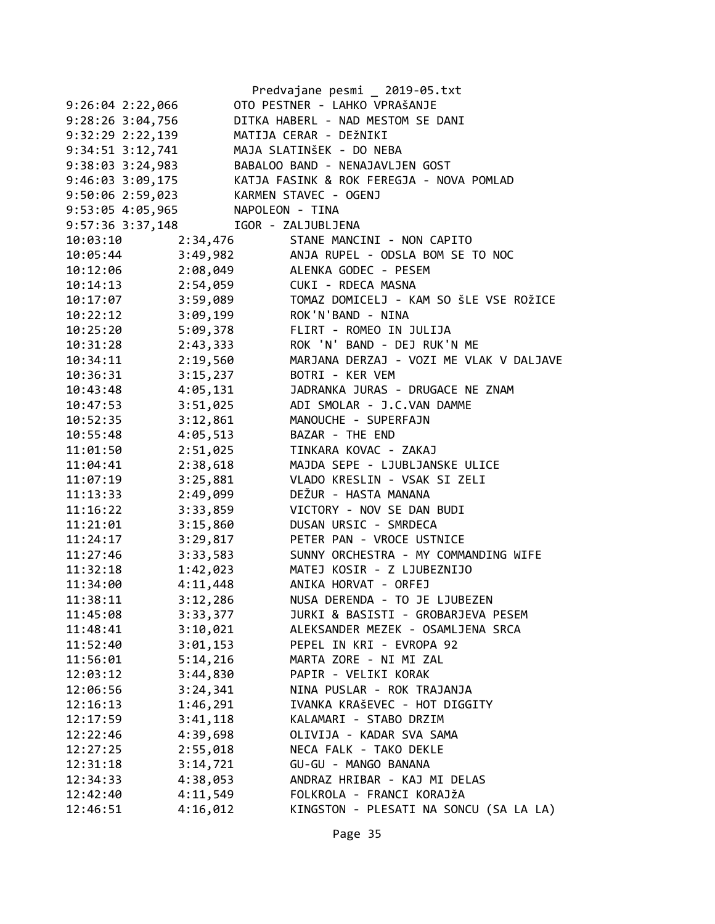|                      |                       | Predvajane pesmi _ 2019-05.txt                            |
|----------------------|-----------------------|-----------------------------------------------------------|
| $9:26:04$ 2:22,066   |                       | OTO PESTNER - LAHKO VPRAŠANJE                             |
| $9:28:26$ $3:04,756$ |                       | DITKA HABERL - NAD MESTOM SE DANI                         |
| $9:32:29$ $2:22,139$ |                       | MATIJA CERAR - DEŽNIKI                                    |
| 9:34:51 3:12,741     |                       | MAJA SLATINŠEK - DO NEBA                                  |
| $9:38:03$ $3:24,983$ |                       | BABALOO BAND - NENAJAVLJEN GOST                           |
|                      |                       | 9:46:03 3:09,175 KATJA FASINK & ROK FEREGJA - NOVA POMLAD |
| 9:50:06 2:59,023     | KARMEN STAVEC - OGENJ |                                                           |
| 9:53:05 4:05,965     | NAPOLEON - TINA       |                                                           |
| 9:57:36 3:37,148     |                       | IGOR - ZALJUBLJENA                                        |
| 10:03:10             |                       | 2:34,476 STANE MANCINI - NON CAPITO                       |
| 10:05:44             |                       | 3:49,982 ANJA RUPEL - ODSLA BOM SE TO NOC                 |
| 10:12:06             |                       | 2:08,049 ALENKA GODEC - PESEM                             |
| 10:14:13             |                       | 2:54,059 CUKI - RDECA MASNA                               |
| 10:17:07             |                       | 3:59,089 TOMAZ DOMICELJ - KAM SO ŠLE VSE ROŽICE           |
| 10:22:12             | 3:09,199              | ROK'N'BAND - NINA                                         |
| 10:25:20             | 5:09,378              | FLIRT - ROMEO IN JULIJA                                   |
| 10:31:28             | 2:43,333              | ROK 'N' BAND - DEJ RUK'N ME                               |
| 10:34:11             | 2:19,560              | MARJANA DERZAJ - VOZI ME VLAK V DALJAVE                   |
| 10:36:31             |                       | 3:15,237 BOTRI - KER VEM                                  |
| 10:43:48             | 4:05,131              | JADRANKA JURAS - DRUGACE NE ZNAM                          |
| 10:47:53             | 3:51,025              | ADI SMOLAR - J.C.VAN DAMME                                |
| 10:52:35             | 3:12,861              | MANOUCHE - SUPERFAJN                                      |
| 10:55:48             | 4:05,513              | BAZAR - THE END                                           |
| 11:01:50             | 2:51,025              | TINKARA KOVAC - ZAKAJ                                     |
| 11:04:41             | 2:38,618              | MAJDA SEPE - LJUBLJANSKE ULICE                            |
| 11:07:19             | 3:25,881              | VLADO KRESLIN - VSAK SI ZELI                              |
| 11:13:33             | 2:49,099              | DEŽUR - HASTA MANANA                                      |
| 11:16:22             | 3:33,859              | VICTORY - NOV SE DAN BUDI                                 |
| 11:21:01             | 3:15,860              | DUSAN URSIC - SMRDECA                                     |
| 11:24:17             | 3:29,817              | PETER PAN - VROCE USTNICE                                 |
| 11:27:46             | 3:33,583              | SUNNY ORCHESTRA - MY COMMANDING WIFE                      |
| 11:32:18             | 1:42,023              | MATEJ KOSIR - Z LJUBEZNIJO                                |
| 11:34:00             |                       | 4:11,448 ANIKA HORVAT - ORFEJ                             |
| 11:38:11             | 3:12,286              | NUSA DERENDA - TO JE LJUBEZEN                             |
| 11:45:08             | 3:33,377              | JURKI & BASISTI - GROBARJEVA PESEM                        |
| 11:48:41             | 3:10,021              | ALEKSANDER MEZEK - OSAMLJENA SRCA                         |
|                      |                       | PEPEL IN KRI - EVROPA 92                                  |
| 11:52:40             | 3:01,153              |                                                           |
| 11:56:01             | 5:14,216              | MARTA ZORE - NI MI ZAL                                    |
| 12:03:12             | 3:44,830              | PAPIR - VELIKI KORAK                                      |
| 12:06:56             | 3:24,341              | NINA PUSLAR - ROK TRAJANJA                                |
| 12:16:13             | 1:46,291              | IVANKA KRAŠEVEC - HOT DIGGITY                             |
| 12:17:59             | 3:41,118              | KALAMARI - STABO DRZIM                                    |
| 12:22:46             | 4:39,698              | OLIVIJA - KADAR SVA SAMA                                  |
| 12:27:25             | 2:55,018              | NECA FALK - TAKO DEKLE                                    |
| 12:31:18             | 3:14,721              | GU-GU - MANGO BANANA                                      |
| 12:34:33             | 4:38,053              | ANDRAZ HRIBAR - KAJ MI DELAS                              |
| 12:42:40             | 4:11,549              | FOLKROLA - FRANCI KORAJŽA                                 |
| 12:46:51             | 4:16,012              | KINGSTON - PLESATI NA SONCU (SA LA LA)                    |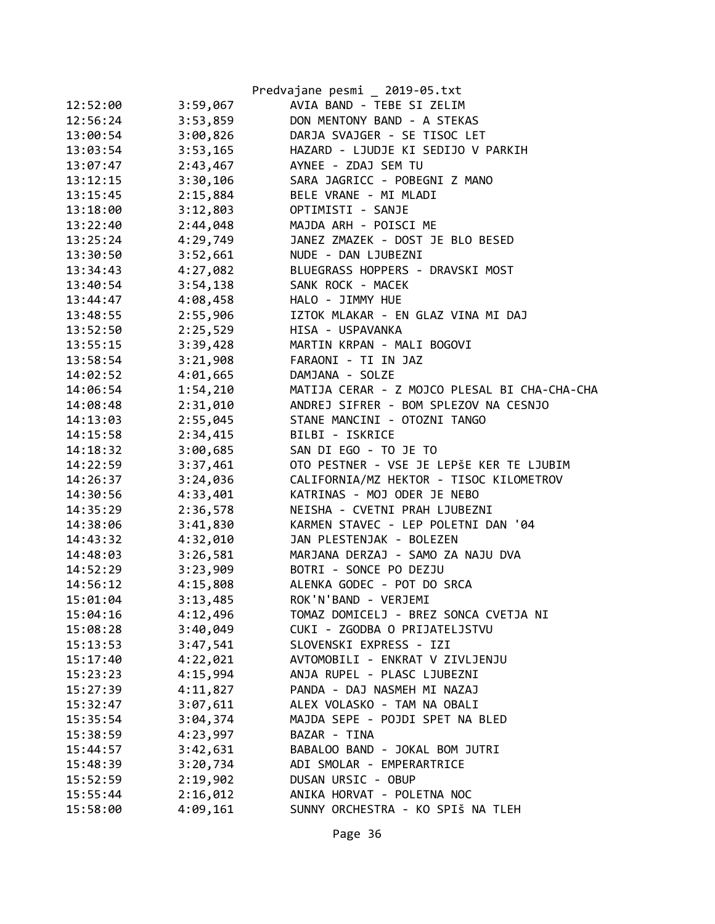|          |          | Predvajane pesmi _ 2019-05.txt               |
|----------|----------|----------------------------------------------|
| 12:52:00 | 3:59,067 | AVIA BAND - TEBE SI ZELIM                    |
| 12:56:24 | 3:53,859 | DON MENTONY BAND - A STEKAS                  |
| 13:00:54 | 3:00,826 | DARJA SVAJGER - SE TISOC LET                 |
| 13:03:54 | 3:53,165 | HAZARD - LJUDJE KI SEDIJO V PARKIH           |
| 13:07:47 | 2:43,467 | AYNEE - ZDAJ SEM TU                          |
| 13:12:15 | 3:30,106 | SARA JAGRICC - POBEGNI Z MANO                |
| 13:15:45 | 2:15,884 | BELE VRANE - MI MLADI                        |
| 13:18:00 | 3:12,803 | OPTIMISTI - SANJE                            |
| 13:22:40 | 2:44,048 | MAJDA ARH - POISCI ME                        |
| 13:25:24 | 4:29,749 | JANEZ ZMAZEK - DOST JE BLO BESED             |
| 13:30:50 | 3:52,661 | NUDE - DAN LJUBEZNI                          |
| 13:34:43 | 4:27,082 | BLUEGRASS HOPPERS - DRAVSKI MOST             |
| 13:40:54 | 3:54,138 | SANK ROCK - MACEK                            |
| 13:44:47 | 4:08,458 | HALO - JIMMY HUE                             |
| 13:48:55 | 2:55,906 | IZTOK MLAKAR - EN GLAZ VINA MI DAJ           |
| 13:52:50 | 2:25,529 | HISA - USPAVANKA                             |
| 13:55:15 | 3:39,428 | MARTIN KRPAN - MALI BOGOVI                   |
| 13:58:54 | 3:21,908 | FARAONI - TI IN JAZ                          |
| 14:02:52 | 4:01,665 | DAMJANA - SOLZE                              |
| 14:06:54 | 1:54,210 | MATIJA CERAR - Z MOJCO PLESAL BI CHA-CHA-CHA |
| 14:08:48 | 2:31,010 | ANDREJ SIFRER - BOM SPLEZOV NA CESNJO        |
| 14:13:03 | 2:55,045 | STANE MANCINI - OTOZNI TANGO                 |
| 14:15:58 | 2:34,415 | BILBI - ISKRICE                              |
| 14:18:32 | 3:00,685 | SAN DI EGO - TO JE TO                        |
| 14:22:59 | 3:37,461 | OTO PESTNER - VSE JE LEPŠE KER TE LJUBIM     |
| 14:26:37 | 3:24,036 | CALIFORNIA/MZ HEKTOR - TISOC KILOMETROV      |
| 14:30:56 | 4:33,401 | KATRINAS - MOJ ODER JE NEBO                  |
| 14:35:29 | 2:36,578 | NEISHA - CVETNI PRAH LJUBEZNI                |
| 14:38:06 | 3:41,830 | KARMEN STAVEC - LEP POLETNI DAN '04          |
| 14:43:32 | 4:32,010 | JAN PLESTENJAK - BOLEZEN                     |
| 14:48:03 | 3:26,581 | MARJANA DERZAJ - SAMO ZA NAJU DVA            |
| 14:52:29 | 3:23,909 | BOTRI - SONCE PO DEZJU                       |
| 14:56:12 | 4:15,808 | ALENKA GODEC - POT DO SRCA                   |
| 15:01:04 | 3:13,485 | ROK'N'BAND - VERJEMI                         |
| 15:04:16 | 4:12,496 | TOMAZ DOMICELJ - BREZ SONCA CVETJA NI        |
| 15:08:28 | 3:40,049 | CUKI - ZGODBA O PRIJATELJSTVU                |
| 15:13:53 | 3:47,541 | SLOVENSKI EXPRESS - IZI                      |
| 15:17:40 | 4:22,021 | AVTOMOBILI - ENKRAT V ZIVLJENJU              |
| 15:23:23 | 4:15,994 | ANJA RUPEL - PLASC LJUBEZNI                  |
| 15:27:39 | 4:11,827 | PANDA - DAJ NASMEH MI NAZAJ                  |
| 15:32:47 | 3:07,611 | ALEX VOLASKO - TAM NA OBALI                  |
| 15:35:54 | 3:04,374 | MAJDA SEPE - POJDI SPET NA BLED              |
| 15:38:59 | 4:23,997 | BAZAR - TINA                                 |
| 15:44:57 | 3:42,631 | BABALOO BAND - JOKAL BOM JUTRI               |
| 15:48:39 | 3:20,734 | ADI SMOLAR - EMPERARTRICE                    |
| 15:52:59 | 2:19,902 | DUSAN URSIC - OBUP                           |
| 15:55:44 | 2:16,012 | ANIKA HORVAT - POLETNA NOC                   |
| 15:58:00 | 4:09,161 | SUNNY ORCHESTRA - KO SPIŠ NA TLEH            |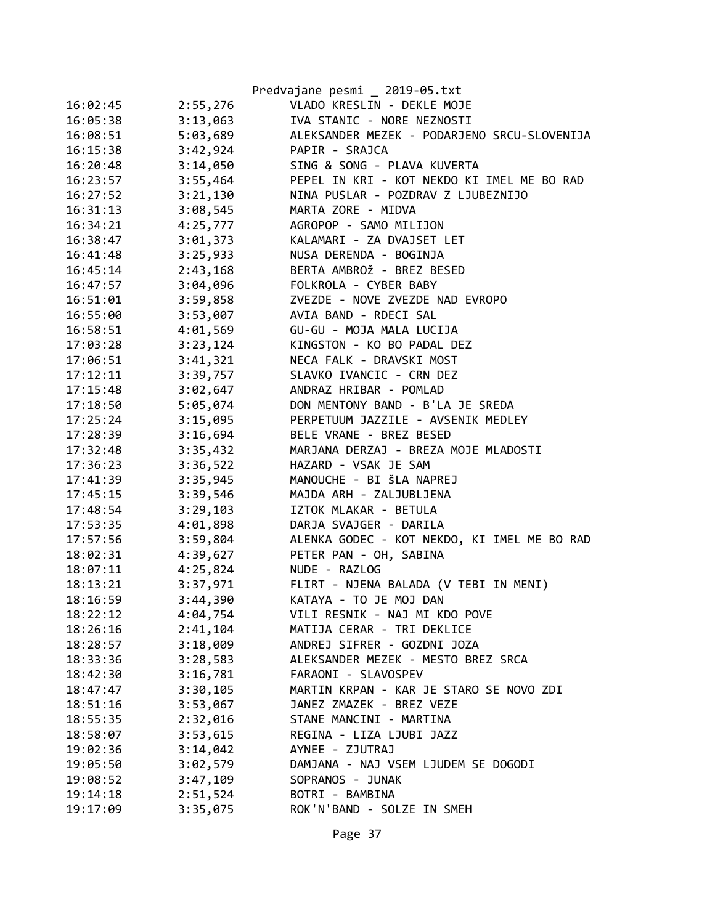|          |          | Predvajane pesmi _ 2019-05.txt              |
|----------|----------|---------------------------------------------|
| 16:02:45 | 2:55,276 | VLADO KRESLIN - DEKLE MOJE                  |
| 16:05:38 | 3:13,063 | IVA STANIC - NORE NEZNOSTI                  |
| 16:08:51 | 5:03,689 | ALEKSANDER MEZEK - PODARJENO SRCU-SLOVENIJA |
| 16:15:38 | 3:42,924 | PAPIR - SRAJCA                              |
| 16:20:48 | 3:14,050 | SING & SONG - PLAVA KUVERTA                 |
| 16:23:57 | 3:55,464 | PEPEL IN KRI - KOT NEKDO KI IMEL ME BO RAD  |
| 16:27:52 | 3:21,130 | NINA PUSLAR - POZDRAV Z LJUBEZNIJO          |
| 16:31:13 | 3:08,545 | MARTA ZORE - MIDVA                          |
| 16:34:21 | 4:25,777 | AGROPOP - SAMO MILIJON                      |
| 16:38:47 | 3:01,373 | KALAMARI - ZA DVAJSET LET                   |
| 16:41:48 | 3:25,933 | NUSA DERENDA - BOGINJA                      |
| 16:45:14 | 2:43,168 | BERTA AMBROŽ - BREZ BESED                   |
| 16:47:57 | 3:04,096 | FOLKROLA - CYBER BABY                       |
| 16:51:01 | 3:59,858 | ZVEZDE - NOVE ZVEZDE NAD EVROPO             |
| 16:55:00 | 3:53,007 | AVIA BAND - RDECI SAL                       |
| 16:58:51 | 4:01,569 | GU-GU - MOJA MALA LUCIJA                    |
| 17:03:28 | 3:23,124 | KINGSTON - KO BO PADAL DEZ                  |
| 17:06:51 | 3:41,321 | NECA FALK - DRAVSKI MOST                    |
| 17:12:11 | 3:39,757 | SLAVKO IVANCIC - CRN DEZ                    |
| 17:15:48 | 3:02,647 | ANDRAZ HRIBAR - POMLAD                      |
| 17:18:50 | 5:05,074 | DON MENTONY BAND - B'LA JE SREDA            |
| 17:25:24 | 3:15,095 | PERPETUUM JAZZILE - AVSENIK MEDLEY          |
| 17:28:39 | 3:16,694 | BELE VRANE - BREZ BESED                     |
| 17:32:48 | 3:35,432 | MARJANA DERZAJ - BREZA MOJE MLADOSTI        |
| 17:36:23 | 3:36,522 | HAZARD - VSAK JE SAM                        |
| 17:41:39 | 3:35,945 | MANOUCHE - BI ŠLA NAPREJ                    |
| 17:45:15 | 3:39,546 | MAJDA ARH - ZALJUBLJENA                     |
| 17:48:54 | 3:29,103 | IZTOK MLAKAR - BETULA                       |
| 17:53:35 | 4:01,898 | DARJA SVAJGER - DARILA                      |
| 17:57:56 | 3:59,804 | ALENKA GODEC - KOT NEKDO, KI IMEL ME BO RAD |
| 18:02:31 | 4:39,627 | PETER PAN - OH, SABINA                      |
| 18:07:11 | 4:25,824 | NUDE - RAZLOG                               |
| 18:13:21 | 3:37,971 | FLIRT - NJENA BALADA (V TEBI IN MENI)       |
| 18:16:59 | 3:44,390 | KATAYA - TO JE MOJ DAN                      |
| 18:22:12 | 4:04,754 | VILI RESNIK - NAJ MI KDO POVE               |
| 18:26:16 | 2:41,104 | MATIJA CERAR - TRI DEKLICE                  |
| 18:28:57 | 3:18,009 | ANDREJ SIFRER - GOZDNI JOZA                 |
| 18:33:36 | 3:28,583 | ALEKSANDER MEZEK - MESTO BREZ SRCA          |
| 18:42:30 | 3:16,781 | FARAONI - SLAVOSPEV                         |
| 18:47:47 | 3:30,105 | MARTIN KRPAN - KAR JE STARO SE NOVO ZDI     |
| 18:51:16 | 3:53,067 | JANEZ ZMAZEK - BREZ VEZE                    |
| 18:55:35 | 2:32,016 | STANE MANCINI - MARTINA                     |
| 18:58:07 | 3:53,615 | REGINA - LIZA LJUBI JAZZ                    |
| 19:02:36 | 3:14,042 | AYNEE - ZJUTRAJ                             |
| 19:05:50 | 3:02,579 | DAMJANA - NAJ VSEM LJUDEM SE DOGODI         |
| 19:08:52 | 3:47,109 | SOPRANOS - JUNAK                            |
| 19:14:18 | 2:51,524 | BOTRI - BAMBINA                             |
| 19:17:09 | 3:35,075 | ROK'N'BAND - SOLZE IN SMEH                  |
|          |          |                                             |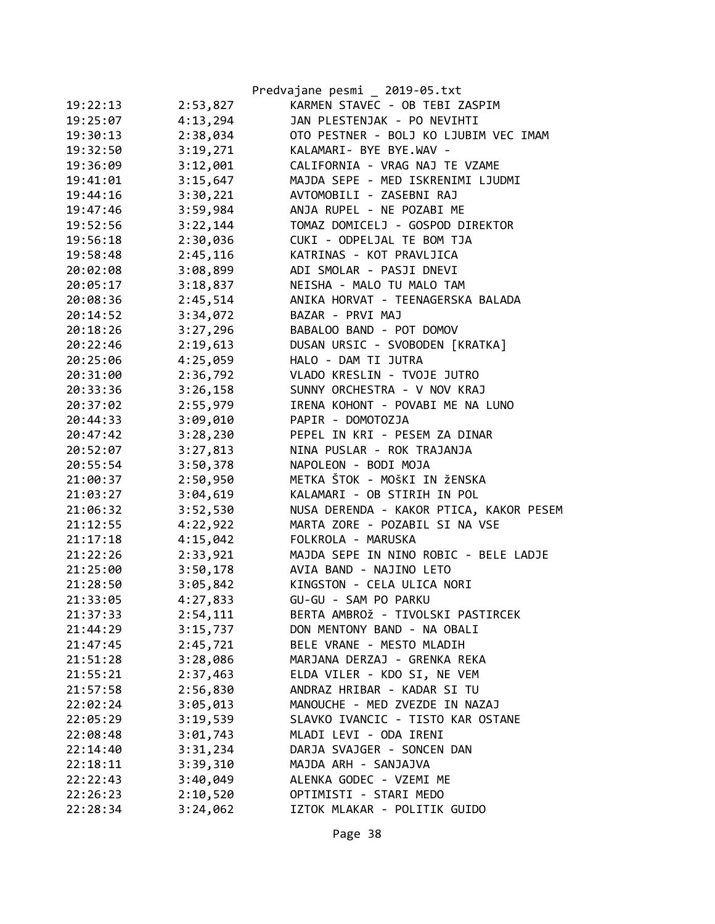|          |          | Predvajane pesmi _ 2019-05.txt          |
|----------|----------|-----------------------------------------|
| 19:22:13 | 2:53,827 | KARMEN STAVEC - OB TEBI ZASPIM          |
| 19:25:07 | 4:13,294 | JAN PLESTENJAK - PO NEVIHTI             |
| 19:30:13 | 2:38,034 | OTO PESTNER - BOLJ KO LJUBIM VEC IMAM   |
| 19:32:50 | 3:19,271 | KALAMARI- BYE BYE.WAV -                 |
| 19:36:09 | 3:12,001 | CALIFORNIA - VRAG NAJ TE VZAME          |
| 19:41:01 | 3:15,647 | MAJDA SEPE - MED ISKRENIMI LJUDMI       |
| 19:44:16 | 3:30,221 | AVTOMOBILI - ZASEBNI RAJ                |
| 19:47:46 | 3:59,984 | ANJA RUPEL - NE POZABI ME               |
| 19:52:56 | 3:22,144 | TOMAZ DOMICELJ - GOSPOD DIREKTOR        |
| 19:56:18 | 2:30,036 | CUKI - ODPELJAL TE BOM TJA              |
| 19:58:48 | 2:45,116 | KATRINAS - KOT PRAVLJICA                |
| 20:02:08 | 3:08,899 | ADI SMOLAR - PASJI DNEVI                |
| 20:05:17 | 3:18,837 | NEISHA - MALO TU MALO TAM               |
| 20:08:36 | 2:45,514 | ANIKA HORVAT - TEENAGERSKA BALADA       |
| 20:14:52 | 3:34,072 | BAZAR - PRVI MAJ                        |
| 20:18:26 | 3:27,296 | BABALOO BAND - POT DOMOV                |
| 20:22:46 | 2:19,613 | DUSAN URSIC - SVOBODEN [KRATKA]         |
| 20:25:06 | 4:25,059 | HALO - DAM TI JUTRA                     |
| 20:31:00 | 2:36,792 | VLADO KRESLIN - TVOJE JUTRO             |
| 20:33:36 | 3:26,158 | SUNNY ORCHESTRA - V NOV KRAJ            |
| 20:37:02 | 2:55,979 | IRENA KOHONT - POVABI ME NA LUNO        |
| 20:44:33 | 3:09,010 | PAPIR - DOMOTOZJA                       |
| 20:47:42 | 3:28,230 | PEPEL IN KRI - PESEM ZA DINAR           |
| 20:52:07 | 3:27,813 | NINA PUSLAR - ROK TRAJANJA              |
| 20:55:54 | 3:50,378 | NAPOLEON - BODI MOJA                    |
| 21:00:37 | 2:50,950 | METKA ŠTOK - MOŠKI IN ŽENSKA            |
| 21:03:27 | 3:04,619 | KALAMARI - OB STIRIH IN POL             |
| 21:06:32 | 3:52,530 | NUSA DERENDA - KAKOR PTICA, KAKOR PESEM |
| 21:12:55 | 4:22,922 | MARTA ZORE - POZABIL SI NA VSE          |
| 21:17:18 | 4:15,042 | FOLKROLA - MARUSKA                      |
| 21:22:26 | 2:33,921 | MAJDA SEPE IN NINO ROBIC - BELE LADJE   |
| 21:25:00 | 3:50,178 | AVIA BAND - NAJINO LETO                 |
| 21:28:50 | 3:05,842 | KINGSTON - CELA ULICA NORI              |
| 21:33:05 | 4:27,833 | GU-GU - SAM PO PARKU                    |
| 21:37:33 | 2:54,111 | BERTA AMBROŽ - TIVOLSKI PASTIRCEK       |
| 21:44:29 | 3:15,737 | DON MENTONY BAND - NA OBALI             |
| 21:47:45 | 2:45,721 | BELE VRANE - MESTO MLADIH               |
| 21:51:28 | 3:28,086 | MARJANA DERZAJ - GRENKA REKA            |
| 21:55:21 | 2:37,463 | ELDA VILER - KDO SI, NE VEM             |
| 21:57:58 | 2:56,830 | ANDRAZ HRIBAR - KADAR SI TU             |
| 22:02:24 | 3:05,013 | MANOUCHE - MED ZVEZDE IN NAZAJ          |
| 22:05:29 | 3:19,539 | SLAVKO IVANCIC - TISTO KAR OSTANE       |
| 22:08:48 | 3:01,743 | MLADI LEVI - ODA IRENI                  |
| 22:14:40 | 3:31,234 | DARJA SVAJGER - SONCEN DAN              |
| 22:18:11 | 3:39,310 | MAJDA ARH - SANJAJVA                    |
| 22:22:43 | 3:40,049 | ALENKA GODEC - VZEMI ME                 |
| 22:26:23 | 2:10,520 | OPTIMISTI - STARI MEDO                  |
| 22:28:34 | 3:24,062 | IZTOK MLAKAR - POLITIK GUIDO            |
|          |          |                                         |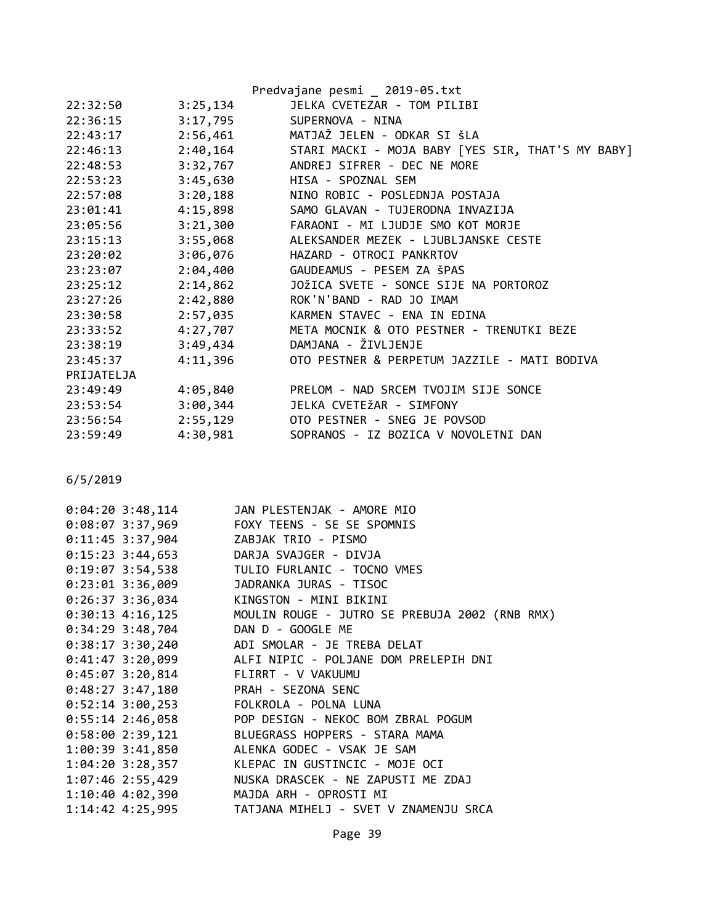|            |          | Predvajane pesmi _ 2019-05.txt                    |
|------------|----------|---------------------------------------------------|
| 22:32:50   | 3:25,134 | JELKA CVETEZAR - TOM PILIBI                       |
| 22:36:15   | 3:17,795 | SUPERNOVA - NINA                                  |
| 22:43:17   | 2:56,461 | MATJAŽ JELEN - ODKAR SI ŠLA                       |
| 22:46:13   | 2:40,164 | STARI MACKI - MOJA BABY [YES SIR, THAT'S MY BABY] |
| 22:48:53   | 3:32,767 | ANDREJ SIFRER - DEC NE MORE                       |
| 22:53:23   | 3:45,630 | HISA - SPOZNAL SEM                                |
| 22:57:08   | 3:20,188 | NINO ROBIC - POSLEDNJA POSTAJA                    |
| 23:01:41   |          | 4:15,898 SAMO GLAVAN - TUJERODNA INVAZIJA         |
| 23:05:56   | 3:21,300 | FARAONI - MI LJUDJE SMO KOT MORJE                 |
| 23:15:13   | 3:55,068 | ALEKSANDER MEZEK - LJUBLJANSKE CESTE              |
| 23:20:02   | 3:06,076 | HAZARD - OTROCI PANKRTOV                          |
| 23:23:07   | 2:04,400 | GAUDEAMUS - PESEM ZA ŠPAS                         |
| 23:25:12   | 2:14,862 | JOŽICA SVETE - SONCE SIJE NA PORTOROZ             |
| 23:27:26   | 2:42,880 | ROK'N'BAND - RAD JO IMAM                          |
| 23:30:58   | 2:57,035 | KARMEN STAVEC - ENA IN EDINA                      |
| 23:33:52   | 4:27,707 | META MOCNIK & OTO PESTNER - TRENUTKI BEZE         |
| 23:38:19   | 3:49,434 | DAMJANA - ŽIVLJENJE                               |
| 23:45:37   | 4:11,396 | OTO PESTNER & PERPETUM JAZZILE - MATI BODIVA      |
| PRIJATELJA |          |                                                   |
| 23:49:49   | 4:05,840 | PRELOM - NAD SRCEM TVOJIM SIJE SONCE              |
| 23:53:54   | 3:00,344 | JELKA CVETEŽAR - SIMFONY                          |
| 23:56:54   | 2:55,129 | OTO PESTNER - SNEG JE POVSOD                      |
| 23:59:49   | 4:30,981 | SOPRANOS - IZ BOZICA V NOVOLETNI DAN              |

| $0:04:20$ 3:48,114                     | JAN PLESTENJAK - AMORE MIO                                      |
|----------------------------------------|-----------------------------------------------------------------|
| 0:08:07 3:37,969                       | FOXY TEENS - SE SE SPOMNIS                                      |
| 0:11:45 3:37,904 ZABJAK TRIO - PISMO   |                                                                 |
| 0:15:23 3:44,653 DARJA SVAJGER - DIVJA |                                                                 |
|                                        | 0:19:07 3:54,538 TULIO FURLANIC - TOCNO VMES                    |
| $0:23:01$ 3:36,009                     | JADRANKA JURAS - TISOC                                          |
| $0:26:37$ 3:36,034                     | KINGSTON - MINI BIKINI                                          |
|                                        | 0:30:13 4:16,125 MOULIN ROUGE - JUTRO SE PREBUJA 2002 (RNB RMX) |
| 0:34:29 3:48,704 DAN D - GOOGLE ME     |                                                                 |
| $0:38:17$ 3:30,240                     | ADI SMOLAR - JE TREBA DELAT                                     |
| $0:41:47$ 3:20,099                     | ALFI NIPIC - POLJANE DOM PRELEPIH DNI                           |
| $0:45:07$ 3:20,814                     | FLIRRT - V VAKUUMU                                              |
| 0:48:27 3:47,180 PRAH - SEZONA SENC    |                                                                 |
| 0:52:14 3:00,253 FOLKROLA - POLNA LUNA |                                                                 |
| $0:55:14$ 2:46,058                     | POP DESIGN - NEKOC BOM ZBRAL POGUM                              |
| 0:58:00 2:39,121                       | BLUEGRASS HOPPERS - STARA MAMA                                  |
|                                        | 1:00:39 3:41,850 ALENKA GODEC - VSAK JE SAM                     |
| $1:04:20$ 3:28,357                     | KLEPAC IN GUSTINCIC - MOJE OCI                                  |
| 1:07:46 2:55,429                       | NUSKA DRASCEK - NE ZAPUSTI ME ZDAJ                              |
| 1:10:40 4:02,390                       | MAJDA ARH - OPROSTI MI                                          |
|                                        | 1:14:42 4:25,995 TATJANA MIHELJ - SVET V ZNAMENJU SRCA          |
|                                        |                                                                 |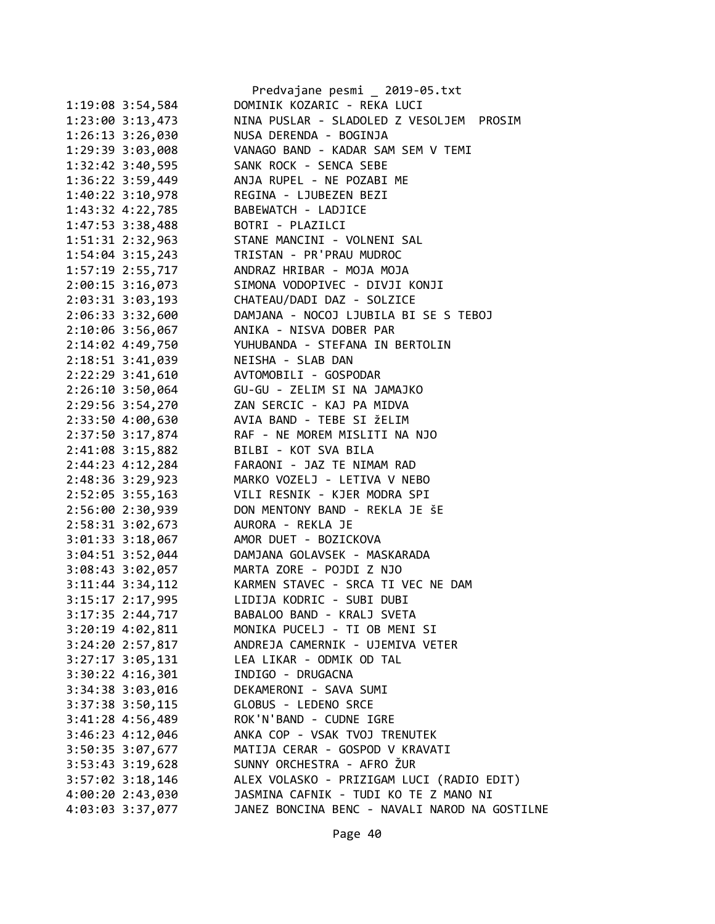| DOMINIK KOZARIC - REKA LUCI<br>1:19:08 3:54,584<br>NINA PUSLAR - SLADOLED Z VESOLJEM PROSIM<br>$1:23:00$ $3:13,473$<br>$1:26:13$ $3:26,030$<br>NUSA DERENDA - BOGINJA<br>1:29:39 3:03,008<br>VANAGO BAND - KADAR SAM SEM V TEMI<br>$1:32:42$ 3:40,595<br>SANK ROCK - SENCA SEBE<br>1:36:22 3:59,449<br>ANJA RUPEL - NE POZABI ME<br>1:40:22 3:10,978<br>REGINA - LJUBEZEN BEZI<br>1:43:32 4:22,785<br>BABEWATCH - LADJICE<br>$1:47:53$ 3:38,488<br>BOTRI - PLAZILCI<br>1:51:31 2:32,963<br>STANE MANCINI - VOLNENI SAL<br>$1:54:04$ 3:15,243<br>TRISTAN - PR'PRAU MUDROC<br>1:57:19 2:55,717<br>ANDRAZ HRIBAR - MOJA MOJA<br>$2:00:15$ 3:16,073<br>SIMONA VODOPIVEC - DIVJI KONJI<br>2:03:31 3:03,193<br>CHATEAU/DADI DAZ - SOLZICE<br>2:06:33 3:32,600<br>DAMJANA - NOCOJ LJUBILA BI SE S TEBOJ<br>ANIKA - NISVA DOBER PAR<br>2:10:06 3:56,067<br>YUHUBANDA - STEFANA IN BERTOLIN<br>2:14:02 4:49,750<br>2:18:51 3:41,039<br>NEISHA - SLAB DAN<br>$2:22:29$ $3:41,610$<br>AVTOMOBILI - GOSPODAR<br>$2:26:10$ 3:50,064<br>GU-GU - ZELIM SI NA JAMAJKO<br>ZAN SERCIC - KAJ PA MIDVA<br>2:29:56 3:54,270<br>AVIA BAND - TEBE SI ŽELIM<br>2:33:50 4:00,630<br>2:37:50 3:17,874<br>RAF - NE MOREM MISLITI NA NJO<br>2:41:08 3:15,882<br>BILBI - KOT SVA BILA<br>2:44:23 4:12,284<br>FARAONI - JAZ TE NIMAM RAD<br>2:48:36 3:29,923<br>MARKO VOZELJ - LETIVA V NEBO<br>2:52:05 3:55,163<br>VILI RESNIK - KJER MODRA SPI<br>DON MENTONY BAND - REKLA JE ŠE<br>2:56:00 2:30,939<br>2:58:31 3:02,673<br>AURORA - REKLA JE<br>$3:01:33$ $3:18,067$<br>AMOR DUET - BOZICKOVA<br>3:04:51 3:52,044<br>DAMJANA GOLAVSEK - MASKARADA<br>3:08:43 3:02,057<br>MARTA ZORE - POJDI Z NJO<br>KARMEN STAVEC - SRCA TI VEC NE DAM<br>$3:11:44$ $3:34,112$<br>LIDIJA KODRIC - SUBI DUBI<br>3:15:17 2:17,995<br>3:17:35 2:44,717<br>BABALOO BAND - KRALJ SVETA<br>MONIKA PUCELJ - TI OB MENI SI<br>3:20:19 4:02,811<br>3:24:20 2:57,817<br>ANDREJA CAMERNIK - UJEMIVA VETER<br>$3:27:17$ $3:05$ , 131<br>LEA LIKAR - ODMIK OD TAL<br>3:30:22 4:16,301<br>INDIGO - DRUGACNA<br>3:34:38 3:03,016<br>DEKAMERONI - SAVA SUMI<br>GLOBUS - LEDENO SRCE<br>3:37:38 3:50,115<br>ROK'N'BAND - CUDNE IGRE<br>3:41:28 4:56,489<br>ANKA COP - VSAK TVOJ TRENUTEK<br>3:46:23 4:12,046<br>3:50:35 3:07,677<br>MATIJA CERAR - GOSPOD V KRAVATI<br>SUNNY ORCHESTRA - AFRO ŽUR<br>3:53:43 3:19,628<br>ALEX VOLASKO - PRIZIGAM LUCI (RADIO EDIT)<br>$3:57:02$ $3:18,146$<br>JASMINA CAFNIK - TUDI KO TE Z MANO NI<br>4:00:20 2:43,030<br>4:03:03 3:37,077 |  | Predvajane pesmi _ 2019-05.txt                |
|------------------------------------------------------------------------------------------------------------------------------------------------------------------------------------------------------------------------------------------------------------------------------------------------------------------------------------------------------------------------------------------------------------------------------------------------------------------------------------------------------------------------------------------------------------------------------------------------------------------------------------------------------------------------------------------------------------------------------------------------------------------------------------------------------------------------------------------------------------------------------------------------------------------------------------------------------------------------------------------------------------------------------------------------------------------------------------------------------------------------------------------------------------------------------------------------------------------------------------------------------------------------------------------------------------------------------------------------------------------------------------------------------------------------------------------------------------------------------------------------------------------------------------------------------------------------------------------------------------------------------------------------------------------------------------------------------------------------------------------------------------------------------------------------------------------------------------------------------------------------------------------------------------------------------------------------------------------------------------------------------------------------------------------------------------------------------------------------------------------------------------------------------------------------------------------------------------------------------------------------------------------------------------------------------------------------------------------------------------------------------------------------------------------------------------------------------------------------------------------------------------------|--|-----------------------------------------------|
|                                                                                                                                                                                                                                                                                                                                                                                                                                                                                                                                                                                                                                                                                                                                                                                                                                                                                                                                                                                                                                                                                                                                                                                                                                                                                                                                                                                                                                                                                                                                                                                                                                                                                                                                                                                                                                                                                                                                                                                                                                                                                                                                                                                                                                                                                                                                                                                                                                                                                                                  |  |                                               |
|                                                                                                                                                                                                                                                                                                                                                                                                                                                                                                                                                                                                                                                                                                                                                                                                                                                                                                                                                                                                                                                                                                                                                                                                                                                                                                                                                                                                                                                                                                                                                                                                                                                                                                                                                                                                                                                                                                                                                                                                                                                                                                                                                                                                                                                                                                                                                                                                                                                                                                                  |  |                                               |
|                                                                                                                                                                                                                                                                                                                                                                                                                                                                                                                                                                                                                                                                                                                                                                                                                                                                                                                                                                                                                                                                                                                                                                                                                                                                                                                                                                                                                                                                                                                                                                                                                                                                                                                                                                                                                                                                                                                                                                                                                                                                                                                                                                                                                                                                                                                                                                                                                                                                                                                  |  |                                               |
|                                                                                                                                                                                                                                                                                                                                                                                                                                                                                                                                                                                                                                                                                                                                                                                                                                                                                                                                                                                                                                                                                                                                                                                                                                                                                                                                                                                                                                                                                                                                                                                                                                                                                                                                                                                                                                                                                                                                                                                                                                                                                                                                                                                                                                                                                                                                                                                                                                                                                                                  |  |                                               |
|                                                                                                                                                                                                                                                                                                                                                                                                                                                                                                                                                                                                                                                                                                                                                                                                                                                                                                                                                                                                                                                                                                                                                                                                                                                                                                                                                                                                                                                                                                                                                                                                                                                                                                                                                                                                                                                                                                                                                                                                                                                                                                                                                                                                                                                                                                                                                                                                                                                                                                                  |  |                                               |
|                                                                                                                                                                                                                                                                                                                                                                                                                                                                                                                                                                                                                                                                                                                                                                                                                                                                                                                                                                                                                                                                                                                                                                                                                                                                                                                                                                                                                                                                                                                                                                                                                                                                                                                                                                                                                                                                                                                                                                                                                                                                                                                                                                                                                                                                                                                                                                                                                                                                                                                  |  |                                               |
|                                                                                                                                                                                                                                                                                                                                                                                                                                                                                                                                                                                                                                                                                                                                                                                                                                                                                                                                                                                                                                                                                                                                                                                                                                                                                                                                                                                                                                                                                                                                                                                                                                                                                                                                                                                                                                                                                                                                                                                                                                                                                                                                                                                                                                                                                                                                                                                                                                                                                                                  |  |                                               |
|                                                                                                                                                                                                                                                                                                                                                                                                                                                                                                                                                                                                                                                                                                                                                                                                                                                                                                                                                                                                                                                                                                                                                                                                                                                                                                                                                                                                                                                                                                                                                                                                                                                                                                                                                                                                                                                                                                                                                                                                                                                                                                                                                                                                                                                                                                                                                                                                                                                                                                                  |  |                                               |
|                                                                                                                                                                                                                                                                                                                                                                                                                                                                                                                                                                                                                                                                                                                                                                                                                                                                                                                                                                                                                                                                                                                                                                                                                                                                                                                                                                                                                                                                                                                                                                                                                                                                                                                                                                                                                                                                                                                                                                                                                                                                                                                                                                                                                                                                                                                                                                                                                                                                                                                  |  |                                               |
|                                                                                                                                                                                                                                                                                                                                                                                                                                                                                                                                                                                                                                                                                                                                                                                                                                                                                                                                                                                                                                                                                                                                                                                                                                                                                                                                                                                                                                                                                                                                                                                                                                                                                                                                                                                                                                                                                                                                                                                                                                                                                                                                                                                                                                                                                                                                                                                                                                                                                                                  |  |                                               |
|                                                                                                                                                                                                                                                                                                                                                                                                                                                                                                                                                                                                                                                                                                                                                                                                                                                                                                                                                                                                                                                                                                                                                                                                                                                                                                                                                                                                                                                                                                                                                                                                                                                                                                                                                                                                                                                                                                                                                                                                                                                                                                                                                                                                                                                                                                                                                                                                                                                                                                                  |  |                                               |
|                                                                                                                                                                                                                                                                                                                                                                                                                                                                                                                                                                                                                                                                                                                                                                                                                                                                                                                                                                                                                                                                                                                                                                                                                                                                                                                                                                                                                                                                                                                                                                                                                                                                                                                                                                                                                                                                                                                                                                                                                                                                                                                                                                                                                                                                                                                                                                                                                                                                                                                  |  |                                               |
|                                                                                                                                                                                                                                                                                                                                                                                                                                                                                                                                                                                                                                                                                                                                                                                                                                                                                                                                                                                                                                                                                                                                                                                                                                                                                                                                                                                                                                                                                                                                                                                                                                                                                                                                                                                                                                                                                                                                                                                                                                                                                                                                                                                                                                                                                                                                                                                                                                                                                                                  |  |                                               |
|                                                                                                                                                                                                                                                                                                                                                                                                                                                                                                                                                                                                                                                                                                                                                                                                                                                                                                                                                                                                                                                                                                                                                                                                                                                                                                                                                                                                                                                                                                                                                                                                                                                                                                                                                                                                                                                                                                                                                                                                                                                                                                                                                                                                                                                                                                                                                                                                                                                                                                                  |  |                                               |
|                                                                                                                                                                                                                                                                                                                                                                                                                                                                                                                                                                                                                                                                                                                                                                                                                                                                                                                                                                                                                                                                                                                                                                                                                                                                                                                                                                                                                                                                                                                                                                                                                                                                                                                                                                                                                                                                                                                                                                                                                                                                                                                                                                                                                                                                                                                                                                                                                                                                                                                  |  |                                               |
|                                                                                                                                                                                                                                                                                                                                                                                                                                                                                                                                                                                                                                                                                                                                                                                                                                                                                                                                                                                                                                                                                                                                                                                                                                                                                                                                                                                                                                                                                                                                                                                                                                                                                                                                                                                                                                                                                                                                                                                                                                                                                                                                                                                                                                                                                                                                                                                                                                                                                                                  |  |                                               |
|                                                                                                                                                                                                                                                                                                                                                                                                                                                                                                                                                                                                                                                                                                                                                                                                                                                                                                                                                                                                                                                                                                                                                                                                                                                                                                                                                                                                                                                                                                                                                                                                                                                                                                                                                                                                                                                                                                                                                                                                                                                                                                                                                                                                                                                                                                                                                                                                                                                                                                                  |  |                                               |
|                                                                                                                                                                                                                                                                                                                                                                                                                                                                                                                                                                                                                                                                                                                                                                                                                                                                                                                                                                                                                                                                                                                                                                                                                                                                                                                                                                                                                                                                                                                                                                                                                                                                                                                                                                                                                                                                                                                                                                                                                                                                                                                                                                                                                                                                                                                                                                                                                                                                                                                  |  |                                               |
|                                                                                                                                                                                                                                                                                                                                                                                                                                                                                                                                                                                                                                                                                                                                                                                                                                                                                                                                                                                                                                                                                                                                                                                                                                                                                                                                                                                                                                                                                                                                                                                                                                                                                                                                                                                                                                                                                                                                                                                                                                                                                                                                                                                                                                                                                                                                                                                                                                                                                                                  |  |                                               |
|                                                                                                                                                                                                                                                                                                                                                                                                                                                                                                                                                                                                                                                                                                                                                                                                                                                                                                                                                                                                                                                                                                                                                                                                                                                                                                                                                                                                                                                                                                                                                                                                                                                                                                                                                                                                                                                                                                                                                                                                                                                                                                                                                                                                                                                                                                                                                                                                                                                                                                                  |  |                                               |
|                                                                                                                                                                                                                                                                                                                                                                                                                                                                                                                                                                                                                                                                                                                                                                                                                                                                                                                                                                                                                                                                                                                                                                                                                                                                                                                                                                                                                                                                                                                                                                                                                                                                                                                                                                                                                                                                                                                                                                                                                                                                                                                                                                                                                                                                                                                                                                                                                                                                                                                  |  |                                               |
|                                                                                                                                                                                                                                                                                                                                                                                                                                                                                                                                                                                                                                                                                                                                                                                                                                                                                                                                                                                                                                                                                                                                                                                                                                                                                                                                                                                                                                                                                                                                                                                                                                                                                                                                                                                                                                                                                                                                                                                                                                                                                                                                                                                                                                                                                                                                                                                                                                                                                                                  |  |                                               |
|                                                                                                                                                                                                                                                                                                                                                                                                                                                                                                                                                                                                                                                                                                                                                                                                                                                                                                                                                                                                                                                                                                                                                                                                                                                                                                                                                                                                                                                                                                                                                                                                                                                                                                                                                                                                                                                                                                                                                                                                                                                                                                                                                                                                                                                                                                                                                                                                                                                                                                                  |  |                                               |
|                                                                                                                                                                                                                                                                                                                                                                                                                                                                                                                                                                                                                                                                                                                                                                                                                                                                                                                                                                                                                                                                                                                                                                                                                                                                                                                                                                                                                                                                                                                                                                                                                                                                                                                                                                                                                                                                                                                                                                                                                                                                                                                                                                                                                                                                                                                                                                                                                                                                                                                  |  |                                               |
|                                                                                                                                                                                                                                                                                                                                                                                                                                                                                                                                                                                                                                                                                                                                                                                                                                                                                                                                                                                                                                                                                                                                                                                                                                                                                                                                                                                                                                                                                                                                                                                                                                                                                                                                                                                                                                                                                                                                                                                                                                                                                                                                                                                                                                                                                                                                                                                                                                                                                                                  |  |                                               |
|                                                                                                                                                                                                                                                                                                                                                                                                                                                                                                                                                                                                                                                                                                                                                                                                                                                                                                                                                                                                                                                                                                                                                                                                                                                                                                                                                                                                                                                                                                                                                                                                                                                                                                                                                                                                                                                                                                                                                                                                                                                                                                                                                                                                                                                                                                                                                                                                                                                                                                                  |  |                                               |
|                                                                                                                                                                                                                                                                                                                                                                                                                                                                                                                                                                                                                                                                                                                                                                                                                                                                                                                                                                                                                                                                                                                                                                                                                                                                                                                                                                                                                                                                                                                                                                                                                                                                                                                                                                                                                                                                                                                                                                                                                                                                                                                                                                                                                                                                                                                                                                                                                                                                                                                  |  |                                               |
|                                                                                                                                                                                                                                                                                                                                                                                                                                                                                                                                                                                                                                                                                                                                                                                                                                                                                                                                                                                                                                                                                                                                                                                                                                                                                                                                                                                                                                                                                                                                                                                                                                                                                                                                                                                                                                                                                                                                                                                                                                                                                                                                                                                                                                                                                                                                                                                                                                                                                                                  |  |                                               |
|                                                                                                                                                                                                                                                                                                                                                                                                                                                                                                                                                                                                                                                                                                                                                                                                                                                                                                                                                                                                                                                                                                                                                                                                                                                                                                                                                                                                                                                                                                                                                                                                                                                                                                                                                                                                                                                                                                                                                                                                                                                                                                                                                                                                                                                                                                                                                                                                                                                                                                                  |  |                                               |
|                                                                                                                                                                                                                                                                                                                                                                                                                                                                                                                                                                                                                                                                                                                                                                                                                                                                                                                                                                                                                                                                                                                                                                                                                                                                                                                                                                                                                                                                                                                                                                                                                                                                                                                                                                                                                                                                                                                                                                                                                                                                                                                                                                                                                                                                                                                                                                                                                                                                                                                  |  |                                               |
|                                                                                                                                                                                                                                                                                                                                                                                                                                                                                                                                                                                                                                                                                                                                                                                                                                                                                                                                                                                                                                                                                                                                                                                                                                                                                                                                                                                                                                                                                                                                                                                                                                                                                                                                                                                                                                                                                                                                                                                                                                                                                                                                                                                                                                                                                                                                                                                                                                                                                                                  |  |                                               |
|                                                                                                                                                                                                                                                                                                                                                                                                                                                                                                                                                                                                                                                                                                                                                                                                                                                                                                                                                                                                                                                                                                                                                                                                                                                                                                                                                                                                                                                                                                                                                                                                                                                                                                                                                                                                                                                                                                                                                                                                                                                                                                                                                                                                                                                                                                                                                                                                                                                                                                                  |  |                                               |
|                                                                                                                                                                                                                                                                                                                                                                                                                                                                                                                                                                                                                                                                                                                                                                                                                                                                                                                                                                                                                                                                                                                                                                                                                                                                                                                                                                                                                                                                                                                                                                                                                                                                                                                                                                                                                                                                                                                                                                                                                                                                                                                                                                                                                                                                                                                                                                                                                                                                                                                  |  |                                               |
|                                                                                                                                                                                                                                                                                                                                                                                                                                                                                                                                                                                                                                                                                                                                                                                                                                                                                                                                                                                                                                                                                                                                                                                                                                                                                                                                                                                                                                                                                                                                                                                                                                                                                                                                                                                                                                                                                                                                                                                                                                                                                                                                                                                                                                                                                                                                                                                                                                                                                                                  |  |                                               |
|                                                                                                                                                                                                                                                                                                                                                                                                                                                                                                                                                                                                                                                                                                                                                                                                                                                                                                                                                                                                                                                                                                                                                                                                                                                                                                                                                                                                                                                                                                                                                                                                                                                                                                                                                                                                                                                                                                                                                                                                                                                                                                                                                                                                                                                                                                                                                                                                                                                                                                                  |  |                                               |
|                                                                                                                                                                                                                                                                                                                                                                                                                                                                                                                                                                                                                                                                                                                                                                                                                                                                                                                                                                                                                                                                                                                                                                                                                                                                                                                                                                                                                                                                                                                                                                                                                                                                                                                                                                                                                                                                                                                                                                                                                                                                                                                                                                                                                                                                                                                                                                                                                                                                                                                  |  |                                               |
|                                                                                                                                                                                                                                                                                                                                                                                                                                                                                                                                                                                                                                                                                                                                                                                                                                                                                                                                                                                                                                                                                                                                                                                                                                                                                                                                                                                                                                                                                                                                                                                                                                                                                                                                                                                                                                                                                                                                                                                                                                                                                                                                                                                                                                                                                                                                                                                                                                                                                                                  |  |                                               |
|                                                                                                                                                                                                                                                                                                                                                                                                                                                                                                                                                                                                                                                                                                                                                                                                                                                                                                                                                                                                                                                                                                                                                                                                                                                                                                                                                                                                                                                                                                                                                                                                                                                                                                                                                                                                                                                                                                                                                                                                                                                                                                                                                                                                                                                                                                                                                                                                                                                                                                                  |  |                                               |
|                                                                                                                                                                                                                                                                                                                                                                                                                                                                                                                                                                                                                                                                                                                                                                                                                                                                                                                                                                                                                                                                                                                                                                                                                                                                                                                                                                                                                                                                                                                                                                                                                                                                                                                                                                                                                                                                                                                                                                                                                                                                                                                                                                                                                                                                                                                                                                                                                                                                                                                  |  |                                               |
|                                                                                                                                                                                                                                                                                                                                                                                                                                                                                                                                                                                                                                                                                                                                                                                                                                                                                                                                                                                                                                                                                                                                                                                                                                                                                                                                                                                                                                                                                                                                                                                                                                                                                                                                                                                                                                                                                                                                                                                                                                                                                                                                                                                                                                                                                                                                                                                                                                                                                                                  |  |                                               |
|                                                                                                                                                                                                                                                                                                                                                                                                                                                                                                                                                                                                                                                                                                                                                                                                                                                                                                                                                                                                                                                                                                                                                                                                                                                                                                                                                                                                                                                                                                                                                                                                                                                                                                                                                                                                                                                                                                                                                                                                                                                                                                                                                                                                                                                                                                                                                                                                                                                                                                                  |  |                                               |
|                                                                                                                                                                                                                                                                                                                                                                                                                                                                                                                                                                                                                                                                                                                                                                                                                                                                                                                                                                                                                                                                                                                                                                                                                                                                                                                                                                                                                                                                                                                                                                                                                                                                                                                                                                                                                                                                                                                                                                                                                                                                                                                                                                                                                                                                                                                                                                                                                                                                                                                  |  |                                               |
|                                                                                                                                                                                                                                                                                                                                                                                                                                                                                                                                                                                                                                                                                                                                                                                                                                                                                                                                                                                                                                                                                                                                                                                                                                                                                                                                                                                                                                                                                                                                                                                                                                                                                                                                                                                                                                                                                                                                                                                                                                                                                                                                                                                                                                                                                                                                                                                                                                                                                                                  |  |                                               |
|                                                                                                                                                                                                                                                                                                                                                                                                                                                                                                                                                                                                                                                                                                                                                                                                                                                                                                                                                                                                                                                                                                                                                                                                                                                                                                                                                                                                                                                                                                                                                                                                                                                                                                                                                                                                                                                                                                                                                                                                                                                                                                                                                                                                                                                                                                                                                                                                                                                                                                                  |  |                                               |
|                                                                                                                                                                                                                                                                                                                                                                                                                                                                                                                                                                                                                                                                                                                                                                                                                                                                                                                                                                                                                                                                                                                                                                                                                                                                                                                                                                                                                                                                                                                                                                                                                                                                                                                                                                                                                                                                                                                                                                                                                                                                                                                                                                                                                                                                                                                                                                                                                                                                                                                  |  |                                               |
|                                                                                                                                                                                                                                                                                                                                                                                                                                                                                                                                                                                                                                                                                                                                                                                                                                                                                                                                                                                                                                                                                                                                                                                                                                                                                                                                                                                                                                                                                                                                                                                                                                                                                                                                                                                                                                                                                                                                                                                                                                                                                                                                                                                                                                                                                                                                                                                                                                                                                                                  |  |                                               |
|                                                                                                                                                                                                                                                                                                                                                                                                                                                                                                                                                                                                                                                                                                                                                                                                                                                                                                                                                                                                                                                                                                                                                                                                                                                                                                                                                                                                                                                                                                                                                                                                                                                                                                                                                                                                                                                                                                                                                                                                                                                                                                                                                                                                                                                                                                                                                                                                                                                                                                                  |  |                                               |
|                                                                                                                                                                                                                                                                                                                                                                                                                                                                                                                                                                                                                                                                                                                                                                                                                                                                                                                                                                                                                                                                                                                                                                                                                                                                                                                                                                                                                                                                                                                                                                                                                                                                                                                                                                                                                                                                                                                                                                                                                                                                                                                                                                                                                                                                                                                                                                                                                                                                                                                  |  | JANEZ BONCINA BENC - NAVALI NAROD NA GOSTILNE |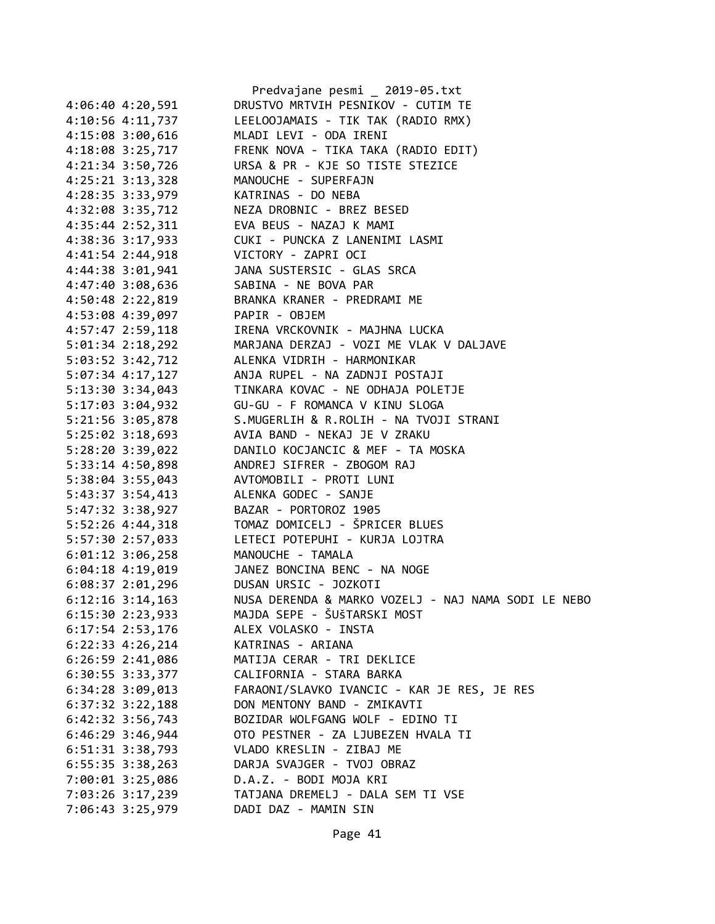|                      | Predvajane pesmi _ 2019-05.txt                      |
|----------------------|-----------------------------------------------------|
| $4:06:40$ $4:20,591$ | DRUSTVO MRTVIH PESNIKOV - CUTIM TE                  |
| 4:10:56 4:11,737     | LEELOOJAMAIS - TIK TAK (RADIO RMX)                  |
| 4:15:08 3:00,616     | MLADI LEVI - ODA IRENI                              |
| 4:18:08 3:25,717     | FRENK NOVA - TIKA TAKA (RADIO EDIT)                 |
| 4:21:34 3:50,726     | URSA & PR - KJE SO TISTE STEZICE                    |
| $4:25:21$ $3:13,328$ | MANOUCHE - SUPERFAJN                                |
| 4:28:35 3:33,979     | KATRINAS - DO NEBA                                  |
| 4:32:08 3:35,712     | NEZA DROBNIC - BREZ BESED                           |
| 4:35:44 2:52,311     | EVA BEUS - NAZAJ K MAMI                             |
| 4:38:36 3:17,933     | CUKI - PUNCKA Z LANENIMI LASMI                      |
| 4:41:54 2:44,918     | VICTORY - ZAPRI OCI                                 |
| 4:44:38 3:01,941     | JANA SUSTERSIC - GLAS SRCA                          |
| 4:47:40 3:08,636     | SABINA - NE BOVA PAR                                |
|                      | BRANKA KRANER - PREDRAMI ME                         |
| 4:50:48 2:22,819     |                                                     |
| 4:53:08 4:39,097     | PAPIR - OBJEM                                       |
| 4:57:47 2:59,118     | IRENA VRCKOVNIK - MAJHNA LUCKA                      |
| $5:01:34$ $2:18,292$ | MARJANA DERZAJ - VOZI ME VLAK V DALJAVE             |
| 5:03:52 3:42,712     | ALENKA VIDRIH - HARMONIKAR                          |
| $5:07:34$ 4:17,127   | ANJA RUPEL - NA ZADNJI POSTAJI                      |
| 5:13:30 3:34,043     | TINKARA KOVAC - NE ODHAJA POLETJE                   |
| 5:17:03 3:04,932     | GU-GU - F ROMANCA V KINU SLOGA                      |
| 5:21:56 3:05,878     | S.MUGERLIH & R.ROLIH - NA TVOJI STRANI              |
| $5:25:02$ 3:18,693   | AVIA BAND - NEKAJ JE V ZRAKU                        |
| 5:28:20 3:39,022     | DANILO KOCJANCIC & MEF - TA MOSKA                   |
| $5:33:14$ 4:50,898   | ANDREJ SIFRER - ZBOGOM RAJ                          |
| 5:38:04 3:55,043     | AVTOMOBILI - PROTI LUNI                             |
| 5:43:37 3:54,413     | ALENKA GODEC - SANJE                                |
| 5:47:32 3:38,927     | BAZAR - PORTOROZ 1905                               |
| 5:52:26 4:44,318     | TOMAZ DOMICELJ - ŠPRICER BLUES                      |
| 5:57:30 2:57,033     | LETECI POTEPUHI - KURJA LOJTRA                      |
| $6:01:12$ 3:06,258   | MANOUCHE - TAMALA                                   |
| $6:04:18$ $4:19,019$ | JANEZ BONCINA BENC - NA NOGE                        |
| $6:08:37$ 2:01,296   | DUSAN URSIC - JOZKOTI                               |
| $6:12:16$ 3:14,163   | NUSA DERENDA & MARKO VOZELJ - NAJ NAMA SODI LE NEBO |
| 6:15:30 2:23,933     | MAJDA SEPE - ŠUŠTARSKI MOST                         |
| $6:17:54$ 2:53,176   | ALEX VOLASKO - INSTA                                |
| $6:22:33$ $4:26,214$ | KATRINAS - ARIANA                                   |
| $6:26:59$ $2:41,086$ | MATIJA CERAR - TRI DEKLICE                          |
| 6:30:55 3:33,377     | CALIFORNIA - STARA BARKA                            |
| $6:34:28$ $3:09,013$ | FARAONI/SLAVKO IVANCIC - KAR JE RES, JE RES         |
| $6:37:32$ $3:22,188$ | DON MENTONY BAND - ZMIKAVTI                         |
| $6:42:32$ 3:56,743   | BOZIDAR WOLFGANG WOLF - EDINO TI                    |
| $6:46:29$ 3:46,944   | OTO PESTNER - ZA LJUBEZEN HVALA TI                  |
| 6:51:31 3:38,793     | VLADO KRESLIN - ZIBAJ ME                            |
|                      | DARJA SVAJGER - TVOJ OBRAZ                          |
| $6:55:35$ 3:38,263   |                                                     |
| 7:00:01 3:25,086     | D.A.Z. - BODI MOJA KRI                              |
| 7:03:26 3:17,239     | TATJANA DREMELJ - DALA SEM TI VSE                   |
| 7:06:43 3:25,979     | DADI DAZ - MAMIN SIN                                |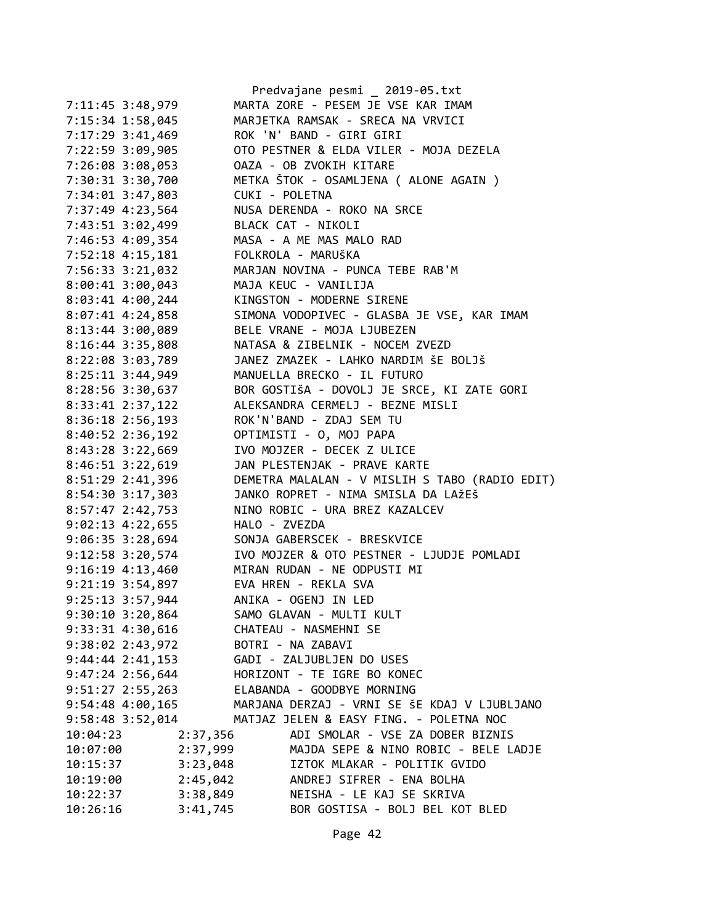|                      | Predvajane pesmi _ 2019-05.txt                   |
|----------------------|--------------------------------------------------|
| 7:11:45 3:48,979     | MARTA ZORE - PESEM JE VSE KAR IMAM               |
| 7:15:34 1:58,045     | MARJETKA RAMSAK - SRECA NA VRVICI                |
| 7:17:29 3:41,469     | ROK 'N' BAND - GIRI GIRI                         |
| 7:22:59 3:09,905     | OTO PESTNER & ELDA VILER - MOJA DEZELA           |
| 7:26:08 3:08,053     | OAZA - OB ZVOKIH KITARE                          |
| 7:30:31 3:30,700     | METKA ŠTOK - OSAMLJENA ( ALONE AGAIN )           |
| 7:34:01 3:47,803     | CUKI - POLETNA                                   |
| 7:37:49 4:23,564     | NUSA DERENDA - ROKO NA SRCE                      |
| 7:43:51 3:02,499     | BLACK CAT - NIKOLI                               |
| 7:46:53 4:09,354     | MASA - A ME MAS MALO RAD                         |
| 7:52:18 4:15,181     | FOLKROLA - MARUŠKA                               |
| 7:56:33 3:21,032     | MARJAN NOVINA - PUNCA TEBE RAB'M                 |
| 8:00:41 3:00,043     | MAJA KEUC - VANILIJA                             |
| 8:03:41 4:00,244     | KINGSTON - MODERNE SIRENE                        |
| 8:07:41 4:24,858     | SIMONA VODOPIVEC - GLASBA JE VSE, KAR IMAM       |
| 8:13:44 3:00,089     | BELE VRANE - MOJA LJUBEZEN                       |
| 8:16:44 3:35,808     | NATASA & ZIBELNIK - NOCEM ZVEZD                  |
| 8:22:08 3:03,789     | JANEZ ZMAZEK - LAHKO NARDIM ŠE BOLJŠ             |
| 8:25:11 3:44,949     | MANUELLA BRECKO - IL FUTURO                      |
| 8:28:56 3:30,637     | BOR GOSTIŠA - DOVOLJ JE SRCE, KI ZATE GORI       |
| 8:33:41 2:37,122     | ALEKSANDRA CERMELJ - BEZNE MISLI                 |
| 8:36:18 2:56,193     | ROK'N'BAND - ZDAJ SEM TU                         |
| 8:40:52 2:36,192     | OPTIMISTI - 0, MOJ PAPA                          |
| 8:43:28 3:22,669     | IVO MOJZER - DECEK Z ULICE                       |
| 8:46:51 3:22,619     | JAN PLESTENJAK - PRAVE KARTE                     |
| 8:51:29 2:41,396     | DEMETRA MALALAN - V MISLIH S TABO (RADIO EDIT)   |
| 8:54:30 3:17,303     | JANKO ROPRET - NIMA SMISLA DA LAŽEŠ              |
| 8:57:47 2:42,753     | NINO ROBIC - URA BREZ KAZALCEV                   |
| 9:02:13 4:22,655     | HALO - ZVEZDA                                    |
| 9:06:35 3:28,694     | SONJA GABERSCEK - BRESKVICE                      |
| 9:12:58 3:20,574     | IVO MOJZER & OTO PESTNER - LJUDJE POMLADI        |
| 9:16:19 4:13,460     | MIRAN RUDAN - NE ODPUSTI MI                      |
| 9:21:19 3:54,897     | EVA HREN - REKLA SVA                             |
| 9:25:13 3:57,944     | ANIKA - OGENJ IN LED                             |
| $9:30:10$ 3:20,864   | SAMO GLAVAN - MULTI KULT                         |
| 9:33:31 4:30,616     | CHATEAU - NASMEHNI SE                            |
| 9:38:02 2:43,972     | BOTRI - NA ZABAVI                                |
| $9:44:44$ $2:41,153$ | GADI - ZALJUBLJEN DO USES                        |
| $9:47:24$ 2:56,644   | HORIZONT - TE IGRE BO KONEC                      |
| $9:51:27$ 2:55,263   | ELABANDA - GOODBYE MORNING                       |
| $9:54:48$ $4:00,165$ | MARJANA DERZAJ - VRNI SE ŠE KDAJ V LJUBLJANO     |
| 9:58:48 3:52,014     | MATJAZ JELEN & EASY FING. - POLETNA NOC          |
| 10:04:23             | ADI SMOLAR - VSE ZA DOBER BIZNIS<br>2:37,356     |
| 10:07:00             | 2:37,999<br>MAJDA SEPE & NINO ROBIC - BELE LADJE |
| 10:15:37             | IZTOK MLAKAR - POLITIK GVIDO<br>3:23,048         |
| 10:19:00             | ANDREJ SIFRER - ENA BOLHA<br>2:45,042            |
| 10:22:37             | 3:38,849<br>NEISHA - LE KAJ SE SKRIVA            |
| 10:26:16             | 3:41,745<br>BOR GOSTISA - BOLJ BEL KOT BLED      |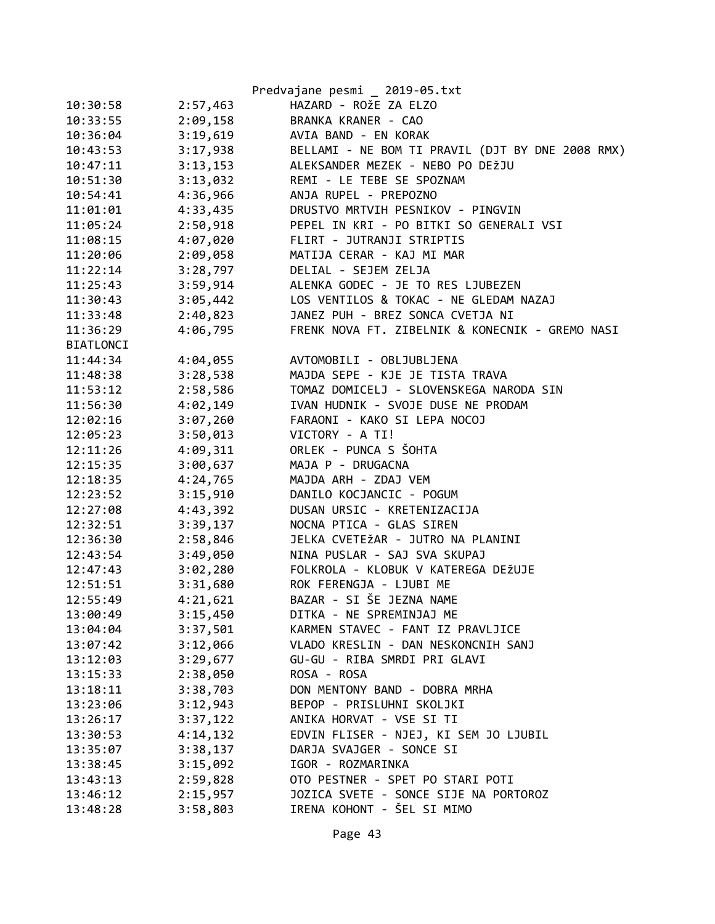|           |          | Predvajane pesmi _ 2019-05.txt                   |
|-----------|----------|--------------------------------------------------|
| 10:30:58  | 2:57,463 | HAZARD - ROŽE ZA ELZO                            |
| 10:33:55  | 2:09,158 | BRANKA KRANER - CAO                              |
| 10:36:04  | 3:19,619 | AVIA BAND - EN KORAK                             |
| 10:43:53  | 3:17,938 | BELLAMI - NE BOM TI PRAVIL (DJT BY DNE 2008 RMX) |
| 10:47:11  | 3:13,153 | ALEKSANDER MEZEK - NEBO PO DEŽJU                 |
| 10:51:30  | 3:13,032 | REMI - LE TEBE SE SPOZNAM                        |
| 10:54:41  | 4:36,966 | ANJA RUPEL - PREPOZNO                            |
| 11:01:01  | 4:33,435 | DRUSTVO MRTVIH PESNIKOV - PINGVIN                |
| 11:05:24  | 2:50,918 | PEPEL IN KRI - PO BITKI SO GENERALI VSI          |
| 11:08:15  | 4:07,020 | FLIRT - JUTRANJI STRIPTIS                        |
| 11:20:06  | 2:09,058 | MATIJA CERAR - KAJ MI MAR                        |
| 11:22:14  | 3:28,797 | DELIAL - SEJEM ZELJA                             |
| 11:25:43  | 3:59,914 | ALENKA GODEC - JE TO RES LJUBEZEN                |
| 11:30:43  | 3:05,442 | LOS VENTILOS & TOKAC - NE GLEDAM NAZAJ           |
| 11:33:48  | 2:40,823 | JANEZ PUH - BREZ SONCA CVETJA NI                 |
| 11:36:29  | 4:06,795 | FRENK NOVA FT. ZIBELNIK & KONECNIK - GREMO NASI  |
| BIATLONCI |          |                                                  |
| 11:44:34  | 4:04,055 | AVTOMOBILI - OBLJUBLJENA                         |
| 11:48:38  | 3:28,538 | MAJDA SEPE - KJE JE TISTA TRAVA                  |
| 11:53:12  | 2:58,586 | TOMAZ DOMICELJ - SLOVENSKEGA NARODA SIN          |
| 11:56:30  | 4:02,149 | IVAN HUDNIK - SVOJE DUSE NE PRODAM               |
| 12:02:16  | 3:07,260 | FARAONI - KAKO SI LEPA NOCOJ                     |
| 12:05:23  | 3:50,013 | VICTORY - A TI!                                  |
| 12:11:26  | 4:09,311 | ORLEK - PUNCA S ŠOHTA                            |
| 12:15:35  | 3:00,637 | MAJA P - DRUGACNA                                |
| 12:18:35  | 4:24,765 | MAJDA ARH - ZDAJ VEM                             |
| 12:23:52  | 3:15,910 | DANILO KOCJANCIC - POGUM                         |
| 12:27:08  | 4:43,392 | DUSAN URSIC - KRETENIZACIJA                      |
| 12:32:51  | 3:39,137 | NOCNA PTICA - GLAS SIREN                         |
| 12:36:30  | 2:58,846 | JELKA CVETEŽAR - JUTRO NA PLANINI                |
| 12:43:54  | 3:49,050 | NINA PUSLAR - SAJ SVA SKUPAJ                     |
| 12:47:43  | 3:02,280 | FOLKROLA - KLOBUK V KATEREGA DEŽUJE              |
| 12:51:51  | 3:31,680 | ROK FERENGJA - LJUBI ME                          |
| 12:55:49  | 4:21,621 | BAZAR - SI ŠE JEZNA NAME                         |
| 13:00:49  | 3:15,450 | DITKA - NE SPREMINJAJ ME                         |
| 13:04:04  | 3:37,501 | KARMEN STAVEC - FANT IZ PRAVLJICE                |
| 13:07:42  | 3:12,066 | VLADO KRESLIN - DAN NESKONCNIH SANJ              |
| 13:12:03  | 3:29,677 | GU-GU - RIBA SMRDI PRI GLAVI                     |
| 13:15:33  | 2:38,050 | ROSA - ROSA                                      |
| 13:18:11  | 3:38,703 | DON MENTONY BAND - DOBRA MRHA                    |
| 13:23:06  | 3:12,943 | BEPOP - PRISLUHNI SKOLJKI                        |
| 13:26:17  | 3:37,122 | ANIKA HORVAT - VSE SI TI                         |
| 13:30:53  | 4:14,132 | EDVIN FLISER - NJEJ, KI SEM JO LJUBIL            |
| 13:35:07  | 3:38,137 | DARJA SVAJGER - SONCE SI                         |
| 13:38:45  | 3:15,092 | IGOR - ROZMARINKA                                |
| 13:43:13  | 2:59,828 | OTO PESTNER - SPET PO STARI POTI                 |
| 13:46:12  | 2:15,957 | JOZICA SVETE - SONCE SIJE NA PORTOROZ            |
| 13:48:28  | 3:58,803 | IRENA KOHONT - ŠEL SI MIMO                       |
|           |          |                                                  |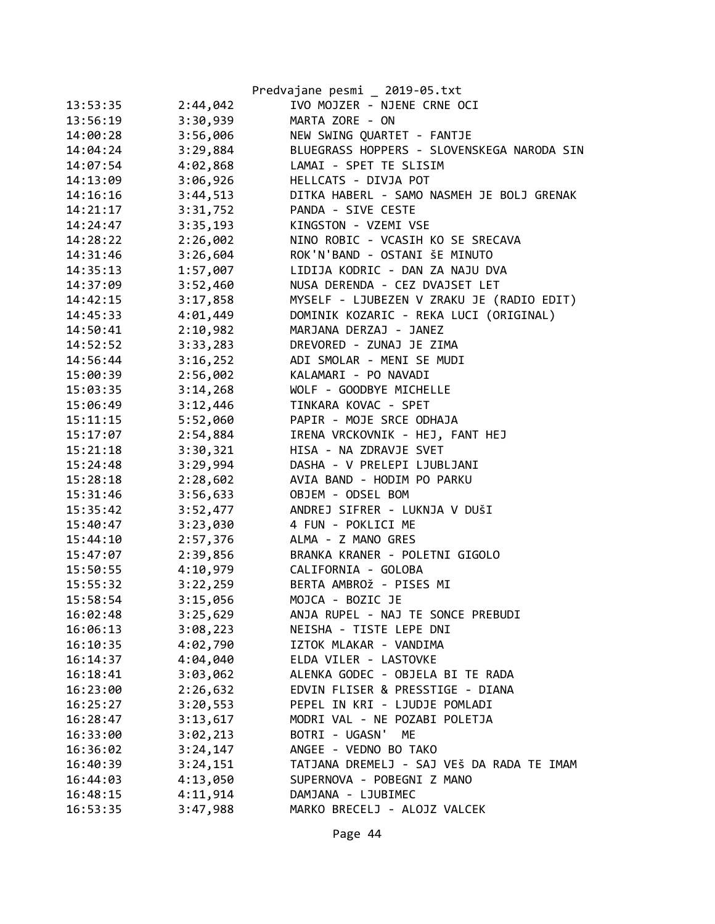|          |          | Predvajane pesmi _ 2019-05.txt             |
|----------|----------|--------------------------------------------|
| 13:53:35 | 2:44,042 | IVO MOJZER - NJENE CRNE OCI                |
| 13:56:19 | 3:30,939 | MARTA ZORE - ON                            |
| 14:00:28 | 3:56,006 | NEW SWING QUARTET - FANTJE                 |
| 14:04:24 | 3:29,884 | BLUEGRASS HOPPERS - SLOVENSKEGA NARODA SIN |
| 14:07:54 | 4:02,868 | LAMAI - SPET TE SLISIM                     |
| 14:13:09 | 3:06,926 | HELLCATS - DIVJA POT                       |
| 14:16:16 | 3:44,513 | DITKA HABERL - SAMO NASMEH JE BOLJ GRENAK  |
| 14:21:17 | 3:31,752 | PANDA - SIVE CESTE                         |
| 14:24:47 | 3:35,193 | KINGSTON - VZEMI VSE                       |
| 14:28:22 | 2:26,002 | NINO ROBIC - VCASIH KO SE SRECAVA          |
| 14:31:46 | 3:26,604 | ROK'N'BAND - OSTANI ŠE MINUTO              |
| 14:35:13 | 1:57,007 | LIDIJA KODRIC - DAN ZA NAJU DVA            |
| 14:37:09 | 3:52,460 | NUSA DERENDA - CEZ DVAJSET LET             |
| 14:42:15 | 3:17,858 | MYSELF - LJUBEZEN V ZRAKU JE (RADIO EDIT)  |
| 14:45:33 | 4:01,449 | DOMINIK KOZARIC - REKA LUCI (ORIGINAL)     |
| 14:50:41 | 2:10,982 | MARJANA DERZAJ - JANEZ                     |
| 14:52:52 | 3:33,283 | DREVORED - ZUNAJ JE ZIMA                   |
| 14:56:44 | 3:16,252 | ADI SMOLAR - MENI SE MUDI                  |
| 15:00:39 | 2:56,002 | KALAMARI - PO NAVADI                       |
| 15:03:35 | 3:14,268 | WOLF - GOODBYE MICHELLE                    |
| 15:06:49 | 3:12,446 | TINKARA KOVAC - SPET                       |
| 15:11:15 | 5:52,060 | PAPIR - MOJE SRCE ODHAJA                   |
| 15:17:07 | 2:54,884 | IRENA VRCKOVNIK - HEJ, FANT HEJ            |
| 15:21:18 | 3:30,321 | HISA - NA ZDRAVJE SVET                     |
| 15:24:48 | 3:29,994 | DASHA - V PRELEPI LJUBLJANI                |
| 15:28:18 | 2:28,602 | AVIA BAND - HODIM PO PARKU                 |
| 15:31:46 | 3:56,633 | OBJEM - ODSEL BOM                          |
| 15:35:42 | 3:52,477 | ANDREJ SIFRER - LUKNJA V DUŠI              |
| 15:40:47 | 3:23,030 | 4 FUN - POKLICI ME                         |
| 15:44:10 | 2:57,376 | ALMA - Z MANO GRES                         |
| 15:47:07 | 2:39,856 | BRANKA KRANER - POLETNI GIGOLO             |
| 15:50:55 | 4:10,979 | CALIFORNIA - GOLOBA                        |
| 15:55:32 | 3:22,259 | BERTA AMBROŽ - PISES MI                    |
| 15:58:54 | 3:15,056 | MOJCA - BOZIC JE                           |
| 16:02:48 | 3:25,629 | ANJA RUPEL - NAJ TE SONCE PREBUDI          |
| 16:06:13 | 3:08,223 | NEISHA - TISTE LEPE DNI                    |
| 16:10:35 | 4:02,790 | IZTOK MLAKAR - VANDIMA                     |
| 16:14:37 | 4:04,040 | ELDA VILER - LASTOVKE                      |
| 16:18:41 | 3:03,062 | ALENKA GODEC - OBJELA BI TE RADA           |
| 16:23:00 | 2:26,632 | EDVIN FLISER & PRESSTIGE - DIANA           |
| 16:25:27 | 3:20,553 | PEPEL IN KRI - LJUDJE POMLADI              |
| 16:28:47 | 3:13,617 | MODRI VAL - NE POZABI POLETJA              |
| 16:33:00 | 3:02,213 | BOTRI - UGASN' ME                          |
| 16:36:02 | 3:24,147 | ANGEE - VEDNO BO TAKO                      |
| 16:40:39 | 3:24,151 | TATJANA DREMELJ - SAJ VEŠ DA RADA TE IMAM  |
| 16:44:03 | 4:13,050 | SUPERNOVA - POBEGNI Z MANO                 |
| 16:48:15 | 4:11,914 | DAMJANA - LJUBIMEC                         |
| 16:53:35 | 3:47,988 | MARKO BRECELJ - ALOJZ VALCEK               |
|          |          |                                            |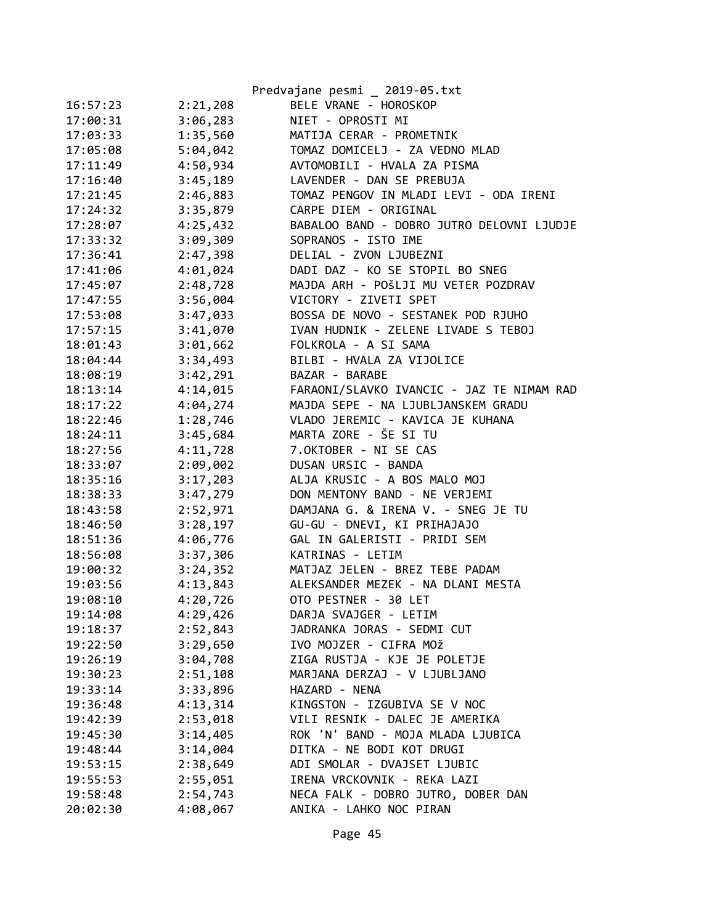|          |          | Predvajane pesmi _ 2019-05.txt            |
|----------|----------|-------------------------------------------|
| 16:57:23 | 2:21,208 | BELE VRANE - HOROSKOP                     |
| 17:00:31 | 3:06,283 | NIET - OPROSTI MI                         |
| 17:03:33 | 1:35,560 | MATIJA CERAR - PROMETNIK                  |
| 17:05:08 | 5:04,042 | TOMAZ DOMICELJ - ZA VEDNO MLAD            |
| 17:11:49 | 4:50,934 | AVTOMOBILI - HVALA ZA PISMA               |
| 17:16:40 | 3:45,189 | LAVENDER - DAN SE PREBUJA                 |
| 17:21:45 | 2:46,883 | TOMAZ PENGOV IN MLADI LEVI - ODA IRENI    |
| 17:24:32 | 3:35,879 | CARPE DIEM - ORIGINAL                     |
| 17:28:07 | 4:25,432 | BABALOO BAND - DOBRO JUTRO DELOVNI LJUDJE |
| 17:33:32 | 3:09,309 | SOPRANOS - ISTO IME                       |
| 17:36:41 | 2:47,398 | DELIAL - ZVON LJUBEZNI                    |
| 17:41:06 | 4:01,024 | DADI DAZ - KO SE STOPIL BO SNEG           |
| 17:45:07 | 2:48,728 | MAJDA ARH - POŠLJI MU VETER POZDRAV       |
| 17:47:55 | 3:56,004 | VICTORY - ZIVETI SPET                     |
| 17:53:08 | 3:47,033 | BOSSA DE NOVO - SESTANEK POD RJUHO        |
| 17:57:15 | 3:41,070 | IVAN HUDNIK - ZELENE LIVADE S TEBOJ       |
| 18:01:43 | 3:01,662 | FOLKROLA - A SI SAMA                      |
| 18:04:44 | 3:34,493 | BILBI - HVALA ZA VIJOLICE                 |
| 18:08:19 | 3:42,291 | BAZAR - BARABE                            |
| 18:13:14 | 4:14,015 | FARAONI/SLAVKO IVANCIC - JAZ TE NIMAM RAD |
| 18:17:22 | 4:04,274 | MAJDA SEPE - NA LJUBLJANSKEM GRADU        |
| 18:22:46 | 1:28,746 | VLADO JEREMIC - KAVICA JE KUHANA          |
| 18:24:11 | 3:45,684 | MARTA ZORE - ŠE SI TU                     |
| 18:27:56 | 4:11,728 | 7.OKTOBER - NI SE CAS                     |
| 18:33:07 | 2:09,002 | DUSAN URSIC - BANDA                       |
| 18:35:16 | 3:17,203 | ALJA KRUSIC - A BOS MALO MOJ              |
| 18:38:33 | 3:47,279 | DON MENTONY BAND - NE VERJEMI             |
| 18:43:58 | 2:52,971 | DAMJANA G. & IRENA V. - SNEG JE TU        |
| 18:46:50 | 3:28,197 | GU-GU - DNEVI, KI PRIHAJAJO               |
| 18:51:36 | 4:06,776 | GAL IN GALERISTI - PRIDI SEM              |
| 18:56:08 | 3:37,306 | KATRINAS - LETIM                          |
| 19:00:32 | 3:24,352 | MATJAZ JELEN - BREZ TEBE PADAM            |
| 19:03:56 | 4:13,843 | ALEKSANDER MEZEK - NA DLANI MESTA         |
| 19:08:10 | 4:20,726 | OTO PESTNER - 30 LET                      |
| 19:14:08 | 4:29,426 | DARJA SVAJGER - LETIM                     |
| 19:18:37 | 2:52,843 | JADRANKA JORAS - SEDMI CUT                |
| 19:22:50 | 3:29,650 | IVO MOJZER - CIFRA MOŽ                    |
| 19:26:19 | 3:04,708 | ZIGA RUSTJA - KJE JE POLETJE              |
| 19:30:23 | 2:51,108 | MARJANA DERZAJ - V LJUBLJANO              |
| 19:33:14 | 3:33,896 | HAZARD - NENA                             |
| 19:36:48 | 4:13,314 | KINGSTON - IZGUBIVA SE V NOC              |
| 19:42:39 | 2:53,018 | VILI RESNIK - DALEC JE AMERIKA            |
| 19:45:30 | 3:14,405 | ROK 'N' BAND - MOJA MLADA LJUBICA         |
| 19:48:44 | 3:14,004 | DITKA - NE BODI KOT DRUGI                 |
| 19:53:15 | 2:38,649 | ADI SMOLAR - DVAJSET LJUBIC               |
| 19:55:53 | 2:55,051 | IRENA VRCKOVNIK - REKA LAZI               |
| 19:58:48 | 2:54,743 | NECA FALK - DOBRO JUTRO, DOBER DAN        |
| 20:02:30 | 4:08,067 | ANIKA - LAHKO NOC PIRAN                   |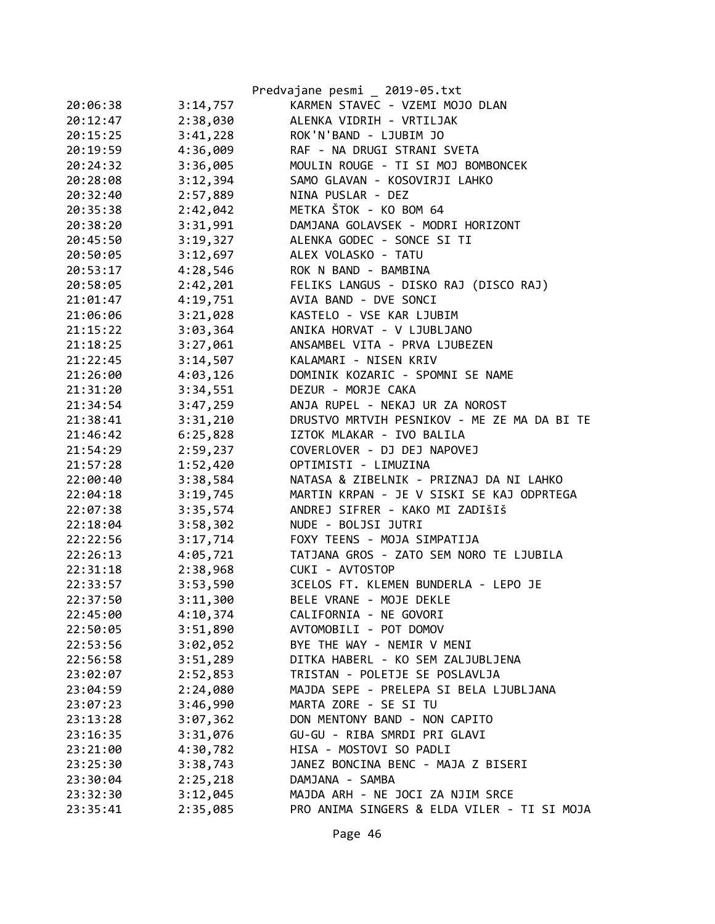|          |          | Predvajane pesmi _ 2019-05.txt              |
|----------|----------|---------------------------------------------|
| 20:06:38 | 3:14,757 | KARMEN STAVEC - VZEMI MOJO DLAN             |
| 20:12:47 | 2:38,030 | ALENKA VIDRIH - VRTILJAK                    |
| 20:15:25 | 3:41,228 | ROK'N'BAND - LJUBIM JO                      |
| 20:19:59 | 4:36,009 | RAF - NA DRUGI STRANI SVETA                 |
| 20:24:32 | 3:36,005 | MOULIN ROUGE - TI SI MOJ BOMBONCEK          |
| 20:28:08 | 3:12,394 | SAMO GLAVAN - KOSOVIRJI LAHKO               |
| 20:32:40 | 2:57,889 | NINA PUSLAR - DEZ                           |
| 20:35:38 | 2:42,042 | METKA ŠTOK - KO BOM 64                      |
| 20:38:20 | 3:31,991 | DAMJANA GOLAVSEK - MODRI HORIZONT           |
| 20:45:50 | 3:19,327 | ALENKA GODEC - SONCE SI TI                  |
| 20:50:05 | 3:12,697 | ALEX VOLASKO - TATU                         |
| 20:53:17 | 4:28,546 | ROK N BAND - BAMBINA                        |
| 20:58:05 | 2:42,201 | FELIKS LANGUS - DISKO RAJ (DISCO RAJ)       |
| 21:01:47 | 4:19,751 | AVIA BAND - DVE SONCI                       |
| 21:06:06 | 3:21,028 | KASTELO - VSE KAR LJUBIM                    |
| 21:15:22 | 3:03,364 | ANIKA HORVAT - V LJUBLJANO                  |
| 21:18:25 | 3:27,061 | ANSAMBEL VITA - PRVA LJUBEZEN               |
| 21:22:45 | 3:14,507 | KALAMARI - NISEN KRIV                       |
| 21:26:00 | 4:03,126 | DOMINIK KOZARIC - SPOMNI SE NAME            |
| 21:31:20 | 3:34,551 | DEZUR - MORJE CAKA                          |
| 21:34:54 | 3:47,259 | ANJA RUPEL - NEKAJ UR ZA NOROST             |
| 21:38:41 | 3:31,210 | DRUSTVO MRTVIH PESNIKOV - ME ZE MA DA BI TE |
| 21:46:42 | 6:25,828 | IZTOK MLAKAR - IVO BALILA                   |
| 21:54:29 | 2:59,237 | COVERLOVER - DJ DEJ NAPOVEJ                 |
| 21:57:28 | 1:52,420 | OPTIMISTI - LIMUZINA                        |
| 22:00:40 | 3:38,584 | NATASA & ZIBELNIK - PRIZNAJ DA NI LAHKO     |
| 22:04:18 | 3:19,745 | MARTIN KRPAN - JE V SISKI SE KAJ ODPRTEGA   |
| 22:07:38 | 3:35,574 | ANDREJ SIFRER - KAKO MI ZADIŠIŠ             |
| 22:18:04 | 3:58,302 | NUDE - BOLJSI JUTRI                         |
| 22:22:56 | 3:17,714 | FOXY TEENS - MOJA SIMPATIJA                 |
| 22:26:13 | 4:05,721 | TATJANA GROS - ZATO SEM NORO TE LJUBILA     |
| 22:31:18 | 2:38,968 | CUKI - AVTOSTOP                             |
| 22:33:57 | 3:53,590 | 3CELOS FT. KLEMEN BUNDERLA - LEPO JE        |
| 22:37:50 | 3:11,300 | BELE VRANE - MOJE DEKLE                     |
| 22:45:00 | 4:10,374 | CALIFORNIA - NE GOVORI                      |
| 22:50:05 | 3:51,890 | AVTOMOBILI - POT DOMOV                      |
| 22:53:56 | 3:02,052 | BYE THE WAY - NEMIR V MENI                  |
| 22:56:58 | 3:51,289 | DITKA HABERL - KO SEM ZALJUBLJENA           |
| 23:02:07 | 2:52,853 | TRISTAN - POLETJE SE POSLAVLJA              |
| 23:04:59 | 2:24,080 | MAJDA SEPE - PRELEPA SI BELA LJUBLJANA      |
| 23:07:23 | 3:46,990 | MARTA ZORE - SE SI TU                       |
| 23:13:28 | 3:07,362 | DON MENTONY BAND - NON CAPITO               |
| 23:16:35 | 3:31,076 | GU-GU - RIBA SMRDI PRI GLAVI                |
| 23:21:00 | 4:30,782 | HISA - MOSTOVI SO PADLI                     |
| 23:25:30 | 3:38,743 | JANEZ BONCINA BENC - MAJA Z BISERI          |
| 23:30:04 | 2:25,218 | DAMJANA - SAMBA                             |
| 23:32:30 | 3:12,045 | MAJDA ARH - NE JOCI ZA NJIM SRCE            |
| 23:35:41 | 2:35,085 | PRO ANIMA SINGERS & ELDA VILER - TI SI MOJA |
|          |          |                                             |
|          |          |                                             |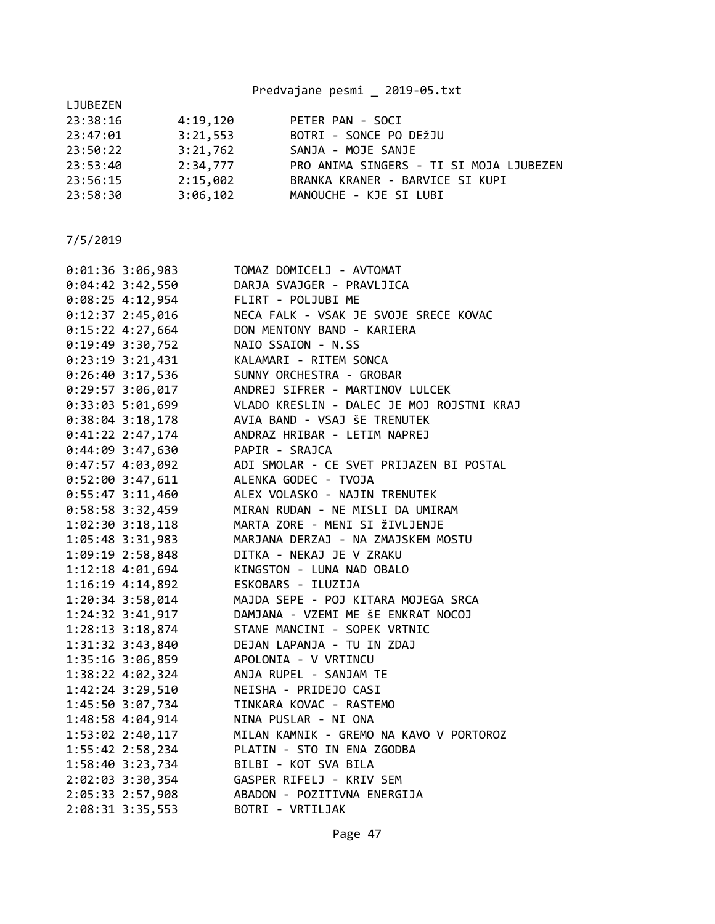Predvajane pesmi \_ 2019-05.txt

| LJUBEZEN |          |                                         |
|----------|----------|-----------------------------------------|
| 23:38:16 | 4:19,120 | PETER PAN - SOCI                        |
| 23:47:01 | 3:21,553 | BOTRI - SONCE PO DEŽJU                  |
| 23:50:22 | 3:21,762 | SANJA - MOJE SANJE                      |
| 23:53:40 | 2:34,777 | PRO ANIMA SINGERS - TI SI MOJA LJUBEZEN |
| 23:56:15 | 2:15,002 | BRANKA KRANER - BARVICE SI KUPI         |
| 23:58:30 | 3:06,102 | MANOUCHE - KJE SI LUBI                  |
|          |          |                                         |

| $0:01:36$ 3:06,983              | TOMAZ DOMICELJ - AVTOMAT                                                                                                          |
|---------------------------------|-----------------------------------------------------------------------------------------------------------------------------------|
| $0:04:42$ 3:42,550              | DARJA SVAJGER - PRAVLJICA                                                                                                         |
| $0:08:25$ 4:12,954              | FLIRT - POLJUBI ME                                                                                                                |
| $0:12:37$ 2:45,016              | NECA FALK - VSAK JE SVOJE SRECE KOVAC                                                                                             |
| $0:15:22$ 4:27,664              | DON MENTONY BAND - KARIERA                                                                                                        |
| 0:19:49 3:30,752                | NAIO SSAION - N.SS                                                                                                                |
| $0:23:19$ 3:21,431              | KALAMARI - RITEM SONCA                                                                                                            |
| $0:26:40$ 3:17,536              | SUNNY ORCHESTRA - GROBAR                                                                                                          |
|                                 | 0:29:57 3:06,017 ANDREJ SIFRER - MARTINOV LULCEK                                                                                  |
|                                 | 0:33:03 5:01,699 VLADO KRESLIN - DALEC JE MOJ ROJSTNI KRAJ                                                                        |
|                                 | 0:38:04 3:18,178 AVIA BAND - VSAJ ŠE TRENUTEK                                                                                     |
|                                 | 0:41:22 2:47,174 ANDRAZ HRIBAR - LETIM NAPREJ                                                                                     |
| 0:44:09 3:47,630 PAPIR - SRAJCA |                                                                                                                                   |
|                                 | 0:47:57 4:03,092 ADI SMOLAR - CE SVET PRIJAZEN BI POSTAL                                                                          |
|                                 | 0:52:00 3:47,611 ALENKA GODEC - TVOJA                                                                                             |
| $0:55:47$ 3:11,460              | ALEX VOLASKO - NAJIN TRENUTEK                                                                                                     |
| 0:58:58 3:32,459                | MIRAN RUDAN - NE MISLI DA UMIRAM                                                                                                  |
| 1:02:30 3:18,118                | MARTA ZORE - MENI SI ŽIVLJENJE                                                                                                    |
| 1:05:48 3:31,983                | MARJANA DERZAJ - NA ZMAJSKEM MOSTU                                                                                                |
| 1:09:19 2:58,848                | DITKA - NEKAJ JE V ZRAKU                                                                                                          |
| 1:12:18 4:01,694                | KINGSTON - LUNA NAD OBALO                                                                                                         |
| 1:16:19 4:14,892                | ESKOBARS - ILUZIJA                                                                                                                |
| 1:20:34 3:58,014                | MAJDA SEPE - POJ KITARA MOJEGA SRCA                                                                                               |
| 1:24:32 3:41,917                | DAMJANA - VZEMI ME ŠE ENKRAT NOCOJ                                                                                                |
| 1:28:13 3:18,874                | STANE MANCINI - SOPEK VRTNIC                                                                                                      |
|                                 | 1:31:32 3:43,840 DEJAN LAPANJA - TU IN ZDAJ                                                                                       |
|                                 | 1:35:16 3:06,859 APOLONIA - V VRTINCU                                                                                             |
|                                 | 1:38:22 4:02,324 ANJA RUPEL - SANJAM TE                                                                                           |
| 1:42:24 3:29,510                | NEISHA - PRIDEJO CASI                                                                                                             |
| 1:45:50 3:07,734                | TINKARA KOVAC - RASTEMO                                                                                                           |
| 1:48:58 4:04,914                | NINA PUSLAR - NI ONA                                                                                                              |
| 1:53:02 2:40,117                | MILAN KAMNIK - GREMO NA KAVO V PORTOROZ                                                                                           |
| $1:55:42$ $2:58,234$            | PLATIN - STO IN ENA ZGODBA<br>BILBI - KOT SVA BILA<br>GASPER RIFELJ - KRIV SEM<br>ABADON - POZITIVNA ENERGIJA<br>ROTPI - VPTILJAK |
| 1:58:40 3:23,734                |                                                                                                                                   |
| 2:02:03 3:30,354                |                                                                                                                                   |
| 2:05:33 2:57,908                |                                                                                                                                   |
| 2:08:31 3:35,553                | BOTRI - VRTILJAK                                                                                                                  |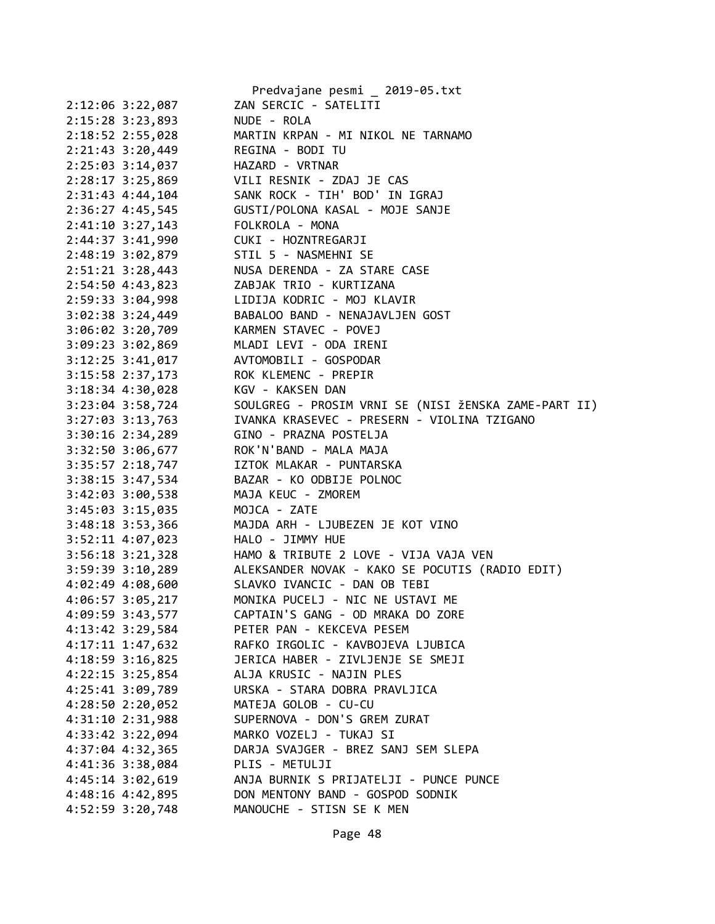|                      | Predvajane pesmi _ 2019-05.txt                       |
|----------------------|------------------------------------------------------|
| 2:12:06 3:22,087     | ZAN SERCIC - SATELITI                                |
| 2:15:28 3:23,893     | NUDE - ROLA                                          |
| 2:18:52 2:55,028     | MARTIN KRPAN - MI NIKOL NE TARNAMO                   |
| 2:21:43 3:20,449     | REGINA - BODI TU                                     |
| 2:25:03 3:14,037     | HAZARD - VRTNAR                                      |
| $2:28:17$ 3:25,869   | VILI RESNIK - ZDAJ JE CAS                            |
| $2:31:43$ $4:44,104$ | SANK ROCK - TIH' BOD' IN IGRAJ                       |
| $2:36:27$ 4:45,545   | GUSTI/POLONA KASAL - MOJE SANJE                      |
| $2:41:10$ 3:27,143   | FOLKROLA - MONA                                      |
| 2:44:37 3:41,990     | CUKI - HOZNTREGARJI                                  |
| 2:48:19 3:02,879     | STIL 5 - NASMEHNI SE                                 |
| 2:51:21 3:28,443     | NUSA DERENDA - ZA STARE CASE                         |
| 2:54:50 4:43,823     | ZABJAK TRIO - KURTIZANA                              |
| 2:59:33 3:04,998     | LIDIJA KODRIC - MOJ KLAVIR                           |
| $3:02:38$ $3:24,449$ | BABALOO BAND - NENAJAVLJEN GOST                      |
| $3:06:02$ $3:20,709$ | KARMEN STAVEC - POVEJ                                |
| 3:09:23 3:02,869     | MLADI LEVI - ODA IRENI                               |
| $3:12:25$ $3:41,017$ | AVTOMOBILI - GOSPODAR                                |
| $3:15:58$ $2:37,173$ | ROK KLEMENC - PREPIR                                 |
| $3:18:34$ 4:30,028   | KGV - KAKSEN DAN                                     |
| $3:23:04$ 3:58,724   | SOULGREG - PROSIM VRNI SE (NISI ŽENSKA ZAME-PART II) |
| $3:27:03$ $3:13,763$ | IVANKA KRASEVEC - PRESERN - VIOLINA TZIGANO          |
| $3:30:16$ $2:34,289$ | GINO - PRAZNA POSTELJA                               |
| 3:32:50 3:06,677     | ROK'N'BAND - MALA MAJA                               |
| $3:35:57$ $2:18,747$ | IZTOK MLAKAR - PUNTARSKA                             |
| $3:38:15$ $3:47,534$ | BAZAR - KO ODBIJE POLNOC                             |
| $3:42:03$ $3:00,538$ | MAJA KEUC - ZMOREM                                   |
| $3:45:03$ $3:15,035$ | MOJCA - ZATE                                         |
| 3:48:18 3:53,366     | MAJDA ARH - LJUBEZEN JE KOT VINO                     |
| 3:52:11 4:07,023     | HALO - JIMMY HUE                                     |
| $3:56:18$ $3:21,328$ | HAMO & TRIBUTE 2 LOVE - VIJA VAJA VEN                |
| 3:59:39 3:10,289     | ALEKSANDER NOVAK - KAKO SE POCUTIS (RADIO EDIT)      |
| 4:02:49 4:08,600     | SLAVKO IVANCIC - DAN OB TEBI                         |
| 4:06:57 3:05,217     | MONIKA PUCELJ - NIC NE USTAVI ME                     |
| 4:09:59 3:43,577     | CAPTAIN'S GANG - OD MRAKA DO ZORE                    |
| 4:13:42 3:29,584     | PETER PAN - KEKCEVA PESEM                            |
| 4:17:11 1:47,632     | RAFKO IRGOLIC - KAVBOJEVA LJUBICA                    |
| 4:18:59 3:16,825     | JERICA HABER - ZIVLJENJE SE SMEJI                    |
| $4:22:15$ 3:25,854   | ALJA KRUSIC - NAJIN PLES                             |
| 4:25:41 3:09,789     | URSKA - STARA DOBRA PRAVLJICA                        |
| 4:28:50 2:20,052     | MATEJA GOLOB - CU-CU                                 |
| 4:31:10 2:31,988     | SUPERNOVA - DON'S GREM ZURAT                         |
| 4:33:42 3:22,094     | MARKO VOZELJ - TUKAJ SI                              |
| 4:37:04 4:32,365     | DARJA SVAJGER - BREZ SANJ SEM SLEPA                  |
| 4:41:36 3:38,084     | PLIS - METULJI                                       |
| 4:45:14 3:02,619     | ANJA BURNIK S PRIJATELJI - PUNCE PUNCE               |
| 4:48:16 4:42,895     | DON MENTONY BAND - GOSPOD SODNIK                     |
| 4:52:59 3:20,748     | MANOUCHE - STISN SE K MEN                            |
|                      |                                                      |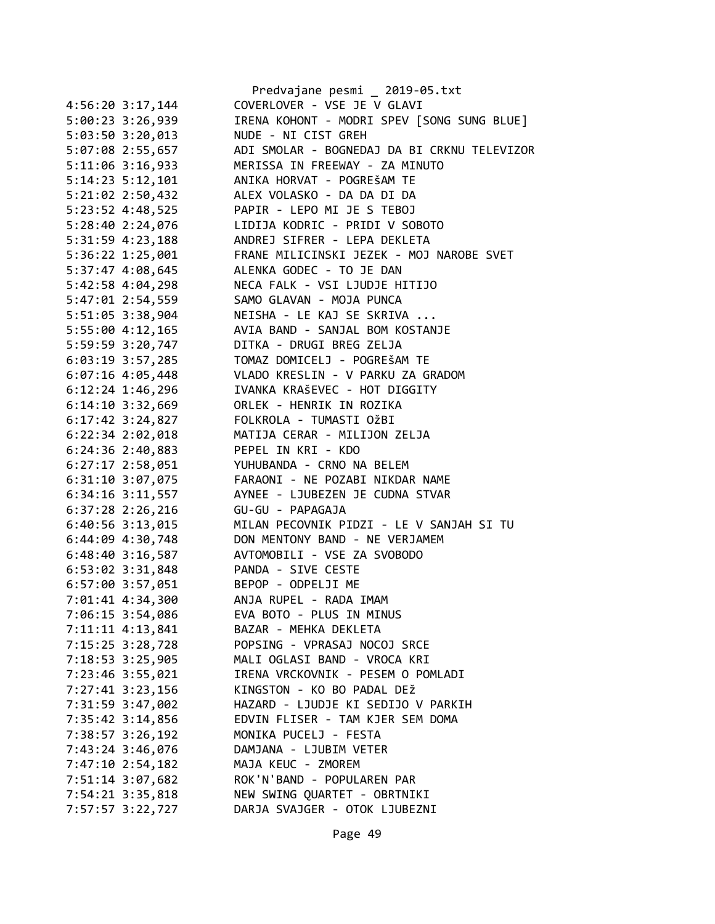|                      | Predvajane pesmi _ 2019-05.txt               |
|----------------------|----------------------------------------------|
| 4:56:20 3:17,144     | COVERLOVER - VSE JE V GLAVI                  |
| 5:00:23 3:26,939     | IRENA KOHONT - MODRI SPEV [SONG SUNG BLUE]   |
| 5:03:50 3:20,013     | NUDE - NI CIST GREH                          |
| 5:07:08 2:55,657     | ADI SMOLAR - BOGNEDAJ DA BI CRKNU TELEVIZOR  |
| 5:11:06 3:16,933     | MERISSA IN FREEWAY - ZA MINUTO               |
| 5:14:23 5:12,101     | ANIKA HORVAT - POGREŠAM TE                   |
| 5:21:02 2:50,432     | ALEX VOLASKO - DA DA DI DA                   |
| 5:23:52 4:48,525     | PAPIR - LEPO MI JE S TEBOJ                   |
| 5:28:40 2:24,076     | LIDIJA KODRIC - PRIDI V SOBOTO               |
| 5:31:59 4:23,188     | ANDREJ SIFRER - LEPA DEKLETA                 |
| 5:36:22 1:25,001     | FRANE MILICINSKI JEZEK - MOJ NAROBE SVET     |
| 5:37:47 4:08,645     | ALENKA GODEC - TO JE DAN                     |
| 5:42:58 4:04,298     | NECA FALK - VSI LJUDJE HITIJO                |
| 5:47:01 2:54,559     | SAMO GLAVAN - MOJA PUNCA                     |
| 5:51:05 3:38,904     | NEISHA - LE KAJ SE SKRIVA                    |
| 5:55:00 4:12,165     | AVIA BAND - SANJAL BOM KOSTANJE              |
| 5:59:59 3:20,747     | DITKA - DRUGI BREG ZELJA                     |
| 6:03:19 3:57,285     | TOMAZ DOMICELJ - POGREŠAM TE                 |
| $6:07:16$ 4:05,448   | VLADO KRESLIN - V PARKU ZA GRADOM            |
| $6:12:24$ 1:46,296   | IVANKA KRAŠEVEC - HOT DIGGITY                |
| 6:14:10 3:32,669     | ORLEK - HENRIK IN ROZIKA                     |
| 6:17:42 3:24,827     | FOLKROLA - TUMASTI OŽBI                      |
| 6:22:34 2:02,018     | MATIJA CERAR - MILIJON ZELJA                 |
| $6:24:36$ 2:40,883   | PEPEL IN KRI - KDO                           |
| $6:27:17$ $2:58,051$ | YUHUBANDA - CRNO NA BELEM                    |
| $6:31:10$ $3:07,075$ | FARAONI - NE POZABI NIKDAR NAME              |
| $6:34:16$ $3:11,557$ | AYNEE - LJUBEZEN JE CUDNA STVAR              |
| $6:37:28$ 2:26,216   | GU-GU - PAPAGAJA                             |
| 6:40:56 3:13,015     | MILAN PECOVNIK PIDZI - LE V SANJAH SI TU     |
| 6:44:09 4:30,748     | DON MENTONY BAND - NE VERJAMEM               |
| $6:48:40$ 3:16,587   | AVTOMOBILI - VSE ZA SVOBODO                  |
| $6:53:02$ $3:31,848$ | PANDA - SIVE CESTE                           |
|                      |                                              |
| 6:57:00 3:57,051     | BEPOP - ODPELJI ME<br>ANJA RUPEL - RADA IMAM |
| 7:01:41 4:34,300     |                                              |
| 7:06:15 3:54,086     | EVA BOTO - PLUS IN MINUS                     |
| 7:11:11 4:13,841     | BAZAR - MEHKA DEKLETA                        |
| 7:15:25 3:28,728     | POPSING - VPRASAJ NOCOJ SRCE                 |
| 7:18:53 3:25,905     | MALI OGLASI BAND - VROCA KRI                 |
| 7:23:46 3:55,021     | IRENA VRCKOVNIK - PESEM O POMLADI            |
| 7:27:41 3:23,156     | KINGSTON - KO BO PADAL DEŽ                   |
| 7:31:59 3:47,002     | HAZARD - LJUDJE KI SEDIJO V PARKIH           |
| 7:35:42 3:14,856     | EDVIN FLISER - TAM KJER SEM DOMA             |
| 7:38:57 3:26,192     | MONIKA PUCELJ - FESTA                        |
| 7:43:24 3:46,076     | DAMJANA - LJUBIM VETER                       |
| 7:47:10 2:54,182     | MAJA KEUC - ZMOREM                           |
| 7:51:14 3:07,682     | ROK'N'BAND - POPULAREN PAR                   |
| 7:54:21 3:35,818     | NEW SWING QUARTET - OBRTNIKI                 |
| 7:57:57 3:22,727     | DARJA SVAJGER - OTOK LJUBEZNI                |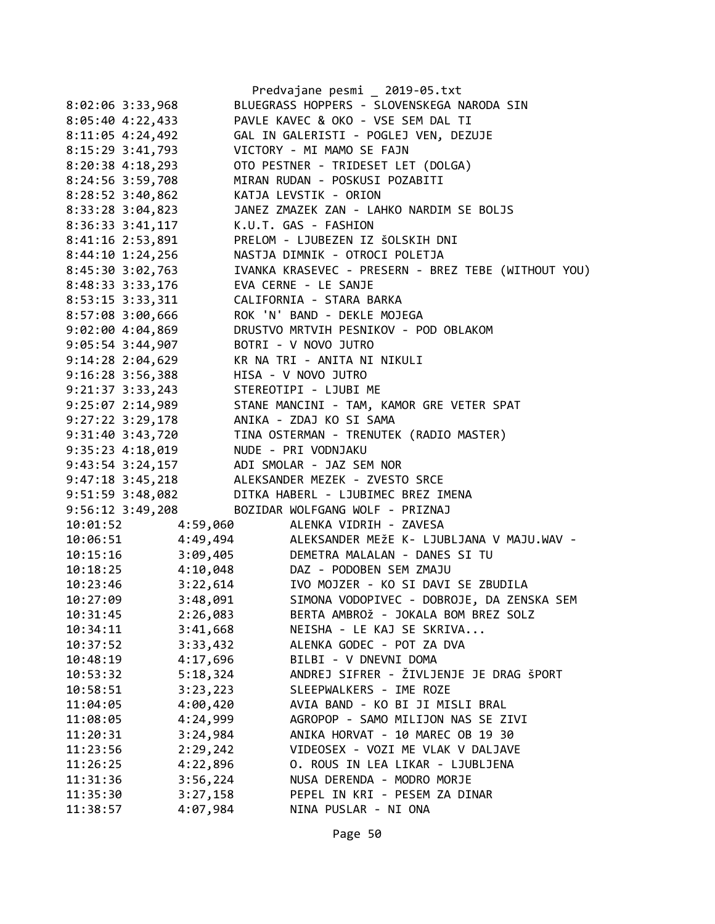|                                        |          | Predvajane pesmi _ 2019-05.txt                      |
|----------------------------------------|----------|-----------------------------------------------------|
| 8:02:06 3:33,968                       |          | BLUEGRASS HOPPERS - SLOVENSKEGA NARODA SIN          |
| 8:05:40 4:22,433                       |          | PAVLE KAVEC & OKO - VSE SEM DAL TI                  |
| $8:11:05$ 4:24,492                     |          | GAL IN GALERISTI - POGLEJ VEN, DEZUJE               |
| 8:15:29 3:41,793                       |          | VICTORY - MI MAMO SE FAJN                           |
| $8:20:38$ 4:18,293                     |          | OTO PESTNER - TRIDESET LET (DOLGA)                  |
| 8:24:56 3:59,708                       |          | MIRAN RUDAN - POSKUSI POZABITI                      |
| $8:28:52$ 3:40,862                     |          | KATJA LEVSTIK - ORION                               |
| 8:33:28 3:04,823                       |          | JANEZ ZMAZEK ZAN - LAHKO NARDIM SE BOLJS            |
| $8:36:33$ $3:41,117$                   |          | K.U.T. GAS - FASHION                                |
| 8:41:16 2:53,891                       |          | PRELOM - LJUBEZEN IZ ŠOLSKIH DNI                    |
| $8:44:10$ 1:24,256                     |          | NASTJA DIMNIK - OTROCI POLETJA                      |
| 8:45:30 3:02,763                       |          | IVANKA KRASEVEC - PRESERN - BREZ TEBE (WITHOUT YOU) |
| 8:48:33 3:33,176                       |          | EVA CERNE - LE SANJE                                |
| 8:53:15 3:33,311                       |          | CALIFORNIA - STARA BARKA                            |
| 8:57:08 3:00,666                       |          | ROK 'N' BAND - DEKLE MOJEGA                         |
| $9:02:00$ 4:04,869                     |          | DRUSTVO MRTVIH PESNIKOV - POD OBLAKOM               |
| $9:05:54$ 3:44,907                     |          | BOTRI - V NOVO JUTRO                                |
| $9:14:28$ $2:04,629$                   |          | KR NA TRI - ANITA NI NIKULI                         |
| 9:16:28 3:56,388                       |          | HISA - V NOVO JUTRO                                 |
| $9:21:37$ $3:33,243$                   |          | STEREOTIPI - LJUBI ME                               |
| 9:25:07 2:14,989                       |          | STANE MANCINI - TAM, KAMOR GRE VETER SPAT           |
|                                        |          | ANIKA - ZDAJ KO SI SAMA                             |
| $9:27:22$ 3:29,178<br>9:31:40 3:43,720 |          | TINA OSTERMAN - TRENUTEK (RADIO MASTER)             |
|                                        |          | NUDE - PRI VODNJAKU                                 |
| 9:35:23 4:18,019                       |          |                                                     |
| 9:43:54 3:24,157                       |          | ADI SMOLAR - JAZ SEM NOR                            |
| $9:47:18$ 3:45,218                     |          | ALEKSANDER MEZEK - ZVESTO SRCE                      |
| 9:51:59 3:48,082                       |          | DITKA HABERL - LJUBIMEC BREZ IMENA                  |
| 9:56:12 3:49,208                       |          | BOZIDAR WOLFGANG WOLF - PRIZNAJ                     |
| 10:01:52                               | 4:59,060 | ALENKA VIDRIH - ZAVESA                              |
| 10:06:51                               | 4:49,494 | ALEKSANDER MEŽE K- LJUBLJANA V MAJU.WAV -           |
| 10:15:16                               | 3:09,405 | DEMETRA MALALAN - DANES SI TU                       |
| 10:18:25                               | 4:10,048 | DAZ - PODOBEN SEM ZMAJU                             |
| 10:23:46                               | 3:22,614 | IVO MOJZER - KO SI DAVI SE ZBUDILA                  |
| 10:27:09                               | 3:48,091 | SIMONA VODOPIVEC - DOBROJE, DA ZENSKA SEM           |
| 10:31:45                               | 2:26,083 | BERTA AMBROŽ - JOKALA BOM BREZ SOLZ                 |
| 10:34:11                               | 3:41,668 | NEISHA - LE KAJ SE SKRIVA                           |
| 10:37:52                               | 3:33,432 | ALENKA GODEC - POT ZA DVA                           |
| 10:48:19                               | 4:17,696 | BILBI - V DNEVNI DOMA                               |
| 10:53:32                               | 5:18,324 | ANDREJ SIFRER - ŽIVLJENJE JE DRAG ŠPORT             |
| 10:58:51                               | 3:23,223 | SLEEPWALKERS - IME ROZE                             |
| 11:04:05                               | 4:00,420 | AVIA BAND - KO BI JI MISLI BRAL                     |
| 11:08:05                               | 4:24,999 | AGROPOP - SAMO MILIJON NAS SE ZIVI                  |
| 11:20:31                               | 3:24,984 | ANIKA HORVAT - 10 MAREC OB 19 30                    |
| 11:23:56                               | 2:29,242 | VIDEOSEX - VOZI ME VLAK V DALJAVE                   |
| 11:26:25                               | 4:22,896 | O. ROUS IN LEA LIKAR - LJUBLJENA                    |
| 11:31:36                               | 3:56,224 | NUSA DERENDA - MODRO MORJE                          |
| 11:35:30                               | 3:27,158 | PEPEL IN KRI - PESEM ZA DINAR                       |
| 11:38:57                               | 4:07,984 | NINA PUSLAR - NI ONA                                |
|                                        |          |                                                     |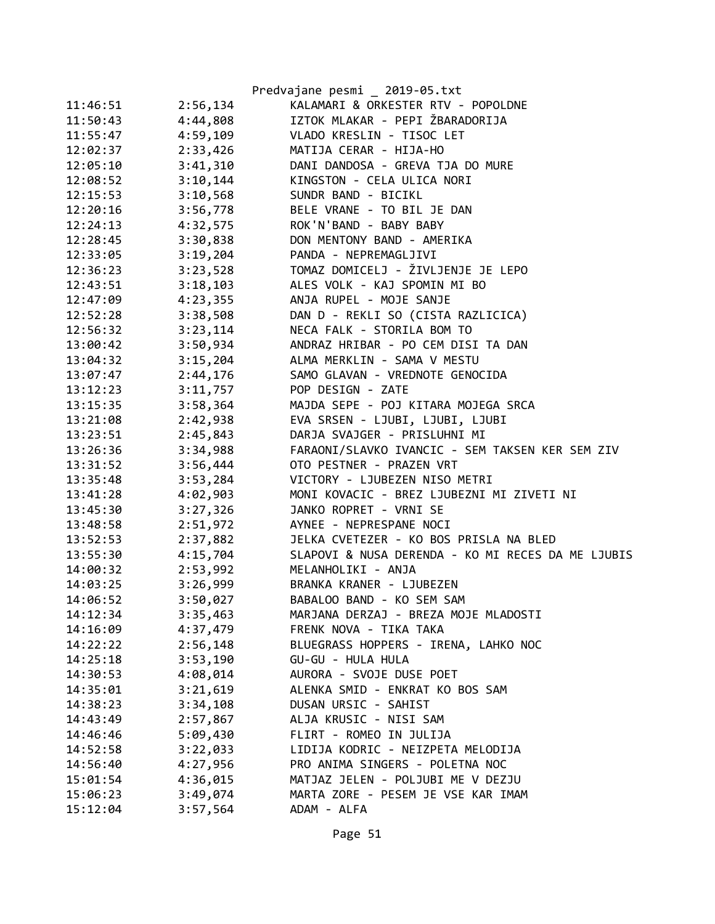|          |          | Predvajane pesmi _ 2019-05.txt                    |
|----------|----------|---------------------------------------------------|
| 11:46:51 | 2:56,134 | KALAMARI & ORKESTER RTV - POPOLDNE                |
| 11:50:43 | 4:44,808 | IZTOK MLAKAR - PEPI ŽBARADORIJA                   |
| 11:55:47 | 4:59,109 | VLADO KRESLIN - TISOC LET                         |
| 12:02:37 | 2:33,426 | MATIJA CERAR - HIJA-HO                            |
| 12:05:10 | 3:41,310 | DANI DANDOSA - GREVA TJA DO MURE                  |
| 12:08:52 | 3:10,144 | KINGSTON - CELA ULICA NORI                        |
| 12:15:53 | 3:10,568 | SUNDR BAND - BICIKL                               |
| 12:20:16 | 3:56,778 | BELE VRANE - TO BIL JE DAN                        |
| 12:24:13 | 4:32,575 | ROK'N'BAND - BABY BABY                            |
| 12:28:45 | 3:30,838 | DON MENTONY BAND - AMERIKA                        |
| 12:33:05 | 3:19,204 | PANDA - NEPREMAGLJIVI                             |
| 12:36:23 | 3:23,528 | TOMAZ DOMICELJ - ŽIVLJENJE JE LEPO                |
| 12:43:51 | 3:18,103 | ALES VOLK - KAJ SPOMIN MI BO                      |
| 12:47:09 | 4:23,355 | ANJA RUPEL - MOJE SANJE                           |
| 12:52:28 | 3:38,508 | DAN D - REKLI SO (CISTA RAZLICICA)                |
| 12:56:32 | 3:23,114 | NECA FALK - STORILA BOM TO                        |
| 13:00:42 | 3:50,934 | ANDRAZ HRIBAR - PO CEM DISI TA DAN                |
| 13:04:32 | 3:15,204 | ALMA MERKLIN - SAMA V MESTU                       |
| 13:07:47 | 2:44,176 | SAMO GLAVAN - VREDNOTE GENOCIDA                   |
| 13:12:23 | 3:11,757 | POP DESIGN - ZATE                                 |
| 13:15:35 | 3:58,364 | MAJDA SEPE - POJ KITARA MOJEGA SRCA               |
| 13:21:08 | 2:42,938 | EVA SRSEN - LJUBI, LJUBI, LJUBI                   |
| 13:23:51 | 2:45,843 | DARJA SVAJGER - PRISLUHNI MI                      |
| 13:26:36 | 3:34,988 | FARAONI/SLAVKO IVANCIC - SEM TAKSEN KER SEM ZIV   |
| 13:31:52 | 3:56,444 | OTO PESTNER - PRAZEN VRT                          |
| 13:35:48 | 3:53,284 | VICTORY - LJUBEZEN NISO METRI                     |
| 13:41:28 | 4:02,903 | MONI KOVACIC - BREZ LJUBEZNI MI ZIVETI NI         |
| 13:45:30 | 3:27,326 | JANKO ROPRET - VRNI SE                            |
| 13:48:58 | 2:51,972 | AYNEE - NEPRESPANE NOCI                           |
| 13:52:53 | 2:37,882 | JELKA CVETEZER - KO BOS PRISLA NA BLED            |
| 13:55:30 | 4:15,704 | SLAPOVI & NUSA DERENDA - KO MI RECES DA ME LJUBIS |
| 14:00:32 | 2:53,992 | MELANHOLIKI - ANJA                                |
| 14:03:25 | 3:26,999 | BRANKA KRANER - LJUBEZEN                          |
| 14:06:52 | 3:50,027 | BABALOO BAND - KO SEM SAM                         |
| 14:12:34 | 3:35,463 | MARJANA DERZAJ - BREZA MOJE MLADOSTI              |
| 14:16:09 | 4:37,479 | FRENK NOVA - TIKA TAKA                            |
| 14:22:22 | 2:56,148 | BLUEGRASS HOPPERS - IRENA, LAHKO NOC              |
| 14:25:18 | 3:53,190 | GU-GU - HULA HULA                                 |
| 14:30:53 | 4:08,014 | AURORA - SVOJE DUSE POET                          |
| 14:35:01 | 3:21,619 | ALENKA SMID - ENKRAT KO BOS SAM                   |
| 14:38:23 | 3:34,108 | DUSAN URSIC - SAHIST                              |
| 14:43:49 | 2:57,867 | ALJA KRUSIC - NISI SAM                            |
| 14:46:46 | 5:09,430 | FLIRT - ROMEO IN JULIJA                           |
| 14:52:58 | 3:22,033 | LIDIJA KODRIC - NEIZPETA MELODIJA                 |
| 14:56:40 | 4:27,956 | PRO ANIMA SINGERS - POLETNA NOC                   |
| 15:01:54 | 4:36,015 | MATJAZ JELEN - POLJUBI ME V DEZJU                 |
| 15:06:23 | 3:49,074 | MARTA ZORE - PESEM JE VSE KAR IMAM                |
| 15:12:04 | 3:57,564 | ADAM - ALFA                                       |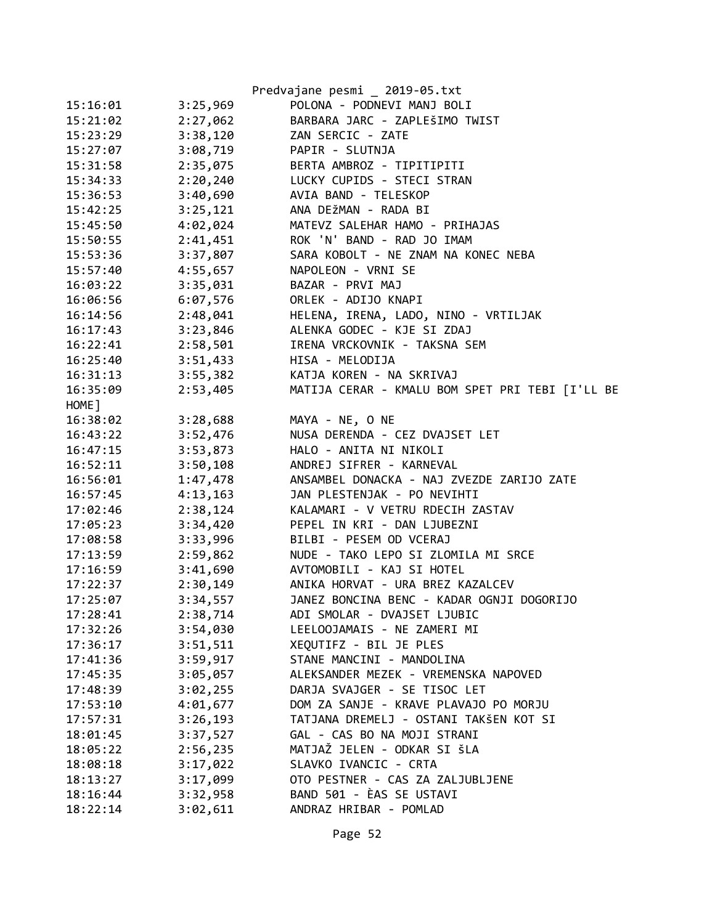|          |          | Predvajane pesmi _ 2019-05.txt                                  |
|----------|----------|-----------------------------------------------------------------|
| 15:16:01 | 3:25,969 | POLONA - PODNEVI MANJ BOLI                                      |
| 15:21:02 | 2:27,062 | BARBARA JARC - ZAPLEŠIMO TWIST                                  |
| 15:23:29 | 3:38,120 | ZAN SERCIC - ZATE                                               |
| 15:27:07 | 3:08,719 | PAPIR - SLUTNJA                                                 |
| 15:31:58 | 2:35,075 | BERTA AMBROZ - TIPITIPITI                                       |
| 15:34:33 | 2:20,240 | LUCKY CUPIDS - STECI STRAN                                      |
| 15:36:53 | 3:40,690 | AVIA BAND - TELESKOP                                            |
| 15:42:25 | 3:25,121 | ANA DEŽMAN - RADA BI                                            |
| 15:45:50 | 4:02,024 | MATEVZ SALEHAR HAMO - PRIHAJAS                                  |
| 15:50:55 | 2:41,451 | ROK 'N' BAND - RAD JO IMAM                                      |
| 15:53:36 | 3:37,807 | SARA KOBOLT - NE ZNAM NA KONEC NEBA                             |
| 15:57:40 | 4:55,657 | NAPOLEON - VRNI SE                                              |
| 16:03:22 | 3:35,031 | BAZAR - PRVI MAJ                                                |
| 16:06:56 | 6:07,576 | ORLEK - ADIJO KNAPI                                             |
| 16:14:56 | 2:48,041 | HELENA, IRENA, LADO, NINO - VRTILJAK                            |
| 16:17:43 | 3:23,846 | ALENKA GODEC - KJE SI ZDAJ                                      |
| 16:22:41 | 2:58,501 | IRENA VRCKOVNIK - TAKSNA SEM                                    |
| 16:25:40 | 3:51,433 | HISA - MELODIJA                                                 |
| 16:31:13 | 3:55,382 | KATJA KOREN - NA SKRIVAJ                                        |
| 16:35:09 | 2:53,405 | MATIJA CERAR - KMALU BOM SPET PRI TEBI [I'LL BE                 |
| HOME ]   |          |                                                                 |
| 16:38:02 | 3:28,688 | MAYA - NE, O NE                                                 |
| 16:43:22 | 3:52,476 | NUSA DERENDA - CEZ DVAJSET LET                                  |
| 16:47:15 | 3:53,873 | HALO - ANITA NI NIKOLI                                          |
| 16:52:11 | 3:50,108 | ANDREJ SIFRER - KARNEVAL                                        |
| 16:56:01 | 1:47,478 | ANSAMBEL DONACKA - NAJ ZVEZDE ZARIJO ZATE                       |
|          | 4:13,163 | JAN PLESTENJAK - PO NEVIHTI                                     |
| 16:57:45 |          |                                                                 |
| 17:02:46 | 2:38,124 | KALAMARI - V VETRU RDECIH ZASTAV<br>PEPEL IN KRI - DAN LJUBEZNI |
| 17:05:23 | 3:34,420 |                                                                 |
| 17:08:58 | 3:33,996 | BILBI - PESEM OD VCERAJ                                         |
| 17:13:59 | 2:59,862 | NUDE - TAKO LEPO SI ZLOMILA MI SRCE                             |
| 17:16:59 | 3:41,690 | AVTOMOBILI - KAJ SI HOTEL                                       |
| 17:22:37 | 2:30,149 | ANIKA HORVAT - URA BREZ KAZALCEV                                |
| 17:25:07 | 3:34,557 | JANEZ BONCINA BENC - KADAR OGNJI DOGORIJO                       |
| 17:28:41 | 2:38,714 | ADI SMOLAR - DVAJSET LJUBIC                                     |
| 17:32:26 | 3:54,030 | LEELOOJAMAIS - NE ZAMERI MI                                     |
| 17:36:17 | 3:51,511 | XEQUTIFZ - BIL JE PLES                                          |
| 17:41:36 | 3:59,917 | STANE MANCINI - MANDOLINA                                       |
| 17:45:35 | 3:05,057 | ALEKSANDER MEZEK - VREMENSKA NAPOVED                            |
| 17:48:39 | 3:02,255 | DARJA SVAJGER - SE TISOC LET                                    |
| 17:53:10 | 4:01,677 | DOM ZA SANJE - KRAVE PLAVAJO PO MORJU                           |
| 17:57:31 | 3:26,193 | TATJANA DREMELJ - OSTANI TAKŠEN KOT SI                          |
| 18:01:45 | 3:37,527 | GAL - CAS BO NA MOJI STRANI                                     |
| 18:05:22 | 2:56,235 | MATJAŽ JELEN - ODKAR SI ŠLA                                     |
| 18:08:18 | 3:17,022 | SLAVKO IVANCIC - CRTA                                           |
| 18:13:27 | 3:17,099 | OTO PESTNER - CAS ZA ZALJUBLJENE                                |
| 18:16:44 | 3:32,958 | BAND 501 - ÈAS SE USTAVI                                        |
| 18:22:14 | 3:02,611 | ANDRAZ HRIBAR - POMLAD                                          |
|          |          |                                                                 |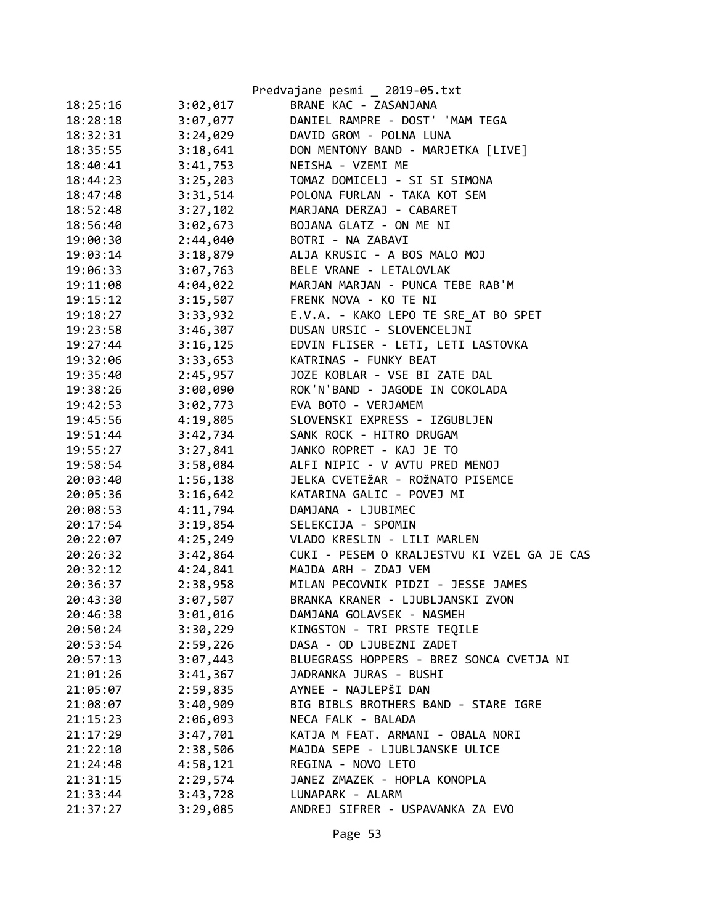|          |          | Predvajane pesmi _ 2019-05.txt              |
|----------|----------|---------------------------------------------|
| 18:25:16 | 3:02,017 | BRANE KAC - ZASANJANA                       |
| 18:28:18 | 3:07,077 | DANIEL RAMPRE - DOST' 'MAM TEGA             |
| 18:32:31 | 3:24,029 | DAVID GROM - POLNA LUNA                     |
| 18:35:55 | 3:18,641 | DON MENTONY BAND - MARJETKA [LIVE]          |
| 18:40:41 | 3:41,753 | NEISHA - VZEMI ME                           |
| 18:44:23 | 3:25,203 | TOMAZ DOMICELJ - SI SI SIMONA               |
| 18:47:48 | 3:31,514 | POLONA FURLAN - TAKA KOT SEM                |
| 18:52:48 | 3:27,102 | MARJANA DERZAJ - CABARET                    |
| 18:56:40 | 3:02,673 | BOJANA GLATZ - ON ME NI                     |
| 19:00:30 | 2:44,040 | BOTRI - NA ZABAVI                           |
| 19:03:14 | 3:18,879 | ALJA KRUSIC - A BOS MALO MOJ                |
| 19:06:33 | 3:07,763 | BELE VRANE - LETALOVLAK                     |
| 19:11:08 | 4:04,022 | MARJAN MARJAN - PUNCA TEBE RAB'M            |
| 19:15:12 | 3:15,507 | FRENK NOVA - KO TE NI                       |
| 19:18:27 | 3:33,932 | E.V.A. - KAKO LEPO TE SRE AT BO SPET        |
| 19:23:58 | 3:46,307 | DUSAN URSIC - SLOVENCELJNI                  |
| 19:27:44 | 3:16,125 | EDVIN FLISER - LETI, LETI LASTOVKA          |
| 19:32:06 | 3:33,653 | KATRINAS - FUNKY BEAT                       |
| 19:35:40 | 2:45,957 | JOZE KOBLAR - VSE BI ZATE DAL               |
| 19:38:26 | 3:00,090 | ROK'N'BAND - JAGODE IN COKOLADA             |
| 19:42:53 | 3:02,773 | EVA BOTO - VERJAMEM                         |
| 19:45:56 | 4:19,805 | SLOVENSKI EXPRESS - IZGUBLJEN               |
| 19:51:44 | 3:42,734 | SANK ROCK - HITRO DRUGAM                    |
| 19:55:27 | 3:27,841 | JANKO ROPRET - KAJ JE TO                    |
| 19:58:54 | 3:58,084 | ALFI NIPIC - V AVTU PRED MENOJ              |
| 20:03:40 | 1:56,138 | JELKA CVETEŽAR - ROŽNATO PISEMCE            |
| 20:05:36 | 3:16,642 | KATARINA GALIC - POVEJ MI                   |
| 20:08:53 | 4:11,794 | DAMJANA - LJUBIMEC                          |
| 20:17:54 | 3:19,854 | SELEKCIJA - SPOMIN                          |
| 20:22:07 | 4:25,249 | VLADO KRESLIN - LILI MARLEN                 |
| 20:26:32 | 3:42,864 | CUKI - PESEM O KRALJESTVU KI VZEL GA JE CAS |
| 20:32:12 | 4:24,841 | MAJDA ARH - ZDAJ VEM                        |
| 20:36:37 | 2:38,958 | MILAN PECOVNIK PIDZI - JESSE JAMES          |
| 20:43:30 | 3:07,507 | BRANKA KRANER - LJUBLJANSKI ZVON            |
| 20:46:38 | 3:01,016 | DAMJANA GOLAVSEK - NASMEH                   |
| 20:50:24 | 3:30,229 | KINGSTON - TRI PRSTE TEQILE                 |
| 20:53:54 | 2:59,226 | DASA - OD LJUBEZNI ZADET                    |
| 20:57:13 | 3:07,443 | BLUEGRASS HOPPERS - BREZ SONCA CVETJA NI    |
| 21:01:26 | 3:41,367 | JADRANKA JURAS - BUSHI                      |
| 21:05:07 | 2:59,835 | AYNEE - NAJLEPŠI DAN                        |
| 21:08:07 | 3:40,909 | BIG BIBLS BROTHERS BAND - STARE IGRE        |
| 21:15:23 | 2:06,093 | NECA FALK - BALADA                          |
| 21:17:29 | 3:47,701 | KATJA M FEAT. ARMANI - OBALA NORI           |
| 21:22:10 | 2:38,506 | MAJDA SEPE - LJUBLJANSKE ULICE              |
| 21:24:48 | 4:58,121 | REGINA - NOVO LETO                          |
| 21:31:15 | 2:29,574 | JANEZ ZMAZEK - HOPLA KONOPLA                |
| 21:33:44 | 3:43,728 | LUNAPARK - ALARM                            |
| 21:37:27 | 3:29,085 | ANDREJ SIFRER - USPAVANKA ZA EVO            |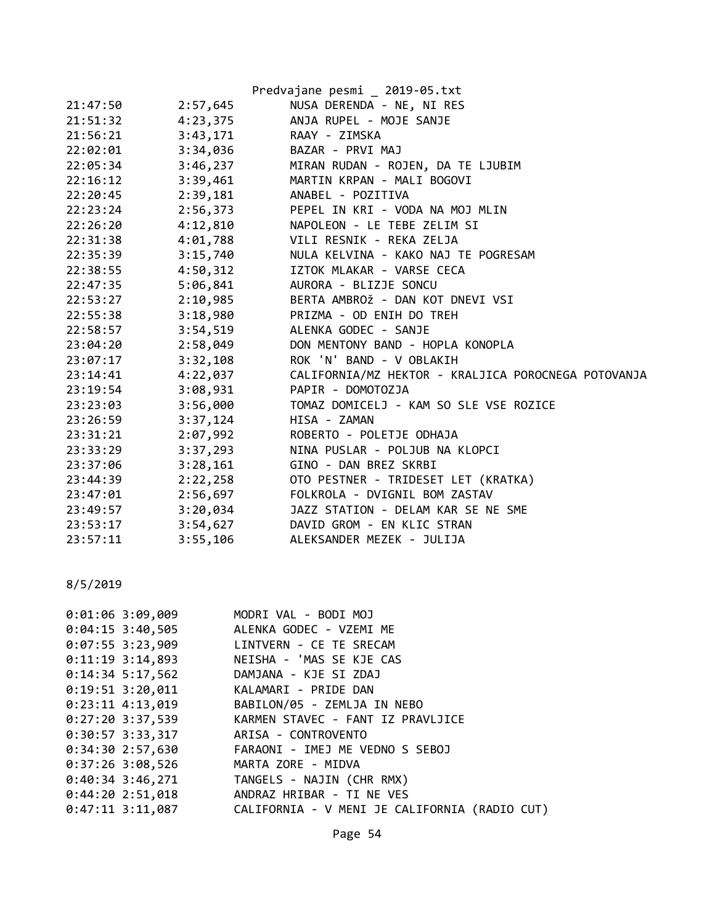|          |          | Predvajane pesmi _ 2019-05.txt                      |
|----------|----------|-----------------------------------------------------|
| 21:47:50 | 2:57,645 | NUSA DERENDA - NE, NI RES                           |
| 21:51:32 | 4:23,375 | ANJA RUPEL - MOJE SANJE                             |
| 21:56:21 | 3:43,171 | RAAY - ZIMSKA                                       |
| 22:02:01 |          | 3:34,036 BAZAR - PRVI MAJ                           |
| 22:05:34 | 3:46,237 | MIRAN RUDAN - ROJEN, DA TE LJUBIM                   |
| 22:16:12 | 3:39,461 | MARTIN KRPAN - MALI BOGOVI                          |
| 22:20:45 |          | 2:39,181 ANABEL - POZITIVA                          |
| 22:23:24 |          | 2:56,373 PEPEL IN KRI - VODA NA MOJ MLIN            |
| 22:26:20 |          | 4:12,810 NAPOLEON - LE TEBE ZELIM SI                |
| 22:31:38 |          | 4:01,788 VILI RESNIK - REKA ZELJA                   |
| 22:35:39 |          | 3:15,740 NULA KELVINA - KAKO NAJ TE POGRESAM        |
| 22:38:55 |          | 4:50,312 IZTOK MLAKAR - VARSE CECA                  |
| 22:47:35 |          | 5:06,841 AURORA - BLIZJE SONCU                      |
| 22:53:27 |          | 2:10,985 BERTA AMBROŽ - DAN KOT DNEVI VSI           |
| 22:55:38 |          | 3:18,980 PRIZMA - OD ENIH DO TREH                   |
| 22:58:57 | 3:54,519 | ALENKA GODEC - SANJE                                |
| 23:04:20 | 2:58,049 | DON MENTONY BAND - HOPLA KONOPLA                    |
| 23:07:17 | 3:32,108 | ROK 'N' BAND - V OBLAKIH                            |
| 23:14:41 | 4:22,037 | CALIFORNIA/MZ HEKTOR - KRALJICA POROCNEGA POTOVANJA |
| 23:19:54 | 3:08,931 | PAPIR - DOMOTOZJA                                   |
| 23:23:03 | 3:56,000 | TOMAZ DOMICELJ - KAM SO SLE VSE ROZICE              |
| 23:26:59 | 3:37,124 | HISA - ZAMAN                                        |
| 23:31:21 | 2:07,992 | ROBERTO - POLETJE ODHAJA                            |
| 23:33:29 | 3:37,293 | NINA PUSLAR - POLJUB NA KLOPCI                      |
| 23:37:06 | 3:28,161 | GINO - DAN BREZ SKRBI                               |
| 23:44:39 | 2:22,258 | OTO PESTNER - TRIDESET LET (KRATKA)                 |
| 23:47:01 | 2:56,697 | FOLKROLA - DVIGNIL BOM ZASTAV                       |
| 23:49:57 | 3:20,034 | JAZZ STATION - DELAM KAR SE NE SME                  |
| 23:53:17 |          | 3:54,627 DAVID GROM - EN KLIC STRAN                 |
| 23:57:11 | 3:55,106 | ALEKSANDER MEZEK - JULIJA                           |

| $0:01:06$ 3:09,009 | MODRI VAL - BODI MOJ                          |
|--------------------|-----------------------------------------------|
| $0:04:15$ 3:40,505 | ALENKA GODEC - VZEMI ME                       |
| $0:07:55$ 3:23,909 | LINTVERN - CE TE SRECAM                       |
| $0:11:19$ 3:14,893 | NEISHA - 'MAS SE KJE CAS                      |
| $0:14:34$ 5:17,562 | DAMJANA - KJE SI ZDAJ                         |
| $0:19:51$ 3:20,011 | KALAMARI - PRIDE DAN                          |
| $0:23:11$ 4:13,019 | BABILON/05 - ZEMLJA IN NEBO                   |
| 0:27:20 3:37,539   | KARMEN STAVEC - FANT IZ PRAVLJICE             |
| 0:30:57 3:33,317   | ARISA - CONTROVENTO                           |
| 0:34:30 2:57,630   | FARAONI - IMEJ ME VEDNO S SEBOJ               |
| $0:37:26$ 3:08,526 | MARTA ZORE - MIDVA                            |
| 0:40:34 3:46,271   | TANGELS - NAJIN (CHR RMX)                     |
| 0:44:202:51,018    | ANDRAZ HRIBAR - TI NE VES                     |
| $0:47:11$ 3:11,087 | CALIFORNIA - V MENI JE CALIFORNIA (RADIO CUT) |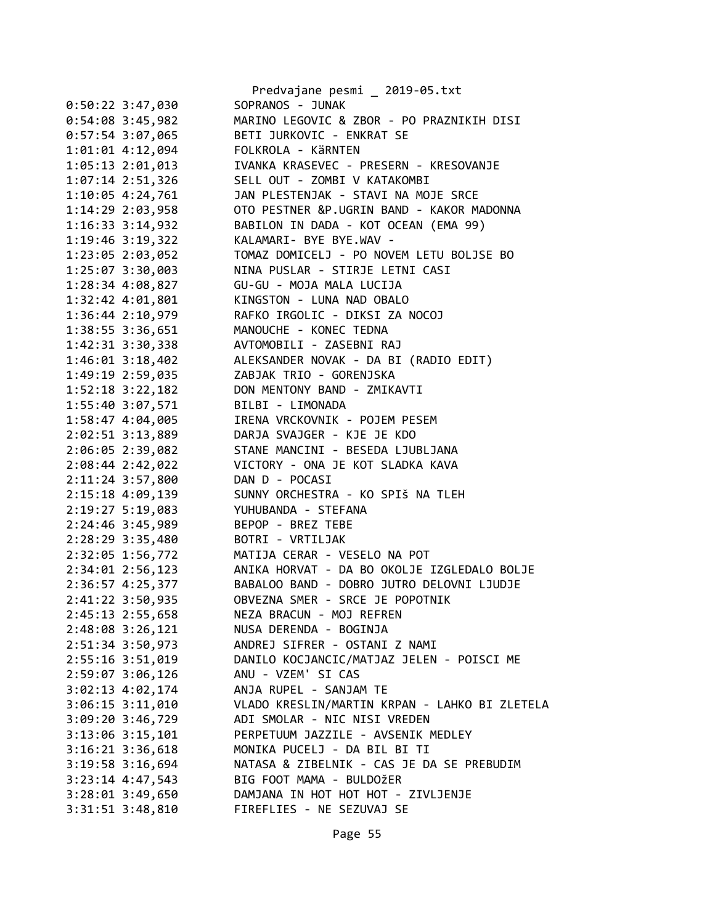|                      | Predvajane pesmi _ 2019-05.txt                |
|----------------------|-----------------------------------------------|
| $0:50:22$ 3:47,030   | SOPRANOS - JUNAK                              |
| $0:54:08$ 3:45,982   | MARINO LEGOVIC & ZBOR - PO PRAZNIKIH DISI     |
| $0:57:54$ 3:07,065   | BETI JURKOVIC - ENKRAT SE                     |
| 1:01:01 4:12,094     | FOLKROLA - KÄRNTEN                            |
| 1:05:13 2:01,013     | IVANKA KRASEVEC - PRESERN - KRESOVANJE        |
| $1:07:14$ $2:51,326$ | SELL OUT - ZOMBI V KATAKOMBI                  |
| 1:10:05 4:24,761     | JAN PLESTENJAK - STAVI NA MOJE SRCE           |
| 1:14:29 2:03,958     | OTO PESTNER &P.UGRIN BAND - KAKOR MADONNA     |
| 1:16:33 3:14,932     | BABILON IN DADA - KOT OCEAN (EMA 99)          |
| 1:19:46 3:19,322     | KALAMARI- BYE BYE.WAV -                       |
| 1:23:05 2:03,052     | TOMAZ DOMICELJ - PO NOVEM LETU BOLJSE BO      |
| 1:25:07 3:30,003     | NINA PUSLAR - STIRJE LETNI CASI               |
| 1:28:34 4:08,827     | GU-GU - MOJA MALA LUCIJA                      |
| 1:32:42 4:01,801     | KINGSTON - LUNA NAD OBALO                     |
| 1:36:44 2:10,979     | RAFKO IRGOLIC - DIKSI ZA NOCOJ                |
| 1:38:55 3:36,651     | MANOUCHE - KONEC TEDNA                        |
| 1:42:31 3:30,338     | AVTOMOBILI - ZASEBNI RAJ                      |
| $1:46:01$ $3:18,402$ | ALEKSANDER NOVAK - DA BI (RADIO EDIT)         |
| 1:49:19 2:59,035     | ZABJAK TRIO - GORENJSKA                       |
| $1:52:18$ $3:22,182$ | DON MENTONY BAND - ZMIKAVTI                   |
| 1:55:40 3:07,571     | BILBI - LIMONADA                              |
| 1:58:47 4:04,005     | IRENA VRCKOVNIK - POJEM PESEM                 |
| 2:02:51 3:13,889     | DARJA SVAJGER - KJE JE KDO                    |
| 2:06:05 2:39,082     | STANE MANCINI - BESEDA LJUBLJANA              |
| 2:08:44 2:42,022     | VICTORY - ONA JE KOT SLADKA KAVA              |
| 2:11:24 3:57,800     | DAN D - POCASI                                |
| 2:15:18 4:09,139     | SUNNY ORCHESTRA - KO SPIŠ NA TLEH             |
| 2:19:27 5:19,083     | YUHUBANDA - STEFANA                           |
| 2:24:46 3:45,989     | BEPOP - BREZ TEBE                             |
| 2:28:29 3:35,480     | BOTRI - VRTILJAK                              |
| 2:32:05 1:56,772     | MATIJA CERAR - VESELO NA POT                  |
| $2:34:01$ $2:56,123$ | ANIKA HORVAT - DA BO OKOLJE IZGLEDALO BOLJE   |
| 2:36:57 4:25,377     | BABALOO BAND - DOBRO JUTRO DELOVNI LJUDJE     |
| 2:41:22 3:50,935     | OBVEZNA SMER - SRCE JE POPOTNIK               |
| 2:45:13 2:55,658     | NEZA BRACUN - MOJ REFREN                      |
| $2:48:08$ 3:26,121   | NUSA DERENDA - BOGINJA                        |
| 2:51:34 3:50,973     | ANDREJ SIFRER - OSTANI Z NAMI                 |
| 2:55:16 3:51,019     | DANILO KOCJANCIC/MATJAZ JELEN - POISCI ME     |
| 2:59:07 3:06,126     | ANU - VZEM' SI CAS                            |
| $3:02:13$ 4:02,174   | ANJA RUPEL - SANJAM TE                        |
| $3:06:15$ $3:11,010$ | VLADO KRESLIN/MARTIN KRPAN - LAHKO BI ZLETELA |
| 3:09:20 3:46,729     | ADI SMOLAR - NIC NISI VREDEN                  |
| $3:13:06$ $3:15,101$ | PERPETUUM JAZZILE - AVSENIK MEDLEY            |
| 3:16:21 3:36,618     | MONIKA PUCELJ - DA BIL BI TI                  |
| 3:19:58 3:16,694     | NATASA & ZIBELNIK - CAS JE DA SE PREBUDIM     |
| $3:23:14$ 4:47,543   | BIG FOOT MAMA - BULDOŽER                      |
| 3:28:01 3:49,650     | DAMJANA IN HOT HOT HOT - ZIVLJENJE            |
| $3:31:51$ $3:48,810$ | FIREFLIES - NE SEZUVAJ SE                     |
|                      |                                               |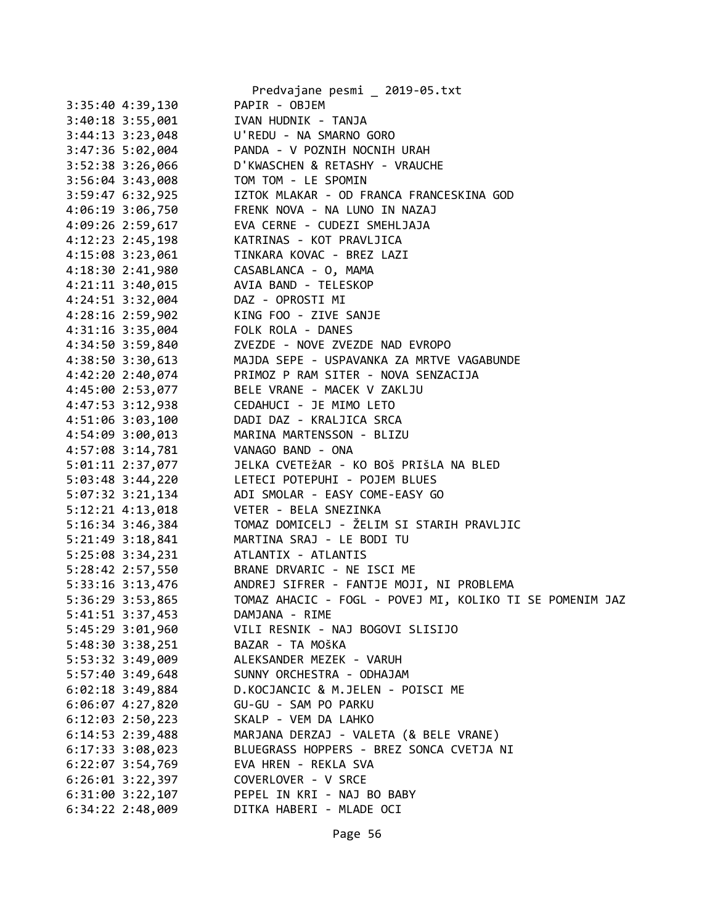|                                      | Predvajane pesmi _ 2019-05.txt                                                                                                 |
|--------------------------------------|--------------------------------------------------------------------------------------------------------------------------------|
| 3:35:40 4:39,130                     | PAPIR - OBJEM                                                                                                                  |
|                                      | 3:40:18 3:55,001 IVAN HUDNIK - TANJA                                                                                           |
|                                      | 3:44:13 3:23,048 U'REDU - NA SMARNO GORO                                                                                       |
| 3:47:36 5:02,004                     | PANDA - V POZNIH NOCNIH URAH                                                                                                   |
| $3:52:38$ $3:26,066$                 | D'KWASCHEN & RETASHY - VRAUCHE                                                                                                 |
|                                      | 3:56:04 3:43,008 TOM TOM - LE SPOMIN                                                                                           |
|                                      | 3:59:47 6:32,925 IZTOK MLAKAR - OD FRANCA FRANCESKINA GOD<br>4:06:19 3:06,750 FRENK NOVA - NA LUNO IN NAZAJ                    |
|                                      |                                                                                                                                |
|                                      | 4:09:26 2:59,617 EVA CERNE - CUDEZI SMEHLJAJA                                                                                  |
|                                      | 4:12:23 2:45,198 KATRINAS - KOT PRAVLJICA                                                                                      |
| $4:15:08$ 3:23,061                   | TINKARA KOVAC - BREZ LAZI                                                                                                      |
|                                      | 4:18:30 2:41,980 CASABLANCA - 0, MAMA                                                                                          |
|                                      | 4:21:11 3:40,015 AVIA BAND - TELESKOP                                                                                          |
| 4:24:51 3:32,004 DAZ - OPROSTI MI    |                                                                                                                                |
|                                      |                                                                                                                                |
|                                      | 4:28:16 2:59,902 KING FOO - ZIVE SANJE<br>4:31:16 3:35,004 FOLK ROLA - DANES                                                   |
|                                      | 4:34:50 3:59,840 ZVEZDE - NOVE ZVEZDE NAD EVROPO                                                                               |
|                                      | 4:38:50 3:30,613 MAJDA SEPE - USPAVANKA ZA MRTVE VAGABUNDE                                                                     |
|                                      | 4:42:20 2:40,074 PRIMOZ P RAM SITER - NOVA SENZACIJA                                                                           |
|                                      | 4:45:00 2:53,077 BELE VRANE - MACEK V ZAKLJU                                                                                   |
|                                      |                                                                                                                                |
|                                      | 4:47:53 3:12,938<br>4:51:06 3:03,100<br>4:54:09 3:00,013<br>4:54:09 3:00,013<br>4:54:09 3:44.733<br>AMARINA MARTENSSON - BLIZU |
|                                      |                                                                                                                                |
|                                      | 4:57:08 3:14,781 VANAGO BAND - ONA                                                                                             |
|                                      | 5:01:11 2:37,077 JELKA CVETEŽAR - KO BOŠ PRIŠLA NA BLED                                                                        |
|                                      | 5:03:48 3:44,220 LETECI POTEPUHI - POJEM BLUES                                                                                 |
|                                      | 5:07:32 3:21,134 ADI SMOLAR - EASY COME-EASY GO                                                                                |
| $5:12:21$ $4:13,018$                 | VETER - BELA SNEZINKA                                                                                                          |
| $5:16:34$ 3:46,384                   |                                                                                                                                |
| 5:21:49 3:18,841                     | TOMAZ DOMICELJ - ŽELIM SI STARIH PRAVLJIC<br>MARTINA SRAJ - LE BODI TU                                                         |
|                                      |                                                                                                                                |
|                                      | 5:25:08 3:34,231 ATLANTIX - ATLANTIS                                                                                           |
|                                      | 5:28:42 2:57,550 BRANE DRVARIC - NE ISCI ME                                                                                    |
|                                      | 5:33:16 3:13,476 ANDREJ SIFRER - FANTJE MOJI, NI PROBLEMA<br>TOMAZ AHACIC - FOGL - POVEJ MI, KOLIKO TI SE POMENIM JAZ          |
| 5:36:29 3:53,865<br>5:41:51 3:37,453 | DAMJANA - RIME                                                                                                                 |
|                                      |                                                                                                                                |
| 5:45:29 3:01,960                     | VILI RESNIK - NAJ BOGOVI SLISIJO                                                                                               |
| 5:48:30 3:38,251                     | BAZAR - TA MOŠKA                                                                                                               |
| 5:53:32 3:49,009                     | ALEKSANDER MEZEK - VARUH                                                                                                       |
| 5:57:40 3:49,648                     | SUNNY ORCHESTRA - ODHAJAM                                                                                                      |
| $6:02:18$ 3:49,884                   | D.KOCJANCIC & M.JELEN - POISCI ME                                                                                              |
| $6:06:07$ $4:27,820$                 | GU-GU - SAM PO PARKU                                                                                                           |
| $6:12:03$ $2:50,223$                 | SKALP - VEM DA LAHKO                                                                                                           |
| 6:14:53 2:39,488                     | MARJANA DERZAJ - VALETA (& BELE VRANE)                                                                                         |
| $6:17:33$ 3:08,023                   | BLUEGRASS HOPPERS - BREZ SONCA CVETJA NI                                                                                       |
| $6:22:07$ 3:54,769                   | EVA HREN - REKLA SVA                                                                                                           |
| $6:26:01$ $3:22,397$                 | COVERLOVER - V SRCE                                                                                                            |
| $6:31:00$ $3:22,107$                 | PEPEL IN KRI - NAJ BO BABY                                                                                                     |
| $6:34:22$ 2:48,009                   | DITKA HABERI - MLADE OCI                                                                                                       |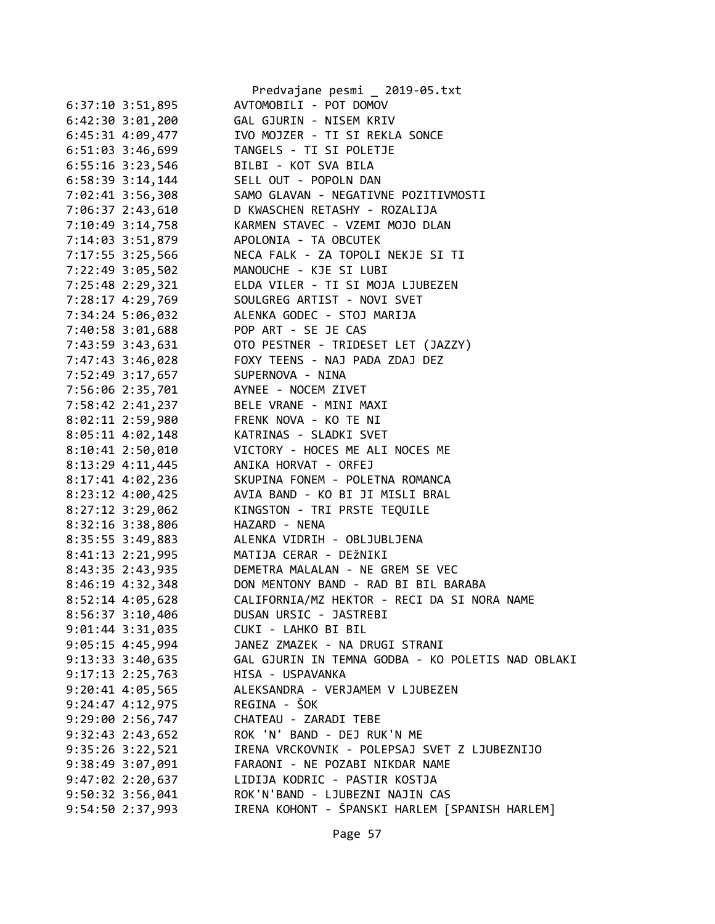|                      | Predvajane pesmi _ 2019-05.txt                    |
|----------------------|---------------------------------------------------|
| 6:37:10 3:51,895     | AVTOMOBILI - POT DOMOV                            |
| $6:42:30$ $3:01,200$ | GAL GJURIN - NISEM KRIV                           |
| 6:45:31 4:09,477     | IVO MOJZER - TI SI REKLA SONCE                    |
| 6:51:03 3:46,699     | TANGELS - TI SI POLETJE                           |
| $6:55:16$ 3:23,546   | BILBI - KOT SVA BILA                              |
| 6:58:39 3:14,144     | SELL OUT - POPOLN DAN                             |
| 7:02:41 3:56,308     | SAMO GLAVAN - NEGATIVNE POZITIVMOSTI              |
| 7:06:37 2:43,610     | D KWASCHEN RETASHY - ROZALIJA                     |
| 7:10:49 3:14,758     | KARMEN STAVEC - VZEMI MOJO DLAN                   |
| 7:14:03 3:51,879     | APOLONIA - TA OBCUTEK                             |
| 7:17:55 3:25,566     | NECA FALK - ZA TOPOLI NEKJE SI TI                 |
| 7:22:49 3:05,502     | MANOUCHE - KJE SI LUBI                            |
| 7:25:48 2:29,321     | ELDA VILER - TI SI MOJA LJUBEZEN                  |
| 7:28:17 4:29,769     | SOULGREG ARTIST - NOVI SVET                       |
| 7:34:24 5:06,032     | ALENKA GODEC - STOJ MARIJA                        |
| 7:40:58 3:01,688     | POP ART - SE JE CAS                               |
| 7:43:59 3:43,631     | OTO PESTNER - TRIDESET LET (JAZZY)                |
| 7:47:43 3:46,028     | FOXY TEENS - NAJ PADA ZDAJ DEZ                    |
| 7:52:49 3:17,657     | SUPERNOVA - NINA                                  |
| 7:56:06 2:35,701     | AYNEE - NOCEM ZIVET                               |
| 7:58:42 2:41,237     | BELE VRANE - MINI MAXI                            |
| 8:02:11 2:59,980     | FRENK NOVA - KO TE NI                             |
| $8:05:11$ $4:02,148$ | KATRINAS - SLADKI SVET                            |
| 8:10:41 2:50,010     | VICTORY - HOCES ME ALI NOCES ME                   |
|                      | ANIKA HORVAT - ORFEJ                              |
| 8:13:29 4:11,445     | SKUPINA FONEM - POLETNA ROMANCA                   |
| 8:17:41 4:02,236     | AVIA BAND - KO BI JI MISLI BRAL                   |
| 8:23:12 4:00,425     |                                                   |
| $8:27:12$ 3:29,062   | KINGSTON - TRI PRSTE TEQUILE                      |
| 8:32:16 3:38,806     | HAZARD - NENA                                     |
| 8:35:55 3:49,883     | ALENKA VIDRIH - OBLJUBLJENA                       |
| 8:41:13 2:21,995     | MATIJA CERAR - DEŽNIKI                            |
| 8:43:35 2:43,935     | DEMETRA MALALAN - NE GREM SE VEC                  |
| 8:46:19 4:32,348     | DON MENTONY BAND - RAD BI BIL BARABA              |
| 8:52:14 4:05,628     | CALIFORNIA/MZ HEKTOR - RECI DA SI NORA NAME       |
| $8:56:37$ 3:10,406   | DUSAN URSIC - JASTREBI                            |
| $9:01:44$ 3:31,035   | CUKI - LAHKO BI BIL                               |
| $9:05:15$ 4:45,994   | JANEZ ZMAZEK - NA DRUGI STRANI                    |
| $9:13:33$ $3:40,635$ | GAL GJURIN IN TEMNA GODBA - KO POLETIS NAD OBLAKI |
| $9:17:13$ $2:25,763$ | HISA - USPAVANKA                                  |
| $9:20:41$ $4:05,565$ | ALEKSANDRA - VERJAMEM V LJUBEZEN                  |
| $9:24:47$ $4:12,975$ | REGINA - ŠOK                                      |
| 9:29:002:56,747      | CHATEAU - ZARADI TEBE                             |
| $9:32:43$ $2:43,652$ | ROK 'N' BAND - DEJ RUK'N ME                       |
| $9:35:26$ $3:22,521$ | IRENA VRCKOVNIK - POLEPSAJ SVET Z LJUBEZNIJO      |
| 9:38:49 3:07,091     | FARAONI - NE POZABI NIKDAR NAME                   |
| $9:47:02$ $2:20,637$ | LIDIJA KODRIC - PASTIR KOSTJA                     |
| $9:50:32$ 3:56,041   | ROK'N'BAND - LJUBEZNI NAJIN CAS                   |
| 9:54:50 2:37,993     | IRENA KOHONT - ŠPANSKI HARLEM [SPANISH HARLEM]    |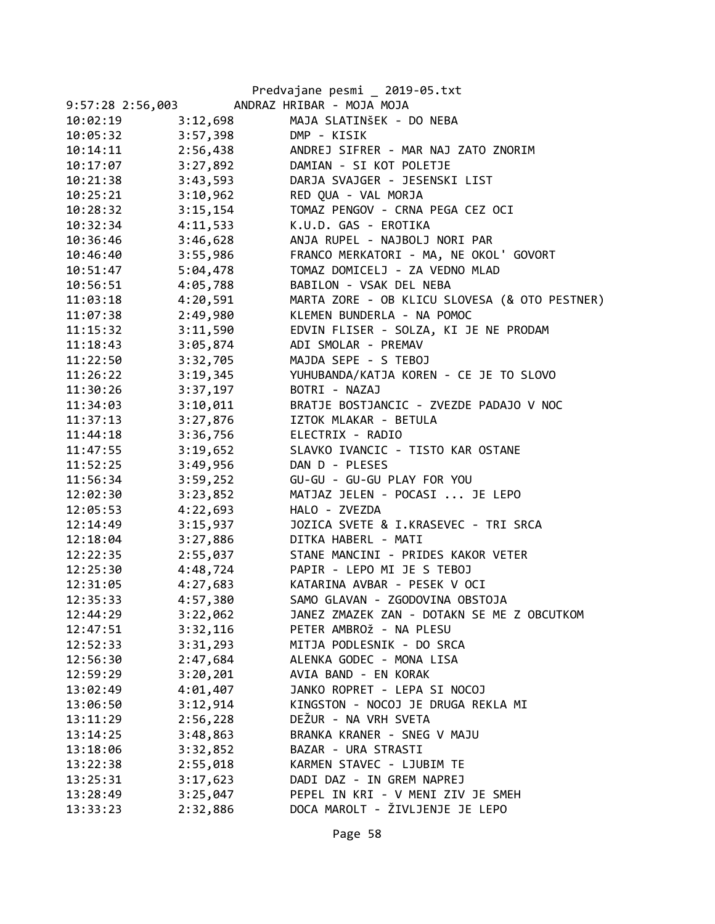| 9:57:28 2:56,003     |          | Predvajane pesmi _ 2019-05.txt<br>ANDRAZ HRIBAR - MOJA MOJA |
|----------------------|----------|-------------------------------------------------------------|
| 10:02:19             | 3:12,698 | MAJA SLATINŠEK - DO NEBA                                    |
| 10:05:32             | 3:57,398 | DMP - KISIK                                                 |
|                      | 2:56,438 | ANDREJ SIFRER - MAR NAJ ZATO ZNORIM                         |
| 10:14:11<br>10:17:07 | 3:27,892 | DAMIAN - SI KOT POLETJE                                     |
|                      |          |                                                             |
| 10:21:38             | 3:43,593 | DARJA SVAJGER - JESENSKI LIST                               |
| 10:25:21             | 3:10,962 | RED QUA - VAL MORJA                                         |
| 10:28:32             | 3:15,154 | TOMAZ PENGOV - CRNA PEGA CEZ OCI                            |
| 10:32:34             | 4:11,533 | K.U.D. GAS - EROTIKA                                        |
| 10:36:46             | 3:46,628 | ANJA RUPEL - NAJBOLJ NORI PAR                               |
| 10:46:40             | 3:55,986 | FRANCO MERKATORI - MA, NE OKOL' GOVORT                      |
| 10:51:47             | 5:04,478 | TOMAZ DOMICELJ - ZA VEDNO MLAD                              |
| 10:56:51             | 4:05,788 | BABILON - VSAK DEL NEBA                                     |
| 11:03:18             | 4:20,591 | MARTA ZORE - OB KLICU SLOVESA (& OTO PESTNER)               |
| 11:07:38             | 2:49,980 | KLEMEN BUNDERLA - NA POMOC                                  |
| 11:15:32             | 3:11,590 | EDVIN FLISER - SOLZA, KI JE NE PRODAM                       |
| 11:18:43             | 3:05,874 | ADI SMOLAR - PREMAV                                         |
| 11:22:50             | 3:32,705 | MAJDA SEPE - S TEBOJ                                        |
| 11:26:22             | 3:19,345 | YUHUBANDA/KATJA KOREN - CE JE TO SLOVO                      |
| 11:30:26             | 3:37,197 | BOTRI - NAZAJ                                               |
| 11:34:03             | 3:10,011 | BRATJE BOSTJANCIC - ZVEZDE PADAJO V NOC                     |
| 11:37:13             | 3:27,876 | IZTOK MLAKAR - BETULA                                       |
| 11:44:18             | 3:36,756 | ELECTRIX - RADIO                                            |
| 11:47:55             | 3:19,652 | SLAVKO IVANCIC - TISTO KAR OSTANE                           |
| 11:52:25             | 3:49,956 | DAN D - PLESES                                              |
| 11:56:34             | 3:59,252 | GU-GU - GU-GU PLAY FOR YOU                                  |
| 12:02:30             | 3:23,852 | MATJAZ JELEN - POCASI  JE LEPO                              |
| 12:05:53             | 4:22,693 | HALO - ZVEZDA                                               |
| 12:14:49             | 3:15,937 | JOZICA SVETE & I.KRASEVEC - TRI SRCA                        |
| 12:18:04             | 3:27,886 | DITKA HABERL - MATI                                         |
| 12:22:35             | 2:55,037 | STANE MANCINI - PRIDES KAKOR VETER                          |
| 12:25:30             |          | 4:48,724 PAPIR - LEPO MI JE S TEBOJ                         |
| 12:31:05             | 4:27,683 | KATARINA AVBAR - PESEK V OCI                                |
| 12:35:33             | 4:57,380 | SAMO GLAVAN - ZGODOVINA OBSTOJA                             |
| 12:44:29             | 3:22,062 | JANEZ ZMAZEK ZAN - DOTAKN SE ME Z OBCUTKOM                  |
| 12:47:51             | 3:32,116 | PETER AMBROŽ - NA PLESU                                     |
| 12:52:33             | 3:31,293 | MITJA PODLESNIK - DO SRCA                                   |
| 12:56:30             | 2:47,684 | ALENKA GODEC - MONA LISA                                    |
| 12:59:29             | 3:20,201 | AVIA BAND - EN KORAK                                        |
| 13:02:49             | 4:01,407 | JANKO ROPRET - LEPA SI NOCOJ                                |
| 13:06:50             | 3:12,914 | KINGSTON - NOCOJ JE DRUGA REKLA MI                          |
| 13:11:29             | 2:56,228 | DEŽUR - NA VRH SVETA                                        |
| 13:14:25             | 3:48,863 | BRANKA KRANER - SNEG V MAJU                                 |
| 13:18:06             | 3:32,852 | BAZAR - URA STRASTI                                         |
| 13:22:38             | 2:55,018 | KARMEN STAVEC - LJUBIM TE                                   |
| 13:25:31             | 3:17,623 | DADI DAZ - IN GREM NAPREJ                                   |
| 13:28:49             | 3:25,047 | PEPEL IN KRI - V MENI ZIV JE SMEH                           |
| 13:33:23             | 2:32,886 | DOCA MAROLT - ŽIVLJENJE JE LEPO                             |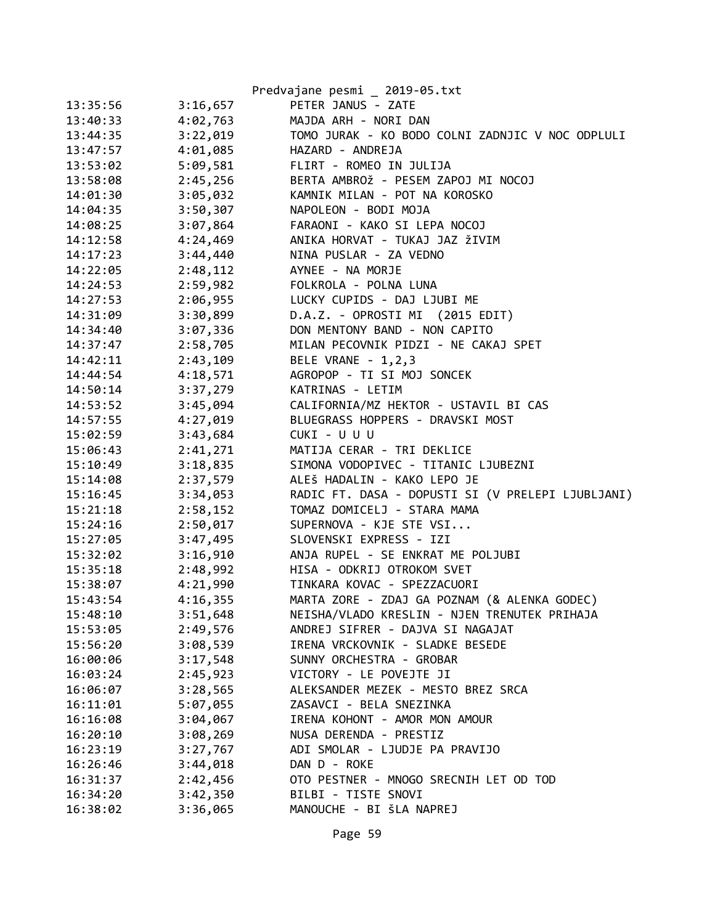|          |          | Predvajane pesmi _ 2019-05.txt                    |
|----------|----------|---------------------------------------------------|
| 13:35:56 | 3:16,657 | PETER JANUS - ZATE                                |
| 13:40:33 | 4:02,763 | MAJDA ARH - NORI DAN                              |
| 13:44:35 | 3:22,019 | TOMO JURAK - KO BODO COLNI ZADNJIC V NOC ODPLULI  |
| 13:47:57 | 4:01,085 | HAZARD - ANDREJA                                  |
| 13:53:02 | 5:09,581 | FLIRT - ROMEO IN JULIJA                           |
| 13:58:08 | 2:45,256 | BERTA AMBROŽ - PESEM ZAPOJ MI NOCOJ               |
| 14:01:30 | 3:05,032 | KAMNIK MILAN - POT NA KOROSKO                     |
| 14:04:35 | 3:50,307 | NAPOLEON - BODI MOJA                              |
| 14:08:25 | 3:07,864 | FARAONI - KAKO SI LEPA NOCOJ                      |
| 14:12:58 | 4:24,469 | ANIKA HORVAT - TUKAJ JAZ ŽIVIM                    |
| 14:17:23 | 3:44,440 | NINA PUSLAR - ZA VEDNO                            |
| 14:22:05 | 2:48,112 | AYNEE - NA MORJE                                  |
| 14:24:53 | 2:59,982 | FOLKROLA - POLNA LUNA                             |
| 14:27:53 | 2:06,955 | LUCKY CUPIDS - DAJ LJUBI ME                       |
| 14:31:09 | 3:30,899 | D.A.Z. - OPROSTI MI (2015 EDIT)                   |
| 14:34:40 | 3:07,336 | DON MENTONY BAND - NON CAPITO                     |
| 14:37:47 | 2:58,705 | MILAN PECOVNIK PIDZI - NE CAKAJ SPET              |
| 14:42:11 | 2:43,109 | BELE VRANE - 1,2,3                                |
| 14:44:54 | 4:18,571 | AGROPOP - TI SI MOJ SONCEK                        |
| 14:50:14 | 3:37,279 | KATRINAS - LETIM                                  |
| 14:53:52 | 3:45,094 | CALIFORNIA/MZ HEKTOR - USTAVIL BI CAS             |
| 14:57:55 | 4:27,019 | BLUEGRASS HOPPERS - DRAVSKI MOST                  |
| 15:02:59 | 3:43,684 | CUKI - U U U                                      |
| 15:06:43 | 2:41,271 | MATIJA CERAR - TRI DEKLICE                        |
| 15:10:49 | 3:18,835 | SIMONA VODOPIVEC - TITANIC LJUBEZNI               |
| 15:14:08 | 2:37,579 | ALEŠ HADALIN - KAKO LEPO JE                       |
| 15:16:45 | 3:34,053 | RADIC FT. DASA - DOPUSTI SI (V PRELEPI LJUBLJANI) |
| 15:21:18 | 2:58,152 | TOMAZ DOMICELJ - STARA MAMA                       |
| 15:24:16 | 2:50,017 | SUPERNOVA - KJE STE VSI                           |
| 15:27:05 | 3:47,495 | SLOVENSKI EXPRESS - IZI                           |
| 15:32:02 | 3:16,910 | ANJA RUPEL - SE ENKRAT ME POLJUBI                 |
| 15:35:18 | 2:48,992 | HISA - ODKRIJ OTROKOM SVET                        |
| 15:38:07 | 4:21,990 | TINKARA KOVAC - SPEZZACUORI                       |
| 15:43:54 | 4:16,355 | MARTA ZORE - ZDAJ GA POZNAM (& ALENKA GODEC)      |
| 15:48:10 | 3:51,648 | NEISHA/VLADO KRESLIN - NJEN TRENUTEK PRIHAJA      |
| 15:53:05 | 2:49,576 | ANDREJ SIFRER - DAJVA SI NAGAJAT                  |
| 15:56:20 | 3:08,539 | IRENA VRCKOVNIK - SLADKE BESEDE                   |
| 16:00:06 | 3:17,548 | SUNNY ORCHESTRA - GROBAR                          |
| 16:03:24 | 2:45,923 | VICTORY - LE POVEJTE JI                           |
| 16:06:07 | 3:28,565 | ALEKSANDER MEZEK - MESTO BREZ SRCA                |
| 16:11:01 | 5:07,055 | ZASAVCI - BELA SNEZINKA                           |
| 16:16:08 | 3:04,067 | IRENA KOHONT - AMOR MON AMOUR                     |
| 16:20:10 | 3:08,269 | NUSA DERENDA - PRESTIZ                            |
| 16:23:19 | 3:27,767 | ADI SMOLAR - LJUDJE PA PRAVIJO                    |
| 16:26:46 | 3:44,018 | DAN D - ROKE                                      |
| 16:31:37 | 2:42,456 | OTO PESTNER - MNOGO SRECNIH LET OD TOD            |
| 16:34:20 | 3:42,350 | BILBI - TISTE SNOVI                               |
| 16:38:02 | 3:36,065 | MANOUCHE - BI ŠLA NAPREJ                          |
|          |          |                                                   |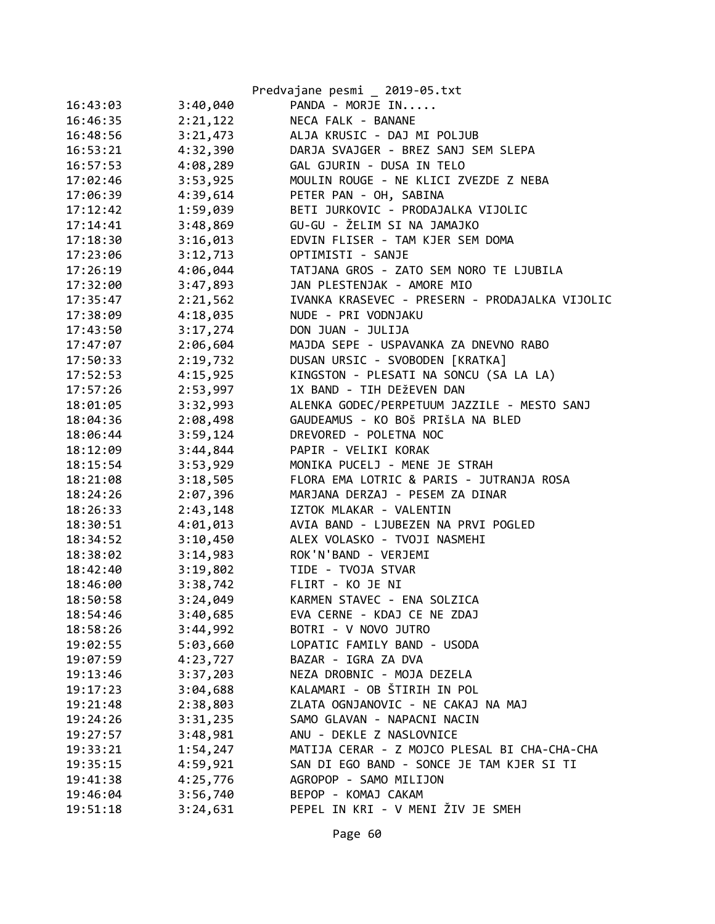|          |          | Predvajane pesmi _ 2019-05.txt                 |
|----------|----------|------------------------------------------------|
| 16:43:03 | 3:40,040 | PANDA - MORJE IN                               |
| 16:46:35 | 2:21,122 | NECA FALK - BANANE                             |
| 16:48:56 | 3:21,473 | ALJA KRUSIC - DAJ MI POLJUB                    |
| 16:53:21 | 4:32,390 | DARJA SVAJGER - BREZ SANJ SEM SLEPA            |
| 16:57:53 | 4:08,289 | GAL GJURIN - DUSA IN TELO                      |
| 17:02:46 | 3:53,925 | MOULIN ROUGE - NE KLICI ZVEZDE Z NEBA          |
| 17:06:39 | 4:39,614 | PETER PAN - OH, SABINA                         |
| 17:12:42 | 1:59,039 | BETI JURKOVIC - PRODAJALKA VIJOLIC             |
| 17:14:41 | 3:48,869 | GU-GU - ŽELIM SI NA JAMAJKO                    |
| 17:18:30 | 3:16,013 | EDVIN FLISER - TAM KJER SEM DOMA               |
| 17:23:06 | 3:12,713 | OPTIMISTI - SANJE                              |
| 17:26:19 | 4:06,044 | TATJANA GROS - ZATO SEM NORO TE LJUBILA        |
| 17:32:00 | 3:47,893 | JAN PLESTENJAK - AMORE MIO                     |
| 17:35:47 | 2:21,562 | IVANKA KRASEVEC - PRESERN - PRODAJALKA VIJOLIC |
| 17:38:09 | 4:18,035 | NUDE - PRI VODNJAKU                            |
| 17:43:50 | 3:17,274 | DON JUAN - JULIJA                              |
| 17:47:07 | 2:06,604 | MAJDA SEPE - USPAVANKA ZA DNEVNO RABO          |
| 17:50:33 | 2:19,732 | DUSAN URSIC - SVOBODEN [KRATKA]                |
| 17:52:53 | 4:15,925 | KINGSTON - PLESATI NA SONCU (SA LA LA)         |
| 17:57:26 | 2:53,997 | 1X BAND - TIH DEŽEVEN DAN                      |
| 18:01:05 | 3:32,993 | ALENKA GODEC/PERPETUUM JAZZILE - MESTO SANJ    |
| 18:04:36 | 2:08,498 | GAUDEAMUS - KO BOŠ PRIŠLA NA BLED              |
| 18:06:44 | 3:59,124 | DREVORED - POLETNA NOC                         |
| 18:12:09 | 3:44,844 | PAPIR - VELIKI KORAK                           |
| 18:15:54 | 3:53,929 | MONIKA PUCELJ - MENE JE STRAH                  |
| 18:21:08 | 3:18,505 | FLORA EMA LOTRIC & PARIS - JUTRANJA ROSA       |
| 18:24:26 | 2:07,396 | MARJANA DERZAJ - PESEM ZA DINAR                |
| 18:26:33 | 2:43,148 | IZTOK MLAKAR - VALENTIN                        |
| 18:30:51 | 4:01,013 | AVIA BAND - LJUBEZEN NA PRVI POGLED            |
| 18:34:52 | 3:10,450 | ALEX VOLASKO - TVOJI NASMEHI                   |
| 18:38:02 | 3:14,983 | ROK'N'BAND - VERJEMI                           |
| 18:42:40 | 3:19,802 | TIDE - TVOJA STVAR                             |
| 18:46:00 | 3:38,742 | FLIRT - KO JE NI                               |
| 18:50:58 | 3:24,049 | KARMEN STAVEC - ENA SOLZICA                    |
| 18:54:46 | 3:40,685 | EVA CERNE - KDAJ CE NE ZDAJ                    |
| 18:58:26 | 3:44,992 | BOTRI - V NOVO JUTRO                           |
| 19:02:55 | 5:03,660 | LOPATIC FAMILY BAND - USODA                    |
| 19:07:59 | 4:23,727 | BAZAR - IGRA ZA DVA                            |
| 19:13:46 | 3:37,203 | NEZA DROBNIC - MOJA DEZELA                     |
| 19:17:23 | 3:04,688 | KALAMARI - OB ŠTIRIH IN POL                    |
| 19:21:48 | 2:38,803 | ZLATA OGNJANOVIC - NE CAKAJ NA MAJ             |
| 19:24:26 | 3:31,235 | SAMO GLAVAN - NAPACNI NACIN                    |
| 19:27:57 | 3:48,981 | ANU - DEKLE Z NASLOVNICE                       |
| 19:33:21 | 1:54,247 | MATIJA CERAR - Z MOJCO PLESAL BI CHA-CHA-CHA   |
| 19:35:15 | 4:59,921 | SAN DI EGO BAND - SONCE JE TAM KJER SI TI      |
| 19:41:38 | 4:25,776 | AGROPOP - SAMO MILIJON                         |
| 19:46:04 | 3:56,740 | BEPOP - KOMAJ CAKAM                            |
| 19:51:18 | 3:24,631 | PEPEL IN KRI - V MENI ŽIV JE SMEH              |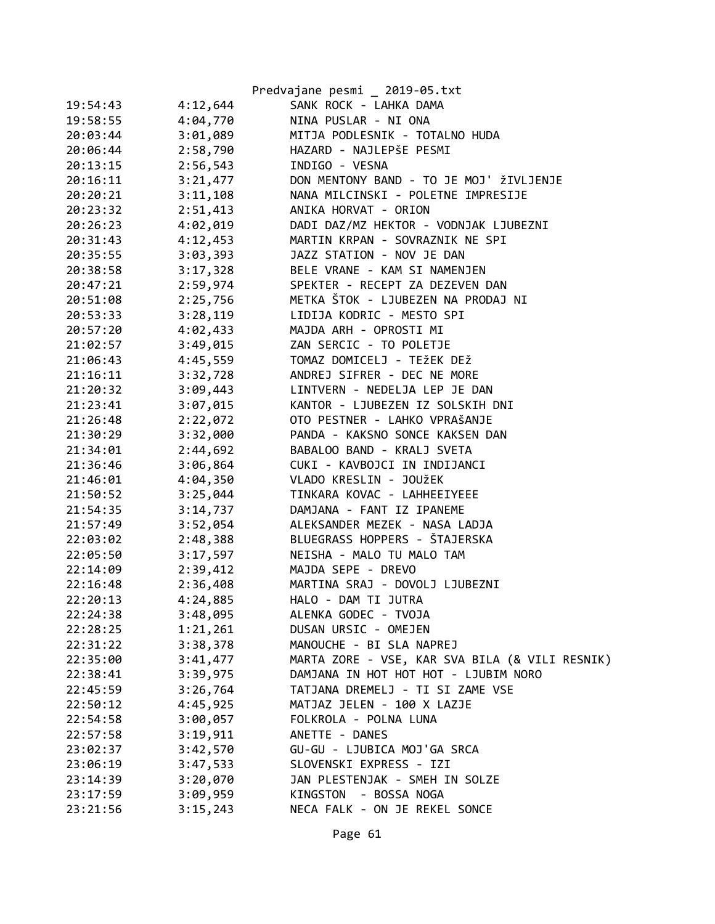|          |          | Predvajane pesmi _ 2019-05.txt                 |
|----------|----------|------------------------------------------------|
| 19:54:43 | 4:12,644 | SANK ROCK - LAHKA DAMA                         |
| 19:58:55 | 4:04,770 | NINA PUSLAR - NI ONA                           |
| 20:03:44 | 3:01,089 | MITJA PODLESNIK - TOTALNO HUDA                 |
| 20:06:44 | 2:58,790 | HAZARD - NAJLEPŠE PESMI                        |
| 20:13:15 | 2:56,543 | INDIGO - VESNA                                 |
| 20:16:11 | 3:21,477 | DON MENTONY BAND - TO JE MOJ' ŽIVLJENJE        |
| 20:20:21 | 3:11,108 | NANA MILCINSKI - POLETNE IMPRESIJE             |
| 20:23:32 | 2:51,413 | ANIKA HORVAT - ORION                           |
| 20:26:23 | 4:02,019 | DADI DAZ/MZ HEKTOR - VODNJAK LJUBEZNI          |
| 20:31:43 | 4:12,453 | MARTIN KRPAN - SOVRAZNIK NE SPI                |
| 20:35:55 | 3:03,393 | JAZZ STATION - NOV JE DAN                      |
| 20:38:58 | 3:17,328 | BELE VRANE - KAM SI NAMENJEN                   |
| 20:47:21 | 2:59,974 | SPEKTER - RECEPT ZA DEZEVEN DAN                |
| 20:51:08 | 2:25,756 | METKA ŠTOK - LJUBEZEN NA PRODAJ NI             |
| 20:53:33 | 3:28,119 | LIDIJA KODRIC - MESTO SPI                      |
| 20:57:20 | 4:02,433 | MAJDA ARH - OPROSTI MI                         |
| 21:02:57 | 3:49,015 | ZAN SERCIC - TO POLETJE                        |
| 21:06:43 | 4:45,559 | TOMAZ DOMICELJ - TEŽEK DEŽ                     |
| 21:16:11 | 3:32,728 | ANDREJ SIFRER - DEC NE MORE                    |
| 21:20:32 | 3:09,443 | LINTVERN - NEDELJA LEP JE DAN                  |
| 21:23:41 | 3:07,015 | KANTOR - LJUBEZEN IZ SOLSKIH DNI               |
| 21:26:48 | 2:22,072 | OTO PESTNER - LAHKO VPRAŠANJE                  |
| 21:30:29 | 3:32,000 | PANDA - KAKSNO SONCE KAKSEN DAN                |
| 21:34:01 | 2:44,692 | BABALOO BAND - KRALJ SVETA                     |
| 21:36:46 | 3:06,864 | CUKI - KAVBOJCI IN INDIJANCI                   |
| 21:46:01 | 4:04,350 | VLADO KRESLIN - JOUŽEK                         |
| 21:50:52 | 3:25,044 | TINKARA KOVAC - LAHHEEIYEEE                    |
| 21:54:35 | 3:14,737 | DAMJANA - FANT IZ IPANEME                      |
| 21:57:49 | 3:52,054 | ALEKSANDER MEZEK - NASA LADJA                  |
| 22:03:02 | 2:48,388 | BLUEGRASS HOPPERS - ŠTAJERSKA                  |
| 22:05:50 | 3:17,597 | NEISHA - MALO TU MALO TAM                      |
| 22:14:09 | 2:39,412 | MAJDA SEPE - DREVO                             |
| 22:16:48 | 2:36,408 | MARTINA SRAJ - DOVOLJ LJUBEZNI                 |
| 22:20:13 | 4:24,885 | HALO - DAM TI JUTRA                            |
| 22:24:38 | 3:48,095 | ALENKA GODEC - TVOJA                           |
| 22:28:25 | 1:21,261 | DUSAN URSIC - OMEJEN                           |
| 22:31:22 | 3:38,378 | MANOUCHE - BI SLA NAPREJ                       |
| 22:35:00 | 3:41,477 | MARTA ZORE - VSE, KAR SVA BILA (& VILI RESNIK) |
| 22:38:41 | 3:39,975 | DAMJANA IN HOT HOT HOT - LJUBIM NORO           |
| 22:45:59 | 3:26,764 | TATJANA DREMELJ - TI SI ZAME VSE               |
| 22:50:12 | 4:45,925 | MATJAZ JELEN - 100 X LAZJE                     |
| 22:54:58 | 3:00,057 | FOLKROLA - POLNA LUNA                          |
| 22:57:58 | 3:19,911 | ANETTE - DANES                                 |
| 23:02:37 | 3:42,570 | GU-GU - LJUBICA MOJ'GA SRCA                    |
| 23:06:19 | 3:47,533 | SLOVENSKI EXPRESS - IZI                        |
| 23:14:39 | 3:20,070 | JAN PLESTENJAK - SMEH IN SOLZE                 |
| 23:17:59 | 3:09,959 | - BOSSA NOGA<br>KINGSTON                       |
| 23:21:56 | 3:15,243 | NECA FALK - ON JE REKEL SONCE                  |
|          |          |                                                |

Page 61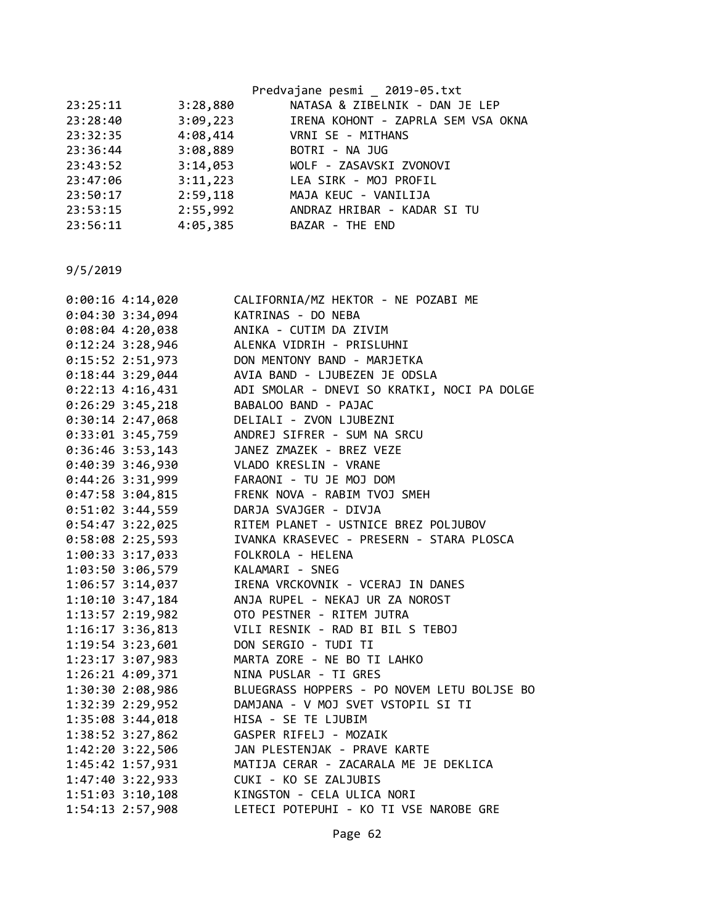|          |          | Predvajane pesmi 2019-05.txt       |
|----------|----------|------------------------------------|
| 23:25:11 | 3:28,880 | NATASA & ZIBELNIK - DAN JE LEP     |
| 23:28:40 | 3:09,223 | IRENA KOHONT - ZAPRLA SEM VSA OKNA |
| 23:32:35 |          | 4:08,414 VRNI SE - MITHANS         |
| 23:36:44 | 3:08,889 | BOTRI - NA JUG                     |
| 23:43:52 | 3:14,053 | WOLF - ZASAVSKI ZVONOVI            |
| 23:47:06 |          | 3:11,223 LEA SIRK - MOJ PROFIL     |
| 23:50:17 | 2:59,118 | MAJA KEUC - VANILIJA               |
| 23:53:15 | 2:55,992 | ANDRAZ HRIBAR - KADAR SI TU        |
| 23:56:11 | 4:05,385 | BAZAR - THE END                    |
|          |          |                                    |

| $0:00:16$ 4:14,020   | CALIFORNIA/MZ HEKTOR - NE POZABI ME         |
|----------------------|---------------------------------------------|
| $0:04:30$ 3:34,094   | KATRINAS - DO NEBA                          |
| $0:08:04$ 4:20,038   | ANIKA - CUTIM DA ZIVIM                      |
| $0:12:24$ 3:28,946   | ALENKA VIDRIH - PRISLUHNI                   |
| $0:15:52$ 2:51,973   | DON MENTONY BAND - MARJETKA                 |
| $0:18:44$ 3:29,044   | AVIA BAND - LJUBEZEN JE ODSLA               |
| $0:22:13$ 4:16,431   | ADI SMOLAR - DNEVI SO KRATKI, NOCI PA DOLGE |
| $0:26:29$ 3:45,218   | BABALOO BAND - PAJAC                        |
| $0:30:14$ 2:47,068   | DELIALI - ZVON LJUBEZNI                     |
| $0:33:01$ 3:45,759   | ANDREJ SIFRER - SUM NA SRCU                 |
| $0:36:46$ 3:53,143   | JANEZ ZMAZEK - BREZ VEZE                    |
| 0:40:39 3:46,930     | VLADO KRESLIN - VRANE                       |
| 0:44:26 3:31,999     | FARAONI - TU JE MOJ DOM                     |
| $0:47:58$ 3:04,815   | FRENK NOVA - RABIM TVOJ SMEH                |
| $0:51:02$ 3:44,559   | DARJA SVAJGER - DIVJA                       |
| $0:54:47$ 3:22,025   | RITEM PLANET - USTNICE BREZ POLJUBOV        |
| $0:58:08$ 2:25,593   | IVANKA KRASEVEC - PRESERN - STARA PLOSCA    |
| 1:00:33 3:17,033     | FOLKROLA - HELENA                           |
| 1:03:50 3:06,579     | KALAMARI - SNEG                             |
| $1:06:57$ 3:14,037   | IRENA VRCKOVNIK - VCERAJ IN DANES           |
| $1:10:10$ 3:47,184   | ANJA RUPEL - NEKAJ UR ZA NOROST             |
| 1:13:57 2:19,982     | OTO PESTNER - RITEM JUTRA                   |
| 1:16:17 3:36,813     | VILI RESNIK - RAD BI BIL S TEBOJ            |
| 1:19:54 3:23,601     | DON SERGIO - TUDI TI                        |
| 1:23:17 3:07,983     | MARTA ZORE - NE BO TI LAHKO                 |
| 1:26:21 4:09,371     | NINA PUSLAR - TI GRES                       |
| 1:30:30 2:08,986     | BLUEGRASS HOPPERS - PO NOVEM LETU BOLJSE BO |
| 1:32:39 2:29,952     | DAMJANA - V MOJ SVET VSTOPIL SI TI          |
| 1:35:08 3:44,018     | HISA - SE TE LJUBIM                         |
| 1:38:52 3:27,862     | GASPER RIFELJ - MOZAIK                      |
| 1:42:20 3:22,506     | JAN PLESTENJAK - PRAVE KARTE                |
| $1:45:42$ $1:57,931$ | MATIJA CERAR - ZACARALA ME JE DEKLICA       |
| $1:47:40$ 3:22,933   | CUKI - KO SE ZALJUBIS                       |
| $1:51:03$ $3:10,108$ | KINGSTON - CELA ULICA NORI                  |
| 1:54:13 2:57,908     | LETECI POTEPUHI - KO TI VSE NAROBE GRE      |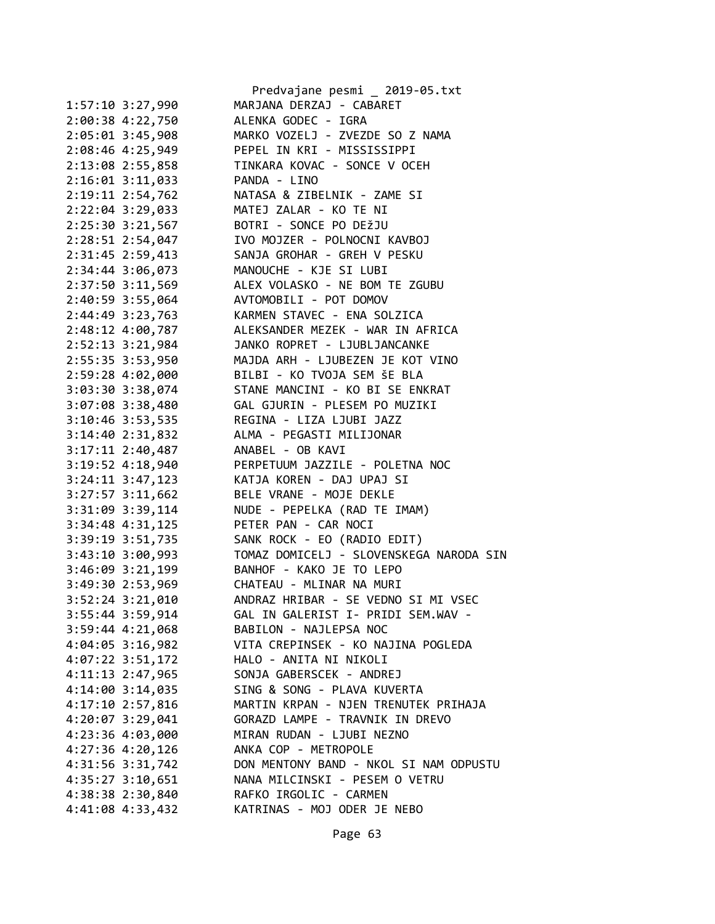|                               | Predvajane pesmi _ 2019-05.txt                                                                                                                                                                                                                         |
|-------------------------------|--------------------------------------------------------------------------------------------------------------------------------------------------------------------------------------------------------------------------------------------------------|
| 1:57:10 3:27,990              | MARJANA DERZAJ - CABARET                                                                                                                                                                                                                               |
|                               | 2:00:38 4:22,750 ALENKA GODEC - IGRA                                                                                                                                                                                                                   |
|                               | 2:05:01 3:45,908 MARKO VOZELJ - ZVEZDE SO Z NAMA                                                                                                                                                                                                       |
|                               | 2:08:46 4:25,949 PEPEL IN KRI - MISSISSIPPI                                                                                                                                                                                                            |
|                               | 2:13:08 2:55,858 TINKARA KOVAC - SONCE V OCEH                                                                                                                                                                                                          |
| 2:16:01 3:11,033 PANDA - LINO |                                                                                                                                                                                                                                                        |
|                               |                                                                                                                                                                                                                                                        |
|                               |                                                                                                                                                                                                                                                        |
|                               | 2:19:11 2:54,762<br>2:22:04 3:29,033<br>2:22:04 3:29,033<br>2:25:30 3:21,567<br>2:28:51 2:54,047<br>2:28:51 2:54,047<br>2:28:51 2:54,047<br>2:28:51 2:54,047<br>2:28:51 2:54,047<br>2:28:51 2:54,047<br>2:28:51 2:54,047<br>2:28:51 2:54,047<br>2:28:5 |
|                               |                                                                                                                                                                                                                                                        |
|                               | 2:31:45 2:59,413 SANJA GROHAR - GREH V PESKU                                                                                                                                                                                                           |
|                               | 2:34:44 3:06,073 MANOUCHE - KJE SI LUBI                                                                                                                                                                                                                |
|                               | 2:37:50 3:11,569 ALEX VOLASKO - NE BOM TE ZGUBU                                                                                                                                                                                                        |
|                               |                                                                                                                                                                                                                                                        |
|                               |                                                                                                                                                                                                                                                        |
|                               | 2:40:59 3:55,064<br>2:44:49 3:23,763<br>2:48:12 4:00,787<br>2:48:12 4:00,787<br>ALEKSANDER MEZEK - WAR IN AFRICA                                                                                                                                       |
|                               |                                                                                                                                                                                                                                                        |
|                               | 2:52:13 3:21,984 JANKO ROPRET - LJUBLJANCANKE<br>2:55:35 3:53,950 MAJDA ARH - LJUBEZEN JE KOT VINO                                                                                                                                                     |
|                               | 2:59:28 4:02,000 BILBI - KO TVOJA SEM ŠE BLA                                                                                                                                                                                                           |
|                               | 3:03:30 3:38,074 STANE MANCINI - KO BI SE ENKRAT                                                                                                                                                                                                       |
|                               |                                                                                                                                                                                                                                                        |
|                               | 3:07:08 3:38,480<br>3:10:46 3:53,535<br>3:14:40 2:31,832<br>3:17:11 2:40,487<br>ANABEL - OB KAVI<br>ANABEL - OB KAVI<br>ANABEL - OB KAVI<br>ANABEL - OB KAVI                                                                                           |
|                               |                                                                                                                                                                                                                                                        |
|                               |                                                                                                                                                                                                                                                        |
|                               |                                                                                                                                                                                                                                                        |
|                               | 3:19:52 4:18,940 PERPETUUM JAZZILE - POLETNA NOC                                                                                                                                                                                                       |
|                               | 3:24:11 3:47,123 KATJA KOREN - DAJ UPAJ SI                                                                                                                                                                                                             |
|                               | 3:27:57 3:11,662 BELE VRANE - MOJE DEKLE                                                                                                                                                                                                               |
| 3:31:09 3:39,114              | NUDE - PEPELKA (RAD TE IMAM)                                                                                                                                                                                                                           |
|                               | 3:34:48 4:31,125<br>3:39:19 3:51,735<br>3:39:19 3:51,735<br>5ANK ROCK - EO (RADIO EDIT)                                                                                                                                                                |
|                               |                                                                                                                                                                                                                                                        |
|                               | 3:43:10 3:00,993 TOMAZ DOMICELJ - SLOVENSKEGA NARODA SIN                                                                                                                                                                                               |
|                               | 3:46:09 3:21,199 BANHOF - KAKO JE TO LEPO                                                                                                                                                                                                              |
|                               | 3:49:30 2:53,969 CHATEAU - MLINAR NA MURI                                                                                                                                                                                                              |
|                               | 3:52:24 3:21,010 ANDRAZ HRIBAR - SE VEDNO SI MI VSEC                                                                                                                                                                                                   |
| 3:55:44 3:59,914              | GAL IN GALERIST I- PRIDI SEM.WAV -                                                                                                                                                                                                                     |
| $3:59:44$ 4:21,068            | BABILON - NAJLEPSA NOC                                                                                                                                                                                                                                 |
| $4:04:05$ 3:16,982            | VITA CREPINSEK - KO NAJINA POGLEDA                                                                                                                                                                                                                     |
| $4:07:22$ 3:51,172            | HALO - ANITA NI NIKOLI                                                                                                                                                                                                                                 |
| 4:11:13 2:47,965              | SONJA GABERSCEK - ANDREJ                                                                                                                                                                                                                               |
| 4:14:00 3:14,035              | SING & SONG - PLAVA KUVERTA                                                                                                                                                                                                                            |
| 4:17:10 2:57,816              | MARTIN KRPAN - NJEN TRENUTEK PRIHAJA                                                                                                                                                                                                                   |
| 4:20:07 3:29,041              | GORAZD LAMPE - TRAVNIK IN DREVO                                                                                                                                                                                                                        |
| 4:23:36 4:03,000              | MIRAN RUDAN - LJUBI NEZNO                                                                                                                                                                                                                              |
| 4:27:36 4:20,126              | ANKA COP - METROPOLE                                                                                                                                                                                                                                   |
| 4:31:56 3:31,742              | DON MENTONY BAND - NKOL SI NAM ODPUSTU                                                                                                                                                                                                                 |
| $4:35:27$ $3:10,651$          | NANA MILCINSKI - PESEM O VETRU                                                                                                                                                                                                                         |
| 4:38:38 2:30,840              | RAFKO IRGOLIC - CARMEN                                                                                                                                                                                                                                 |
| 4:41:08 4:33,432              | KATRINAS - MOJ ODER JE NEBO                                                                                                                                                                                                                            |
|                               |                                                                                                                                                                                                                                                        |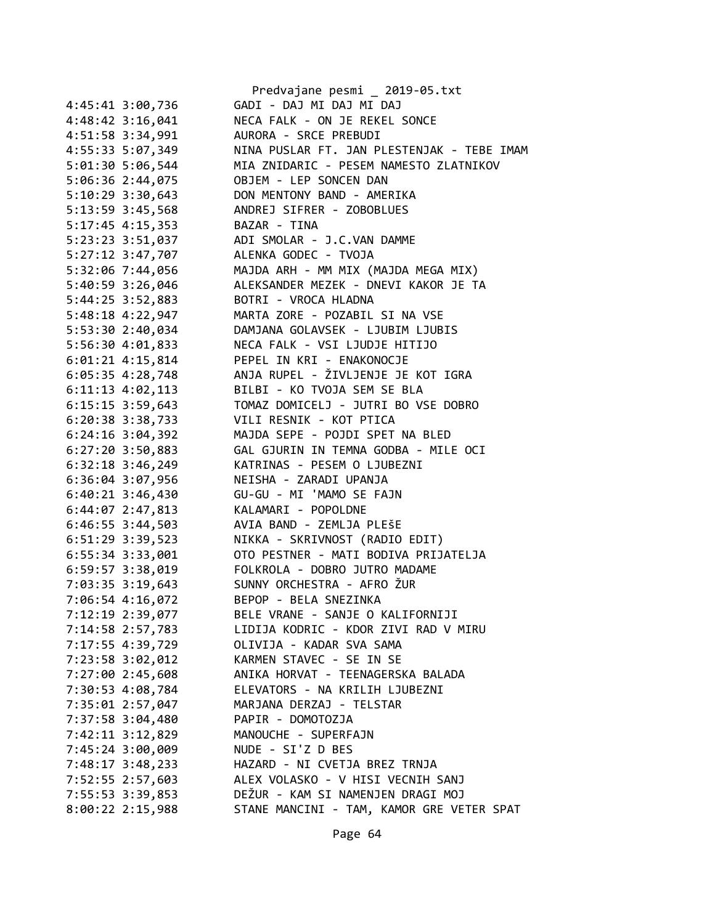|                      | Predvajane pesmi _ 2019-05.txt                                     |
|----------------------|--------------------------------------------------------------------|
| 4:45:41 3:00,736     | GADI - DAJ MI DAJ MI DAJ                                           |
| 4:48:42 3:16,041     | NECA FALK - ON JE REKEL SONCE                                      |
| 4:51:58 3:34,991     | AURORA - SRCE PREBUDI                                              |
| 4:55:33 5:07,349     | NINA PUSLAR FT. JAN PLESTENJAK - TEBE IMAM                         |
| 5:01:30 5:06,544     | MIA ZNIDARIC - PESEM NAMESTO ZLATNIKOV                             |
| 5:06:36 2:44,075     | OBJEM - LEP SONCEN DAN                                             |
| 5:10:29 3:30,643     | DON MENTONY BAND - AMERIKA                                         |
| 5:13:59 3:45,568     | ANDREJ SIFRER - ZOBOBLUES                                          |
| 5:17:45 4:15,353     | BAZAR - TINA                                                       |
| 5:23:23 3:51,037     | ADI SMOLAR - J.C.VAN DAMME                                         |
| 5:27:12 3:47,707     | ALENKA GODEC - TVOJA                                               |
| 5:32:06 7:44,056     | MAJDA ARH - MM MIX (MAJDA MEGA MIX)                                |
| 5:40:59 3:26,046     | ALEKSANDER MEZEK - DNEVI KAKOR JE TA                               |
|                      | BOTRI - VROCA HLADNA                                               |
| 5:44:25 3:52,883     | MARTA ZORE - POZABIL SI NA VSE                                     |
| 5:48:18 4:22,947     |                                                                    |
| 5:53:30 2:40,034     | DAMJANA GOLAVSEK - LJUBIM LJUBIS<br>NECA FALK - VSI LJUDJE HITIJO  |
| 5:56:30 4:01,833     |                                                                    |
| $6:01:21$ 4:15,814   | PEPEL IN KRI - ENAKONOCJE<br>ANJA RUPEL - ŽIVLJENJE JE KOT IGRA    |
| $6:05:35$ 4:28,748   |                                                                    |
| 6:11:13 4:02,113     | BILBI - KO TVOJA SEM SE BLA<br>TOMAZ DOMICELJ - JUTRI BO VSE DOBRO |
| 6:15:15 3:59,643     |                                                                    |
| 6:20:38 3:38,733     | VILI RESNIK - KOT PTICA                                            |
| 6:24:16 3:04,392     | MAJDA SEPE - POJDI SPET NA BLED                                    |
| $6:27:20$ 3:50,883   | GAL GJURIN IN TEMNA GODBA - MILE OCI                               |
| $6:32:18$ $3:46,249$ | KATRINAS - PESEM O LJUBEZNI                                        |
| 6:36:04 3:07,956     | NEISHA - ZARADI UPANJA                                             |
| $6:40:21$ 3:46,430   | GU-GU - MI 'MAMO SE FAJN                                           |
| $6:44:07$ 2:47,813   | KALAMARI - POPOLDNE                                                |
| $6:46:55$ 3:44,503   | AVIA BAND - ZEMLJA PLEŠE                                           |
| 6:51:29 3:39,523     | NIKKA - SKRIVNOST (RADIO EDIT)                                     |
| 6:55:34 3:33,001     | OTO PESTNER - MATI BODIVA PRIJATELJA                               |
| $6:59:57$ 3:38,019   | FOLKROLA - DOBRO JUTRO MADAME                                      |
| 7:03:35 3:19,643     | SUNNY ORCHESTRA - AFRO ŽUR                                         |
| 7:06:54 4:16,072     | BEPOP - BELA SNEZINKA                                              |
| 7:12:19 2:39,077     | BELE VRANE - SANJE O KALIFORNIJI                                   |
| 7:14:58 2:57,783     | LIDIJA KODRIC - KDOR ZIVI RAD V MIRU                               |
| 7:17:55 4:39,729     | OLIVIJA - KADAR SVA SAMA                                           |
| 7:23:58 3:02,012     | KARMEN STAVEC - SE IN SE                                           |
| 7:27:00 2:45,608     | ANIKA HORVAT - TEENAGERSKA BALADA                                  |
| 7:30:53 4:08,784     | ELEVATORS - NA KRILIH LJUBEZNI                                     |
| 7:35:01 2:57,047     | MARJANA DERZAJ - TELSTAR                                           |
| 7:37:58 3:04,480     | PAPIR - DOMOTOZJA                                                  |
| 7:42:11 3:12,829     | MANOUCHE - SUPERFAJN                                               |
| 7:45:24 3:00,009     | NUDE - SI'Z D BES                                                  |
| 7:48:17 3:48,233     | HAZARD - NI CVETJA BREZ TRNJA                                      |
| 7:52:55 2:57,603     | ALEX VOLASKO - V HISI VECNIH SANJ                                  |
| 7:55:53 3:39,853     | DEŽUR - KAM SI NAMENJEN DRAGI MOJ                                  |
| 8:00:22 2:15,988     | STANE MANCINI - TAM, KAMOR GRE VETER SPAT                          |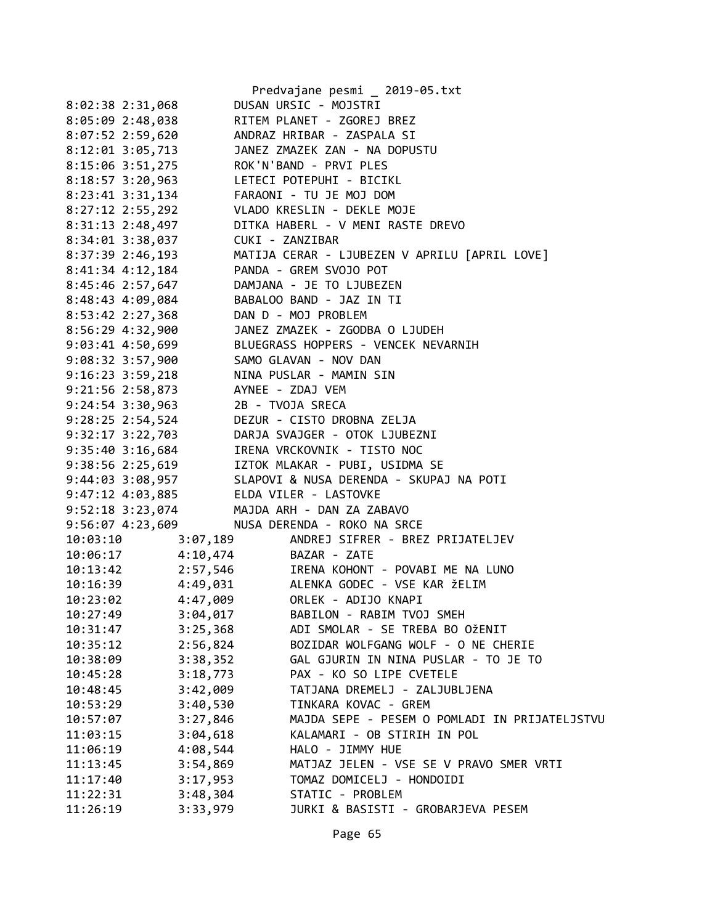|                                              |          | Predvajane pesmi _ 2019-05.txt                                 |
|----------------------------------------------|----------|----------------------------------------------------------------|
| 8:02:38 2:31,068                             |          | DUSAN URSIC - MOJSTRI                                          |
| 8:05:09 2:48,038                             |          | RITEM PLANET - ZGOREJ BREZ                                     |
| 8:07:52 2:59,620                             |          | ANDRAZ HRIBAR - ZASPALA SI                                     |
| 8:12:01 3:05,713                             |          | JANEZ ZMAZEK ZAN - NA DOPUSTU                                  |
| 8:15:06 3:51,275                             |          | ROK'N'BAND - PRVI PLES                                         |
| 8:18:57 3:20,963                             |          | LETECI POTEPUHI - BICIKL                                       |
| 8:23:41 3:31,134                             |          | FARAONI - TU JE MOJ DOM                                        |
| $8:27:12$ 2:55,292                           |          | VLADO KRESLIN - DEKLE MOJE                                     |
| 8:31:13 2:48,497                             |          | DITKA HABERL - V MENI RASTE DREVO                              |
| 8:34:01 3:38,037                             |          | CUKI - ZANZIBAR                                                |
|                                              |          | 8:37:39 2:46,193 MATIJA CERAR - LJUBEZEN V APRILU [APRIL LOVE] |
| 8:41:34 4:12,184 PANDA - GREM SVOJO POT      |          |                                                                |
| 8:45:46 2:57,647                             |          | DAMJANA - JE TO LJUBEZEN                                       |
| $8:48:43$ 4:09,084                           |          | BABALOO BAND - JAZ IN TI                                       |
| 8:53:42 2:27,368                             |          | DAN D - MOJ PROBLEM                                            |
| 8:56:29 4:32,900                             |          | JANEZ ZMAZEK - ZGODBA O LJUDEH                                 |
|                                              |          | 9:03:41 4:50,699 BLUEGRASS HOPPERS - VENCEK NEVARNIH           |
| 9:08:32 3:57,900 SAMO GLAVAN - NOV DAN       |          |                                                                |
| 9:16:23 3:59,218 NINA PUSLAR - MAMIN SIN     |          |                                                                |
| 9:21:56 2:58,873 AYNEE - ZDAJ VEM            |          |                                                                |
| 9:24:54 3:30,963                             |          | 2B - TVOJA SRECA                                               |
| 9:28:25 2:54,524                             |          | DEZUR - CISTO DROBNA ZELJA                                     |
|                                              |          | 9:32:17 3:22,703 DARJA SVAJGER - OTOK LJUBEZNI                 |
| 9:35:40 3:16,684 IRENA VRCKOVNIK - TISTO NOC |          |                                                                |
|                                              |          | 9:38:56 2:25,619       IZTOK MLAKAR - PUBI, USIDMA SE          |
| 9:44:03 3:08,957                             |          | SLAPOVI & NUSA DERENDA - SKUPAJ NA POTI                        |
| 9:47:12 4:03,885 ELDA VILER - LASTOVKE       |          |                                                                |
| 9:52:18 3:23,074 MAJDA ARH - DAN ZA ZABAVO   |          |                                                                |
| 9:56:07 4:23,609                             |          | NUSA DERENDA - ROKO NA SRCE                                    |
| 10:03:10                                     |          | 3:07,189 ANDREJ SIFRER - BREZ PRIJATELJEV                      |
| 10:06:17   4:10,474   BAZAR - ZATE           |          |                                                                |
|                                              |          | 10:13:42 2:57,546 IRENA KOHONT - POVABI ME NA LUNO             |
| 10:16:39                                     |          | 4:49,031 ALENKA GODEC - VSE KAR ŽELIM                          |
| 10:23:02                                     |          |                                                                |
| 10:27:49                                     | 3:04,017 | BABILON - RABIM TVOJ SMEH                                      |
| 10:31:47                                     | 3:25,368 | ADI SMOLAR - SE TREBA BO OŽENIT                                |
| 10:35:12                                     | 2:56,824 | BOZIDAR WOLFGANG WOLF - O NE CHERIE                            |
| 10:38:09                                     | 3:38,352 | GAL GJURIN IN NINA PUSLAR - TO JE TO                           |
| 10:45:28                                     | 3:18,773 | PAX - KO SO LIPE CVETELE                                       |
| 10:48:45                                     | 3:42,009 | TATJANA DREMELJ - ZALJUBLJENA                                  |
| 10:53:29                                     | 3:40,530 | TINKARA KOVAC - GREM                                           |
| 10:57:07                                     | 3:27,846 | MAJDA SEPE - PESEM O POMLADI IN PRIJATELJSTVU                  |
| 11:03:15                                     | 3:04,618 | KALAMARI - OB STIRIH IN POL                                    |
| 11:06:19                                     | 4:08,544 | HALO - JIMMY HUE                                               |
| 11:13:45                                     | 3:54,869 | MATJAZ JELEN - VSE SE V PRAVO SMER VRTI                        |
| 11:17:40                                     | 3:17,953 | TOMAZ DOMICELJ - HONDOIDI                                      |
| 11:22:31                                     | 3:48,304 | STATIC - PROBLEM                                               |
| 11:26:19                                     | 3:33,979 | JURKI & BASISTI - GROBARJEVA PESEM                             |
|                                              |          |                                                                |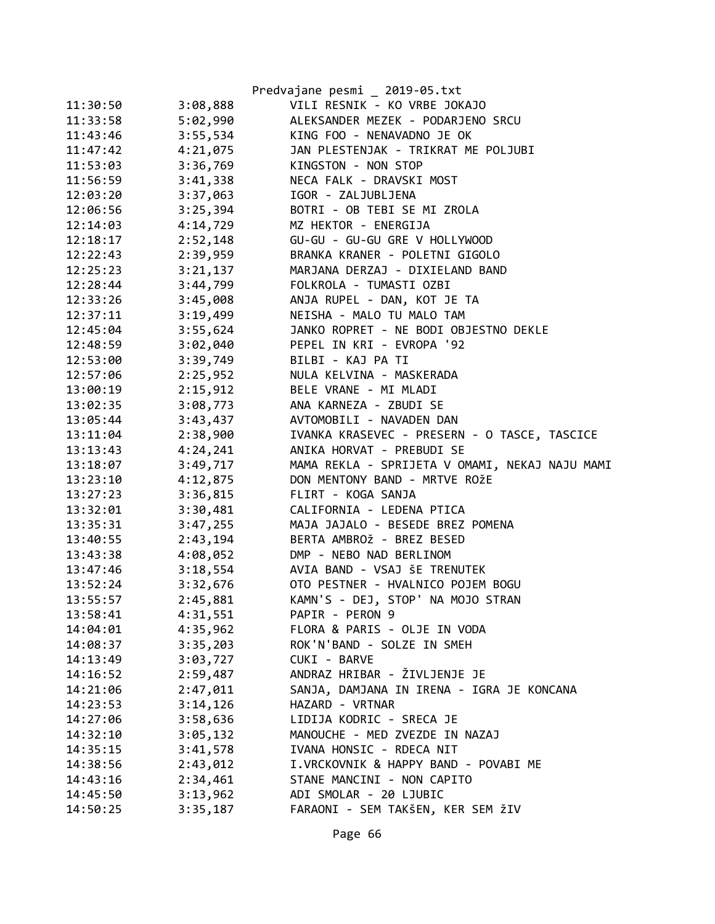|          |          | Predvajane pesmi _ 2019-05.txt                 |
|----------|----------|------------------------------------------------|
| 11:30:50 | 3:08,888 | VILI RESNIK - KO VRBE JOKAJO                   |
| 11:33:58 | 5:02,990 | ALEKSANDER MEZEK - PODARJENO SRCU              |
| 11:43:46 | 3:55,534 | KING FOO - NENAVADNO JE OK                     |
| 11:47:42 | 4:21,075 | JAN PLESTENJAK - TRIKRAT ME POLJUBI            |
| 11:53:03 | 3:36,769 | KINGSTON - NON STOP                            |
| 11:56:59 | 3:41,338 | NECA FALK - DRAVSKI MOST                       |
| 12:03:20 | 3:37,063 | IGOR - ZALJUBLJENA                             |
| 12:06:56 | 3:25,394 | BOTRI - OB TEBI SE MI ZROLA                    |
| 12:14:03 | 4:14,729 | MZ HEKTOR - ENERGIJA                           |
| 12:18:17 | 2:52,148 | GU-GU - GU-GU GRE V HOLLYWOOD                  |
| 12:22:43 |          | 2:39,959 BRANKA KRANER - POLETNI GIGOLO        |
| 12:25:23 |          | 3:21,137 MARJANA DERZAJ - DIXIELAND BAND       |
| 12:28:44 | 3:44,799 | FOLKROLA - TUMASTI OZBI                        |
| 12:33:26 | 3:45,008 | ANJA RUPEL - DAN, KOT JE TA                    |
| 12:37:11 | 3:19,499 | NEISHA - MALO TU MALO TAM                      |
| 12:45:04 | 3:55,624 | JANKO ROPRET - NE BODI OBJESTNO DEKLE          |
| 12:48:59 | 3:02,040 | PEPEL IN KRI - EVROPA '92                      |
| 12:53:00 |          | 3:39,749 BILBI - KAJ PA TI                     |
| 12:57:06 |          | 2:25,952 NULA KELVINA - MASKERADA              |
| 13:00:19 | 2:15,912 | BELE VRANE - MI MLADI                          |
| 13:02:35 | 3:08,773 | ANA KARNEZA - ZBUDI SE                         |
| 13:05:44 | 3:43,437 | AVTOMOBILI - NAVADEN DAN                       |
| 13:11:04 | 2:38,900 | IVANKA KRASEVEC - PRESERN - O TASCE, TASCICE   |
| 13:13:43 | 4:24,241 | ANIKA HORVAT - PREBUDI SE                      |
| 13:18:07 | 3:49,717 | MAMA REKLA - SPRIJETA V OMAMI, NEKAJ NAJU MAMI |
| 13:23:10 | 4:12,875 | DON MENTONY BAND - MRTVE ROŽE                  |
| 13:27:23 | 3:36,815 | FLIRT - KOGA SANJA                             |
| 13:32:01 | 3:30,481 | CALIFORNIA - LEDENA PTICA                      |
| 13:35:31 | 3:47,255 | MAJA JAJALO - BESEDE BREZ POMENA               |
| 13:40:55 | 2:43,194 | BERTA AMBROŽ - BREZ BESED                      |
| 13:43:38 | 4:08,052 | DMP - NEBO NAD BERLINOM                        |
| 13:47:46 |          | 3:18,554 AVIA BAND - VSAJ ŠE TRENUTEK          |
| 13:52:24 | 3:32,676 | OTO PESTNER - HVALNICO POJEM BOGU              |
| 13:55:57 | 2:45,881 | KAMN'S - DEJ, STOP' NA MOJO STRAN              |
| 13:58:41 | 4:31,551 | PAPIR - PERON 9                                |
| 14:04:01 | 4:35,962 | FLORA & PARIS - OLJE IN VODA                   |
| 14:08:37 | 3:35,203 | ROK'N'BAND - SOLZE IN SMEH                     |
| 14:13:49 | 3:03,727 | CUKI - BARVE                                   |
| 14:16:52 | 2:59,487 | ANDRAZ HRIBAR - ŽIVLJENJE JE                   |
| 14:21:06 | 2:47,011 | SANJA, DAMJANA IN IRENA - IGRA JE KONCANA      |
| 14:23:53 | 3:14,126 | HAZARD - VRTNAR                                |
| 14:27:06 | 3:58,636 | LIDIJA KODRIC - SRECA JE                       |
| 14:32:10 | 3:05,132 | MANOUCHE - MED ZVEZDE IN NAZAJ                 |
| 14:35:15 | 3:41,578 | IVANA HONSIC - RDECA NIT                       |
| 14:38:56 | 2:43,012 | I.VRCKOVNIK & HAPPY BAND - POVABI ME           |
| 14:43:16 | 2:34,461 | STANE MANCINI - NON CAPITO                     |
| 14:45:50 | 3:13,962 | ADI SMOLAR - 20 LJUBIC                         |
| 14:50:25 | 3:35,187 | FARAONI - SEM TAKŠEN, KER SEM ŽIV              |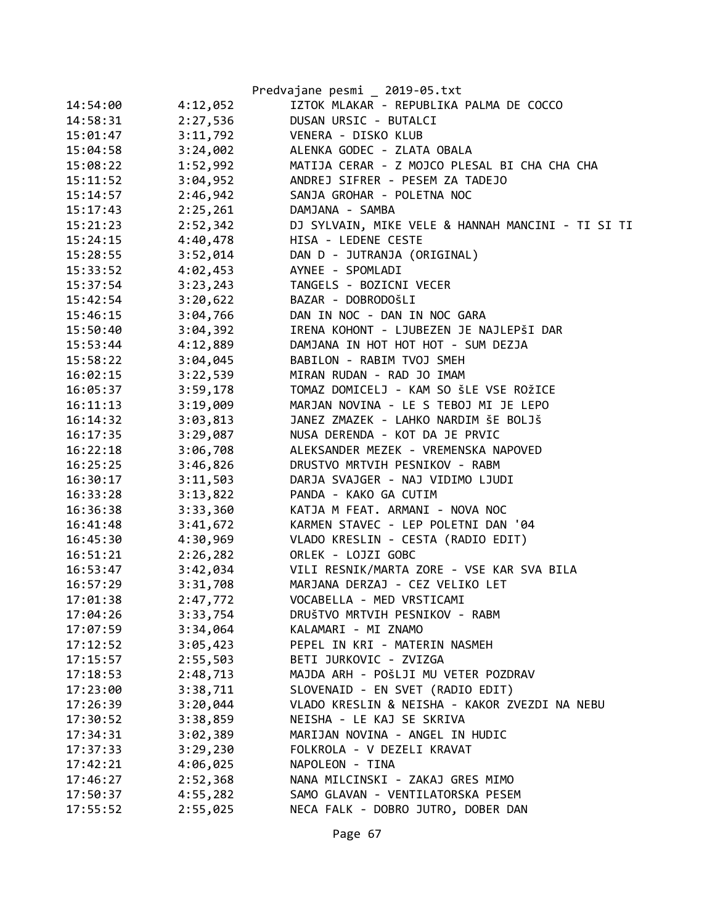|          |          | Predvajane pesmi _ 2019-05.txt                    |
|----------|----------|---------------------------------------------------|
| 14:54:00 | 4:12,052 | IZTOK MLAKAR - REPUBLIKA PALMA DE COCCO           |
| 14:58:31 | 2:27,536 | DUSAN URSIC - BUTALCI                             |
| 15:01:47 | 3:11,792 | VENERA - DISKO KLUB                               |
| 15:04:58 | 3:24,002 | ALENKA GODEC - ZLATA OBALA                        |
| 15:08:22 | 1:52,992 | MATIJA CERAR - Z MOJCO PLESAL BI CHA CHA CHA      |
| 15:11:52 | 3:04,952 | ANDREJ SIFRER - PESEM ZA TADEJO                   |
| 15:14:57 | 2:46,942 | SANJA GROHAR - POLETNA NOC                        |
| 15:17:43 | 2:25,261 | DAMJANA - SAMBA                                   |
| 15:21:23 | 2:52,342 | DJ SYLVAIN, MIKE VELE & HANNAH MANCINI - TI SI TI |
| 15:24:15 | 4:40,478 | HISA - LEDENE CESTE                               |
| 15:28:55 | 3:52,014 | DAN D - JUTRANJA (ORIGINAL)                       |
| 15:33:52 | 4:02,453 | AYNEE - SPOMLADI                                  |
| 15:37:54 | 3:23,243 | TANGELS - BOZICNI VECER                           |
| 15:42:54 | 3:20,622 | BAZAR - DOBRODOŠLI                                |
| 15:46:15 | 3:04,766 | DAN IN NOC - DAN IN NOC GARA                      |
| 15:50:40 | 3:04,392 | IRENA KOHONT - LJUBEZEN JE NAJLEPŠI DAR           |
| 15:53:44 | 4:12,889 | DAMJANA IN HOT HOT HOT - SUM DEZJA                |
| 15:58:22 | 3:04,045 | BABILON - RABIM TVOJ SMEH                         |
| 16:02:15 | 3:22,539 | MIRAN RUDAN - RAD JO IMAM                         |
| 16:05:37 | 3:59,178 | TOMAZ DOMICELJ - KAM SO ŠLE VSE ROŽICE            |
| 16:11:13 | 3:19,009 | MARJAN NOVINA - LE S TEBOJ MI JE LEPO             |
| 16:14:32 | 3:03,813 | JANEZ ZMAZEK - LAHKO NARDIM ŠE BOLJŠ              |
| 16:17:35 | 3:29,087 | NUSA DERENDA - KOT DA JE PRVIC                    |
| 16:22:18 | 3:06,708 | ALEKSANDER MEZEK - VREMENSKA NAPOVED              |
| 16:25:25 | 3:46,826 | DRUSTVO MRTVIH PESNIKOV - RABM                    |
| 16:30:17 | 3:11,503 | DARJA SVAJGER - NAJ VIDIMO LJUDI                  |
| 16:33:28 | 3:13,822 | PANDA - KAKO GA CUTIM                             |
| 16:36:38 | 3:33,360 | KATJA M FEAT. ARMANI - NOVA NOC                   |
| 16:41:48 | 3:41,672 | KARMEN STAVEC - LEP POLETNI DAN '04               |
| 16:45:30 | 4:30,969 | VLADO KRESLIN - CESTA (RADIO EDIT)                |
| 16:51:21 | 2:26,282 | ORLEK - LOJZI GOBC                                |
| 16:53:47 | 3:42,034 | VILI RESNIK/MARTA ZORE - VSE KAR SVA BILA         |
| 16:57:29 | 3:31,708 | MARJANA DERZAJ - CEZ VELIKO LET                   |
| 17:01:38 | 2:47,772 | VOCABELLA - MED VRSTICAMI                         |
| 17:04:26 | 3:33,754 | DRUŠTVO MRTVIH PESNIKOV - RABM                    |
| 17:07:59 | 3:34,064 | KALAMARI - MI ZNAMO                               |
| 17:12:52 | 3:05,423 | PEPEL IN KRI - MATERIN NASMEH                     |
| 17:15:57 | 2:55,503 | BETI JURKOVIC - ZVIZGA                            |
| 17:18:53 | 2:48,713 | MAJDA ARH - POŠLJI MU VETER POZDRAV               |
| 17:23:00 | 3:38,711 | SLOVENAID - EN SVET (RADIO EDIT)                  |
| 17:26:39 | 3:20,044 | VLADO KRESLIN & NEISHA - KAKOR ZVEZDI NA NEBU     |
| 17:30:52 | 3:38,859 | NEISHA - LE KAJ SE SKRIVA                         |
| 17:34:31 | 3:02,389 | MARIJAN NOVINA - ANGEL IN HUDIC                   |
| 17:37:33 | 3:29,230 | FOLKROLA - V DEZELI KRAVAT                        |
| 17:42:21 | 4:06,025 | NAPOLEON - TINA                                   |
| 17:46:27 | 2:52,368 | NANA MILCINSKI - ZAKAJ GRES MIMO                  |
| 17:50:37 | 4:55,282 | SAMO GLAVAN - VENTILATORSKA PESEM                 |
| 17:55:52 | 2:55,025 | NECA FALK - DOBRO JUTRO, DOBER DAN                |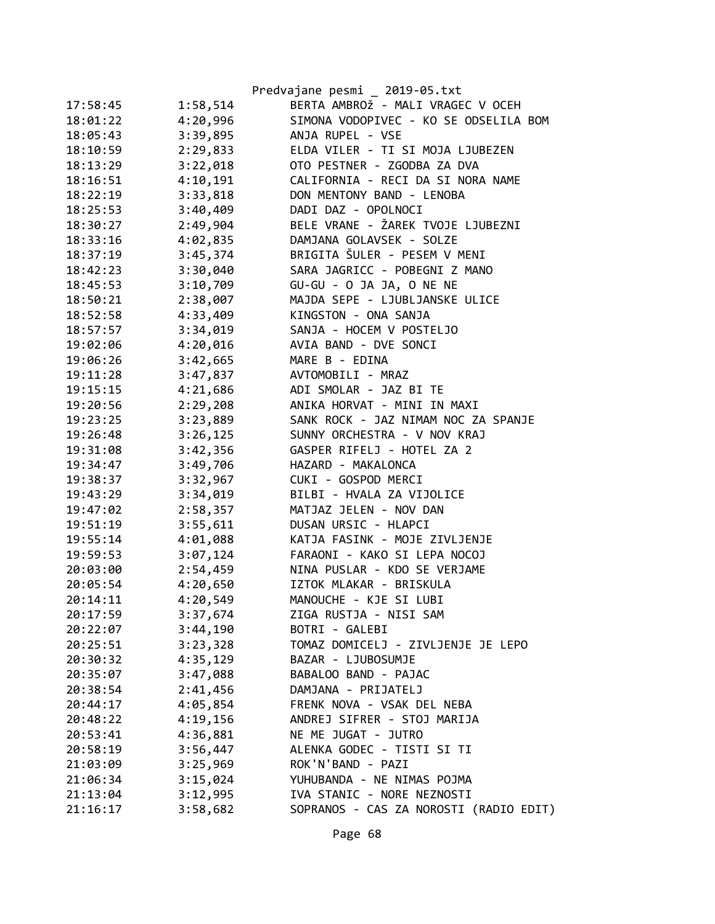|          |          | Predvajane pesmi _ 2019-05.txt         |
|----------|----------|----------------------------------------|
| 17:58:45 | 1:58,514 | BERTA AMBROŽ - MALI VRAGEC V OCEH      |
| 18:01:22 | 4:20,996 | SIMONA VODOPIVEC - KO SE ODSELILA BOM  |
| 18:05:43 | 3:39,895 | ANJA RUPEL - VSE                       |
| 18:10:59 | 2:29,833 | ELDA VILER - TI SI MOJA LJUBEZEN       |
| 18:13:29 | 3:22,018 | OTO PESTNER - ZGODBA ZA DVA            |
| 18:16:51 | 4:10,191 | CALIFORNIA - RECI DA SI NORA NAME      |
| 18:22:19 | 3:33,818 | DON MENTONY BAND - LENOBA              |
| 18:25:53 | 3:40,409 | DADI DAZ - OPOLNOCI                    |
| 18:30:27 | 2:49,904 | BELE VRANE - ŽAREK TVOJE LJUBEZNI      |
| 18:33:16 | 4:02,835 | DAMJANA GOLAVSEK - SOLZE               |
| 18:37:19 | 3:45,374 | BRIGITA ŠULER - PESEM V MENI           |
| 18:42:23 | 3:30,040 | SARA JAGRICC - POBEGNI Z MANO          |
| 18:45:53 | 3:10,709 | GU-GU - O JA JA, O NE NE               |
| 18:50:21 | 2:38,007 | MAJDA SEPE - LJUBLJANSKE ULICE         |
| 18:52:58 | 4:33,409 | KINGSTON - ONA SANJA                   |
| 18:57:57 | 3:34,019 | SANJA - HOCEM V POSTELJO               |
| 19:02:06 | 4:20,016 | AVIA BAND - DVE SONCI                  |
| 19:06:26 | 3:42,665 | MARE B - EDINA                         |
| 19:11:28 | 3:47,837 | AVTOMOBILI - MRAZ                      |
| 19:15:15 | 4:21,686 | ADI SMOLAR - JAZ BI TE                 |
| 19:20:56 | 2:29,208 | ANIKA HORVAT - MINI IN MAXI            |
| 19:23:25 | 3:23,889 | SANK ROCK - JAZ NIMAM NOC ZA SPANJE    |
| 19:26:48 | 3:26,125 | SUNNY ORCHESTRA - V NOV KRAJ           |
| 19:31:08 | 3:42,356 | GASPER RIFELJ - HOTEL ZA 2             |
| 19:34:47 | 3:49,706 | HAZARD - MAKALONCA                     |
| 19:38:37 | 3:32,967 | CUKI - GOSPOD MERCI                    |
| 19:43:29 | 3:34,019 | BILBI - HVALA ZA VIJOLICE              |
| 19:47:02 | 2:58,357 | MATJAZ JELEN - NOV DAN                 |
| 19:51:19 | 3:55,611 | DUSAN URSIC - HLAPCI                   |
| 19:55:14 | 4:01,088 | KATJA FASINK - MOJE ZIVLJENJE          |
| 19:59:53 | 3:07,124 | FARAONI - KAKO SI LEPA NOCOJ           |
| 20:03:00 | 2:54,459 | NINA PUSLAR - KDO SE VERJAME           |
| 20:05:54 | 4:20,650 | IZTOK MLAKAR - BRISKULA                |
| 20:14:11 | 4:20,549 | MANOUCHE - KJE SI LUBI                 |
| 20:17:59 | 3:37,674 | ZIGA RUSTJA - NISI SAM                 |
| 20:22:07 | 3:44,190 | BOTRI - GALEBI                         |
| 20:25:51 | 3:23,328 | TOMAZ DOMICELJ - ZIVLJENJE JE LEPO     |
| 20:30:32 | 4:35,129 | BAZAR - LJUBOSUMJE                     |
| 20:35:07 | 3:47,088 | BABALOO BAND - PAJAC                   |
| 20:38:54 | 2:41,456 | DAMJANA - PRIJATELJ                    |
| 20:44:17 | 4:05,854 | FRENK NOVA - VSAK DEL NEBA             |
| 20:48:22 | 4:19,156 | ANDREJ SIFRER - STOJ MARIJA            |
| 20:53:41 | 4:36,881 | NE ME JUGAT - JUTRO                    |
| 20:58:19 | 3:56,447 | ALENKA GODEC - TISTI SI TI             |
| 21:03:09 | 3:25,969 | ROK'N'BAND - PAZI                      |
| 21:06:34 | 3:15,024 | YUHUBANDA - NE NIMAS POJMA             |
| 21:13:04 | 3:12,995 | IVA STANIC - NORE NEZNOSTI             |
| 21:16:17 | 3:58,682 | SOPRANOS - CAS ZA NOROSTI (RADIO EDIT) |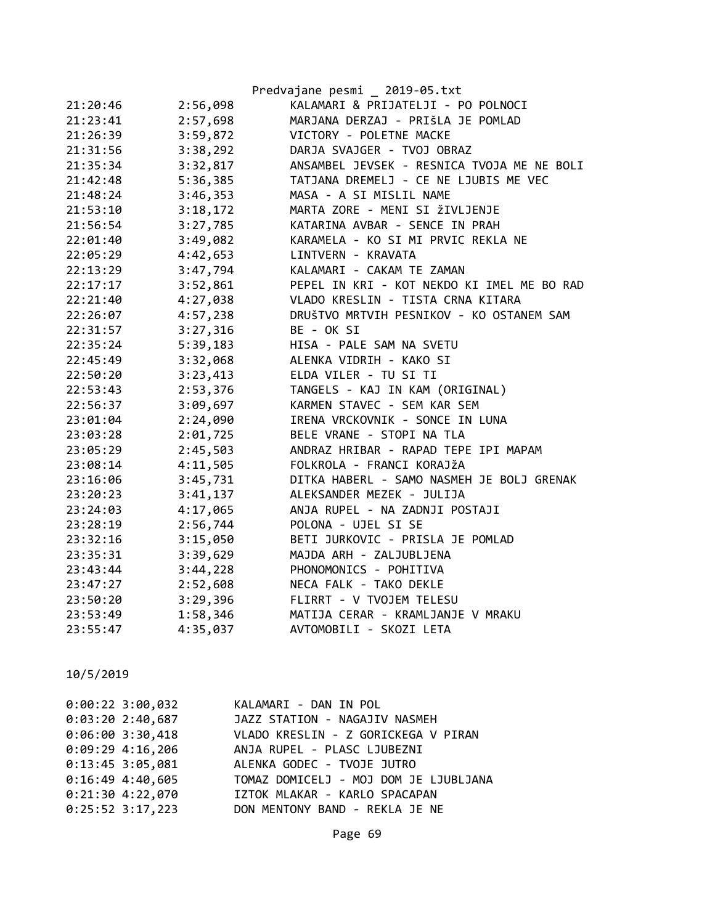|          |          | Predvajane pesmi _ 2019-05.txt             |
|----------|----------|--------------------------------------------|
| 21:20:46 | 2:56,098 | KALAMARI & PRIJATELJI - PO POLNOCI         |
| 21:23:41 | 2:57,698 | MARJANA DERZAJ - PRIŠLA JE POMLAD          |
| 21:26:39 | 3:59,872 | VICTORY - POLETNE MACKE                    |
| 21:31:56 | 3:38,292 | DARJA SVAJGER - TVOJ OBRAZ                 |
| 21:35:34 | 3:32,817 | ANSAMBEL JEVSEK - RESNICA TVOJA ME NE BOLI |
| 21:42:48 | 5:36,385 | TATJANA DREMELJ - CE NE LJUBIS ME VEC      |
| 21:48:24 | 3:46,353 | MASA - A SI MISLIL NAME                    |
| 21:53:10 | 3:18,172 | MARTA ZORE - MENI SI ŽIVLJENJE             |
| 21:56:54 | 3:27,785 | KATARINA AVBAR - SENCE IN PRAH             |
| 22:01:40 | 3:49,082 | KARAMELA - KO SI MI PRVIC REKLA NE         |
| 22:05:29 | 4:42,653 | LINTVERN - KRAVATA                         |
| 22:13:29 | 3:47,794 | KALAMARI - CAKAM TE ZAMAN                  |
| 22:17:17 | 3:52,861 | PEPEL IN KRI - KOT NEKDO KI IMEL ME BO RAD |
| 22:21:40 | 4:27,038 | VLADO KRESLIN - TISTA CRNA KITARA          |
| 22:26:07 | 4:57,238 | DRUŠTVO MRTVIH PESNIKOV - KO OSTANEM SAM   |
| 22:31:57 | 3:27,316 | BE - OK SI                                 |
| 22:35:24 | 5:39,183 | HISA - PALE SAM NA SVETU                   |
| 22:45:49 | 3:32,068 | ALENKA VIDRIH - KAKO SI                    |
| 22:50:20 | 3:23,413 | ELDA VILER - TU SI TI                      |
| 22:53:43 | 2:53,376 | TANGELS - KAJ IN KAM (ORIGINAL)            |
| 22:56:37 | 3:09,697 | KARMEN STAVEC - SEM KAR SEM                |
| 23:01:04 | 2:24,090 | IRENA VRCKOVNIK - SONCE IN LUNA            |
| 23:03:28 | 2:01,725 | BELE VRANE - STOPI NA TLA                  |
| 23:05:29 | 2:45,503 | ANDRAZ HRIBAR - RAPAD TEPE IPI MAPAM       |
| 23:08:14 | 4:11,505 | FOLKROLA - FRANCI KORAJŽA                  |
| 23:16:06 | 3:45,731 | DITKA HABERL - SAMO NASMEH JE BOLJ GRENAK  |
| 23:20:23 | 3:41,137 | ALEKSANDER MEZEK - JULIJA                  |
| 23:24:03 | 4:17,065 | ANJA RUPEL - NA ZADNJI POSTAJI             |
| 23:28:19 | 2:56,744 | POLONA - UJEL SI SE                        |
| 23:32:16 | 3:15,050 | BETI JURKOVIC - PRISLA JE POMLAD           |
| 23:35:31 | 3:39,629 | MAJDA ARH - ZALJUBLJENA                    |
| 23:43:44 | 3:44,228 | PHONOMONICS - POHITIVA                     |
| 23:47:27 | 2:52,608 | NECA FALK - TAKO DEKLE                     |
| 23:50:20 | 3:29,396 | FLIRRT - V TVOJEM TELESU                   |
| 23:53:49 | 1:58,346 | MATIJA CERAR - KRAMLJANJE V MRAKU          |
| 23:55:47 | 4:35,037 | AVTOMOBILI - SKOZI LETA                    |

| $0:00:22$ 3:00,032 | KALAMARI - DAN IN POL                 |
|--------------------|---------------------------------------|
| 0:03:202:40,687    | JAZZ STATION - NAGAJIV NASMEH         |
| $0:06:00$ 3:30,418 | VLADO KRESLIN - Z GORICKEGA V PIRAN   |
| $0:09:29$ 4:16,206 | ANJA RUPEL - PLASC LJUBEZNI           |
| $0:13:45$ 3:05,081 | ALENKA GODEC - TVOJE JUTRO            |
| $0:16:49$ 4:40,605 | TOMAZ DOMICELJ - MOJ DOM JE LJUBLJANA |
| $0:21:30$ 4:22,070 | IZTOK MLAKAR - KARLO SPACAPAN         |
| $0:25:52$ 3:17,223 | DON MENTONY BAND - REKLA JE NE        |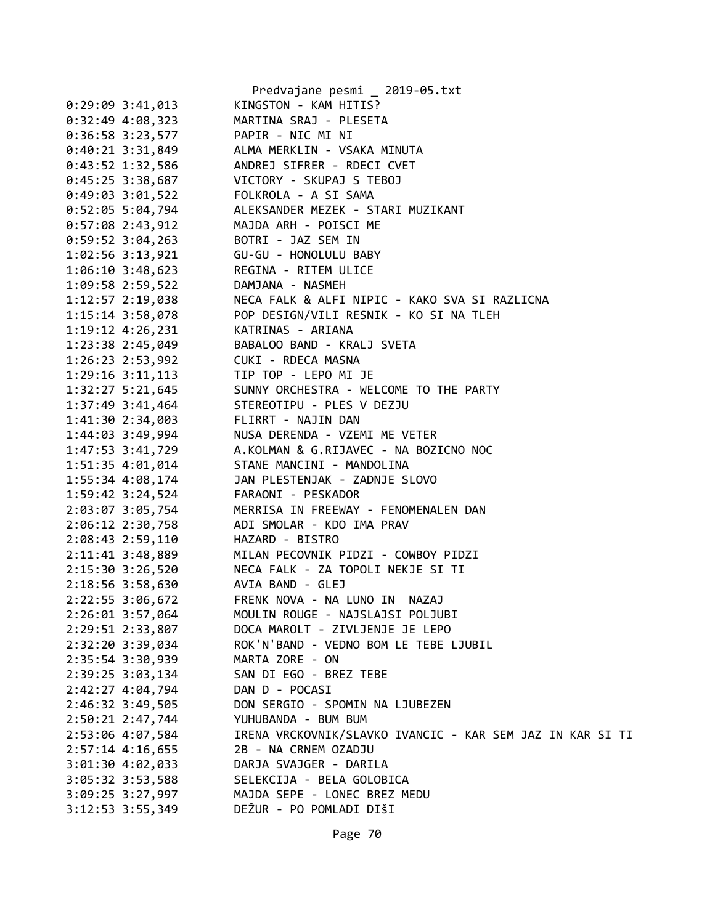|                    | Predvajane pesmi _ 2019-05.txt                                                                                                                              |
|--------------------|-------------------------------------------------------------------------------------------------------------------------------------------------------------|
| $0:29:09$ 3:41,013 | KINGSTON - KAM HITIS?                                                                                                                                       |
| $0:32:49$ 4:08,323 | MARTINA SRAJ - PLESETA                                                                                                                                      |
| 0:36:58 3:23,577   | PAPIR - NIC MI NI                                                                                                                                           |
|                    | 0:40:21 3:31,849 ALMA MERKLIN - VSAKA MINUTA                                                                                                                |
|                    | 0:43:52 1:32,586 ANDREJ SIFRER - RDECI CVET                                                                                                                 |
|                    | 0:45:25 3:38,687 VICTORY - SKUPAJ S TEBOJ                                                                                                                   |
|                    |                                                                                                                                                             |
|                    | 0:49:03 3:01,522 FOLKROLA - A SI SAMA<br>0:52:05 5:04,794 ALEKSANDER MEZEK - STARI MUZIKANT                                                                 |
|                    | 0:57:08 2:43,912 MAJDA ARH - POISCI ME                                                                                                                      |
|                    | 0:59:52 3:04,263 BOTRI - JAZ SEM IN                                                                                                                         |
|                    |                                                                                                                                                             |
|                    | 1:06:10 3:48,623 REGINA - RITEM ULICE                                                                                                                       |
|                    | 1:09:58 2:59,522 DAMJANA - NASMEH                                                                                                                           |
|                    | 1:12:57 2:19,038 NECA FALK & ALFI NIPIC - KAKO SVA SI RAZLICNA<br>1:15:14 3:58,078 POP DESIGN/VILI RESNIK - KO SI NA TLEH                                   |
|                    |                                                                                                                                                             |
|                    | 1:19:12 4:26,231 KATRINAS - ARIANA                                                                                                                          |
|                    | 1:23:38 2:45,049 BABALOO BAND - KRALJ SVETA                                                                                                                 |
|                    | 1:26:23 2:53,992 CUKI - RDECA MASNA                                                                                                                         |
|                    | 1:29:16 3:11,113 TIP TOP - LEPO MI JE                                                                                                                       |
|                    | 1:32:27 5:21,645 SUNNY ORCHESTRA - WELCOME TO THE PARTY                                                                                                     |
|                    | 1:37:49 3:41,464<br>1:41:30 2:34,003<br>1:44:03 3:49,994<br>NUSA DERENDA - VZEMI ME VETER<br>NUSA DERENDA - VZEMI ME VETER<br>NUSA DERENDA - VZEMI ME VETER |
|                    |                                                                                                                                                             |
|                    |                                                                                                                                                             |
|                    | 1:47:53 3:41,729 A.KOLMAN & G.RIJAVEC - NA BOZICNO NOC                                                                                                      |
|                    |                                                                                                                                                             |
|                    | 1:55:34 4:08,174 JAN PLESTENJAK - ZADNJE SLOVO                                                                                                              |
|                    | 1:59:42 3:24,524 FARAONI - PESKADOR                                                                                                                         |
|                    | 2:03:07 3:05,754 MERRISA IN FREEWAY - FENOMENALEN DAN                                                                                                       |
| 2:06:12 2:30,758   | ADI SMOLAR - KDO IMA PRAV                                                                                                                                   |
| 2:08:43 2:59,110   | HAZARD - BISTRO                                                                                                                                             |
|                    | 2:11:41 3:48,889 MILAN PECOVNIK PIDZI - COWBOY PIDZI                                                                                                        |
|                    | 2:15:30 3:26,520 NECA FALK - ZA TOPOLI NEKJE SI TI                                                                                                          |
|                    | 2:18:56 3:58,630 AVIA BAND - GLEJ                                                                                                                           |
| 2:22:55 3:06,672   | FRENK NOVA - NA LUNO IN NAZAJ                                                                                                                               |
| 2:26:01 3:57,064   | MOULIN ROUGE - NAJSLAJSI POLJUBI                                                                                                                            |
| 2:29:51 2:33,807   | DOCA MAROLT - ZIVLJENJE JE LEPO                                                                                                                             |
| 2:32:20 3:39,034   | ROK'N'BAND - VEDNO BOM LE TEBE LJUBIL                                                                                                                       |
| 2:35:54 3:30,939   | MARTA ZORE - ON                                                                                                                                             |
| 2:39:25 3:03,134   | SAN DI EGO - BREZ TEBE                                                                                                                                      |
| 2:42:27 4:04,794   | DAN D - POCASI                                                                                                                                              |
| 2:46:32 3:49,505   | DON SERGIO - SPOMIN NA LJUBEZEN                                                                                                                             |
| 2:50:21 2:47,744   | YUHUBANDA - BUM BUM                                                                                                                                         |
| 2:53:06 4:07,584   | IRENA VRCKOVNIK/SLAVKO IVANCIC - KAR SEM JAZ IN KAR SI TI                                                                                                   |
| $2:57:14$ 4:16,655 | 2B - NA CRNEM OZADJU                                                                                                                                        |
| $3:01:30$ 4:02,033 | DARJA SVAJGER - DARILA                                                                                                                                      |
| 3:05:32 3:53,588   | SELEKCIJA - BELA GOLOBICA                                                                                                                                   |
| $3:09:25$ 3:27,997 | MAJDA SEPE - LONEC BREZ MEDU                                                                                                                                |
| 3:12:53 3:55,349   | DEŽUR - PO POMLADI DIŠI                                                                                                                                     |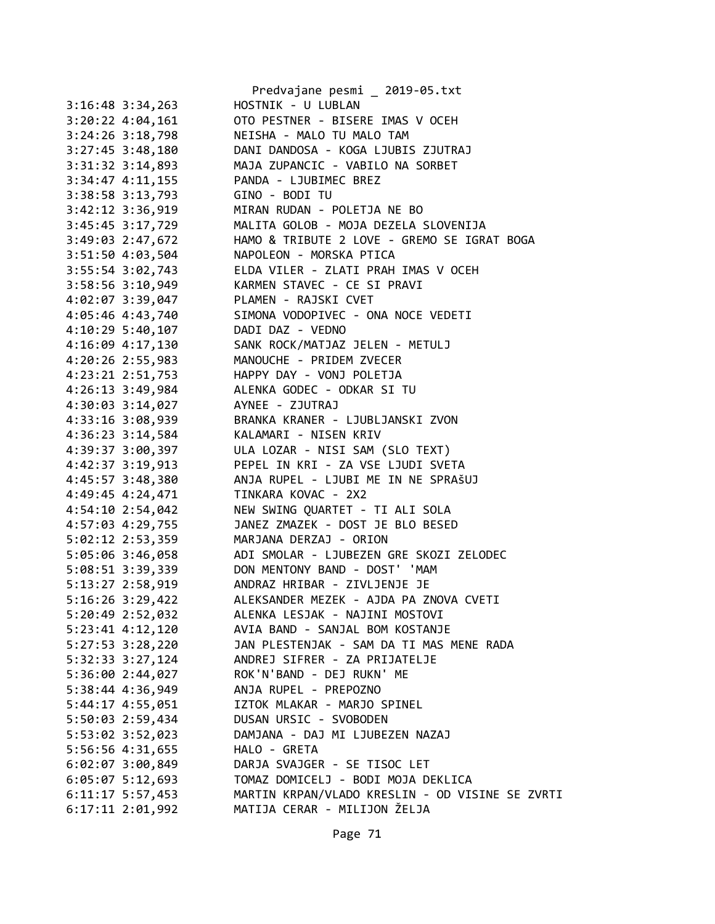|                      | Predvajane pesmi _ 2019-05.txt                       |
|----------------------|------------------------------------------------------|
| $3:16:48$ $3:34,263$ | HOSTNIK - U LUBLAN                                   |
| $3:20:22$ 4:04,161   | OTO PESTNER - BISERE IMAS V OCEH                     |
| $3:24:26$ $3:18,798$ | NEISHA - MALO TU MALO TAM                            |
| $3:27:45$ 3:48,180   | DANI DANDOSA - KOGA LJUBIS ZJUTRAJ                   |
| $3:31:32$ $3:14,893$ | MAJA ZUPANCIC - VABILO NA SORBET                     |
| $3:34:47$ $4:11,155$ | PANDA - LJUBIMEC BREZ                                |
| 3:38:58 3:13,793     | GINO - BODI TU                                       |
| $3:42:12$ $3:36,919$ | MIRAN RUDAN - POLETJA NE BO                          |
| $3:45:45$ $3:17,729$ | MALITA GOLOB - MOJA DEZELA SLOVENIJA                 |
| 3:49:03 2:47,672     | HAMO & TRIBUTE 2 LOVE - GREMO SE IGRAT BOGA          |
|                      | 3:51:50 4:03,504 NAPOLEON - MORSKA PTICA             |
|                      | 3:55:54 3:02,743 ELDA VILER - ZLATI PRAH IMAS V OCEH |
| $3:58:56$ $3:10,949$ | KARMEN STAVEC - CE SI PRAVI                          |
| 4:02:07 3:39,047     | PLAMEN - RAJSKI CVET                                 |
| 4:05:46 4:43,740     | SIMONA VODOPIVEC - ONA NOCE VEDETI                   |
| $4:10:29$ 5:40,107   | DADI DAZ - VEDNO                                     |
| 4:16:09 4:17,130     | SANK ROCK/MATJAZ JELEN - METULJ                      |
| 4:20:26 2:55,983     | MANOUCHE - PRIDEM ZVECER                             |
| $4:23:21$ $2:51,753$ | HAPPY DAY - VONJ POLETJA                             |
| $4:26:13$ 3:49,984   | ALENKA GODEC - ODKAR SI TU                           |
| $4:30:03$ $3:14,027$ | AYNEE - ZJUTRAJ                                      |
| 4:33:16 3:08,939     | BRANKA KRANER - LJUBLJANSKI ZVON                     |
| $4:36:23$ 3:14,584   | KALAMARI - NISEN KRIV                                |
| 4:39:37 3:00,397     | ULA LOZAR - NISI SAM (SLO TEXT)                      |
| 4:42:37 3:19,913     | PEPEL IN KRI - ZA VSE LJUDI SVETA                    |
| 4:45:57 3:48,380     | ANJA RUPEL - LJUBI ME IN NE SPRAŠUJ                  |
| 4:49:45 4:24,471     | TINKARA KOVAC - 2X2                                  |
| 4:54:10 2:54,042     | NEW SWING QUARTET - TI ALI SOLA                      |
| 4:57:03 4:29,755     | JANEZ ZMAZEK - DOST JE BLO BESED                     |
| 5:02:12 2:53,359     | MARJANA DERZAJ - ORION                               |
| 5:05:06 3:46,058     | ADI SMOLAR - LJUBEZEN GRE SKOZI ZELODEC              |
|                      | 5:08:51 3:39,339 DON MENTONY BAND - DOST' 'MAM       |
|                      | 5:13:27 2:58,919 ANDRAZ HRIBAR - ZIVLJENJE JE        |
| 5:16:26 3:29,422     | ALEKSANDER MEZEK - AJDA PA ZNOVA CVETI               |
| 5:20:49 2:52,032     | ALENKA LESJAK - NAJINI MOSTOVI                       |
| $5:23:41$ $4:12,120$ | AVIA BAND - SANJAL BOM KOSTANJE                      |
| $5:27:53$ $3:28,220$ | JAN PLESTENJAK - SAM DA TI MAS MENE RADA             |
| 5:32:33 3:27,124     | ANDREJ SIFRER - ZA PRIJATELJE                        |
| $5:36:00$ $2:44,027$ | ROK'N'BAND - DEJ RUKN' ME                            |
| 5:38:44 4:36,949     | ANJA RUPEL - PREPOZNO                                |
| 5:44:17 4:55,051     | IZTOK MLAKAR - MARJO SPINEL                          |
| 5:50:03 2:59,434     | DUSAN URSIC - SVOBODEN                               |
| 5:53:02 3:52,023     | DAMJANA - DAJ MI LJUBEZEN NAZAJ                      |
| 5:56:56 4:31,655     | HALO - GRETA                                         |
| $6:02:07$ 3:00,849   | DARJA SVAJGER - SE TISOC LET                         |
| $6:05:07$ 5:12,693   | TOMAZ DOMICELJ - BODI MOJA DEKLICA                   |
| $6:11:17$ 5:57,453   | MARTIN KRPAN/VLADO KRESLIN - OD VISINE SE ZVRTI      |
| $6:17:11$ $2:01,992$ | MATIJA CERAR - MILIJON ŽELJA                         |
|                      |                                                      |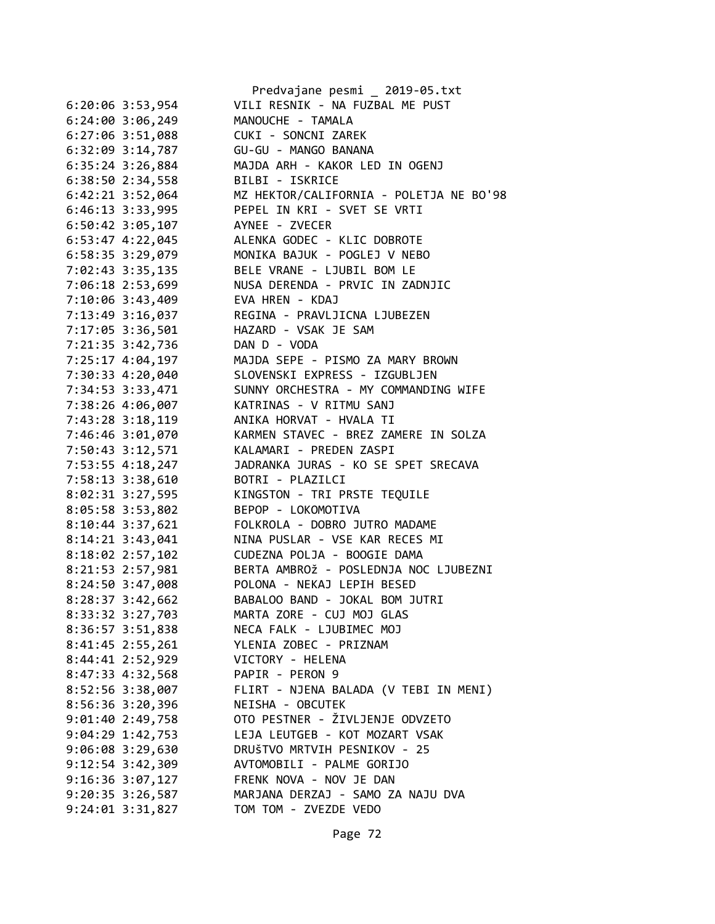|                                  | Predvajane pesmi _ 2019-05.txt                            |
|----------------------------------|-----------------------------------------------------------|
| 6:20:06 3:53,954                 | VILI RESNIK - NA FUZBAL ME PUST                           |
| 6:24:00 3:06,249                 | MANOUCHE - TAMALA                                         |
| $6:27:06$ 3:51,088               | CUKI - SONCNI ZAREK                                       |
| 6:32:09 3:14,787                 | GU-GU - MANGO BANANA                                      |
| $6:35:24$ 3:26,884               | MAJDA ARH - KAKOR LED IN OGENJ                            |
| 6:38:50 2:34,558                 | BILBI - ISKRICE                                           |
| $6:42:21$ $3:52,064$             | MZ HEKTOR/CALIFORNIA - POLETJA NE BO'98                   |
| $6:46:13$ $3:33,995$             | PEPEL IN KRI - SVET SE VRTI                               |
| $6:50:42$ 3:05,107               | AYNEE - ZVECER                                            |
| 6:53:47 4:22,045                 | ALENKA GODEC - KLIC DOBROTE                               |
| 6:58:35 3:29,079                 | MONIKA BAJUK - POGLEJ V NEBO                              |
|                                  | 7:02:43 3:35,135 BELE VRANE - LJUBIL BOM LE               |
| 7:06:18 2:53,699                 | NUSA DERENDA - PRVIC IN ZADNJIC                           |
| 7:10:06 3:43,409 EVA HREN - KDAJ |                                                           |
| 7:13:49 3:16,037                 | REGINA - PRAVLJICNA LJUBEZEN                              |
| 7:17:05 3:36,501                 | HAZARD - VSAK JE SAM                                      |
| 7:21:35 3:42,736                 | DAN D - VODA                                              |
|                                  | 7:25:17 4:04,197 MAJDA SEPE - PISMO ZA MARY BROWN         |
|                                  | 7:30:33  4:20,040  SLOVENSKI EXPRESS - IZGUBLJEN          |
|                                  | 7:34:53 3:33,471 SUNNY ORCHESTRA - MY COMMANDING WIFE     |
|                                  | 7:38:26 4:06,007 KATRINAS - V RITMU SANJ                  |
| 7:43:28 3:18,119                 | ANIKA HORVAT - HVALA TI                                   |
| 7:46:46 3:01,070                 | KARMEN STAVEC - BREZ ZAMERE IN SOLZA                      |
| 7:50:43 3:12,571                 | KALAMARI - PREDEN ZASPI                                   |
| 7:53:55 4:18,247                 | JADRANKA JURAS - KO SE SPET SRECAVA                       |
| 7:58:13 3:38,610                 | BOTRI - PLAZILCI                                          |
| 8:02:31 3:27,595                 | KINGSTON - TRI PRSTE TEQUILE                              |
| 8:05:58 3:53,802                 | BEPOP - LOKOMOTIVA                                        |
| $8:10:44$ 3:37,621               | FOLKROLA - DOBRO JUTRO MADAME                             |
| $8:14:21$ $3:43,041$             | NINA PUSLAR - VSE KAR RECES MI                            |
| 8:18:02 2:57,102                 | CUDEZNA POLJA - BOOGIE DAMA                               |
|                                  | 8:21:53  2:57,981   BERTA AMBROŽ - POSLEDNJA NOC LJUBEZNI |
| 8:24:50 3:47,008                 | POLONA - NEKAJ LEPIH BESED                                |
| $8:28:37$ 3:42,662               | BABALOO BAND - JOKAL BOM JUTRI                            |
| 8:33:32 3:27,703                 | MARTA ZORE - CUJ MOJ GLAS                                 |
| 8:36:57 3:51,838                 | NECA FALK - LJUBIMEC MOJ                                  |
| 8:41:45 2:55,261                 | YLENIA ZOBEC - PRIZNAM                                    |
| 8:44:41 2:52,929                 | VICTORY - HELENA                                          |
| 8:47:33 4:32,568                 | PAPIR - PERON 9                                           |
|                                  | 8:52:56 3:38,007 FLIRT - NJENA BALADA (V TEBI IN MENI)    |
| 8:56:36 3:20,396                 | NEISHA - OBCUTEK                                          |
| $9:01:40$ 2:49,758               | OTO PESTNER - ŽIVLJENJE ODVZETO                           |
| $9:04:29$ 1:42,753               | LEJA LEUTGEB - KOT MOZART VSAK                            |
| 9:06:08 3:29,630                 | DRUŠTVO MRTVIH PESNIKOV - 25                              |
| $9:12:54$ $3:42,309$             | AVTOMOBILI - PALME GORIJO                                 |
| 9:16:36 3:07,127                 | FRENK NOVA - NOV JE DAN                                   |
| 9:20:35 3:26,587                 | MARJANA DERZAJ - SAMO ZA NAJU DVA                         |
| $9:24:01$ $3:31,827$             | TOM TOM - ZVEZDE VEDO                                     |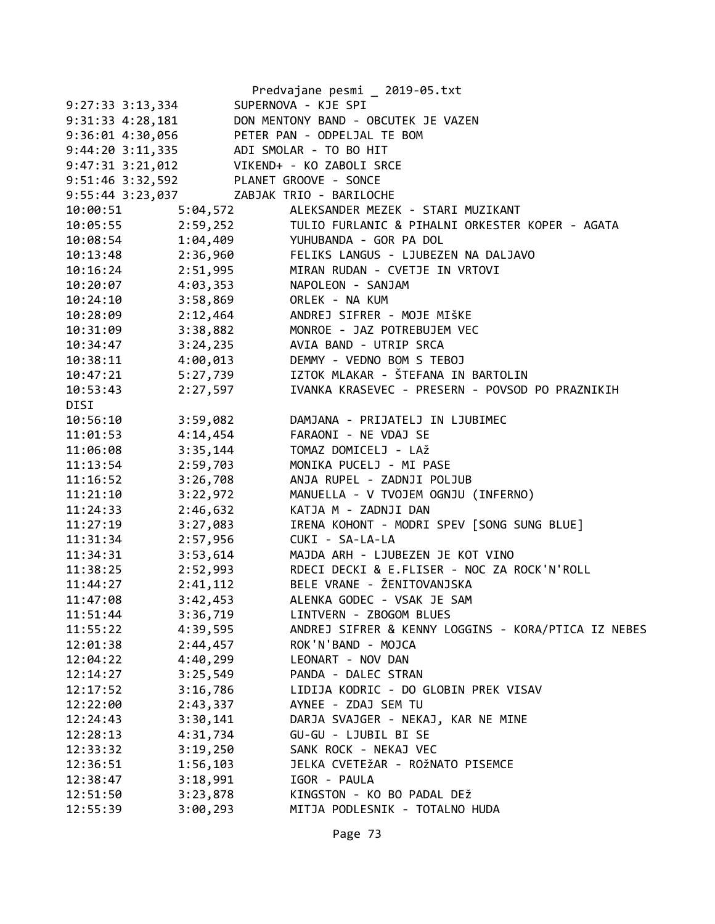|                      |                                          | Predvajane pesmi _ 2019-05.txt                           |
|----------------------|------------------------------------------|----------------------------------------------------------|
| $9:27:33$ $3:13,334$ |                                          | SUPERNOVA - KJE SPI                                      |
| $9:31:33$ $4:28,181$ |                                          | DON MENTONY BAND - OBCUTEK JE VAZEN                      |
| $9:36:01$ 4:30,056   |                                          | PETER PAN - ODPELJAL TE BOM                              |
| $9:44:20$ $3:11,335$ |                                          | ADI SMOLAR - TO BO HIT                                   |
|                      |                                          | 9:47:31 3:21,012 VIKEND+ - KO ZABOLI SRCE                |
|                      | 9:51:46 3:32,592 PLANET GROOVE - SONCE   |                                                          |
|                      | 9:55:44 3:23,037 ZABJAK TRIO - BARILOCHE |                                                          |
| 10:00:51             |                                          | 5:04,572 ALEKSANDER MEZEK - STARI MUZIKANT               |
| 10:05:55             |                                          | 2:59,252 TULIO FURLANIC & PIHALNI ORKESTER KOPER - AGATA |
| 10:08:54             |                                          | 1:04,409 YUHUBANDA - GOR PA DOL                          |
| 10:13:48             |                                          | 2:36,960 FELIKS LANGUS - LJUBEZEN NA DALJAVO             |
| 10:16:24             | 2:51,995                                 | MIRAN RUDAN - CVETJE IN VRTOVI                           |
| 10:20:07             | 4:03,353                                 | NAPOLEON - SANJAM                                        |
| 10:24:10             | 3:58,869                                 | ORLEK - NA KUM                                           |
| 10:28:09             | 2:12,464                                 | ANDREJ SIFRER - MOJE MIŠKE                               |
| 10:31:09             | 3:38,882                                 | MONROE - JAZ POTREBUJEM VEC                              |
| 10:34:47             | 3:24,235                                 | AVIA BAND - UTRIP SRCA                                   |
| 10:38:11             | 4:00,013                                 | DEMMY - VEDNO BOM S TEBOJ                                |
| 10:47:21             |                                          | 5:27,739 IZTOK MLAKAR - ŠTEFANA IN BARTOLIN              |
| 10:53:43             | 2:27,597                                 | IVANKA KRASEVEC - PRESERN - POVSOD PO PRAZNIKIH          |
| DISI                 |                                          |                                                          |
| 10:56:10             | 3:59,082                                 | DAMJANA - PRIJATELJ IN LJUBIMEC                          |
| 11:01:53             | 4:14,454                                 | FARAONI - NE VDAJ SE                                     |
| 11:06:08             | 3:35,144                                 | TOMAZ DOMICELJ - LAŽ                                     |
| 11:13:54             | 2:59,703                                 | MONIKA PUCELJ - MI PASE                                  |
| 11:16:52             | 3:26,708                                 | ANJA RUPEL - ZADNJI POLJUB                               |
| 11:21:10             | 3:22,972                                 | MANUELLA - V TVOJEM OGNJU (INFERNO)                      |
| 11:24:33             | 2:46,632                                 | KATJA M - ZADNJI DAN                                     |
| 11:27:19             | 3:27,083                                 | IRENA KOHONT - MODRI SPEV [SONG SUNG BLUE]               |
| 11:31:34             | 2:57,956                                 | CUKI - SA-LA-LA                                          |
| 11:34:31             | 3:53,614                                 | MAJDA ARH - LJUBEZEN JE KOT VINO                         |
| 11:38:25             | 2:52,993                                 | RDECI DECKI & E.FLISER - NOC ZA ROCK'N'ROLL              |
| 11:44:27             |                                          | 2:41,112 BELE VRANE - ŽENITOVANJSKA                      |
| 11:47:08             | 3:42,453                                 | ALENKA GODEC - VSAK JE SAM                               |
| 11:51:44             | 3:36,719                                 | LINTVERN - ZBOGOM BLUES                                  |
| 11:55:22             | 4:39,595                                 | ANDREJ SIFRER & KENNY LOGGINS - KORA/PTICA IZ NEBES      |
| 12:01:38             | 2:44,457                                 | ROK'N'BAND - MOJCA                                       |
| 12:04:22             | 4:40,299                                 | LEONART - NOV DAN                                        |
| 12:14:27             | 3:25,549                                 | PANDA - DALEC STRAN                                      |
| 12:17:52             | 3:16,786                                 | LIDIJA KODRIC - DO GLOBIN PREK VISAV                     |
| 12:22:00             | 2:43,337                                 | AYNEE - ZDAJ SEM TU                                      |
| 12:24:43             | 3:30,141                                 | DARJA SVAJGER - NEKAJ, KAR NE MINE                       |
| 12:28:13             | 4:31,734                                 | GU-GU - LJUBIL BI SE                                     |
| 12:33:32             | 3:19,250                                 | SANK ROCK - NEKAJ VEC                                    |
| 12:36:51             | 1:56,103                                 | JELKA CVETEŽAR - ROŽNATO PISEMCE                         |
| 12:38:47             | 3:18,991                                 | IGOR - PAULA                                             |
| 12:51:50             | 3:23,878                                 | KINGSTON - KO BO PADAL DEŽ                               |
| 12:55:39             | 3:00,293                                 | MITJA PODLESNIK - TOTALNO HUDA                           |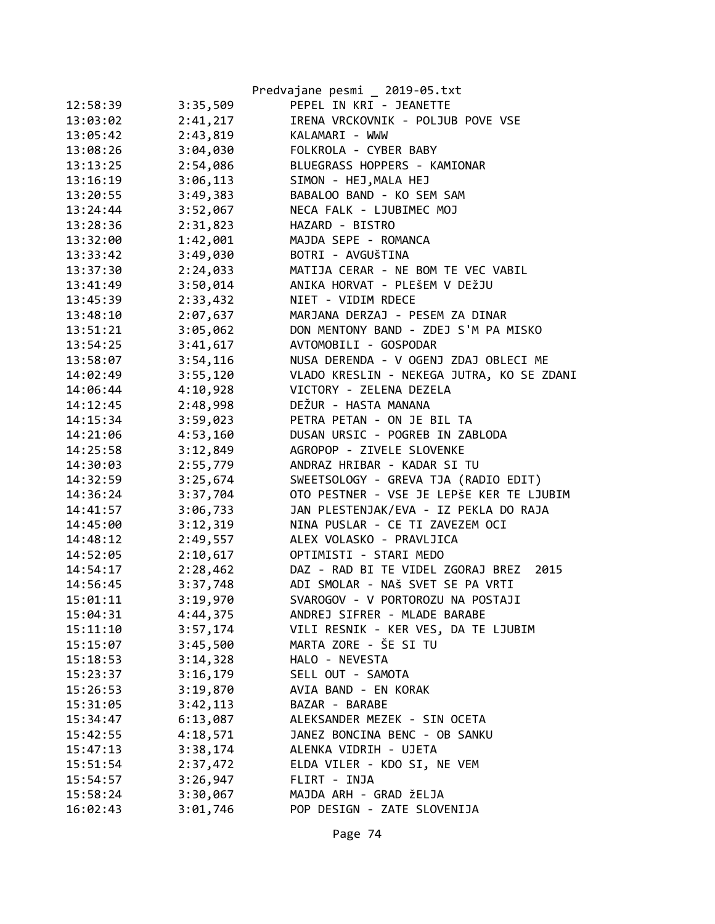|          |          | Predvajane pesmi _ 2019-05.txt            |
|----------|----------|-------------------------------------------|
| 12:58:39 | 3:35,509 | PEPEL IN KRI - JEANETTE                   |
| 13:03:02 | 2:41,217 | IRENA VRCKOVNIK - POLJUB POVE VSE         |
| 13:05:42 | 2:43,819 | KALAMARI - WWW                            |
| 13:08:26 | 3:04,030 | FOLKROLA - CYBER BABY                     |
| 13:13:25 | 2:54,086 | BLUEGRASS HOPPERS - KAMIONAR              |
| 13:16:19 | 3:06,113 | SIMON - HEJ, MALA HEJ                     |
| 13:20:55 | 3:49,383 | BABALOO BAND - KO SEM SAM                 |
| 13:24:44 | 3:52,067 | NECA FALK - LJUBIMEC MOJ                  |
| 13:28:36 | 2:31,823 | HAZARD - BISTRO                           |
| 13:32:00 | 1:42,001 | MAJDA SEPE - ROMANCA                      |
| 13:33:42 | 3:49,030 | BOTRI - AVGUŠTINA                         |
| 13:37:30 | 2:24,033 | MATIJA CERAR - NE BOM TE VEC VABIL        |
| 13:41:49 | 3:50,014 | ANIKA HORVAT - PLEŠEM V DEŽJU             |
| 13:45:39 | 2:33,432 | NIET - VIDIM RDECE                        |
| 13:48:10 | 2:07,637 | MARJANA DERZAJ - PESEM ZA DINAR           |
| 13:51:21 | 3:05,062 | DON MENTONY BAND - ZDEJ S'M PA MISKO      |
| 13:54:25 | 3:41,617 | AVTOMOBILI - GOSPODAR                     |
| 13:58:07 | 3:54,116 | NUSA DERENDA - V OGENJ ZDAJ OBLECI ME     |
| 14:02:49 | 3:55,120 | VLADO KRESLIN - NEKEGA JUTRA, KO SE ZDANI |
| 14:06:44 | 4:10,928 | VICTORY - ZELENA DEZELA                   |
| 14:12:45 | 2:48,998 | DEŽUR - HASTA MANANA                      |
| 14:15:34 | 3:59,023 | PETRA PETAN - ON JE BIL TA                |
| 14:21:06 | 4:53,160 | DUSAN URSIC - POGREB IN ZABLODA           |
| 14:25:58 | 3:12,849 | AGROPOP - ZIVELE SLOVENKE                 |
| 14:30:03 | 2:55,779 | ANDRAZ HRIBAR - KADAR SI TU               |
| 14:32:59 | 3:25,674 | SWEETSOLOGY - GREVA TJA (RADIO EDIT)      |
| 14:36:24 | 3:37,704 | OTO PESTNER - VSE JE LEPŠE KER TE LJUBIM  |
| 14:41:57 | 3:06,733 | JAN PLESTENJAK/EVA - IZ PEKLA DO RAJA     |
| 14:45:00 | 3:12,319 | NINA PUSLAR - CE TI ZAVEZEM OCI           |
| 14:48:12 | 2:49,557 | ALEX VOLASKO - PRAVLJICA                  |
| 14:52:05 | 2:10,617 | OPTIMISTI - STARI MEDO                    |
| 14:54:17 | 2:28,462 | DAZ - RAD BI TE VIDEL ZGORAJ BREZ<br>2015 |
| 14:56:45 | 3:37,748 | ADI SMOLAR - NAŠ SVET SE PA VRTI          |
| 15:01:11 | 3:19,970 | SVAROGOV - V PORTOROZU NA POSTAJI         |
| 15:04:31 | 4:44,375 | ANDREJ SIFRER - MLADE BARABE              |
| 15:11:10 | 3:57,174 | VILI RESNIK - KER VES, DA TE LJUBIM       |
| 15:15:07 | 3:45,500 | MARTA ZORE - ŠE SI TU                     |
| 15:18:53 | 3:14,328 | HALO - NEVESTA                            |
| 15:23:37 | 3:16,179 | SELL OUT - SAMOTA                         |
| 15:26:53 | 3:19,870 | AVIA BAND - EN KORAK                      |
| 15:31:05 | 3:42,113 | BAZAR - BARABE                            |
| 15:34:47 | 6:13,087 | ALEKSANDER MEZEK - SIN OCETA              |
| 15:42:55 | 4:18,571 | JANEZ BONCINA BENC - OB SANKU             |
| 15:47:13 | 3:38,174 | ALENKA VIDRIH - UJETA                     |
| 15:51:54 | 2:37,472 | ELDA VILER - KDO SI, NE VEM               |
| 15:54:57 | 3:26,947 | FLIRT - INJA                              |
| 15:58:24 | 3:30,067 | MAJDA ARH - GRAD ŽELJA                    |
| 16:02:43 | 3:01,746 | POP DESIGN - ZATE SLOVENIJA               |
|          |          |                                           |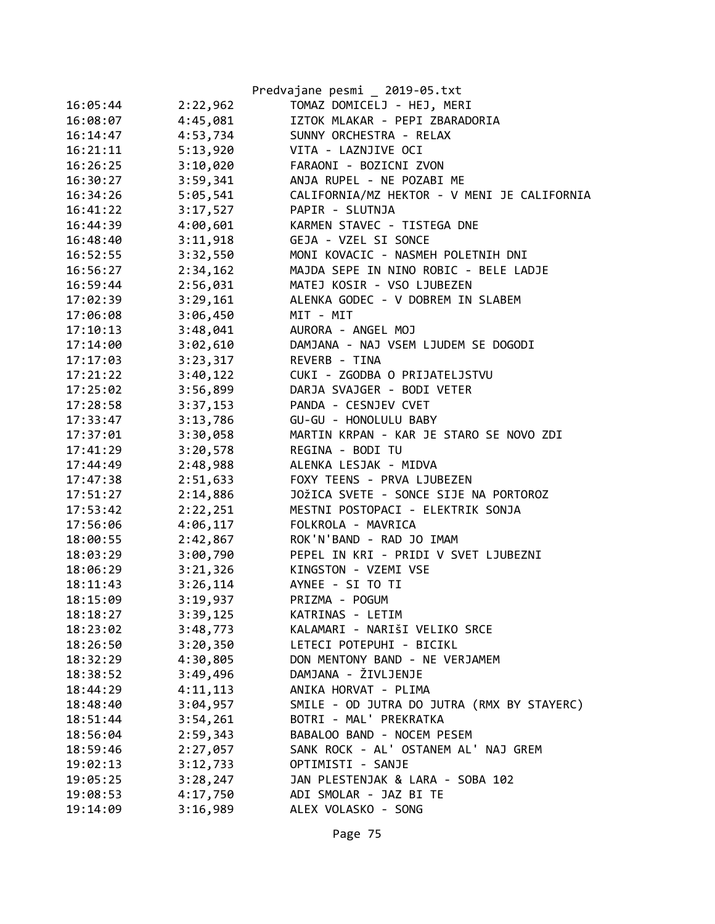|          |          | Predvajane pesmi _ 2019-05.txt              |
|----------|----------|---------------------------------------------|
| 16:05:44 | 2:22,962 | TOMAZ DOMICELJ - HEJ, MERI                  |
| 16:08:07 | 4:45,081 | IZTOK MLAKAR - PEPI ZBARADORIA              |
| 16:14:47 | 4:53,734 | SUNNY ORCHESTRA - RELAX                     |
| 16:21:11 | 5:13,920 | VITA - LAZNJIVE OCI                         |
| 16:26:25 | 3:10,020 | FARAONI - BOZICNI ZVON                      |
| 16:30:27 | 3:59,341 | ANJA RUPEL - NE POZABI ME                   |
| 16:34:26 | 5:05,541 | CALIFORNIA/MZ HEKTOR - V MENI JE CALIFORNIA |
| 16:41:22 | 3:17,527 | PAPIR - SLUTNJA                             |
| 16:44:39 | 4:00,601 | KARMEN STAVEC - TISTEGA DNE                 |
| 16:48:40 | 3:11,918 | GEJA - VZEL SI SONCE                        |
| 16:52:55 | 3:32,550 | MONI KOVACIC - NASMEH POLETNIH DNI          |
| 16:56:27 | 2:34,162 | MAJDA SEPE IN NINO ROBIC - BELE LADJE       |
| 16:59:44 | 2:56,031 | MATEJ KOSIR - VSO LJUBEZEN                  |
| 17:02:39 | 3:29,161 | ALENKA GODEC - V DOBREM IN SLABEM           |
| 17:06:08 | 3:06,450 | MIT - MIT                                   |
| 17:10:13 | 3:48,041 | AURORA - ANGEL MOJ                          |
| 17:14:00 | 3:02,610 | DAMJANA - NAJ VSEM LJUDEM SE DOGODI         |
| 17:17:03 | 3:23,317 | REVERB - TINA                               |
| 17:21:22 | 3:40,122 | CUKI - ZGODBA O PRIJATELJSTVU               |
| 17:25:02 | 3:56,899 | DARJA SVAJGER - BODI VETER                  |
| 17:28:58 | 3:37,153 | PANDA - CESNJEV CVET                        |
| 17:33:47 | 3:13,786 | GU-GU - HONOLULU BABY                       |
| 17:37:01 | 3:30,058 | MARTIN KRPAN - KAR JE STARO SE NOVO ZDI     |
| 17:41:29 | 3:20,578 | REGINA - BODI TU                            |
| 17:44:49 | 2:48,988 | ALENKA LESJAK - MIDVA                       |
| 17:47:38 | 2:51,633 | FOXY TEENS - PRVA LJUBEZEN                  |
| 17:51:27 | 2:14,886 | JOŽICA SVETE - SONCE SIJE NA PORTOROZ       |
| 17:53:42 | 2:22,251 | MESTNI POSTOPACI - ELEKTRIK SONJA           |
| 17:56:06 | 4:06,117 | FOLKROLA - MAVRICA                          |
| 18:00:55 | 2:42,867 | ROK'N'BAND - RAD JO IMAM                    |
| 18:03:29 | 3:00,790 | PEPEL IN KRI - PRIDI V SVET LJUBEZNI        |
| 18:06:29 | 3:21,326 | KINGSTON - VZEMI VSE                        |
| 18:11:43 | 3:26,114 | AYNEE - SI TO TI                            |
| 18:15:09 | 3:19,937 | PRIZMA - POGUM                              |
| 18:18:27 | 3:39,125 | KATRINAS - LETIM                            |
| 18:23:02 | 3:48,773 | KALAMARI - NARIŠI VELIKO SRCE               |
| 18:26:50 | 3:20,350 | LETECI POTEPUHI - BICIKL                    |
| 18:32:29 | 4:30,805 | DON MENTONY BAND - NE VERJAMEM              |
| 18:38:52 | 3:49,496 | DAMJANA - ŽIVLJENJE                         |
| 18:44:29 | 4:11,113 | ANIKA HORVAT - PLIMA                        |
| 18:48:40 | 3:04,957 | SMILE - OD JUTRA DO JUTRA (RMX BY STAYERC)  |
| 18:51:44 | 3:54,261 | BOTRI - MAL' PREKRATKA                      |
| 18:56:04 | 2:59,343 | BABALOO BAND - NOCEM PESEM                  |
| 18:59:46 | 2:27,057 | SANK ROCK - AL' OSTANEM AL' NAJ GREM        |
| 19:02:13 | 3:12,733 | OPTIMISTI - SANJE                           |
| 19:05:25 | 3:28,247 | JAN PLESTENJAK & LARA - SOBA 102            |
| 19:08:53 | 4:17,750 | ADI SMOLAR - JAZ BI TE                      |
| 19:14:09 | 3:16,989 | ALEX VOLASKO - SONG                         |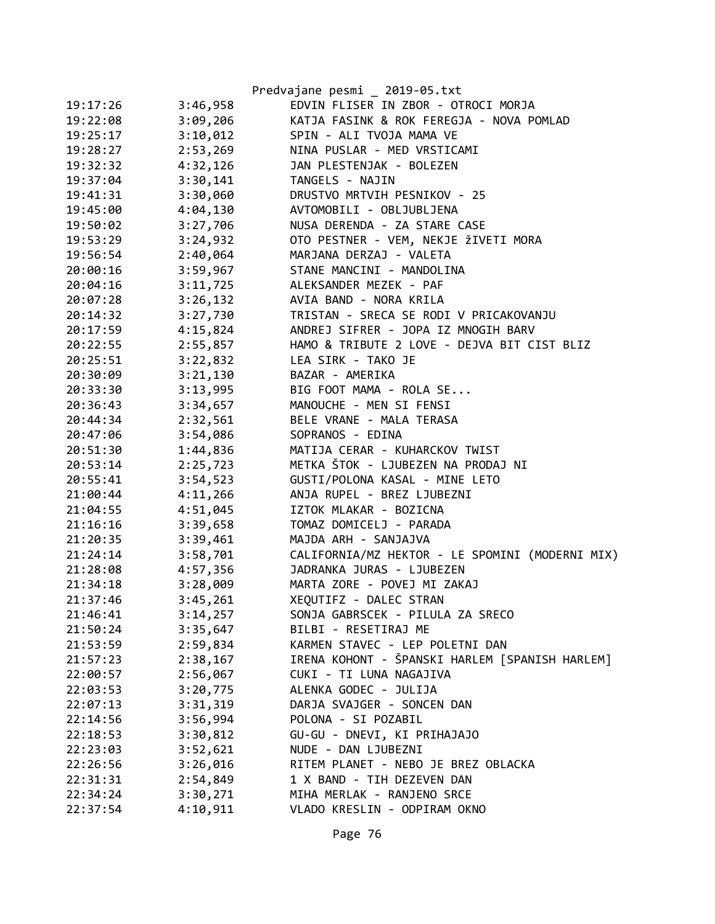|          |          | Predvajane pesmi _ 2019-05.txt                  |
|----------|----------|-------------------------------------------------|
| 19:17:26 | 3:46,958 | EDVIN FLISER IN ZBOR - OTROCI MORJA             |
| 19:22:08 | 3:09,206 | KATJA FASINK & ROK FEREGJA - NOVA POMLAD        |
| 19:25:17 | 3:10,012 | SPIN - ALI TVOJA MAMA VE                        |
| 19:28:27 | 2:53,269 | NINA PUSLAR - MED VRSTICAMI                     |
| 19:32:32 | 4:32,126 | JAN PLESTENJAK - BOLEZEN                        |
| 19:37:04 | 3:30,141 | TANGELS - NAJIN                                 |
| 19:41:31 | 3:30,060 | DRUSTVO MRTVIH PESNIKOV - 25                    |
| 19:45:00 | 4:04,130 | AVTOMOBILI - OBLJUBLJENA                        |
| 19:50:02 | 3:27,706 | NUSA DERENDA - ZA STARE CASE                    |
| 19:53:29 | 3:24,932 | OTO PESTNER - VEM, NEKJE ŽIVETI MORA            |
| 19:56:54 | 2:40,064 | MARJANA DERZAJ - VALETA                         |
| 20:00:16 | 3:59,967 | STANE MANCINI - MANDOLINA                       |
| 20:04:16 | 3:11,725 | ALEKSANDER MEZEK - PAF                          |
| 20:07:28 | 3:26,132 | AVIA BAND - NORA KRILA                          |
| 20:14:32 | 3:27,730 | TRISTAN - SRECA SE RODI V PRICAKOVANJU          |
| 20:17:59 | 4:15,824 | ANDREJ SIFRER - JOPA IZ MNOGIH BARV             |
| 20:22:55 | 2:55,857 | HAMO & TRIBUTE 2 LOVE - DEJVA BIT CIST BLIZ     |
| 20:25:51 | 3:22,832 | LEA SIRK - TAKO JE                              |
| 20:30:09 | 3:21,130 | BAZAR - AMERIKA                                 |
| 20:33:30 | 3:13,995 | BIG FOOT MAMA - ROLA SE                         |
| 20:36:43 | 3:34,657 | MANOUCHE - MEN SI FENSI                         |
| 20:44:34 | 2:32,561 | BELE VRANE - MALA TERASA                        |
| 20:47:06 | 3:54,086 | SOPRANOS - EDINA                                |
| 20:51:30 | 1:44,836 | MATIJA CERAR - KUHARCKOV TWIST                  |
| 20:53:14 | 2:25,723 | METKA ŠTOK - LJUBEZEN NA PRODAJ NI              |
| 20:55:41 | 3:54,523 | GUSTI/POLONA KASAL - MINE LETO                  |
| 21:00:44 | 4:11,266 | ANJA RUPEL - BREZ LJUBEZNI                      |
| 21:04:55 | 4:51,045 | IZTOK MLAKAR - BOZICNA                          |
| 21:16:16 | 3:39,658 | TOMAZ DOMICELJ - PARADA                         |
| 21:20:35 | 3:39,461 | MAJDA ARH - SANJAJVA                            |
| 21:24:14 | 3:58,701 | CALIFORNIA/MZ HEKTOR - LE SPOMINI (MODERNI MIX) |
| 21:28:08 | 4:57,356 | JADRANKA JURAS - LJUBEZEN                       |
| 21:34:18 | 3:28,009 | MARTA ZORE - POVEJ MI ZAKAJ                     |
| 21:37:46 | 3:45,261 | XEQUTIFZ - DALEC STRAN                          |
| 21:46:41 | 3:14,257 | SONJA GABRSCEK - PILULA ZA SRECO                |
| 21:50:24 | 3:35,647 | BILBI - RESETIRAJ ME                            |
| 21:53:59 | 2:59,834 | KARMEN STAVEC - LEP POLETNI DAN                 |
| 21:57:23 | 2:38,167 | IRENA KOHONT - ŠPANSKI HARLEM [SPANISH HARLEM]  |
| 22:00:57 | 2:56,067 | CUKI - TI LUNA NAGAJIVA                         |
| 22:03:53 | 3:20,775 | ALENKA GODEC - JULIJA                           |
| 22:07:13 | 3:31,319 | DARJA SVAJGER - SONCEN DAN                      |
| 22:14:56 | 3:56,994 | POLONA - SI POZABIL                             |
| 22:18:53 | 3:30,812 | GU-GU - DNEVI, KI PRIHAJAJO                     |
| 22:23:03 | 3:52,621 | NUDE - DAN LJUBEZNI                             |
| 22:26:56 | 3:26,016 | RITEM PLANET - NEBO JE BREZ OBLACKA             |
| 22:31:31 | 2:54,849 | 1 X BAND - TIH DEZEVEN DAN                      |
| 22:34:24 | 3:30,271 | MIHA MERLAK - RANJENO SRCE                      |
| 22:37:54 | 4:10,911 | VLADO KRESLIN - ODPIRAM OKNO                    |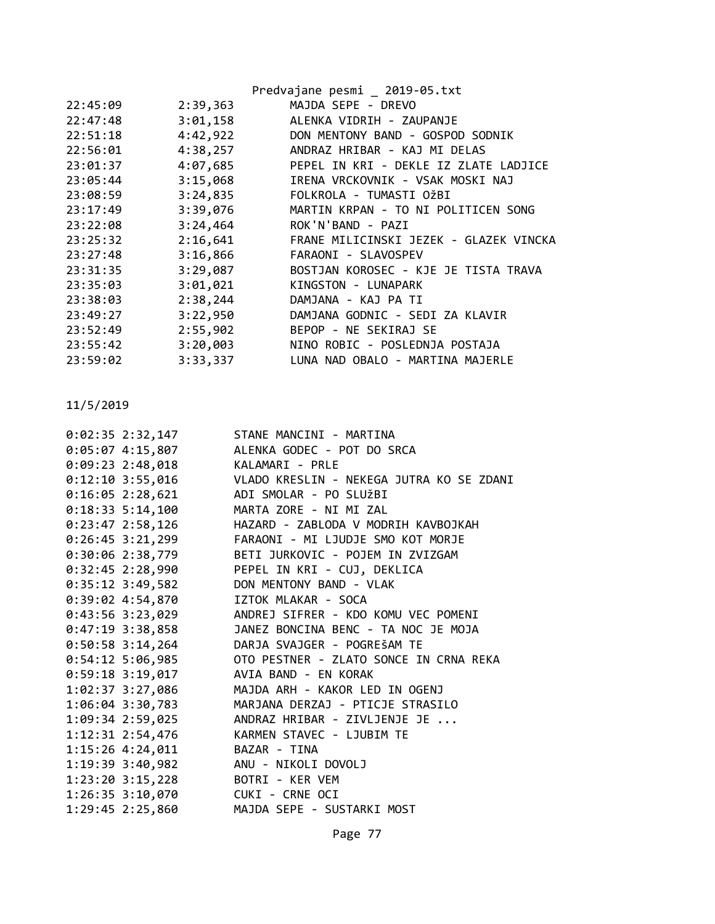|          |          | Predvajane pesmi _ 2019-05.txt         |
|----------|----------|----------------------------------------|
| 22:45:09 | 2:39,363 | MAJDA SEPE - DREVO                     |
| 22:47:48 | 3:01,158 | ALENKA VIDRIH - ZAUPANJE               |
| 22:51:18 | 4:42,922 | DON MENTONY BAND - GOSPOD SODNIK       |
| 22:56:01 | 4:38,257 | ANDRAZ HRIBAR - KAJ MI DELAS           |
| 23:01:37 | 4:07,685 | PEPEL IN KRI - DEKLE IZ ZLATE LADJICE  |
| 23:05:44 | 3:15,068 | IRENA VRCKOVNIK - VSAK MOSKI NAJ       |
| 23:08:59 | 3:24,835 | FOLKROLA - TUMASTI OŽBI                |
| 23:17:49 | 3:39,076 | MARTIN KRPAN - TO NI POLITICEN SONG    |
| 23:22:08 | 3:24,464 | ROK'N'BAND - PAZI                      |
| 23:25:32 | 2:16,641 | FRANE MILICINSKI JEZEK - GLAZEK VINCKA |
| 23:27:48 | 3:16,866 | FARAONI - SLAVOSPEV                    |
| 23:31:35 | 3:29,087 | BOSTJAN KOROSEC - KJE JE TISTA TRAVA   |
| 23:35:03 | 3:01,021 | KINGSTON - LUNAPARK                    |
| 23:38:03 | 2:38,244 | DAMJANA - KAJ PA TI                    |
| 23:49:27 | 3:22,950 | DAMJANA GODNIC - SEDI ZA KLAVIR        |
| 23:52:49 | 2:55,902 | BEPOP - NE SEKIRAJ SE                  |
| 23:55:42 | 3:20,003 | NINO ROBIC - POSLEDNJA POSTAJA         |
| 23:59:02 | 3:33,337 | LUNA NAD OBALO - MARTINA MAJERLE       |
|          |          |                                        |

|  | $0:02:35$ 2:32,147            | STANE MANCINI - MARTINA                                      |
|--|-------------------------------|--------------------------------------------------------------|
|  | 0:05:07 4:15,807              | ALENKA GODEC - POT DO SRCA                                   |
|  |                               | 0:09:23 2:48,018 KALAMARI - PRLE                             |
|  |                               | 0:12:10 3:55,016    VLADO KRESLIN - NEKEGA JUTRA KO SE ZDANI |
|  |                               | 0:16:05 2:28,621 ADI SMOLAR - PO SLUŽBI                      |
|  |                               | 0:18:33 5:14,100 MARTA ZORE - NI MI ZAL                      |
|  |                               | 0:23:47 2:58,126 HAZARD - ZABLODA V MODRIH KAVBOJKAH         |
|  |                               | 0:26:45 3:21,299 FARAONI - MI LJUDJE SMO KOT MORJE           |
|  |                               | 0:30:06 2:38,779 BETI JURKOVIC - POJEM IN ZVIZGAM            |
|  |                               | 0:32:45 2:28,990 PEPEL IN KRI - CUJ, DEKLICA                 |
|  | $0:35:12$ 3:49,582            | DON MENTONY BAND - VLAK                                      |
|  |                               | 0:39:02 4:54,870 IZTOK MLAKAR - SOCA                         |
|  |                               | 0:43:56 3:23,029 ANDREJ SIFRER - KDO KOMU VEC POMENI         |
|  |                               | 0:47:19 3:38,858 JANEZ BONCINA BENC - TA NOC JE MOJA         |
|  |                               | 0:50:58 3:14,264 DARJA SVAJGER - POGREŠAM TE                 |
|  |                               | 0:54:12 5:06,985 OTO PESTNER - ZLATO SONCE IN CRNA REKA      |
|  |                               | 0:59:18 3:19,017 AVIA BAND - EN KORAK                        |
|  |                               | 1:02:37 3:27,086 MAJDA ARH - KAKOR LED IN OGENJ              |
|  |                               | 1:06:04 3:30,783 MARJANA DERZAJ - PTICJE STRASILO            |
|  |                               | 1:09:34 2:59,025 ANDRAZ HRIBAR - ZIVLJENJE JE                |
|  |                               | 1:12:31 2:54,476 KARMEN STAVEC - LJUBIM TE                   |
|  | 1:15:26 4:24,011 BAZAR - TINA |                                                              |
|  |                               | 1:19:39 3:40,982 ANU - NIKOLI DOVOLJ                         |
|  | $1:23:20$ 3:15,228            | BOTRI - KER VEM                                              |
|  |                               | 1:26:35 3:10,070 CUKI - CRNE OCI                             |
|  |                               | 1:29:45 2:25,860 MAJDA SEPE - SUSTARKI MOST                  |
|  |                               |                                                              |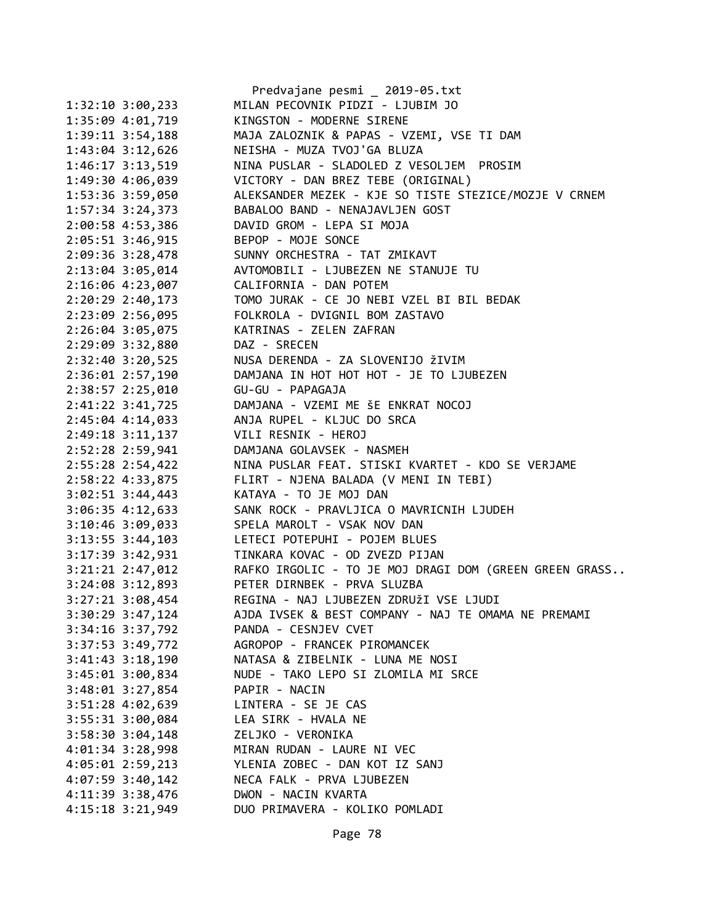|                        | Predvajane pesmi _ 2019-05.txt                                              |
|------------------------|-----------------------------------------------------------------------------|
| $1:32:10$ $3:00,233$   | MILAN PECOVNIK PIDZI - LJUBIM JO                                            |
| 1:35:09 4:01,719       | KINGSTON - MODERNE SIRENE                                                   |
| $1:39:11$ $3:54,188$   | MAJA ZALOZNIK & PAPAS - VZEMI, VSE TI DAM                                   |
| $1:43:04$ $3:12,626$   | NEISHA - MUZA TVOJ'GA BLUZA                                                 |
| $1:46:17$ $3:13,519$   | NINA PUSLAR - SLADOLED Z VESOLJEM PROSIM                                    |
| 1:49:30 4:06,039       | VICTORY - DAN BREZ TEBE (ORIGINAL)                                          |
| 1:53:36 3:59,050       | ALEKSANDER MEZEK - KJE SO TISTE STEZICE/MOZJE V CRNEM                       |
| $1:57:34$ 3:24,373     | BABALOO BAND - NENAJAVLJEN GOST                                             |
| 2:00:58 4:53,386       | DAVID GROM - LEPA SI MOJA                                                   |
| 2:05:51 3:46,915       | BEPOP - MOJE SONCE                                                          |
|                        | 2:09:36 3:28,478 SUNNY ORCHESTRA - TAT ZMIKAVT                              |
| $2:13:04$ 3:05,014     | AVTOMOBILI - LJUBEZEN NE STANUJE TU                                         |
|                        | 2:16:06 4:23,007 CALIFORNIA - DAN POTEM                                     |
| $2:20:29$ $2:40,173$   | TOMO JURAK - CE JO NEBI VZEL BI BIL BEDAK<br>FOLKROLA - DVIGNIL BOM ZASTAVO |
| 2:23:09 2:56,095       |                                                                             |
| $2:26:04$ 3:05,075     | KATRINAS - ZELEN ZAFRAN                                                     |
| 2:29:09 3:32,880       | DAZ - SRECEN                                                                |
|                        | 2:32:40 3:20,525 NUSA DERENDA - ZA SLOVENIJO ŽIVIM                          |
|                        | 2:36:01 2:57,190 DAMJANA IN HOT HOT HOT - JE TO LJUBEZEN                    |
| $2:38:57$ $2:25,010$   | GU-GU - PAPAGAJA                                                            |
|                        | 2:41:22 3:41,725 DAMJANA - VZEMI ME ŠE ENKRAT NOCOJ                         |
|                        | 2:45:04 4:14,033 ANJA RUPEL - KLJUC DO SRCA                                 |
| $2:49:18$ $3:11,137$   | VILI RESNIK - HEROJ                                                         |
| 2:52:28 2:59,941       | DAMJANA GOLAVSEK - NASMEH                                                   |
| $2:55:28$ $2:54,422$   | NINA PUSLAR FEAT. STISKI KVARTET - KDO SE VERJAME                           |
| 2:58:22 4:33,875       | FLIRT - NJENA BALADA (V MENI IN TEBI)                                       |
| $3:02:51$ $3:44,443$   | KATAYA - TO JE MOJ DAN                                                      |
| $3:06:35$ 4:12,633     | SANK ROCK - PRAVLJICA O MAVRICNIH LJUDEH                                    |
| $3:10:46$ $3:09,033$   | SPELA MAROLT - VSAK NOV DAN                                                 |
|                        | 3:13:55 3:44,103 LETECI POTEPUHI - POJEM BLUES                              |
|                        | 3:17:39 3:42,931 TINKARA KOVAC - OD ZVEZD PIJAN                             |
|                        | 3:21:21 2:47,012 RAFKO IRGOLIC - TO JE MOJ DRAGI DOM (GREEN GREEN GRASS     |
|                        | 3:24:08 3:12,893 PETER DIRNBEK - PRVA SLUZBA                                |
| 3:27:21 3:08,454       | REGINA - NAJ LJUBEZEN ZDRUŽI VSE LJUDI                                      |
| 3:30:29 3:47,124       | AJDA IVSEK & BEST COMPANY - NAJ TE OMAMA NE PREMAMI                         |
| 3:34:16 3:37,792       | PANDA - CESNJEV CVET                                                        |
| 3:37:53 3:49,772       | AGROPOP - FRANCEK PIROMANCEK                                                |
| $3:41:43$ $3:18,190$   | NATASA & ZIBELNIK - LUNA ME NOSI                                            |
| 3:45:01 3:00,834       | NUDE - TAKO LEPO SI ZLOMILA MI SRCE                                         |
| 3:48:01 3:27,854       | PAPIR - NACIN                                                               |
| 3:51:28 4:02,639       | LINTERA - SE JE CAS                                                         |
| 3:55:31 3:00,084       | LEA SIRK - HVALA NE                                                         |
| $3:58:30$ $3:04$ , 148 | ZELJKO - VERONIKA                                                           |
| 4:01:34 3:28,998       | MIRAN RUDAN - LAURE NI VEC                                                  |
| 4:05:01 2:59,213       | YLENIA ZOBEC - DAN KOT IZ SANJ                                              |
| 4:07:59 3:40,142       | NECA FALK - PRVA LJUBEZEN                                                   |
| 4:11:39 3:38,476       | DWON - NACIN KVARTA                                                         |
| 4:15:18 3:21,949       | DUO PRIMAVERA - KOLIKO POMLADI                                              |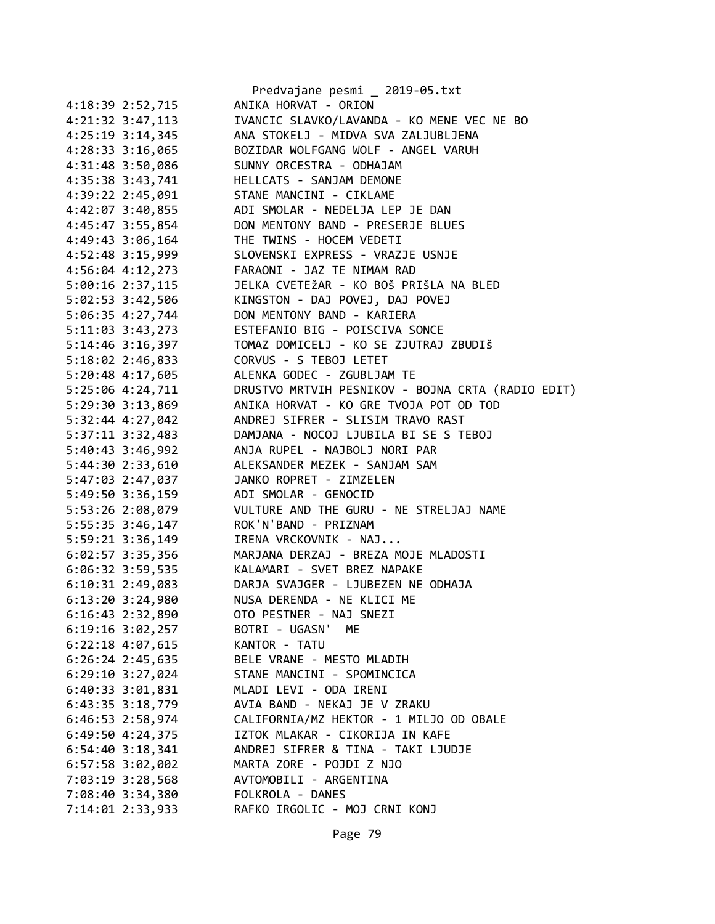|                        | Predvajane pesmi _ 2019-05.txt                        |
|------------------------|-------------------------------------------------------|
| 4:18:39 2:52,715       | ANIKA HORVAT - ORION                                  |
| $4:21:32$ $3:47,113$   | IVANCIC SLAVKO/LAVANDA - KO MENE VEC NE BO            |
| $4:25:19$ $3:14$ , 345 | ANA STOKELJ - MIDVA SVA ZALJUBLJENA                   |
| 4:28:33 3:16,065       | BOZIDAR WOLFGANG WOLF - ANGEL VARUH                   |
| 4:31:48 3:50,086       | SUNNY ORCESTRA - ODHAJAM                              |
| 4:35:38 3:43,741       | HELLCATS - SANJAM DEMONE                              |
| 4:39:22 2:45,091       | STANE MANCINI - CIKLAME                               |
| 4:42:07 3:40,855       | ADI SMOLAR - NEDELJA LEP JE DAN                       |
| 4:45:47 3:55,854       | DON MENTONY BAND - PRESERJE BLUES                     |
| 4:49:43 3:06,164       | THE TWINS - HOCEM VEDETI                              |
| 4:52:48 3:15,999       | SLOVENSKI EXPRESS - VRAZJE USNJE                      |
| 4:56:04 4:12,273       | FARAONI - JAZ TE NIMAM RAD                            |
| $5:00:16$ 2:37,115     | JELKA CVETEŽAR - KO BOŠ PRIŠLA NA BLED                |
| 5:02:53 3:42,506       | KINGSTON - DAJ POVEJ, DAJ POVEJ                       |
| 5:06:35 4:27,744       | DON MENTONY BAND - KARIERA                            |
| 5:11:03 3:43,273       | ESTEFANIO BIG - POISCIVA SONCE                        |
| 5:14:46 3:16,397       | TOMAZ DOMICELJ - KO SE ZJUTRAJ ZBUDIŠ                 |
| $5:18:02$ 2:46,833     | CORVUS - S TEBOJ LETET                                |
| 5:20:48 4:17,605       | ALENKA GODEC - ZGUBLJAM TE                            |
| 5:25:06 4:24,711       | DRUSTVO MRTVIH PESNIKOV - BOJNA CRTA (RADIO EDIT)     |
| 5:29:30 3:13,869       | ANIKA HORVAT - KO GRE TVOJA POT OD TOD                |
| 5:32:44 4:27,042       | ANDREJ SIFRER - SLISIM TRAVO RAST                     |
| 5:37:11 3:32,483       | DAMJANA - NOCOJ LJUBILA BI SE S TEBOJ                 |
| 5:40:43 3:46,992       | ANJA RUPEL - NAJBOLJ NORI PAR                         |
| 5:44:30 2:33,610       | ALEKSANDER MEZEK - SANJAM SAM                         |
| 5:47:03 2:47,037       | JANKO ROPRET - ZIMZELEN                               |
| 5:49:50 3:36,159       | ADI SMOLAR - GENOCID                                  |
| 5:53:26 2:08,079       | VULTURE AND THE GURU - NE STRELJAJ NAME               |
| 5:55:35 3:46,147       | ROK'N'BAND - PRIZNAM                                  |
| $5:59:21$ $3:36,149$   | IRENA VRCKOVNIK - NAJ                                 |
|                        |                                                       |
|                        | 6:02:57 3:35,356 MARJANA DERZAJ - BREZA MOJE MLADOSTI |
|                        | 6:06:32 3:59,535 KALAMARI - SVET BREZ NAPAKE          |
| 6:10:31 2:49,083       | DARJA SVAJGER - LJUBEZEN NE ODHAJA                    |
| $6:13:20$ 3:24,980     | NUSA DERENDA - NE KLICI ME                            |
| $6:16:43$ 2:32,890     | OTO PESTNER - NAJ SNEZI                               |
| $6:19:16$ $3:02,257$   | BOTRI - UGASN' ME                                     |
| 6:22:18 4:07,615       | KANTOR - TATU                                         |
| 6:26:24 2:45,635       | BELE VRANE - MESTO MLADIH                             |
| $6:29:10$ 3:27,024     | STANE MANCINI - SPOMINCICA                            |
| 6:40:33 3:01,831       | MLADI LEVI - ODA IRENI                                |
| 6:43:35 3:18,779       | AVIA BAND - NEKAJ JE V ZRAKU                          |
| 6:46:53 2:58,974       | CALIFORNIA/MZ HEKTOR - 1 MILJO OD OBALE               |
| 6:49:50 4:24,375       | IZTOK MLAKAR - CIKORIJA IN KAFE                       |
| 6:54:40 3:18,341       | ANDREJ SIFRER & TINA - TAKI LJUDJE                    |
| 6:57:58 3:02,002       | MARTA ZORE - POJDI Z NJO                              |
| 7:03:19 3:28,568       | AVTOMOBILI - ARGENTINA                                |
| 7:08:40 3:34,380       | FOLKROLA - DANES                                      |
| 7:14:01 2:33,933       | RAFKO IRGOLIC - MOJ CRNI KONJ                         |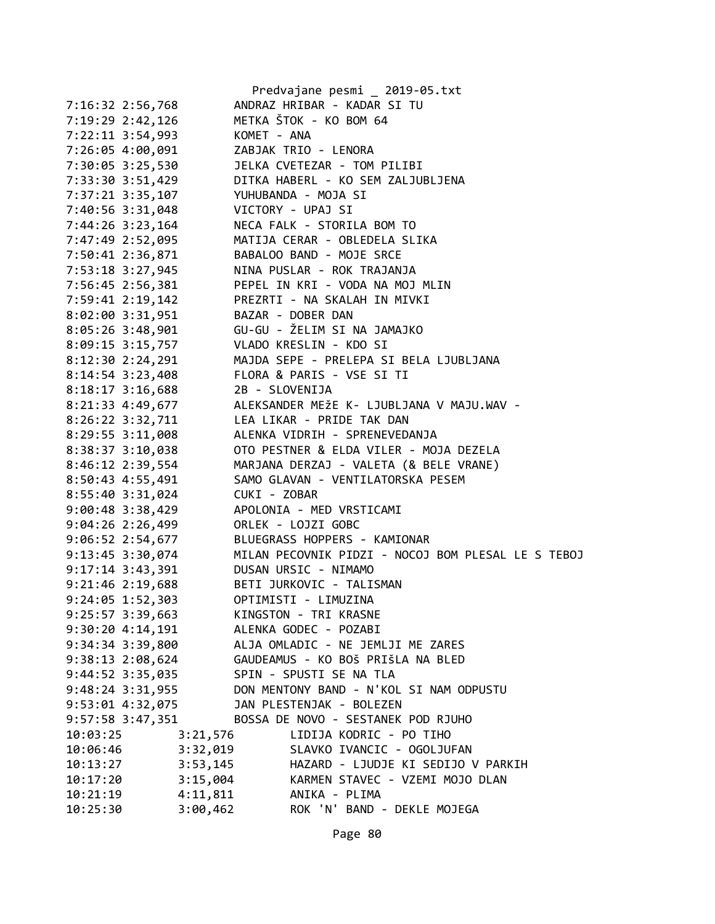|                      |                | Predvajane pesmi _ 2019-05.txt                     |
|----------------------|----------------|----------------------------------------------------|
| 7:16:32 2:56,768     |                | ANDRAZ HRIBAR - KADAR SI TU                        |
| 7:19:29 2:42,126     |                | METKA ŠTOK - KO BOM 64                             |
| 7:22:11 3:54,993     | KOMET - ANA    |                                                    |
| 7:26:05 4:00,091     |                | ZABJAK TRIO - LENORA                               |
| 7:30:05 3:25,530     |                | JELKA CVETEZAR - TOM PILIBI                        |
| 7:33:30 3:51,429     |                | DITKA HABERL - KO SEM ZALJUBLJENA                  |
| 7:37:21 3:35,107     |                | YUHUBANDA - MOJA SI                                |
| 7:40:56 3:31,048     |                | VICTORY - UPAJ SI                                  |
| 7:44:26 3:23,164     |                | NECA FALK - STORILA BOM TO                         |
| 7:47:49 2:52,095     |                | MATIJA CERAR - OBLEDELA SLIKA                      |
| 7:50:41 2:36,871     |                | BABALOO BAND - MOJE SRCE                           |
| 7:53:18 3:27,945     |                | NINA PUSLAR - ROK TRAJANJA                         |
|                      |                | PEPEL IN KRI - VODA NA MOJ MLIN                    |
| 7:56:45 2:56,381     |                | PREZRTI - NA SKALAH IN MIVKI                       |
| 7:59:41 2:19,142     |                |                                                    |
| 8:02:00 3:31,951     |                | BAZAR - DOBER DAN                                  |
| $8:05:26$ 3:48,901   |                | GU-GU - ŽELIM SI NA JAMAJKO                        |
| 8:09:15 3:15,757     |                | VLADO KRESLIN - KDO SI                             |
| 8:12:30 2:24,291     |                | MAJDA SEPE - PRELEPA SI BELA LJUBLJANA             |
| $8:14:54$ 3:23,408   |                | FLORA & PARIS - VSE SI TI                          |
| $8:18:17$ 3:16,688   | 2B - SLOVENIJA |                                                    |
| 8:21:33 4:49,677     |                | ALEKSANDER MEŽE K- LJUBLJANA V MAJU.WAV -          |
| 8:26:22 3:32,711     |                | LEA LIKAR - PRIDE TAK DAN                          |
| 8:29:55 3:11,008     |                | ALENKA VIDRIH - SPRENEVEDANJA                      |
| 8:38:37 3:10,038     |                | OTO PESTNER & ELDA VILER - MOJA DEZELA             |
| 8:46:12 2:39,554     |                | MARJANA DERZAJ - VALETA (& BELE VRANE)             |
| 8:50:43 4:55,491     |                | SAMO GLAVAN - VENTILATORSKA PESEM                  |
| 8:55:40 3:31,024     | CUKI - ZOBAR   |                                                    |
| 9:00:48 3:38,429     |                | APOLONIA - MED VRSTICAMI                           |
| 9:04:26 2:26,499     |                | ORLEK - LOJZI GOBC                                 |
| 9:06:52 2:54,677     |                | BLUEGRASS HOPPERS - KAMIONAR                       |
| 9:13:45 3:30,074     |                | MILAN PECOVNIK PIDZI - NOCOJ BOM PLESAL LE S TEBOJ |
| $9:17:14$ $3:43,391$ |                | DUSAN URSIC - NIMAMO                               |
| 9:21:46 2:19,688     |                | BETI JURKOVIC - TALISMAN                           |
| 9:24:05 1:52,303     |                | OPTIMISTI - LIMUZINA                               |
| 9:25:57 3:39,663     |                | KINGSTON - TRI KRASNE                              |
| 9:30:204:14,191      |                | ALENKA GODEC - POZABI                              |
| 9:34:34 3:39,800     |                | ALJA OMLADIC - NE JEMLJI ME ZARES                  |
| 9:38:13 2:08,624     |                | GAUDEAMUS - KO BOŠ PRIŠLA NA BLED                  |
| $9:44:52$ $3:35,035$ |                | SPIN - SPUSTI SE NA TLA                            |
| 9:48:24 3:31,955     |                | DON MENTONY BAND - N'KOL SI NAM ODPUSTU            |
| 9:53:01 4:32,075     |                | JAN PLESTENJAK - BOLEZEN                           |
| 9:57:58 3:47,351     |                | BOSSA DE NOVO - SESTANEK POD RJUHO                 |
| 10:03:25             | 3:21,576       | LIDIJA KODRIC - PO TIHO                            |
| 10:06:46             | 3:32,019       | SLAVKO IVANCIC - OGOLJUFAN                         |
| 10:13:27             | 3:53,145       | HAZARD - LJUDJE KI SEDIJO V PARKIH                 |
| 10:17:20             | 3:15,004       | KARMEN STAVEC - VZEMI MOJO DLAN                    |
| 10:21:19             | 4:11,811       | ANIKA - PLIMA                                      |
| 10:25:30             | 3:00,462       | ROK 'N' BAND - DEKLE MOJEGA                        |
|                      |                |                                                    |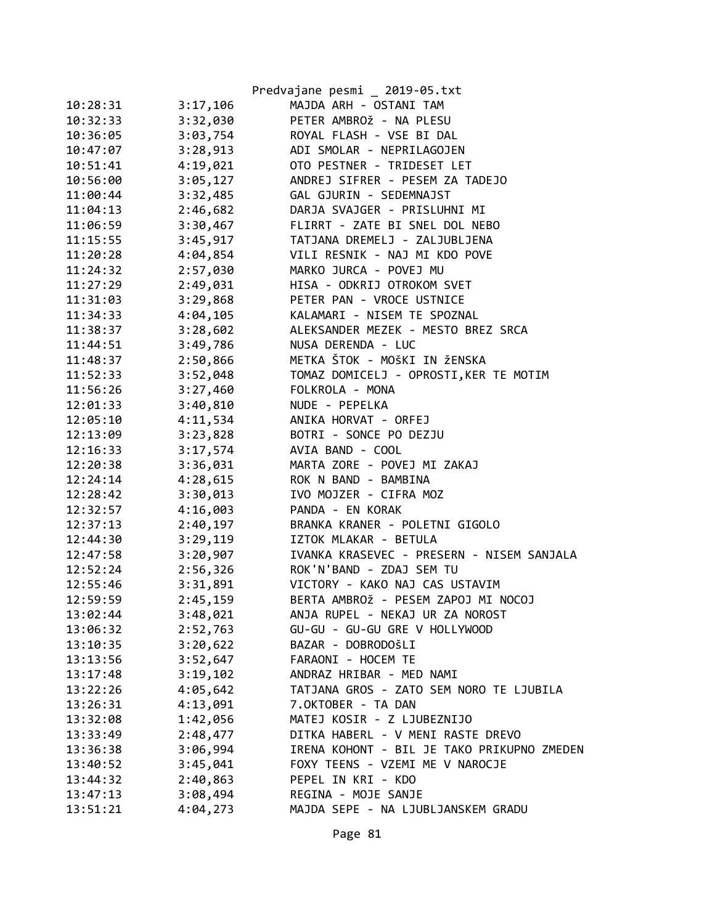|          |          | Predvajane pesmi _ 2019-05.txt             |
|----------|----------|--------------------------------------------|
| 10:28:31 | 3:17,106 | MAJDA ARH - OSTANI TAM                     |
| 10:32:33 | 3:32,030 | PETER AMBROŽ - NA PLESU                    |
| 10:36:05 | 3:03,754 | ROYAL FLASH - VSE BI DAL                   |
| 10:47:07 | 3:28,913 | ADI SMOLAR - NEPRILAGOJEN                  |
| 10:51:41 | 4:19,021 | OTO PESTNER - TRIDESET LET                 |
| 10:56:00 | 3:05,127 | ANDREJ SIFRER - PESEM ZA TADEJO            |
| 11:00:44 | 3:32,485 | GAL GJURIN - SEDEMNAJST                    |
| 11:04:13 | 2:46,682 | DARJA SVAJGER - PRISLUHNI MI               |
| 11:06:59 | 3:30,467 | FLIRRT - ZATE BI SNEL DOL NEBO             |
| 11:15:55 | 3:45,917 | TATJANA DREMELJ - ZALJUBLJENA              |
| 11:20:28 | 4:04,854 | VILI RESNIK - NAJ MI KDO POVE              |
| 11:24:32 | 2:57,030 | MARKO JURCA - POVEJ MU                     |
| 11:27:29 | 2:49,031 | HISA - ODKRIJ OTROKOM SVET                 |
| 11:31:03 | 3:29,868 | PETER PAN - VROCE USTNICE                  |
| 11:34:33 | 4:04,105 | KALAMARI - NISEM TE SPOZNAL                |
| 11:38:37 | 3:28,602 | ALEKSANDER MEZEK - MESTO BREZ SRCA         |
| 11:44:51 | 3:49,786 | NUSA DERENDA - LUC                         |
| 11:48:37 | 2:50,866 | METKA ŠTOK - MOŠKI IN ŽENSKA               |
| 11:52:33 | 3:52,048 | TOMAZ DOMICELJ - OPROSTI, KER TE MOTIM     |
| 11:56:26 | 3:27,460 | FOLKROLA - MONA                            |
| 12:01:33 | 3:40,810 | NUDE - PEPELKA                             |
| 12:05:10 | 4:11,534 | ANIKA HORVAT - ORFEJ                       |
| 12:13:09 | 3:23,828 | BOTRI - SONCE PO DEZJU                     |
| 12:16:33 | 3:17,574 | AVIA BAND - COOL                           |
| 12:20:38 | 3:36,031 | MARTA ZORE - POVEJ MI ZAKAJ                |
| 12:24:14 | 4:28,615 | ROK N BAND - BAMBINA                       |
| 12:28:42 | 3:30,013 | IVO MOJZER - CIFRA MOZ                     |
| 12:32:57 | 4:16,003 | PANDA - EN KORAK                           |
| 12:37:13 | 2:40,197 | BRANKA KRANER - POLETNI GIGOLO             |
| 12:44:30 | 3:29,119 | IZTOK MLAKAR - BETULA                      |
| 12:47:58 | 3:20,907 | IVANKA KRASEVEC - PRESERN - NISEM SANJALA  |
| 12:52:24 | 2:56,326 | ROK'N'BAND - ZDAJ SEM TU                   |
| 12:55:46 | 3:31,891 | VICTORY - KAKO NAJ CAS USTAVIM             |
| 12:59:59 | 2:45,159 | BERTA AMBROŽ - PESEM ZAPOJ MI NOCOJ        |
| 13:02:44 | 3:48,021 | ANJA RUPEL - NEKAJ UR ZA NOROST            |
| 13:06:32 | 2:52,763 | GU-GU - GU-GU GRE V HOLLYWOOD              |
| 13:10:35 | 3:20,622 | BAZAR - DOBRODOŠLI                         |
| 13:13:56 | 3:52,647 | FARAONI - HOCEM TE                         |
| 13:17:48 | 3:19,102 | ANDRAZ HRIBAR - MED NAMI                   |
| 13:22:26 | 4:05,642 | TATJANA GROS - ZATO SEM NORO TE LJUBILA    |
| 13:26:31 | 4:13,091 | 7.OKTOBER - TA DAN                         |
| 13:32:08 | 1:42,056 | MATEJ KOSIR - Z LJUBEZNIJO                 |
| 13:33:49 | 2:48,477 | DITKA HABERL - V MENI RASTE DREVO          |
| 13:36:38 | 3:06,994 | IRENA KOHONT - BIL JE TAKO PRIKUPNO ZMEDEN |
| 13:40:52 | 3:45,041 | FOXY TEENS - VZEMI ME V NAROCJE            |
| 13:44:32 | 2:40,863 | PEPEL IN KRI - KDO                         |
| 13:47:13 | 3:08,494 | REGINA - MOJE SANJE                        |
| 13:51:21 | 4:04,273 | MAJDA SEPE - NA LJUBLJANSKEM GRADU         |

Page 81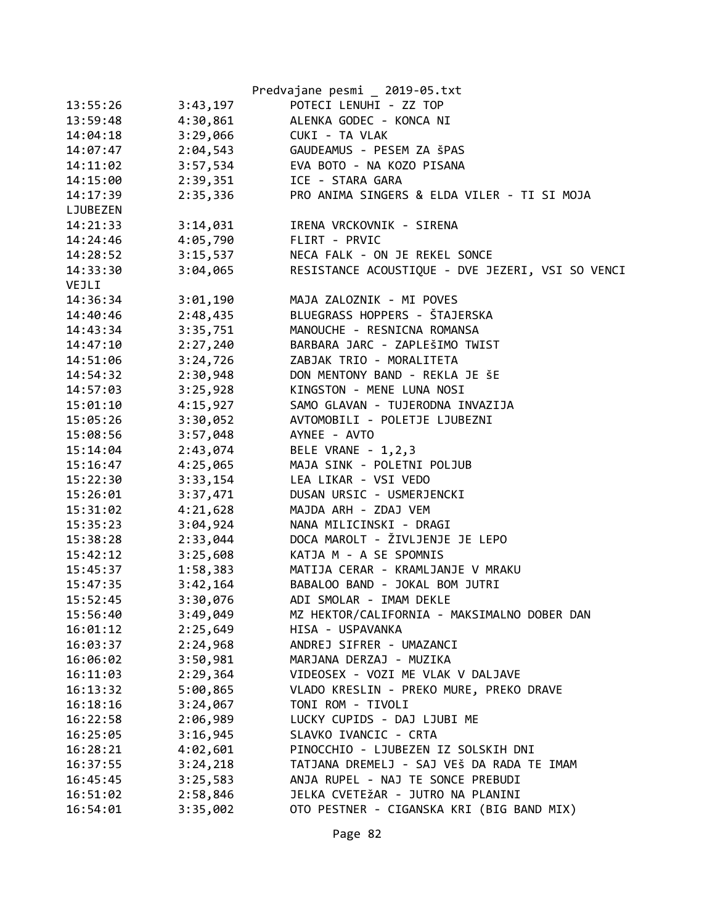|          |          | Predvajane pesmi _ 2019-05.txt                   |
|----------|----------|--------------------------------------------------|
| 13:55:26 | 3:43,197 | POTECI LENUHI - ZZ TOP                           |
| 13:59:48 | 4:30,861 | ALENKA GODEC - KONCA NI                          |
| 14:04:18 | 3:29,066 | CUKI - TA VLAK                                   |
| 14:07:47 | 2:04,543 | GAUDEAMUS - PESEM ZA ŠPAS                        |
| 14:11:02 | 3:57,534 | EVA BOTO - NA KOZO PISANA                        |
| 14:15:00 | 2:39,351 | ICE - STARA GARA                                 |
| 14:17:39 | 2:35,336 | PRO ANIMA SINGERS & ELDA VILER - TI SI MOJA      |
| LJUBEZEN |          |                                                  |
| 14:21:33 | 3:14,031 | IRENA VRCKOVNIK - SIRENA                         |
| 14:24:46 | 4:05,790 | FLIRT - PRVIC                                    |
| 14:28:52 | 3:15,537 | NECA FALK - ON JE REKEL SONCE                    |
| 14:33:30 | 3:04,065 | RESISTANCE ACOUSTIQUE - DVE JEZERI, VSI SO VENCI |
| VEJLI    |          |                                                  |
| 14:36:34 | 3:01,190 | MAJA ZALOZNIK - MI POVES                         |
| 14:40:46 | 2:48,435 | BLUEGRASS HOPPERS - ŠTAJERSKA                    |
| 14:43:34 | 3:35,751 | MANOUCHE - RESNICNA ROMANSA                      |
| 14:47:10 | 2:27,240 | BARBARA JARC - ZAPLEŠIMO TWIST                   |
| 14:51:06 | 3:24,726 | ZABJAK TRIO - MORALITETA                         |
| 14:54:32 | 2:30,948 | DON MENTONY BAND - REKLA JE ŠE                   |
| 14:57:03 | 3:25,928 | KINGSTON - MENE LUNA NOSI                        |
| 15:01:10 | 4:15,927 | SAMO GLAVAN - TUJERODNA INVAZIJA                 |
| 15:05:26 | 3:30,052 | AVTOMOBILI - POLETJE LJUBEZNI                    |
| 15:08:56 | 3:57,048 | AYNEE - AVTO                                     |
| 15:14:04 | 2:43,074 | BELE VRANE - 1, 2, 3                             |
| 15:16:47 | 4:25,065 | MAJA SINK - POLETNI POLJUB                       |
| 15:22:30 | 3:33,154 | LEA LIKAR - VSI VEDO                             |
| 15:26:01 | 3:37,471 | DUSAN URSIC - USMERJENCKI                        |
| 15:31:02 | 4:21,628 | MAJDA ARH - ZDAJ VEM                             |
| 15:35:23 | 3:04,924 | NANA MILICINSKI - DRAGI                          |
| 15:38:28 | 2:33,044 | DOCA MAROLT - ŽIVLJENJE JE LEPO                  |
| 15:42:12 | 3:25,608 | KATJA M - A SE SPOMNIS                           |
| 15:45:37 | 1:58,383 | MATIJA CERAR - KRAMLJANJE V MRAKU                |
| 15:47:35 | 3:42,164 | BABALOO BAND - JOKAL BOM JUTRI                   |
| 15:52:45 | 3:30,076 | ADI SMOLAR - IMAM DEKLE                          |
| 15:56:40 | 3:49,049 | MZ HEKTOR/CALIFORNIA - MAKSIMALNO DOBER DAN      |
| 16:01:12 | 2:25,649 | HISA - USPAVANKA                                 |
| 16:03:37 | 2:24,968 | ANDREJ SIFRER - UMAZANCI                         |
| 16:06:02 | 3:50,981 | MARJANA DERZAJ - MUZIKA                          |
| 16:11:03 | 2:29,364 | VIDEOSEX - VOZI ME VLAK V DALJAVE                |
| 16:13:32 | 5:00,865 | VLADO KRESLIN - PREKO MURE, PREKO DRAVE          |
| 16:18:16 | 3:24,067 | TONI ROM - TIVOLI                                |
| 16:22:58 | 2:06,989 | LUCKY CUPIDS - DAJ LJUBI ME                      |
| 16:25:05 | 3:16,945 | SLAVKO IVANCIC - CRTA                            |
| 16:28:21 | 4:02,601 | PINOCCHIO - LJUBEZEN IZ SOLSKIH DNI              |
| 16:37:55 | 3:24,218 | TATJANA DREMELJ - SAJ VEŠ DA RADA TE IMAM        |
| 16:45:45 | 3:25,583 | ANJA RUPEL - NAJ TE SONCE PREBUDI                |
| 16:51:02 | 2:58,846 | JELKA CVETEŽAR - JUTRO NA PLANINI                |
| 16:54:01 | 3:35,002 | OTO PESTNER - CIGANSKA KRI (BIG BAND MIX)        |
|          |          |                                                  |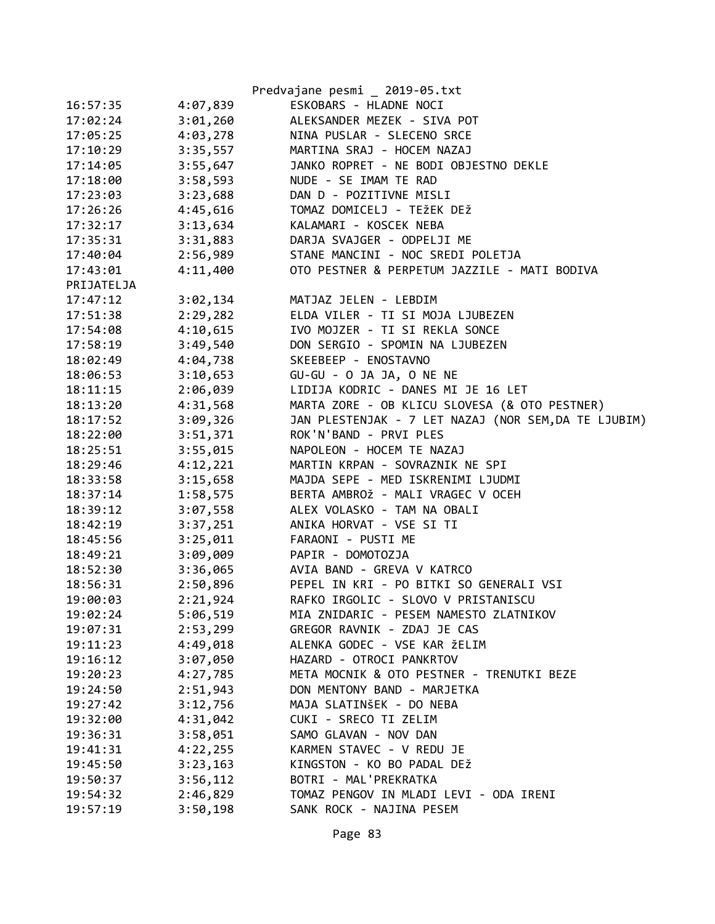|            |          | Predvajane pesmi _ 2019-05.txt                       |
|------------|----------|------------------------------------------------------|
| 16:57:35   | 4:07,839 | ESKOBARS - HLADNE NOCI                               |
| 17:02:24   | 3:01,260 | ALEKSANDER MEZEK - SIVA POT                          |
| 17:05:25   | 4:03,278 | NINA PUSLAR - SLECENO SRCE                           |
| 17:10:29   | 3:35,557 | MARTINA SRAJ - HOCEM NAZAJ                           |
| 17:14:05   | 3:55,647 | JANKO ROPRET - NE BODI OBJESTNO DEKLE                |
| 17:18:00   | 3:58,593 | NUDE - SE IMAM TE RAD                                |
| 17:23:03   | 3:23,688 | DAN D - POZITIVNE MISLI                              |
| 17:26:26   | 4:45,616 | TOMAZ DOMICELJ - TEŽEK DEŽ                           |
| 17:32:17   | 3:13,634 | KALAMARI - KOSCEK NEBA                               |
| 17:35:31   | 3:31,883 | DARJA SVAJGER - ODPELJI ME                           |
| 17:40:04   |          | 2:56,989 STANE MANCINI - NOC SREDI POLETJA           |
| 17:43:01   | 4:11,400 | OTO PESTNER & PERPETUM JAZZILE - MATI BODIVA         |
| PRIJATELJA |          |                                                      |
| 17:47:12   | 3:02,134 | MATJAZ JELEN - LEBDIM                                |
| 17:51:38   | 2:29,282 | ELDA VILER - TI SI MOJA LJUBEZEN                     |
| 17:54:08   | 4:10,615 | IVO MOJZER - TI SI REKLA SONCE                       |
| 17:58:19   | 3:49,540 | DON SERGIO - SPOMIN NA LJUBEZEN                      |
| 18:02:49   | 4:04,738 | SKEEBEEP - ENOSTAVNO                                 |
| 18:06:53   | 3:10,653 | GU-GU - O JA JA, O NE NE                             |
| 18:11:15   | 2:06,039 | LIDIJA KODRIC - DANES MI JE 16 LET                   |
| 18:13:20   | 4:31,568 | MARTA ZORE - OB KLICU SLOVESA (& OTO PESTNER)        |
| 18:17:52   | 3:09,326 | JAN PLESTENJAK - 7 LET NAZAJ (NOR SEM, DA TE LJUBIM) |
| 18:22:00   | 3:51,371 | ROK'N'BAND - PRVI PLES                               |
| 18:25:51   | 3:55,015 | NAPOLEON - HOCEM TE NAZAJ                            |
| 18:29:46   | 4:12,221 | MARTIN KRPAN - SOVRAZNIK NE SPI                      |
| 18:33:58   | 3:15,658 | MAJDA SEPE - MED ISKRENIMI LJUDMI                    |
| 18:37:14   | 1:58,575 | BERTA AMBROŽ - MALI VRAGEC V OCEH                    |
| 18:39:12   | 3:07,558 | ALEX VOLASKO - TAM NA OBALI                          |
| 18:42:19   | 3:37,251 | ANIKA HORVAT - VSE SI TI                             |
| 18:45:56   | 3:25,011 | FARAONI - PUSTI ME                                   |
| 18:49:21   | 3:09,009 | PAPIR - DOMOTOZJA                                    |
| 18:52:30   |          | 3:36,065 AVIA BAND - GREVA V KATRCO                  |
| 18:56:31   | 2:50,896 | PEPEL IN KRI - PO BITKI SO GENERALI VSI              |
| 19:00:03   | 2:21,924 | RAFKO IRGOLIC - SLOVO V PRISTANISCU                  |
| 19:02:24   | 5:06,519 | MIA ZNIDARIC - PESEM NAMESTO ZLATNIKOV               |
| 19:07:31   | 2:53,299 | GREGOR RAVNIK - ZDAJ JE CAS                          |
| 19:11:23   | 4:49,018 | ALENKA GODEC - VSE KAR ŽELIM                         |
| 19:16:12   | 3:07,050 | HAZARD - OTROCI PANKRTOV                             |
| 19:20:23   | 4:27,785 | META MOCNIK & OTO PESTNER - TRENUTKI BEZE            |
| 19:24:50   | 2:51,943 | DON MENTONY BAND - MARJETKA                          |
| 19:27:42   | 3:12,756 | MAJA SLATINŠEK - DO NEBA                             |
| 19:32:00   | 4:31,042 | CUKI - SRECO TI ZELIM                                |
| 19:36:31   | 3:58,051 | SAMO GLAVAN - NOV DAN                                |
| 19:41:31   | 4:22,255 | KARMEN STAVEC - V REDU JE                            |
| 19:45:50   | 3:23,163 | KINGSTON - KO BO PADAL DEŽ                           |
| 19:50:37   | 3:56,112 | BOTRI - MAL'PREKRATKA                                |
| 19:54:32   | 2:46,829 | TOMAZ PENGOV IN MLADI LEVI - ODA IRENI               |
| 19:57:19   | 3:50,198 | SANK ROCK - NAJINA PESEM                             |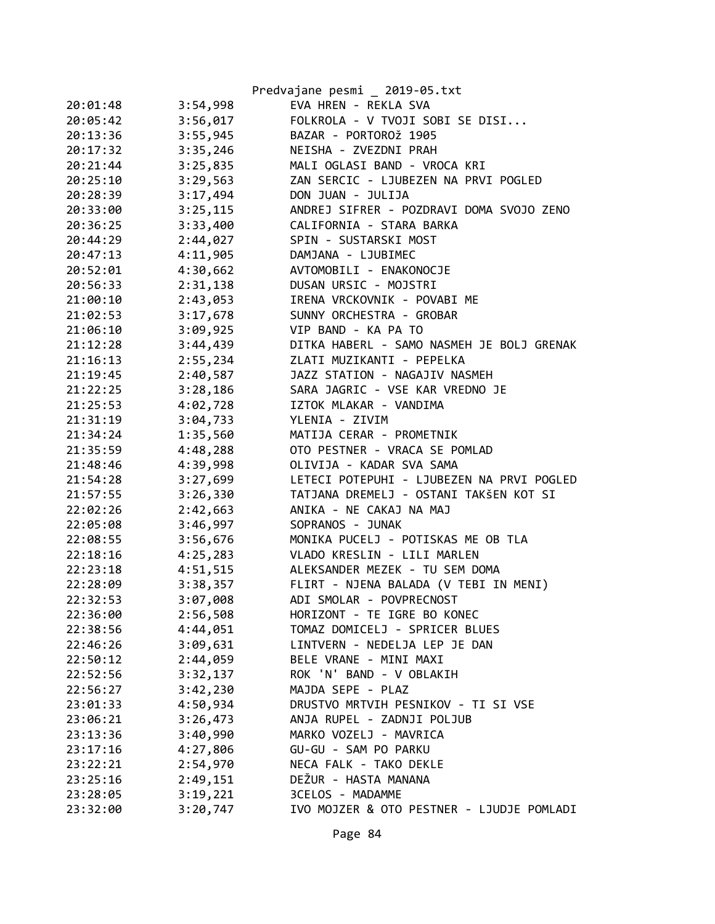|          |          | Predvajane pesmi _ 2019-05.txt            |
|----------|----------|-------------------------------------------|
| 20:01:48 | 3:54,998 | EVA HREN - REKLA SVA                      |
| 20:05:42 | 3:56,017 | FOLKROLA - V TVOJI SOBI SE DISI           |
| 20:13:36 | 3:55,945 | BAZAR - PORTOROŽ 1905                     |
| 20:17:32 | 3:35,246 | NEISHA - ZVEZDNI PRAH                     |
| 20:21:44 | 3:25,835 | MALI OGLASI BAND - VROCA KRI              |
| 20:25:10 | 3:29,563 | ZAN SERCIC - LJUBEZEN NA PRVI POGLED      |
| 20:28:39 | 3:17,494 | DON JUAN - JULIJA                         |
| 20:33:00 | 3:25,115 | ANDREJ SIFRER - POZDRAVI DOMA SVOJO ZENO  |
| 20:36:25 | 3:33,400 | CALIFORNIA - STARA BARKA                  |
| 20:44:29 | 2:44,027 | SPIN - SUSTARSKI MOST                     |
| 20:47:13 | 4:11,905 | DAMJANA - LJUBIMEC                        |
| 20:52:01 | 4:30,662 | AVTOMOBILI - ENAKONOCJE                   |
| 20:56:33 | 2:31,138 | DUSAN URSIC - MOJSTRI                     |
| 21:00:10 | 2:43,053 | IRENA VRCKOVNIK - POVABI ME               |
| 21:02:53 | 3:17,678 | SUNNY ORCHESTRA - GROBAR                  |
| 21:06:10 | 3:09,925 | VIP BAND - KA PA TO                       |
| 21:12:28 | 3:44,439 | DITKA HABERL - SAMO NASMEH JE BOLJ GRENAK |
| 21:16:13 | 2:55,234 | ZLATI MUZIKANTI - PEPELKA                 |
| 21:19:45 | 2:40,587 | JAZZ STATION - NAGAJIV NASMEH             |
| 21:22:25 | 3:28,186 | SARA JAGRIC - VSE KAR VREDNO JE           |
| 21:25:53 | 4:02,728 | IZTOK MLAKAR - VANDIMA                    |
| 21:31:19 | 3:04,733 | YLENIA - ZIVIM                            |
| 21:34:24 | 1:35,560 | MATIJA CERAR - PROMETNIK                  |
| 21:35:59 | 4:48,288 | OTO PESTNER - VRACA SE POMLAD             |
| 21:48:46 | 4:39,998 | OLIVIJA - KADAR SVA SAMA                  |
| 21:54:28 | 3:27,699 | LETECI POTEPUHI - LJUBEZEN NA PRVI POGLED |
| 21:57:55 | 3:26,330 | TATJANA DREMELJ - OSTANI TAKŠEN KOT SI    |
| 22:02:26 | 2:42,663 | ANIKA - NE CAKAJ NA MAJ                   |
| 22:05:08 | 3:46,997 | SOPRANOS - JUNAK                          |
| 22:08:55 | 3:56,676 | MONIKA PUCELJ - POTISKAS ME OB TLA        |
| 22:18:16 | 4:25,283 | VLADO KRESLIN - LILI MARLEN               |
| 22:23:18 | 4:51,515 | ALEKSANDER MEZEK - TU SEM DOMA            |
| 22:28:09 | 3:38,357 | FLIRT - NJENA BALADA (V TEBI IN MENI)     |
| 22:32:53 | 3:07,008 | ADI SMOLAR - POVPRECNOST                  |
| 22:36:00 | 2:56,508 | HORIZONT - TE IGRE BO KONEC               |
| 22:38:56 | 4:44,051 | TOMAZ DOMICELJ - SPRICER BLUES            |
| 22:46:26 | 3:09,631 | LINTVERN - NEDELJA LEP JE DAN             |
| 22:50:12 | 2:44,059 | BELE VRANE - MINI MAXI                    |
| 22:52:56 | 3:32,137 | ROK 'N' BAND - V OBLAKIH                  |
| 22:56:27 | 3:42,230 | MAJDA SEPE - PLAZ                         |
| 23:01:33 | 4:50,934 | DRUSTVO MRTVIH PESNIKOV - TI SI VSE       |
| 23:06:21 | 3:26,473 | ANJA RUPEL - ZADNJI POLJUB                |
| 23:13:36 | 3:40,990 | MARKO VOZELJ - MAVRICA                    |
| 23:17:16 | 4:27,806 | GU-GU - SAM PO PARKU                      |
| 23:22:21 | 2:54,970 | NECA FALK - TAKO DEKLE                    |
| 23:25:16 | 2:49,151 | DEŽUR - HASTA MANANA                      |
| 23:28:05 | 3:19,221 | 3CELOS - MADAMME                          |
| 23:32:00 | 3:20,747 | IVO MOJZER & OTO PESTNER - LJUDJE POMLADI |
|          |          |                                           |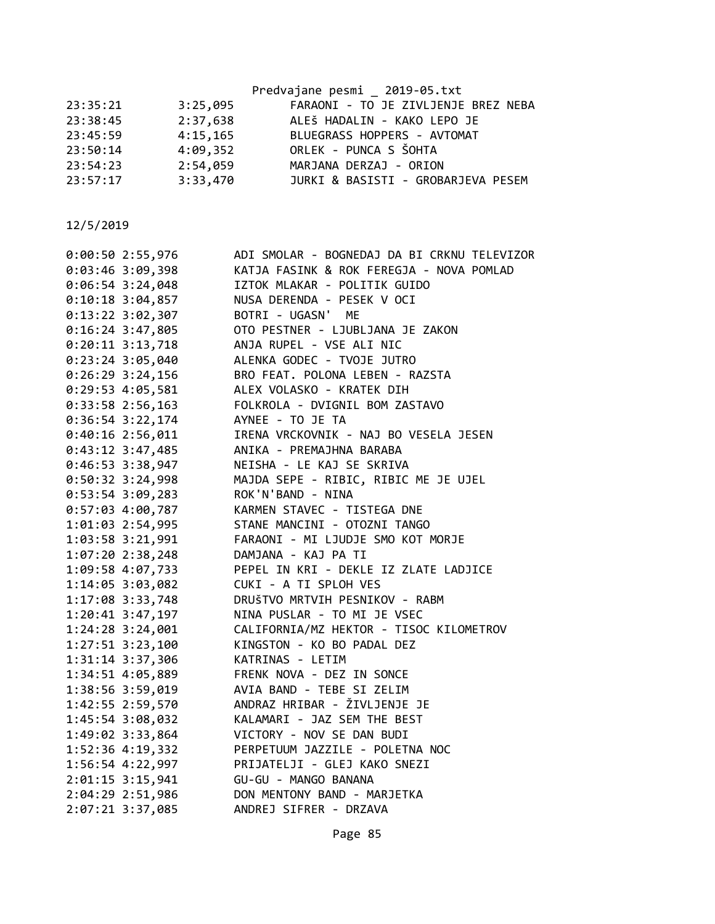|          |          | Predvajane pesmi _ 2019-05.txt      |
|----------|----------|-------------------------------------|
| 23:35:21 | 3:25,095 | FARAONI - TO JE ZIVLJENJE BREZ NEBA |
| 23:38:45 | 2:37,638 | ALEŠ HADALIN - KAKO LEPO JE         |
| 23:45:59 | 4:15,165 | BLUEGRASS HOPPERS - AVTOMAT         |
| 23:50:14 | 4:09,352 | ORLEK - PUNCA S ŠOHTA               |
| 23:54:23 | 2:54,059 | MARJANA DERZAJ - ORION              |
| 23:57:17 | 3:33,470 | JURKI & BASISTI - GROBARJEVA PESEM  |
|          |          |                                     |

|  | $0:00:50$ 2:55,976   | ADI SMOLAR - BOGNEDAJ DA BI CRKNU TELEVIZOR                            |
|--|----------------------|------------------------------------------------------------------------|
|  | $0:03:46$ 3:09,398   | KATJA FASINK & ROK FEREGJA - NOVA POMLAD                               |
|  | $0:06:54$ 3:24,048   | IZTOK MLAKAR - POLITIK GUIDO                                           |
|  | $0:10:18$ 3:04,857   | NUSA DERENDA - PESEK V OCI                                             |
|  | 0:13:22 3:02,307     | BOTRI - UGASN' ME                                                      |
|  | $0:16:24$ 3:47,805   | OTO PESTNER - LJUBLJANA JE ZAKON                                       |
|  | $0:20:11$ 3:13,718   | ANJA RUPEL - VSE ALI NIC                                               |
|  | $0:23:24$ 3:05,040   | ALENKA GODEC - TVOJE JUTRO                                             |
|  | $0:26:29$ 3:24,156   | BRO FEAT. POLONA LEBEN - RAZSTA                                        |
|  | $0:29:53$ 4:05,581   | ALEX VOLASKO - KRATEK DIH                                              |
|  | $0:33:58$ 2:56,163   | FOLKROLA - DVIGNIL BOM ZASTAVO                                         |
|  | 0:36:54 3:22,174     | AYNEE - TO JE TA                                                       |
|  | $0:40:16$ 2:56,011   | IRENA VRCKOVNIK - NAJ BO VESELA JESEN                                  |
|  | 0:43:12 3:47,485     | ANIKA - PREMAJHNA BARABA                                               |
|  | 0:46:53 3:38,947     | NEISHA - LE KAJ SE SKRIVA                                              |
|  | 0:50:32 3:24,998     | MAJDA SEPE - RIBIC, RIBIC ME JE UJEL                                   |
|  | 0:53:54 3:09,283     | ROK'N'BAND - NINA                                                      |
|  | 0:57:03 4:00,787     | KARMEN STAVEC - TISTEGA DNE                                            |
|  | 1:01:03 2:54,995     | STANE MANCINI - OTOZNI TANGO                                           |
|  | 1:03:58 3:21,991     | FARAONI - MI LJUDJE SMO KOT MORJE                                      |
|  | 1:07:20 2:38,248     | DAMJANA - KAJ PA TI                                                    |
|  | 1:09:58 4:07,733     | PEPEL IN KRI - DEKLE IZ ZLATE LADJICE                                  |
|  | 1:14:05 3:03,082     | CUKI - A TI SPLOH VES                                                  |
|  | 1:17:08 3:33,748     | DRUŠTVO MRTVIH PESNIKOV - RABM                                         |
|  | $1:20:41$ $3:47,197$ | NINA PUSLAR - TO MI JE VSEC                                            |
|  | 1:24:28 3:24,001     | CALIFORNIA/MZ HEKTOR - TISOC KILOMETROV                                |
|  | 1:27:51 3:23,100     | KINGSTON - KO BO PADAL DEZ                                             |
|  | 1:31:14 3:37,306     | KATRINAS - LETIM                                                       |
|  | 1:34:51 4:05,889     | FRENK NOVA - DEZ IN SONCE                                              |
|  | 1:38:56 3:59,019     | AVIA BAND - TEBE SI ZELIM                                              |
|  | 1:42:55 2:59,570     | ANDRAZ HRIBAR - ŽIVLJENJE JE                                           |
|  | 1:45:54 3:08,032     | KALAMARI - JAZ SEM THE BEST                                            |
|  | 1:49:02 3:33,864     | VICTORY - NOV SE DAN BUDI                                              |
|  | 1:52:36 4:19,332     | PERPETUUM JAZZILE - POLETNA NOC                                        |
|  | 1:56:54 4:22,997     | ו אחרות היידים<br>PRIJATELJI - GLEJ KAKO SNEZI<br>GU-GU - MANGO BANANA |
|  | 2:01:15 3:15,941     |                                                                        |
|  | 2:04:29 2:51,986     | DON MENTONY BAND - MARJETKA                                            |
|  | 2:07:21 3:37,085     | ANDREJ SIFRER - DRZAVA                                                 |
|  |                      |                                                                        |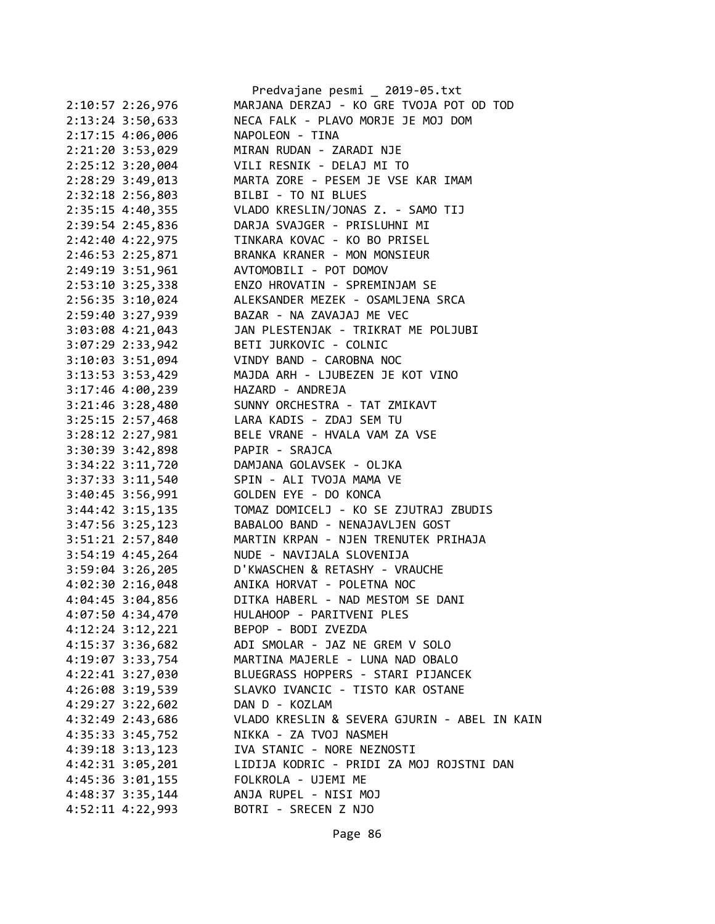|                      | Predvajane pesmi _ 2019-05.txt                    |
|----------------------|---------------------------------------------------|
| 2:10:57 2:26,976     | MARJANA DERZAJ - KO GRE TVOJA POT OD TOD          |
| 2:13:24 3:50,633     | NECA FALK - PLAVO MORJE JE MOJ DOM                |
| $2:17:15$ 4:06,006   | NAPOLEON - TINA                                   |
| 2:21:20 3:53,029     | MIRAN RUDAN - ZARADI NJE                          |
| $2:25:12$ 3:20,004   | VILI RESNIK - DELAJ MI TO                         |
| 2:28:29 3:49,013     | MARTA ZORE - PESEM JE VSE KAR IMAM                |
| 2:32:18 2:56,803     | BILBI - TO NI BLUES                               |
| 2:35:15 4:40,355     | VLADO KRESLIN/JONAS Z. - SAMO TIJ                 |
| 2:39:54 2:45,836     | DARJA SVAJGER - PRISLUHNI MI                      |
| 2:42:40 4:22,975     | TINKARA KOVAC - KO BO PRISEL                      |
| 2:46:53 2:25,871     | BRANKA KRANER - MON MONSIEUR                      |
| 2:49:19 3:51,961     | AVTOMOBILI - POT DOMOV                            |
| $2:53:10$ 3:25,338   | ENZO HROVATIN - SPREMINJAM SE                     |
| 2:56:35 3:10,024     | ALEKSANDER MEZEK - OSAMLJENA SRCA                 |
| 2:59:40 3:27,939     | BAZAR - NA ZAVAJAJ ME VEC                         |
| 3:03:08 4:21,043     | JAN PLESTENJAK - TRIKRAT ME POLJUBI               |
| 3:07:29 2:33,942     | BETI JURKOVIC - COLNIC                            |
| $3:10:03$ $3:51,094$ | VINDY BAND - CAROBNA NOC                          |
|                      | 3:13:53 3:53,429 MAJDA ARH - LJUBEZEN JE KOT VINO |
| $3:17:46$ 4:00,239   | HAZARD - ANDREJA                                  |
| $3:21:46$ $3:28,480$ | SUNNY ORCHESTRA - TAT ZMIKAVT                     |
| 3:25:15 2:57,468     | LARA KADIS - ZDAJ SEM TU                          |
| 3:28:12 2:27,981     | BELE VRANE - HVALA VAM ZA VSE                     |
| 3:30:39 3:42,898     | PAPIR - SRAJCA                                    |
| 3:34:22 3:11,720     | DAMJANA GOLAVSEK - OLJKA                          |
| $3:37:33$ $3:11,540$ | SPIN - ALI TVOJA MAMA VE                          |
| 3:40:45 3:56,991     | GOLDEN EYE - DO KONCA                             |
| $3:44:42$ $3:15,135$ | TOMAZ DOMICELJ - KO SE ZJUTRAJ ZBUDIS             |
| 3:47:56 3:25,123     | BABALOO BAND - NENAJAVLJEN GOST                   |
| 3:51:21 2:57,840     | MARTIN KRPAN - NJEN TRENUTEK PRIHAJA              |
| $3:54:19$ 4:45,264   | NUDE - NAVIJALA SLOVENIJA                         |
| $3:59:04$ $3:26,205$ | D'KWASCHEN & RETASHY - VRAUCHE                    |
| $4:02:30$ $2:16,048$ | ANIKA HORVAT - POLETNA NOC                        |
| 4:04:45 3:04,856     | DITKA HABERL - NAD MESTOM SE DANI                 |
| 4:07:50 4:34,470     | HULAHOOP - PARITVENI PLES                         |
| $4:12:24$ $3:12,221$ | BEPOP - BODI ZVEZDA                               |
| 4:15:37 3:36,682     | ADI SMOLAR - JAZ NE GREM V SOLO                   |
| 4:19:07 3:33,754     | MARTINA MAJERLE - LUNA NAD OBALO                  |
| 4:22:41 3:27,030     | BLUEGRASS HOPPERS - STARI PIJANCEK                |
| $4:26:08$ 3:19,539   | SLAVKO IVANCIC - TISTO KAR OSTANE                 |
| $4:29:27$ $3:22,602$ | DAN D - KOZLAM                                    |
| 4:32:49 2:43,686     | VLADO KRESLIN & SEVERA GJURIN - ABEL IN KAIN      |
| 4:35:33 3:45,752     | NIKKA - ZA TVOJ NASMEH                            |
| $4:39:18$ $3:13,123$ | IVA STANIC - NORE NEZNOSTI                        |
| 4:42:31 3:05,201     | LIDIJA KODRIC - PRIDI ZA MOJ ROJSTNI DAN          |
| 4:45:36 3:01,155     | FOLKROLA - UJEMI ME                               |
| $4:48:37$ 3:35, 144  | ANJA RUPEL - NISI MOJ                             |
| 4:52:11 4:22,993     | BOTRI - SRECEN Z NJO                              |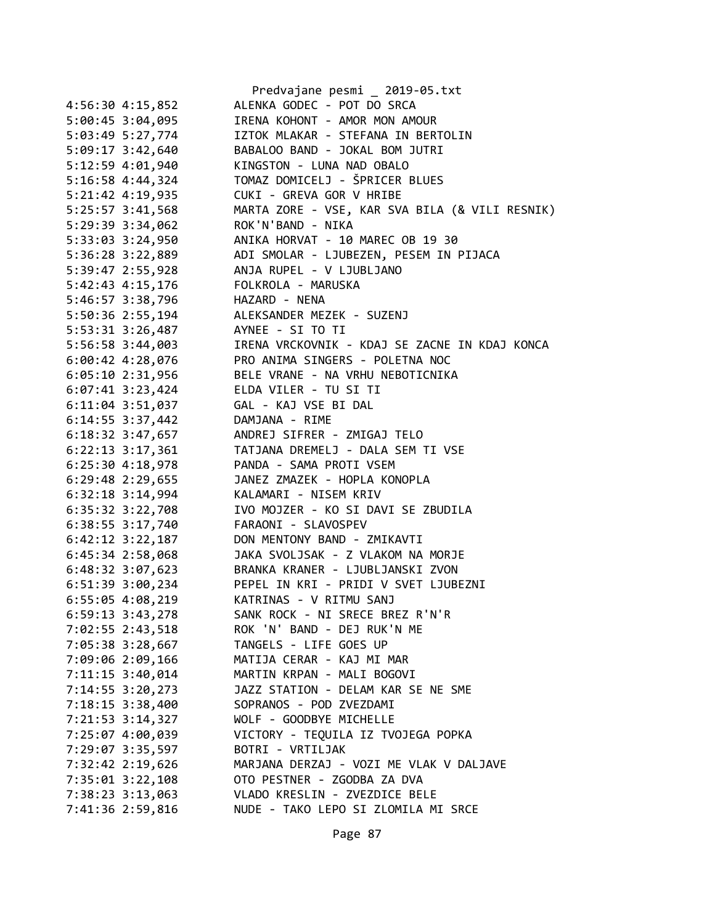|                    | Predvajane pesmi _ 2019-05.txt                 |
|--------------------|------------------------------------------------|
| 4:56:30 4:15,852   | ALENKA GODEC - POT DO SRCA                     |
| 5:00:45 3:04,095   | IRENA KOHONT - AMOR MON AMOUR                  |
| 5:03:49 5:27,774   | IZTOK MLAKAR - STEFANA IN BERTOLIN             |
| 5:09:17 3:42,640   | BABALOO BAND - JOKAL BOM JUTRI                 |
| 5:12:59 4:01,940   | KINGSTON - LUNA NAD OBALO                      |
| 5:16:58 4:44,324   | TOMAZ DOMICELJ - ŠPRICER BLUES                 |
| 5:21:42 4:19,935   | CUKI - GREVA GOR V HRIBE                       |
| 5:25:57 3:41,568   | MARTA ZORE - VSE, KAR SVA BILA (& VILI RESNIK) |
| 5:29:39 3:34,062   | ROK'N'BAND - NIKA                              |
|                    | ANIKA HORVAT - 10 MAREC OB 19 30               |
| 5:33:03 3:24,950   |                                                |
| 5:36:28 3:22,889   | ADI SMOLAR - LJUBEZEN, PESEM IN PIJACA         |
| 5:39:47 2:55,928   | ANJA RUPEL - V LJUBLJANO                       |
| 5:42:43 4:15,176   | FOLKROLA - MARUSKA                             |
| 5:46:57 3:38,796   | HAZARD - NENA                                  |
| 5:50:36 2:55,194   | ALEKSANDER MEZEK - SUZENJ                      |
| 5:53:31 3:26,487   | AYNEE - SI TO TI                               |
| 5:56:58 3:44,003   | IRENA VRCKOVNIK - KDAJ SE ZACNE IN KDAJ KONCA  |
| $6:00:42$ 4:28,076 | PRO ANIMA SINGERS - POLETNA NOC                |
| $6:05:10$ 2:31,956 | BELE VRANE - NA VRHU NEBOTICNIKA               |
| $6:07:41$ 3:23,424 | ELDA VILER - TU SI TI                          |
| $6:11:04$ 3:51,037 | GAL - KAJ VSE BI DAL                           |
| $6:14:55$ 3:37,442 | DAMJANA - RIME                                 |
| 6:18:32 3:47,657   | ANDREJ SIFRER - ZMIGAJ TELO                    |
| 6:22:13 3:17,361   | TATJANA DREMELJ - DALA SEM TI VSE              |
| $6:25:30$ 4:18,978 | PANDA - SAMA PROTI VSEM                        |
| 6:29:48 2:29,655   | JANEZ ZMAZEK - HOPLA KONOPLA                   |
| 6:32:18 3:14,994   | KALAMARI - NISEM KRIV                          |
|                    | IVO MOJZER - KO SI DAVI SE ZBUDILA             |
| 6:35:32 3:22,708   | FARAONI - SLAVOSPEV                            |
| 6:38:55 3:17,740   |                                                |
| $6:42:12$ 3:22,187 | DON MENTONY BAND - ZMIKAVTI                    |
| 6:45:34 2:58,068   | JAKA SVOLJSAK - Z VLAKOM NA MORJE              |
| $6:48:32$ 3:07,623 | BRANKA KRANER - LJUBLJANSKI ZVON               |
| 6:51:39 3:00,234   | PEPEL IN KRI - PRIDI V SVET LJUBEZNI           |
| 6:55:05 4:08,219   | KATRINAS - V RITMU SANJ                        |
| 6:59:13 3:43,278   | SANK ROCK - NI SRECE BREZ R'N'R                |
| 7:02:55 2:43,518   | ROK 'N' BAND - DEJ RUK'N ME                    |
| 7:05:38 3:28,667   | TANGELS - LIFE GOES UP                         |
| 7:09:06 2:09,166   | MATIJA CERAR - KAJ MI MAR                      |
| 7:11:15 3:40,014   | MARTIN KRPAN - MALI BOGOVI                     |
| 7:14:55 3:20,273   | JAZZ STATION - DELAM KAR SE NE SME             |
| 7:18:15 3:38,400   | SOPRANOS - POD ZVEZDAMI                        |
| 7:21:53 3:14,327   | WOLF - GOODBYE MICHELLE                        |
| 7:25:07 4:00,039   | VICTORY - TEQUILA IZ TVOJEGA POPKA             |
| 7:29:07 3:35,597   | BOTRI - VRTILJAK                               |
| 7:32:42 2:19,626   | MARJANA DERZAJ - VOZI ME VLAK V DALJAVE        |
| 7:35:01 3:22,108   | OTO PESTNER - ZGODBA ZA DVA                    |
| 7:38:23 3:13,063   | VLADO KRESLIN - ZVEZDICE BELE                  |
|                    | NUDE - TAKO LEPO SI ZLOMILA MI SRCE            |
| 7:41:36 2:59,816   |                                                |
|                    |                                                |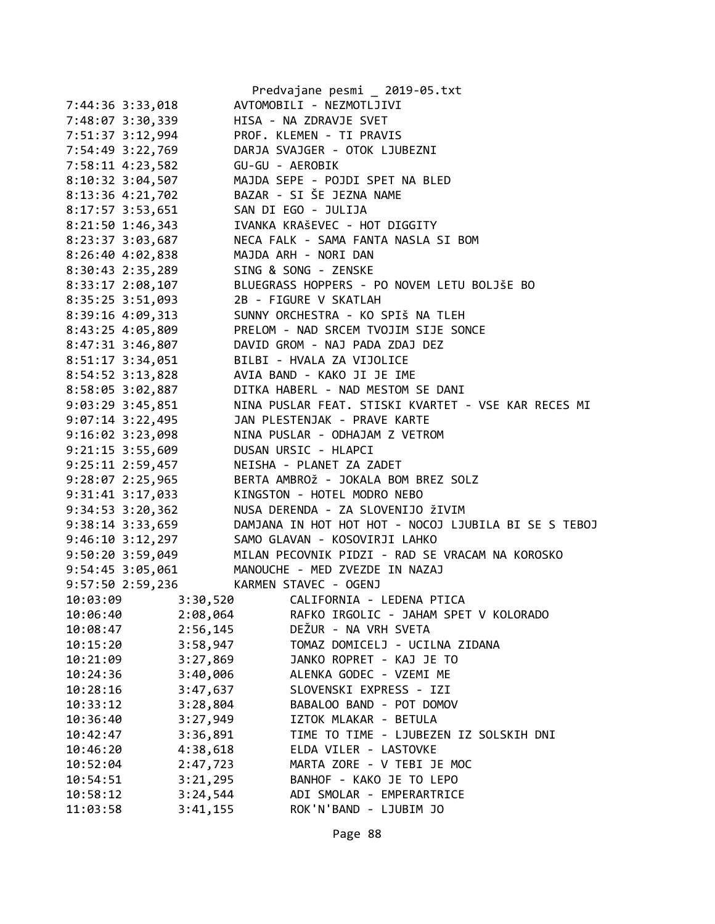|                      |          | Predvajane pesmi _ 2019-05.txt                       |
|----------------------|----------|------------------------------------------------------|
| 7:44:36 3:33,018     |          | AVTOMOBILI - NEZMOTLJIVI                             |
| 7:48:07 3:30,339     |          | HISA - NA ZDRAVJE SVET                               |
| 7:51:37 3:12,994     |          | PROF. KLEMEN - TI PRAVIS                             |
| 7:54:49 3:22,769     |          | DARJA SVAJGER - OTOK LJUBEZNI                        |
| 7:58:11 4:23,582     |          | GU-GU - AEROBIK                                      |
| 8:10:32 3:04,507     |          | MAJDA SEPE - POJDI SPET NA BLED                      |
| 8:13:36 4:21,702     |          | BAZAR - SI ŠE JEZNA NAME                             |
| 8:17:57 3:53,651     |          | SAN DI EGO - JULIJA                                  |
| 8:21:50 1:46,343     |          | IVANKA KRAŠEVEC - HOT DIGGITY                        |
| 8:23:37 3:03,687     |          | NECA FALK - SAMA FANTA NASLA SI BOM                  |
| $8:26:40$ 4:02,838   |          | MAJDA ARH - NORI DAN                                 |
| 8:30:43 2:35,289     |          | SING & SONG - ZENSKE                                 |
| $8:33:17$ 2:08,107   |          | BLUEGRASS HOPPERS - PO NOVEM LETU BOLJŠE BO          |
| 8:35:25 3:51,093     |          | 2B - FIGURE V SKATLAH                                |
| 8:39:16 4:09,313     |          | SUNNY ORCHESTRA - KO SPIŠ NA TLEH                    |
| 8:43:25 4:05,809     |          | PRELOM - NAD SRCEM TVOJIM SIJE SONCE                 |
| 8:47:31 3:46,807     |          | DAVID GROM - NAJ PADA ZDAJ DEZ                       |
| 8:51:17 3:34,051     |          | BILBI - HVALA ZA VIJOLICE                            |
| 8:54:52 3:13,828     |          | AVIA BAND - KAKO JI JE IME                           |
| 8:58:05 3:02,887     |          | DITKA HABERL - NAD MESTOM SE DANI                    |
| $9:03:29$ 3:45,851   |          | NINA PUSLAR FEAT. STISKI KVARTET - VSE KAR RECES MI  |
| $9:07:14$ 3:22,495   |          | JAN PLESTENJAK - PRAVE KARTE                         |
| $9:16:02$ $3:23,098$ |          | NINA PUSLAR - ODHAJAM Z VETROM                       |
| $9:21:15$ 3:55,609   |          | DUSAN URSIC - HLAPCI                                 |
| $9:25:11$ $2:59,457$ |          | NEISHA - PLANET ZA ZADET                             |
| $9:28:07$ 2:25,965   |          | BERTA AMBROŽ - JOKALA BOM BREZ SOLZ                  |
| 9:31:41 3:17,033     |          | KINGSTON - HOTEL MODRO NEBO                          |
| $9:34:53$ $3:20,362$ |          | NUSA DERENDA - ZA SLOVENIJO ŽIVIM                    |
| 9:38:14 3:33,659     |          | DAMJANA IN HOT HOT HOT - NOCOJ LJUBILA BI SE S TEBOJ |
| 9:46:10 3:12,297     |          | SAMO GLAVAN - KOSOVIRJI LAHKO                        |
| 9:50:20 3:59,049     |          | MILAN PECOVNIK PIDZI - RAD SE VRACAM NA KOROSKO      |
|                      |          | 9:54:45 3:05,061 MANOUCHE - MED ZVEZDE IN NAZAJ      |
| $9:57:50$ 2:59,236   |          | KARMEN STAVEC - OGENJ                                |
| 10:03:09             |          | 3:30,520 CALIFORNIA - LEDENA PTICA                   |
| 10:06:40             | 2:08,064 | RAFKO IRGOLIC - JAHAM SPET V KOLORADO                |
| 10:08:47             | 2:56,145 | DEŽUR - NA VRH SVETA                                 |
| 10:15:20             | 3:58,947 | TOMAZ DOMICELJ - UCILNA ZIDANA                       |
| 10:21:09             | 3:27,869 | JANKO ROPRET - KAJ JE TO                             |
| 10:24:36             | 3:40,006 | ALENKA GODEC - VZEMI ME                              |
| 10:28:16             | 3:47,637 | SLOVENSKI EXPRESS - IZI                              |
| 10:33:12             | 3:28,804 | BABALOO BAND - POT DOMOV                             |
| 10:36:40             | 3:27,949 | IZTOK MLAKAR - BETULA                                |
| 10:42:47             | 3:36,891 | TIME TO TIME - LJUBEZEN IZ SOLSKIH DNI               |
| 10:46:20             | 4:38,618 | ELDA VILER - LASTOVKE                                |
| 10:52:04             | 2:47,723 | MARTA ZORE - V TEBI JE MOC                           |
| 10:54:51             | 3:21,295 | BANHOF - KAKO JE TO LEPO                             |
| 10:58:12             | 3:24,544 | ADI SMOLAR - EMPERARTRICE                            |
| 11:03:58             | 3:41,155 | ROK'N'BAND - LJUBIM JO                               |
|                      |          |                                                      |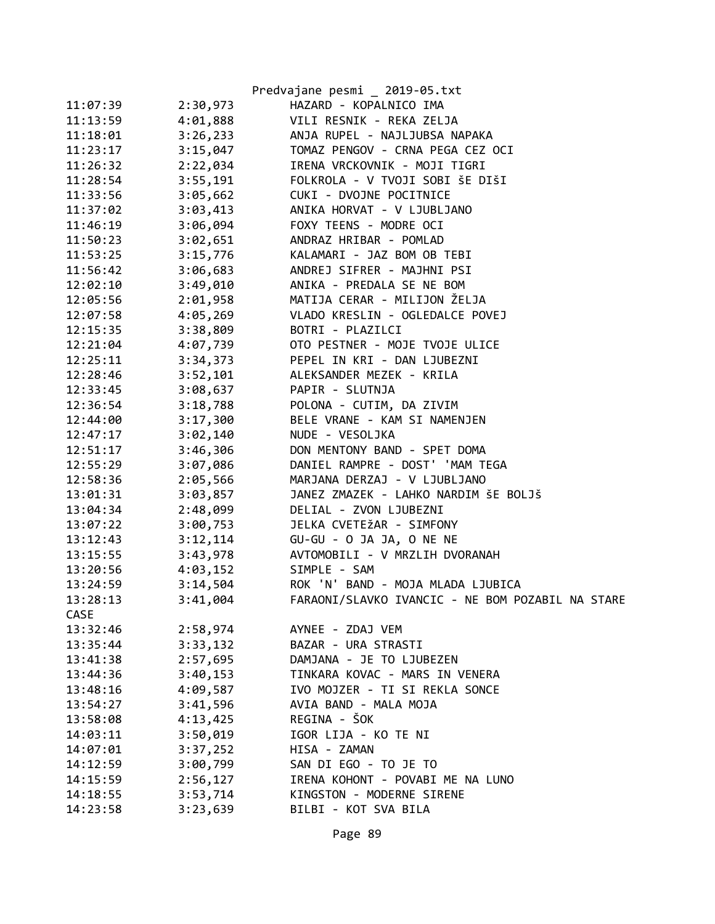|             |          | Predvajane pesmi _ 2019-05.txt                   |
|-------------|----------|--------------------------------------------------|
| 11:07:39    | 2:30,973 | HAZARD - KOPALNICO IMA                           |
| 11:13:59    | 4:01,888 | VILI RESNIK - REKA ZELJA                         |
| 11:18:01    | 3:26,233 | ANJA RUPEL - NAJLJUBSA NAPAKA                    |
| 11:23:17    | 3:15,047 | TOMAZ PENGOV - CRNA PEGA CEZ OCI                 |
| 11:26:32    | 2:22,034 | IRENA VRCKOVNIK - MOJI TIGRI                     |
| 11:28:54    | 3:55,191 | FOLKROLA - V TVOJI SOBI ŠE DIŠI                  |
| 11:33:56    | 3:05,662 | CUKI - DVOJNE POCITNICE                          |
| 11:37:02    | 3:03,413 | ANIKA HORVAT - V LJUBLJANO                       |
| 11:46:19    | 3:06,094 | FOXY TEENS - MODRE OCI                           |
| 11:50:23    | 3:02,651 | ANDRAZ HRIBAR - POMLAD                           |
| 11:53:25    | 3:15,776 | KALAMARI - JAZ BOM OB TEBI                       |
| 11:56:42    | 3:06,683 | ANDREJ SIFRER - MAJHNI PSI                       |
| 12:02:10    | 3:49,010 | ANIKA - PREDALA SE NE BOM                        |
| 12:05:56    | 2:01,958 | MATIJA CERAR - MILIJON ŽELJA                     |
| 12:07:58    | 4:05,269 | VLADO KRESLIN - OGLEDALCE POVEJ                  |
| 12:15:35    | 3:38,809 | BOTRI - PLAZILCI                                 |
| 12:21:04    | 4:07,739 | OTO PESTNER - MOJE TVOJE ULICE                   |
| 12:25:11    | 3:34,373 | PEPEL IN KRI - DAN LJUBEZNI                      |
| 12:28:46    | 3:52,101 | ALEKSANDER MEZEK - KRILA                         |
| 12:33:45    | 3:08,637 | PAPIR - SLUTNJA                                  |
| 12:36:54    | 3:18,788 | POLONA - CUTIM, DA ZIVIM                         |
| 12:44:00    | 3:17,300 | BELE VRANE - KAM SI NAMENJEN                     |
| 12:47:17    | 3:02,140 | NUDE - VESOLJKA                                  |
| 12:51:17    | 3:46,306 | DON MENTONY BAND - SPET DOMA                     |
| 12:55:29    | 3:07,086 | DANIEL RAMPRE - DOST' 'MAM TEGA                  |
| 12:58:36    | 2:05,566 | MARJANA DERZAJ - V LJUBLJANO                     |
| 13:01:31    | 3:03,857 | JANEZ ZMAZEK - LAHKO NARDIM ŠE BOLJŠ             |
| 13:04:34    | 2:48,099 | DELIAL - ZVON LJUBEZNI                           |
| 13:07:22    | 3:00,753 | JELKA CVETEŽAR - SIMFONY                         |
| 13:12:43    | 3:12,114 | GU-GU - O JA JA, O NE NE                         |
| 13:15:55    | 3:43,978 | AVTOMOBILI - V MRZLIH DVORANAH                   |
| 13:20:56    | 4:03,152 | SIMPLE - SAM                                     |
| 13:24:59    | 3:14,504 | ROK 'N' BAND - MOJA MLADA LJUBICA                |
| 13:28:13    | 3:41,004 | FARAONI/SLAVKO IVANCIC - NE BOM POZABIL NA STARE |
| <b>CASE</b> |          |                                                  |
| 13:32:46    | 2:58,974 | AYNEE - ZDAJ VEM                                 |
| 13:35:44    | 3:33,132 | BAZAR - URA STRASTI                              |
| 13:41:38    | 2:57,695 | DAMJANA - JE TO LJUBEZEN                         |
| 13:44:36    | 3:40,153 | TINKARA KOVAC - MARS IN VENERA                   |
| 13:48:16    | 4:09,587 | IVO MOJZER - TI SI REKLA SONCE                   |
| 13:54:27    | 3:41,596 | AVIA BAND - MALA MOJA                            |
| 13:58:08    | 4:13,425 | REGINA - ŠOK                                     |
| 14:03:11    | 3:50,019 | IGOR LIJA - KO TE NI                             |
| 14:07:01    | 3:37,252 | HISA - ZAMAN                                     |
| 14:12:59    | 3:00,799 | SAN DI EGO - TO JE TO                            |
| 14:15:59    | 2:56,127 | IRENA KOHONT - POVABI ME NA LUNO                 |
| 14:18:55    | 3:53,714 | KINGSTON - MODERNE SIRENE                        |
| 14:23:58    | 3:23,639 | BILBI - KOT SVA BILA                             |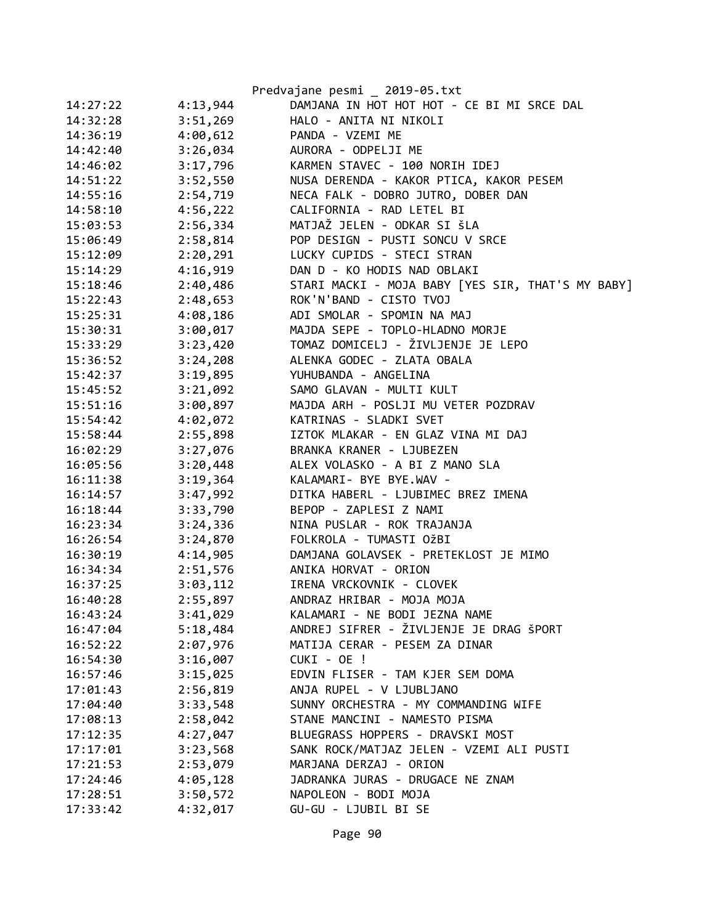|          |          | Predvajane pesmi _ 2019-05.txt                    |
|----------|----------|---------------------------------------------------|
| 14:27:22 | 4:13,944 | DAMJANA IN HOT HOT HOT - CE BI MI SRCE DAL        |
| 14:32:28 | 3:51,269 | HALO - ANITA NI NIKOLI                            |
| 14:36:19 | 4:00,612 | PANDA - VZEMI ME                                  |
| 14:42:40 | 3:26,034 | AURORA - ODPELJI ME                               |
| 14:46:02 | 3:17,796 | KARMEN STAVEC - 100 NORIH IDEJ                    |
| 14:51:22 | 3:52,550 | NUSA DERENDA - KAKOR PTICA, KAKOR PESEM           |
| 14:55:16 | 2:54,719 | NECA FALK - DOBRO JUTRO, DOBER DAN                |
| 14:58:10 | 4:56,222 | CALIFORNIA - RAD LETEL BI                         |
| 15:03:53 | 2:56,334 | MATJAŽ JELEN - ODKAR SI ŠLA                       |
| 15:06:49 | 2:58,814 | POP DESIGN - PUSTI SONCU V SRCE                   |
| 15:12:09 | 2:20,291 | LUCKY CUPIDS - STECI STRAN                        |
| 15:14:29 | 4:16,919 | DAN D - KO HODIS NAD OBLAKI                       |
| 15:18:46 | 2:40,486 | STARI MACKI - MOJA BABY [YES SIR, THAT'S MY BABY] |
| 15:22:43 | 2:48,653 | ROK'N'BAND - CISTO TVOJ                           |
| 15:25:31 | 4:08,186 | ADI SMOLAR - SPOMIN NA MAJ                        |
| 15:30:31 | 3:00,017 | MAJDA SEPE - TOPLO-HLADNO MORJE                   |
| 15:33:29 | 3:23,420 | TOMAZ DOMICELJ - ŽIVLJENJE JE LEPO                |
| 15:36:52 | 3:24,208 | ALENKA GODEC - ZLATA OBALA                        |
| 15:42:37 | 3:19,895 | YUHUBANDA - ANGELINA                              |
| 15:45:52 | 3:21,092 | SAMO GLAVAN - MULTI KULT                          |
| 15:51:16 | 3:00,897 | MAJDA ARH - POSLJI MU VETER POZDRAV               |
| 15:54:42 | 4:02,072 | KATRINAS - SLADKI SVET                            |
| 15:58:44 | 2:55,898 | IZTOK MLAKAR - EN GLAZ VINA MI DAJ                |
| 16:02:29 | 3:27,076 | BRANKA KRANER - LJUBEZEN                          |
| 16:05:56 | 3:20,448 | ALEX VOLASKO - A BI Z MANO SLA                    |
| 16:11:38 | 3:19,364 | KALAMARI- BYE BYE.WAV -                           |
| 16:14:57 | 3:47,992 | DITKA HABERL - LJUBIMEC BREZ IMENA                |
| 16:18:44 | 3:33,790 | BEPOP - ZAPLESI Z NAMI                            |
| 16:23:34 | 3:24,336 | NINA PUSLAR - ROK TRAJANJA                        |
| 16:26:54 | 3:24,870 | FOLKROLA - TUMASTI OŽBI                           |
| 16:30:19 | 4:14,905 | DAMJANA GOLAVSEK - PRETEKLOST JE MIMO             |
| 16:34:34 | 2:51,576 | ANIKA HORVAT - ORION                              |
| 16:37:25 | 3:03,112 | IRENA VRCKOVNIK - CLOVEK                          |
| 16:40:28 | 2:55,897 | ANDRAZ HRIBAR - MOJA MOJA                         |
| 16:43:24 | 3:41,029 | KALAMARI - NE BODI JEZNA NAME                     |
| 16:47:04 | 5:18,484 | ANDREJ SIFRER - ŽIVLJENJE JE DRAG ŠPORT           |
| 16:52:22 | 2:07,976 | MATIJA CERAR - PESEM ZA DINAR                     |
| 16:54:30 | 3:16,007 | CUKI - OE !                                       |
| 16:57:46 | 3:15,025 | EDVIN FLISER - TAM KJER SEM DOMA                  |
| 17:01:43 | 2:56,819 | ANJA RUPEL - V LJUBLJANO                          |
| 17:04:40 | 3:33,548 | SUNNY ORCHESTRA - MY COMMANDING WIFE              |
| 17:08:13 | 2:58,042 | STANE MANCINI - NAMESTO PISMA                     |
| 17:12:35 | 4:27,047 | BLUEGRASS HOPPERS - DRAVSKI MOST                  |
| 17:17:01 | 3:23,568 | SANK ROCK/MATJAZ JELEN - VZEMI ALI PUSTI          |
| 17:21:53 | 2:53,079 | MARJANA DERZAJ - ORION                            |
| 17:24:46 | 4:05,128 | JADRANKA JURAS - DRUGACE NE ZNAM                  |
| 17:28:51 | 3:50,572 | NAPOLEON - BODI MOJA                              |
| 17:33:42 | 4:32,017 | GU-GU - LJUBIL BI SE                              |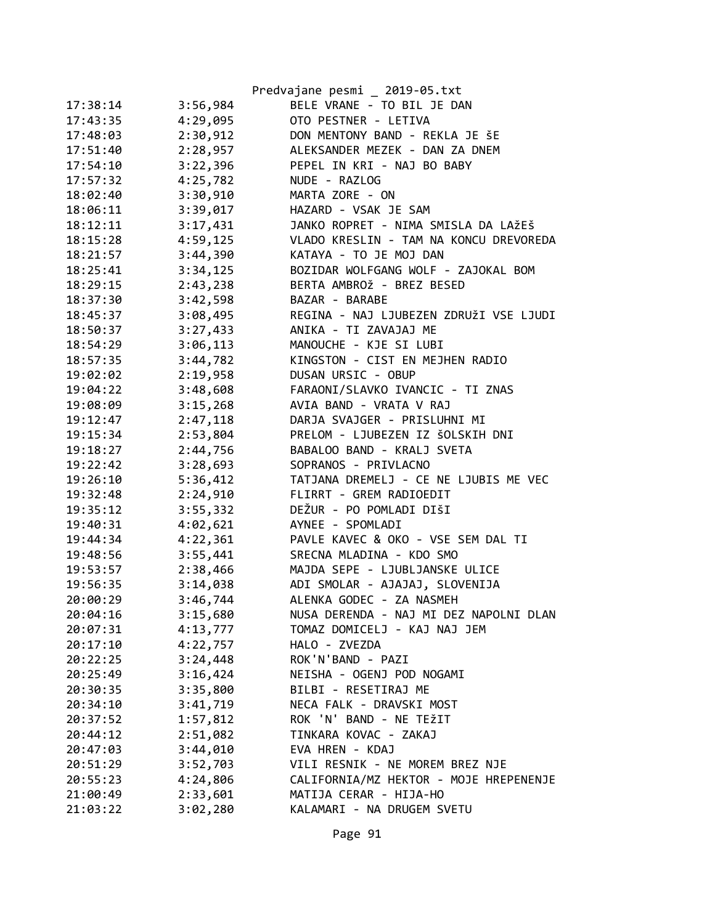|          |          | Predvajane pesmi _ 2019-05.txt                                     |
|----------|----------|--------------------------------------------------------------------|
| 17:38:14 | 3:56,984 | BELE VRANE - TO BIL JE DAN                                         |
| 17:43:35 | 4:29,095 | OTO PESTNER - LETIVA                                               |
| 17:48:03 | 2:30,912 | DON MENTONY BAND - REKLA JE ŠE                                     |
| 17:51:40 | 2:28,957 | ALEKSANDER MEZEK - DAN ZA DNEM                                     |
| 17:54:10 | 3:22,396 | PEPEL IN KRI - NAJ BO BABY                                         |
| 17:57:32 | 4:25,782 | NUDE - RAZLOG                                                      |
| 18:02:40 | 3:30,910 | MARTA ZORE - ON                                                    |
| 18:06:11 | 3:39,017 | HAZARD - VSAK JE SAM                                               |
| 18:12:11 | 3:17,431 | JANKO ROPRET - NIMA SMISLA DA LAŽEŠ                                |
| 18:15:28 | 4:59,125 | VLADO KRESLIN - TAM NA KONCU DREVOREDA                             |
| 18:21:57 | 3:44,390 | KATAYA - TO JE MOJ DAN                                             |
| 18:25:41 | 3:34,125 | BOZIDAR WOLFGANG WOLF - ZAJOKAL BOM                                |
| 18:29:15 | 2:43,238 | BERTA AMBROŽ - BREZ BESED                                          |
| 18:37:30 | 3:42,598 | BAZAR - BARABE                                                     |
| 18:45:37 | 3:08,495 | REGINA - NAJ LJUBEZEN ZDRUŽI VSE LJUDI                             |
| 18:50:37 | 3:27,433 | ANIKA - TI ZAVAJAJ ME                                              |
| 18:54:29 | 3:06,113 | MANOUCHE - KJE SI LUBI                                             |
| 18:57:35 | 3:44,782 | KINGSTON - CIST EN MEJHEN RADIO                                    |
| 19:02:02 | 2:19,958 | DUSAN URSIC - OBUP                                                 |
| 19:04:22 | 3:48,608 | FARAONI/SLAVKO IVANCIC - TI ZNAS                                   |
| 19:08:09 | 3:15,268 | AVIA BAND - VRATA V RAJ                                            |
| 19:12:47 | 2:47,118 | DARJA SVAJGER - PRISLUHNI MI                                       |
| 19:15:34 | 2:53,804 | PRELOM - LJUBEZEN IZ ŠOLSKIH DNI                                   |
| 19:18:27 | 2:44,756 | BABALOO BAND - KRALJ SVETA                                         |
| 19:22:42 | 3:28,693 | SOPRANOS - PRIVLACNO                                               |
| 19:26:10 | 5:36,412 | TATJANA DREMELJ - CE NE LJUBIS ME VEC                              |
| 19:32:48 | 2:24,910 | FLIRRT - GREM RADIOEDIT                                            |
| 19:35:12 | 3:55,332 | DEŽUR - PO POMLADI DIŠI                                            |
| 19:40:31 | 4:02,621 | AYNEE - SPOMLADI                                                   |
| 19:44:34 | 4:22,361 | PAVLE KAVEC & OKO - VSE SEM DAL TI                                 |
| 19:48:56 | 3:55,441 | SRECNA MLADINA - KDO SMO                                           |
|          | 2:38,466 | MAJDA SEPE - LJUBLJANSKE ULICE                                     |
| 19:53:57 |          | ADI SMOLAR - AJAJAJ, SLOVENIJA                                     |
| 19:56:35 | 3:14,038 |                                                                    |
| 20:00:29 | 3:46,744 | ALENKA GODEC - ZA NASMEH<br>NUSA DERENDA - NAJ MI DEZ NAPOLNI DLAN |
| 20:04:16 | 3:15,680 |                                                                    |
| 20:07:31 | 4:13,777 | TOMAZ DOMICELJ - KAJ NAJ JEM                                       |
| 20:17:10 | 4:22,757 | HALO - ZVEZDA                                                      |
| 20:22:25 | 3:24,448 | ROK'N'BAND - PAZI                                                  |
| 20:25:49 | 3:16,424 | NEISHA - OGENJ POD NOGAMI                                          |
| 20:30:35 | 3:35,800 | BILBI - RESETIRAJ ME                                               |
| 20:34:10 | 3:41,719 | NECA FALK - DRAVSKI MOST                                           |
| 20:37:52 | 1:57,812 | ROK 'N' BAND - NE TEŽIT                                            |
| 20:44:12 | 2:51,082 | TINKARA KOVAC - ZAKAJ                                              |
| 20:47:03 | 3:44,010 | EVA HREN - KDAJ                                                    |
| 20:51:29 | 3:52,703 | VILI RESNIK - NE MOREM BREZ NJE                                    |
| 20:55:23 | 4:24,806 | CALIFORNIA/MZ HEKTOR - MOJE HREPENENJE                             |
| 21:00:49 | 2:33,601 | MATIJA CERAR - HIJA-HO                                             |
| 21:03:22 | 3:02,280 | KALAMARI - NA DRUGEM SVETU                                         |
|          |          |                                                                    |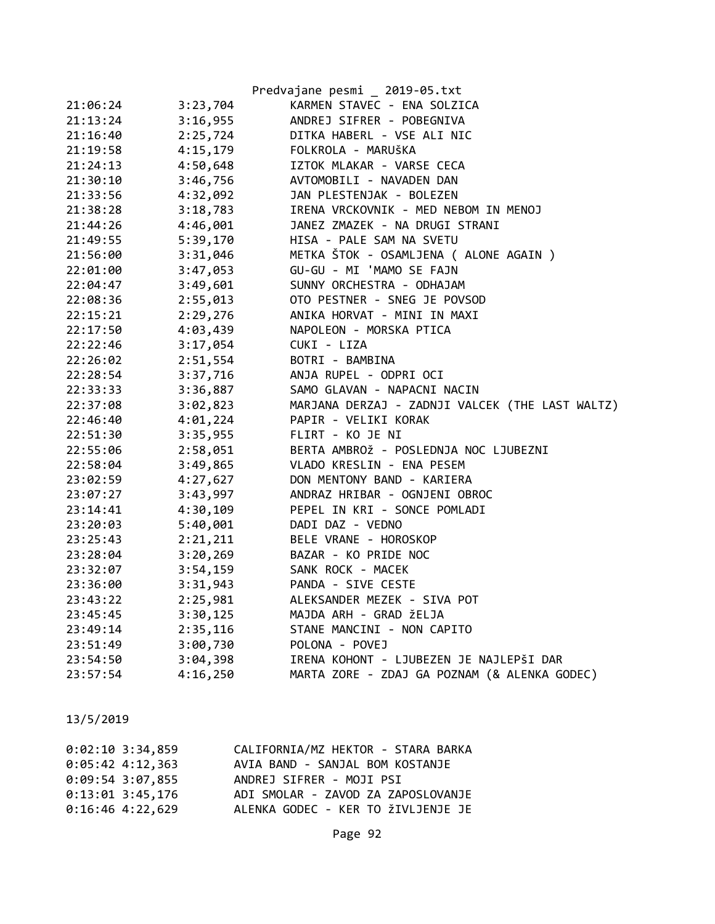|          |          | Predvajane pesmi _ 2019-05.txt                  |
|----------|----------|-------------------------------------------------|
| 21:06:24 | 3:23,704 | KARMEN STAVEC - ENA SOLZICA                     |
| 21:13:24 | 3:16,955 | ANDREJ SIFRER - POBEGNIVA                       |
| 21:16:40 | 2:25,724 | DITKA HABERL - VSE ALI NIC                      |
| 21:19:58 | 4:15,179 | FOLKROLA - MARUŠKA                              |
| 21:24:13 | 4:50,648 | IZTOK MLAKAR - VARSE CECA                       |
| 21:30:10 | 3:46,756 | AVTOMOBILI - NAVADEN DAN                        |
| 21:33:56 | 4:32,092 | JAN PLESTENJAK - BOLEZEN                        |
| 21:38:28 | 3:18,783 | IRENA VRCKOVNIK - MED NEBOM IN MENOJ            |
| 21:44:26 | 4:46,001 | JANEZ ZMAZEK - NA DRUGI STRANI                  |
| 21:49:55 | 5:39,170 | HISA - PALE SAM NA SVETU                        |
| 21:56:00 | 3:31,046 | METKA ŠTOK - OSAMLJENA ( ALONE AGAIN )          |
| 22:01:00 | 3:47,053 | GU-GU - MI 'MAMO SE FAJN                        |
| 22:04:47 | 3:49,601 | SUNNY ORCHESTRA - ODHAJAM                       |
| 22:08:36 | 2:55,013 | OTO PESTNER - SNEG JE POVSOD                    |
| 22:15:21 | 2:29,276 | ANIKA HORVAT - MINI IN MAXI                     |
| 22:17:50 | 4:03,439 | NAPOLEON - MORSKA PTICA                         |
| 22:22:46 | 3:17,054 | CUKI - LIZA                                     |
| 22:26:02 | 2:51,554 | BOTRI - BAMBINA                                 |
| 22:28:54 | 3:37,716 | ANJA RUPEL - ODPRI OCI                          |
| 22:33:33 | 3:36,887 | SAMO GLAVAN - NAPACNI NACIN                     |
| 22:37:08 | 3:02,823 | MARJANA DERZAJ - ZADNJI VALCEK (THE LAST WALTZ) |
| 22:46:40 | 4:01,224 | PAPIR - VELIKI KORAK                            |
| 22:51:30 | 3:35,955 | FLIRT - KO JE NI                                |
| 22:55:06 | 2:58,051 | BERTA AMBROŽ - POSLEDNJA NOC LJUBEZNI           |
| 22:58:04 | 3:49,865 | VLADO KRESLIN - ENA PESEM                       |
| 23:02:59 | 4:27,627 | DON MENTONY BAND - KARIERA                      |
| 23:07:27 | 3:43,997 | ANDRAZ HRIBAR - OGNJENI OBROC                   |
| 23:14:41 | 4:30,109 | PEPEL IN KRI - SONCE POMLADI                    |
| 23:20:03 | 5:40,001 | DADI DAZ - VEDNO                                |
| 23:25:43 | 2:21,211 | BELE VRANE - HOROSKOP                           |
| 23:28:04 | 3:20,269 | BAZAR - KO PRIDE NOC                            |
| 23:32:07 | 3:54,159 | SANK ROCK - MACEK                               |
| 23:36:00 | 3:31,943 | PANDA - SIVE CESTE                              |
| 23:43:22 | 2:25,981 | ALEKSANDER MEZEK - SIVA POT                     |
| 23:45:45 | 3:30,125 | MAJDA ARH - GRAD ŽELJA                          |
| 23:49:14 | 2:35,116 | STANE MANCINI - NON CAPITO                      |
| 23:51:49 | 3:00,730 | POLONA - POVEJ                                  |
| 23:54:50 | 3:04,398 | IRENA KOHONT - LJUBEZEN JE NAJLEPŠI DAR         |
| 23:57:54 | 4:16,250 | MARTA ZORE - ZDAJ GA POZNAM (& ALENKA GODEC)    |

| $0:02:10$ 3:34,859 | CALIFORNIA/MZ HEKTOR - STARA BARKA |
|--------------------|------------------------------------|
| $0:05:42$ 4:12,363 | AVIA BAND - SANJAL BOM KOSTANJE    |
| $0:09:54$ 3:07,855 | ANDREJ SIFRER - MOJI PSI           |
| $0:13:01$ 3:45,176 | ADI SMOLAR - ZAVOD ZA ZAPOSLOVANJE |
| $0:16:46$ 4:22,629 | ALENKA GODEC - KER TO ŽIVLJENJE JE |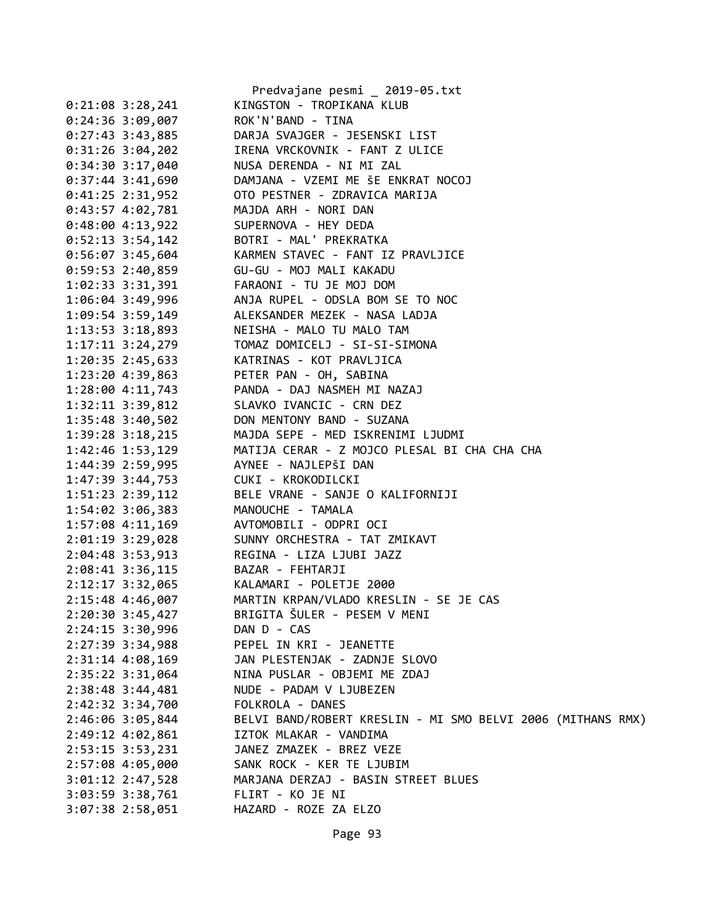|                                      | Predvajane pesmi _ 2019-05.txt                                   |
|--------------------------------------|------------------------------------------------------------------|
| $0:21:08$ 3:28,241                   | KINGSTON - TROPIKANA KLUB                                        |
| $0:24:36$ 3:09,007                   | ROK'N'BAND - TINA                                                |
| $0:27:43$ 3:43,885                   | DARJA SVAJGER - JESENSKI LIST                                    |
| $0:31:26$ 3:04,202                   | IRENA VRCKOVNIK - FANT Z ULICE                                   |
| $0:34:30$ 3:17,040                   | NUSA DERENDA - NI MI ZAL                                         |
| 0:37:44 3:41,690                     | DAMJANA - VZEMI ME ŠE ENKRAT NOCOJ                               |
| $0:41:25$ 2:31,952                   | OTO PESTNER - ZDRAVICA MARIJA                                    |
| $0:43:57$ $4:02,781$                 | MAJDA ARH - NORI DAN                                             |
| $0:48:00$ 4:13,922                   | SUPERNOVA - HEY DEDA                                             |
| $0:52:13$ 3:54,142                   | BOTRI - MAL' PREKRATKA                                           |
| $0:56:07$ 3:45,604                   | KARMEN STAVEC - FANT IZ PRAVLJICE                                |
| $0:59:53$ 2:40,859                   | GU-GU - MOJ MALI KAKADU                                          |
| 1:02:33 3:31,391                     | FARAONI - TU JE MOJ DOM                                          |
| 1:06:04 3:49,996                     | ANJA RUPEL - ODSLA BOM SE TO NOC                                 |
| 1:09:54 3:59,149                     | ALEKSANDER MEZEK - NASA LADJA                                    |
| 1:13:53 3:18,893                     | NEISHA - MALO TU MALO TAM                                        |
| 1:17:11 3:24,279                     | TOMAZ DOMICELJ - SI-SI-SIMONA                                    |
| 1:20:35 2:45,633                     | KATRINAS - KOT PRAVLJICA                                         |
| 1:23:20 4:39,863                     | PETER PAN - OH, SABINA                                           |
| 1:28:00 4:11,743                     | PANDA - DAJ NASMEH MI NAZAJ                                      |
|                                      | SLAVKO IVANCIC - CRN DEZ                                         |
| 1:32:11 3:39,812<br>1:35:48 3:40,502 | DON MENTONY BAND - SUZANA                                        |
| 1:39:28 3:18,215                     | MAJDA SEPE - MED ISKRENIMI LJUDMI                                |
| 1:42:46 1:53,129                     | MATIJA CERAR - Z MOJCO PLESAL BI CHA CHA CHA                     |
| 1:44:39 2:59,995                     | AYNEE - NAJLEPŠI DAN                                             |
|                                      | 1:47:39 3:44,753 CUKI - KROKODILCKI                              |
| 1:51:23 2:39,112                     | BELE VRANE - SANJE O KALIFORNIJI                                 |
| 1:54:02 3:06,383                     | MANOUCHE - TAMALA                                                |
| 1:57:08 4:11,169                     | AVTOMOBILI - ODPRI OCI                                           |
| 2:01:19 3:29,028                     | SUNNY ORCHESTRA - TAT ZMIKAVT                                    |
| 2:04:48 3:53,913                     | REGINA - LIZA LJUBI JAZZ                                         |
| 2:08:41 3:36,115                     | BAZAR - FEHTARJI                                                 |
| 2:12:17 3:32,065                     | KALAMARI - POLETJE 2000                                          |
| 2:15:48 4:46,007                     | MARTIN KRPAN/VLADO KRESLIN - SE JE CAS                           |
| $2:20:30$ 3:45,427                   | BRIGITA ŠULER - PESEM V MENI                                     |
| 2:24:15 3:30,996                     | DAN D - CAS                                                      |
| $2:27:39$ 3:34,988                   | PEPEL IN KRI - JEANETTE                                          |
| $2:31:14$ 4:08,169                   | JAN PLESTENJAK - ZADNJE SLOVO                                    |
| 2:35:22 3:31,064                     | NINA PUSLAR - OBJEMI ME ZDAJ                                     |
| 2:38:48 3:44,481                     | NUDE - PADAM V LJUBEZEN                                          |
| 2:42:32 3:34,700                     | FOLKROLA - DANES                                                 |
| 2:46:06 3:05,844                     | BELVI BAND/ROBERT KRESLIN - MI SMO BELVI 2006 (MITHANS RMX)      |
| 2:49:12 4:02,861                     | IZTOK MLAKAR - VANDIMA                                           |
|                                      |                                                                  |
| 2:53:15 3:53,231                     | JANEZ ZMAZEK - BREZ VEZE                                         |
| 2:57:08 4:05,000                     | SANK ROCK - KER TE LJUBIM<br>MARJANA DERZAJ - BASIN STREET BLUES |
| $3:01:12$ $2:47,528$                 |                                                                  |
| 3:03:59 3:38,761                     | FLIRT - KO JE NI                                                 |
| $3:07:38$ 2:58,051                   | HAZARD - ROZE ZA ELZO                                            |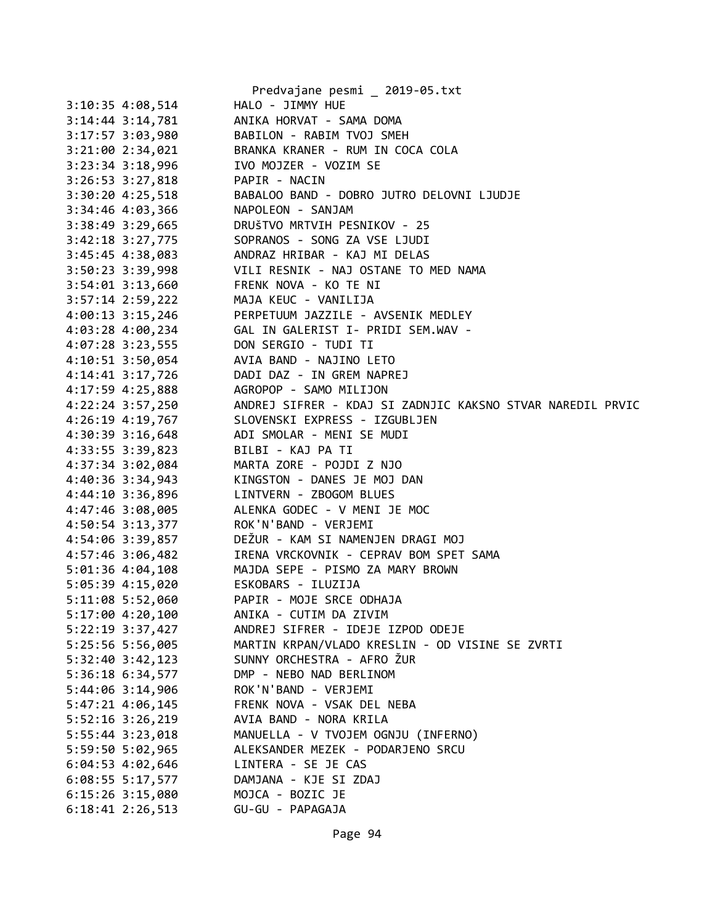|                                          | Predvajane pesmi _ 2019-05.txt                                              |
|------------------------------------------|-----------------------------------------------------------------------------|
| $3:10:35$ 4:08,514                       | HALO - JIMMY HUE                                                            |
| $3:14:44$ $3:14,781$                     | ANIKA HORVAT - SAMA DOMA                                                    |
| 3:17:57 3:03,980                         | BABILON - RABIM TVOJ SMEH                                                   |
| $3:21:00$ $2:34,021$                     | BRANKA KRANER - RUM IN COCA COLA                                            |
| $3:23:34$ $3:18,996$                     | IVO MOJZER - VOZIM SE                                                       |
| 3:26:53 3:27,818                         | PAPIR - NACIN                                                               |
| $3:30:20$ 4:25,518                       | BABALOO BAND - DOBRO JUTRO DELOVNI LJUDJE                                   |
| 3:34:46 4:03,366                         | NAPOLEON - SANJAM                                                           |
| 3:38:49 3:29,665                         | DRUŠTVO MRTVIH PESNIKOV - 25                                                |
| 3:42:18 3:27,775                         | SOPRANOS - SONG ZA VSE LJUDI                                                |
| 3:45:45 4:38,083                         | ANDRAZ HRIBAR - KAJ MI DELAS                                                |
| 3:50:23 3:39,998                         | VILI RESNIK - NAJ OSTANE TO MED NAMA                                        |
| $3:54:01$ $3:13,660$                     | FRENK NOVA - KO TE NI                                                       |
| 3:57:14 2:59,222                         | MAJA KEUC - VANILIJA                                                        |
| $4:00:13$ 3:15,246                       | PERPETUUM JAZZILE - AVSENIK MEDLEY                                          |
| 4:03:28 4:00,234                         | GAL IN GALERIST I- PRIDI SEM.WAV -                                          |
| 4:07:28 3:23,555                         | DON SERGIO - TUDI TI                                                        |
| 4:10:51 3:50,054                         | AVIA BAND - NAJINO LETO                                                     |
| 4:14:41 3:17,726                         | DADI DAZ - IN GREM NAPREJ                                                   |
| 4:17:59 4:25,888                         | AGROPOP - SAMO MILIJON                                                      |
|                                          | 4:22:24 3:57,250 ANDREJ SIFRER - KDAJ SI ZADNJIC KAKSNO STVAR NAREDIL PRVIC |
| 4:26:19 4:19,767                         | SLOVENSKI EXPRESS - IZGUBLJEN                                               |
| 4:30:39 3:16,648                         | ADI SMOLAR - MENI SE MUDI                                                   |
| 4:33:55 3:39,823                         | BILBI - KAJ PA TI                                                           |
| 4:37:34 3:02,084                         | MARTA ZORE - POJDI Z NJO                                                    |
| 4:40:36 3:34,943                         | KINGSTON - DANES JE MOJ DAN                                                 |
| 4:44:10 3:36,896                         | LINTVERN - ZBOGOM BLUES                                                     |
| 4:47:46 3:08,005                         | ALENKA GODEC - V MENI JE MOC                                                |
| $4:50:54$ 3:13,377<br>$4:54:25$ 3:33,577 | ROK'N'BAND - VERJEMI                                                        |
| 4:54:06 3:39,857                         | DEŽUR - KAM SI NAMENJEN DRAGI MOJ                                           |
| 4:57:46 3:06,482                         | IRENA VRCKOVNIK - CEPRAV BOM SPET SAMA                                      |
| 5:01:36 4:04,108                         | MAJDA SEPE - PISMO ZA MARY BROWN                                            |
| 5:05:39 4:15,020                         | ESKOBARS - ILUZIJA                                                          |
| 5:11:08 5:52,060                         | PAPIR - MOJE SRCE ODHAJA                                                    |
| 5:17:00 4:20,100                         | ANIKA - CUTIM DA ZIVIM                                                      |
| 5:22:19 3:37,427                         | ANDREJ SIFRER - IDEJE IZPOD ODEJE                                           |
| 5:25:56 5:56,005                         | MARTIN KRPAN/VLADO KRESLIN - OD VISINE SE ZVRTI                             |
| $5:32:40$ $3:42,123$                     | SUNNY ORCHESTRA - AFRO ŽUR                                                  |
| 5:36:18 6:34,577                         | DMP - NEBO NAD BERLINOM                                                     |
| 5:44:06 3:14,906                         | ROK'N'BAND - VERJEMI                                                        |
| $5:47:21$ 4:06,145                       | FRENK NOVA - VSAK DEL NEBA                                                  |
| $5:52:16$ $3:26,219$                     | AVIA BAND - NORA KRILA                                                      |
|                                          |                                                                             |
| 5:55:44 3:23,018                         | MANUELLA - V TVOJEM OGNJU (INFERNO)<br>ALEKSANDER MEZEK - PODARJENO SRCU    |
| 5:59:50 5:02,965                         |                                                                             |
| $6:04:53$ 4:02,646                       | LINTERA - SE JE CAS                                                         |
| 6:08:55 5:17,577                         | DAMJANA - KJE SI ZDAJ                                                       |
| $6:15:26$ 3:15,080                       | MOJCA - BOZIC JE                                                            |
| $6:18:41$ $2:26,513$                     | GU-GU - PAPAGAJA                                                            |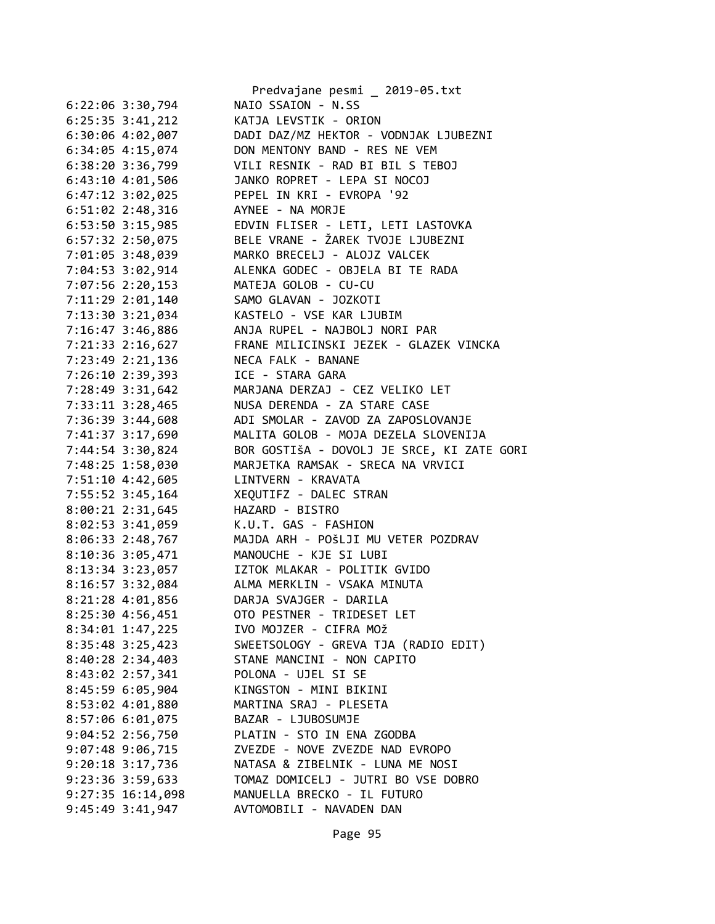|                       | Predvajane pesmi _ 2019-05.txt             |
|-----------------------|--------------------------------------------|
| $6:22:06$ 3:30,794    | NAIO SSAION - N.SS                         |
| $6:25:35$ 3:41,212    | KATJA LEVSTIK - ORION                      |
| 6:30:06 4:02,007      | DADI DAZ/MZ HEKTOR - VODNJAK LJUBEZNI      |
| 6:34:05 4:15,074      | DON MENTONY BAND - RES NE VEM              |
| $6:38:20$ $3:36,799$  | VILI RESNIK - RAD BI BIL S TEBOJ           |
| 6:43:10 4:01,506      | JANKO ROPRET - LEPA SI NOCOJ               |
| $6:47:12$ $3:02,025$  | PEPEL IN KRI - EVROPA '92                  |
| 6:51:02 2:48,316      | AYNEE - NA MORJE                           |
| 6:53:50 3:15,985      | EDVIN FLISER - LETI, LETI LASTOVKA         |
| 6:57:32 2:50,075      | BELE VRANE - ŽAREK TVOJE LJUBEZNI          |
| 7:01:05 3:48,039      | MARKO BRECELJ - ALOJZ VALCEK               |
| 7:04:53 3:02,914      | ALENKA GODEC - OBJELA BI TE RADA           |
| 7:07:56 2:20,153      | MATEJA GOLOB - CU-CU                       |
| 7:11:29 2:01,140      | SAMO GLAVAN - JOZKOTI                      |
| 7:13:30 3:21,034      | KASTELO - VSE KAR LJUBIM                   |
| 7:16:47 3:46,886      | ANJA RUPEL - NAJBOLJ NORI PAR              |
| 7:21:33 2:16,627      | FRANE MILICINSKI JEZEK - GLAZEK VINCKA     |
| 7:23:49 2:21,136      | NECA FALK - BANANE                         |
| 7:26:10 2:39,393      | ICE - STARA GARA                           |
| 7:28:49 3:31,642      | MARJANA DERZAJ - CEZ VELIKO LET            |
| 7:33:11 3:28,465      | NUSA DERENDA - ZA STARE CASE               |
| 7:36:39 3:44,608      | ADI SMOLAR - ZAVOD ZA ZAPOSLOVANJE         |
| 7:41:37 3:17,690      | MALITA GOLOB - MOJA DEZELA SLOVENIJA       |
| 7:44:54 3:30,824      | BOR GOSTIŠA - DOVOLJ JE SRCE, KI ZATE GORI |
| 7:48:25 1:58,030      | MARJETKA RAMSAK - SRECA NA VRVICI          |
| 7:51:10 4:42,605      | LINTVERN - KRAVATA                         |
| 7:55:52 3:45,164      | XEQUTIFZ - DALEC STRAN                     |
| 8:00:21 2:31,645      | HAZARD - BISTRO                            |
|                       | K.U.T. GAS - FASHION                       |
| 8:02:53 3:41,059      | MAJDA ARH - POŠLJI MU VETER POZDRAV        |
| 8:06:33 2:48,767      |                                            |
| 8:10:36 3:05,471      | MANOUCHE - KJE SI LUBI                     |
| 8:13:34 3:23,057      | IZTOK MLAKAR - POLITIK GVIDO               |
| 8:16:57 3:32,084      | ALMA MERKLIN - VSAKA MINUTA                |
| 8:21:28 4:01,856      | DARJA SVAJGER - DARILA                     |
| 8:25:30 4:56,451      | OTO PESTNER - TRIDESET LET                 |
| 8:34:01 1:47,225      | IVO MOJZER - CIFRA MOŽ                     |
| 8:35:48 3:25,423      | SWEETSOLOGY - GREVA TJA (RADIO EDIT)       |
| 8:40:28 2:34,403      | STANE MANCINI - NON CAPITO                 |
| 8:43:02 2:57,341      | POLONA - UJEL SI SE                        |
| 8:45:59 6:05,904      | KINGSTON - MINI BIKINI                     |
| 8:53:02 4:01,880      | MARTINA SRAJ - PLESETA                     |
| 8:57:06 6:01,075      | BAZAR - LJUBOSUMJE                         |
| $9:04:52$ 2:56,750    | PLATIN - STO IN ENA ZGODBA                 |
| 9:07:48 9:06,715      | ZVEZDE - NOVE ZVEZDE NAD EVROPO            |
| $9:20:18$ 3:17,736    | NATASA & ZIBELNIK - LUNA ME NOSI           |
| 9:23:36 3:59,633      | TOMAZ DOMICELJ - JUTRI BO VSE DOBRO        |
| $9:27:35$ $16:14,098$ | MANUELLA BRECKO - IL FUTURO                |
| 9:45:49 3:41,947      | AVTOMOBILI - NAVADEN DAN                   |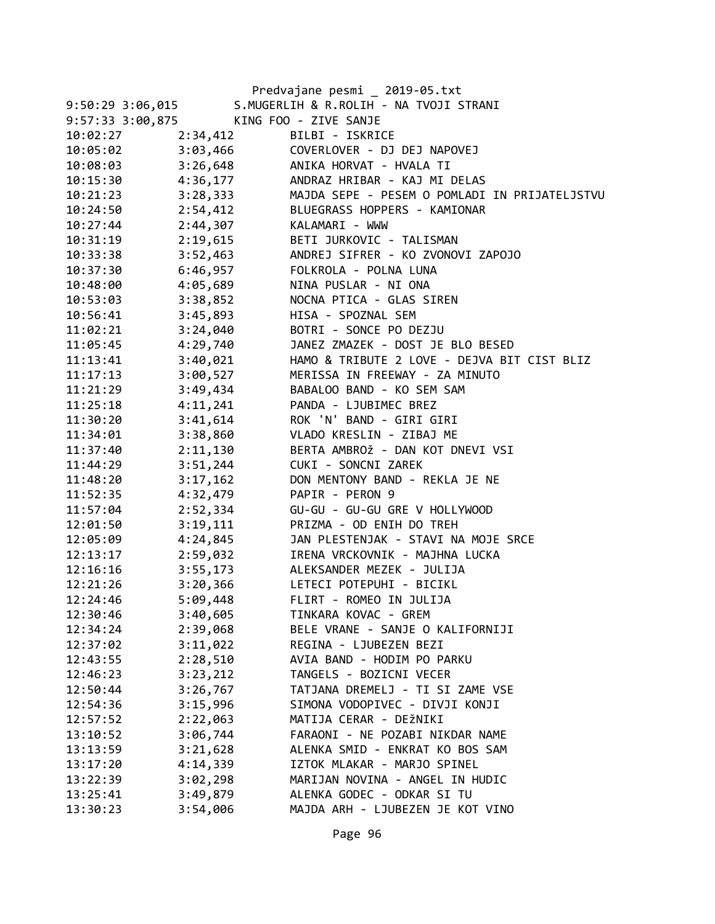|                  |          | Predvajane pesmi _ 2019-05.txt                |
|------------------|----------|-----------------------------------------------|
| 9:50:29 3:06,015 |          | S.MUGERLIH & R.ROLIH - NA TVOJI STRANI        |
| 9:57:33 3:00,875 |          | KING FOO - ZIVE SANJE                         |
| 10:02:27         | 2:34,412 | BILBI - ISKRICE                               |
| 10:05:02         | 3:03,466 | COVERLOVER - DJ DEJ NAPOVEJ                   |
| 10:08:03         | 3:26,648 | ANIKA HORVAT - HVALA TI                       |
| 10:15:30         | 4:36,177 | ANDRAZ HRIBAR - KAJ MI DELAS                  |
| 10:21:23         | 3:28,333 | MAJDA SEPE - PESEM O POMLADI IN PRIJATELJSTVU |
| 10:24:50         | 2:54,412 | BLUEGRASS HOPPERS - KAMIONAR                  |
| 10:27:44         | 2:44,307 | KALAMARI - WWW                                |
| 10:31:19         | 2:19,615 | BETI JURKOVIC - TALISMAN                      |
| 10:33:38         |          | 3:52,463 ANDREJ SIFRER - KO ZVONOVI ZAPOJO    |
| 10:37:30         |          | 6:46,957 FOLKROLA - POLNA LUNA                |
| 10:48:00         | 4:05,689 | NINA PUSLAR - NI ONA                          |
| 10:53:03         | 3:38,852 | NOCNA PTICA - GLAS SIREN                      |
| 10:56:41         | 3:45,893 | HISA - SPOZNAL SEM                            |
| 11:02:21         | 3:24,040 | BOTRI - SONCE PO DEZJU                        |
| 11:05:45         | 4:29,740 | JANEZ ZMAZEK - DOST JE BLO BESED              |
| 11:13:41         | 3:40,021 | HAMO & TRIBUTE 2 LOVE - DEJVA BIT CIST BLIZ   |
| 11:17:13         | 3:00,527 | MERISSA IN FREEWAY - ZA MINUTO                |
| 11:21:29         | 3:49,434 | BABALOO BAND - KO SEM SAM                     |
| 11:25:18         | 4:11,241 | PANDA - LJUBIMEC BREZ                         |
| 11:30:20         | 3:41,614 | ROK 'N' BAND - GIRI GIRI                      |
| 11:34:01         | 3:38,860 | VLADO KRESLIN - ZIBAJ ME                      |
| 11:37:40         | 2:11,130 | BERTA AMBROŽ - DAN KOT DNEVI VSI              |
| 11:44:29         | 3:51,244 | CUKI - SONCNI ZAREK                           |
| 11:48:20         | 3:17,162 | DON MENTONY BAND - REKLA JE NE                |
| 11:52:35         | 4:32,479 | PAPIR - PERON 9                               |
| 11:57:04         | 2:52,334 | GU-GU - GU-GU GRE V HOLLYWOOD                 |
| 12:01:50         | 3:19,111 | PRIZMA - OD ENIH DO TREH                      |
| 12:05:09         | 4:24,845 | JAN PLESTENJAK - STAVI NA MOJE SRCE           |
| 12:13:17         | 2:59,032 | IRENA VRCKOVNIK - MAJHNA LUCKA                |
| 12:16:16         | 3:55,173 | ALEKSANDER MEZEK - JULIJA                     |
| 12:21:26         | 3:20,366 | LETECI POTEPUHI - BICIKL                      |
| 12:24:46         | 5:09,448 | FLIRT - ROMEO IN JULIJA                       |
| 12:30:46         | 3:40,605 | TINKARA KOVAC - GREM                          |
| 12:34:24         | 2:39,068 | BELE VRANE - SANJE O KALIFORNIJI              |
| 12:37:02         | 3:11,022 | REGINA - LJUBEZEN BEZI                        |
| 12:43:55         | 2:28,510 | AVIA BAND - HODIM PO PARKU                    |
| 12:46:23         | 3:23,212 | TANGELS - BOZICNI VECER                       |
| 12:50:44         | 3:26,767 | TATJANA DREMELJ - TI SI ZAME VSE              |
| 12:54:36         | 3:15,996 | SIMONA VODOPIVEC - DIVJI KONJI                |
| 12:57:52         | 2:22,063 | MATIJA CERAR - DEŽNIKI                        |
| 13:10:52         | 3:06,744 | FARAONI - NE POZABI NIKDAR NAME               |
| 13:13:59         | 3:21,628 | ALENKA SMID - ENKRAT KO BOS SAM               |
| 13:17:20         | 4:14,339 | IZTOK MLAKAR - MARJO SPINEL                   |
| 13:22:39         | 3:02,298 | MARIJAN NOVINA - ANGEL IN HUDIC               |
| 13:25:41         | 3:49,879 | ALENKA GODEC - ODKAR SI TU                    |
| 13:30:23         | 3:54,006 | MAJDA ARH - LJUBEZEN JE KOT VINO              |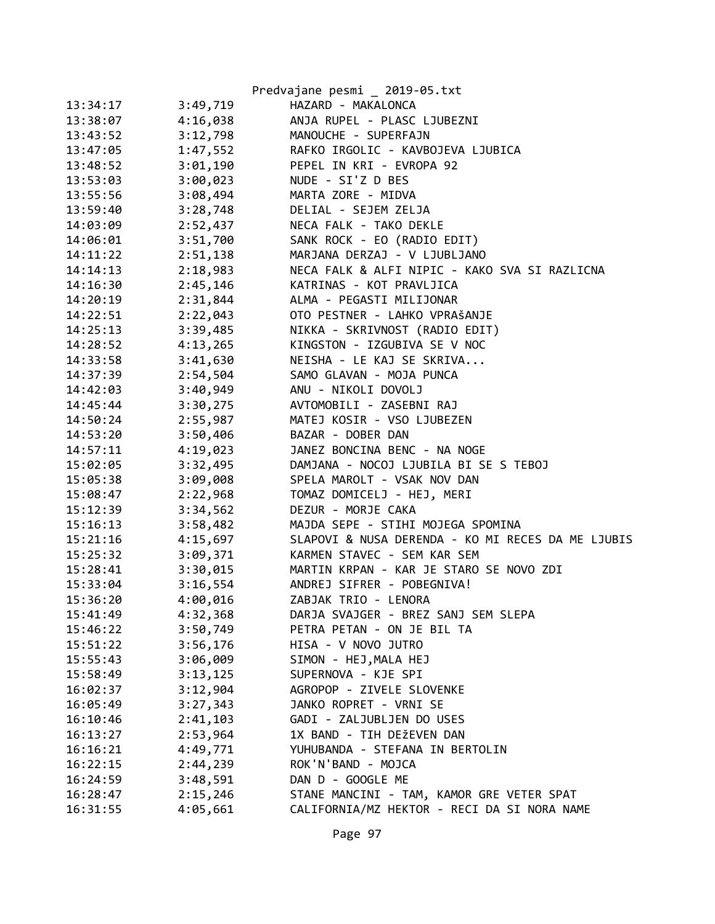|          |          | Predvajane pesmi _ 2019-05.txt                    |
|----------|----------|---------------------------------------------------|
| 13:34:17 | 3:49,719 | HAZARD - MAKALONCA                                |
| 13:38:07 | 4:16,038 | ANJA RUPEL - PLASC LJUBEZNI                       |
| 13:43:52 | 3:12,798 | MANOUCHE - SUPERFAJN                              |
| 13:47:05 | 1:47,552 | RAFKO IRGOLIC - KAVBOJEVA LJUBICA                 |
| 13:48:52 | 3:01,190 | PEPEL IN KRI - EVROPA 92                          |
| 13:53:03 | 3:00,023 | NUDE - SI'Z D BES                                 |
| 13:55:56 | 3:08,494 | MARTA ZORE - MIDVA                                |
| 13:59:40 | 3:28,748 | DELIAL - SEJEM ZELJA                              |
| 14:03:09 | 2:52,437 | NECA FALK - TAKO DEKLE                            |
| 14:06:01 | 3:51,700 | SANK ROCK - EO (RADIO EDIT)                       |
| 14:11:22 | 2:51,138 | MARJANA DERZAJ - V LJUBLJANO                      |
| 14:14:13 | 2:18,983 | NECA FALK & ALFI NIPIC - KAKO SVA SI RAZLICNA     |
| 14:16:30 | 2:45,146 | KATRINAS - KOT PRAVLJICA                          |
| 14:20:19 | 2:31,844 | ALMA - PEGASTI MILIJONAR                          |
| 14:22:51 | 2:22,043 | OTO PESTNER - LAHKO VPRAŠANJE                     |
| 14:25:13 | 3:39,485 | NIKKA - SKRIVNOST (RADIO EDIT)                    |
| 14:28:52 | 4:13,265 | KINGSTON - IZGUBIVA SE V NOC                      |
| 14:33:58 | 3:41,630 | NEISHA - LE KAJ SE SKRIVA                         |
| 14:37:39 | 2:54,504 | SAMO GLAVAN - MOJA PUNCA                          |
| 14:42:03 | 3:40,949 | ANU - NIKOLI DOVOLJ                               |
| 14:45:44 | 3:30,275 | AVTOMOBILI - ZASEBNI RAJ                          |
| 14:50:24 | 2:55,987 | MATEJ KOSIR - VSO LJUBEZEN                        |
| 14:53:20 | 3:50,406 | BAZAR - DOBER DAN                                 |
| 14:57:11 | 4:19,023 | JANEZ BONCINA BENC - NA NOGE                      |
| 15:02:05 | 3:32,495 | DAMJANA - NOCOJ LJUBILA BI SE S TEBOJ             |
| 15:05:38 | 3:09,008 | SPELA MAROLT - VSAK NOV DAN                       |
| 15:08:47 | 2:22,968 | TOMAZ DOMICELJ - HEJ, MERI                        |
| 15:12:39 | 3:34,562 | DEZUR - MORJE CAKA                                |
| 15:16:13 | 3:58,482 | MAJDA SEPE - STIHI MOJEGA SPOMINA                 |
| 15:21:16 | 4:15,697 | SLAPOVI & NUSA DERENDA - KO MI RECES DA ME LJUBIS |
| 15:25:32 | 3:09,371 | KARMEN STAVEC - SEM KAR SEM                       |
| 15:28:41 | 3:30,015 | MARTIN KRPAN - KAR JE STARO SE NOVO ZDI           |
| 15:33:04 | 3:16,554 | ANDREJ SIFRER - POBEGNIVA!                        |
| 15:36:20 | 4:00,016 | ZABJAK TRIO - LENORA                              |
| 15:41:49 | 4:32,368 | DARJA SVAJGER - BREZ SANJ SEM SLEPA               |
| 15:46:22 | 3:50,749 | PETRA PETAN - ON JE BIL TA                        |
| 15:51:22 | 3:56,176 | HISA - V NOVO JUTRO                               |
| 15:55:43 | 3:06,009 | SIMON - HEJ, MALA HEJ                             |
| 15:58:49 | 3:13,125 | SUPERNOVA - KJE SPI                               |
| 16:02:37 | 3:12,904 | AGROPOP - ZIVELE SLOVENKE                         |
| 16:05:49 | 3:27,343 | JANKO ROPRET - VRNI SE                            |
| 16:10:46 | 2:41,103 | GADI - ZALJUBLJEN DO USES                         |
| 16:13:27 | 2:53,964 | 1X BAND - TIH DEŽEVEN DAN                         |
| 16:16:21 | 4:49,771 | YUHUBANDA - STEFANA IN BERTOLIN                   |
| 16:22:15 | 2:44,239 | ROK'N'BAND - MOJCA                                |
| 16:24:59 | 3:48,591 | DAN D - GOOGLE ME                                 |
| 16:28:47 | 2:15,246 | STANE MANCINI - TAM, KAMOR GRE VETER SPAT         |
| 16:31:55 | 4:05,661 | CALIFORNIA/MZ HEKTOR - RECI DA SI NORA NAME       |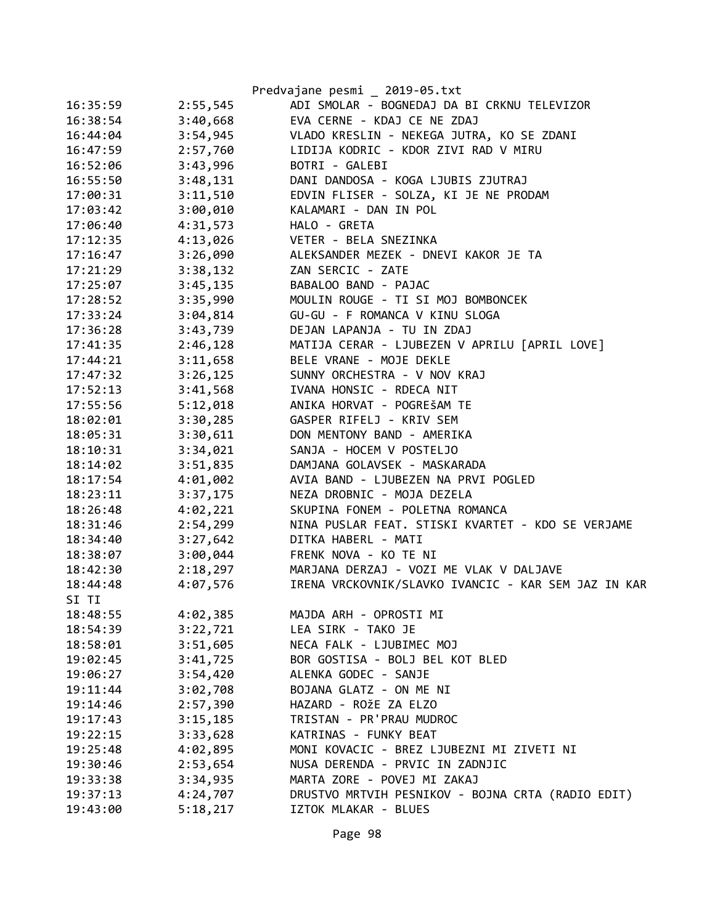|          |          | Predvajane pesmi _ 2019-05.txt                      |
|----------|----------|-----------------------------------------------------|
| 16:35:59 | 2:55,545 | ADI SMOLAR - BOGNEDAJ DA BI CRKNU TELEVIZOR         |
| 16:38:54 | 3:40,668 | EVA CERNE - KDAJ CE NE ZDAJ                         |
| 16:44:04 | 3:54,945 | VLADO KRESLIN - NEKEGA JUTRA, KO SE ZDANI           |
| 16:47:59 | 2:57,760 | LIDIJA KODRIC - KDOR ZIVI RAD V MIRU                |
| 16:52:06 | 3:43,996 | BOTRI - GALEBI                                      |
| 16:55:50 | 3:48,131 | DANI DANDOSA - KOGA LJUBIS ZJUTRAJ                  |
| 17:00:31 | 3:11,510 | EDVIN FLISER - SOLZA, KI JE NE PRODAM               |
| 17:03:42 | 3:00,010 | KALAMARI - DAN IN POL                               |
| 17:06:40 | 4:31,573 | HALO - GRETA                                        |
| 17:12:35 | 4:13,026 | VETER - BELA SNEZINKA                               |
| 17:16:47 | 3:26,090 | ALEKSANDER MEZEK - DNEVI KAKOR JE TA                |
| 17:21:29 | 3:38,132 | ZAN SERCIC - ZATE                                   |
| 17:25:07 | 3:45,135 | BABALOO BAND - PAJAC                                |
| 17:28:52 | 3:35,990 | MOULIN ROUGE - TI SI MOJ BOMBONCEK                  |
| 17:33:24 | 3:04,814 | GU-GU - F ROMANCA V KINU SLOGA                      |
| 17:36:28 | 3:43,739 | DEJAN LAPANJA - TU IN ZDAJ                          |
| 17:41:35 | 2:46,128 | MATIJA CERAR - LJUBEZEN V APRILU [APRIL LOVE]       |
| 17:44:21 | 3:11,658 | BELE VRANE - MOJE DEKLE                             |
| 17:47:32 | 3:26,125 | SUNNY ORCHESTRA - V NOV KRAJ                        |
| 17:52:13 | 3:41,568 | IVANA HONSIC - RDECA NIT                            |
| 17:55:56 | 5:12,018 | ANIKA HORVAT - POGREŠAM TE                          |
| 18:02:01 | 3:30,285 | GASPER RIFELJ - KRIV SEM                            |
| 18:05:31 | 3:30,611 | DON MENTONY BAND - AMERIKA                          |
| 18:10:31 | 3:34,021 | SANJA - HOCEM V POSTELJO                            |
| 18:14:02 | 3:51,835 | DAMJANA GOLAVSEK - MASKARADA                        |
| 18:17:54 | 4:01,002 | AVIA BAND - LJUBEZEN NA PRVI POGLED                 |
| 18:23:11 | 3:37,175 | NEZA DROBNIC - MOJA DEZELA                          |
| 18:26:48 | 4:02,221 | SKUPINA FONEM - POLETNA ROMANCA                     |
| 18:31:46 | 2:54,299 | NINA PUSLAR FEAT. STISKI KVARTET - KDO SE VERJAME   |
| 18:34:40 | 3:27,642 | DITKA HABERL - MATI                                 |
| 18:38:07 | 3:00,044 | FRENK NOVA - KO TE NI                               |
| 18:42:30 | 2:18,297 | MARJANA DERZAJ - VOZI ME VLAK V DALJAVE             |
| 18:44:48 | 4:07,576 | IRENA VRCKOVNIK/SLAVKO IVANCIC - KAR SEM JAZ IN KAR |
| SI TI    |          |                                                     |
| 18:48:55 | 4:02,385 | MAJDA ARH - OPROSTI MI                              |
| 18:54:39 | 3:22,721 | LEA SIRK - TAKO JE                                  |
| 18:58:01 | 3:51,605 | NECA FALK - LJUBIMEC MOJ                            |
| 19:02:45 | 3:41,725 | BOR GOSTISA - BOLJ BEL KOT BLED                     |
| 19:06:27 | 3:54,420 | ALENKA GODEC - SANJE                                |
| 19:11:44 | 3:02,708 | BOJANA GLATZ - ON ME NI                             |
| 19:14:46 | 2:57,390 | HAZARD - ROŽE ZA ELZO                               |
| 19:17:43 | 3:15,185 | TRISTAN - PR'PRAU MUDROC                            |
| 19:22:15 | 3:33,628 | KATRINAS - FUNKY BEAT                               |
| 19:25:48 | 4:02,895 | MONI KOVACIC - BREZ LJUBEZNI MI ZIVETI NI           |
| 19:30:46 | 2:53,654 | NUSA DERENDA - PRVIC IN ZADNJIC                     |
| 19:33:38 | 3:34,935 | MARTA ZORE - POVEJ MI ZAKAJ                         |
| 19:37:13 | 4:24,707 | DRUSTVO MRTVIH PESNIKOV - BOJNA CRTA (RADIO EDIT)   |
| 19:43:00 | 5:18,217 | IZTOK MLAKAR - BLUES                                |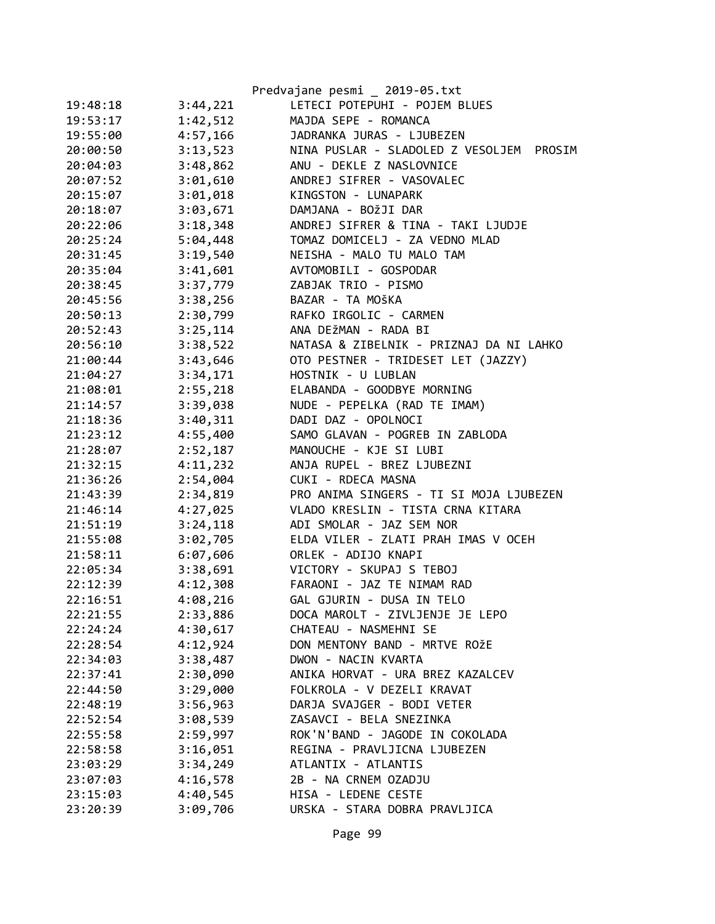|          |          | Predvajane pesmi _ 2019-05.txt              |
|----------|----------|---------------------------------------------|
| 19:48:18 | 3:44,221 | LETECI POTEPUHI - POJEM BLUES               |
| 19:53:17 | 1:42,512 | MAJDA SEPE - ROMANCA                        |
| 19:55:00 | 4:57,166 | JADRANKA JURAS - LJUBEZEN                   |
| 20:00:50 | 3:13,523 | NINA PUSLAR - SLADOLED Z VESOLJEM<br>PROSIM |
| 20:04:03 | 3:48,862 | ANU - DEKLE Z NASLOVNICE                    |
| 20:07:52 | 3:01,610 | ANDREJ SIFRER - VASOVALEC                   |
| 20:15:07 | 3:01,018 | KINGSTON - LUNAPARK                         |
| 20:18:07 | 3:03,671 | DAMJANA - BOŽJI DAR                         |
| 20:22:06 | 3:18,348 | ANDREJ SIFRER & TINA - TAKI LJUDJE          |
| 20:25:24 | 5:04,448 | TOMAZ DOMICELJ - ZA VEDNO MLAD              |
| 20:31:45 | 3:19,540 | NEISHA - MALO TU MALO TAM                   |
| 20:35:04 | 3:41,601 | AVTOMOBILI - GOSPODAR                       |
| 20:38:45 | 3:37,779 | ZABJAK TRIO - PISMO                         |
| 20:45:56 | 3:38,256 | BAZAR - TA MOŠKA                            |
| 20:50:13 | 2:30,799 | RAFKO IRGOLIC - CARMEN                      |
| 20:52:43 | 3:25,114 | ANA DEŽMAN - RADA BI                        |
| 20:56:10 | 3:38,522 | NATASA & ZIBELNIK - PRIZNAJ DA NI LAHKO     |
| 21:00:44 | 3:43,646 | OTO PESTNER - TRIDESET LET (JAZZY)          |
| 21:04:27 | 3:34,171 | HOSTNIK - U LUBLAN                          |
| 21:08:01 | 2:55,218 | ELABANDA - GOODBYE MORNING                  |
| 21:14:57 | 3:39,038 | NUDE - PEPELKA (RAD TE IMAM)                |
| 21:18:36 | 3:40,311 | DADI DAZ - OPOLNOCI                         |
| 21:23:12 | 4:55,400 | SAMO GLAVAN - POGREB IN ZABLODA             |
| 21:28:07 | 2:52,187 | MANOUCHE - KJE SI LUBI                      |
| 21:32:15 | 4:11,232 | ANJA RUPEL - BREZ LJUBEZNI                  |
| 21:36:26 | 2:54,004 | CUKI - RDECA MASNA                          |
| 21:43:39 | 2:34,819 | PRO ANIMA SINGERS - TI SI MOJA LJUBEZEN     |
| 21:46:14 | 4:27,025 | VLADO KRESLIN - TISTA CRNA KITARA           |
| 21:51:19 | 3:24,118 | ADI SMOLAR - JAZ SEM NOR                    |
| 21:55:08 | 3:02,705 | ELDA VILER - ZLATI PRAH IMAS V OCEH         |
| 21:58:11 | 6:07,606 | ORLEK - ADIJO KNAPI                         |
| 22:05:34 | 3:38,691 | VICTORY - SKUPAJ S TEBOJ                    |
| 22:12:39 | 4:12,308 | FARAONI - JAZ TE NIMAM RAD                  |
| 22:16:51 | 4:08,216 | GAL GJURIN - DUSA IN TELO                   |
| 22:21:55 | 2:33,886 | DOCA MAROLT - ZIVLJENJE JE LEPO             |
| 22:24:24 | 4:30,617 | CHATEAU - NASMEHNI SE                       |
| 22:28:54 | 4:12,924 | DON MENTONY BAND - MRTVE ROŽE               |
| 22:34:03 | 3:38,487 | DWON - NACIN KVARTA                         |
| 22:37:41 | 2:30,090 | ANIKA HORVAT - URA BREZ KAZALCEV            |
| 22:44:50 | 3:29,000 | FOLKROLA - V DEZELI KRAVAT                  |
| 22:48:19 | 3:56,963 | DARJA SVAJGER - BODI VETER                  |
| 22:52:54 | 3:08,539 | ZASAVCI - BELA SNEZINKA                     |
| 22:55:58 | 2:59,997 | ROK'N'BAND - JAGODE IN COKOLADA             |
| 22:58:58 | 3:16,051 | REGINA - PRAVLJICNA LJUBEZEN                |
| 23:03:29 | 3:34,249 | ATLANTIX - ATLANTIS                         |
| 23:07:03 | 4:16,578 | 2B - NA CRNEM OZADJU                        |
| 23:15:03 | 4:40,545 | HISA - LEDENE CESTE                         |
| 23:20:39 | 3:09,706 | URSKA - STARA DOBRA PRAVLJICA               |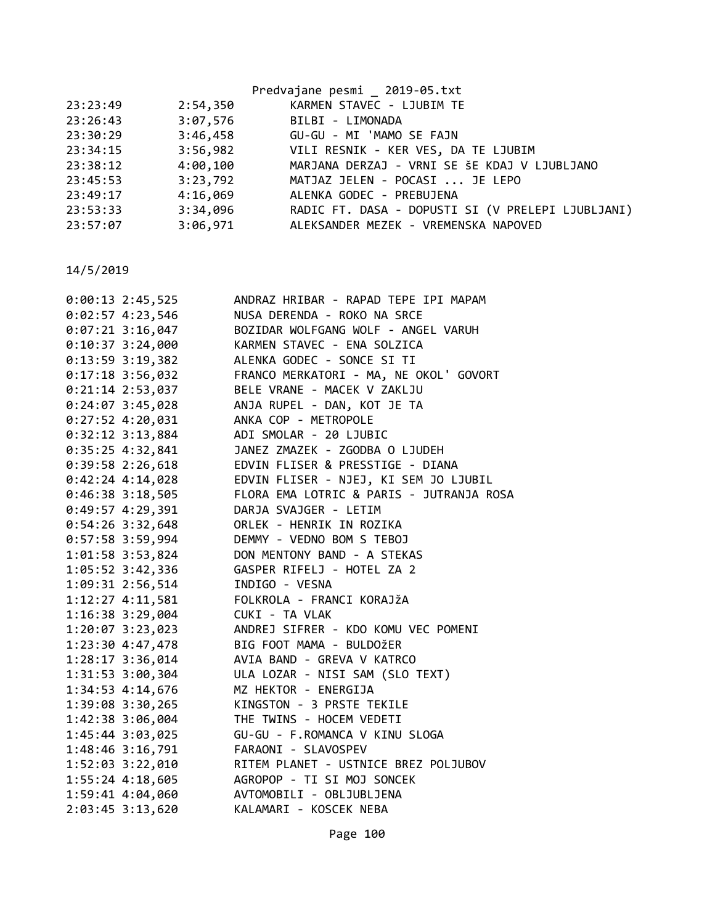|          |          | Predvajane pesmi 2019-05.txt                      |
|----------|----------|---------------------------------------------------|
| 23:23:49 | 2:54,350 | KARMEN STAVEC - LJUBIM TE                         |
| 23:26:43 | 3:07,576 | BILBI - LIMONADA                                  |
| 23:30:29 |          | 3:46,458 GU-GU - MI 'MAMO SE FAJN                 |
| 23:34:15 |          | 3:56,982 VILI RESNIK - KER VES, DA TE LJUBIM      |
| 23:38:12 | 4:00,100 | MARJANA DERZAJ - VRNI SE ŠE KDAJ V LJUBLJANO      |
| 23:45:53 | 3:23,792 | MATJAZ JELEN - POCASI  JE LEPO                    |
| 23:49:17 | 4:16,069 | ALENKA GODEC - PREBUJENA                          |
| 23:53:33 | 3:34,096 | RADIC FT. DASA - DOPUSTI SI (V PRELEPI LJUBLJANI) |
| 23:57:07 | 3:06,971 | ALEKSANDER MEZEK - VREMENSKA NAPOVED              |
|          |          |                                                   |

| $0:00:13$ 2:45,525                      | ANDRAZ HRIBAR - RAPAD TEPE IPI MAPAM                                                                                                                                                |
|-----------------------------------------|-------------------------------------------------------------------------------------------------------------------------------------------------------------------------------------|
| $0:02:57$ 4:23,546                      | NUSA DERENDA - ROKO NA SRCE                                                                                                                                                         |
|                                         | 0:07:21 3:16,047 BOZIDAR WOLFGANG WOLF - ANGEL VARUH                                                                                                                                |
| $0:10:37$ 3:24,000                      | KARMEN STAVEC - ENA SOLZICA                                                                                                                                                         |
| $0:13:59$ 3:19,382                      |                                                                                                                                                                                     |
| $0:17:18$ 3:56,032                      | ALENKA GODEC - SONCE SI TI<br>FRANCO MERKATORI - MA, NE OKOL' GOVORT                                                                                                                |
| $0:21:14$ 2:53,037                      | BELE VRANE - MACEK V ZAKLJU                                                                                                                                                         |
| $0:24:07$ 3:45,028                      | ANJA RUPEL - DAN, KOT JE TA                                                                                                                                                         |
| 0:27:52 4:20,031 ANKA COP - METROPOLE   |                                                                                                                                                                                     |
| 0:32:12 3:13,884 ADI SMOLAR - 20 LJUBIC |                                                                                                                                                                                     |
| $0:35:25$ 4:32,841                      | JANEZ ZMAZEK - ZGODBA O LJUDEH                                                                                                                                                      |
|                                         | 0:39:58 2:26,618<br>0:42:24 4:14,028<br>0:46:38 3:18,505<br>0:46:38 3:18,505<br>0:46:37 118,505<br>0:46:37 118,505<br>0:46:37 118,505<br>0:46:37 118,505<br>0:46:37 118,505<br>0:48 |
|                                         |                                                                                                                                                                                     |
|                                         |                                                                                                                                                                                     |
| 0:49:57 4:29,391 DARJA SVAJGER - LETIM  |                                                                                                                                                                                     |
|                                         | 0:54:26 3:32,648 ORLEK - HENRIK IN ROZIKA                                                                                                                                           |
|                                         | 0:57:58 3:59,994 DEMMY - VEDNO BOM S TEBOJ                                                                                                                                          |
|                                         | 1:01:58 3:53,824 DON MENTONY BAND - A STEKAS                                                                                                                                        |
|                                         |                                                                                                                                                                                     |
|                                         |                                                                                                                                                                                     |
|                                         | 1:09:31 2:56,514<br>1:12:27 4:11,581<br>1:16:38 3:29,004<br>1:20:07 3:23,023<br>ANDREJ SIFRER - KDO KOMU VEC POMENI                                                                 |
|                                         |                                                                                                                                                                                     |
|                                         |                                                                                                                                                                                     |
|                                         | 1:23:30 4:47,478 BIG FOOT MAMA - BULDOŽER                                                                                                                                           |
| 1:28:17 3:36,014                        | AVIA BAND - GREVA V KATRCO                                                                                                                                                          |
| 1:31:53 3:00,304                        | ULA LOZAR - NISI SAM (SLO TEXT)                                                                                                                                                     |
| $1:34:53$ $4:14,676$                    | MZ HEKTOR - ENERGIJA                                                                                                                                                                |
| 1:39:08 3:30,265                        | KINGSTON - 3 PRSTE TEKILE                                                                                                                                                           |
| 1:42:38 3:06,004                        | THE TWINS - HOCEM VEDETI                                                                                                                                                            |
| 1:45:44 3:03,025                        | GU-GU - F.ROMANCA V KINU SLOGA                                                                                                                                                      |
| 1:48:46 3:16,791 FARAONI - SLAVOSPEV    |                                                                                                                                                                                     |
|                                         | 1:52:03 3:22,010 RITEM PLANET - USTNICE BREZ POLJUBOV                                                                                                                               |
|                                         |                                                                                                                                                                                     |
|                                         | 1:59:41 4:04,060 AVTOMOBILI - OBLJUBLJENA                                                                                                                                           |
| 2:03:45 3:13,620                        | KALAMARI - KOSCEK NEBA                                                                                                                                                              |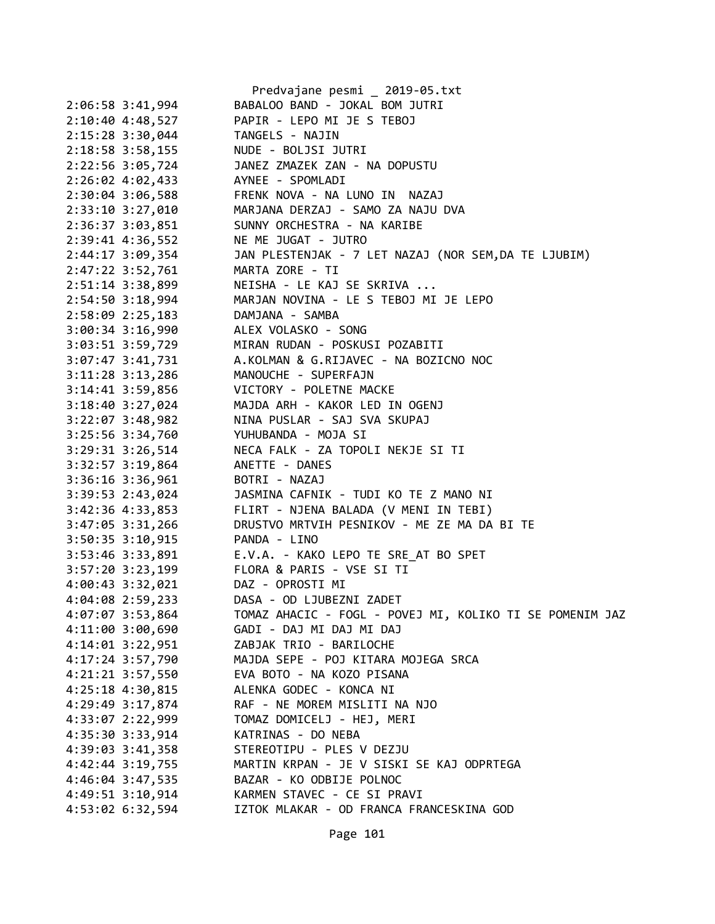|                      |                                 | Predvajane pesmi _ 2019-05.txt                                                                                                                       |
|----------------------|---------------------------------|------------------------------------------------------------------------------------------------------------------------------------------------------|
|                      | 2:06:58 3:41,994                | BABALOO BAND - JOKAL BOM JUTRI                                                                                                                       |
|                      | 2:10:40 4:48,527                | PAPIR - LEPO MI JE S TEBOJ                                                                                                                           |
|                      |                                 | 2:15:28 3:30,044 TANGELS - NAJIN                                                                                                                     |
|                      |                                 | 2:18:58 3:58,155 NUDE - BOLJSI JUTRI                                                                                                                 |
|                      |                                 | 2:22:56 3:05,724 JANEZ ZMAZEK ZAN - NA DOPUSTU                                                                                                       |
|                      |                                 | 2:26:02 4:02,433 AYNEE - SPOMLADI                                                                                                                    |
|                      |                                 |                                                                                                                                                      |
|                      |                                 |                                                                                                                                                      |
|                      |                                 | 2:30:04 3:06,588 FRENK NOVA - NA LUNO IN NAZAJ<br>2:33:10 3:27,010 MARJANA DERZAJ - SAMO ZA NAJU DVA<br>2:36:37 3:03,851 SUNNY ORCHESTRA - NA KARIBE |
|                      |                                 | 2:39:41 4:36,552 NE ME JUGAT - JUTRO                                                                                                                 |
|                      |                                 | 2:44:17 3:09,354 JAN PLESTENJAK - 7 LET NAZAJ (NOR SEM, DA TE LJUBIM)                                                                                |
|                      |                                 | 2:47:22 3:52,761 MARTA ZORE - TI                                                                                                                     |
|                      |                                 | 2:51:14 3:38,899 NEISHA - LE KAJ SE SKRIVA                                                                                                           |
|                      |                                 | 2:54:50 3:18,994 MARJAN NOVINA - LE S TEBOJ MI JE LEPO                                                                                               |
|                      |                                 |                                                                                                                                                      |
|                      |                                 | 2:58:09 2:25,183<br>3:00:34 3:16,990 ALEX VOLASKO - SONG                                                                                             |
|                      |                                 | 3:03:51 3:59,729 MIRAN RUDAN - POSKUSI POZABITI                                                                                                      |
|                      |                                 | 3:07:47 3:41,731 A.KOLMAN & G.RIJAVEC - NA BOZICNO NOC                                                                                               |
|                      |                                 | 3:11:28 3:13,286 MANOUCHE - SUPERFAJN                                                                                                                |
|                      |                                 | 3:14:41 3:59,856 VICTORY - POLETNE MACKE                                                                                                             |
|                      |                                 |                                                                                                                                                      |
|                      |                                 |                                                                                                                                                      |
|                      |                                 | 3:18:40 3:27,024<br>3:22:07 3:48,982<br>3:25:56 3:34,760<br>YUHUBANDA - MOJA SI                                                                      |
|                      |                                 | 3:29:31 3:26,514 NECA FALK - ZA TOPOLI NEKJE SI TI                                                                                                   |
|                      | 3:32:57 3:19,864 ANETTE - DANES |                                                                                                                                                      |
|                      | 3:36:16 3:36,961 BOTRI - NAZAJ  |                                                                                                                                                      |
|                      |                                 | 3:39:53 2:43,024 JASMINA CAFNIK - TUDI KO TE Z MANO NI                                                                                               |
|                      | 3:42:36 4:33,853                | FLIRT - NJENA BALADA (V MENI IN TEBI)                                                                                                                |
| $3:47:05$ $3:31,266$ |                                 | DRUSTVO MRTVIH PESNIKOV - ME ZE MA DA BI TE                                                                                                          |
|                      | 3:50:35 3:10,915 PANDA - LINO   |                                                                                                                                                      |
|                      |                                 | 3:53:46 3:33,891 E.V.A. - KAKO LEPO TE SRE_AT BO SPET                                                                                                |
|                      |                                 | 3:57:20 3:23,199 FLORA & PARIS - VSE SI TI                                                                                                           |
|                      |                                 | 4:00:43 3:32,021 DAZ - OPROSTI MI                                                                                                                    |
| 4:04:08 2:59,233     |                                 | DASA - OD LJUBEZNI ZADET                                                                                                                             |
| 4:07:07 3:53,864     |                                 | TOMAZ AHACIC - FOGL - POVEJ MI, KOLIKO TI SE POMENIM JAZ                                                                                             |
| 4:11:00 3:00,690     |                                 | GADI - DAJ MI DAJ MI DAJ                                                                                                                             |
| 4:14:01 3:22,951     |                                 | ZABJAK TRIO - BARILOCHE                                                                                                                              |
| 4:17:24 3:57,790     |                                 | MAJDA SEPE - POJ KITARA MOJEGA SRCA                                                                                                                  |
| 4:21:21 3:57,550     |                                 | EVA BOTO - NA KOZO PISANA                                                                                                                            |
| 4:25:18 4:30,815     |                                 | ALENKA GODEC - KONCA NI                                                                                                                              |
| 4:29:49 3:17,874     |                                 | RAF - NE MOREM MISLITI NA NJO                                                                                                                        |
| 4:33:07 2:22,999     |                                 | TOMAZ DOMICELJ - HEJ, MERI                                                                                                                           |
| 4:35:30 3:33,914     |                                 | KATRINAS - DO NEBA                                                                                                                                   |
| 4:39:03 3:41,358     |                                 | STEREOTIPU - PLES V DEZJU                                                                                                                            |
| $4:42:44$ 3:19,755   |                                 | MARTIN KRPAN - JE V SISKI SE KAJ ODPRTEGA                                                                                                            |
| 4:46:04 3:47,535     |                                 | BAZAR - KO ODBIJE POLNOC                                                                                                                             |
| 4:49:51 3:10,914     |                                 | KARMEN STAVEC - CE SI PRAVI                                                                                                                          |
| 4:53:02 6:32,594     |                                 | IZTOK MLAKAR - OD FRANCA FRANCESKINA GOD                                                                                                             |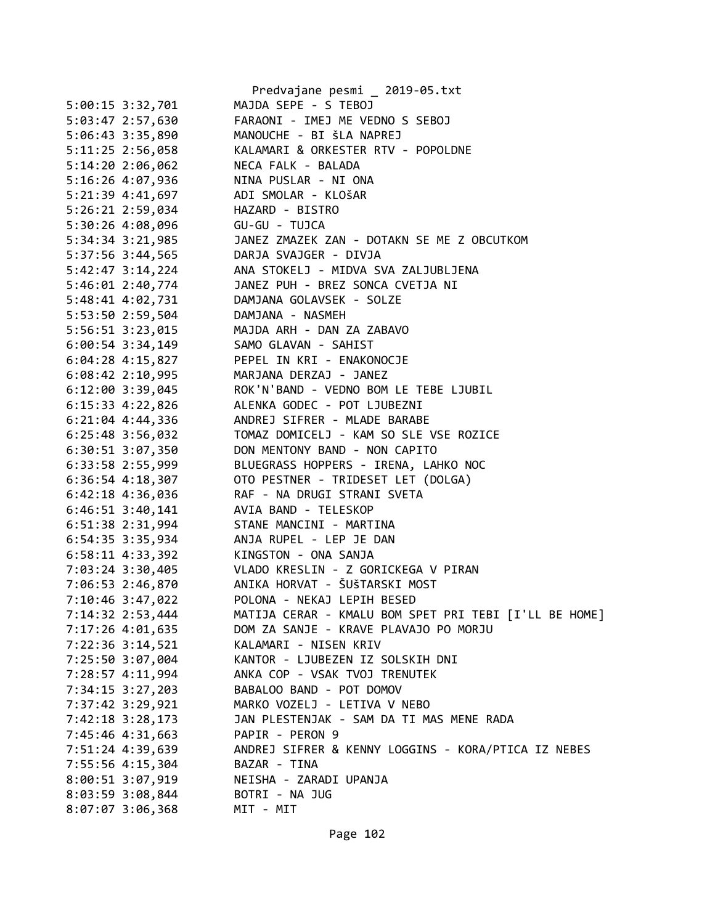|                      | Predvajane pesmi _ 2019-05.txt                        |
|----------------------|-------------------------------------------------------|
| 5:00:15 3:32,701     | MAJDA SEPE - S TEBOJ                                  |
| 5:03:47 2:57,630     | FARAONI - IMEJ ME VEDNO S SEBOJ                       |
| 5:06:43 3:35,890     | MANOUCHE - BI ŠLA NAPREJ                              |
| 5:11:25 2:56,058     | KALAMARI & ORKESTER RTV - POPOLDNE                    |
| 5:14:20 2:06,062     | NECA FALK - BALADA                                    |
| 5:16:26 4:07,936     | NINA PUSLAR - NI ONA                                  |
| 5:21:39 4:41,697     | ADI SMOLAR - KLOŠAR                                   |
| 5:26:21 2:59,034     | HAZARD - BISTRO                                       |
| 5:30:26 4:08,096     | GU-GU - TUJCA                                         |
| 5:34:34 3:21,985     | JANEZ ZMAZEK ZAN - DOTAKN SE ME Z OBCUTKOM            |
|                      | 5:37:56 3:44,565 DARJA SVAJGER - DIVJA                |
| 5:42:47 3:14,224     | ANA STOKELJ - MIDVA SVA ZALJUBLJENA                   |
| 5:46:01 2:40,774     | JANEZ PUH - BREZ SONCA CVETJA NI                      |
| 5:48:41 4:02,731     | DAMJANA GOLAVSEK - SOLZE                              |
| 5:53:50 2:59,504     | DAMJANA - NASMEH                                      |
| 5:56:51 3:23,015     | MAJDA ARH - DAN ZA ZABAVO                             |
| $6:00:54$ 3:34,149   | SAMO GLAVAN - SAHIST                                  |
| 6:04:28 4:15,827     | PEPEL IN KRI - ENAKONOCJE                             |
| $6:08:42$ 2:10,995   | MARJANA DERZAJ - JANEZ                                |
| $6:12:00$ 3:39,045   | ROK'N'BAND - VEDNO BOM LE TEBE LJUBIL                 |
| $6:15:33$ $4:22,826$ | ALENKA GODEC - POT LJUBEZNI                           |
| $6:21:04$ $4:44,336$ | ANDREJ SIFRER - MLADE BARABE                          |
| $6:25:48$ 3:56,032   | TOMAZ DOMICELJ - KAM SO SLE VSE ROZICE                |
| 6:30:51 3:07,350     | DON MENTONY BAND - NON CAPITO                         |
| 6:33:58 2:55,999     | BLUEGRASS HOPPERS - IRENA, LAHKO NOC                  |
| $6:36:54$ $4:18,307$ | OTO PESTNER - TRIDESET LET (DOLGA)                    |
| $6:42:18$ $4:36,036$ | RAF - NA DRUGI STRANI SVETA                           |
| $6:46:51$ 3:40,141   | AVIA BAND - TELESKOP                                  |
| 6:51:38 2:31,994     | STANE MANCINI - MARTINA                               |
| 6:54:35 3:35,934     | ANJA RUPEL - LEP JE DAN                               |
| 6:58:11 4:33,392     | KINGSTON - ONA SANJA                                  |
|                      |                                                       |
| 7:06:53 2:46,870     | ANIKA HORVAT - ŠUŠTARSKI MOST                         |
| 7:10:46 3:47,022     | POLONA - NEKAJ LEPIH BESED                            |
| 7:14:32 2:53,444     | MATIJA CERAR - KMALU BOM SPET PRI TEBI [I'LL BE HOME] |
| 7:17:26 4:01,635     | DOM ZA SANJE - KRAVE PLAVAJO PO MORJU                 |
| 7:22:36 3:14,521     | KALAMARI - NISEN KRIV                                 |
| 7:25:50 3:07,004     | KANTOR - LJUBEZEN IZ SOLSKIH DNI                      |
| 7:28:57 4:11,994     | ANKA COP - VSAK TVOJ TRENUTEK                         |
| 7:34:15 3:27,203     | BABALOO BAND - POT DOMOV                              |
| 7:37:42 3:29,921     | MARKO VOZELJ - LETIVA V NEBO                          |
| 7:42:18 3:28,173     | JAN PLESTENJAK - SAM DA TI MAS MENE RADA              |
| 7:45:46 4:31,663     | PAPIR - PERON 9                                       |
| 7:51:24 4:39,639     | ANDREJ SIFRER & KENNY LOGGINS - KORA/PTICA IZ NEBES   |
| 7:55:56 4:15,304     | BAZAR - TINA                                          |
| 8:00:51 3:07,919     | NEISHA - ZARADI UPANJA                                |
| 8:03:59 3:08,844     | BOTRI - NA JUG                                        |
| $8:07:07$ 3:06,368   | MIT - MIT                                             |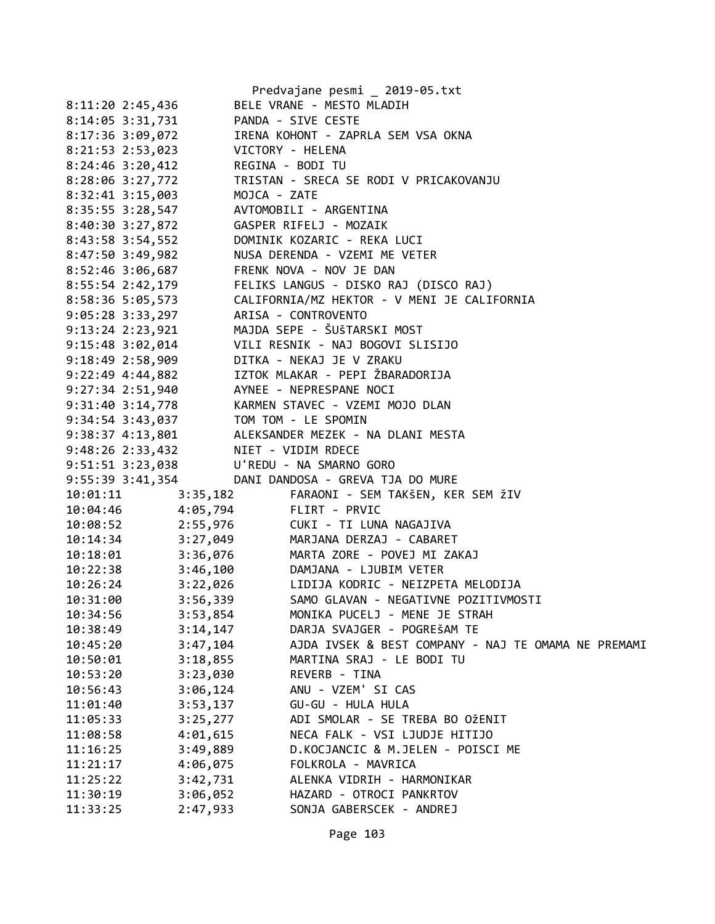|                                      |                                                             | Predvajane pesmi _ 2019-05.txt                                                                                                                                                                                                                                             |
|--------------------------------------|-------------------------------------------------------------|----------------------------------------------------------------------------------------------------------------------------------------------------------------------------------------------------------------------------------------------------------------------------|
| 8:11:20 2:45,436                     |                                                             | BELE VRANE - MESTO MLADIH                                                                                                                                                                                                                                                  |
| 8:14:05 3:31,731                     |                                                             | PANDA - SIVE CESTE                                                                                                                                                                                                                                                         |
| 8:17:36 3:09,072                     |                                                             | IRENA KOHONT - ZAPRLA SEM VSA OKNA                                                                                                                                                                                                                                         |
| 8:21:53 2:53,023                     |                                                             | VICTORY - HELENA                                                                                                                                                                                                                                                           |
|                                      | 8:24:46 3:20,412 REGINA - BODI TU                           |                                                                                                                                                                                                                                                                            |
|                                      |                                                             | 8:28:06 3:27,772 TRISTAN - SRECA SE RODI V PRICAKOVANJU                                                                                                                                                                                                                    |
|                                      |                                                             |                                                                                                                                                                                                                                                                            |
|                                      | 8:32:41 3:15,003<br>8:35:55 3:28,547 AVTOMOBILI - ARGENTINA |                                                                                                                                                                                                                                                                            |
|                                      |                                                             |                                                                                                                                                                                                                                                                            |
|                                      |                                                             | 8:43:58 3:54,552 DOMINIK KOZARIC - REKA LUCI                                                                                                                                                                                                                               |
|                                      |                                                             | 8:47:50 3:49,982 NUSA DERENDA - VZEMI ME VETER                                                                                                                                                                                                                             |
|                                      | 8:52:46 3:06,687 FRENK NOVA - NOV JE DAN                    |                                                                                                                                                                                                                                                                            |
| 8:55:54 2:42,179                     |                                                             | FELIKS LANGUS - DISKO RAJ (DISCO RAJ)                                                                                                                                                                                                                                      |
| 8:58:36 5:05,573<br>9.05.28 2.22 207 |                                                             | CALIFORNIA/MZ HEKTOR - V MENI JE CALIFORNIA                                                                                                                                                                                                                                |
|                                      | 9:05:28 3:33,297 ARISA - CONTROVENTO                        |                                                                                                                                                                                                                                                                            |
| $9:13:24$ $2:23,921$                 |                                                             | MAJDA SEPE - ŠUšTARSKI MOST                                                                                                                                                                                                                                                |
|                                      |                                                             | 9:15:48 3:02,014 VILI RESNIK - NAJ BOGOVI SLISIJO                                                                                                                                                                                                                          |
|                                      |                                                             | 9:18:49 2:58,909 DITKA - NEKAJ JE V ZRAKU                                                                                                                                                                                                                                  |
|                                      |                                                             | 9:22:49 4:44,882 IZTOK MLAKAR - PEPI ŽBARADORIJA                                                                                                                                                                                                                           |
|                                      | 9:27:34 2:51,940 AYNEE - NEPRESPANE NOCI                    |                                                                                                                                                                                                                                                                            |
|                                      |                                                             | 9:31:40 3:14,778<br>9:34:54 3:43,037<br>9:38:37 4:13,801 ALEKSANDER MEZEK - NA DLANI MESTA                                                                                                                                                                                 |
|                                      |                                                             |                                                                                                                                                                                                                                                                            |
|                                      |                                                             |                                                                                                                                                                                                                                                                            |
|                                      | 9:48:26 2:33,432 NIET - VIDIM RDECE                         |                                                                                                                                                                                                                                                                            |
|                                      | 9:51:51 3:23,038 U'REDU - NA SMARNO GORO                    |                                                                                                                                                                                                                                                                            |
|                                      |                                                             | 9:55:39 3:41,354 DANI DANDOSA - GREVA TJA DO MURE                                                                                                                                                                                                                          |
|                                      |                                                             | 10:01:11 3:35,182 FARAONI - SEM TAKŠEN, KER SEM ŽIV                                                                                                                                                                                                                        |
|                                      |                                                             | 10:04:46<br>10:08:52<br>10:08:52<br>2:55,976<br>10:14:34<br>3:27,049<br>2:46,076<br>2:46,076<br>2:46,020<br>2:46,020<br>2:46,020<br>2:46,020<br>2:46,076<br>2:46,076<br>2:46,076<br>2:46,076<br>2:46,076<br>2:46,076<br>2:46,020<br>2:46,076<br>2:46,020<br>2:46,020<br>2: |
|                                      |                                                             |                                                                                                                                                                                                                                                                            |
|                                      |                                                             |                                                                                                                                                                                                                                                                            |
|                                      |                                                             |                                                                                                                                                                                                                                                                            |
|                                      |                                                             | 10:22:38 3:46,100 DAMJANA - LJUBIM VETER                                                                                                                                                                                                                                   |
|                                      |                                                             | 10:26:24 3:22,026 LIDIJA KODRIC - NEIZPETA MELODIJA                                                                                                                                                                                                                        |
| 10:31:00                             |                                                             | 3:56,339 SAMO GLAVAN - NEGATIVNE POZITIVMOSTI                                                                                                                                                                                                                              |
| 10:34:56                             | 3:53,854                                                    | MONIKA PUCELJ - MENE JE STRAH                                                                                                                                                                                                                                              |
| 10:38:49                             | 3:14,147                                                    | DARJA SVAJGER - POGREŠAM TE                                                                                                                                                                                                                                                |
| 10:45:20                             | 3:47,104                                                    | AJDA IVSEK & BEST COMPANY - NAJ TE OMAMA NE PREMAMI                                                                                                                                                                                                                        |
| 10:50:01                             | 3:18,855                                                    | MARTINA SRAJ - LE BODI TU                                                                                                                                                                                                                                                  |
| 10:53:20                             | 3:23,030                                                    | REVERB - TINA                                                                                                                                                                                                                                                              |
| 10:56:43                             | 3:06,124                                                    | ANU - VZEM' SI CAS                                                                                                                                                                                                                                                         |
| 11:01:40                             | 3:53,137                                                    | GU-GU - HULA HULA                                                                                                                                                                                                                                                          |
| 11:05:33                             | 3:25,277                                                    | ADI SMOLAR - SE TREBA BO OŽENIT                                                                                                                                                                                                                                            |
| 11:08:58                             | 4:01,615                                                    | NECA FALK - VSI LJUDJE HITIJO                                                                                                                                                                                                                                              |
| 11:16:25                             | 3:49,889                                                    | D.KOCJANCIC & M.JELEN - POISCI ME                                                                                                                                                                                                                                          |
| 11:21:17                             | 4:06,075                                                    | FOLKROLA - MAVRICA                                                                                                                                                                                                                                                         |
| 11:25:22                             | 3:42,731                                                    | ALENKA VIDRIH - HARMONIKAR                                                                                                                                                                                                                                                 |
| 11:30:19                             | 3:06,052                                                    | HAZARD - OTROCI PANKRTOV                                                                                                                                                                                                                                                   |
| 11:33:25                             | 2:47,933                                                    | SONJA GABERSCEK - ANDREJ                                                                                                                                                                                                                                                   |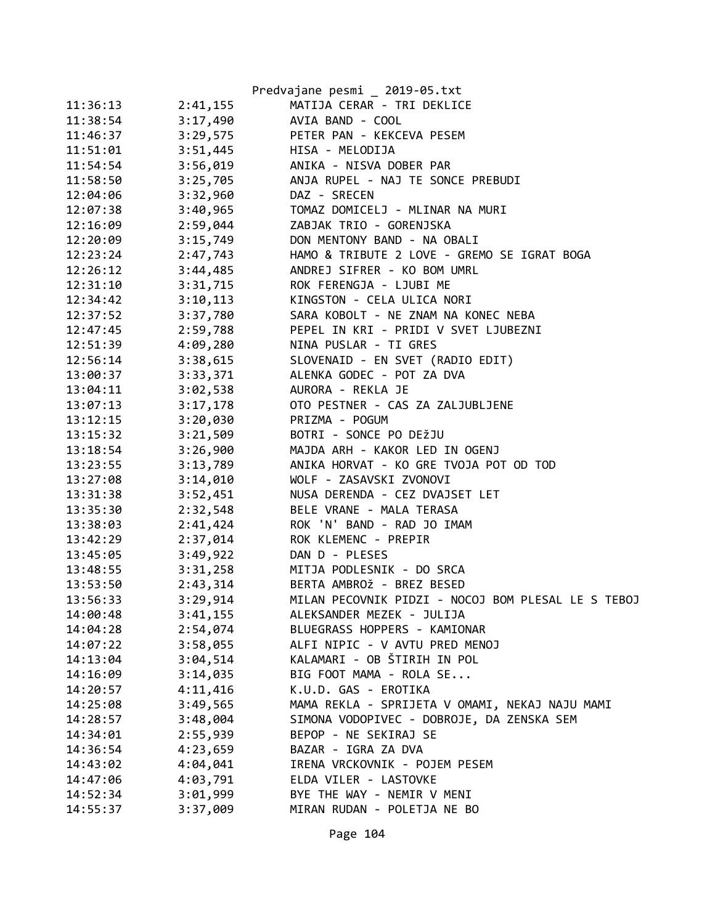|          |          | Predvajane pesmi _ 2019-05.txt                     |
|----------|----------|----------------------------------------------------|
| 11:36:13 | 2:41,155 | MATIJA CERAR - TRI DEKLICE                         |
| 11:38:54 | 3:17,490 | AVIA BAND - COOL                                   |
| 11:46:37 | 3:29,575 | PETER PAN - KEKCEVA PESEM                          |
| 11:51:01 | 3:51,445 | HISA - MELODIJA                                    |
| 11:54:54 | 3:56,019 | ANIKA - NISVA DOBER PAR                            |
| 11:58:50 | 3:25,705 | ANJA RUPEL - NAJ TE SONCE PREBUDI                  |
| 12:04:06 | 3:32,960 | DAZ - SRECEN                                       |
| 12:07:38 | 3:40,965 | TOMAZ DOMICELJ - MLINAR NA MURI                    |
| 12:16:09 | 2:59,044 | ZABJAK TRIO - GORENJSKA                            |
| 12:20:09 | 3:15,749 | DON MENTONY BAND - NA OBALI                        |
| 12:23:24 | 2:47,743 | HAMO & TRIBUTE 2 LOVE - GREMO SE IGRAT BOGA        |
| 12:26:12 | 3:44,485 | ANDREJ SIFRER - KO BOM UMRL                        |
| 12:31:10 | 3:31,715 | ROK FERENGJA - LJUBI ME                            |
| 12:34:42 | 3:10,113 | KINGSTON - CELA ULICA NORI                         |
| 12:37:52 | 3:37,780 | SARA KOBOLT - NE ZNAM NA KONEC NEBA                |
| 12:47:45 | 2:59,788 | PEPEL IN KRI - PRIDI V SVET LJUBEZNI               |
| 12:51:39 | 4:09,280 | NINA PUSLAR - TI GRES                              |
| 12:56:14 | 3:38,615 | SLOVENAID - EN SVET (RADIO EDIT)                   |
| 13:00:37 | 3:33,371 | ALENKA GODEC - POT ZA DVA                          |
| 13:04:11 | 3:02,538 | AURORA - REKLA JE                                  |
| 13:07:13 | 3:17,178 | OTO PESTNER - CAS ZA ZALJUBLJENE                   |
| 13:12:15 | 3:20,030 | PRIZMA - POGUM                                     |
| 13:15:32 | 3:21,509 | BOTRI - SONCE PO DEŽJU                             |
| 13:18:54 | 3:26,900 | MAJDA ARH - KAKOR LED IN OGENJ                     |
| 13:23:55 | 3:13,789 | ANIKA HORVAT - KO GRE TVOJA POT OD TOD             |
| 13:27:08 | 3:14,010 | WOLF - ZASAVSKI ZVONOVI                            |
| 13:31:38 | 3:52,451 | NUSA DERENDA - CEZ DVAJSET LET                     |
| 13:35:30 | 2:32,548 | BELE VRANE - MALA TERASA                           |
| 13:38:03 | 2:41,424 | ROK 'N' BAND - RAD JO IMAM                         |
| 13:42:29 | 2:37,014 | ROK KLEMENC - PREPIR                               |
| 13:45:05 | 3:49,922 | DAN D - PLESES                                     |
| 13:48:55 | 3:31,258 | MITJA PODLESNIK - DO SRCA                          |
| 13:53:50 | 2:43,314 | BERTA AMBROŽ - BREZ BESED                          |
| 13:56:33 | 3:29,914 | MILAN PECOVNIK PIDZI - NOCOJ BOM PLESAL LE S TEBOJ |
| 14:00:48 | 3:41,155 | ALEKSANDER MEZEK - JULIJA                          |
| 14:04:28 | 2:54,074 | BLUEGRASS HOPPERS - KAMIONAR                       |
| 14:07:22 | 3:58,055 | ALFI NIPIC - V AVTU PRED MENOJ                     |
| 14:13:04 | 3:04,514 | KALAMARI - OB ŠTIRIH IN POL                        |
| 14:16:09 | 3:14,035 | BIG FOOT MAMA - ROLA SE                            |
| 14:20:57 | 4:11,416 | K.U.D. GAS - EROTIKA                               |
| 14:25:08 | 3:49,565 | MAMA REKLA - SPRIJETA V OMAMI, NEKAJ NAJU MAMI     |
| 14:28:57 | 3:48,004 | SIMONA VODOPIVEC - DOBROJE, DA ZENSKA SEM          |
| 14:34:01 | 2:55,939 | BEPOP - NE SEKIRAJ SE                              |
| 14:36:54 | 4:23,659 | BAZAR - IGRA ZA DVA                                |
| 14:43:02 | 4:04,041 | IRENA VRCKOVNIK - POJEM PESEM                      |
| 14:47:06 | 4:03,791 | ELDA VILER - LASTOVKE                              |
| 14:52:34 | 3:01,999 | BYE THE WAY - NEMIR V MENI                         |
| 14:55:37 | 3:37,009 | MIRAN RUDAN - POLETJA NE BO                        |

Page 104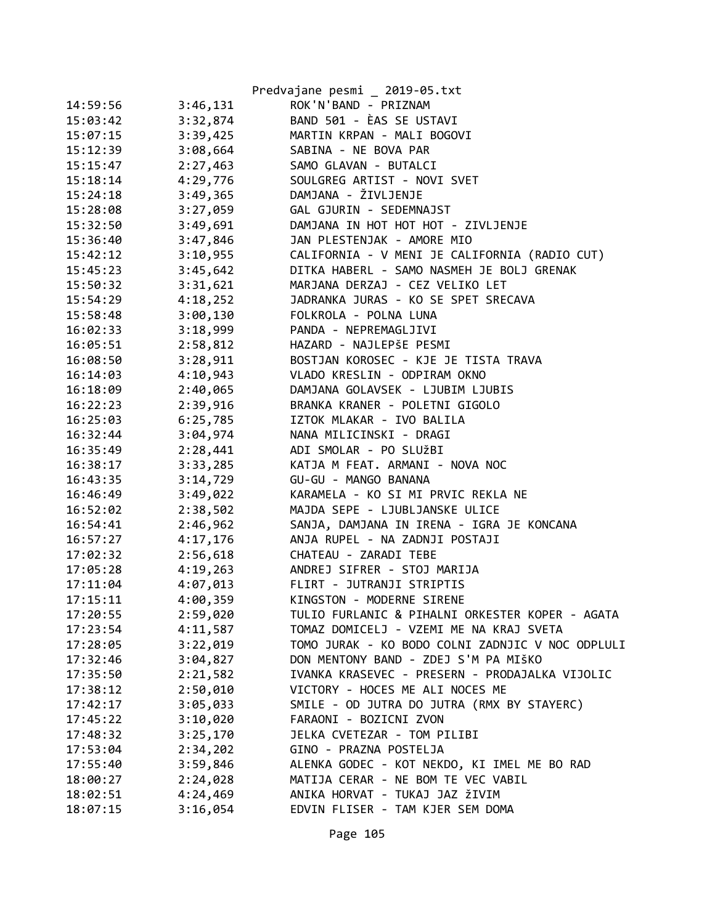|          |          | Predvajane pesmi _ 2019-05.txt                   |
|----------|----------|--------------------------------------------------|
| 14:59:56 | 3:46,131 | ROK'N'BAND - PRIZNAM                             |
| 15:03:42 | 3:32,874 | BAND 501 - ÈAS SE USTAVI                         |
| 15:07:15 | 3:39,425 | MARTIN KRPAN - MALI BOGOVI                       |
| 15:12:39 | 3:08,664 | SABINA - NE BOVA PAR                             |
| 15:15:47 | 2:27,463 | SAMO GLAVAN - BUTALCI                            |
| 15:18:14 | 4:29,776 | SOULGREG ARTIST - NOVI SVET                      |
| 15:24:18 | 3:49,365 | DAMJANA - ŽIVLJENJE                              |
| 15:28:08 | 3:27,059 | GAL GJURIN - SEDEMNAJST                          |
| 15:32:50 | 3:49,691 | DAMJANA IN HOT HOT HOT - ZIVLJENJE               |
| 15:36:40 | 3:47,846 | JAN PLESTENJAK - AMORE MIO                       |
| 15:42:12 | 3:10,955 | CALIFORNIA - V MENI JE CALIFORNIA (RADIO CUT)    |
| 15:45:23 | 3:45,642 | DITKA HABERL - SAMO NASMEH JE BOLJ GRENAK        |
| 15:50:32 | 3:31,621 | MARJANA DERZAJ - CEZ VELIKO LET                  |
| 15:54:29 | 4:18,252 | JADRANKA JURAS - KO SE SPET SRECAVA              |
| 15:58:48 | 3:00,130 | FOLKROLA - POLNA LUNA                            |
| 16:02:33 | 3:18,999 | PANDA - NEPREMAGLJIVI                            |
| 16:05:51 | 2:58,812 | HAZARD - NAJLEPŠE PESMI                          |
| 16:08:50 | 3:28,911 | BOSTJAN KOROSEC - KJE JE TISTA TRAVA             |
| 16:14:03 | 4:10,943 | VLADO KRESLIN - ODPIRAM OKNO                     |
| 16:18:09 | 2:40,065 | DAMJANA GOLAVSEK - LJUBIM LJUBIS                 |
| 16:22:23 | 2:39,916 | BRANKA KRANER - POLETNI GIGOLO                   |
| 16:25:03 | 6:25,785 | IZTOK MLAKAR - IVO BALILA                        |
| 16:32:44 | 3:04,974 | NANA MILICINSKI - DRAGI                          |
| 16:35:49 | 2:28,441 | ADI SMOLAR - PO SLUŽBI                           |
| 16:38:17 | 3:33,285 | KATJA M FEAT. ARMANI - NOVA NOC                  |
| 16:43:35 | 3:14,729 | GU-GU - MANGO BANANA                             |
| 16:46:49 | 3:49,022 | KARAMELA - KO SI MI PRVIC REKLA NE               |
| 16:52:02 | 2:38,502 | MAJDA SEPE - LJUBLJANSKE ULICE                   |
| 16:54:41 | 2:46,962 | SANJA, DAMJANA IN IRENA - IGRA JE KONCANA        |
| 16:57:27 | 4:17,176 | ANJA RUPEL - NA ZADNJI POSTAJI                   |
| 17:02:32 | 2:56,618 | CHATEAU - ZARADI TEBE                            |
| 17:05:28 | 4:19,263 | ANDREJ SIFRER - STOJ MARIJA                      |
| 17:11:04 | 4:07,013 | FLIRT - JUTRANJI STRIPTIS                        |
| 17:15:11 | 4:00,359 | KINGSTON - MODERNE SIRENE                        |
| 17:20:55 | 2:59,020 | TULIO FURLANIC & PIHALNI ORKESTER KOPER - AGATA  |
| 17:23:54 | 4:11,587 | TOMAZ DOMICELJ - VZEMI ME NA KRAJ SVETA          |
| 17:28:05 | 3:22,019 | TOMO JURAK - KO BODO COLNI ZADNJIC V NOC ODPLULI |
| 17:32:46 | 3:04,827 | DON MENTONY BAND - ZDEJ S'M PA MIŠKO             |
| 17:35:50 | 2:21,582 | IVANKA KRASEVEC - PRESERN - PRODAJALKA VIJOLIC   |
| 17:38:12 | 2:50,010 | VICTORY - HOCES ME ALI NOCES ME                  |
| 17:42:17 | 3:05,033 | SMILE - OD JUTRA DO JUTRA (RMX BY STAYERC)       |
| 17:45:22 | 3:10,020 | FARAONI - BOZICNI ZVON                           |
| 17:48:32 | 3:25,170 | JELKA CVETEZAR - TOM PILIBI                      |
| 17:53:04 | 2:34,202 | GINO - PRAZNA POSTELJA                           |
| 17:55:40 | 3:59,846 | ALENKA GODEC - KOT NEKDO, KI IMEL ME BO RAD      |
| 18:00:27 | 2:24,028 | MATIJA CERAR - NE BOM TE VEC VABIL               |
| 18:02:51 | 4:24,469 | ANIKA HORVAT - TUKAJ JAZ ŽIVIM                   |
| 18:07:15 | 3:16,054 | EDVIN FLISER - TAM KJER SEM DOMA                 |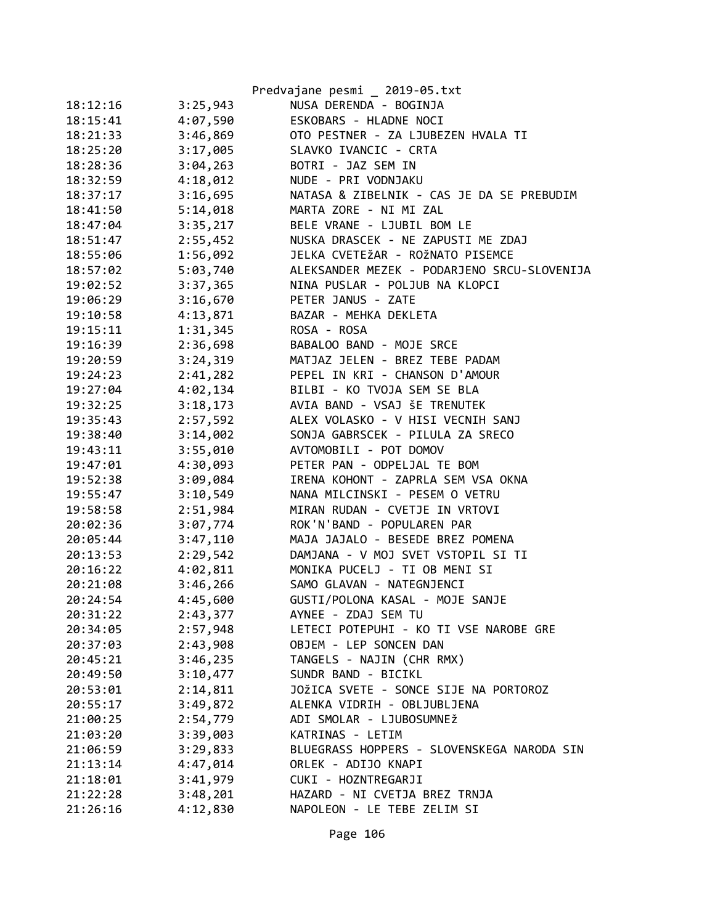|          |          | Predvajane pesmi _ 2019-05.txt              |
|----------|----------|---------------------------------------------|
| 18:12:16 | 3:25,943 | NUSA DERENDA - BOGINJA                      |
| 18:15:41 | 4:07,590 | ESKOBARS - HLADNE NOCI                      |
| 18:21:33 | 3:46,869 | OTO PESTNER - ZA LJUBEZEN HVALA TI          |
| 18:25:20 | 3:17,005 | SLAVKO IVANCIC - CRTA                       |
| 18:28:36 | 3:04,263 | BOTRI - JAZ SEM IN                          |
| 18:32:59 | 4:18,012 | NUDE - PRI VODNJAKU                         |
| 18:37:17 | 3:16,695 | NATASA & ZIBELNIK - CAS JE DA SE PREBUDIM   |
| 18:41:50 | 5:14,018 | MARTA ZORE - NI MI ZAL                      |
| 18:47:04 | 3:35,217 | BELE VRANE - LJUBIL BOM LE                  |
| 18:51:47 | 2:55,452 | NUSKA DRASCEK - NE ZAPUSTI ME ZDAJ          |
| 18:55:06 | 1:56,092 | JELKA CVETEŽAR - ROŽNATO PISEMCE            |
| 18:57:02 | 5:03,740 | ALEKSANDER MEZEK - PODARJENO SRCU-SLOVENIJA |
| 19:02:52 | 3:37,365 | NINA PUSLAR - POLJUB NA KLOPCI              |
| 19:06:29 | 3:16,670 | PETER JANUS - ZATE                          |
| 19:10:58 | 4:13,871 | BAZAR - MEHKA DEKLETA                       |
| 19:15:11 | 1:31,345 | ROSA - ROSA                                 |
| 19:16:39 | 2:36,698 | BABALOO BAND - MOJE SRCE                    |
| 19:20:59 | 3:24,319 | MATJAZ JELEN - BREZ TEBE PADAM              |
| 19:24:23 | 2:41,282 | PEPEL IN KRI - CHANSON D'AMOUR              |
| 19:27:04 | 4:02,134 | BILBI - KO TVOJA SEM SE BLA                 |
| 19:32:25 | 3:18,173 | AVIA BAND - VSAJ ŠE TRENUTEK                |
| 19:35:43 | 2:57,592 | ALEX VOLASKO - V HISI VECNIH SANJ           |
| 19:38:40 | 3:14,002 | SONJA GABRSCEK - PILULA ZA SRECO            |
| 19:43:11 | 3:55,010 | AVTOMOBILI - POT DOMOV                      |
| 19:47:01 | 4:30,093 | PETER PAN - ODPELJAL TE BOM                 |
| 19:52:38 | 3:09,084 | IRENA KOHONT - ZAPRLA SEM VSA OKNA          |
| 19:55:47 | 3:10,549 | NANA MILCINSKI - PESEM O VETRU              |
| 19:58:58 | 2:51,984 | MIRAN RUDAN - CVETJE IN VRTOVI              |
| 20:02:36 | 3:07,774 | ROK'N'BAND - POPULAREN PAR                  |
| 20:05:44 | 3:47,110 | MAJA JAJALO - BESEDE BREZ POMENA            |
| 20:13:53 | 2:29,542 | DAMJANA - V MOJ SVET VSTOPIL SI TI          |
| 20:16:22 | 4:02,811 | MONIKA PUCELJ - TI OB MENI SI               |
| 20:21:08 | 3:46,266 | SAMO GLAVAN - NATEGNJENCI                   |
| 20:24:54 | 4:45,600 | GUSTI/POLONA KASAL - MOJE SANJE             |
| 20:31:22 | 2:43,377 | AYNEE - ZDAJ SEM TU                         |
| 20:34:05 | 2:57,948 | LETECI POTEPUHI - KO TI VSE NAROBE GRE      |
| 20:37:03 | 2:43,908 | OBJEM - LEP SONCEN DAN                      |
| 20:45:21 | 3:46,235 | TANGELS - NAJIN (CHR RMX)                   |
| 20:49:50 | 3:10,477 | SUNDR BAND - BICIKL                         |
| 20:53:01 | 2:14,811 | JOŽICA SVETE - SONCE SIJE NA PORTOROZ       |
| 20:55:17 | 3:49,872 | ALENKA VIDRIH - OBLJUBLJENA                 |
| 21:00:25 | 2:54,779 | ADI SMOLAR - LJUBOSUMNEŽ                    |
| 21:03:20 | 3:39,003 | KATRINAS - LETIM                            |
| 21:06:59 | 3:29,833 | BLUEGRASS HOPPERS - SLOVENSKEGA NARODA SIN  |
| 21:13:14 | 4:47,014 | ORLEK - ADIJO KNAPI                         |
| 21:18:01 | 3:41,979 | CUKI - HOZNTREGARJI                         |
| 21:22:28 | 3:48,201 | HAZARD - NI CVETJA BREZ TRNJA               |
| 21:26:16 | 4:12,830 | NAPOLEON - LE TEBE ZELIM SI                 |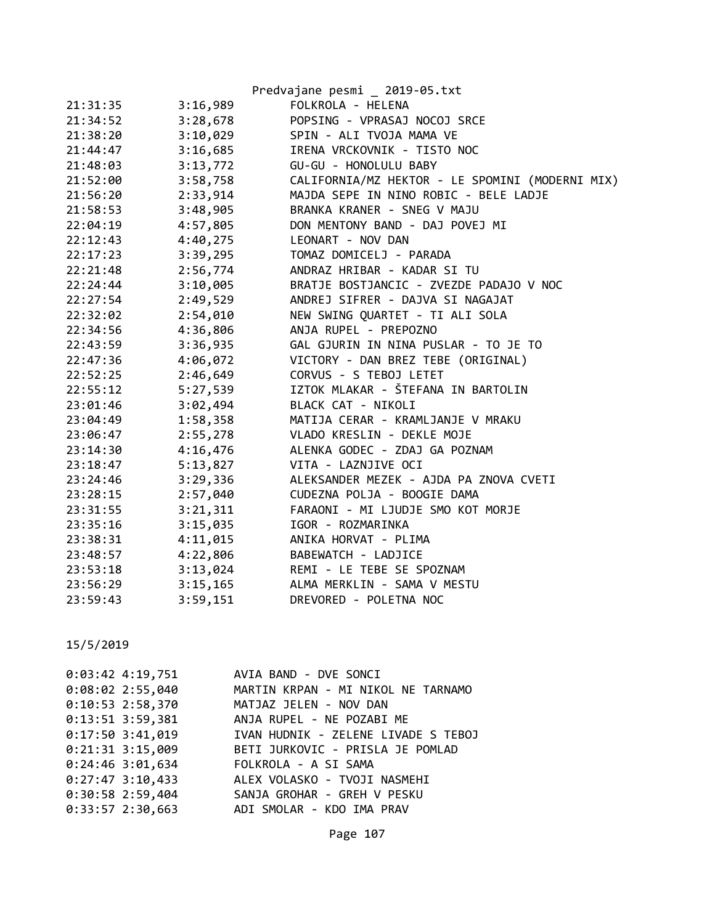|          |          | Predvajane pesmi _ 2019-05.txt                  |
|----------|----------|-------------------------------------------------|
| 21:31:35 | 3:16,989 | FOLKROLA - HELENA                               |
| 21:34:52 | 3:28,678 | POPSING - VPRASAJ NOCOJ SRCE                    |
| 21:38:20 | 3:10,029 | SPIN - ALI TVOJA MAMA VE                        |
| 21:44:47 | 3:16,685 | IRENA VRCKOVNIK - TISTO NOC                     |
| 21:48:03 | 3:13,772 | GU-GU - HONOLULU BABY                           |
| 21:52:00 | 3:58,758 | CALIFORNIA/MZ HEKTOR - LE SPOMINI (MODERNI MIX) |
| 21:56:20 | 2:33,914 | MAJDA SEPE IN NINO ROBIC - BELE LADJE           |
| 21:58:53 | 3:48,905 | BRANKA KRANER - SNEG V MAJU                     |
| 22:04:19 | 4:57,805 | DON MENTONY BAND - DAJ POVEJ MI                 |
| 22:12:43 | 4:40,275 | LEONART - NOV DAN                               |
| 22:17:23 | 3:39,295 | TOMAZ DOMICELJ - PARADA                         |
| 22:21:48 | 2:56,774 | ANDRAZ HRIBAR - KADAR SI TU                     |
| 22:24:44 | 3:10,005 | BRATJE BOSTJANCIC - ZVEZDE PADAJO V NOC         |
| 22:27:54 | 2:49,529 | ANDREJ SIFRER - DAJVA SI NAGAJAT                |
| 22:32:02 | 2:54,010 | NEW SWING QUARTET - TI ALI SOLA                 |
| 22:34:56 | 4:36,806 | ANJA RUPEL - PREPOZNO                           |
| 22:43:59 | 3:36,935 | GAL GJURIN IN NINA PUSLAR - TO JE TO            |
| 22:47:36 | 4:06,072 | VICTORY - DAN BREZ TEBE (ORIGINAL)              |
| 22:52:25 | 2:46,649 | CORVUS - S TEBOJ LETET                          |
| 22:55:12 | 5:27,539 | IZTOK MLAKAR - ŠTEFANA IN BARTOLIN              |
| 23:01:46 | 3:02,494 | BLACK CAT - NIKOLI                              |
| 23:04:49 | 1:58,358 | MATIJA CERAR - KRAMLJANJE V MRAKU               |
| 23:06:47 | 2:55,278 | VLADO KRESLIN - DEKLE MOJE                      |
| 23:14:30 | 4:16,476 | ALENKA GODEC - ZDAJ GA POZNAM                   |
| 23:18:47 | 5:13,827 | VITA - LAZNJIVE OCI                             |
| 23:24:46 | 3:29,336 | ALEKSANDER MEZEK - AJDA PA ZNOVA CVETI          |
| 23:28:15 | 2:57,040 | CUDEZNA POLJA - BOOGIE DAMA                     |
| 23:31:55 | 3:21,311 | FARAONI - MI LJUDJE SMO KOT MORJE               |
| 23:35:16 | 3:15,035 | IGOR - ROZMARINKA                               |
| 23:38:31 | 4:11,015 | ANIKA HORVAT - PLIMA                            |
| 23:48:57 | 4:22,806 | BABEWATCH - LADJICE                             |
| 23:53:18 | 3:13,024 | REMI - LE TEBE SE SPOZNAM                       |
| 23:56:29 | 3:15,165 | ALMA MERKLIN - SAMA V MESTU                     |
| 23:59:43 | 3:59,151 | DREVORED - POLETNA NOC                          |

| 0:03:42 4:19,751 AVIA BAND - DVE SONCI       |                                     |  |
|----------------------------------------------|-------------------------------------|--|
| $0:08:02$ 2:55,040                           | MARTIN KRPAN - MI NIKOL NE TARNAMO  |  |
| $0:10:53$ 2:58,370                           | MATJAZ JELEN - NOV DAN              |  |
| $0:13:51$ 3:59,381                           | ANJA RUPEL - NE POZABI ME           |  |
| $0:17:50$ 3:41,019                           | IVAN HUDNIK - ZELENE LIVADE S TEBOJ |  |
| $0:21:31$ 3:15,009                           | BETI JURKOVIC - PRISLA JE POMLAD    |  |
| $0:24:46$ 3:01,634                           | FOLKROLA - A SI SAMA                |  |
| $0:27:47$ 3:10,433                           | ALEX VOLASKO - TVOJI NASMEHI        |  |
| 0:30:58 2:59,404 SANJA GROHAR - GREH V PESKU |                                     |  |
| 0:33:57 2:30,663 ADI SMOLAR - KDO IMA PRAV   |                                     |  |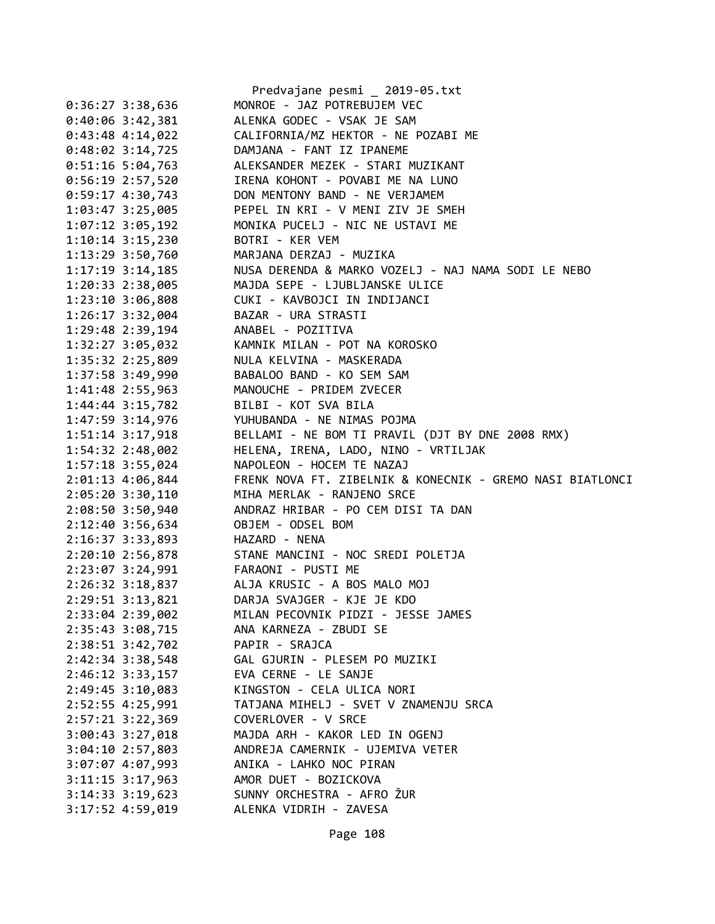|                      | Predvajane pesmi _ 2019-05.txt                            |
|----------------------|-----------------------------------------------------------|
| $0:36:27$ 3:38,636   | MONROE - JAZ POTREBUJEM VEC                               |
| $0:40:06$ 3:42,381   | ALENKA GODEC - VSAK JE SAM                                |
| $0:43:48$ 4:14,022   | CALIFORNIA/MZ HEKTOR - NE POZABI ME                       |
| $0:48:02 \ 3:14,725$ | DAMJANA - FANT IZ IPANEME                                 |
| $0:51:16$ 5:04,763   | ALEKSANDER MEZEK - STARI MUZIKANT                         |
| $0:56:19$ 2:57,520   | IRENA KOHONT - POVABI ME NA LUNO                          |
| $0:59:17$ 4:30,743   | DON MENTONY BAND - NE VERJAMEM                            |
| 1:03:47 3:25,005     | PEPEL IN KRI - V MENI ZIV JE SMEH                         |
| 1:07:12 3:05,192     | MONIKA PUCELJ - NIC NE USTAVI ME                          |
| $1:10:14$ 3:15,230   | BOTRI - KER VEM                                           |
| 1:13:29 3:50,760     | MARJANA DERZAJ - MUZIKA                                   |
| $1:17:19$ 3:14,185   | NUSA DERENDA & MARKO VOZELJ - NAJ NAMA SODI LE NEBO       |
| 1:20:33 2:38,005     | MAJDA SEPE - LJUBLJANSKE ULICE                            |
| 1:23:10 3:06,808     | CUKI - KAVBOJCI IN INDIJANCI                              |
| 1:26:17 3:32,004     | BAZAR - URA STRASTI                                       |
| 1:29:48 2:39,194     | ANABEL - POZITIVA                                         |
| 1:32:27 3:05,032     | KAMNIK MILAN - POT NA KOROSKO                             |
| 1:35:32 2:25,809     | NULA KELVINA - MASKERADA                                  |
| 1:37:58 3:49,990     | BABALOO BAND - KO SEM SAM                                 |
| 1:41:48 2:55,963     | MANOUCHE - PRIDEM ZVECER                                  |
| $1:44:44$ 3:15,782   | BILBI - KOT SVA BILA                                      |
| 1:47:59 3:14,976     | YUHUBANDA - NE NIMAS POJMA                                |
| $1:51:14$ $3:17,918$ | BELLAMI - NE BOM TI PRAVIL (DJT BY DNE 2008 RMX)          |
| 1:54:32 2:48,002     | HELENA, IRENA, LADO, NINO - VRTILJAK                      |
| 1:57:18 3:55,024     | NAPOLEON - HOCEM TE NAZAJ                                 |
| 2:01:13 4:06,844     | FRENK NOVA FT. ZIBELNIK & KONECNIK - GREMO NASI BIATLONCI |
| 2:05:20 3:30,110     | MIHA MERLAK - RANJENO SRCE                                |
| 2:08:50 3:50,940     | ANDRAZ HRIBAR - PO CEM DISI TA DAN                        |
| 2:12:40 3:56,634     | OBJEM - ODSEL BOM                                         |
| 2:16:37 3:33,893     | HAZARD - NENA                                             |
| 2:20:10 2:56,878     | STANE MANCINI - NOC SREDI POLETJA                         |
| 2:23:07 3:24,991     | FARAONI - PUSTI ME                                        |
| 2:26:32 3:18,837     | ALJA KRUSIC - A BOS MALO MOJ                              |
| 2:29:51 3:13,821     | DARJA SVAJGER - KJE JE KDO                                |
| 2:33:04 2:39,002     | MILAN PECOVNIK PIDZI - JESSE JAMES                        |
| 2:35:43 3:08,715     | ANA KARNEZA - ZBUDI SE                                    |
| 2:38:51 3:42,702     | PAPIR - SRAJCA                                            |
| 2:42:34 3:38,548     | GAL GJURIN - PLESEM PO MUZIKI                             |
| $2:46:12$ $3:33,157$ | EVA CERNE - LE SANJE                                      |
| 2:49:45 3:10,083     | KINGSTON - CELA ULICA NORI                                |
| 2:52:55 4:25,991     | TATJANA MIHELJ - SVET V ZNAMENJU SRCA                     |
| 2:57:21 3:22,369     | COVERLOVER - V SRCE                                       |
| 3:00:43 3:27,018     | MAJDA ARH - KAKOR LED IN OGENJ                            |
| $3:04:10$ 2:57,803   | ANDREJA CAMERNIK - UJEMIVA VETER                          |
| 3:07:07 4:07,993     | ANIKA - LAHKO NOC PIRAN                                   |
| $3:11:15$ $3:17,963$ | AMOR DUET - BOZICKOVA                                     |
| 3:14:33 3:19,623     | SUNNY ORCHESTRA - AFRO ŽUR                                |
| 3:17:52 4:59,019     | ALENKA VIDRIH - ZAVESA                                    |
|                      |                                                           |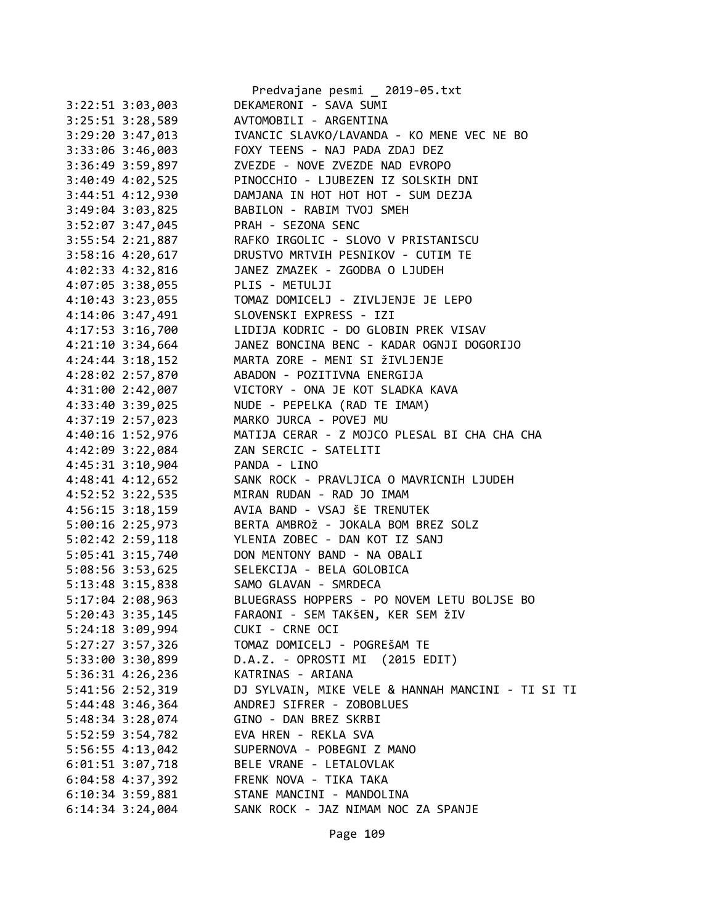|                    | Predvajane pesmi _ 2019-05.txt                           |
|--------------------|----------------------------------------------------------|
| 3:22:51 3:03,003   | DEKAMERONI - SAVA SUMI                                   |
| 3:25:51 3:28,589   | AVTOMOBILI - ARGENTINA                                   |
| 3:29:20 3:47,013   | IVANCIC SLAVKO/LAVANDA - KO MENE VEC NE BO               |
| 3:33:06 3:46,003   | FOXY TEENS - NAJ PADA ZDAJ DEZ                           |
| 3:36:49 3:59,897   | ZVEZDE - NOVE ZVEZDE NAD EVROPO                          |
| 3:40:49 4:02,525   | PINOCCHIO - LJUBEZEN IZ SOLSKIH DNI                      |
| 3:44:51 4:12,930   | DAMJANA IN HOT HOT HOT - SUM DEZJA                       |
| 3:49:04 3:03,825   | BABILON - RABIM TVOJ SMEH                                |
| 3:52:07 3:47,045   | PRAH - SEZONA SENC                                       |
| $3:55:54$ 2:21,887 | RAFKO IRGOLIC - SLOVO V PRISTANISCU                      |
| 3:58:16 4:20,617   | DRUSTVO MRTVIH PESNIKOV - CUTIM TE                       |
|                    | 4:02:33 4:32,816 JANEZ ZMAZEK - ZGODBA O LJUDEH          |
| 4:07:05 3:38,055   | PLIS - METULJI                                           |
| 4:10:43 3:23,055   | TOMAZ DOMICELJ - ZIVLJENJE JE LEPO                       |
| 4:14:06 3:47,491   | SLOVENSKI EXPRESS - IZI                                  |
| 4:17:53 3:16,700   | LIDIJA KODRIC - DO GLOBIN PREK VISAV                     |
| $4:21:10$ 3:34,664 | JANEZ BONCINA BENC - KADAR OGNJI DOGORIJO                |
| $4:24:44$ 3:18,152 | MARTA ZORE - MENI SI ŽIVLJENJE                           |
|                    | 4:28:02 2:57,870 ABADON - POZITIVNA ENERGIJA             |
| 4:31:00 2:42,007   | VICTORY - ONA JE KOT SLADKA KAVA                         |
| 4:33:40 3:39,025   | NUDE - PEPELKA (RAD TE IMAM)                             |
| 4:37:19 2:57,023   | MARKO JURCA - POVEJ MU                                   |
| 4:40:16 1:52,976   | MATIJA CERAR - Z MOJCO PLESAL BI CHA CHA CHA             |
| 4:42:09 3:22,084   | ZAN SERCIC - SATELITI                                    |
| 4:45:31 3:10,904   |                                                          |
|                    | PANDA - LINO<br>SANK ROCK - PRAVLJICA O MAVRICNIH LJUDEH |
| 4:48:41 4:12,652   | MIRAN RUDAN - RAD JO IMAM                                |
| 4:52:52 3:22,535   | AVIA BAND - VSAJ ŠE TRENUTEK                             |
| 4:56:15 3:18,159   | BERTA AMBROŽ - JOKALA BOM BREZ SOLZ                      |
| 5:00:16 2:25,973   |                                                          |
| 5:02:42 2:59,118   | YLENIA ZOBEC - DAN KOT IZ SANJ                           |
|                    | 5:05:41 3:15,740 DON MENTONY BAND - NA OBALI             |
|                    | 5:08:56 3:53,625 SELEKCIJA - BELA GOLOBICA               |
|                    | 5:13:48 3:15,838 SAMO GLAVAN - SMRDECA                   |
| 5:17:04 2:08,963   | BLUEGRASS HOPPERS - PO NOVEM LETU BOLJSE BO              |
| 5:20:43 3:35,145   | FARAONI - SEM TAKŠEN, KER SEM ŽIV                        |
| 5:24:18 3:09,994   | CUKI - CRNE OCI                                          |
| 5:27:27 3:57,326   | TOMAZ DOMICELJ - POGREŠAM TE                             |
| 5:33:00 3:30,899   | D.A.Z. - OPROSTI MI (2015 EDIT)                          |
| $5:36:31$ 4:26,236 | KATRINAS - ARIANA                                        |
| 5:41:56 2:52,319   | DJ SYLVAIN, MIKE VELE & HANNAH MANCINI - TI SI TI        |
| 5:44:48 3:46,364   | ANDREJ SIFRER - ZOBOBLUES                                |
| 5:48:34 3:28,074   | GINO - DAN BREZ SKRBI                                    |
| 5:52:59 3:54,782   | EVA HREN - REKLA SVA                                     |
| 5:56:55 4:13,042   | SUPERNOVA - POBEGNI Z MANO                               |
| $6:01:51$ 3:07,718 | BELE VRANE - LETALOVLAK                                  |
| $6:04:58$ 4:37,392 | FRENK NOVA - TIKA TAKA                                   |
| $6:10:34$ 3:59,881 | STANE MANCINI - MANDOLINA                                |
| $6:14:34$ 3:24,004 | SANK ROCK - JAZ NIMAM NOC ZA SPANJE                      |

Page 109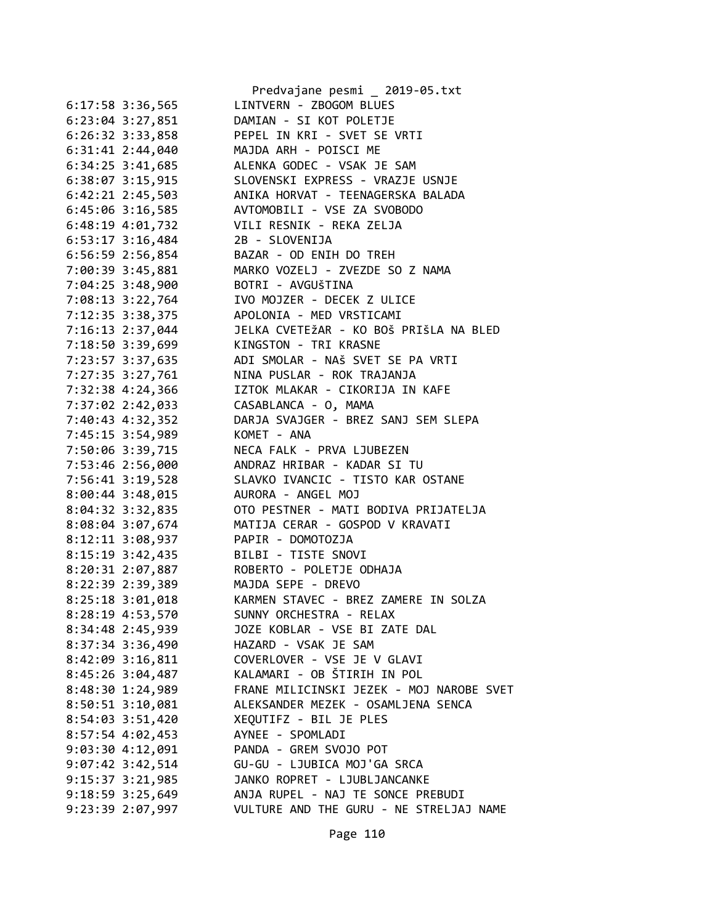|                                      | Predvajane pesmi _ 2019-05.txt                             |
|--------------------------------------|------------------------------------------------------------|
| $6:17:58$ 3:36,565                   | LINTVERN - ZBOGOM BLUES                                    |
| $6:23:04$ $3:27,851$                 | DAMIAN - SI KOT POLETJE                                    |
| $6:26:32$ $3:33,858$                 | PEPEL IN KRI - SVET SE VRTI                                |
| $6:31:41$ 2:44,040                   | MAJDA ARH - POISCI ME                                      |
| $6:34:25$ 3:41,685                   | ALENKA GODEC - VSAK JE SAM                                 |
| 6:38:07 3:15,915                     | SLOVENSKI EXPRESS - VRAZJE USNJE                           |
| $6:42:21$ $2:45,503$                 | ANIKA HORVAT - TEENAGERSKA BALADA                          |
| 6:45:06 3:16,585                     | AVTOMOBILI - VSE ZA SVOBODO                                |
| 6:48:19 4:01,732                     | VILI RESNIK - REKA ZELJA                                   |
| $6:53:17$ $3:16,484$                 | 2B - SLOVENIJA                                             |
| $6:56:59$ 2:56,854                   | BAZAR - OD ENIH DO TREH                                    |
| 7:00:39 3:45,881                     | MARKO VOZELJ - ZVEZDE SO Z NAMA                            |
| 7:04:25 3:48,900                     | BOTRI - AVGUŠTINA                                          |
| 7:08:13 3:22,764                     | IVO MOJZER - DECEK Z ULICE                                 |
| 7:12:35 3:38,375                     | APOLONIA - MED VRSTICAMI                                   |
| 7:16:13 2:37,044                     | JELKA CVETEŽAR - KO BOŠ PRIŠLA NA BLED                     |
| 7:18:50 3:39,699                     | KINGSTON - TRI KRASNE                                      |
| 7:23:57 3:37,635                     | ADI SMOLAR - NAŠ SVET SE PA VRTI                           |
| 7:27:35 3:27,761                     | NINA PUSLAR - ROK TRAJANJA                                 |
| 7:32:38 4:24,366                     | IZTOK MLAKAR - CIKORIJA IN KAFE                            |
| 7:37:02 2:42,033                     | CASABLANCA - O, MAMA                                       |
| 7:40:43 4:32,352                     | DARJA SVAJGER - BREZ SANJ SEM SLEPA                        |
| 7:45:15 3:54,989                     | KOMET - ANA                                                |
| 7:50:06 3:39,715                     | NECA FALK - PRVA LJUBEZEN                                  |
| 7:53:46 2:56,000                     | ANDRAZ HRIBAR - KADAR SI TU                                |
| 7:56:41 3:19,528                     | SLAVKO IVANCIC - TISTO KAR OSTANE                          |
| $8:00:44$ 3:48,015                   | AURORA - ANGEL MOJ                                         |
| 8:04:32 3:32,835                     | OTO PESTNER - MATI BODIVA PRIJATELJA                       |
| 8:08:04 3:07,674                     | MATIJA CERAR - GOSPOD V KRAVATI                            |
| 8:12:11 3:08,937                     | PAPIR - DOMOTOZJA                                          |
| 8:15:19 3:42,435                     | BILBI - TISTE SNOVI                                        |
|                                      | ROBERTO - POLETJE ODHAJA                                   |
| 8:20:31 2:07,887                     |                                                            |
| 8:22:39 2:39,389<br>8:25:18 3:01,018 | MAJDA SEPE - DREVO<br>KARMEN STAVEC - BREZ ZAMERE IN SOLZA |
|                                      | SUNNY ORCHESTRA - RELAX                                    |
| 8:28:19 4:53,570                     |                                                            |
| 8:34:48 2:45,939                     | JOZE KOBLAR - VSE BI ZATE DAL                              |
| 8:37:34 3:36,490                     | HAZARD - VSAK JE SAM                                       |
| $8:42:09$ 3:16,811                   | COVERLOVER - VSE JE V GLAVI                                |
| 8:45:26 3:04,487                     | KALAMARI - OB ŠTIRIH IN POL                                |
| 8:48:30 1:24,989                     | FRANE MILICINSKI JEZEK - MOJ NAROBE SVET                   |
| 8:50:51 3:10,081                     | ALEKSANDER MEZEK - OSAMLJENA SENCA                         |
| 8:54:03 3:51,420                     | XEQUTIFZ - BIL JE PLES                                     |
| 8:57:54 4:02,453                     | AYNEE - SPOMLADI                                           |
| $9:03:30$ 4:12,091                   | PANDA - GREM SVOJO POT                                     |
| $9:07:42$ 3:42,514                   | GU-GU - LJUBICA MOJ'GA SRCA                                |
| $9:15:37$ $3:21,985$                 | JANKO ROPRET - LJUBLJANCANKE                               |
| $9:18:59$ $3:25,649$                 | ANJA RUPEL - NAJ TE SONCE PREBUDI                          |
| 9:23:39 2:07,997                     | VULTURE AND THE GURU - NE STRELJAJ NAME                    |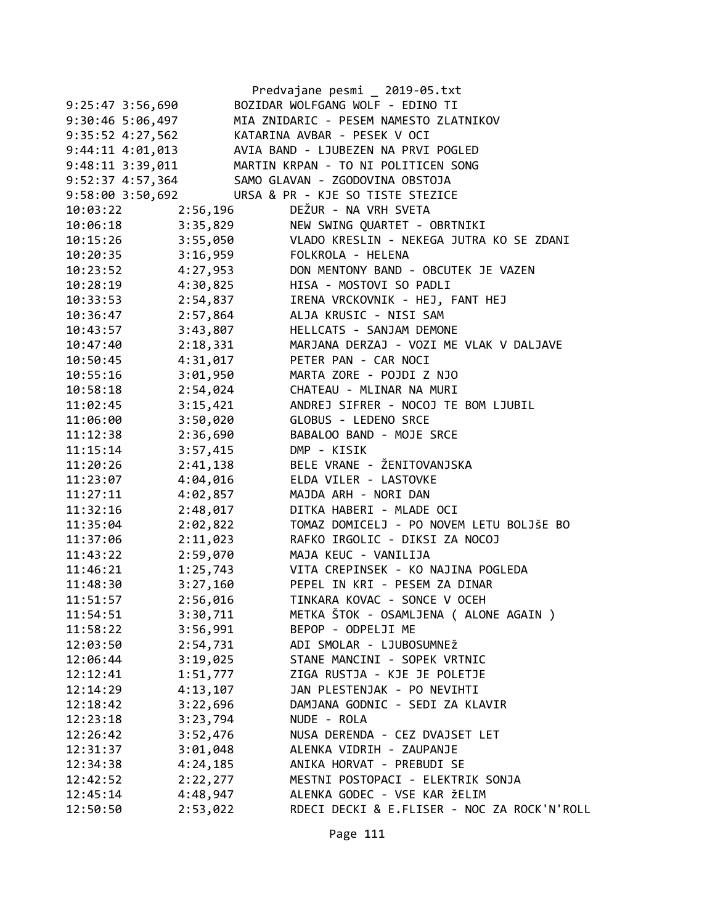|                      |          | Predvajane pesmi _ 2019-05.txt              |
|----------------------|----------|---------------------------------------------|
| $9:25:47$ 3:56,690   |          | BOZIDAR WOLFGANG WOLF - EDINO TI            |
| $9:30:46$ 5:06,497   |          | MIA ZNIDARIC - PESEM NAMESTO ZLATNIKOV      |
| $9:35:52$ $4:27,562$ |          | KATARINA AVBAR - PESEK V OCI                |
| $9:44:11$ $4:01,013$ |          | AVIA BAND - LJUBEZEN NA PRVI POGLED         |
| 9:48:11 3:39,011     |          | MARTIN KRPAN - TO NI POLITICEN SONG         |
| 9:52:37 4:57,364     |          | SAMO GLAVAN - ZGODOVINA OBSTOJA             |
| 9:58:00 3:50,692     |          | URSA & PR - KJE SO TISTE STEZICE            |
| 10:03:22             | 2:56,196 | DEŽUR - NA VRH SVETA                        |
| 10:06:18             | 3:35,829 | NEW SWING QUARTET - OBRTNIKI                |
| 10:15:26             | 3:55,050 | VLADO KRESLIN - NEKEGA JUTRA KO SE ZDANI    |
| 10:20:35             | 3:16,959 | FOLKROLA - HELENA                           |
| 10:23:52             | 4:27,953 | DON MENTONY BAND - OBCUTEK JE VAZEN         |
| 10:28:19             | 4:30,825 | HISA - MOSTOVI SO PADLI                     |
| 10:33:53             | 2:54,837 | IRENA VRCKOVNIK - HEJ, FANT HEJ             |
| 10:36:47             | 2:57,864 | ALJA KRUSIC - NISI SAM                      |
| 10:43:57             | 3:43,807 | HELLCATS - SANJAM DEMONE                    |
| 10:47:40             | 2:18,331 | MARJANA DERZAJ - VOZI ME VLAK V DALJAVE     |
| 10:50:45             | 4:31,017 | PETER PAN - CAR NOCI                        |
| 10:55:16             | 3:01,950 | MARTA ZORE - POJDI Z NJO                    |
| 10:58:18             | 2:54,024 | CHATEAU - MLINAR NA MURI                    |
| 11:02:45             | 3:15,421 | ANDREJ SIFRER - NOCOJ TE BOM LJUBIL         |
| 11:06:00             | 3:50,020 | GLOBUS - LEDENO SRCE                        |
| 11:12:38             | 2:36,690 | BABALOO BAND - MOJE SRCE                    |
| 11:15:14             | 3:57,415 | DMP - KISIK                                 |
| 11:20:26             | 2:41,138 | BELE VRANE - ŽENITOVANJSKA                  |
| 11:23:07             | 4:04,016 | ELDA VILER - LASTOVKE                       |
| 11:27:11             | 4:02,857 | MAJDA ARH - NORI DAN                        |
| 11:32:16             | 2:48,017 | DITKA HABERI - MLADE OCI                    |
| 11:35:04             | 2:02,822 | TOMAZ DOMICELJ - PO NOVEM LETU BOLJŠE BO    |
| 11:37:06             | 2:11,023 | RAFKO IRGOLIC - DIKSI ZA NOCOJ              |
| 11:43:22             | 2:59,070 | MAJA KEUC - VANILIJA                        |
| 11:46:21             | 1:25,743 | VITA CREPINSEK - KO NAJINA POGLEDA          |
| 11:48:30             | 3:27,160 | PEPEL IN KRI - PESEM ZA DINAR               |
| 11:51:57             | 2:56,016 | TINKARA KOVAC - SONCE V OCEH                |
| 11:54:51             | 3:30,711 | METKA ŠTOK - OSAMLJENA ( ALONE AGAIN )      |
| 11:58:22             | 3:56,991 | BEPOP - ODPELJI ME                          |
| 12:03:50             | 2:54,731 | ADI SMOLAR - LJUBOSUMNEŽ                    |
| 12:06:44             | 3:19,025 | STANE MANCINI - SOPEK VRTNIC                |
| 12:12:41             | 1:51,777 | ZIGA RUSTJA - KJE JE POLETJE                |
| 12:14:29             | 4:13,107 | JAN PLESTENJAK - PO NEVIHTI                 |
| 12:18:42             | 3:22,696 | DAMJANA GODNIC - SEDI ZA KLAVIR             |
| 12:23:18             | 3:23,794 | NUDE - ROLA                                 |
| 12:26:42             | 3:52,476 | NUSA DERENDA - CEZ DVAJSET LET              |
| 12:31:37             | 3:01,048 | ALENKA VIDRIH - ZAUPANJE                    |
| 12:34:38             | 4:24,185 | ANIKA HORVAT - PREBUDI SE                   |
| 12:42:52             | 2:22,277 | MESTNI POSTOPACI - ELEKTRIK SONJA           |
| 12:45:14             | 4:48,947 | ALENKA GODEC - VSE KAR ŽELIM                |
| 12:50:50             | 2:53,022 | RDECI DECKI & E.FLISER - NOC ZA ROCK'N'ROLL |
|                      |          |                                             |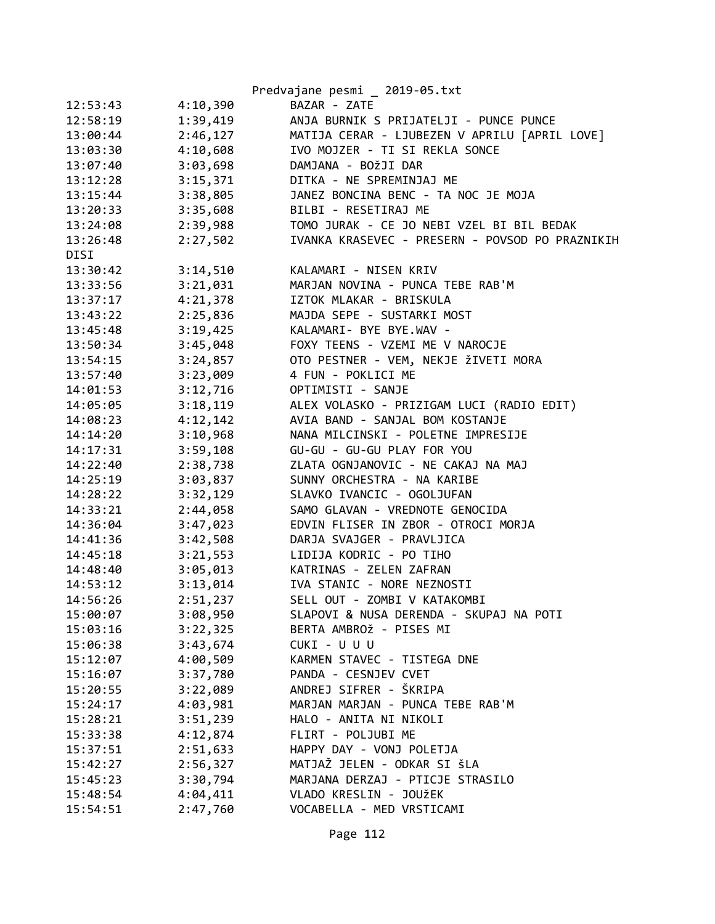|          |          | Predvajane pesmi _ 2019-05.txt                  |
|----------|----------|-------------------------------------------------|
| 12:53:43 | 4:10,390 | BAZAR - ZATE                                    |
| 12:58:19 | 1:39,419 | ANJA BURNIK S PRIJATELJI - PUNCE PUNCE          |
| 13:00:44 | 2:46,127 | MATIJA CERAR - LJUBEZEN V APRILU [APRIL LOVE]   |
| 13:03:30 | 4:10,608 | IVO MOJZER - TI SI REKLA SONCE                  |
| 13:07:40 | 3:03,698 | DAMJANA - BOŽJI DAR                             |
| 13:12:28 | 3:15,371 | DITKA - NE SPREMINJAJ ME                        |
| 13:15:44 | 3:38,805 | JANEZ BONCINA BENC - TA NOC JE MOJA             |
| 13:20:33 | 3:35,608 | BILBI - RESETIRAJ ME                            |
| 13:24:08 | 2:39,988 | TOMO JURAK - CE JO NEBI VZEL BI BIL BEDAK       |
| 13:26:48 | 2:27,502 | IVANKA KRASEVEC - PRESERN - POVSOD PO PRAZNIKIH |
| DISI     |          |                                                 |
| 13:30:42 | 3:14,510 | KALAMARI - NISEN KRIV                           |
| 13:33:56 | 3:21,031 | MARJAN NOVINA - PUNCA TEBE RAB'M                |
| 13:37:17 | 4:21,378 | IZTOK MLAKAR - BRISKULA                         |
| 13:43:22 | 2:25,836 | MAJDA SEPE - SUSTARKI MOST                      |
| 13:45:48 | 3:19,425 | KALAMARI- BYE BYE.WAV -                         |
| 13:50:34 | 3:45,048 | FOXY TEENS - VZEMI ME V NAROCJE                 |
| 13:54:15 | 3:24,857 | OTO PESTNER - VEM, NEKJE ŽIVETI MORA            |
| 13:57:40 | 3:23,009 | 4 FUN - POKLICI ME                              |
| 14:01:53 | 3:12,716 | OPTIMISTI - SANJE                               |
| 14:05:05 | 3:18,119 | ALEX VOLASKO - PRIZIGAM LUCI (RADIO EDIT)       |
| 14:08:23 | 4:12,142 | AVIA BAND - SANJAL BOM KOSTANJE                 |
| 14:14:20 | 3:10,968 | NANA MILCINSKI - POLETNE IMPRESIJE              |
| 14:17:31 | 3:59,108 | GU-GU - GU-GU PLAY FOR YOU                      |
| 14:22:40 | 2:38,738 | ZLATA OGNJANOVIC - NE CAKAJ NA MAJ              |
| 14:25:19 | 3:03,837 | SUNNY ORCHESTRA - NA KARIBE                     |
| 14:28:22 | 3:32,129 | SLAVKO IVANCIC - OGOLJUFAN                      |
| 14:33:21 | 2:44,058 | SAMO GLAVAN - VREDNOTE GENOCIDA                 |
| 14:36:04 | 3:47,023 | EDVIN FLISER IN ZBOR - OTROCI MORJA             |
| 14:41:36 | 3:42,508 | DARJA SVAJGER - PRAVLJICA                       |
| 14:45:18 | 3:21,553 | LIDIJA KODRIC - PO TIHO                         |
| 14:48:40 | 3:05,013 | KATRINAS - ZELEN ZAFRAN                         |
| 14:53:12 | 3:13,014 | IVA STANIC - NORE NEZNOSTI                      |
| 14:56:26 | 2:51,237 | SELL OUT - ZOMBI V KATAKOMBI                    |
| 15:00:07 | 3:08,950 | SLAPOVI & NUSA DERENDA - SKUPAJ NA POTI         |
| 15:03:16 | 3:22,325 | BERTA AMBROŽ - PISES MI                         |
| 15:06:38 | 3:43,674 | CUKI - U U U                                    |
| 15:12:07 | 4:00,509 | KARMEN STAVEC - TISTEGA DNE                     |
| 15:16:07 | 3:37,780 | PANDA - CESNJEV CVET                            |
| 15:20:55 | 3:22,089 | ANDREJ SIFRER - ŠKRIPA                          |
| 15:24:17 | 4:03,981 | MARJAN MARJAN - PUNCA TEBE RAB'M                |
| 15:28:21 | 3:51,239 | HALO - ANITA NI NIKOLI                          |
| 15:33:38 | 4:12,874 | FLIRT - POLJUBI ME                              |
| 15:37:51 | 2:51,633 | HAPPY DAY - VONJ POLETJA                        |
| 15:42:27 | 2:56,327 | MATJAŽ JELEN - ODKAR SI ŠLA                     |
| 15:45:23 | 3:30,794 | MARJANA DERZAJ - PTICJE STRASILO                |
| 15:48:54 | 4:04,411 | VLADO KRESLIN - JOUŽEK                          |
| 15:54:51 | 2:47,760 | VOCABELLA - MED VRSTICAMI                       |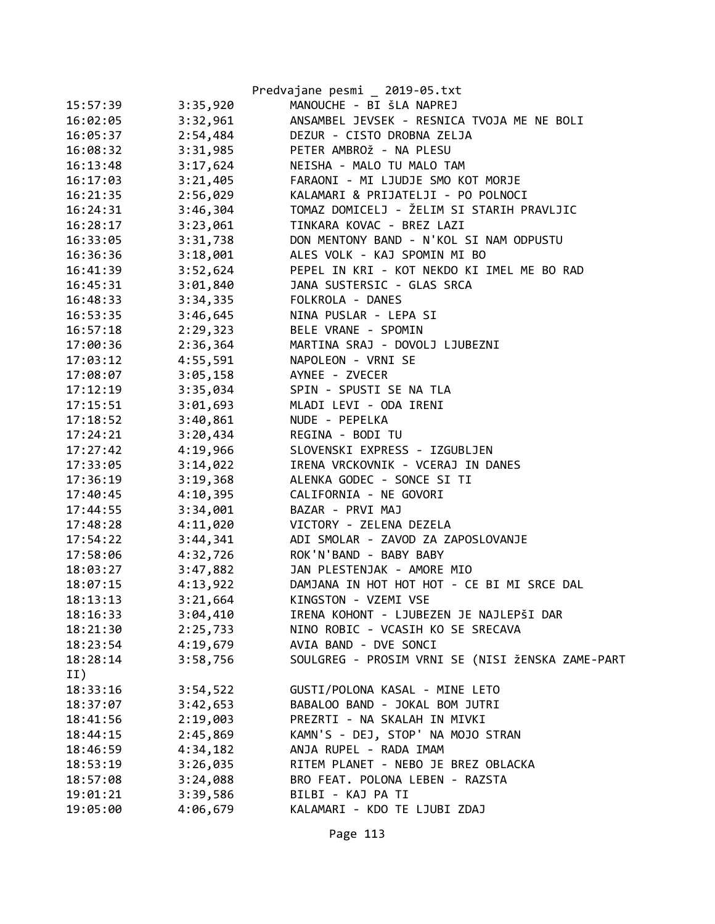|          |          | Predvajane pesmi _ 2019-05.txt                   |
|----------|----------|--------------------------------------------------|
| 15:57:39 | 3:35,920 | MANOUCHE - BI ŠLA NAPREJ                         |
| 16:02:05 | 3:32,961 | ANSAMBEL JEVSEK - RESNICA TVOJA ME NE BOLI       |
| 16:05:37 | 2:54,484 | DEZUR - CISTO DROBNA ZELJA                       |
| 16:08:32 | 3:31,985 | PETER AMBROŽ - NA PLESU                          |
| 16:13:48 | 3:17,624 | NEISHA - MALO TU MALO TAM                        |
| 16:17:03 | 3:21,405 | FARAONI - MI LJUDJE SMO KOT MORJE                |
| 16:21:35 | 2:56,029 | KALAMARI & PRIJATELJI - PO POLNOCI               |
| 16:24:31 | 3:46,304 | TOMAZ DOMICELJ - ŽELIM SI STARIH PRAVLJIC        |
| 16:28:17 | 3:23,061 | TINKARA KOVAC - BREZ LAZI                        |
| 16:33:05 | 3:31,738 | DON MENTONY BAND - N'KOL SI NAM ODPUSTU          |
| 16:36:36 | 3:18,001 | ALES VOLK - KAJ SPOMIN MI BO                     |
| 16:41:39 | 3:52,624 | PEPEL IN KRI - KOT NEKDO KI IMEL ME BO RAD       |
| 16:45:31 | 3:01,840 | JANA SUSTERSIC - GLAS SRCA                       |
| 16:48:33 | 3:34,335 | FOLKROLA - DANES                                 |
| 16:53:35 | 3:46,645 | NINA PUSLAR - LEPA SI                            |
| 16:57:18 | 2:29,323 | BELE VRANE - SPOMIN                              |
| 17:00:36 | 2:36,364 | MARTINA SRAJ - DOVOLJ LJUBEZNI                   |
| 17:03:12 | 4:55,591 | NAPOLEON - VRNI SE                               |
| 17:08:07 | 3:05,158 | AYNEE - ZVECER                                   |
| 17:12:19 | 3:35,034 | SPIN - SPUSTI SE NA TLA                          |
| 17:15:51 | 3:01,693 | MLADI LEVI - ODA IRENI                           |
| 17:18:52 | 3:40,861 | NUDE - PEPELKA                                   |
| 17:24:21 | 3:20,434 | REGINA - BODI TU                                 |
| 17:27:42 | 4:19,966 | SLOVENSKI EXPRESS - IZGUBLJEN                    |
| 17:33:05 | 3:14,022 | IRENA VRCKOVNIK - VCERAJ IN DANES                |
| 17:36:19 | 3:19,368 | ALENKA GODEC - SONCE SI TI                       |
| 17:40:45 | 4:10,395 | CALIFORNIA - NE GOVORI                           |
| 17:44:55 | 3:34,001 | BAZAR - PRVI MAJ                                 |
| 17:48:28 | 4:11,020 | VICTORY - ZELENA DEZELA                          |
| 17:54:22 | 3:44,341 | ADI SMOLAR - ZAVOD ZA ZAPOSLOVANJE               |
| 17:58:06 | 4:32,726 | ROK'N'BAND - BABY BABY                           |
| 18:03:27 | 3:47,882 | JAN PLESTENJAK - AMORE MIO                       |
| 18:07:15 | 4:13,922 | DAMJANA IN HOT HOT HOT - CE BI MI SRCE DAL       |
| 18:13:13 | 3:21,664 | KINGSTON - VZEMI VSE                             |
| 18:16:33 | 3:04,410 | IRENA KOHONT - LJUBEZEN JE NAJLEPŠI DAR          |
| 18:21:30 | 2:25,733 | NINO ROBIC - VCASIH KO SE SRECAVA                |
| 18:23:54 | 4:19,679 | AVIA BAND - DVE SONCI                            |
| 18:28:14 | 3:58,756 | SOULGREG - PROSIM VRNI SE (NISI ŽENSKA ZAME-PART |
| II)      |          |                                                  |
| 18:33:16 | 3:54,522 | GUSTI/POLONA KASAL - MINE LETO                   |
| 18:37:07 | 3:42,653 | BABALOO BAND - JOKAL BOM JUTRI                   |
| 18:41:56 | 2:19,003 | PREZRTI - NA SKALAH IN MIVKI                     |
| 18:44:15 | 2:45,869 | KAMN'S - DEJ, STOP' NA MOJO STRAN                |
| 18:46:59 | 4:34,182 | ANJA RUPEL - RADA IMAM                           |
| 18:53:19 | 3:26,035 | RITEM PLANET - NEBO JE BREZ OBLACKA              |
| 18:57:08 | 3:24,088 | BRO FEAT. POLONA LEBEN - RAZSTA                  |
| 19:01:21 | 3:39,586 | BILBI - KAJ PA TI                                |
| 19:05:00 | 4:06,679 | KALAMARI - KDO TE LJUBI ZDAJ                     |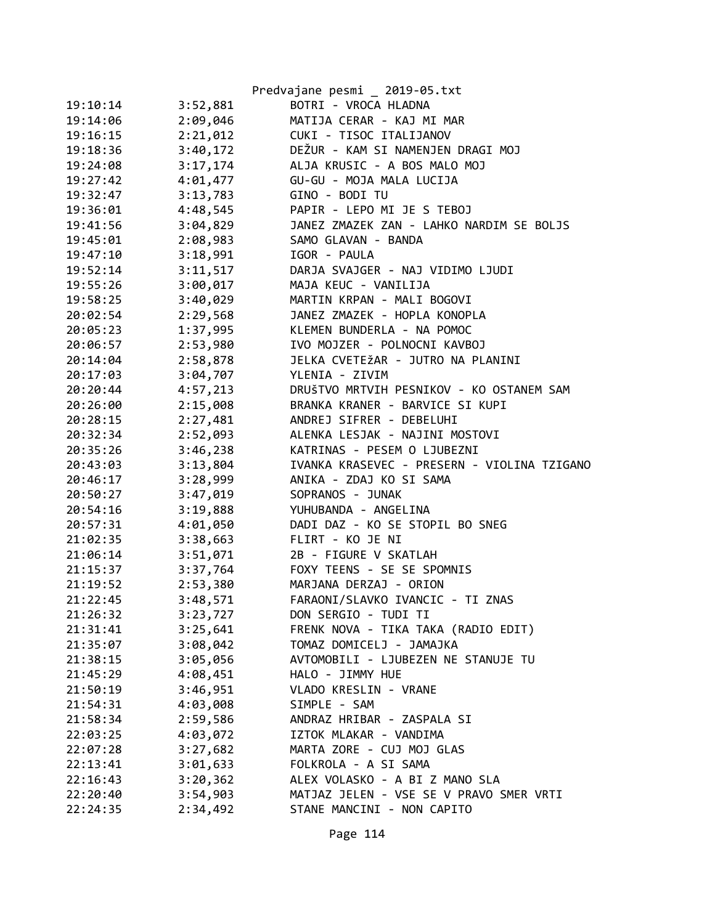|          |          | Predvajane pesmi _ 2019-05.txt              |
|----------|----------|---------------------------------------------|
| 19:10:14 | 3:52,881 | BOTRI - VROCA HLADNA                        |
| 19:14:06 | 2:09,046 | MATIJA CERAR - KAJ MI MAR                   |
| 19:16:15 | 2:21,012 | CUKI - TISOC ITALIJANOV                     |
| 19:18:36 | 3:40,172 | DEŽUR - KAM SI NAMENJEN DRAGI MOJ           |
| 19:24:08 | 3:17,174 | ALJA KRUSIC - A BOS MALO MOJ                |
| 19:27:42 | 4:01,477 | GU-GU - MOJA MALA LUCIJA                    |
| 19:32:47 | 3:13,783 | GINO - BODI TU                              |
| 19:36:01 | 4:48,545 | PAPIR - LEPO MI JE S TEBOJ                  |
| 19:41:56 | 3:04,829 | JANEZ ZMAZEK ZAN - LAHKO NARDIM SE BOLJS    |
| 19:45:01 | 2:08,983 | SAMO GLAVAN - BANDA                         |
| 19:47:10 | 3:18,991 | IGOR - PAULA                                |
| 19:52:14 | 3:11,517 | DARJA SVAJGER - NAJ VIDIMO LJUDI            |
| 19:55:26 | 3:00,017 | MAJA KEUC - VANILIJA                        |
| 19:58:25 | 3:40,029 | MARTIN KRPAN - MALI BOGOVI                  |
| 20:02:54 | 2:29,568 | JANEZ ZMAZEK - HOPLA KONOPLA                |
| 20:05:23 | 1:37,995 | KLEMEN BUNDERLA - NA POMOC                  |
| 20:06:57 | 2:53,980 | IVO MOJZER - POLNOCNI KAVBOJ                |
| 20:14:04 | 2:58,878 | JELKA CVETEŽAR - JUTRO NA PLANINI           |
| 20:17:03 | 3:04,707 | YLENIA - ZIVIM                              |
| 20:20:44 | 4:57,213 | DRUŠTVO MRTVIH PESNIKOV - KO OSTANEM SAM    |
| 20:26:00 | 2:15,008 | BRANKA KRANER - BARVICE SI KUPI             |
| 20:28:15 | 2:27,481 | ANDREJ SIFRER - DEBELUHI                    |
| 20:32:34 | 2:52,093 | ALENKA LESJAK - NAJINI MOSTOVI              |
| 20:35:26 | 3:46,238 | KATRINAS - PESEM O LJUBEZNI                 |
| 20:43:03 | 3:13,804 | IVANKA KRASEVEC - PRESERN - VIOLINA TZIGANO |
| 20:46:17 | 3:28,999 | ANIKA - ZDAJ KO SI SAMA                     |
| 20:50:27 | 3:47,019 | SOPRANOS - JUNAK                            |
| 20:54:16 | 3:19,888 | YUHUBANDA - ANGELINA                        |
| 20:57:31 | 4:01,050 | DADI DAZ - KO SE STOPIL BO SNEG             |
| 21:02:35 | 3:38,663 | FLIRT - KO JE NI                            |
| 21:06:14 | 3:51,071 | 2B - FIGURE V SKATLAH                       |
| 21:15:37 | 3:37,764 | FOXY TEENS - SE SE SPOMNIS                  |
| 21:19:52 | 2:53,380 | MARJANA DERZAJ - ORION                      |
| 21:22:45 | 3:48,571 | FARAONI/SLAVKO IVANCIC - TI ZNAS            |
| 21:26:32 | 3:23,727 | DON SERGIO - TUDI TI                        |
| 21:31:41 | 3:25,641 | FRENK NOVA - TIKA TAKA (RADIO EDIT)         |
| 21:35:07 | 3:08,042 | TOMAZ DOMICELJ - JAMAJKA                    |
| 21:38:15 | 3:05,056 | AVTOMOBILI - LJUBEZEN NE STANUJE TU         |
| 21:45:29 | 4:08,451 | HALO - JIMMY HUE                            |
| 21:50:19 | 3:46,951 | VLADO KRESLIN - VRANE                       |
| 21:54:31 | 4:03,008 | SIMPLE - SAM                                |
| 21:58:34 | 2:59,586 | ANDRAZ HRIBAR - ZASPALA SI                  |
| 22:03:25 | 4:03,072 | IZTOK MLAKAR - VANDIMA                      |
| 22:07:28 | 3:27,682 | MARTA ZORE - CUJ MOJ GLAS                   |
| 22:13:41 | 3:01,633 | FOLKROLA - A SI SAMA                        |
| 22:16:43 | 3:20,362 | ALEX VOLASKO - A BI Z MANO SLA              |
| 22:20:40 | 3:54,903 | MATJAZ JELEN - VSE SE V PRAVO SMER VRTI     |
| 22:24:35 | 2:34,492 | STANE MANCINI - NON CAPITO                  |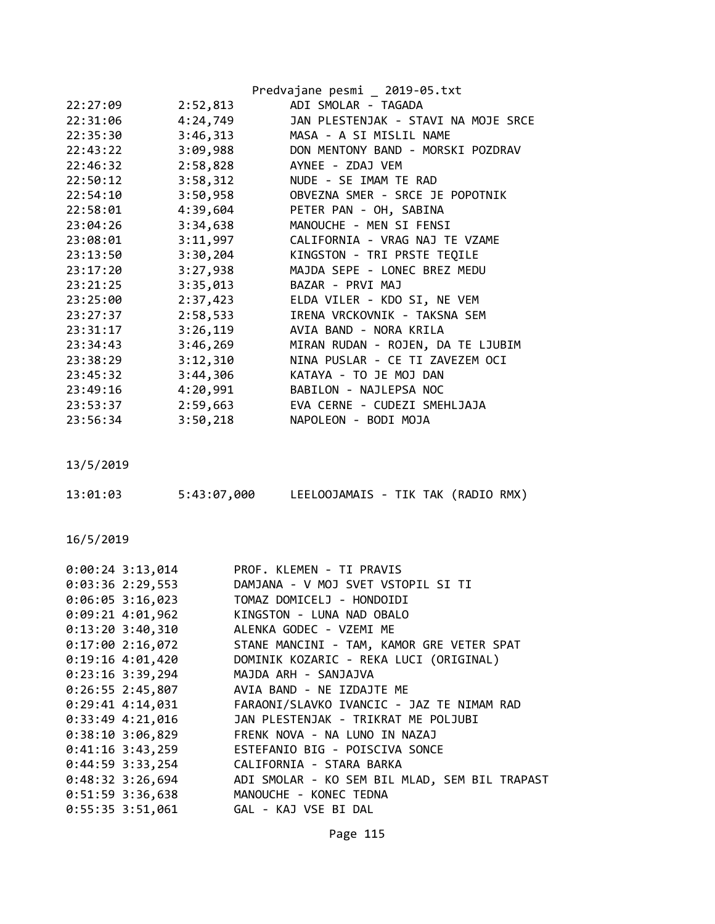| Predvajane pesmi _ 2019-05.txt                |
|-----------------------------------------------|
| ADI SMOLAR - TAGADA                           |
| JAN PLESTENJAK - STAVI NA MOJE SRCE           |
| MASA - A SI MISLIL NAME                       |
| 3:09,988<br>DON MENTONY BAND - MORSKI POZDRAV |
| 2:58,828<br>AYNEE - ZDAJ VEM                  |
| NUDE - SE IMAM TE RAD                         |
| 3:50,958<br>OBVEZNA SMER - SRCE JE POPOTNIK   |
| 4:39,604<br>PETER PAN - OH, SABINA            |
| 3:34,638<br>MANOUCHE - MEN SI FENSI           |
| 3:11,997<br>CALIFORNIA - VRAG NAJ TE VZAME    |
| KINGSTON - TRI PRSTE TEQILE                   |
| MAJDA SEPE - LONEC BREZ MEDU<br>3:27,938      |
| BAZAR - PRVI MAJ                              |
| 2:37,423<br>ELDA VILER - KDO SI, NE VEM       |
| IRENA VRCKOVNIK - TAKSNA SEM<br>2:58,533      |
| AVIA BAND - NORA KRILA                        |
| MIRAN RUDAN - ROJEN, DA TE LJUBIM             |
| NINA PUSLAR - CE TI ZAVEZEM OCI               |
| KATAYA - TO JE MOJ DAN                        |
| BABILON - NAJLEPSA NOC                        |
| EVA CERNE - CUDEZI SMEHLJAJA                  |
| NAPOLEON - BODI MOJA                          |
|                                               |

| 13:01:03 | 5:43:07,000 | LEELOOJAMAIS - TIK TAK (RADIO RMX) |  |  |
|----------|-------------|------------------------------------|--|--|
|          |             |                                    |  |  |

| $0:00:24$ 3:13,014 | PROF. KLEMEN - TI PRAVIS                      |
|--------------------|-----------------------------------------------|
| $0:03:36$ 2:29,553 | DAMJANA - V MOJ SVET VSTOPIL SI TI            |
| $0:06:05$ 3:16,023 | TOMAZ DOMICELJ - HONDOIDI                     |
| $0:09:21$ 4:01,962 | KINGSTON - LUNA NAD OBALO                     |
| $0:13:20$ 3:40,310 | ALENKA GODEC - VZEMI ME                       |
| 0:17:002:16,072    | STANE MANCINI - TAM, KAMOR GRE VETER SPAT     |
| $0:19:16$ 4:01,420 | DOMINIK KOZARIC - REKA LUCI (ORIGINAL)        |
| $0:23:16$ 3:39,294 | MAJDA ARH - SANJAJVA                          |
| $0:26:55$ 2:45,807 | AVIA BAND - NE IZDAJTE ME                     |
| $0:29:41$ 4:14,031 | FARAONI/SLAVKO IVANCIC - JAZ TE NIMAM RAD     |
| $0:33:49$ 4:21,016 | JAN PLESTENJAK - TRIKRAT ME POLJUBI           |
| $0:38:10$ 3:06,829 | FRENK NOVA - NA LUNO IN NAZAJ                 |
| $0:41:16$ 3:43,259 | ESTEFANIO BIG - POISCIVA SONCE                |
| $0:44:59$ 3:33,254 | CALIFORNIA - STARA BARKA                      |
| $0:48:32$ 3:26,694 | ADI SMOLAR - KO SEM BIL MLAD, SEM BIL TRAPAST |
| $0:51:59$ 3:36,638 | MANOUCHE - KONEC TEDNA                        |
| 0:55:35 3:51,061   | GAL - KAJ VSE BI DAL                          |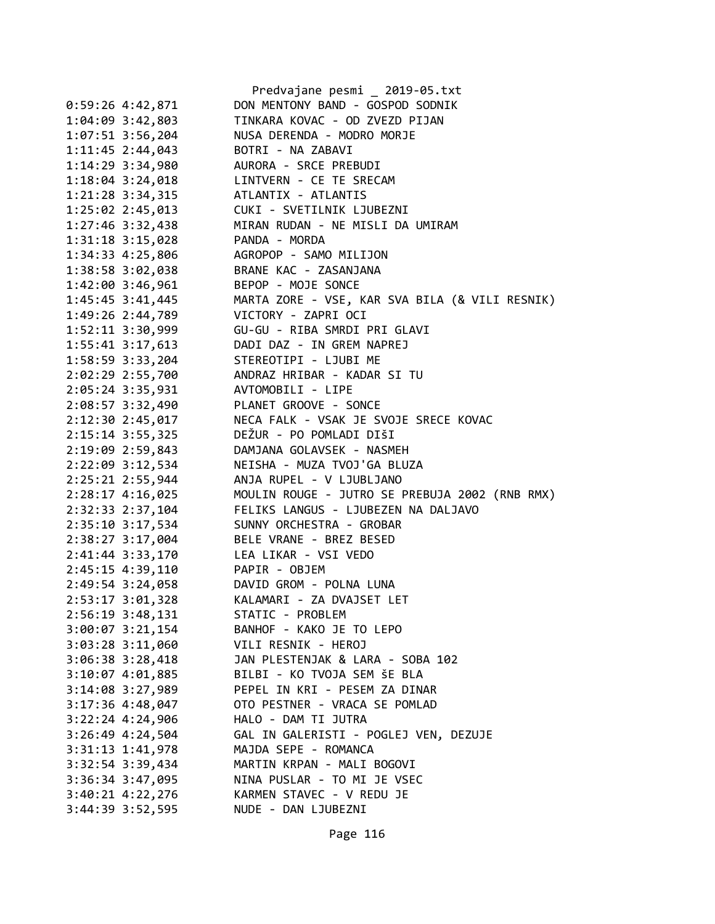|                      | Predvajane pesmi _ 2019-05.txt                 |
|----------------------|------------------------------------------------|
| $0:59:26$ 4:42,871   | DON MENTONY BAND - GOSPOD SODNIK               |
| 1:04:09 3:42,803     | TINKARA KOVAC - OD ZVEZD PIJAN                 |
| 1:07:51 3:56,204     | NUSA DERENDA - MODRO MORJE                     |
| 1:11:45 2:44,043     | BOTRI - NA ZABAVI                              |
| 1:14:29 3:34,980     | AURORA - SRCE PREBUDI                          |
| $1:18:04$ 3:24,018   | LINTVERN - CE TE SRECAM                        |
| 1:21:28 3:34,315     | ATLANTIX - ATLANTIS                            |
| 1:25:02 2:45,013     | CUKI - SVETILNIK LJUBEZNI                      |
| 1:27:46 3:32,438     | MIRAN RUDAN - NE MISLI DA UMIRAM               |
| 1:31:18 3:15,028     | PANDA - MORDA                                  |
| 1:34:33 4:25,806     | AGROPOP - SAMO MILIJON                         |
| 1:38:58 3:02,038     | BRANE KAC - ZASANJANA                          |
| 1:42:00 3:46,961     | BEPOP - MOJE SONCE                             |
| 1:45:45 3:41,445     | MARTA ZORE - VSE, KAR SVA BILA (& VILI RESNIK) |
| 1:49:26 2:44,789     | VICTORY - ZAPRI OCI                            |
| 1:52:11 3:30,999     | GU-GU - RIBA SMRDI PRI GLAVI                   |
| 1:55:41 3:17,613     | DADI DAZ - IN GREM NAPREJ                      |
| 1:58:59 3:33,204     | STEREOTIPI - LJUBI ME                          |
| 2:02:29 2:55,700     | ANDRAZ HRIBAR - KADAR SI TU                    |
| 2:05:24 3:35,931     | AVTOMOBILI - LIPE                              |
|                      | PLANET GROOVE - SONCE                          |
| 2:08:57 3:32,490     | NECA FALK - VSAK JE SVOJE SRECE KOVAC          |
| 2:12:30 2:45,017     |                                                |
| $2:15:14$ 3:55,325   | DEŽUR - PO POMLADI DIŠI                        |
| 2:19:09 2:59,843     | DAMJANA GOLAVSEK - NASMEH                      |
| 2:22:09 3:12,534     | NEISHA - MUZA TVOJ'GA BLUZA                    |
| 2:25:21 2:55,944     | ANJA RUPEL - V LJUBLJANO                       |
| 2:28:17 4:16,025     | MOULIN ROUGE - JUTRO SE PREBUJA 2002 (RNB RMX) |
| 2:32:33 2:37,104     | FELIKS LANGUS - LJUBEZEN NA DALJAVO            |
| 2:35:10 3:17,534     | SUNNY ORCHESTRA - GROBAR                       |
| 2:38:27 3:17,004     | BELE VRANE - BREZ BESED                        |
| 2:41:44 3:33,170     | LEA LIKAR - VSI VEDO                           |
| 2:45:15 4:39,110     | PAPIR - OBJEM                                  |
| 2:49:54 3:24,058     | DAVID GROM - POLNA LUNA                        |
| 2:53:17 3:01,328     | KALAMARI - ZA DVAJSET LET                      |
| 2:56:19 3:48,131     | STATIC - PROBLEM                               |
| $3:00:07$ 3:21,154   | BANHOF - KAKO JE TO LEPO                       |
| $3:03:28$ $3:11,060$ | VILI RESNIK - HEROJ                            |
| $3:06:38$ $3:28,418$ | JAN PLESTENJAK & LARA - SOBA 102               |
| $3:10:07$ 4:01,885   | BILBI - KO TVOJA SEM ŠE BLA                    |
| 3:14:08 3:27,989     | PEPEL IN KRI - PESEM ZA DINAR                  |
| 3:17:36 4:48,047     | OTO PESTNER - VRACA SE POMLAD                  |
| $3:22:24$ 4:24,906   | HALO - DAM TI JUTRA                            |
| $3:26:49$ 4:24,504   | GAL IN GALERISTI - POGLEJ VEN, DEZUJE          |
| 3:31:13 1:41,978     | MAJDA SEPE - ROMANCA                           |
| 3:32:54 3:39,434     | MARTIN KRPAN - MALI BOGOVI                     |
| 3:36:34 3:47,095     | NINA PUSLAR - TO MI JE VSEC                    |
| $3:40:21$ $4:22,276$ | KARMEN STAVEC - V REDU JE                      |
| 3:44:39 3:52,595     | NUDE - DAN LJUBEZNI                            |
|                      |                                                |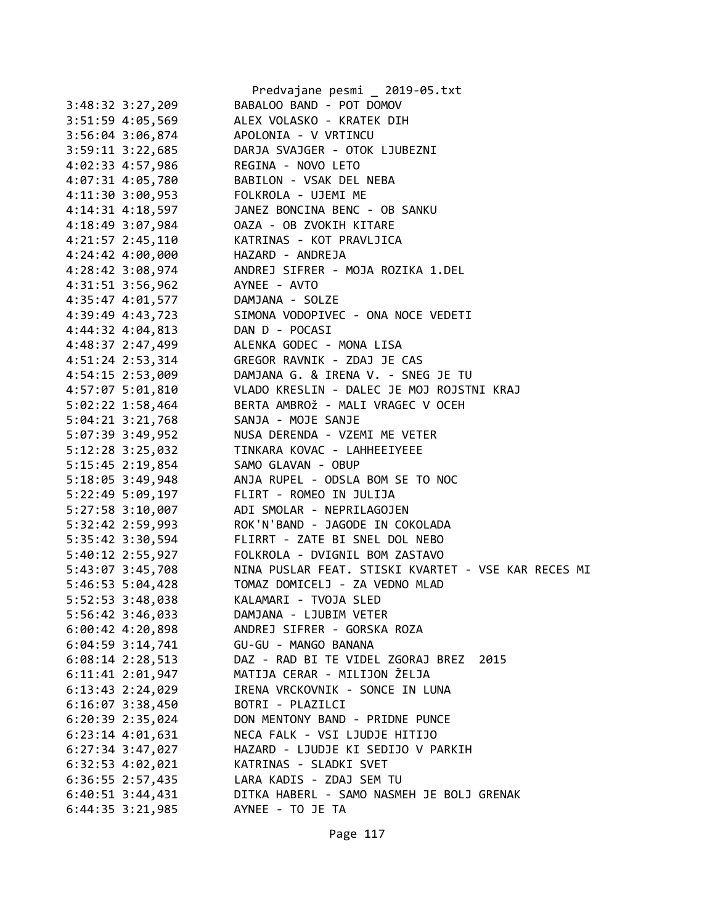|                      | Predvajane pesmi _ 2019-05.txt                      |
|----------------------|-----------------------------------------------------|
| 3:48:32 3:27,209     | BABALOO BAND - POT DOMOV                            |
| 3:51:59 4:05,569     | ALEX VOLASKO - KRATEK DIH                           |
| 3:56:04 3:06,874     | APOLONIA - V VRTINCU                                |
| $3:59:11$ $3:22,685$ | DARJA SVAJGER - OTOK LJUBEZNI                       |
| 4:02:33 4:57,986     | REGINA - NOVO LETO                                  |
| 4:07:31 4:05,780     | BABILON - VSAK DEL NEBA                             |
| 4:11:30 3:00,953     | FOLKROLA - UJEMI ME                                 |
| $4:14:31$ $4:18,597$ | JANEZ BONCINA BENC - OB SANKU                       |
| 4:18:49 3:07,984     | OAZA - OB ZVOKIH KITARE                             |
| 4:21:57 2:45,110     | KATRINAS - KOT PRAVLJICA                            |
| $4:24:42$ $4:00,000$ | HAZARD - ANDREJA                                    |
| 4:28:42 3:08,974     | ANDREJ SIFRER - MOJA ROZIKA 1.DEL                   |
| 4:31:51 3:56,962     | AYNEE - AVTO                                        |
| $4:35:47$ $4:01,577$ | DAMJANA - SOLZE                                     |
| 4:39:49 4:43,723     | SIMONA VODOPIVEC - ONA NOCE VEDETI                  |
| 4:44:32 4:04,813     | DAN D - POCASI                                      |
| 4:48:37 2:47,499     | ALENKA GODEC - MONA LISA                            |
| 4:51:24 2:53,314     | GREGOR RAVNIK - ZDAJ JE CAS                         |
| 4:54:15 2:53,009     | DAMJANA G. & IRENA V. - SNEG JE TU                  |
| 4:57:07 5:01,810     | VLADO KRESLIN - DALEC JE MOJ ROJSTNI KRAJ           |
| $5:02:22$ 1:58,464   | BERTA AMBROŽ - MALI VRAGEC V OCEH                   |
| $5:04:21$ $3:21,768$ | SANJA - MOJE SANJE                                  |
|                      |                                                     |
| 5:07:39 3:49,952     | NUSA DERENDA - VZEMI ME VETER                       |
| 5:12:28 3:25,032     | TINKARA KOVAC - LAHHEEIYEEE                         |
| 5:15:45 2:19,854     | SAMO GLAVAN - OBUP                                  |
| 5:18:05 3:49,948     | ANJA RUPEL - ODSLA BOM SE TO NOC                    |
| 5:22:49 5:09,197     | FLIRT - ROMEO IN JULIJA                             |
| 5:27:58 3:10,007     | ADI SMOLAR - NEPRILAGOJEN                           |
| 5:32:42 2:59,993     | ROK'N'BAND - JAGODE IN COKOLADA                     |
| 5:35:42 3:30,594     | FLIRRT - ZATE BI SNEL DOL NEBO                      |
| 5:40:12 2:55,927     | FOLKROLA - DVIGNIL BOM ZASTAVO                      |
| 5:43:07 3:45,708     | NINA PUSLAR FEAT. STISKI KVARTET - VSE KAR RECES MI |
| 5:46:53 5:04,428     | TOMAZ DOMICELJ - ZA VEDNO MLAD                      |
| 5:52:53 3:48,038     | KALAMARI - TVOJA SLED                               |
| 5:56:42 3:46,033     | DAMJANA - LJUBIM VETER                              |
| $6:00:42$ 4:20,898   | ANDREJ SIFRER - GORSKA ROZA                         |
| $6:04:59$ 3:14,741   | GU-GU - MANGO BANANA                                |
| $6:08:14$ 2:28,513   | DAZ - RAD BI TE VIDEL ZGORAJ BREZ 2015              |
| $6:11:41$ $2:01,947$ | MATIJA CERAR - MILIJON ŽELJA                        |
| $6:13:43$ $2:24,029$ | IRENA VRCKOVNIK - SONCE IN LUNA                     |
| $6:16:07$ 3:38,450   | BOTRI - PLAZILCI                                    |
| $6:20:39$ 2:35,024   | DON MENTONY BAND - PRIDNE PUNCE                     |
| $6:23:14$ $4:01,631$ | NECA FALK - VSI LJUDJE HITIJO                       |
| $6:27:34$ 3:47,027   | HAZARD - LJUDJE KI SEDIJO V PARKIH                  |
| $6:32:53$ $4:02,021$ | KATRINAS - SLADKI SVET                              |
| $6:36:55$ 2:57,435   | LARA KADIS - ZDAJ SEM TU                            |
| $6:40:51$ 3:44,431   | DITKA HABERL - SAMO NASMEH JE BOLJ GRENAK           |
| $6:44:35$ $3:21,985$ | AYNEE - TO JE TA                                    |
|                      |                                                     |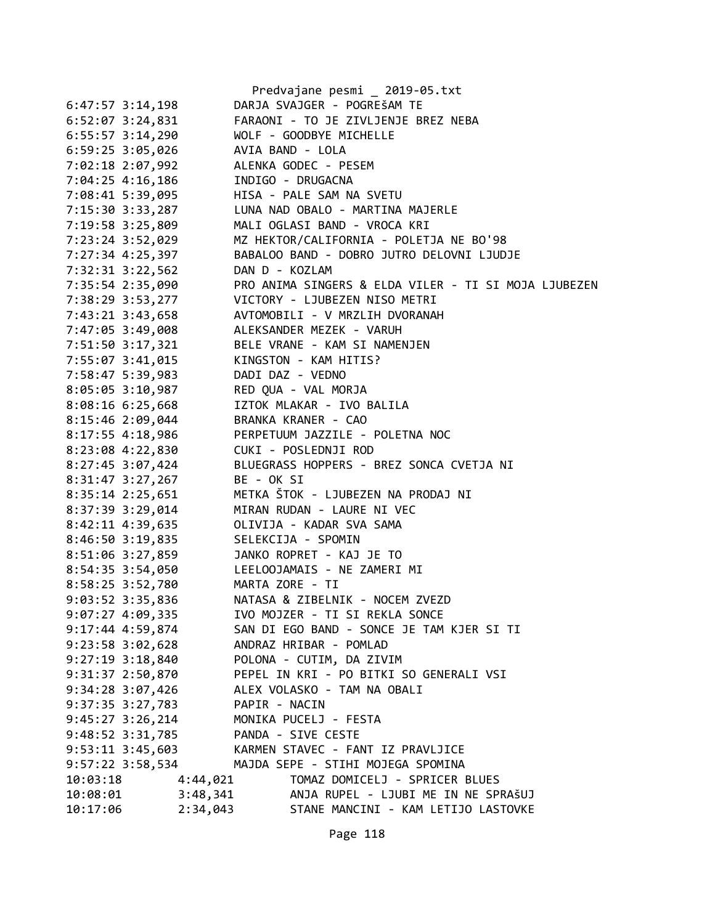|                      |                 | Predvajane pesmi _ 2019-05.txt                       |
|----------------------|-----------------|------------------------------------------------------|
| $6:47:57$ 3:14,198   |                 | DARJA SVAJGER - POGREŠAM TE                          |
| $6:52:07$ 3:24,831   |                 | FARAONI - TO JE ZIVLJENJE BREZ NEBA                  |
| $6:55:57$ 3:14,290   |                 | WOLF - GOODBYE MICHELLE                              |
| $6:59:25$ 3:05,026   |                 | AVIA BAND - LOLA                                     |
| 7:02:18 2:07,992     |                 | ALENKA GODEC - PESEM                                 |
| 7:04:25 4:16,186     |                 | INDIGO - DRUGACNA                                    |
| 7:08:41 5:39,095     |                 | HISA - PALE SAM NA SVETU                             |
| 7:15:30 3:33,287     |                 | LUNA NAD OBALO - MARTINA MAJERLE                     |
| 7:19:58 3:25,809     |                 | MALI OGLASI BAND - VROCA KRI                         |
| 7:23:24 3:52,029     |                 | MZ HEKTOR/CALIFORNIA - POLETJA NE BO'98              |
| 7:27:34 4:25,397     |                 | BABALOO BAND - DOBRO JUTRO DELOVNI LJUDJE            |
| 7:32:31 3:22,562     | DAN D - KOZLAM  |                                                      |
| 7:35:54 2:35,090     |                 | PRO ANIMA SINGERS & ELDA VILER - TI SI MOJA LJUBEZEN |
| 7:38:29 3:53,277     |                 | VICTORY - LJUBEZEN NISO METRI                        |
| 7:43:21 3:43,658     |                 | AVTOMOBILI - V MRZLIH DVORANAH                       |
| 7:47:05 3:49,008     |                 | ALEKSANDER MEZEK - VARUH                             |
| 7:51:50 3:17,321     |                 | BELE VRANE - KAM SI NAMENJEN                         |
| 7:55:07 3:41,015     |                 | KINGSTON - KAM HITIS?                                |
| 7:58:47 5:39,983     |                 | DADI DAZ - VEDNO                                     |
| $8:05:05$ 3:10,987   |                 | RED QUA - VAL MORJA                                  |
| $8:08:16$ 6:25,668   |                 | IZTOK MLAKAR - IVO BALILA                            |
| 8:15:46 2:09,044     |                 | BRANKA KRANER - CAO                                  |
| $8:17:55$ 4:18,986   |                 | PERPETUUM JAZZILE - POLETNA NOC                      |
| 8:23:08 4:22,830     |                 | CUKI - POSLEDNJI ROD                                 |
| 8:27:45 3:07,424     |                 | BLUEGRASS HOPPERS - BREZ SONCA CVETJA NI             |
| 8:31:47 3:27,267     | BE - OK SI      |                                                      |
| 8:35:14 2:25,651     |                 | METKA ŠTOK - LJUBEZEN NA PRODAJ NI                   |
| 8:37:39 3:29,014     |                 | MIRAN RUDAN - LAURE NI VEC                           |
| 8:42:11 4:39,635     |                 | OLIVIJA - KADAR SVA SAMA                             |
| 8:46:50 3:19,835     |                 | SELEKCIJA - SPOMIN                                   |
| 8:51:06 3:27,859     |                 | JANKO ROPRET - KAJ JE TO                             |
| $8:54:35$ 3:54,050   |                 | LEELOOJAMAIS - NE ZAMERI MI                          |
| 8:58:25 3:52,780     | MARTA ZORE - TI |                                                      |
| 9:03:52 3:35,836     |                 | NATASA & ZIBELNIK - NOCEM ZVEZD                      |
| $9:07:27$ 4:09,335   |                 | IVO MOJZER - TI SI REKLA SONCE                       |
| 9:17:44 4:59,874     |                 | SAN DI EGO BAND - SONCE JE TAM KJER SI TI            |
| $9:23:58$ $3:02,628$ |                 | ANDRAZ HRIBAR - POMLAD                               |
| $9:27:19$ $3:18,840$ |                 | POLONA - CUTIM, DA ZIVIM                             |
| 9:31:37 2:50,870     |                 | PEPEL IN KRI - PO BITKI SO GENERALI VSI              |
| $9:34:28$ 3:07,426   |                 | ALEX VOLASKO - TAM NA OBALI                          |
| 9:37:35 3:27,783     | PAPIR - NACIN   |                                                      |
| $9:45:27$ 3:26,214   |                 | MONIKA PUCELJ - FESTA                                |
| 9:48:52 3:31,785     |                 | PANDA - SIVE CESTE                                   |
| $9:53:11$ $3:45,603$ |                 | KARMEN STAVEC - FANT IZ PRAVLJICE                    |
| 9:57:22 3:58,534     |                 | MAJDA SEPE - STIHI MOJEGA SPOMINA                    |
| 10:03:18             | 4:44,021        | TOMAZ DOMICELJ - SPRICER BLUES                       |
| 10:08:01             | 3:48,341        | ANJA RUPEL - LJUBI ME IN NE SPRAŠUJ                  |
| 10:17:06             | 2:34,043        | STANE MANCINI - KAM LETIJO LASTOVKE                  |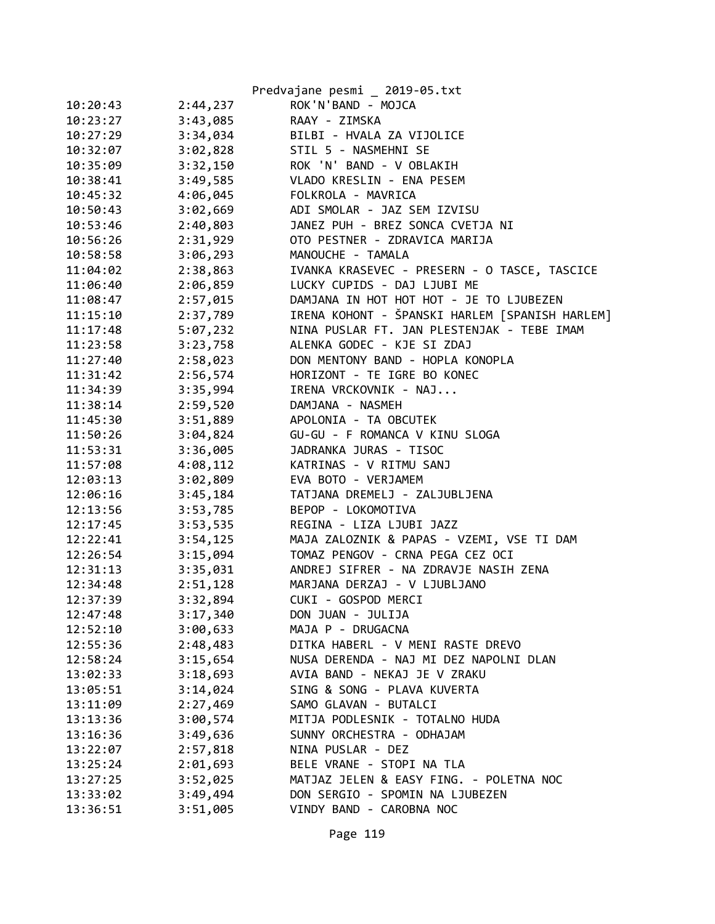|          |          | Predvajane pesmi _ 2019-05.txt                 |
|----------|----------|------------------------------------------------|
| 10:20:43 | 2:44,237 | ROK'N'BAND - MOJCA                             |
| 10:23:27 | 3:43,085 | RAAY - ZIMSKA                                  |
| 10:27:29 | 3:34,034 | BILBI - HVALA ZA VIJOLICE                      |
| 10:32:07 | 3:02,828 | STIL 5 - NASMEHNI SE                           |
| 10:35:09 | 3:32,150 | ROK 'N' BAND - V OBLAKIH                       |
| 10:38:41 | 3:49,585 | VLADO KRESLIN - ENA PESEM                      |
| 10:45:32 | 4:06,045 | FOLKROLA - MAVRICA                             |
| 10:50:43 | 3:02,669 | ADI SMOLAR - JAZ SEM IZVISU                    |
| 10:53:46 | 2:40,803 | JANEZ PUH - BREZ SONCA CVETJA NI               |
| 10:56:26 | 2:31,929 | OTO PESTNER - ZDRAVICA MARIJA                  |
| 10:58:58 | 3:06,293 | MANOUCHE - TAMALA                              |
| 11:04:02 | 2:38,863 | IVANKA KRASEVEC - PRESERN - O TASCE, TASCICE   |
| 11:06:40 | 2:06,859 | LUCKY CUPIDS - DAJ LJUBI ME                    |
| 11:08:47 | 2:57,015 | DAMJANA IN HOT HOT HOT - JE TO LJUBEZEN        |
| 11:15:10 | 2:37,789 | IRENA KOHONT - ŠPANSKI HARLEM [SPANISH HARLEM] |
| 11:17:48 | 5:07,232 | NINA PUSLAR FT. JAN PLESTENJAK - TEBE IMAM     |
| 11:23:58 | 3:23,758 | ALENKA GODEC - KJE SI ZDAJ                     |
| 11:27:40 | 2:58,023 | DON MENTONY BAND - HOPLA KONOPLA               |
| 11:31:42 | 2:56,574 | HORIZONT - TE IGRE BO KONEC                    |
| 11:34:39 | 3:35,994 | IRENA VRCKOVNIK - NAJ                          |
| 11:38:14 | 2:59,520 | DAMJANA - NASMEH                               |
| 11:45:30 | 3:51,889 | APOLONIA - TA OBCUTEK                          |
| 11:50:26 | 3:04,824 | GU-GU - F ROMANCA V KINU SLOGA                 |
| 11:53:31 | 3:36,005 | JADRANKA JURAS - TISOC                         |
| 11:57:08 | 4:08,112 | KATRINAS - V RITMU SANJ                        |
| 12:03:13 | 3:02,809 | EVA BOTO - VERJAMEM                            |
| 12:06:16 | 3:45,184 | TATJANA DREMELJ - ZALJUBLJENA                  |
| 12:13:56 | 3:53,785 | BEPOP - LOKOMOTIVA                             |
| 12:17:45 | 3:53,535 | REGINA - LIZA LJUBI JAZZ                       |
| 12:22:41 | 3:54,125 | MAJA ZALOZNIK & PAPAS - VZEMI, VSE TI DAM      |
| 12:26:54 | 3:15,094 | TOMAZ PENGOV - CRNA PEGA CEZ OCI               |
| 12:31:13 | 3:35,031 | ANDREJ SIFRER - NA ZDRAVJE NASIH ZENA          |
| 12:34:48 | 2:51,128 | MARJANA DERZAJ - V LJUBLJANO                   |
| 12:37:39 | 3:32,894 | CUKI - GOSPOD MERCI                            |
| 12:47:48 | 3:17,340 | DON JUAN - JULIJA                              |
| 12:52:10 | 3:00,633 | MAJA P - DRUGACNA                              |
| 12:55:36 | 2:48,483 | DITKA HABERL - V MENI RASTE DREVO              |
| 12:58:24 | 3:15,654 | NUSA DERENDA - NAJ MI DEZ NAPOLNI DLAN         |
| 13:02:33 | 3:18,693 | AVIA BAND - NEKAJ JE V ZRAKU                   |
| 13:05:51 | 3:14,024 | SING & SONG - PLAVA KUVERTA                    |
| 13:11:09 | 2:27,469 | SAMO GLAVAN - BUTALCI                          |
| 13:13:36 | 3:00,574 | MITJA PODLESNIK - TOTALNO HUDA                 |
| 13:16:36 | 3:49,636 | SUNNY ORCHESTRA - ODHAJAM                      |
| 13:22:07 | 2:57,818 | NINA PUSLAR - DEZ                              |
| 13:25:24 | 2:01,693 | BELE VRANE - STOPI NA TLA                      |
| 13:27:25 | 3:52,025 | MATJAZ JELEN & EASY FING. - POLETNA NOC        |
| 13:33:02 | 3:49,494 | DON SERGIO - SPOMIN NA LJUBEZEN                |
| 13:36:51 | 3:51,005 | VINDY BAND - CAROBNA NOC                       |

Page 119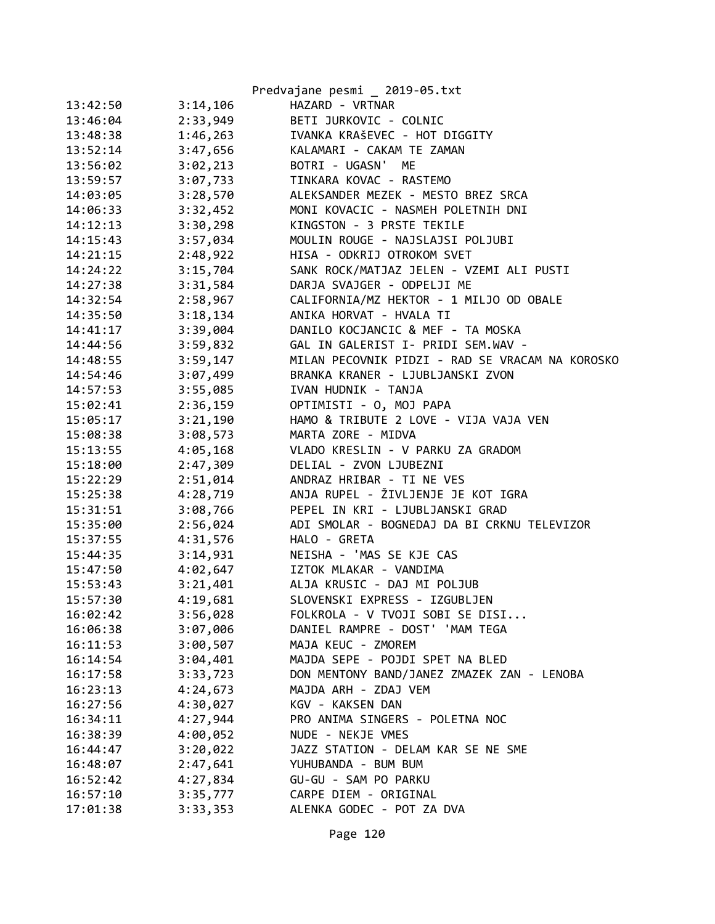|          |          | Predvajane pesmi _ 2019-05.txt                  |
|----------|----------|-------------------------------------------------|
| 13:42:50 | 3:14,106 | HAZARD - VRTNAR                                 |
| 13:46:04 | 2:33,949 | BETI JURKOVIC - COLNIC                          |
| 13:48:38 | 1:46,263 | IVANKA KRAŠEVEC - HOT DIGGITY                   |
| 13:52:14 | 3:47,656 | KALAMARI - CAKAM TE ZAMAN                       |
| 13:56:02 | 3:02,213 | BOTRI - UGASN' ME                               |
| 13:59:57 | 3:07,733 | TINKARA KOVAC - RASTEMO                         |
| 14:03:05 | 3:28,570 | ALEKSANDER MEZEK - MESTO BREZ SRCA              |
| 14:06:33 | 3:32,452 | MONI KOVACIC - NASMEH POLETNIH DNI              |
| 14:12:13 | 3:30,298 | KINGSTON - 3 PRSTE TEKILE                       |
| 14:15:43 | 3:57,034 | MOULIN ROUGE - NAJSLAJSI POLJUBI                |
| 14:21:15 | 2:48,922 | HISA - ODKRIJ OTROKOM SVET                      |
| 14:24:22 | 3:15,704 | SANK ROCK/MATJAZ JELEN - VZEMI ALI PUSTI        |
| 14:27:38 | 3:31,584 | DARJA SVAJGER - ODPELJI ME                      |
| 14:32:54 | 2:58,967 | CALIFORNIA/MZ HEKTOR - 1 MILJO OD OBALE         |
| 14:35:50 | 3:18,134 | ANIKA HORVAT - HVALA TI                         |
| 14:41:17 | 3:39,004 | DANILO KOCJANCIC & MEF - TA MOSKA               |
| 14:44:56 | 3:59,832 | GAL IN GALERIST I- PRIDI SEM.WAV -              |
| 14:48:55 | 3:59,147 | MILAN PECOVNIK PIDZI - RAD SE VRACAM NA KOROSKO |
| 14:54:46 | 3:07,499 | BRANKA KRANER - LJUBLJANSKI ZVON                |
| 14:57:53 | 3:55,085 | IVAN HUDNIK - TANJA                             |
| 15:02:41 | 2:36,159 | OPTIMISTI - O, MOJ PAPA                         |
| 15:05:17 | 3:21,190 | HAMO & TRIBUTE 2 LOVE - VIJA VAJA VEN           |
| 15:08:38 | 3:08,573 | MARTA ZORE - MIDVA                              |
| 15:13:55 | 4:05,168 | VLADO KRESLIN - V PARKU ZA GRADOM               |
| 15:18:00 | 2:47,309 | DELIAL - ZVON LJUBEZNI                          |
| 15:22:29 | 2:51,014 | ANDRAZ HRIBAR - TI NE VES                       |
| 15:25:38 | 4:28,719 | ANJA RUPEL - ŽIVLJENJE JE KOT IGRA              |
| 15:31:51 | 3:08,766 | PEPEL IN KRI - LJUBLJANSKI GRAD                 |
| 15:35:00 | 2:56,024 | ADI SMOLAR - BOGNEDAJ DA BI CRKNU TELEVIZOR     |
| 15:37:55 | 4:31,576 | HALO - GRETA                                    |
| 15:44:35 | 3:14,931 | NEISHA - 'MAS SE KJE CAS                        |
| 15:47:50 | 4:02,647 | IZTOK MLAKAR - VANDIMA                          |
| 15:53:43 | 3:21,401 | ALJA KRUSIC - DAJ MI POLJUB                     |
| 15:57:30 | 4:19,681 | SLOVENSKI EXPRESS - IZGUBLJEN                   |
| 16:02:42 | 3:56,028 | FOLKROLA - V TVOJI SOBI SE DISI                 |
| 16:06:38 | 3:07,006 | DANIEL RAMPRE - DOST' 'MAM TEGA                 |
| 16:11:53 | 3:00,507 | MAJA KEUC - ZMOREM                              |
| 16:14:54 | 3:04,401 | MAJDA SEPE - POJDI SPET NA BLED                 |
| 16:17:58 | 3:33,723 | DON MENTONY BAND/JANEZ ZMAZEK ZAN - LENOBA      |
| 16:23:13 | 4:24,673 | MAJDA ARH - ZDAJ VEM                            |
| 16:27:56 | 4:30,027 | KGV - KAKSEN DAN                                |
| 16:34:11 | 4:27,944 | PRO ANIMA SINGERS - POLETNA NOC                 |
| 16:38:39 | 4:00,052 | NUDE - NEKJE VMES                               |
| 16:44:47 | 3:20,022 | JAZZ STATION - DELAM KAR SE NE SME              |
| 16:48:07 | 2:47,641 | YUHUBANDA - BUM BUM                             |
| 16:52:42 | 4:27,834 | GU-GU - SAM PO PARKU                            |
| 16:57:10 | 3:35,777 | CARPE DIEM - ORIGINAL                           |
| 17:01:38 | 3:33,353 | ALENKA GODEC - POT ZA DVA                       |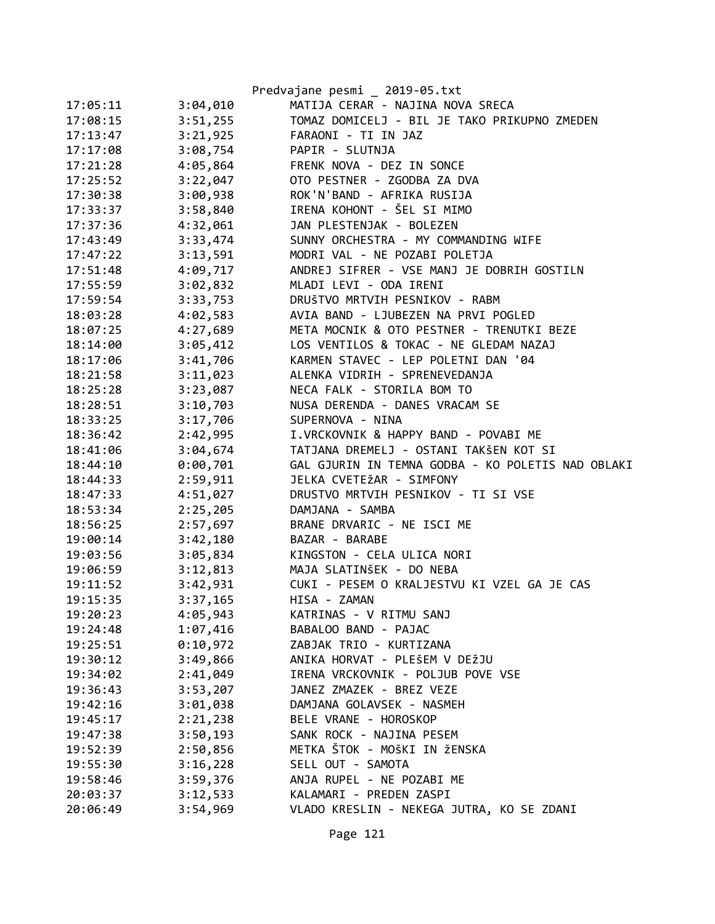|          |          | Predvajane pesmi _ 2019-05.txt                    |
|----------|----------|---------------------------------------------------|
| 17:05:11 | 3:04,010 | MATIJA CERAR - NAJINA NOVA SRECA                  |
| 17:08:15 | 3:51,255 | TOMAZ DOMICELJ - BIL JE TAKO PRIKUPNO ZMEDEN      |
| 17:13:47 | 3:21,925 | FARAONI - TI IN JAZ                               |
| 17:17:08 | 3:08,754 | PAPIR - SLUTNJA                                   |
| 17:21:28 | 4:05,864 | FRENK NOVA - DEZ IN SONCE                         |
| 17:25:52 | 3:22,047 | OTO PESTNER - ZGODBA ZA DVA                       |
| 17:30:38 | 3:00,938 | ROK'N'BAND - AFRIKA RUSIJA                        |
| 17:33:37 | 3:58,840 | IRENA KOHONT - ŠEL SI MIMO                        |
| 17:37:36 | 4:32,061 | JAN PLESTENJAK - BOLEZEN                          |
| 17:43:49 | 3:33,474 | SUNNY ORCHESTRA - MY COMMANDING WIFE              |
| 17:47:22 | 3:13,591 | MODRI VAL - NE POZABI POLETJA                     |
| 17:51:48 | 4:09,717 | ANDREJ SIFRER - VSE MANJ JE DOBRIH GOSTILN        |
| 17:55:59 | 3:02,832 | MLADI LEVI - ODA IRENI                            |
| 17:59:54 | 3:33,753 | DRUŠTVO MRTVIH PESNIKOV - RABM                    |
| 18:03:28 | 4:02,583 | AVIA BAND - LJUBEZEN NA PRVI POGLED               |
| 18:07:25 | 4:27,689 | META MOCNIK & OTO PESTNER - TRENUTKI BEZE         |
| 18:14:00 | 3:05,412 | LOS VENTILOS & TOKAC - NE GLEDAM NAZAJ            |
| 18:17:06 | 3:41,706 | KARMEN STAVEC - LEP POLETNI DAN '04               |
| 18:21:58 | 3:11,023 | ALENKA VIDRIH - SPRENEVEDANJA                     |
| 18:25:28 | 3:23,087 | NECA FALK - STORILA BOM TO                        |
| 18:28:51 | 3:10,703 | NUSA DERENDA - DANES VRACAM SE                    |
| 18:33:25 | 3:17,706 | SUPERNOVA - NINA                                  |
| 18:36:42 | 2:42,995 | I.VRCKOVNIK & HAPPY BAND - POVABI ME              |
| 18:41:06 | 3:04,674 | TATJANA DREMELJ - OSTANI TAKŠEN KOT SI            |
| 18:44:10 | 0:00,701 | GAL GJURIN IN TEMNA GODBA - KO POLETIS NAD OBLAKI |
| 18:44:33 | 2:59,911 | JELKA CVETEŽAR - SIMFONY                          |
| 18:47:33 | 4:51,027 | DRUSTVO MRTVIH PESNIKOV - TI SI VSE               |
| 18:53:34 | 2:25,205 | DAMJANA - SAMBA                                   |
| 18:56:25 | 2:57,697 | BRANE DRVARIC - NE ISCI ME                        |
| 19:00:14 | 3:42,180 | BAZAR - BARABE                                    |
| 19:03:56 | 3:05,834 | KINGSTON - CELA ULICA NORI                        |
| 19:06:59 | 3:12,813 | MAJA SLATINŠEK - DO NEBA                          |
| 19:11:52 | 3:42,931 | CUKI - PESEM O KRALJESTVU KI VZEL GA JE CAS       |
| 19:15:35 | 3:37,165 | HISA - ZAMAN                                      |
| 19:20:23 | 4:05,943 | KATRINAS - V RITMU SANJ                           |
| 19:24:48 | 1:07,416 | BABALOO BAND - PAJAC                              |
| 19:25:51 | 0:10,972 | ZABJAK TRIO - KURTIZANA                           |
| 19:30:12 | 3:49,866 | ANIKA HORVAT - PLEŠEM V DEŽJU                     |
| 19:34:02 | 2:41,049 | IRENA VRCKOVNIK - POLJUB POVE VSE                 |
| 19:36:43 | 3:53,207 | JANEZ ZMAZEK - BREZ VEZE                          |
| 19:42:16 | 3:01,038 | DAMJANA GOLAVSEK - NASMEH                         |
| 19:45:17 | 2:21,238 | BELE VRANE - HOROSKOP                             |
| 19:47:38 | 3:50,193 | SANK ROCK - NAJINA PESEM                          |
| 19:52:39 | 2:50,856 | METKA ŠTOK - MOŠKI IN ŽENSKA                      |
| 19:55:30 | 3:16,228 | SELL OUT - SAMOTA                                 |
| 19:58:46 | 3:59,376 | ANJA RUPEL - NE POZABI ME                         |
| 20:03:37 | 3:12,533 | KALAMARI - PREDEN ZASPI                           |
| 20:06:49 | 3:54,969 | VLADO KRESLIN - NEKEGA JUTRA, KO SE ZDANI         |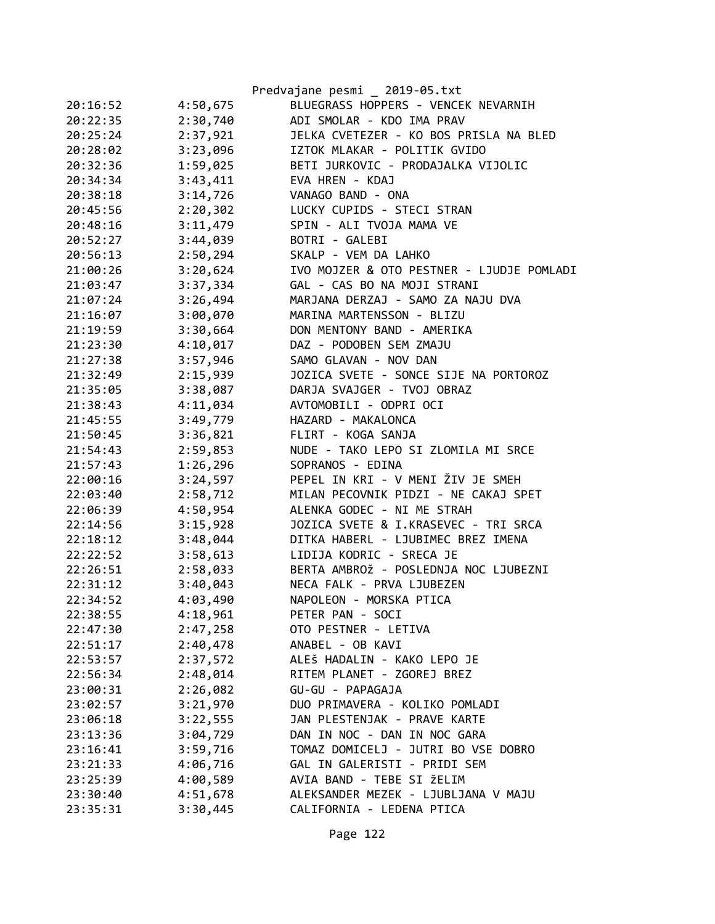|          |          | Predvajane pesmi _ 2019-05.txt            |
|----------|----------|-------------------------------------------|
| 20:16:52 | 4:50,675 | BLUEGRASS HOPPERS - VENCEK NEVARNIH       |
| 20:22:35 | 2:30,740 | ADI SMOLAR - KDO IMA PRAV                 |
| 20:25:24 | 2:37,921 | JELKA CVETEZER - KO BOS PRISLA NA BLED    |
| 20:28:02 | 3:23,096 | IZTOK MLAKAR - POLITIK GVIDO              |
| 20:32:36 | 1:59,025 | BETI JURKOVIC - PRODAJALKA VIJOLIC        |
| 20:34:34 | 3:43,411 | EVA HREN - KDAJ                           |
| 20:38:18 | 3:14,726 | VANAGO BAND - ONA                         |
| 20:45:56 | 2:20,302 | LUCKY CUPIDS - STECI STRAN                |
| 20:48:16 | 3:11,479 | SPIN - ALI TVOJA MAMA VE                  |
| 20:52:27 | 3:44,039 | BOTRI - GALEBI                            |
| 20:56:13 | 2:50,294 | SKALP - VEM DA LAHKO                      |
| 21:00:26 | 3:20,624 | IVO MOJZER & OTO PESTNER - LJUDJE POMLADI |
| 21:03:47 | 3:37,334 | GAL - CAS BO NA MOJI STRANI               |
| 21:07:24 | 3:26,494 | MARJANA DERZAJ - SAMO ZA NAJU DVA         |
| 21:16:07 | 3:00,070 | MARINA MARTENSSON - BLIZU                 |
| 21:19:59 | 3:30,664 | DON MENTONY BAND - AMERIKA                |
| 21:23:30 | 4:10,017 | DAZ - PODOBEN SEM ZMAJU                   |
| 21:27:38 | 3:57,946 | SAMO GLAVAN - NOV DAN                     |
| 21:32:49 | 2:15,939 | JOZICA SVETE - SONCE SIJE NA PORTOROZ     |
| 21:35:05 | 3:38,087 | DARJA SVAJGER - TVOJ OBRAZ                |
| 21:38:43 | 4:11,034 | AVTOMOBILI - ODPRI OCI                    |
| 21:45:55 | 3:49,779 | HAZARD - MAKALONCA                        |
| 21:50:45 | 3:36,821 | FLIRT - KOGA SANJA                        |
| 21:54:43 | 2:59,853 | NUDE - TAKO LEPO SI ZLOMILA MI SRCE       |
| 21:57:43 | 1:26,296 | SOPRANOS - EDINA                          |
| 22:00:16 | 3:24,597 | PEPEL IN KRI - V MENI ŽIV JE SMEH         |
| 22:03:40 | 2:58,712 | MILAN PECOVNIK PIDZI - NE CAKAJ SPET      |
| 22:06:39 | 4:50,954 | ALENKA GODEC - NI ME STRAH                |
| 22:14:56 | 3:15,928 | JOZICA SVETE & I.KRASEVEC - TRI SRCA      |
| 22:18:12 | 3:48,044 | DITKA HABERL - LJUBIMEC BREZ IMENA        |
| 22:22:52 | 3:58,613 | LIDIJA KODRIC - SRECA JE                  |
| 22:26:51 | 2:58,033 | BERTA AMBROŽ - POSLEDNJA NOC LJUBEZNI     |
| 22:31:12 | 3:40,043 | NECA FALK - PRVA LJUBEZEN                 |
| 22:34:52 | 4:03,490 | NAPOLEON - MORSKA PTICA                   |
| 22:38:55 | 4:18,961 | PETER PAN - SOCI                          |
| 22:47:30 | 2:47,258 | OTO PESTNER - LETIVA                      |
| 22:51:17 | 2:40,478 | ANABEL - OB KAVI                          |
| 22:53:57 | 2:37,572 | ALEŠ HADALIN - KAKO LEPO JE               |
| 22:56:34 | 2:48,014 | RITEM PLANET - ZGOREJ BREZ                |
| 23:00:31 | 2:26,082 | GU-GU - PAPAGAJA                          |
| 23:02:57 | 3:21,970 | DUO PRIMAVERA - KOLIKO POMLADI            |
| 23:06:18 | 3:22,555 | JAN PLESTENJAK - PRAVE KARTE              |
| 23:13:36 | 3:04,729 | DAN IN NOC - DAN IN NOC GARA              |
| 23:16:41 | 3:59,716 | TOMAZ DOMICELJ - JUTRI BO VSE DOBRO       |
| 23:21:33 | 4:06,716 | GAL IN GALERISTI - PRIDI SEM              |
| 23:25:39 | 4:00,589 | AVIA BAND - TEBE SI ŽELIM                 |
| 23:30:40 | 4:51,678 | ALEKSANDER MEZEK - LJUBLJANA V MAJU       |
| 23:35:31 | 3:30,445 | CALIFORNIA - LEDENA PTICA                 |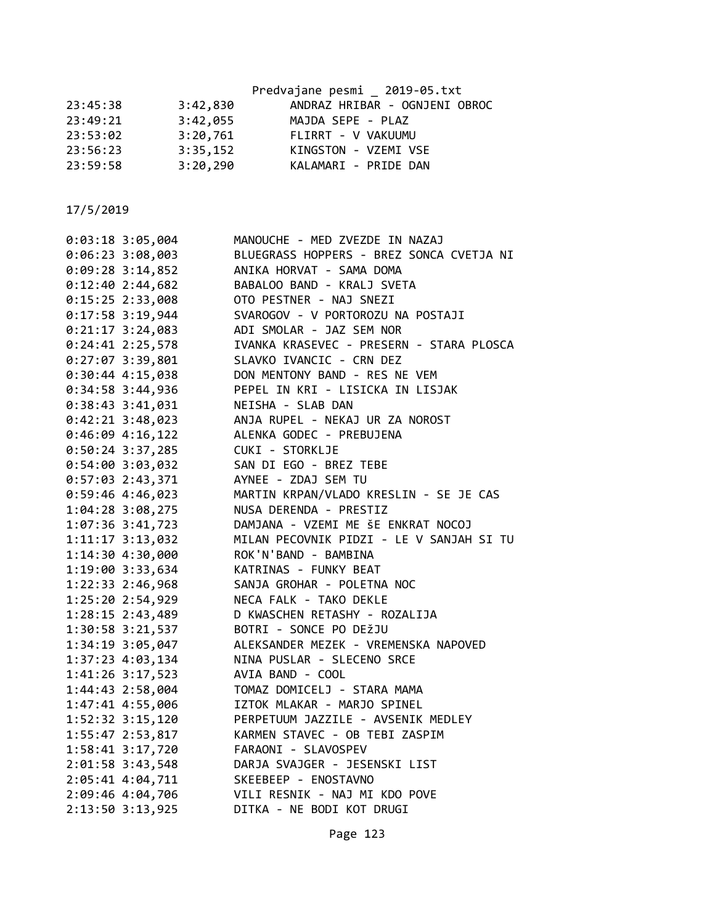|          |          | Predvajane pesmi 2019-05.txt  |
|----------|----------|-------------------------------|
| 23:45:38 | 3:42,830 | ANDRAZ HRIBAR - OGNJENI OBROC |
| 23:49:21 | 3:42,055 | MAJDA SEPE - PLAZ             |
| 23:53:02 | 3:20,761 | FLIRRT - V VAKUUMU            |
| 23:56:23 | 3:35,152 | KINGSTON - VZEMI VSE          |
| 23:59:58 | 3:20,290 | KALAMARI - PRIDE DAN          |
|          |          |                               |

| $0:03:18$ 3:05,004   | MANOUCHE - MED ZVEZDE IN NAZAJ           |
|----------------------|------------------------------------------|
| 0:06:23 3:08,003     | BLUEGRASS HOPPERS - BREZ SONCA CVETJA NI |
| $0:09:28$ 3:14,852   | ANIKA HORVAT - SAMA DOMA                 |
| 0:12:402:44,682      | BABALOO BAND - KRALJ SVETA               |
| 0:15:25 2:33,008     | OTO PESTNER - NAJ SNEZI                  |
| 0:17:58 3:19,944     | SVAROGOV - V PORTOROZU NA POSTAJI        |
| $0:21:17$ 3:24,083   | ADI SMOLAR - JAZ SEM NOR                 |
| $0:24:41$ 2:25,578   | IVANKA KRASEVEC - PRESERN - STARA PLOSCA |
| $0:27:07$ 3:39,801   | SLAVKO IVANCIC - CRN DEZ                 |
| $0:30:44$ 4:15,038   | DON MENTONY BAND - RES NE VEM            |
| 0:34:58 3:44,936     | PEPEL IN KRI - LISICKA IN LISJAK         |
| $0:38:43$ 3:41,031   | NEISHA - SLAB DAN                        |
| $0:42:21$ 3:48,023   | ANJA RUPEL - NEKAJ UR ZA NOROST          |
| $0:46:09$ 4:16,122   | ALENKA GODEC - PREBUJENA                 |
| $0:50:24$ 3:37,285   | CUKI - STORKLJE                          |
| $0:54:00$ 3:03,032   | SAN DI EGO - BREZ TEBE                   |
| $0:57:03$ 2:43,371   | AYNEE - ZDAJ SEM TU                      |
| 0:59:46 4:46,023     | MARTIN KRPAN/VLADO KRESLIN - SE JE CAS   |
| 1:04:28 3:08,275     | NUSA DERENDA - PRESTIZ                   |
| 1:07:36 3:41,723     | DAMJANA - VZEMI ME ŠE ENKRAT NOCOJ       |
| 1:11:17 3:13,032     | MILAN PECOVNIK PIDZI - LE V SANJAH SI TU |
| 1:14:30 4:30,000     | ROK'N'BAND - BAMBINA                     |
| 1:19:00 3:33,634     | KATRINAS - FUNKY BEAT                    |
| 1:22:33 2:46,968     | SANJA GROHAR - POLETNA NOC               |
| 1:25:20 2:54,929     | NECA FALK - TAKO DEKLE                   |
| 1:28:15 2:43,489     | D KWASCHEN RETASHY - ROZALIJA            |
| 1:30:58 3:21,537     | BOTRI - SONCE PO DEŽJU                   |
| 1:34:19 3:05,047     | ALEKSANDER MEZEK - VREMENSKA NAPOVED     |
| 1:37:23 4:03,134     | NINA PUSLAR - SLECENO SRCE               |
| $1:41:26$ 3:17,523   | AVIA BAND - COOL                         |
| $1:44:43$ $2:58,004$ | TOMAZ DOMICELJ - STARA MAMA              |
| 1:47:41 4:55,006     | IZTOK MLAKAR - MARJO SPINEL              |
| 1:52:32 3:15,120     | PERPETUUM JAZZILE - AVSENIK MEDLEY       |
| 1:55:47 2:53,817     | KARMEN STAVEC - OB TEBI ZASPIM           |
| 1:58:41 3:17,720     | FARAONI - SLAVOSPEV                      |
| $2:01:58$ 3:43,548   | DARJA SVAJGER - JESENSKI LIST            |
| 2:05:41 4:04,711     | SKEEBEEP - ENOSTAVNO                     |
| 2:09:46 4:04,706     | VILI RESNIK - NAJ MI KDO POVE            |
| 2:13:50 3:13,925     | DITKA - NE BODI KOT DRUGI                |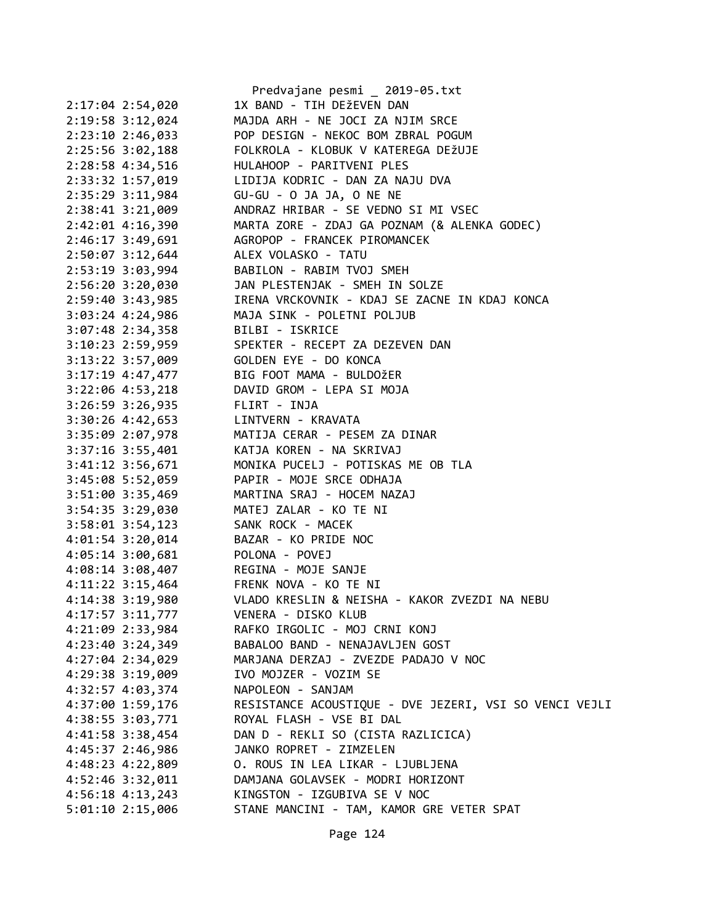|                      | Predvajane pesmi _ 2019-05.txt                         |
|----------------------|--------------------------------------------------------|
| 2:17:04 2:54,020     | 1X BAND - TIH DEŽEVEN DAN                              |
| 2:19:58 3:12,024     | MAJDA ARH - NE JOCI ZA NJIM SRCE                       |
| 2:23:10 2:46,033     | POP DESIGN - NEKOC BOM ZBRAL POGUM                     |
| 2:25:56 3:02,188     | FOLKROLA - KLOBUK V KATEREGA DEŽUJE                    |
| 2:28:58 4:34,516     | HULAHOOP - PARITVENI PLES                              |
| 2:33:32 1:57,019     | LIDIJA KODRIC - DAN ZA NAJU DVA                        |
| 2:35:29 3:11,984     | GU-GU - O JA JA, O NE NE                               |
| 2:38:41 3:21,009     | ANDRAZ HRIBAR - SE VEDNO SI MI VSEC                    |
| 2:42:01 4:16,390     | MARTA ZORE - ZDAJ GA POZNAM (& ALENKA GODEC)           |
| 2:46:17 3:49,691     | AGROPOP - FRANCEK PIROMANCEK                           |
| $2:50:07$ 3:12,644   | ALEX VOLASKO - TATU                                    |
| 2:53:19 3:03,994     | BABILON - RABIM TVOJ SMEH                              |
| 2:56:20 3:20,030     | JAN PLESTENJAK - SMEH IN SOLZE                         |
| 2:59:40 3:43,985     | IRENA VRCKOVNIK - KDAJ SE ZACNE IN KDAJ KONCA          |
| $3:03:24$ 4:24,986   | MAJA SINK - POLETNI POLJUB                             |
| $3:07:48$ 2:34,358   | BILBI - ISKRICE                                        |
| 3:10:23 2:59,959     | SPEKTER - RECEPT ZA DEZEVEN DAN                        |
| 3:13:22 3:57,009     | GOLDEN EYE - DO KONCA                                  |
| $3:17:19$ 4:47,477   | BIG FOOT MAMA - BULDOŽER                               |
| $3:22:06$ 4:53,218   | DAVID GROM - LEPA SI MOJA                              |
| $3:26:59$ $3:26,935$ | FLIRT - INJA                                           |
| 3:30:26 4:42,653     | LINTVERN - KRAVATA                                     |
| 3:35:09 2:07,978     | MATIJA CERAR - PESEM ZA DINAR                          |
| $3:37:16$ $3:55,401$ | KATJA KOREN - NA SKRIVAJ                               |
| 3:41:12 3:56,671     | MONIKA PUCELJ - POTISKAS ME OB TLA                     |
| 3:45:08 5:52,059     | PAPIR - MOJE SRCE ODHAJA                               |
| 3:51:00 3:35,469     | MARTINA SRAJ - HOCEM NAZAJ                             |
| 3:54:35 3:29,030     | MATEJ ZALAR - KO TE NI                                 |
| 3:58:01 3:54,123     | SANK ROCK - MACEK                                      |
| 4:01:54 3:20,014     | BAZAR - KO PRIDE NOC                                   |
| 4:05:14 3:00,681     | POLONA - POVEJ                                         |
| $4:08:14$ 3:08,407   | REGINA - MOJE SANJE                                    |
|                      | 4:11:22 3:15,464 FRENK NOVA - KO TE NI                 |
| 4:14:38 3:19,980     | VLADO KRESLIN & NEISHA - KAKOR ZVEZDI NA NEBU          |
| 4:17:57 3:11,777     | VENERA - DISKO KLUB                                    |
| 4:21:09 2:33,984     | RAFKO IRGOLIC - MOJ CRNI KONJ                          |
| 4:23:40 3:24,349     | BABALOO BAND - NENAJAVLJEN GOST                        |
| 4:27:04 2:34,029     | MARJANA DERZAJ - ZVEZDE PADAJO V NOC                   |
| 4:29:38 3:19,009     | IVO MOJZER - VOZIM SE                                  |
| 4:32:57 4:03,374     | NAPOLEON - SANJAM                                      |
| 4:37:00 1:59,176     | RESISTANCE ACOUSTIQUE - DVE JEZERI, VSI SO VENCI VEJLI |
| 4:38:55 3:03,771     | ROYAL FLASH - VSE BI DAL                               |
| 4:41:58 3:38,454     | DAN D - REKLI SO (CISTA RAZLICICA)                     |
| 4:45:37 2:46,986     | JANKO ROPRET - ZIMZELEN                                |
| 4:48:23 4:22,809     | O. ROUS IN LEA LIKAR - LJUBLJENA                       |
| 4:52:46 3:32,011     | DAMJANA GOLAVSEK - MODRI HORIZONT                      |
| $4:56:18$ $4:13,243$ | KINGSTON - IZGUBIVA SE V NOC                           |
| 5:01:10 2:15,006     | STANE MANCINI - TAM, KAMOR GRE VETER SPAT              |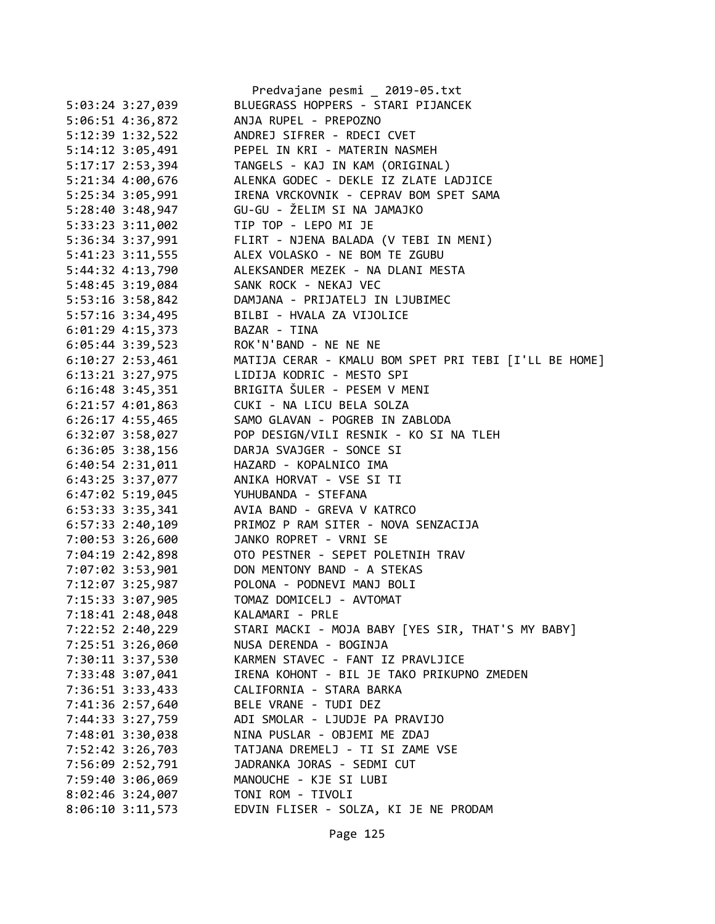|                    |                      | Predvajane pesmi _ 2019-05.txt                        |
|--------------------|----------------------|-------------------------------------------------------|
|                    | 5:03:24 3:27,039     | BLUEGRASS HOPPERS - STARI PIJANCEK                    |
|                    | 5:06:51 4:36,872     | ANJA RUPEL - PREPOZNO                                 |
|                    | 5:12:39 1:32,522     | ANDREJ SIFRER - RDECI CVET                            |
|                    | $5:14:12$ $3:05,491$ | PEPEL IN KRI - MATERIN NASMEH                         |
|                    | 5:17:17 2:53,394     | TANGELS - KAJ IN KAM (ORIGINAL)                       |
|                    | 5:21:34 4:00,676     | ALENKA GODEC - DEKLE IZ ZLATE LADJICE                 |
| 5:25:34 3:05,991   |                      | IRENA VRCKOVNIK - CEPRAV BOM SPET SAMA                |
| 5:28:40 3:48,947   |                      | GU-GU - ŽELIM SI NA JAMAJKO                           |
| 5:33:23 3:11,002   |                      | TIP TOP - LEPO MI JE                                  |
|                    | 5:36:34 3:37,991     | FLIRT - NJENA BALADA (V TEBI IN MENI)                 |
|                    | 5:41:23 3:11,555     | ALEX VOLASKO - NE BOM TE ZGUBU                        |
|                    | 5:44:32 4:13,790     | ALEKSANDER MEZEK - NA DLANI MESTA                     |
|                    | 5:48:45 3:19,084     | SANK ROCK - NEKAJ VEC                                 |
| 5:53:16 3:58,842   |                      | DAMJANA - PRIJATELJ IN LJUBIMEC                       |
| 5:57:16 3:34,495   |                      | BILBI - HVALA ZA VIJOLICE                             |
|                    | $6:01:29$ 4:15,373   | BAZAR - TINA                                          |
|                    | 6:05:44 3:39,523     | ROK'N'BAND - NE NE NE                                 |
|                    | $6:10:27$ 2:53,461   | MATIJA CERAR - KMALU BOM SPET PRI TEBI [I'LL BE HOME] |
|                    | $6:13:21$ $3:27,975$ | LIDIJA KODRIC - MESTO SPI                             |
|                    | $6:16:48$ 3:45,351   | BRIGITA ŠULER - PESEM V MENI                          |
|                    | $6:21:57$ $4:01,863$ | CUKI - NA LICU BELA SOLZA                             |
|                    | $6:26:17$ 4:55,465   | SAMO GLAVAN - POGREB IN ZABLODA                       |
|                    | $6:32:07$ $3:58,027$ | POP DESIGN/VILI RESNIK - KO SI NA TLEH                |
|                    | $6:36:05$ 3:38,156   | DARJA SVAJGER - SONCE SI                              |
|                    | $6:40:54$ 2:31,011   | HAZARD - KOPALNICO IMA                                |
|                    | 6:43:25 3:37,077     | ANIKA HORVAT - VSE SI TI                              |
|                    | $6:47:02$ 5:19,045   | YUHUBANDA - STEFANA                                   |
| 6:53:33 3:35,341   |                      | AVIA BAND - GREVA V KATRCO                            |
| $6:57:33$ 2:40,109 |                      | PRIMOZ P RAM SITER - NOVA SENZACIJA                   |
| 7:00:53 3:26,600   |                      | JANKO ROPRET - VRNI SE                                |
|                    | 7:04:19 2:42,898     | OTO PESTNER - SEPET POLETNIH TRAV                     |
|                    | 7:07:02 3:53,901     | DON MENTONY BAND - A STEKAS                           |
|                    | 7:12:07 3:25,987     | POLONA - PODNEVI MANJ BOLI                            |
| 7:15:33 3:07,905   |                      | TOMAZ DOMICELJ - AVTOMAT                              |
| 7:18:41 2:48,048   |                      | KALAMARI - PRLE                                       |
|                    | 7:22:52 2:40,229     | STARI MACKI - MOJA BABY [YES SIR, THAT'S MY BABY]     |
|                    | 7:25:51 3:26,060     | NUSA DERENDA - BOGINJA                                |
|                    | 7:30:11 3:37,530     | KARMEN STAVEC - FANT IZ PRAVLJICE                     |
|                    | 7:33:48 3:07,041     | IRENA KOHONT - BIL JE TAKO PRIKUPNO ZMEDEN            |
|                    |                      | CALIFORNIA - STARA BARKA                              |
|                    | 7:36:51 3:33,433     |                                                       |
|                    | 7:41:36 2:57,640     | BELE VRANE - TUDI DEZ                                 |
|                    | 7:44:33 3:27,759     | ADI SMOLAR - LJUDJE PA PRAVIJO                        |
|                    | 7:48:01 3:30,038     | NINA PUSLAR - OBJEMI ME ZDAJ                          |
|                    | 7:52:42 3:26,703     | TATJANA DREMELJ - TI SI ZAME VSE                      |
|                    | 7:56:09 2:52,791     | JADRANKA JORAS - SEDMI CUT                            |
|                    | 7:59:40 3:06,069     | MANOUCHE - KJE SI LUBI                                |
|                    | 8:02:46 3:24,007     | TONI ROM - TIVOLI                                     |
|                    | $8:06:10$ 3:11,573   | EDVIN FLISER - SOLZA, KI JE NE PRODAM                 |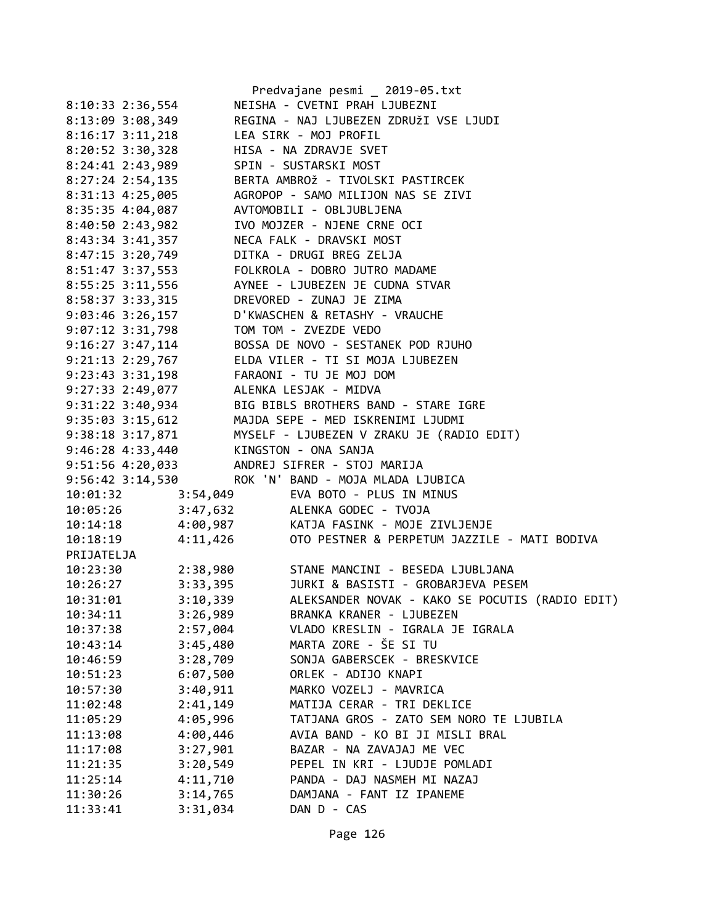|                                         |          | Predvajane pesmi _ 2019-05.txt                                                                                                                                                                                                     |
|-----------------------------------------|----------|------------------------------------------------------------------------------------------------------------------------------------------------------------------------------------------------------------------------------------|
| 8:10:33 2:36,554                        |          | NEISHA - CVETNI PRAH LJUBEZNI                                                                                                                                                                                                      |
| 8:13:09 3:08,349                        |          | REGINA - NAJ LJUBEZEN ZDRUŽI VSE LJUDI                                                                                                                                                                                             |
| 8:16:17 3:11,218 LEA SIRK - MOJ PROFIL  |          |                                                                                                                                                                                                                                    |
| 8:20:52 3:30,328 HISA - NA ZDRAVJE SVET |          |                                                                                                                                                                                                                                    |
| 8:24:41 2:43,989 SPIN - SUSTARSKI MOST  |          |                                                                                                                                                                                                                                    |
|                                         |          | 8:27:24 2:54,135 BERTA AMBROŽ - TIVOLSKI PASTIRCEK                                                                                                                                                                                 |
|                                         |          | 8:31:13 4:25,005<br>8:35:35 4:04,087<br>8:40:50 2:43,982<br>8:40:50 2:43,982<br>NO MOJZER - NJENE CRNE OCI                                                                                                                         |
|                                         |          |                                                                                                                                                                                                                                    |
|                                         |          |                                                                                                                                                                                                                                    |
|                                         |          | 8:43:34 3:41,357 NECA FALK - DRAVSKI MOST                                                                                                                                                                                          |
|                                         |          | 8:47:15 3:20,749 DITKA - DRUGI BREG ZELJA                                                                                                                                                                                          |
|                                         |          | 8:51:47 3:37,553 FOLKROLA - DOBRO JUTRO MADAME                                                                                                                                                                                     |
|                                         |          | 8:55:25 3:11,556 AYNEE - LJUBEZEN JE CUDNA STVAR                                                                                                                                                                                   |
|                                         |          |                                                                                                                                                                                                                                    |
|                                         |          | 8:58:37 3:33,315<br>9:03:46 3:26,157 D'KWASCHEN & RETASHY - VRAUCHE                                                                                                                                                                |
| 9:07:12 3:31,798 TOM TOM - ZVEZDE VEDO  |          |                                                                                                                                                                                                                                    |
|                                         |          | 9:16:27 3:47,114 BOSSA DE NOVO - SESTANEK POD RJUHO                                                                                                                                                                                |
|                                         |          | 9:21:13 2:29,767 ELDA VILER - TI SI MOJA LJUBEZEN                                                                                                                                                                                  |
|                                         |          | 9:23:43 3:31,198 FARAONI - TU JE MOJ DOM                                                                                                                                                                                           |
| 9:27:33 2:49,077 ALENKA LESJAK - MIDVA  |          |                                                                                                                                                                                                                                    |
|                                         |          | 9:31:22 3:40,934<br>9:35:03 3:15,612<br>9:38:18 3:17,871 MYSELF - LJUBEZEN V ZRAKU JE (RADIO EDIT)<br>9:46:28 4:33,440 KINGSTON - ONA SANJA<br>WISSELF - LJUBEZEN V ZRAKU JE (RADIO EDIT)<br>9:46:28 4:33,440 KINGSTON - ONA SANJA |
|                                         |          |                                                                                                                                                                                                                                    |
|                                         |          |                                                                                                                                                                                                                                    |
|                                         |          |                                                                                                                                                                                                                                    |
|                                         |          | 9:51:56  4:20,033  ANDREJ SIFRER - STOJ MARIJA                                                                                                                                                                                     |
|                                         |          | 9:56:42 3:14,530 ROK 'N' BAND - MOJA MLADA LJUBICA                                                                                                                                                                                 |
| 10:01:32 3:54,049                       |          | EVA BOTO - PLUS IN MINUS                                                                                                                                                                                                           |
|                                         |          |                                                                                                                                                                                                                                    |
|                                         |          |                                                                                                                                                                                                                                    |
|                                         |          | 10:05:26 3:47,632 ALENKA GODEC - TVOJA<br>10:14:18 4:00,987 KATJA FASINK - MOJE ZIVLJENJE<br>10:18:19 4:11,426 OTO PESTNER & PERPETUM JAZZILI<br>OTO PESTNER & PERPETUM JAZZILE - MATI BODIVA                                      |
| PRIJATELJA                              |          |                                                                                                                                                                                                                                    |
|                                         |          | 10:23:30 2:38,980 STANE MANCINI - BESEDA LJUBLJANA                                                                                                                                                                                 |
|                                         |          | 10:26:27 3:33,395 JURKI & BASISTI - GROBARJEVA PESEM                                                                                                                                                                               |
| 10:31:01                                | 3:10,339 | ALEKSANDER NOVAK - KAKO SE POCUTIS (RADIO EDIT)                                                                                                                                                                                    |
| 10:34:11                                | 3:26,989 | BRANKA KRANER - LJUBEZEN                                                                                                                                                                                                           |
| 10:37:38                                | 2:57,004 | VLADO KRESLIN - IGRALA JE IGRALA                                                                                                                                                                                                   |
|                                         |          | MARTA ZORE - ŠE SI TU                                                                                                                                                                                                              |
| 10:43:14                                | 3:45,480 | SONJA GABERSCEK - BRESKVICE                                                                                                                                                                                                        |
| 10:46:59                                | 3:28,709 | ORLEK - ADIJO KNAPI                                                                                                                                                                                                                |
| 10:51:23                                | 6:07,500 |                                                                                                                                                                                                                                    |
| 10:57:30                                | 3:40,911 | MARKO VOZELJ - MAVRICA<br>MATIJA CERAR - TRI DEKLICE                                                                                                                                                                               |
| 11:02:48                                | 2:41,149 |                                                                                                                                                                                                                                    |
| 11:05:29                                | 4:05,996 | TATJANA GROS - ZATO SEM NORO TE LJUBILA                                                                                                                                                                                            |
| 11:13:08                                | 4:00,446 | AVIA BAND - KO BI JI MISLI BRAL                                                                                                                                                                                                    |
| 11:17:08                                | 3:27,901 | BAZAR - NA ZAVAJAJ ME VEC                                                                                                                                                                                                          |
| 11:21:35                                | 3:20,549 | PEPEL IN KRI - LJUDJE POMLADI                                                                                                                                                                                                      |
| 11:25:14                                | 4:11,710 | PANDA - DAJ NASMEH MI NAZAJ                                                                                                                                                                                                        |
| 11:30:26                                | 3:14,765 | DAMJANA - FANT IZ IPANEME                                                                                                                                                                                                          |
| 11:33:41                                | 3:31,034 | DAN D - CAS                                                                                                                                                                                                                        |

Page 126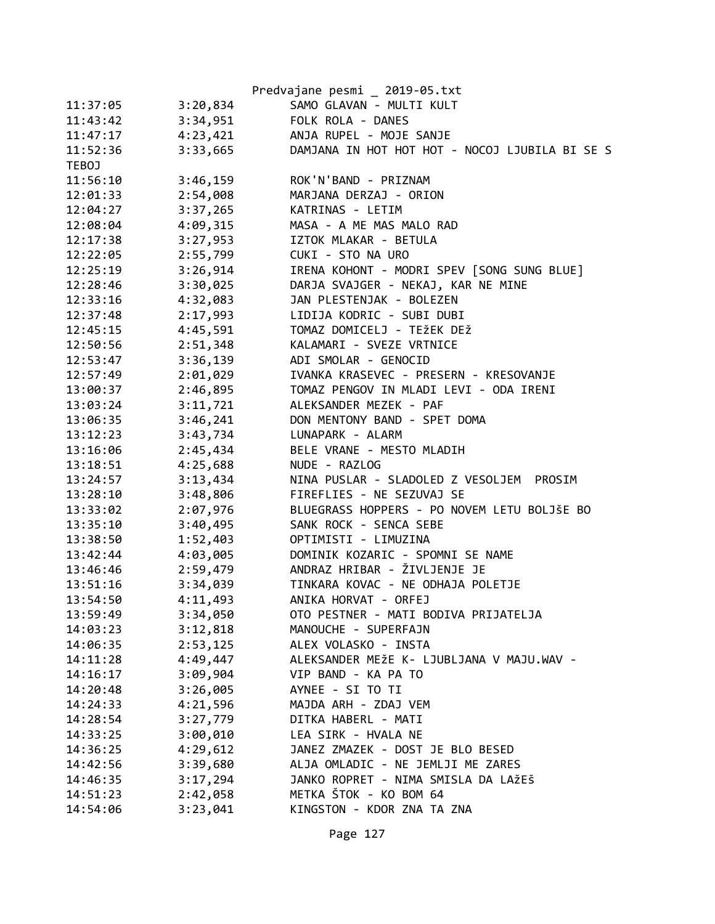|          |          | Predvajane pesmi _ 2019-05.txt                 |
|----------|----------|------------------------------------------------|
| 11:37:05 | 3:20,834 | SAMO GLAVAN - MULTI KULT                       |
| 11:43:42 | 3:34,951 | FOLK ROLA - DANES                              |
| 11:47:17 | 4:23,421 | ANJA RUPEL - MOJE SANJE                        |
| 11:52:36 | 3:33,665 | DAMJANA IN HOT HOT HOT - NOCOJ LJUBILA BI SE S |
| TEBOJ    |          |                                                |
| 11:56:10 | 3:46,159 | ROK'N'BAND - PRIZNAM                           |
| 12:01:33 | 2:54,008 | MARJANA DERZAJ - ORION                         |
| 12:04:27 | 3:37,265 | KATRINAS - LETIM                               |
| 12:08:04 | 4:09,315 | MASA - A ME MAS MALO RAD                       |
| 12:17:38 | 3:27,953 | IZTOK MLAKAR - BETULA                          |
| 12:22:05 | 2:55,799 | CUKI - STO NA URO                              |
| 12:25:19 | 3:26,914 | IRENA KOHONT - MODRI SPEV [SONG SUNG BLUE]     |
| 12:28:46 | 3:30,025 | DARJA SVAJGER - NEKAJ, KAR NE MINE             |
| 12:33:16 | 4:32,083 | JAN PLESTENJAK - BOLEZEN                       |
| 12:37:48 | 2:17,993 | LIDIJA KODRIC - SUBI DUBI                      |
| 12:45:15 | 4:45,591 | TOMAZ DOMICELJ - TEŽEK DEŽ                     |
| 12:50:56 | 2:51,348 | KALAMARI - SVEZE VRTNICE                       |
| 12:53:47 | 3:36,139 | ADI SMOLAR - GENOCID                           |
| 12:57:49 | 2:01,029 | IVANKA KRASEVEC - PRESERN - KRESOVANJE         |
| 13:00:37 | 2:46,895 | TOMAZ PENGOV IN MLADI LEVI - ODA IRENI         |
| 13:03:24 | 3:11,721 | ALEKSANDER MEZEK - PAF                         |
| 13:06:35 | 3:46,241 | DON MENTONY BAND - SPET DOMA                   |
| 13:12:23 | 3:43,734 | LUNAPARK - ALARM                               |
| 13:16:06 | 2:45,434 | BELE VRANE - MESTO MLADIH                      |
| 13:18:51 | 4:25,688 | NUDE - RAZLOG                                  |
| 13:24:57 | 3:13,434 | NINA PUSLAR - SLADOLED Z VESOLJEM<br>PROSIM    |
| 13:28:10 | 3:48,806 | FIREFLIES - NE SEZUVAJ SE                      |
| 13:33:02 | 2:07,976 | BLUEGRASS HOPPERS - PO NOVEM LETU BOLJŠE BO    |
| 13:35:10 | 3:40,495 | SANK ROCK - SENCA SEBE                         |
| 13:38:50 | 1:52,403 | OPTIMISTI - LIMUZINA                           |
| 13:42:44 | 4:03,005 | DOMINIK KOZARIC - SPOMNI SE NAME               |
| 13:46:46 | 2:59,479 | ANDRAZ HRIBAR - ŽIVLJENJE JE                   |
| 13:51:16 | 3:34,039 | TINKARA KOVAC - NE ODHAJA POLETJE              |
| 13:54:50 | 4:11,493 | ANIKA HORVAT - ORFEJ                           |
| 13:59:49 | 3:34,050 | OTO PESTNER - MATI BODIVA PRIJATELJA           |
| 14:03:23 | 3:12,818 | MANOUCHE - SUPERFAJN                           |
| 14:06:35 | 2:53,125 | ALEX VOLASKO - INSTA                           |
| 14:11:28 | 4:49,447 | ALEKSANDER MEŽE K- LJUBLJANA V MAJU.WAV -      |
| 14:16:17 | 3:09,904 | VIP BAND - KA PA TO                            |
| 14:20:48 | 3:26,005 | AYNEE - SI TO TI                               |
| 14:24:33 | 4:21,596 | MAJDA ARH - ZDAJ VEM                           |
| 14:28:54 | 3:27,779 | DITKA HABERL - MATI                            |
| 14:33:25 | 3:00,010 | LEA SIRK - HVALA NE                            |
| 14:36:25 | 4:29,612 | JANEZ ZMAZEK - DOST JE BLO BESED               |
| 14:42:56 | 3:39,680 | ALJA OMLADIC - NE JEMLJI ME ZARES              |
| 14:46:35 | 3:17,294 | JANKO ROPRET - NIMA SMISLA DA LAŽEŠ            |
| 14:51:23 | 2:42,058 | METKA ŠTOK - KO BOM 64                         |
| 14:54:06 | 3:23,041 | KINGSTON - KDOR ZNA TA ZNA                     |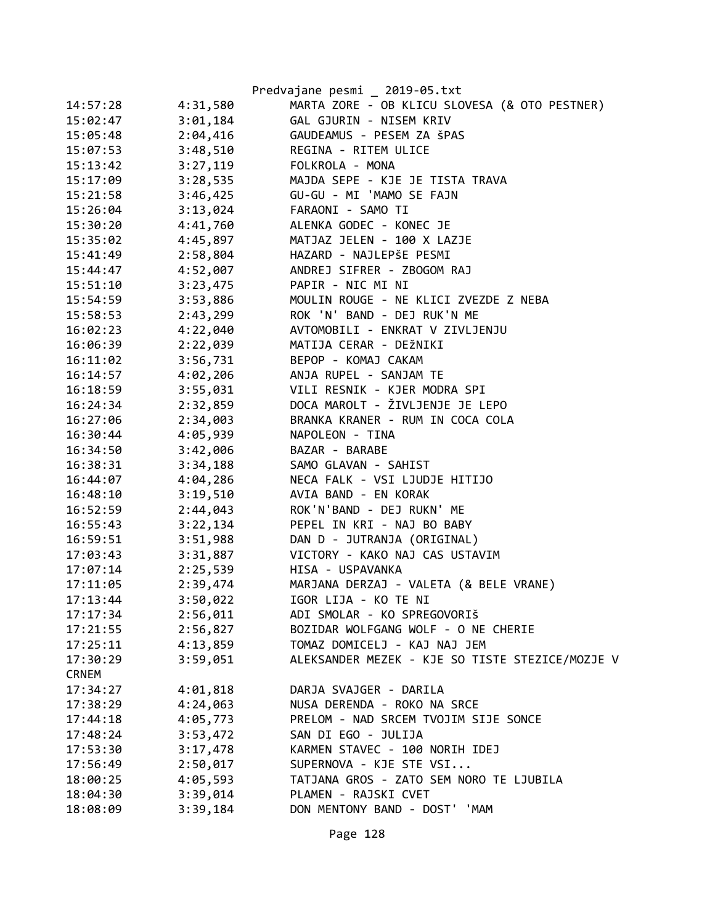|              |          | Predvajane pesmi _ 2019-05.txt                  |
|--------------|----------|-------------------------------------------------|
| 14:57:28     | 4:31,580 | MARTA ZORE - OB KLICU SLOVESA (& OTO PESTNER)   |
| 15:02:47     | 3:01,184 | GAL GJURIN - NISEM KRIV                         |
| 15:05:48     | 2:04,416 | GAUDEAMUS - PESEM ZA ŠPAS                       |
| 15:07:53     | 3:48,510 | REGINA - RITEM ULICE                            |
| 15:13:42     | 3:27,119 | FOLKROLA - MONA                                 |
| 15:17:09     | 3:28,535 | MAJDA SEPE - KJE JE TISTA TRAVA                 |
| 15:21:58     | 3:46,425 | GU-GU - MI 'MAMO SE FAJN                        |
| 15:26:04     | 3:13,024 | FARAONI - SAMO TI                               |
| 15:30:20     | 4:41,760 | ALENKA GODEC - KONEC JE                         |
| 15:35:02     | 4:45,897 | MATJAZ JELEN - 100 X LAZJE                      |
| 15:41:49     | 2:58,804 | HAZARD - NAJLEPŠE PESMI                         |
| 15:44:47     | 4:52,007 | ANDREJ SIFRER - ZBOGOM RAJ                      |
| 15:51:10     | 3:23,475 | PAPIR - NIC MI NI                               |
| 15:54:59     | 3:53,886 | MOULIN ROUGE - NE KLICI ZVEZDE Z NEBA           |
| 15:58:53     | 2:43,299 | ROK 'N' BAND - DEJ RUK'N ME                     |
| 16:02:23     | 4:22,040 | AVTOMOBILI - ENKRAT V ZIVLJENJU                 |
| 16:06:39     | 2:22,039 | MATIJA CERAR - DEŽNIKI                          |
| 16:11:02     | 3:56,731 | BEPOP - KOMAJ CAKAM                             |
| 16:14:57     | 4:02,206 | ANJA RUPEL - SANJAM TE                          |
| 16:18:59     | 3:55,031 | VILI RESNIK - KJER MODRA SPI                    |
| 16:24:34     | 2:32,859 | DOCA MAROLT - ŽIVLJENJE JE LEPO                 |
| 16:27:06     | 2:34,003 | BRANKA KRANER - RUM IN COCA COLA                |
| 16:30:44     | 4:05,939 | NAPOLEON - TINA                                 |
| 16:34:50     | 3:42,006 | BAZAR - BARABE                                  |
| 16:38:31     | 3:34,188 | SAMO GLAVAN - SAHIST                            |
| 16:44:07     | 4:04,286 | NECA FALK - VSI LJUDJE HITIJO                   |
| 16:48:10     | 3:19,510 | AVIA BAND - EN KORAK                            |
| 16:52:59     | 2:44,043 | ROK'N'BAND - DEJ RUKN' ME                       |
| 16:55:43     | 3:22,134 | PEPEL IN KRI - NAJ BO BABY                      |
| 16:59:51     | 3:51,988 | DAN D - JUTRANJA (ORIGINAL)                     |
| 17:03:43     | 3:31,887 | VICTORY - KAKO NAJ CAS USTAVIM                  |
| 17:07:14     | 2:25,539 | HISA - USPAVANKA                                |
| 17:11:05     | 2:39,474 | MARJANA DERZAJ - VALETA (& BELE VRANE)          |
| 17:13:44     | 3:50,022 | IGOR LIJA - KO TE NI                            |
| 17:17:34     | 2:56,011 | ADI SMOLAR - KO SPREGOVORIŠ                     |
| 17:21:55     | 2:56,827 | BOZIDAR WOLFGANG WOLF - O NE CHERIE             |
| 17:25:11     | 4:13,859 | TOMAZ DOMICELJ - KAJ NAJ JEM                    |
| 17:30:29     | 3:59,051 | ALEKSANDER MEZEK - KJE SO TISTE STEZICE/MOZJE V |
| <b>CRNEM</b> |          |                                                 |
| 17:34:27     | 4:01,818 | DARJA SVAJGER - DARILA                          |
| 17:38:29     | 4:24,063 | NUSA DERENDA - ROKO NA SRCE                     |
| 17:44:18     | 4:05,773 | PRELOM - NAD SRCEM TVOJIM SIJE SONCE            |
| 17:48:24     | 3:53,472 | SAN DI EGO - JULIJA                             |
| 17:53:30     | 3:17,478 | KARMEN STAVEC - 100 NORIH IDEJ                  |
| 17:56:49     | 2:50,017 | SUPERNOVA - KJE STE VSI                         |
| 18:00:25     | 4:05,593 | TATJANA GROS - ZATO SEM NORO TE LJUBILA         |
| 18:04:30     | 3:39,014 | PLAMEN - RAJSKI CVET                            |
| 18:08:09     | 3:39,184 | DON MENTONY BAND - DOST' 'MAM                   |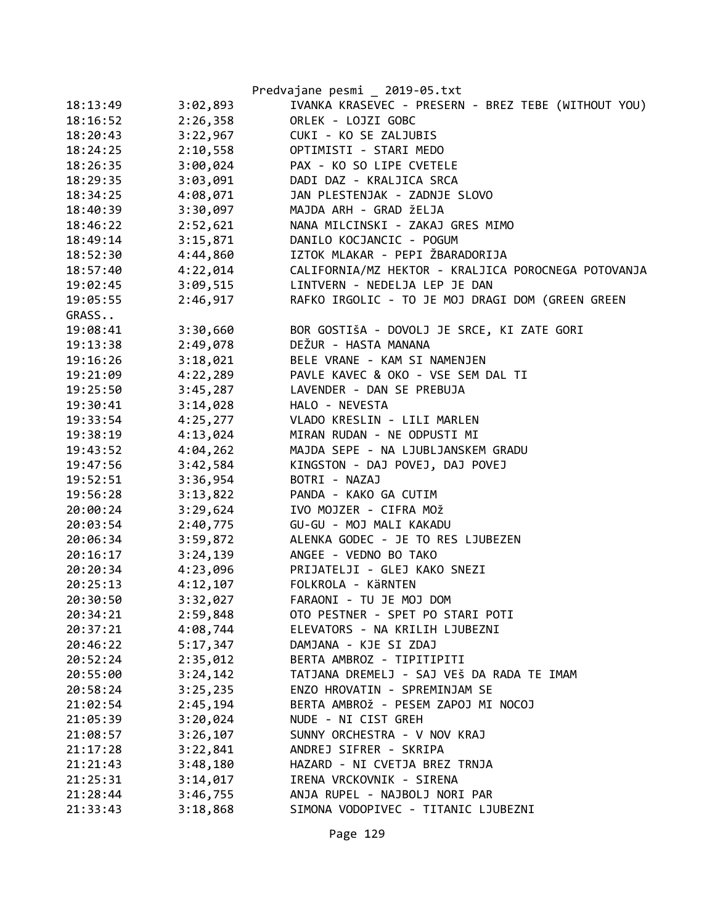|          |                      | Predvajane pesmi _ 2019-05.txt                      |
|----------|----------------------|-----------------------------------------------------|
| 18:13:49 | 3:02,893             | IVANKA KRASEVEC - PRESERN - BREZ TEBE (WITHOUT YOU) |
| 18:16:52 | 2:26,358             | ORLEK - LOJZI GOBC                                  |
| 18:20:43 | 3:22,967             | CUKI - KO SE ZALJUBIS                               |
| 18:24:25 | 2:10,558             | OPTIMISTI - STARI MEDO                              |
| 18:26:35 | 3:00,024             | PAX - KO SO LIPE CVETELE                            |
| 18:29:35 | 3:03,091             | DADI DAZ - KRALJICA SRCA                            |
| 18:34:25 | 4:08,071             | JAN PLESTENJAK - ZADNJE SLOVO                       |
| 18:40:39 | 3:30,097             | MAJDA ARH - GRAD ŽELJA                              |
| 18:46:22 | 2:52,621             | NANA MILCINSKI - ZAKAJ GRES MIMO                    |
| 18:49:14 | 3:15,871             | DANILO KOCJANCIC - POGUM                            |
| 18:52:30 | 4:44,860             | IZTOK MLAKAR - PEPI ŽBARADORIJA                     |
| 18:57:40 | 4:22,014             | CALIFORNIA/MZ HEKTOR - KRALJICA POROCNEGA POTOVANJA |
| 19:02:45 | 3:09,515             | LINTVERN - NEDELJA LEP JE DAN                       |
| 19:05:55 | 2:46,917             | RAFKO IRGOLIC - TO JE MOJ DRAGI DOM (GREEN GREEN    |
| GRASS    |                      |                                                     |
| 19:08:41 | 3:30,660             | BOR GOSTIŠA - DOVOLJ JE SRCE, KI ZATE GORI          |
| 19:13:38 | 2:49,078             | DEŽUR - HASTA MANANA                                |
| 19:16:26 | 3:18,021             | BELE VRANE - KAM SI NAMENJEN                        |
| 19:21:09 | 4:22,289             | PAVLE KAVEC & OKO - VSE SEM DAL TI                  |
| 19:25:50 | 3:45,287             | LAVENDER - DAN SE PREBUJA                           |
| 19:30:41 | 3:14,028             | HALO - NEVESTA                                      |
| 19:33:54 | 4:25,277             | VLADO KRESLIN - LILI MARLEN                         |
| 19:38:19 | 4:13,024             | MIRAN RUDAN - NE ODPUSTI MI                         |
| 19:43:52 | 4:04,262             | MAJDA SEPE - NA LJUBLJANSKEM GRADU                  |
| 19:47:56 | 3:42,584             | KINGSTON - DAJ POVEJ, DAJ POVEJ                     |
| 19:52:51 | 3:36,954             | BOTRI - NAZAJ                                       |
| 19:56:28 | 3:13,822             | PANDA - KAKO GA CUTIM                               |
| 20:00:24 | 3:29,624             | IVO MOJZER - CIFRA MOŽ                              |
| 20:03:54 | 2:40,775             | GU-GU - MOJ MALI KAKADU                             |
| 20:06:34 | 3:59,872             | ALENKA GODEC - JE TO RES LJUBEZEN                   |
| 20:16:17 | 3:24,139             | ANGEE - VEDNO BO TAKO                               |
| 20:20:34 | 4:23,096             | PRIJATELJI - GLEJ KAKO SNEZI                        |
| 20:25:13 |                      | 4:12,107 FOLKROLA - KÄRNTEN                         |
| 20:30:50 | 3:32,027             | FARAONI - TU JE MOJ DOM                             |
| 20:34:21 | 2:59,848             | OTO PESTNER - SPET PO STARI POTI                    |
| 20:37:21 | 4:08,744             | ELEVATORS - NA KRILIH LJUBEZNI                      |
| 20:46:22 | 5:17,347             | DAMJANA - KJE SI ZDAJ                               |
| 20:52:24 | 2:35,012             | BERTA AMBROZ - TIPITIPITI                           |
| 20:55:00 | 3:24,142             | TATJANA DREMELJ - SAJ VEŠ DA RADA TE IMAM           |
| 20:58:24 |                      | ENZO HROVATIN - SPREMINJAM SE                       |
|          | 3:25,235<br>2:45,194 | BERTA AMBROŽ - PESEM ZAPOJ MI NOCOJ                 |
| 21:02:54 | 3:20,024             | NUDE - NI CIST GREH                                 |
| 21:05:39 |                      | SUNNY ORCHESTRA - V NOV KRAJ                        |
| 21:08:57 | 3:26,107             |                                                     |
| 21:17:28 | 3:22,841             | ANDREJ SIFRER - SKRIPA                              |
| 21:21:43 | 3:48,180             | HAZARD - NI CVETJA BREZ TRNJA                       |
| 21:25:31 | 3:14,017             | IRENA VRCKOVNIK - SIRENA                            |
| 21:28:44 | 3:46,755             | ANJA RUPEL - NAJBOLJ NORI PAR                       |
| 21:33:43 | 3:18,868             | SIMONA VODOPIVEC - TITANIC LJUBEZNI                 |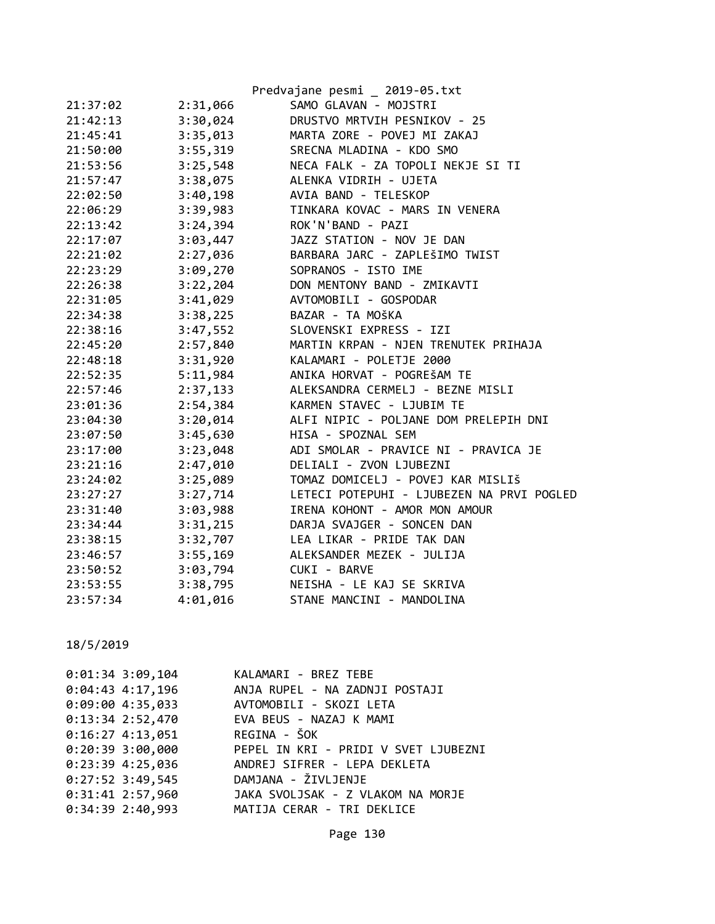|          |          | Predvajane pesmi _ 2019-05.txt            |
|----------|----------|-------------------------------------------|
| 21:37:02 | 2:31,066 | SAMO GLAVAN - MOJSTRI                     |
| 21:42:13 | 3:30,024 | DRUSTVO MRTVIH PESNIKOV - 25              |
| 21:45:41 | 3:35,013 | MARTA ZORE - POVEJ MI ZAKAJ               |
| 21:50:00 | 3:55,319 | SRECNA MLADINA - KDO SMO                  |
| 21:53:56 | 3:25,548 | NECA FALK - ZA TOPOLI NEKJE SI TI         |
| 21:57:47 | 3:38,075 | ALENKA VIDRIH - UJETA                     |
| 22:02:50 | 3:40,198 | AVIA BAND - TELESKOP                      |
| 22:06:29 | 3:39,983 | TINKARA KOVAC - MARS IN VENERA            |
| 22:13:42 | 3:24,394 | ROK'N'BAND - PAZI                         |
| 22:17:07 | 3:03,447 | JAZZ STATION - NOV JE DAN                 |
| 22:21:02 | 2:27,036 | BARBARA JARC - ZAPLEŠIMO TWIST            |
| 22:23:29 | 3:09,270 | SOPRANOS - ISTO IME                       |
| 22:26:38 | 3:22,204 | DON MENTONY BAND - ZMIKAVTI               |
| 22:31:05 | 3:41,029 | AVTOMOBILI - GOSPODAR                     |
| 22:34:38 | 3:38,225 | BAZAR - TA MOŠKA                          |
| 22:38:16 | 3:47,552 | SLOVENSKI EXPRESS - IZI                   |
| 22:45:20 | 2:57,840 | MARTIN KRPAN - NJEN TRENUTEK PRIHAJA      |
| 22:48:18 | 3:31,920 | KALAMARI - POLETJE 2000                   |
| 22:52:35 | 5:11,984 | ANIKA HORVAT - POGREŠAM TE                |
| 22:57:46 | 2:37,133 | ALEKSANDRA CERMELJ - BEZNE MISLI          |
| 23:01:36 | 2:54,384 | KARMEN STAVEC - LJUBIM TE                 |
| 23:04:30 | 3:20,014 | ALFI NIPIC - POLJANE DOM PRELEPIH DNI     |
| 23:07:50 | 3:45,630 | HISA - SPOZNAL SEM                        |
| 23:17:00 | 3:23,048 | ADI SMOLAR - PRAVICE NI - PRAVICA JE      |
| 23:21:16 | 2:47,010 | DELIALI - ZVON LJUBEZNI                   |
| 23:24:02 | 3:25,089 | TOMAZ DOMICELJ - POVEJ KAR MISLIŠ         |
| 23:27:27 | 3:27,714 | LETECI POTEPUHI - LJUBEZEN NA PRVI POGLED |
| 23:31:40 | 3:03,988 | IRENA KOHONT - AMOR MON AMOUR             |
| 23:34:44 | 3:31,215 | DARJA SVAJGER - SONCEN DAN                |
| 23:38:15 | 3:32,707 | LEA LIKAR - PRIDE TAK DAN                 |
| 23:46:57 | 3:55,169 | ALEKSANDER MEZEK - JULIJA                 |
| 23:50:52 | 3:03,794 | CUKI - BARVE                              |
| 23:53:55 | 3:38,795 | NEISHA - LE KAJ SE SKRIVA                 |
| 23:57:34 | 4:01,016 | STANE MANCINI - MANDOLINA                 |

| $0:01:34$ 3:09,104 | KALAMARI - BREZ TEBE                            |
|--------------------|-------------------------------------------------|
|                    | 0:04:43 4:17,196 ANJA RUPEL - NA ZADNJI POSTAJI |
| $0:09:00$ 4:35,033 | AVTOMOBILI - SKOZI LETA                         |
| 0:13:34 2:52,470   | EVA BEUS - NAZAJ K MAMI                         |
| $0:16:27$ 4:13,051 | REGINA - ŠOK                                    |
| $0:20:39$ 3:00,000 | PEPEL IN KRI - PRIDI V SVET LJUBEZNI            |
| $0:23:39$ 4:25,036 | ANDREJ SIFRER - LEPA DEKLETA                    |
| $0:27:52$ 3:49,545 | DAMJANA - ŽIVLJENJE                             |
| $0:31:41$ 2:57,960 | JAKA SVOLJSAK - Z VLAKOM NA MORJE               |
| 0:34:39 2:40,993   | MATIJA CERAR - TRI DEKLICE                      |
|                    |                                                 |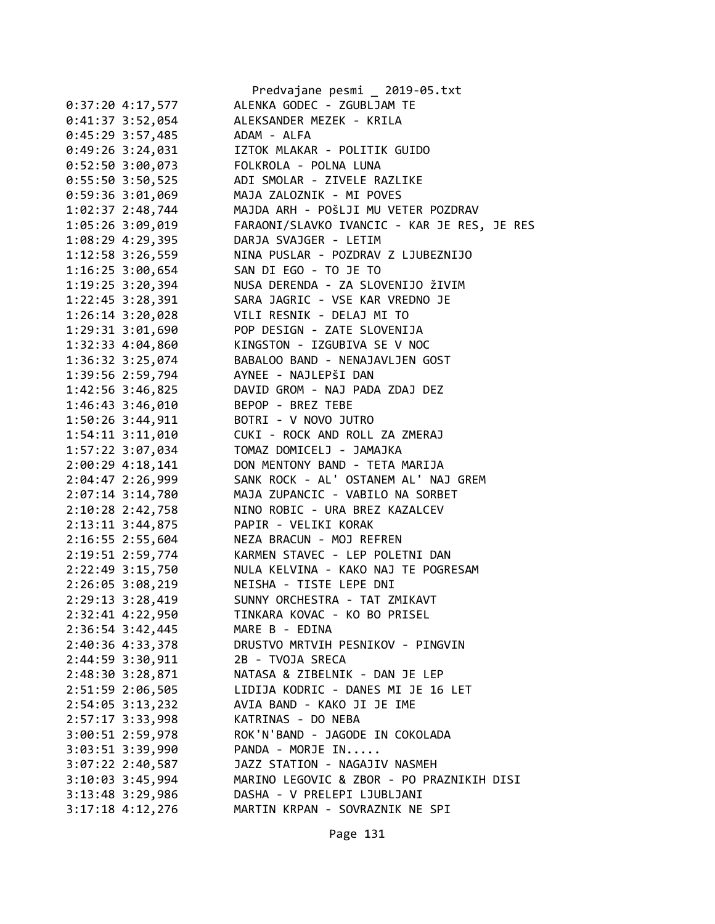|                      | Predvajane pesmi _ 2019-05.txt                       |
|----------------------|------------------------------------------------------|
| $0:37:20$ 4:17,577   | ALENKA GODEC - ZGUBLJAM TE                           |
| $0:41:37$ 3:52,054   | ALEKSANDER MEZEK - KRILA                             |
| 0:45:29 3:57,485     | ADAM - ALFA                                          |
| $0:49:26$ 3:24,031   | IZTOK MLAKAR - POLITIK GUIDO                         |
| 0:52:50 3:00,073     | FOLKROLA - POLNA LUNA                                |
| $0:55:50$ 3:50,525   | ADI SMOLAR - ZIVELE RAZLIKE                          |
| 0:59:36 3:01,069     | MAJA ZALOZNIK - MI POVES                             |
| 1:02:37 2:48,744     | MAJDA ARH - POŠLJI MU VETER POZDRAV                  |
| 1:05:26 3:09,019     | FARAONI/SLAVKO IVANCIC - KAR JE RES, JE RES          |
| 1:08:29 4:29,395     | DARJA SVAJGER - LETIM                                |
| 1:12:58 3:26,559     | NINA PUSLAR - POZDRAV Z LJUBEZNIJO                   |
| $1:16:25$ 3:00,654   | SAN DI EGO - TO JE TO                                |
| $1:19:25$ 3:20,394   | NUSA DERENDA - ZA SLOVENIJO ŽIVIM                    |
| $1:22:45$ 3:28,391   | SARA JAGRIC - VSE KAR VREDNO JE                      |
| 1:26:14 3:20,028     | VILI RESNIK - DELAJ MI TO                            |
| 1:29:31 3:01,690     | POP DESIGN - ZATE SLOVENIJA                          |
| 1:32:33 4:04,860     | KINGSTON - IZGUBIVA SE V NOC                         |
| 1:36:32 3:25,074     | BABALOO BAND - NENAJAVLJEN GOST                      |
| 1:39:56 2:59,794     | AYNEE - NAJLEPŠI DAN                                 |
| 1:42:56 3:46,825     | DAVID GROM - NAJ PADA ZDAJ DEZ                       |
| 1:46:43 3:46,010     | BEPOP - BREZ TEBE                                    |
| 1:50:26 3:44,911     | BOTRI - V NOVO JUTRO                                 |
| 1:54:11 3:11,010     | CUKI - ROCK AND ROLL ZA ZMERAJ                       |
| 1:57:22 3:07,034     | TOMAZ DOMICELJ - JAMAJKA                             |
| $2:00:29$ 4:18,141   | DON MENTONY BAND - TETA MARIJA                       |
| 2:04:47 2:26,999     | SANK ROCK - AL' OSTANEM AL' NAJ GREM                 |
| $2:07:14$ 3:14,780   | MAJA ZUPANCIC - VABILO NA SORBET                     |
| 2:10:28 2:42,758     | NINO ROBIC - URA BREZ KAZALCEV                       |
| 2:13:11 3:44,875     | PAPIR - VELIKI KORAK                                 |
| 2:16:55 2:55,604     | NEZA BRACUN - MOJ REFREN                             |
| 2:19:51 2:59,774     | KARMEN STAVEC - LEP POLETNI DAN                      |
|                      | 2:22:49 3:15,750 NULA KELVINA - KAKO NAJ TE POGRESAM |
| 2:26:05 3:08,219     | NEISHA - TISTE LEPE DNI                              |
| 2:29:13 3:28,419     | SUNNY ORCHESTRA - TAT ZMIKAVT                        |
| 2:32:41 4:22,950     | TINKARA KOVAC - KO BO PRISEL                         |
| $2:36:54$ 3:42,445   | MARE B - EDINA                                       |
| 2:40:36 4:33,378     | DRUSTVO MRTVIH PESNIKOV - PINGVIN                    |
| 2:44:59 3:30,911     | 2B - TVOJA SRECA                                     |
| 2:48:30 3:28,871     | NATASA & ZIBELNIK - DAN JE LEP                       |
| 2:51:59 2:06,505     | LIDIJA KODRIC - DANES MI JE 16 LET                   |
| $2:54:05$ 3:13,232   | AVIA BAND - KAKO JI JE IME                           |
| 2:57:17 3:33,998     | KATRINAS - DO NEBA                                   |
| 3:00:51 2:59,978     | ROK'N'BAND - JAGODE IN COKOLADA                      |
| 3:03:51 3:39,990     | PANDA - MORJE IN                                     |
| $3:07:22$ 2:40,587   | JAZZ STATION - NAGAJIV NASMEH                        |
| $3:10:03$ $3:45,994$ | MARINO LEGOVIC & ZBOR - PO PRAZNIKIH DISI            |
| $3:13:48$ 3:29,986   | DASHA - V PRELEPI LJUBLJANI                          |
| $3:17:18$ 4:12,276   | MARTIN KRPAN - SOVRAZNIK NE SPI                      |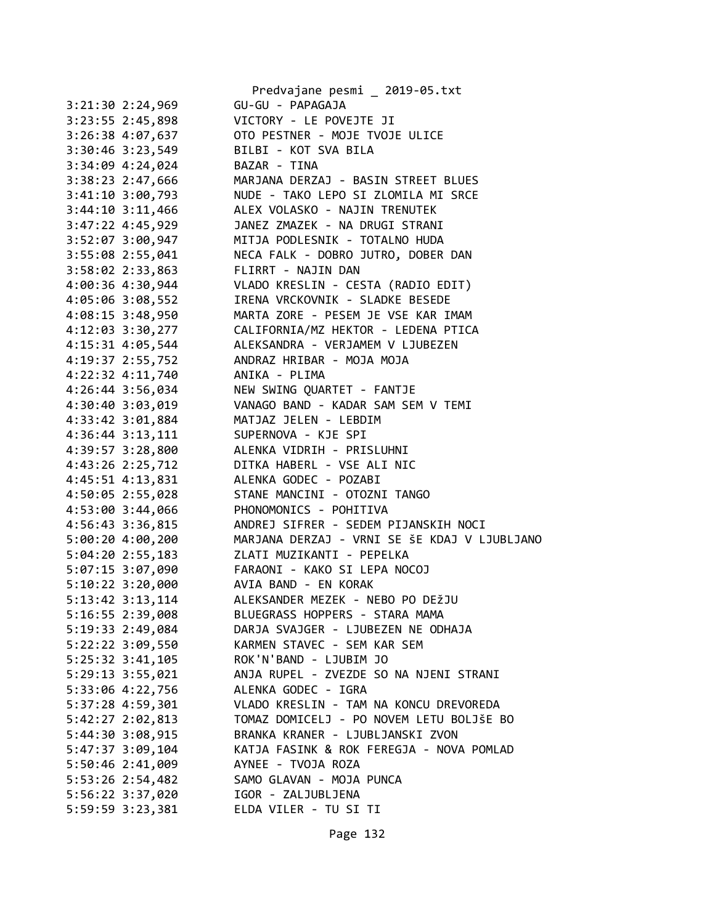|                                        | Predvajane pesmi _ 2019-05.txt                                       |
|----------------------------------------|----------------------------------------------------------------------|
| 3:21:30 2:24,969                       | GU-GU - PAPAGAJA                                                     |
| $3:23:55$ $2:45,898$                   | VICTORY - LE POVEJTE JI                                              |
|                                        | 3:26:38 4:07,637 OTO PESTNER - MOJE TVOJE ULICE                      |
| $3:30:46$ $3:23,549$                   | BILBI - KOT SVA BILA                                                 |
| $3:34:09$ $4:24,024$                   | BAZAR - TINA                                                         |
| 3:38:23 2:47,666                       | MARJANA DERZAJ - BASIN STREET BLUES                                  |
| $3:41:10$ $3:00,793$                   |                                                                      |
| $3:44:10$ $3:11,466$                   | NUDE - TAKO LEPO SI ZLOMILA MI SRCE<br>ALEX VOLASKO - NAJIN TRENUTEK |
| 3:47:22 4:45,929                       | JANEZ ZMAZEK - NA DRUGI STRANI                                       |
|                                        | 3:52:07 3:00,947 MITJA PODLESNIK - TOTALNO HUDA                      |
|                                        | 3:55:08 2:55,041 NECA FALK - DOBRO JUTRO, DOBER DAN                  |
| 3:58:02 2:33,863                       | FLIRRT - NAJIN DAN                                                   |
| 4:00:36 4:30,944                       | VLADO KRESLIN - CESTA (RADIO EDIT)                                   |
| 4:05:06 3:08,552                       | IRENA VRCKOVNIK - SLADKE BESEDE                                      |
| $4:08:15$ 3:48,950                     | MARTA ZORE - PESEM JE VSE KAR IMAM                                   |
|                                        | 4:12:03 3:30,277 CALIFORNIA/MZ HEKTOR - LEDENA PTICA                 |
| 4:15:31 4:05,544                       | ALEKSANDRA - VERJAMEM V LJUBEZEN                                     |
|                                        | 4:19:37 2:55,752 ANDRAZ HRIBAR - MOJA MOJA                           |
| 4:22:32 4:11,740 ANIKA - PLIMA         |                                                                      |
|                                        | 4:26:44 3:56,034 NEW SWING QUARTET - FANTJE                          |
| 4:30:40 3:03,019                       | VANAGO BAND - KADAR SAM SEM V TEMI                                   |
| 4:33:42 3:01,884 MATJAZ JELEN - LEBDIM |                                                                      |
| 4:36:44 3:13,111 SUPERNOVA - KJE SPI   |                                                                      |
|                                        | 4:39:57 3:28,800 ALENKA VIDRIH - PRISLUHNI                           |
|                                        | 4:43:26 2:25,712 DITKA HABERL - VSE ALI NIC                          |
| 4:45:51 4:13,831 ALENKA GODEC - POZABI |                                                                      |
| 4:50:05 2:55,028                       | STANE MANCINI - OTOZNI TANGO                                         |
| 4:53:00 3:44,066                       | PHONOMONICS - POHITIVA                                               |
| 4:56:43 3:36,815                       | ANDREJ SIFRER - SEDEM PIJANSKIH NOCI                                 |
|                                        | 5:00:20 4:00,200 MARJANA DERZAJ - VRNI SE ŠE KDAJ V LJUBLJANO        |
|                                        | 5:04:20 2:55,183 ZLATI MUZIKANTI - PEPELKA                           |
|                                        | 5:07:15 3:07,090 FARAONI - KAKO SI LEPA NOCOJ                        |
| 5:10:22 3:20,000 AVIA BAND - EN KORAK  |                                                                      |
| 5:13:42 3:13,114                       | ALEKSANDER MEZEK - NEBO PO DEŽJU                                     |
| 5:16:55 2:39,008                       | BLUEGRASS HOPPERS - STARA MAMA                                       |
|                                        | DARJA SVAJGER - LJUBEZEN NE ODHAJA                                   |
| 5:19:33 2:49,084                       |                                                                      |
| 5:22:22 3:09,550                       | KARMEN STAVEC - SEM KAR SEM                                          |
| 5:25:32 3:41,105                       | ROK'N'BAND - LJUBIM JO                                               |
| 5:29:13 3:55,021                       | ANJA RUPEL - ZVEZDE SO NA NJENI STRANI                               |
| 5:33:06 4:22,756                       | ALENKA GODEC - IGRA                                                  |
| $5:37:28$ 4:59,301                     | VLADO KRESLIN - TAM NA KONCU DREVOREDA                               |
| 5:42:27 2:02,813                       | TOMAZ DOMICELJ - PO NOVEM LETU BOLJŠE BO                             |
| 5:44:30 3:08,915                       | BRANKA KRANER - LJUBLJANSKI ZVON                                     |
| $5:47:37$ 3:09,104                     | KATJA FASINK & ROK FEREGJA - NOVA POMLAD                             |
| $5:50:46$ 2:41,009                     | AYNEE - TVOJA ROZA                                                   |
| $5:53:26$ 2:54,482                     | SAMO GLAVAN - MOJA PUNCA                                             |
| 5:56:22 3:37,020                       | IGOR - ZALJUBLJENA                                                   |
| 5:59:59 3:23,381                       | ELDA VILER - TU SI TI                                                |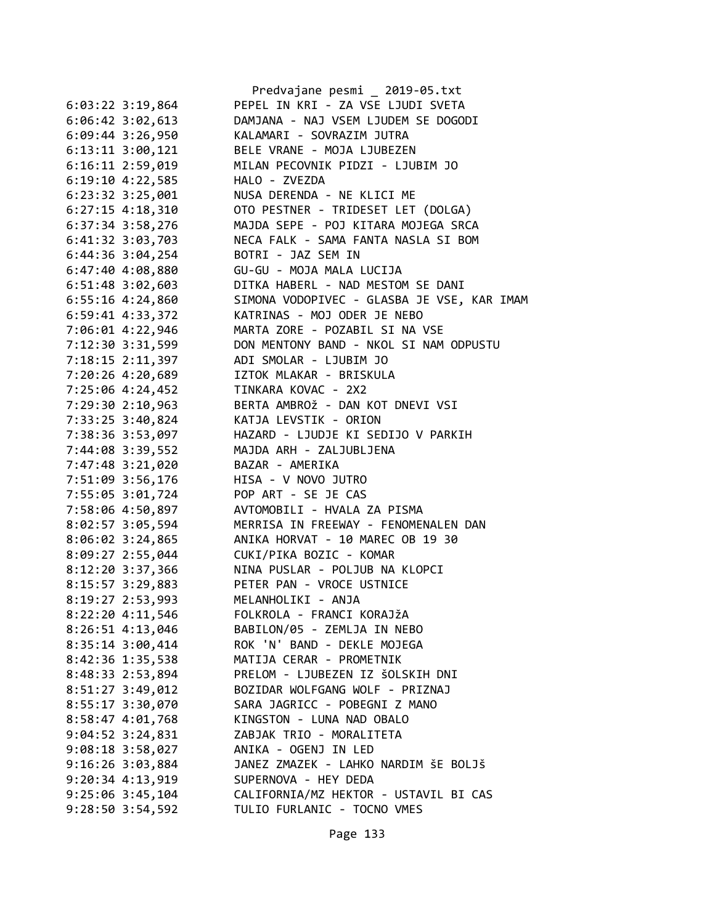|                      | Predvajane pesmi _ 2019-05.txt             |
|----------------------|--------------------------------------------|
| $6:03:22$ 3:19,864   | PEPEL IN KRI - ZA VSE LJUDI SVETA          |
| 6:06:42 3:02,613     | DAMJANA - NAJ VSEM LJUDEM SE DOGODI        |
| 6:09:44 3:26,950     | KALAMARI - SOVRAZIM JUTRA                  |
| 6:13:11 3:00,121     | BELE VRANE - MOJA LJUBEZEN                 |
| 6:16:11 2:59,019     | MILAN PECOVNIK PIDZI - LJUBIM JO           |
| 6:19:10 4:22,585     | HALO - ZVEZDA                              |
| 6:23:32 3:25,001     | NUSA DERENDA - NE KLICI ME                 |
| $6:27:15$ $4:18,310$ | OTO PESTNER - TRIDESET LET (DOLGA)         |
| 6:37:34 3:58,276     | MAJDA SEPE - POJ KITARA MOJEGA SRCA        |
| 6:41:32 3:03,703     | NECA FALK - SAMA FANTA NASLA SI BOM        |
| $6:44:36$ 3:04,254   | BOTRI - JAZ SEM IN                         |
| 6:47:40 4:08,880     | GU-GU - MOJA MALA LUCIJA                   |
| 6:51:48 3:02,603     | DITKA HABERL - NAD MESTOM SE DANI          |
| 6:55:16 4:24,860     | SIMONA VODOPIVEC - GLASBA JE VSE, KAR IMAM |
| 6:59:41 4:33,372     | KATRINAS - MOJ ODER JE NEBO                |
| 7:06:01 4:22,946     | MARTA ZORE - POZABIL SI NA VSE             |
| 7:12:30 3:31,599     | DON MENTONY BAND - NKOL SI NAM ODPUSTU     |
| 7:18:15 2:11,397     | ADI SMOLAR - LJUBIM JO                     |
| 7:20:26 4:20,689     | IZTOK MLAKAR - BRISKULA                    |
| 7:25:06 4:24,452     | TINKARA KOVAC - 2X2                        |
| 7:29:30 2:10,963     | BERTA AMBROŽ - DAN KOT DNEVI VSI           |
| 7:33:25 3:40,824     | KATJA LEVSTIK - ORION                      |
| 7:38:36 3:53,097     | HAZARD - LJUDJE KI SEDIJO V PARKIH         |
| 7:44:08 3:39,552     | MAJDA ARH - ZALJUBLJENA                    |
| 7:47:48 3:21,020     | BAZAR - AMERIKA                            |
| 7:51:09 3:56,176     | HISA - V NOVO JUTRO                        |
| 7:55:05 3:01,724     | POP ART - SE JE CAS                        |
| 7:58:06 4:50,897     | AVTOMOBILI - HVALA ZA PISMA                |
| 8:02:57 3:05,594     | MERRISA IN FREEWAY - FENOMENALEN DAN       |
| 8:06:02 3:24,865     | ANIKA HORVAT - 10 MAREC OB 19 30           |
| 8:09:27 2:55,044     | CUKI/PIKA BOZIC - KOMAR                    |
| 8:12:20 3:37,366     | NINA PUSLAR - POLJUB NA KLOPCI             |
| 8:15:57 3:29,883     | PETER PAN - VROCE USTNICE                  |
| 8:19:27 2:53,993     | MELANHOLIKI - ANJA                         |
| 8:22:20 4:11,546     | FOLKROLA - FRANCI KORAJŽA                  |
| $8:26:51$ 4:13,046   | BABILON/05 - ZEMLJA IN NEBO                |
| $8:35:14$ 3:00,414   | ROK 'N' BAND - DEKLE MOJEGA                |
| 8:42:36 1:35,538     | MATIJA CERAR - PROMETNIK                   |
| 8:48:33 2:53,894     | PRELOM - LJUBEZEN IZ ŠOLSKIH DNI           |
| 8:51:27 3:49,012     | BOZIDAR WOLFGANG WOLF - PRIZNAJ            |
| 8:55:17 3:30,070     | SARA JAGRICC - POBEGNI Z MANO              |
| 8:58:47 4:01,768     | KINGSTON - LUNA NAD OBALO                  |
| 9:04:52 3:24,831     | ZABJAK TRIO - MORALITETA                   |
| 9:08:18 3:58,027     | ANIKA - OGENJ IN LED                       |
| 9:16:26 3:03,884     | JANEZ ZMAZEK - LAHKO NARDIM ŠE BOLJŠ       |
| $9:20:34$ 4:13,919   | SUPERNOVA - HEY DEDA                       |
| 9:25:06 3:45,104     | CALIFORNIA/MZ HEKTOR - USTAVIL BI CAS      |
| $9:28:50$ $3:54,592$ | TULIO FURLANIC - TOCNO VMES                |
|                      |                                            |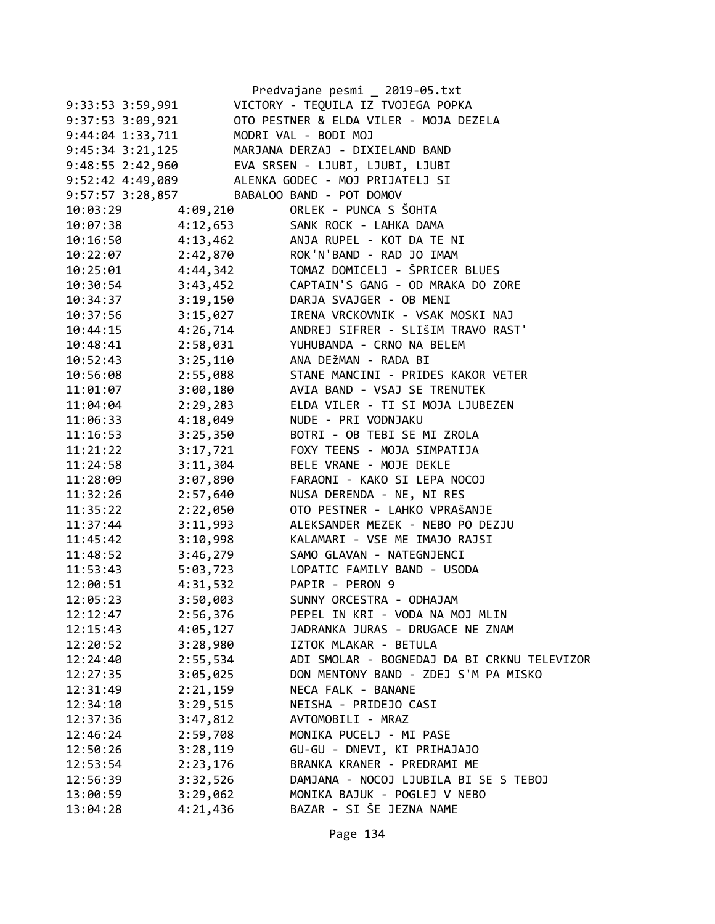|                      |          | Predvajane pesmi _ 2019-05.txt              |
|----------------------|----------|---------------------------------------------|
| 9:33:53 3:59,991     |          | VICTORY - TEQUILA IZ TVOJEGA POPKA          |
| 9:37:53 3:09,921     |          | OTO PESTNER & ELDA VILER - MOJA DEZELA      |
| 9:44:04 1:33,711     |          | MODRI VAL - BODI MOJ                        |
| $9:45:34$ $3:21,125$ |          | MARJANA DERZAJ - DIXIELAND BAND             |
| $9:48:55$ 2:42,960   |          | EVA SRSEN - LJUBI, LJUBI, LJUBI             |
| 9:52:42 4:49,089     |          | ALENKA GODEC - MOJ PRIJATELJ SI             |
| 9:57:57 3:28,857     |          | BABALOO BAND - POT DOMOV                    |
| 10:03:29             | 4:09,210 | ORLEK - PUNCA S ŠOHTA                       |
| 10:07:38             | 4:12,653 | SANK ROCK - LAHKA DAMA                      |
| 10:16:50             | 4:13,462 | ANJA RUPEL - KOT DA TE NI                   |
| 10:22:07             | 2:42,870 | ROK'N'BAND - RAD JO IMAM                    |
| 10:25:01             | 4:44,342 | TOMAZ DOMICELJ - ŠPRICER BLUES              |
| 10:30:54             | 3:43,452 | CAPTAIN'S GANG - OD MRAKA DO ZORE           |
| 10:34:37             | 3:19,150 | DARJA SVAJGER - OB MENI                     |
| 10:37:56             | 3:15,027 | IRENA VRCKOVNIK - VSAK MOSKI NAJ            |
| 10:44:15             | 4:26,714 | ANDREJ SIFRER - SLIŠIM TRAVO RAST'          |
| 10:48:41             | 2:58,031 | YUHUBANDA - CRNO NA BELEM                   |
| 10:52:43             | 3:25,110 | ANA DEŽMAN - RADA BI                        |
| 10:56:08             | 2:55,088 | STANE MANCINI - PRIDES KAKOR VETER          |
| 11:01:07             | 3:00,180 | AVIA BAND - VSAJ SE TRENUTEK                |
| 11:04:04             | 2:29,283 | ELDA VILER - TI SI MOJA LJUBEZEN            |
| 11:06:33             | 4:18,049 | NUDE - PRI VODNJAKU                         |
| 11:16:53             | 3:25,350 | BOTRI - OB TEBI SE MI ZROLA                 |
| 11:21:22             | 3:17,721 | FOXY TEENS - MOJA SIMPATIJA                 |
| 11:24:58             | 3:11,304 | BELE VRANE - MOJE DEKLE                     |
| 11:28:09             | 3:07,890 | FARAONI - KAKO SI LEPA NOCOJ                |
| 11:32:26             | 2:57,640 | NUSA DERENDA - NE, NI RES                   |
| 11:35:22             | 2:22,050 | OTO PESTNER - LAHKO VPRAŠANJE               |
| 11:37:44             | 3:11,993 | ALEKSANDER MEZEK - NEBO PO DEZJU            |
| 11:45:42             | 3:10,998 | KALAMARI - VSE ME IMAJO RAJSI               |
| 11:48:52             | 3:46,279 | SAMO GLAVAN - NATEGNJENCI                   |
| 11:53:43             | 5:03,723 | LOPATIC FAMILY BAND - USODA                 |
| 12:00:51             | 4:31,532 | PAPIR - PERON 9                             |
| 12:05:23             | 3:50,003 | SUNNY ORCESTRA - ODHAJAM                    |
| 12:12:47             | 2:56,376 | PEPEL IN KRI - VODA NA MOJ MLIN             |
| 12:15:43             | 4:05,127 | JADRANKA JURAS - DRUGACE NE ZNAM            |
| 12:20:52             | 3:28,980 | IZTOK MLAKAR - BETULA                       |
| 12:24:40             | 2:55,534 | ADI SMOLAR - BOGNEDAJ DA BI CRKNU TELEVIZOR |
| 12:27:35             | 3:05,025 | DON MENTONY BAND - ZDEJ S'M PA MISKO        |
| 12:31:49             | 2:21,159 | NECA FALK - BANANE                          |
| 12:34:10             | 3:29,515 | NEISHA - PRIDEJO CASI                       |
| 12:37:36             | 3:47,812 | AVTOMOBILI - MRAZ                           |
| 12:46:24             | 2:59,708 | MONIKA PUCELJ - MI PASE                     |
| 12:50:26             | 3:28,119 | GU-GU - DNEVI, KI PRIHAJAJO                 |
| 12:53:54             | 2:23,176 | BRANKA KRANER - PREDRAMI ME                 |
| 12:56:39             | 3:32,526 | DAMJANA - NOCOJ LJUBILA BI SE S TEBOJ       |
| 13:00:59             | 3:29,062 | MONIKA BAJUK - POGLEJ V NEBO                |
| 13:04:28             | 4:21,436 | BAZAR - SI ŠE JEZNA NAME                    |
|                      |          |                                             |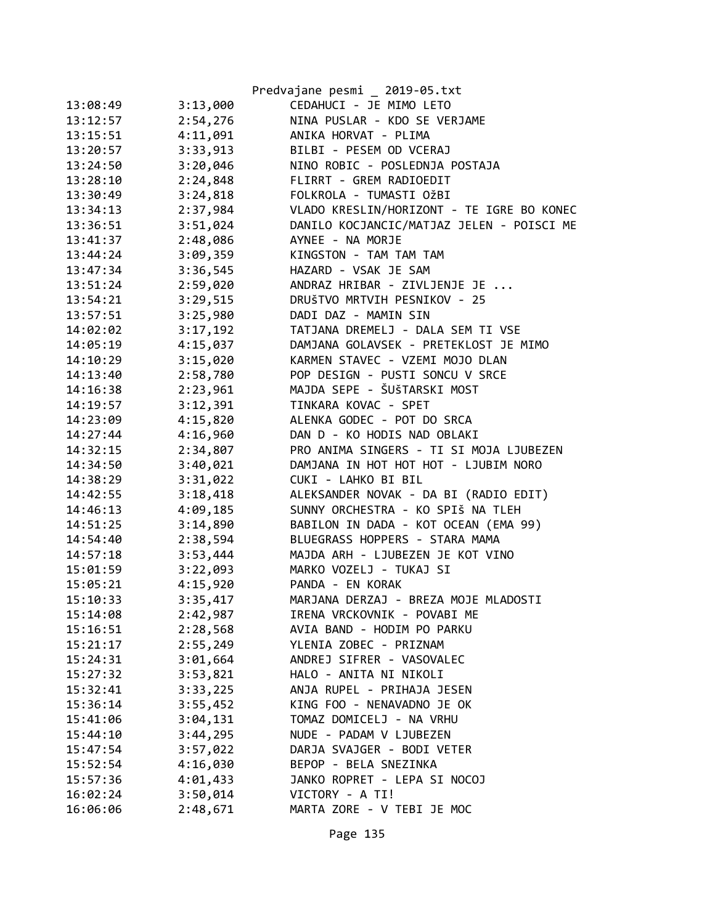|          |          | Predvajane pesmi _ 2019-05.txt            |
|----------|----------|-------------------------------------------|
| 13:08:49 | 3:13,000 | CEDAHUCI - JE MIMO LETO                   |
| 13:12:57 | 2:54,276 | NINA PUSLAR - KDO SE VERJAME              |
| 13:15:51 | 4:11,091 | ANIKA HORVAT - PLIMA                      |
| 13:20:57 | 3:33,913 | BILBI - PESEM OD VCERAJ                   |
| 13:24:50 | 3:20,046 | NINO ROBIC - POSLEDNJA POSTAJA            |
| 13:28:10 | 2:24,848 | FLIRRT - GREM RADIOEDIT                   |
| 13:30:49 | 3:24,818 | FOLKROLA - TUMASTI OŽBI                   |
| 13:34:13 | 2:37,984 | VLADO KRESLIN/HORIZONT - TE IGRE BO KONEC |
| 13:36:51 | 3:51,024 | DANILO KOCJANCIC/MATJAZ JELEN - POISCI ME |
| 13:41:37 | 2:48,086 | AYNEE - NA MORJE                          |
| 13:44:24 | 3:09,359 | KINGSTON - TAM TAM TAM                    |
| 13:47:34 | 3:36,545 | HAZARD - VSAK JE SAM                      |
| 13:51:24 | 2:59,020 | ANDRAZ HRIBAR - ZIVLJENJE JE              |
| 13:54:21 | 3:29,515 | DRUŠTVO MRTVIH PESNIKOV - 25              |
| 13:57:51 | 3:25,980 | DADI DAZ - MAMIN SIN                      |
| 14:02:02 | 3:17,192 | TATJANA DREMELJ - DALA SEM TI VSE         |
| 14:05:19 | 4:15,037 | DAMJANA GOLAVSEK - PRETEKLOST JE MIMO     |
| 14:10:29 | 3:15,020 | KARMEN STAVEC - VZEMI MOJO DLAN           |
| 14:13:40 | 2:58,780 | POP DESIGN - PUSTI SONCU V SRCE           |
| 14:16:38 | 2:23,961 | MAJDA SEPE - ŠUŠTARSKI MOST               |
| 14:19:57 | 3:12,391 | TINKARA KOVAC - SPET                      |
| 14:23:09 | 4:15,820 | ALENKA GODEC - POT DO SRCA                |
| 14:27:44 | 4:16,960 | DAN D - KO HODIS NAD OBLAKI               |
| 14:32:15 | 2:34,807 | PRO ANIMA SINGERS - TI SI MOJA LJUBEZEN   |
| 14:34:50 | 3:40,021 | DAMJANA IN HOT HOT HOT - LJUBIM NORO      |
| 14:38:29 | 3:31,022 | CUKI - LAHKO BI BIL                       |
| 14:42:55 | 3:18,418 | ALEKSANDER NOVAK - DA BI (RADIO EDIT)     |
| 14:46:13 | 4:09,185 | SUNNY ORCHESTRA - KO SPIŠ NA TLEH         |
| 14:51:25 | 3:14,890 | BABILON IN DADA - KOT OCEAN (EMA 99)      |
| 14:54:40 | 2:38,594 | BLUEGRASS HOPPERS - STARA MAMA            |
| 14:57:18 | 3:53,444 | MAJDA ARH - LJUBEZEN JE KOT VINO          |
| 15:01:59 | 3:22,093 | MARKO VOZELJ - TUKAJ SI                   |
| 15:05:21 | 4:15,920 | PANDA - EN KORAK                          |
| 15:10:33 | 3:35,417 | MARJANA DERZAJ - BREZA MOJE MLADOSTI      |
| 15:14:08 | 2:42,987 | IRENA VRCKOVNIK - POVABI ME               |
| 15:16:51 | 2:28,568 | AVIA BAND - HODIM PO PARKU                |
| 15:21:17 | 2:55,249 | YLENIA ZOBEC - PRIZNAM                    |
| 15:24:31 | 3:01,664 | ANDREJ SIFRER - VASOVALEC                 |
| 15:27:32 | 3:53,821 | HALO - ANITA NI NIKOLI                    |
| 15:32:41 | 3:33,225 | ANJA RUPEL - PRIHAJA JESEN                |
| 15:36:14 | 3:55,452 | KING FOO - NENAVADNO JE OK                |
| 15:41:06 | 3:04,131 | TOMAZ DOMICELJ - NA VRHU                  |
| 15:44:10 | 3:44,295 | NUDE - PADAM V LJUBEZEN                   |
| 15:47:54 | 3:57,022 | DARJA SVAJGER - BODI VETER                |
| 15:52:54 | 4:16,030 | BEPOP - BELA SNEZINKA                     |
| 15:57:36 | 4:01,433 | JANKO ROPRET - LEPA SI NOCOJ              |
| 16:02:24 | 3:50,014 | VICTORY - A TI!                           |
| 16:06:06 | 2:48,671 | MARTA ZORE - V TEBI JE MOC                |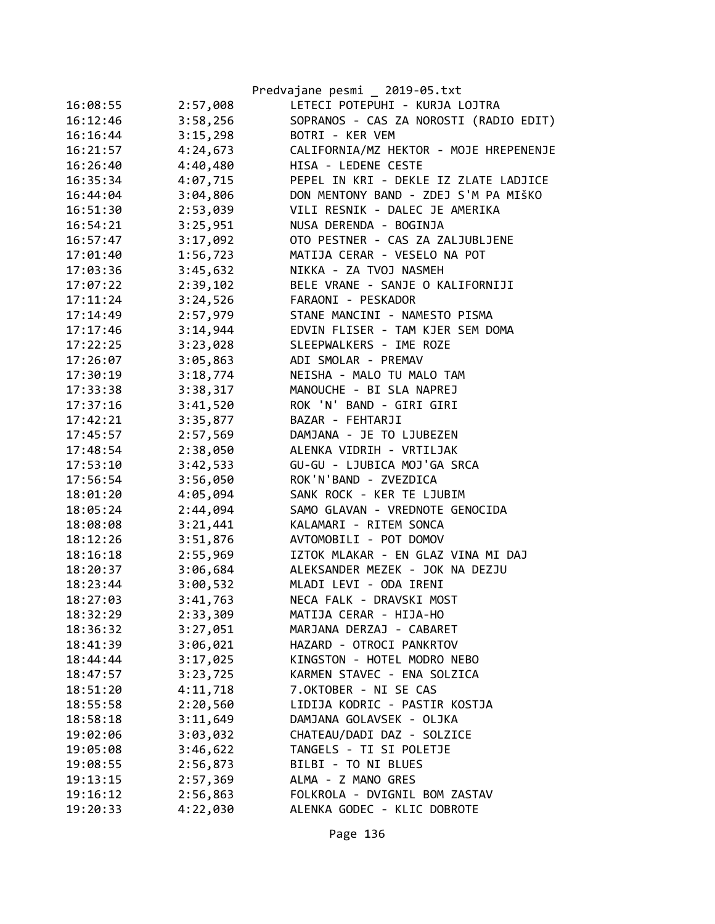|          |          | Predvajane pesmi _ 2019-05.txt         |
|----------|----------|----------------------------------------|
| 16:08:55 | 2:57,008 | LETECI POTEPUHI - KURJA LOJTRA         |
| 16:12:46 | 3:58,256 | SOPRANOS - CAS ZA NOROSTI (RADIO EDIT) |
| 16:16:44 | 3:15,298 | BOTRI - KER VEM                        |
| 16:21:57 | 4:24,673 | CALIFORNIA/MZ HEKTOR - MOJE HREPENENJE |
| 16:26:40 | 4:40,480 | HISA - LEDENE CESTE                    |
| 16:35:34 | 4:07,715 | PEPEL IN KRI - DEKLE IZ ZLATE LADJICE  |
| 16:44:04 | 3:04,806 | DON MENTONY BAND - ZDEJ S'M PA MIŠKO   |
| 16:51:30 | 2:53,039 | VILI RESNIK - DALEC JE AMERIKA         |
| 16:54:21 | 3:25,951 | NUSA DERENDA - BOGINJA                 |
| 16:57:47 | 3:17,092 | OTO PESTNER - CAS ZA ZALJUBLJENE       |
| 17:01:40 | 1:56,723 | MATIJA CERAR - VESELO NA POT           |
| 17:03:36 | 3:45,632 | NIKKA - ZA TVOJ NASMEH                 |
| 17:07:22 | 2:39,102 | BELE VRANE - SANJE O KALIFORNIJI       |
| 17:11:24 | 3:24,526 | FARAONI - PESKADOR                     |
| 17:14:49 | 2:57,979 | STANE MANCINI - NAMESTO PISMA          |
| 17:17:46 | 3:14,944 | EDVIN FLISER - TAM KJER SEM DOMA       |
| 17:22:25 | 3:23,028 | SLEEPWALKERS - IME ROZE                |
| 17:26:07 | 3:05,863 | ADI SMOLAR - PREMAV                    |
| 17:30:19 | 3:18,774 | NEISHA - MALO TU MALO TAM              |
| 17:33:38 | 3:38,317 | MANOUCHE - BI SLA NAPREJ               |
| 17:37:16 | 3:41,520 | ROK 'N' BAND - GIRI GIRI               |
| 17:42:21 | 3:35,877 | BAZAR - FEHTARJI                       |
| 17:45:57 | 2:57,569 | DAMJANA - JE TO LJUBEZEN               |
| 17:48:54 | 2:38,050 | ALENKA VIDRIH - VRTILJAK               |
| 17:53:10 | 3:42,533 | GU-GU - LJUBICA MOJ'GA SRCA            |
| 17:56:54 | 3:56,050 | ROK'N'BAND - ZVEZDICA                  |
| 18:01:20 | 4:05,094 | SANK ROCK - KER TE LJUBIM              |
| 18:05:24 | 2:44,094 | SAMO GLAVAN - VREDNOTE GENOCIDA        |
| 18:08:08 | 3:21,441 | KALAMARI - RITEM SONCA                 |
| 18:12:26 | 3:51,876 | AVTOMOBILI - POT DOMOV                 |
| 18:16:18 | 2:55,969 | IZTOK MLAKAR - EN GLAZ VINA MI DAJ     |
| 18:20:37 | 3:06,684 | ALEKSANDER MEZEK - JOK NA DEZJU        |
| 18:23:44 | 3:00,532 | MLADI LEVI - ODA IRENI                 |
| 18:27:03 | 3:41,763 | NECA FALK - DRAVSKI MOST               |
| 18:32:29 | 2:33,309 | MATIJA CERAR - HIJA-HO                 |
| 18:36:32 | 3:27,051 | MARJANA DERZAJ - CABARET               |
| 18:41:39 | 3:06,021 | HAZARD - OTROCI PANKRTOV               |
| 18:44:44 | 3:17,025 | KINGSTON - HOTEL MODRO NEBO            |
| 18:47:57 | 3:23,725 | KARMEN STAVEC - ENA SOLZICA            |
| 18:51:20 | 4:11,718 | 7.OKTOBER - NI SE CAS                  |
| 18:55:58 | 2:20,560 | LIDIJA KODRIC - PASTIR KOSTJA          |
| 18:58:18 | 3:11,649 | DAMJANA GOLAVSEK - OLJKA               |
| 19:02:06 | 3:03,032 | CHATEAU/DADI DAZ - SOLZICE             |
| 19:05:08 | 3:46,622 | TANGELS - TI SI POLETJE                |
| 19:08:55 | 2:56,873 | BILBI - TO NI BLUES                    |
| 19:13:15 | 2:57,369 | ALMA - Z MANO GRES                     |
| 19:16:12 | 2:56,863 | FOLKROLA - DVIGNIL BOM ZASTAV          |
| 19:20:33 | 4:22,030 | ALENKA GODEC - KLIC DOBROTE            |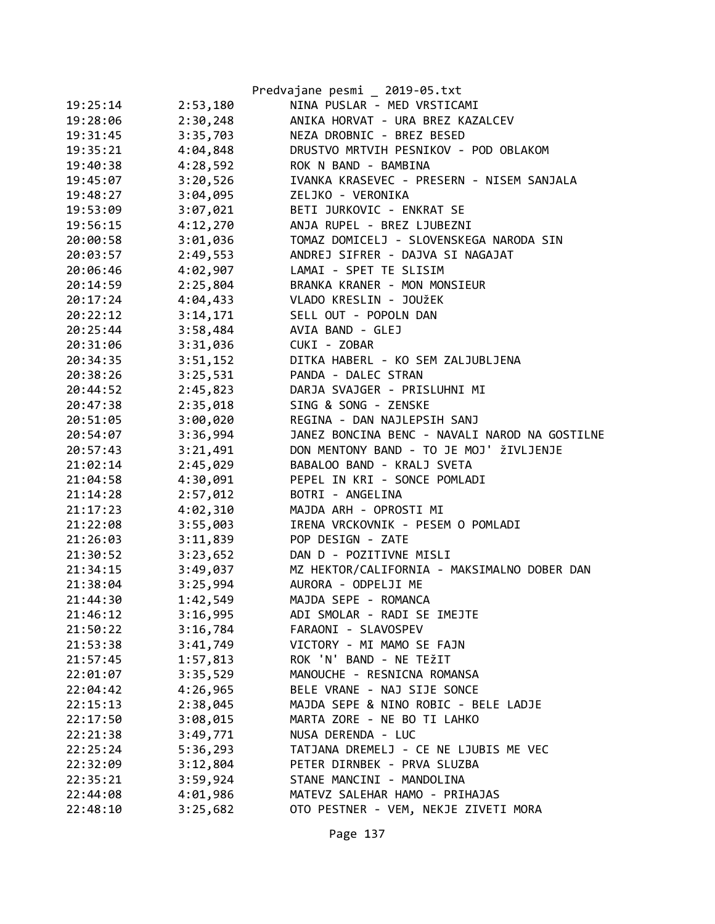|          |          | Predvajane pesmi _ 2019-05.txt                |
|----------|----------|-----------------------------------------------|
| 19:25:14 | 2:53,180 | NINA PUSLAR - MED VRSTICAMI                   |
| 19:28:06 | 2:30,248 | ANIKA HORVAT - URA BREZ KAZALCEV              |
| 19:31:45 | 3:35,703 | NEZA DROBNIC - BREZ BESED                     |
| 19:35:21 | 4:04,848 | DRUSTVO MRTVIH PESNIKOV - POD OBLAKOM         |
| 19:40:38 | 4:28,592 | ROK N BAND - BAMBINA                          |
| 19:45:07 | 3:20,526 | IVANKA KRASEVEC - PRESERN - NISEM SANJALA     |
| 19:48:27 | 3:04,095 | ZELJKO - VERONIKA                             |
| 19:53:09 | 3:07,021 | BETI JURKOVIC - ENKRAT SE                     |
| 19:56:15 | 4:12,270 | ANJA RUPEL - BREZ LJUBEZNI                    |
| 20:00:58 | 3:01,036 | TOMAZ DOMICELJ - SLOVENSKEGA NARODA SIN       |
| 20:03:57 | 2:49,553 | ANDREJ SIFRER - DAJVA SI NAGAJAT              |
| 20:06:46 | 4:02,907 | LAMAI - SPET TE SLISIM                        |
| 20:14:59 | 2:25,804 | BRANKA KRANER - MON MONSIEUR                  |
| 20:17:24 | 4:04,433 | VLADO KRESLIN - JOUŽEK                        |
| 20:22:12 | 3:14,171 | SELL OUT - POPOLN DAN                         |
| 20:25:44 | 3:58,484 | AVIA BAND - GLEJ                              |
| 20:31:06 | 3:31,036 | CUKI - ZOBAR                                  |
| 20:34:35 | 3:51,152 | DITKA HABERL - KO SEM ZALJUBLJENA             |
| 20:38:26 | 3:25,531 | PANDA - DALEC STRAN                           |
| 20:44:52 | 2:45,823 | DARJA SVAJGER - PRISLUHNI MI                  |
| 20:47:38 | 2:35,018 | SING & SONG - ZENSKE                          |
| 20:51:05 | 3:00,020 | REGINA - DAN NAJLEPSIH SANJ                   |
| 20:54:07 | 3:36,994 | JANEZ BONCINA BENC - NAVALI NAROD NA GOSTILNE |
| 20:57:43 | 3:21,491 | DON MENTONY BAND - TO JE MOJ' ŽIVLJENJE       |
| 21:02:14 | 2:45,029 | BABALOO BAND - KRALJ SVETA                    |
| 21:04:58 | 4:30,091 | PEPEL IN KRI - SONCE POMLADI                  |
| 21:14:28 | 2:57,012 | BOTRI - ANGELINA                              |
| 21:17:23 | 4:02,310 | MAJDA ARH - OPROSTI MI                        |
| 21:22:08 | 3:55,003 | IRENA VRCKOVNIK - PESEM O POMLADI             |
| 21:26:03 | 3:11,839 | POP DESIGN - ZATE                             |
| 21:30:52 | 3:23,652 | DAN D - POZITIVNE MISLI                       |
| 21:34:15 | 3:49,037 | MZ HEKTOR/CALIFORNIA - MAKSIMALNO DOBER DAN   |
| 21:38:04 | 3:25,994 | AURORA - ODPELJI ME                           |
| 21:44:30 | 1:42,549 | MAJDA SEPE - ROMANCA                          |
| 21:46:12 | 3:16,995 | ADI SMOLAR - RADI SE IMEJTE                   |
| 21:50:22 | 3:16,784 | FARAONI - SLAVOSPEV                           |
| 21:53:38 | 3:41,749 | VICTORY - MI MAMO SE FAJN                     |
| 21:57:45 | 1:57,813 | ROK 'N' BAND - NE TEŽIT                       |
| 22:01:07 | 3:35,529 | MANOUCHE - RESNICNA ROMANSA                   |
| 22:04:42 | 4:26,965 | BELE VRANE - NAJ SIJE SONCE                   |
| 22:15:13 | 2:38,045 | MAJDA SEPE & NINO ROBIC - BELE LADJE          |
| 22:17:50 | 3:08,015 | MARTA ZORE - NE BO TI LAHKO                   |
| 22:21:38 | 3:49,771 | NUSA DERENDA - LUC                            |
| 22:25:24 | 5:36,293 | TATJANA DREMELJ - CE NE LJUBIS ME VEC         |
| 22:32:09 | 3:12,804 | PETER DIRNBEK - PRVA SLUZBA                   |
| 22:35:21 | 3:59,924 | STANE MANCINI - MANDOLINA                     |
| 22:44:08 | 4:01,986 | MATEVZ SALEHAR HAMO - PRIHAJAS                |
| 22:48:10 | 3:25,682 | OTO PESTNER - VEM, NEKJE ZIVETI MORA          |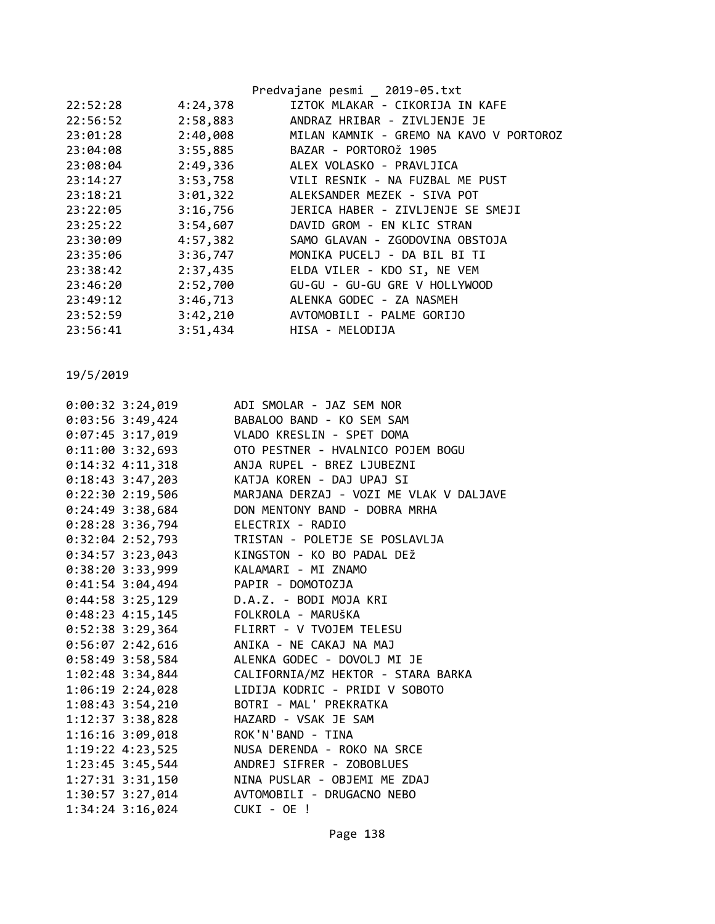|          |          | Predvajane pesmi 2019-05.txt            |
|----------|----------|-----------------------------------------|
| 22:52:28 | 4:24,378 | IZTOK MLAKAR - CIKORIJA IN KAFE         |
| 22:56:52 | 2:58,883 | ANDRAZ HRIBAR - ZIVLJENJE JE            |
| 23:01:28 | 2:40,008 | MILAN KAMNIK - GREMO NA KAVO V PORTOROZ |
| 23:04:08 | 3:55,885 | BAZAR - PORTOROŽ 1905                   |
| 23:08:04 | 2:49,336 | ALEX VOLASKO - PRAVLJICA                |
| 23:14:27 | 3:53,758 | VILI RESNIK - NA FUZBAL ME PUST         |
| 23:18:21 | 3:01,322 | ALEKSANDER MEZEK - SIVA POT             |
| 23:22:05 | 3:16,756 | JERICA HABER - ZIVLJENJE SE SMEJI       |
| 23:25:22 | 3:54,607 | DAVID GROM - EN KLIC STRAN              |
| 23:30:09 | 4:57,382 | SAMO GLAVAN - ZGODOVINA OBSTOJA         |
| 23:35:06 | 3:36,747 | MONIKA PUCELJ - DA BIL BI TI            |
| 23:38:42 | 2:37,435 | ELDA VILER - KDO SI, NE VEM             |
| 23:46:20 | 2:52,700 | GU-GU - GU-GU GRE V HOLLYWOOD           |
| 23:49:12 | 3:46,713 | ALENKA GODEC - ZA NASMEH                |
| 23:52:59 | 3:42,210 | AVTOMOBILI - PALME GORIJO               |
| 23:56:41 | 3:51,434 | HISA - MELODIJA                         |
|          |          |                                         |

|                              | 0:00:32 3:24,019 ADI SMOLAR - JAZ SEM NOR                |
|------------------------------|----------------------------------------------------------|
|                              | 0:03:56 3:49,424 BABALOO BAND - KO SEM SAM               |
|                              | 0:07:45 3:17,019 VLADO KRESLIN - SPET DOMA               |
|                              |                                                          |
|                              | 0:14:32 4:11,318 ANJA RUPEL - BREZ LJUBEZNI              |
|                              | 0:18:43 3:47,203 KATJA KOREN - DAJ UPAJ SI               |
|                              | 0:22:30 2:19,506 MARJANA DERZAJ - VOZI ME VLAK V DALJAVE |
|                              | 0:24:49 3:38,684 DON MENTONY BAND - DOBRA MRHA           |
|                              | 0:28:28 3:36,794 ELECTRIX - RADIO                        |
|                              | 0:32:04 2:52,793 TRISTAN - POLETJE SE POSLAVLJA          |
|                              | 0:34:57 3:23,043 KINGSTON - KO BO PADAL DEŽ              |
|                              | 0:38:20 3:33,999 KALAMARI - MI ZNAMO                     |
|                              | 0:41:54 3:04,494 PAPIR - DOMOTOZJA                       |
|                              | 0:44:58 3:25,129 D.A.Z. - BODI MOJA KRI                  |
|                              | 0:48:23 4:15,145 FOLKROLA - MARUŠKA                      |
|                              | 0:52:38 3:29,364 FLIRRT - V TVOJEM TELESU                |
|                              | 0:56:07 2:42,616 ANIKA - NE CAKAJ NA MAJ                 |
|                              | 0:58:49 3:58,584 ALENKA GODEC - DOVOLJ MI JE             |
|                              | 1:02:48 3:34,844 CALIFORNIA/MZ HEKTOR - STARA BARKA      |
|                              | 1:06:19 2:24,028 LIDIJA KODRIC - PRIDI V SOBOTO          |
|                              | 1:08:43 3:54,210 BOTRI - MAL' PREKRATKA                  |
|                              | 1:12:37 3:38,828 HAZARD - VSAK JE SAM                    |
|                              | 1:16:16 3:09,018 ROK'N'BAND - TINA                       |
|                              | 1:19:22 4:23,525 NUSA DERENDA - ROKO NA SRCE             |
|                              | 1:23:45 3:45,544 ANDREJ SIFRER - ZOBOBLUES               |
|                              | 1:27:31 3:31,150 NINA PUSLAR - OBJEMI ME ZDAJ            |
|                              | 1:30:57 3:27,014 AVTOMOBILI - DRUGACNO NEBO              |
| 1:34:24 3:16,024 CUKI - OE ! |                                                          |
|                              |                                                          |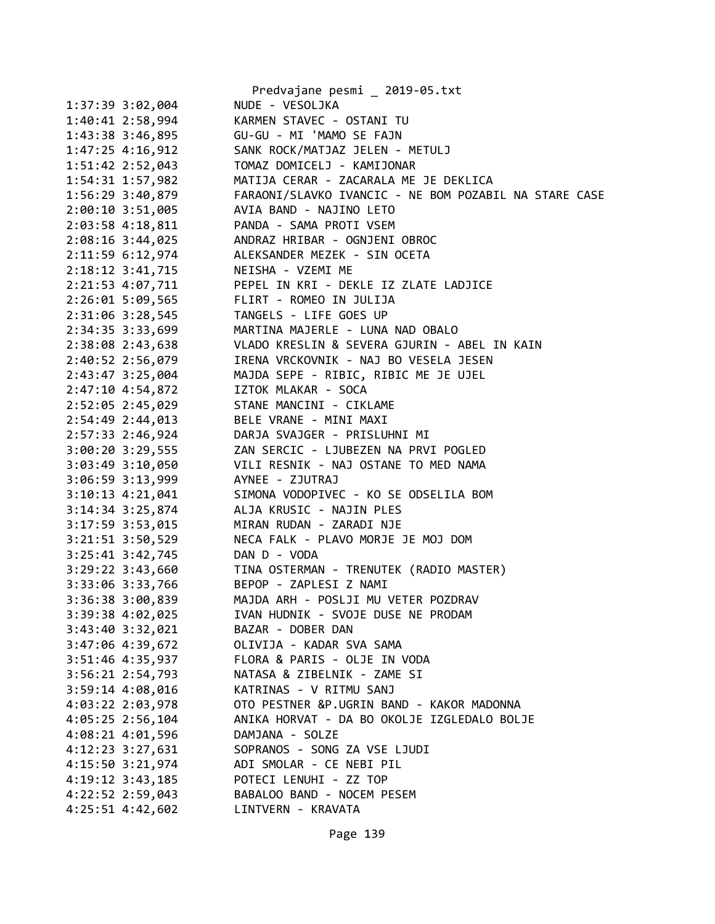|                      | Predvajane pesmi _ 2019-05.txt                        |
|----------------------|-------------------------------------------------------|
| 1:37:39 3:02,004     | NUDE - VESOLJKA                                       |
| $1:40:41$ $2:58,994$ | KARMEN STAVEC - OSTANI TU                             |
| 1:43:38 3:46,895     | GU-GU - MI 'MAMO SE FAJN                              |
| $1:47:25$ $4:16,912$ | SANK ROCK/MATJAZ JELEN - METULJ                       |
| $1:51:42$ $2:52,043$ | TOMAZ DOMICELJ - KAMIJONAR                            |
| $1:54:31$ $1:57,982$ | MATIJA CERAR - ZACARALA ME JE DEKLICA                 |
| 1:56:29 3:40,879     | FARAONI/SLAVKO IVANCIC - NE BOM POZABIL NA STARE CASE |
| $2:00:10$ 3:51,005   | AVIA BAND - NAJINO LETO                               |
| $2:03:58$ 4:18,811   | PANDA - SAMA PROTI VSEM                               |
| $2:08:16$ 3:44,025   | ANDRAZ HRIBAR - OGNJENI OBROC                         |
| 2:11:59 6:12,974     | ALEKSANDER MEZEK - SIN OCETA                          |
| $2:18:12$ $3:41,715$ | NEISHA - VZEMI ME                                     |
| 2:21:53 4:07,711     | PEPEL IN KRI - DEKLE IZ ZLATE LADJICE                 |
| $2:26:01$ 5:09,565   | FLIRT - ROMEO IN JULIJA                               |
| 2:31:06 3:28,545     | TANGELS - LIFE GOES UP                                |
| 2:34:35 3:33,699     | MARTINA MAJERLE - LUNA NAD OBALO                      |
| 2:38:08 2:43,638     | VLADO KRESLIN & SEVERA GJURIN - ABEL IN KAIN          |
| 2:40:52 2:56,079     | IRENA VRCKOVNIK - NAJ BO VESELA JESEN                 |
| 2:43:47 3:25,004     | MAJDA SEPE - RIBIC, RIBIC ME JE UJEL                  |
| $2:47:10$ 4:54,872   | IZTOK MLAKAR - SOCA                                   |
| 2:52:05 2:45,029     | STANE MANCINI - CIKLAME                               |
| 2:54:49 2:44,013     | BELE VRANE - MINI MAXI                                |
| 2:57:33 2:46,924     | DARJA SVAJGER - PRISLUHNI MI                          |
| 3:00:20 3:29,555     | ZAN SERCIC - LJUBEZEN NA PRVI POGLED                  |
| 3:03:49 3:10,050     | VILI RESNIK - NAJ OSTANE TO MED NAMA                  |
| 3:06:59 3:13,999     | AYNEE - ZJUTRAJ                                       |
| $3:10:13$ $4:21,041$ | SIMONA VODOPIVEC - KO SE ODSELILA BOM                 |
| $3:14:34$ $3:25,874$ | ALJA KRUSIC - NAJIN PLES                              |
| 3:17:59 3:53,015     | MIRAN RUDAN - ZARADI NJE                              |
| $3:21:51$ $3:50,529$ | NECA FALK - PLAVO MORJE JE MOJ DOM                    |
| 3:25:41 3:42,745     | DAN D - VODA                                          |
| $3:29:22$ $3:43,660$ | TINA OSTERMAN - TRENUTEK (RADIO MASTER)               |
| 3:33:06 3:33,766     | BEPOP - ZAPLESI Z NAMI                                |
| 3:36:38 3:00,839     | MAJDA ARH - POSLJI MU VETER POZDRAV                   |
| 3:39:38 4:02,025     | IVAN HUDNIK - SVOJE DUSE NE PRODAM                    |
| 3:43:40 3:32,021     | BAZAR - DOBER DAN                                     |
| 3:47:06 4:39,672     | OLIVIJA - KADAR SVA SAMA                              |
| 3:51:46 4:35,937     | FLORA & PARIS - OLJE IN VODA                          |
| 3:56:21 2:54,793     | NATASA & ZIBELNIK - ZAME SI                           |
| $3:59:14$ 4:08,016   | KATRINAS - V RITMU SANJ                               |
| 4:03:22 2:03,978     | OTO PESTNER &P.UGRIN BAND - KAKOR MADONNA             |
| $4:05:25$ 2:56,104   | ANIKA HORVAT - DA BO OKOLJE IZGLEDALO BOLJE           |
| 4:08:21 4:01,596     | DAMJANA - SOLZE                                       |
| $4:12:23$ $3:27,631$ | SOPRANOS - SONG ZA VSE LJUDI                          |
| 4:15:50 3:21,974     | ADI SMOLAR - CE NEBI PIL                              |
| 4:19:12 3:43,185     | POTECI LENUHI - ZZ TOP                                |
| 4:22:52 2:59,043     | BABALOO BAND - NOCEM PESEM                            |
| 4:25:51 4:42,602     | LINTVERN - KRAVATA                                    |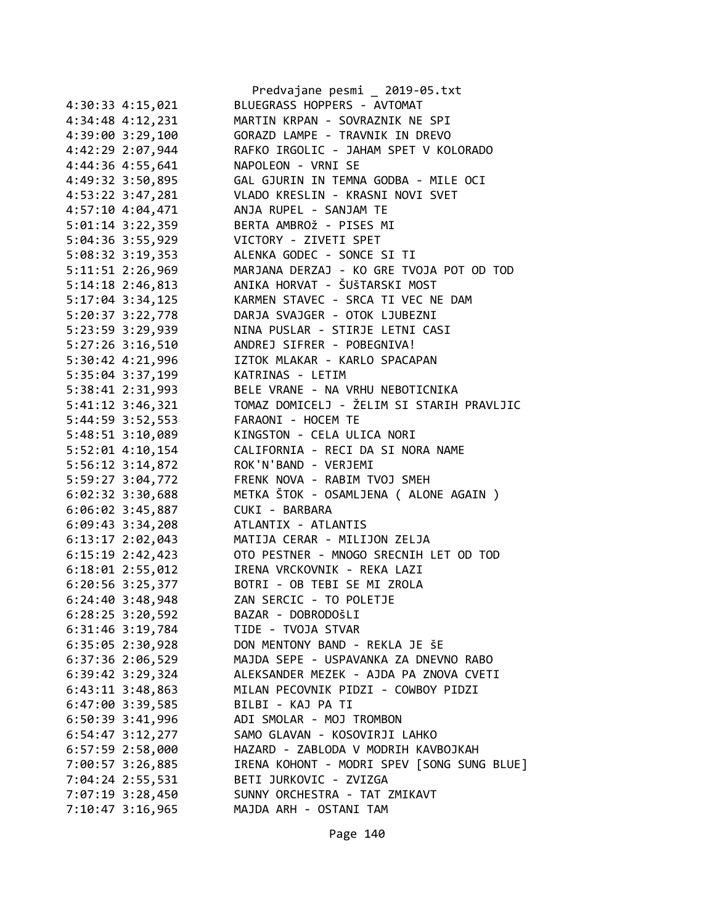|                      | Predvajane pesmi _ 2019-05.txt             |
|----------------------|--------------------------------------------|
| 4:30:33 4:15,021     | BLUEGRASS HOPPERS - AVTOMAT                |
| 4:34:48 4:12,231     | MARTIN KRPAN - SOVRAZNIK NE SPI            |
| 4:39:00 3:29,100     | GORAZD LAMPE - TRAVNIK IN DREVO            |
| 4:42:29 2:07,944     | RAFKO IRGOLIC - JAHAM SPET V KOLORADO      |
| 4:44:36 4:55,641     | NAPOLEON - VRNI SE                         |
| 4:49:32 3:50,895     | GAL GJURIN IN TEMNA GODBA - MILE OCI       |
| 4:53:22 3:47,281     | VLADO KRESLIN - KRASNI NOVI SVET           |
| 4:57:10 4:04,471     | ANJA RUPEL - SANJAM TE                     |
| 5:01:14 3:22,359     | BERTA AMBROŽ - PISES MI                    |
| 5:04:36 3:55,929     | VICTORY - ZIVETI SPET                      |
| 5:08:32 3:19,353     | ALENKA GODEC - SONCE SI TI                 |
| 5:11:51 2:26,969     | MARJANA DERZAJ - KO GRE TVOJA POT OD TOD   |
| 5:14:18 2:46,813     | ANIKA HORVAT - ŠUŠTARSKI MOST              |
| 5:17:04 3:34,125     | KARMEN STAVEC - SRCA TI VEC NE DAM         |
| 5:20:37 3:22,778     | DARJA SVAJGER - OTOK LJUBEZNI              |
| 5:23:59 3:29,939     | NINA PUSLAR - STIRJE LETNI CASI            |
| 5:27:26 3:16,510     | ANDREJ SIFRER - POBEGNIVA!                 |
| 5:30:42 4:21,996     | IZTOK MLAKAR - KARLO SPACAPAN              |
| 5:35:04 3:37,199     | KATRINAS - LETIM                           |
| 5:38:41 2:31,993     | BELE VRANE - NA VRHU NEBOTICNIKA           |
| 5:41:12 3:46,321     | TOMAZ DOMICELJ - ŽELIM SI STARIH PRAVLJIC  |
| 5:44:59 3:52,553     | FARAONI - HOCEM TE                         |
| 5:48:51 3:10,089     | KINGSTON - CELA ULICA NORI                 |
|                      | CALIFORNIA - RECI DA SI NORA NAME          |
| 5:52:01 4:10,154     | ROK'N'BAND - VERJEMI                       |
| 5:56:12 3:14,872     | FRENK NOVA - RABIM TVOJ SMEH               |
| 5:59:27 3:04,772     |                                            |
| 6:02:32 3:30,688     | METKA ŠTOK - OSAMLJENA ( ALONE AGAIN )     |
| 6:06:02 3:45,887     | CUKI - BARBARA                             |
| 6:09:43 3:34,208     | ATLANTIX - ATLANTIS                        |
| 6:13:17 2:02,043     | MATIJA CERAR - MILIJON ZELJA               |
| 6:15:19 2:42,423     | OTO PESTNER - MNOGO SRECNIH LET OD TOD     |
| $6:18:01$ $2:55,012$ | IRENA VRCKOVNIK - REKA LAZI                |
| 6:20:56 3:25,377     | BOTRI - OB TEBI SE MI ZROLA                |
| 6:24:40 3:48,948     | ZAN SERCIC - TO POLETJE                    |
| 6:28:25 3:20,592     | BAZAR - DOBRODOŠLI                         |
| 6:31:46 3:19,784     | TIDE - TVOJA STVAR                         |
| 6:35:05 2:30,928     | DON MENTONY BAND - REKLA JE ŠE             |
| $6:37:36$ 2:06,529   | MAJDA SEPE - USPAVANKA ZA DNEVNO RABO      |
| 6:39:42 3:29,324     | ALEKSANDER MEZEK - AJDA PA ZNOVA CVETI     |
| $6:43:11$ $3:48,863$ | MILAN PECOVNIK PIDZI - COWBOY PIDZI        |
| 6:47:00 3:39,585     | BILBI - KAJ PA TI                          |
| $6:50:39$ 3:41,996   | ADI SMOLAR - MOJ TROMBON                   |
| $6:54:47$ $3:12,277$ | SAMO GLAVAN - KOSOVIRJI LAHKO              |
| $6:57:59$ 2:58,000   | HAZARD - ZABLODA V MODRIH KAVBOJKAH        |
| 7:00:57 3:26,885     | IRENA KOHONT - MODRI SPEV [SONG SUNG BLUE] |
| 7:04:24 2:55,531     | BETI JURKOVIC - ZVIZGA                     |
| 7:07:19 3:28,450     | SUNNY ORCHESTRA - TAT ZMIKAVT              |
| 7:10:47 3:16,965     | MAJDA ARH - OSTANI TAM                     |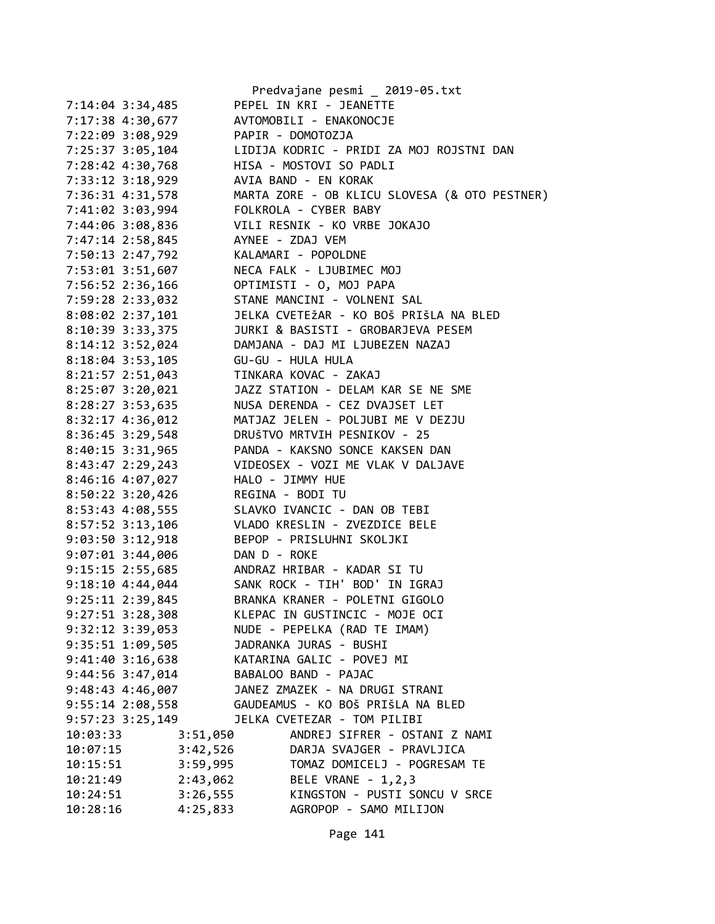|                      |              | Predvajane pesmi _ 2019-05.txt                |
|----------------------|--------------|-----------------------------------------------|
| 7:14:04 3:34,485     |              | PEPEL IN KRI - JEANETTE                       |
| 7:17:38 4:30,677     |              | AVTOMOBILI - ENAKONOCJE                       |
| 7:22:09 3:08,929     |              | PAPIR - DOMOTOZJA                             |
| 7:25:37 3:05,104     |              | LIDIJA KODRIC - PRIDI ZA MOJ ROJSTNI DAN      |
| 7:28:42 4:30,768     |              | HISA - MOSTOVI SO PADLI                       |
| 7:33:12 3:18,929     |              | AVIA BAND - EN KORAK                          |
| 7:36:31 4:31,578     |              | MARTA ZORE - OB KLICU SLOVESA (& OTO PESTNER) |
| 7:41:02 3:03,994     |              | FOLKROLA - CYBER BABY                         |
| 7:44:06 3:08,836     |              | VILI RESNIK - KO VRBE JOKAJO                  |
| 7:47:14 2:58,845     |              | AYNEE - ZDAJ VEM                              |
| 7:50:13 2:47,792     |              | KALAMARI - POPOLDNE                           |
| 7:53:01 3:51,607     |              | NECA FALK - LJUBIMEC MOJ                      |
| 7:56:52 2:36,166     |              | OPTIMISTI - O, MOJ PAPA                       |
| 7:59:28 2:33,032     |              | STANE MANCINI - VOLNENI SAL                   |
| 8:08:02 2:37,101     |              | JELKA CVETEŽAR - KO BOŠ PRIŠLA NA BLED        |
| 8:10:39 3:33,375     |              | JURKI & BASISTI - GROBARJEVA PESEM            |
| 8:14:12 3:52,024     |              | DAMJANA - DAJ MI LJUBEZEN NAZAJ               |
| 8:18:04 3:53,105     |              | GU-GU - HULA HULA                             |
| 8:21:57 2:51,043     |              | TINKARA KOVAC - ZAKAJ                         |
| 8:25:07 3:20,021     |              | JAZZ STATION - DELAM KAR SE NE SME            |
| 8:28:27 3:53,635     |              | NUSA DERENDA - CEZ DVAJSET LET                |
|                      |              | MATJAZ JELEN - POLJUBI ME V DEZJU             |
| 8:32:17 4:36,012     |              |                                               |
| 8:36:45 3:29,548     |              | DRUŠTVO MRTVIH PESNIKOV - 25                  |
| 8:40:15 3:31,965     |              | PANDA - KAKSNO SONCE KAKSEN DAN               |
| 8:43:47 2:29,243     |              | VIDEOSEX - VOZI ME VLAK V DALJAVE             |
| 8:46:16 4:07,027     |              | HALO - JIMMY HUE                              |
| $8:50:22$ 3:20,426   |              | REGINA - BODI TU                              |
| 8:53:43 4:08,555     |              | SLAVKO IVANCIC - DAN OB TEBI                  |
| 8:57:52 3:13,106     |              | VLADO KRESLIN - ZVEZDICE BELE                 |
| 9:03:50 3:12,918     |              | BEPOP - PRISLUHNI SKOLJKI                     |
| 9:07:01 3:44,006     | DAN D - ROKE |                                               |
| $9:15:15$ 2:55,685   |              | ANDRAZ HRIBAR - KADAR SI TU                   |
| $9:18:10$ 4:44,044   |              | SANK ROCK - TIH' BOD' IN IGRAJ                |
| 9:25:11 2:39,845     |              | BRANKA KRANER - POLETNI GIGOLO                |
| 9:27:51 3:28,308     |              | KLEPAC IN GUSTINCIC - MOJE OCI                |
| $9:32:12$ $3:39,053$ |              | NUDE - PEPELKA (RAD TE IMAM)                  |
| 9:35:51 1:09,505     |              | JADRANKA JURAS - BUSHI                        |
| $9:41:40$ 3:16,638   |              | KATARINA GALIC - POVEJ MI                     |
| $9:44:56$ $3:47,014$ |              | BABALOO BAND - PAJAC                          |
| $9:48:43$ $4:46,007$ |              | JANEZ ZMAZEK - NA DRUGI STRANI                |
| $9:55:14$ 2:08,558   |              | GAUDEAMUS - KO BOŠ PRIŠLA NA BLED             |
| $9:57:23$ 3:25,149   |              | JELKA CVETEZAR - TOM PILIBI                   |
| 10:03:33             | 3:51,050     | ANDREJ SIFRER - OSTANI Z NAMI                 |
| 10:07:15             | 3:42,526     | DARJA SVAJGER - PRAVLJICA                     |
| 10:15:51             | 3:59,995     | TOMAZ DOMICELJ - POGRESAM TE                  |
| 10:21:49             | 2:43,062     | BELE VRANE - 1, 2, 3                          |
| 10:24:51             | 3:26,555     | KINGSTON - PUSTI SONCU V SRCE                 |
| 10:28:16             | 4:25,833     | AGROPOP - SAMO MILIJON                        |
|                      |              |                                               |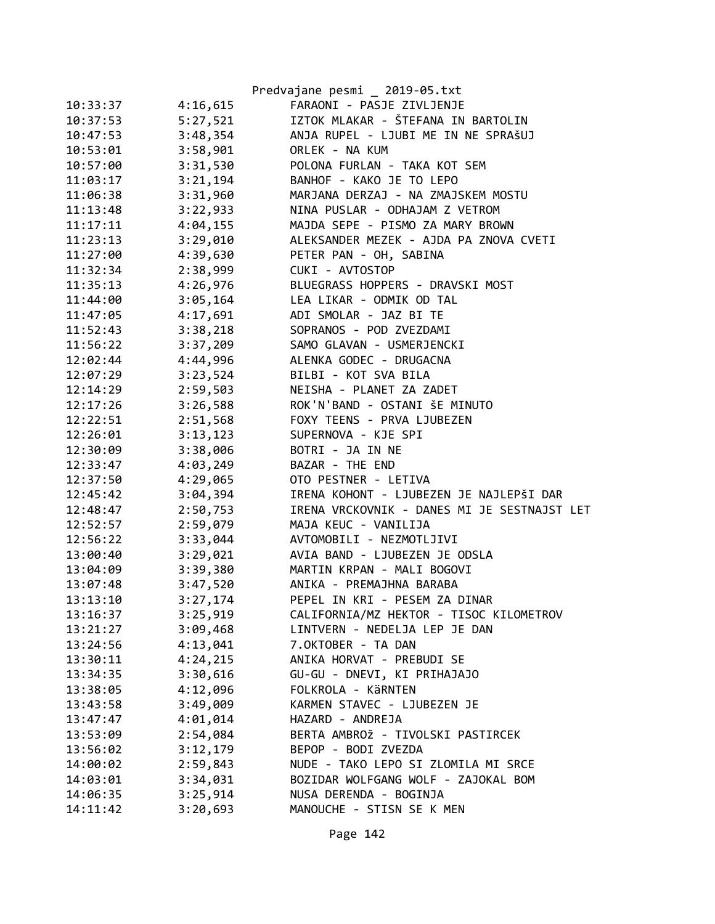|          |          | Predvajane pesmi _ 2019-05.txt              |
|----------|----------|---------------------------------------------|
| 10:33:37 | 4:16,615 | FARAONI - PASJE ZIVLJENJE                   |
| 10:37:53 | 5:27,521 | IZTOK MLAKAR - ŠTEFANA IN BARTOLIN          |
| 10:47:53 | 3:48,354 | ANJA RUPEL - LJUBI ME IN NE SPRAŠUJ         |
| 10:53:01 | 3:58,901 | ORLEK - NA KUM                              |
| 10:57:00 | 3:31,530 | POLONA FURLAN - TAKA KOT SEM                |
| 11:03:17 | 3:21,194 | BANHOF - KAKO JE TO LEPO                    |
| 11:06:38 | 3:31,960 | MARJANA DERZAJ - NA ZMAJSKEM MOSTU          |
| 11:13:48 | 3:22,933 | NINA PUSLAR - ODHAJAM Z VETROM              |
| 11:17:11 | 4:04,155 | MAJDA SEPE - PISMO ZA MARY BROWN            |
| 11:23:13 | 3:29,010 | ALEKSANDER MEZEK - AJDA PA ZNOVA CVETI      |
| 11:27:00 | 4:39,630 | PETER PAN - OH, SABINA                      |
| 11:32:34 | 2:38,999 | CUKI - AVTOSTOP                             |
| 11:35:13 | 4:26,976 | BLUEGRASS HOPPERS - DRAVSKI MOST            |
| 11:44:00 | 3:05,164 | LEA LIKAR - ODMIK OD TAL                    |
| 11:47:05 | 4:17,691 | ADI SMOLAR - JAZ BI TE                      |
| 11:52:43 | 3:38,218 | SOPRANOS - POD ZVEZDAMI                     |
| 11:56:22 | 3:37,209 | SAMO GLAVAN - USMERJENCKI                   |
| 12:02:44 | 4:44,996 | ALENKA GODEC - DRUGACNA                     |
| 12:07:29 | 3:23,524 | BILBI - KOT SVA BILA                        |
| 12:14:29 | 2:59,503 | NEISHA - PLANET ZA ZADET                    |
| 12:17:26 | 3:26,588 | ROK'N'BAND - OSTANI ŠE MINUTO               |
| 12:22:51 | 2:51,568 | FOXY TEENS - PRVA LJUBEZEN                  |
| 12:26:01 | 3:13,123 | SUPERNOVA - KJE SPI                         |
| 12:30:09 | 3:38,006 | BOTRI - JA IN NE                            |
| 12:33:47 | 4:03,249 | BAZAR - THE END                             |
| 12:37:50 | 4:29,065 | OTO PESTNER - LETIVA                        |
| 12:45:42 | 3:04,394 | IRENA KOHONT - LJUBEZEN JE NAJLEPŠI DAR     |
| 12:48:47 | 2:50,753 | IRENA VRCKOVNIK - DANES MI JE SESTNAJST LET |
| 12:52:57 | 2:59,079 | MAJA KEUC - VANILIJA                        |
| 12:56:22 | 3:33,044 | AVTOMOBILI - NEZMOTLJIVI                    |
| 13:00:40 | 3:29,021 | AVIA BAND - LJUBEZEN JE ODSLA               |
| 13:04:09 | 3:39,380 | MARTIN KRPAN - MALI BOGOVI                  |
| 13:07:48 | 3:47,520 | ANIKA - PREMAJHNA BARABA                    |
| 13:13:10 | 3:27,174 | PEPEL IN KRI - PESEM ZA DINAR               |
| 13:16:37 | 3:25,919 | CALIFORNIA/MZ HEKTOR - TISOC KILOMETROV     |
| 13:21:27 | 3:09,468 | LINTVERN - NEDELJA LEP JE DAN               |
| 13:24:56 | 4:13,041 | 7.OKTOBER - TA DAN                          |
| 13:30:11 | 4:24,215 | ANIKA HORVAT - PREBUDI SE                   |
| 13:34:35 | 3:30,616 | GU-GU - DNEVI, KI PRIHAJAJO                 |
| 13:38:05 | 4:12,096 | FOLKROLA - KÄRNTEN                          |
| 13:43:58 | 3:49,009 | KARMEN STAVEC - LJUBEZEN JE                 |
| 13:47:47 | 4:01,014 | HAZARD - ANDREJA                            |
| 13:53:09 | 2:54,084 | BERTA AMBROŽ - TIVOLSKI PASTIRCEK           |
| 13:56:02 | 3:12,179 | BEPOP - BODI ZVEZDA                         |
| 14:00:02 | 2:59,843 | NUDE - TAKO LEPO SI ZLOMILA MI SRCE         |
| 14:03:01 | 3:34,031 | BOZIDAR WOLFGANG WOLF - ZAJOKAL BOM         |
| 14:06:35 | 3:25,914 | NUSA DERENDA - BOGINJA                      |
| 14:11:42 | 3:20,693 | MANOUCHE - STISN SE K MEN                   |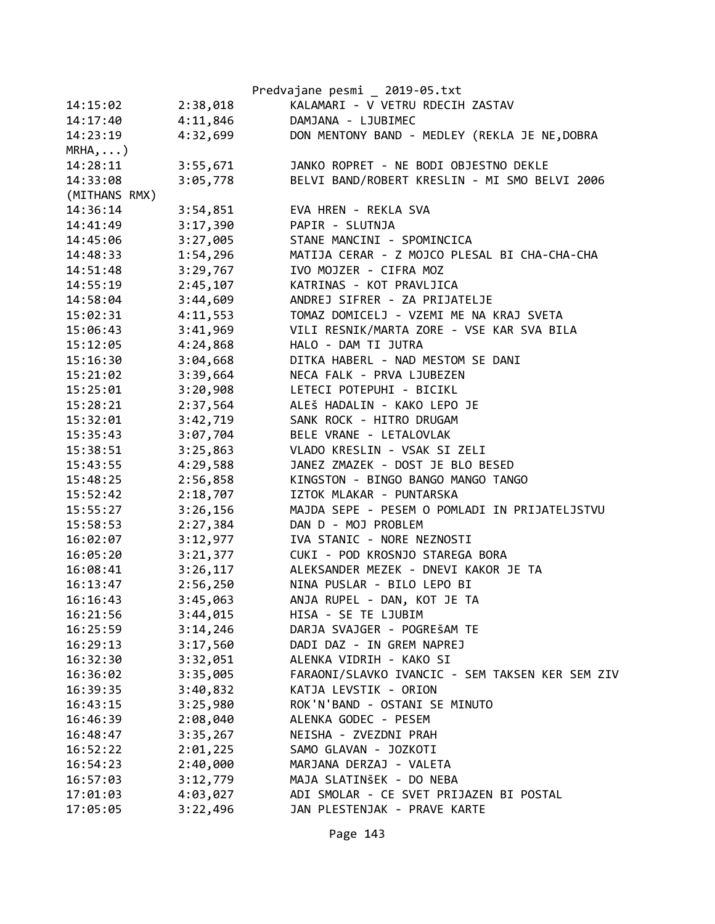|               |          | Predvajane pesmi _ 2019-05.txt                  |
|---------------|----------|-------------------------------------------------|
| 14:15:02      | 2:38,018 | KALAMARI - V VETRU RDECIH ZASTAV                |
| 14:17:40      | 4:11,846 | DAMJANA - LJUBIMEC                              |
| 14:23:19      | 4:32,699 | DON MENTONY BAND - MEDLEY (REKLA JE NE, DOBRA   |
| $MRHA$ , )    |          |                                                 |
| 14:28:11      | 3:55,671 | JANKO ROPRET - NE BODI OBJESTNO DEKLE           |
| 14:33:08      | 3:05,778 | BELVI BAND/ROBERT KRESLIN - MI SMO BELVI 2006   |
| (MITHANS RMX) |          |                                                 |
| 14:36:14      | 3:54,851 | EVA HREN - REKLA SVA                            |
| 14:41:49      | 3:17,390 | PAPIR - SLUTNJA                                 |
| 14:45:06      | 3:27,005 | STANE MANCINI - SPOMINCICA                      |
| 14:48:33      | 1:54,296 | MATIJA CERAR - Z MOJCO PLESAL BI CHA-CHA-CHA    |
| 14:51:48      | 3:29,767 | IVO MOJZER - CIFRA MOZ                          |
| 14:55:19      | 2:45,107 | KATRINAS - KOT PRAVLJICA                        |
| 14:58:04      | 3:44,609 | ANDREJ SIFRER - ZA PRIJATELJE                   |
| 15:02:31      | 4:11,553 | TOMAZ DOMICELJ - VZEMI ME NA KRAJ SVETA         |
| 15:06:43      | 3:41,969 | VILI RESNIK/MARTA ZORE - VSE KAR SVA BILA       |
| 15:12:05      | 4:24,868 | HALO - DAM TI JUTRA                             |
| 15:16:30      | 3:04,668 | DITKA HABERL - NAD MESTOM SE DANI               |
| 15:21:02      | 3:39,664 | NECA FALK - PRVA LJUBEZEN                       |
| 15:25:01      | 3:20,908 | LETECI POTEPUHI - BICIKL                        |
| 15:28:21      | 2:37,564 | ALEŠ HADALIN - KAKO LEPO JE                     |
| 15:32:01      | 3:42,719 | SANK ROCK - HITRO DRUGAM                        |
| 15:35:43      | 3:07,704 | BELE VRANE - LETALOVLAK                         |
| 15:38:51      | 3:25,863 | VLADO KRESLIN - VSAK SI ZELI                    |
| 15:43:55      | 4:29,588 | JANEZ ZMAZEK - DOST JE BLO BESED                |
| 15:48:25      | 2:56,858 | KINGSTON - BINGO BANGO MANGO TANGO              |
| 15:52:42      | 2:18,707 | IZTOK MLAKAR - PUNTARSKA                        |
| 15:55:27      | 3:26,156 | MAJDA SEPE - PESEM O POMLADI IN PRIJATELJSTVU   |
| 15:58:53      | 2:27,384 | DAN D - MOJ PROBLEM                             |
| 16:02:07      | 3:12,977 | IVA STANIC - NORE NEZNOSTI                      |
| 16:05:20      | 3:21,377 | CUKI - POD KROSNJO STAREGA BORA                 |
| 16:08:41      | 3:26,117 | ALEKSANDER MEZEK - DNEVI KAKOR JE TA            |
| 16:13:47      | 2:56,250 | NINA PUSLAR - BILO LEPO BI                      |
| 16:16:43      | 3:45,063 | ANJA RUPEL - DAN, KOT JE TA                     |
| 16:21:56      | 3:44,015 | HISA - SE TE LJUBIM                             |
| 16:25:59      | 3:14,246 | DARJA SVAJGER - POGREŠAM TE                     |
| 16:29:13      | 3:17,560 | DADI DAZ - IN GREM NAPREJ                       |
| 16:32:30      | 3:32,051 | ALENKA VIDRIH - KAKO SI                         |
| 16:36:02      | 3:35,005 | FARAONI/SLAVKO IVANCIC - SEM TAKSEN KER SEM ZIV |
| 16:39:35      | 3:40,832 | KATJA LEVSTIK - ORION                           |
| 16:43:15      | 3:25,980 | ROK'N'BAND - OSTANI SE MINUTO                   |
| 16:46:39      | 2:08,040 | ALENKA GODEC - PESEM                            |
| 16:48:47      | 3:35,267 | NEISHA - ZVEZDNI PRAH                           |
| 16:52:22      | 2:01,225 | SAMO GLAVAN - JOZKOTI                           |
| 16:54:23      | 2:40,000 | MARJANA DERZAJ - VALETA                         |
| 16:57:03      | 3:12,779 | MAJA SLATINŠEK - DO NEBA                        |
| 17:01:03      | 4:03,027 | ADI SMOLAR - CE SVET PRIJAZEN BI POSTAL         |
| 17:05:05      | 3:22,496 | JAN PLESTENJAK - PRAVE KARTE                    |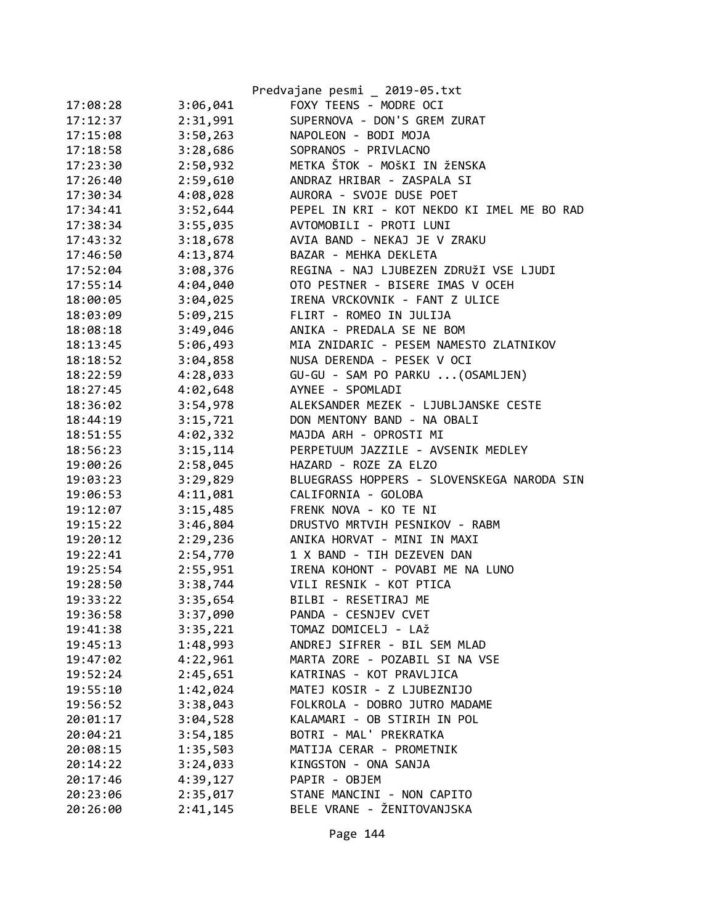|          |          | Predvajane pesmi _ 2019-05.txt             |
|----------|----------|--------------------------------------------|
| 17:08:28 | 3:06,041 | FOXY TEENS - MODRE OCI                     |
| 17:12:37 | 2:31,991 | SUPERNOVA - DON'S GREM ZURAT               |
| 17:15:08 | 3:50,263 | NAPOLEON - BODI MOJA                       |
| 17:18:58 | 3:28,686 | SOPRANOS - PRIVLACNO                       |
| 17:23:30 | 2:50,932 | METKA ŠTOK - MOŠKI IN ŽENSKA               |
| 17:26:40 | 2:59,610 | ANDRAZ HRIBAR - ZASPALA SI                 |
| 17:30:34 | 4:08,028 | AURORA - SVOJE DUSE POET                   |
| 17:34:41 | 3:52,644 | PEPEL IN KRI - KOT NEKDO KI IMEL ME BO RAD |
| 17:38:34 | 3:55,035 | AVTOMOBILI - PROTI LUNI                    |
| 17:43:32 | 3:18,678 | AVIA BAND - NEKAJ JE V ZRAKU               |
| 17:46:50 | 4:13,874 | BAZAR - MEHKA DEKLETA                      |
| 17:52:04 | 3:08,376 | REGINA - NAJ LJUBEZEN ZDRUŽI VSE LJUDI     |
| 17:55:14 | 4:04,040 | OTO PESTNER - BISERE IMAS V OCEH           |
| 18:00:05 | 3:04,025 | IRENA VRCKOVNIK - FANT Z ULICE             |
| 18:03:09 | 5:09,215 | FLIRT - ROMEO IN JULIJA                    |
| 18:08:18 | 3:49,046 | ANIKA - PREDALA SE NE BOM                  |
| 18:13:45 | 5:06,493 | MIA ZNIDARIC - PESEM NAMESTO ZLATNIKOV     |
| 18:18:52 | 3:04,858 | NUSA DERENDA - PESEK V OCI                 |
| 18:22:59 | 4:28,033 | GU-GU - SAM PO PARKU  (OSAMLJEN)           |
| 18:27:45 | 4:02,648 | AYNEE - SPOMLADI                           |
| 18:36:02 | 3:54,978 | ALEKSANDER MEZEK - LJUBLJANSKE CESTE       |
| 18:44:19 | 3:15,721 | DON MENTONY BAND - NA OBALI                |
| 18:51:55 | 4:02,332 | MAJDA ARH - OPROSTI MI                     |
| 18:56:23 | 3:15,114 | PERPETUUM JAZZILE - AVSENIK MEDLEY         |
| 19:00:26 | 2:58,045 | HAZARD - ROZE ZA ELZO                      |
| 19:03:23 | 3:29,829 | BLUEGRASS HOPPERS - SLOVENSKEGA NARODA SIN |
| 19:06:53 | 4:11,081 | CALIFORNIA - GOLOBA                        |
| 19:12:07 | 3:15,485 | FRENK NOVA - KO TE NI                      |
| 19:15:22 | 3:46,804 | DRUSTVO MRTVIH PESNIKOV - RABM             |
| 19:20:12 | 2:29,236 | ANIKA HORVAT - MINI IN MAXI                |
| 19:22:41 | 2:54,770 | 1 X BAND - TIH DEZEVEN DAN                 |
| 19:25:54 | 2:55,951 | IRENA KOHONT - POVABI ME NA LUNO           |
| 19:28:50 | 3:38,744 | VILI RESNIK - KOT PTICA                    |
| 19:33:22 | 3:35,654 | BILBI - RESETIRAJ ME                       |
| 19:36:58 | 3:37,090 | PANDA - CESNJEV CVET                       |
| 19:41:38 | 3:35,221 | TOMAZ DOMICELJ - LAŽ                       |
| 19:45:13 | 1:48,993 | ANDREJ SIFRER - BIL SEM MLAD               |
| 19:47:02 | 4:22,961 | MARTA ZORE - POZABIL SI NA VSE             |
| 19:52:24 | 2:45,651 | KATRINAS - KOT PRAVLJICA                   |
| 19:55:10 | 1:42,024 | MATEJ KOSIR - Z LJUBEZNIJO                 |
| 19:56:52 | 3:38,043 | FOLKROLA - DOBRO JUTRO MADAME              |
| 20:01:17 | 3:04,528 | KALAMARI - OB STIRIH IN POL                |
| 20:04:21 | 3:54,185 | BOTRI - MAL' PREKRATKA                     |
| 20:08:15 | 1:35,503 | MATIJA CERAR - PROMETNIK                   |
| 20:14:22 | 3:24,033 | KINGSTON - ONA SANJA                       |
| 20:17:46 | 4:39,127 | PAPIR - OBJEM                              |
| 20:23:06 | 2:35,017 | STANE MANCINI - NON CAPITO                 |
| 20:26:00 | 2:41,145 | BELE VRANE - ŽENITOVANJSKA                 |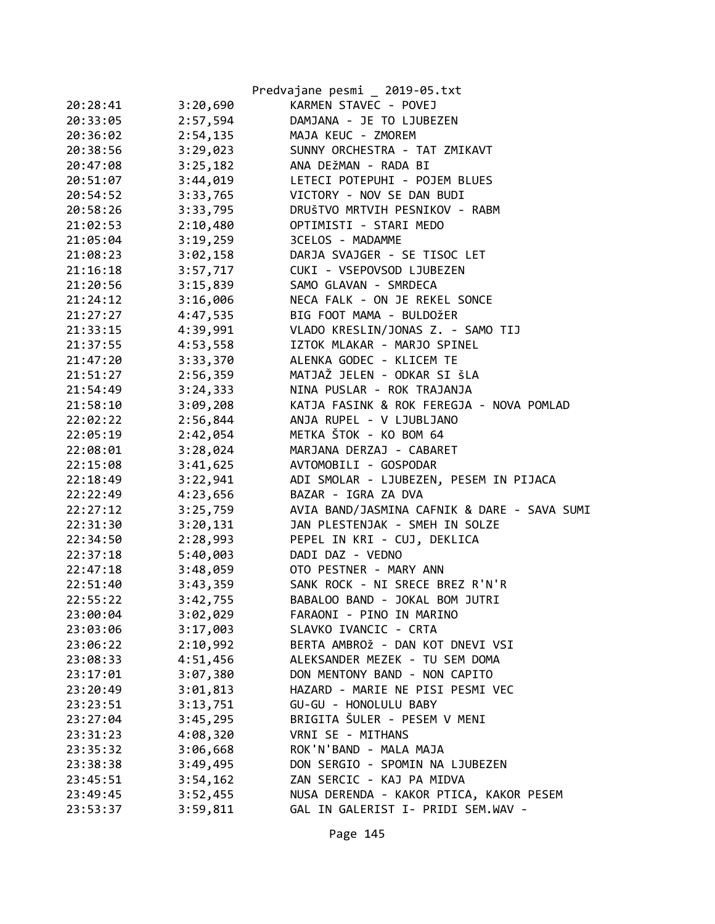|          |          | Predvajane pesmi _ 2019-05.txt              |
|----------|----------|---------------------------------------------|
| 20:28:41 | 3:20,690 | KARMEN STAVEC - POVEJ                       |
| 20:33:05 | 2:57,594 | DAMJANA - JE TO LJUBEZEN                    |
| 20:36:02 | 2:54,135 | MAJA KEUC - ZMOREM                          |
| 20:38:56 | 3:29,023 | SUNNY ORCHESTRA - TAT ZMIKAVT               |
| 20:47:08 | 3:25,182 | ANA DEŽMAN - RADA BI                        |
| 20:51:07 | 3:44,019 | LETECI POTEPUHI - POJEM BLUES               |
| 20:54:52 | 3:33,765 | VICTORY - NOV SE DAN BUDI                   |
| 20:58:26 | 3:33,795 | DRUŠTVO MRTVIH PESNIKOV - RABM              |
| 21:02:53 | 2:10,480 | OPTIMISTI - STARI MEDO                      |
| 21:05:04 | 3:19,259 | 3CELOS - MADAMME                            |
| 21:08:23 | 3:02,158 | DARJA SVAJGER - SE TISOC LET                |
| 21:16:18 | 3:57,717 | CUKI - VSEPOVSOD LJUBEZEN                   |
| 21:20:56 | 3:15,839 | SAMO GLAVAN - SMRDECA                       |
| 21:24:12 | 3:16,006 | NECA FALK - ON JE REKEL SONCE               |
| 21:27:27 | 4:47,535 | BIG FOOT MAMA - BULDOŽER                    |
| 21:33:15 | 4:39,991 | VLADO KRESLIN/JONAS Z. - SAMO TIJ           |
| 21:37:55 | 4:53,558 | IZTOK MLAKAR - MARJO SPINEL                 |
| 21:47:20 | 3:33,370 | ALENKA GODEC - KLICEM TE                    |
| 21:51:27 | 2:56,359 | MATJAŽ JELEN - ODKAR SI ŠLA                 |
| 21:54:49 | 3:24,333 | NINA PUSLAR - ROK TRAJANJA                  |
| 21:58:10 | 3:09,208 | KATJA FASINK & ROK FEREGJA - NOVA POMLAD    |
| 22:02:22 | 2:56,844 | ANJA RUPEL - V LJUBLJANO                    |
| 22:05:19 | 2:42,054 | METKA ŠTOK - KO BOM 64                      |
| 22:08:01 | 3:28,024 | MARJANA DERZAJ - CABARET                    |
| 22:15:08 | 3:41,625 | AVTOMOBILI - GOSPODAR                       |
| 22:18:49 | 3:22,941 | ADI SMOLAR - LJUBEZEN, PESEM IN PIJACA      |
| 22:22:49 | 4:23,656 | BAZAR - IGRA ZA DVA                         |
| 22:27:12 | 3:25,759 | AVIA BAND/JASMINA CAFNIK & DARE - SAVA SUMI |
| 22:31:30 | 3:20,131 | JAN PLESTENJAK - SMEH IN SOLZE              |
| 22:34:50 | 2:28,993 | PEPEL IN KRI - CUJ, DEKLICA                 |
| 22:37:18 | 5:40,003 | DADI DAZ - VEDNO                            |
| 22:47:18 | 3:48,059 | OTO PESTNER - MARY ANN                      |
| 22:51:40 | 3:43,359 | SANK ROCK - NI SRECE BREZ R'N'R             |
| 22:55:22 | 3:42,755 | BABALOO BAND - JOKAL BOM JUTRI              |
| 23:00:04 | 3:02,029 | FARAONI - PINO IN MARINO                    |
| 23:03:06 | 3:17,003 | SLAVKO IVANCIC - CRTA                       |
| 23:06:22 | 2:10,992 | BERTA AMBROŽ - DAN KOT DNEVI VSI            |
| 23:08:33 | 4:51,456 | ALEKSANDER MEZEK - TU SEM DOMA              |
| 23:17:01 | 3:07,380 | DON MENTONY BAND - NON CAPITO               |
| 23:20:49 | 3:01,813 | HAZARD - MARIE NE PISI PESMI VEC            |
| 23:23:51 | 3:13,751 | GU-GU - HONOLULU BABY                       |
| 23:27:04 | 3:45,295 | BRIGITA ŠULER - PESEM V MENI                |
| 23:31:23 | 4:08,320 | VRNI SE - MITHANS                           |
| 23:35:32 | 3:06,668 | ROK'N'BAND - MALA MAJA                      |
| 23:38:38 | 3:49,495 | DON SERGIO - SPOMIN NA LJUBEZEN             |
| 23:45:51 | 3:54,162 | ZAN SERCIC - KAJ PA MIDVA                   |
| 23:49:45 | 3:52,455 | NUSA DERENDA - KAKOR PTICA, KAKOR PESEM     |
| 23:53:37 | 3:59,811 | GAL IN GALERIST I- PRIDI SEM.WAV -          |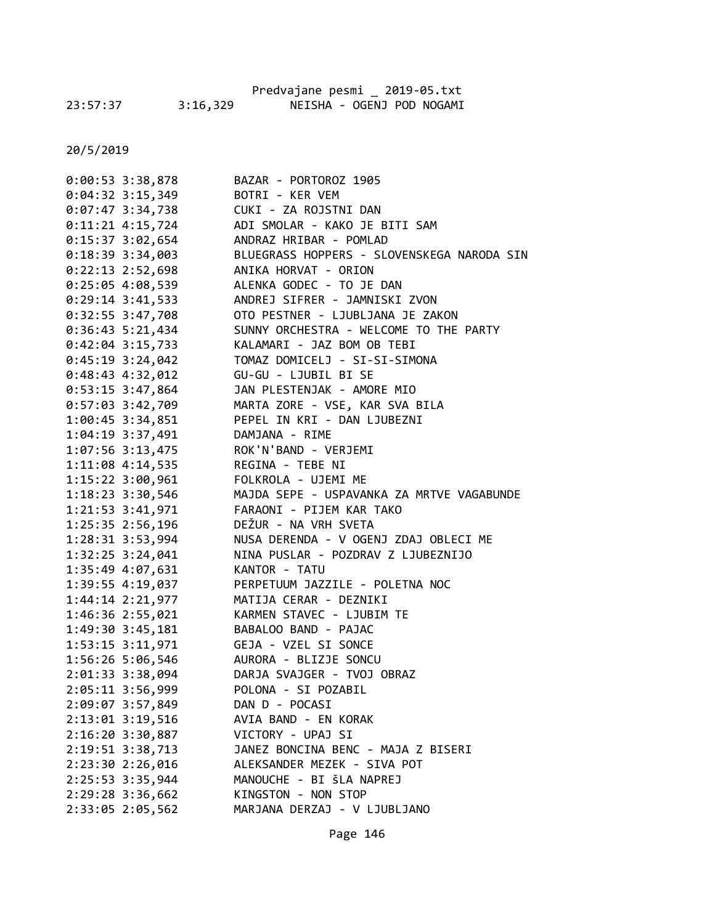|          |          | Predvajane pesmi 2019-05.txt |  |                           |
|----------|----------|------------------------------|--|---------------------------|
| 23:57:37 | 3:16,329 |                              |  | NEISHA - OGENJ POD NOGAMI |

| 0:00:53 3:38,878     | BAZAR - PORTOROZ 1905                      |
|----------------------|--------------------------------------------|
| $0:04:32$ 3:15,349   | BOTRI - KER VEM                            |
| $0:07:47$ 3:34,738   | CUKI - ZA ROJSTNI DAN                      |
| $0:11:21$ 4:15,724   | ADI SMOLAR - KAKO JE BITI SAM              |
| $0:15:37$ 3:02,654   | ANDRAZ HRIBAR - POMLAD                     |
| $0:18:39$ 3:34,003   | BLUEGRASS HOPPERS - SLOVENSKEGA NARODA SIN |
| $0:22:13$ 2:52,698   | ANIKA HORVAT - ORION                       |
| 0:25:05 4:08,539     | ALENKA GODEC - TO JE DAN                   |
| $0:29:14$ 3:41,533   | ANDREJ SIFRER - JAMNISKI ZVON              |
| 0:32:55 3:47,708     | OTO PESTNER - LJUBLJANA JE ZAKON           |
| $0:36:43$ 5:21,434   | SUNNY ORCHESTRA - WELCOME TO THE PARTY     |
| $0:42:04$ 3:15,733   | KALAMARI - JAZ BOM OB TEBI                 |
| $0:45:19$ 3:24,042   | TOMAZ DOMICELJ - SI-SI-SIMONA              |
| $0:48:43$ 4:32,012   | GU-GU - LJUBIL BI SE                       |
| $0:53:15$ 3:47,864   | JAN PLESTENJAK - AMORE MIO                 |
| 0:57:03 3:42,709     | MARTA ZORE - VSE, KAR SVA BILA             |
| 1:00:45 3:34,851     | PEPEL IN KRI - DAN LJUBEZNI                |
| $1:04:19$ 3:37,491   | DAMJANA - RIME                             |
| 1:07:56 3:13,475     | ROK'N'BAND - VERJEMI                       |
| 1:11:08 4:14,535     | REGINA - TEBE NI                           |
| 1:15:22 3:00,961     | FOLKROLA - UJEMI ME                        |
| 1:18:23 3:30,546     | MAJDA SEPE - USPAVANKA ZA MRTVE VAGABUNDE  |
| 1:21:53 3:41,971     | FARAONI - PIJEM KAR TAKO                   |
| 1:25:35 2:56,196     | DEŽUR - NA VRH SVETA                       |
| 1:28:31 3:53,994     | NUSA DERENDA - V OGENJ ZDAJ OBLECI ME      |
| 1:32:25 3:24,041     | NINA PUSLAR - POZDRAV Z LJUBEZNIJO         |
| 1:35:49 4:07,631     | KANTOR - TATU                              |
| 1:39:55 4:19,037     | PERPETUUM JAZZILE - POLETNA NOC            |
| 1:44:14 2:21,977     | MATIJA CERAR - DEZNIKI                     |
| 1:46:36 2:55,021     | KARMEN STAVEC - LJUBIM TE                  |
| 1:49:30 3:45,181     | BABALOO BAND - PAJAC                       |
| 1:53:15 3:11,971     | GEJA - VZEL SI SONCE                       |
| 1:56:26 5:06,546     | AURORA - BLIZJE SONCU                      |
| 2:01:33 3:38,094     | DARJA SVAJGER - TVOJ OBRAZ                 |
| 2:05:11 3:56,999     | POLONA - SI POZABIL                        |
| 2:09:07 3:57,849     | DAN D - POCASI                             |
| 2:13:01 3:19,516     | AVIA BAND - EN KORAK                       |
| $2:16:20$ $3:30,887$ | VICTORY - UPAJ SI                          |
| 2:19:51 3:38,713     | JANEZ BONCINA BENC - MAJA Z BISERI         |
| 2:23:30 2:26,016     | ALEKSANDER MEZEK - SIVA POT                |
| 2:25:53 3:35,944     | MANOUCHE - BI ŠLA NAPREJ                   |
| 2:29:28 3:36,662     | KINGSTON - NON STOP                        |
| 2:33:05 2:05,562     | MARJANA DERZAJ - V LJUBLJANO               |
|                      |                                            |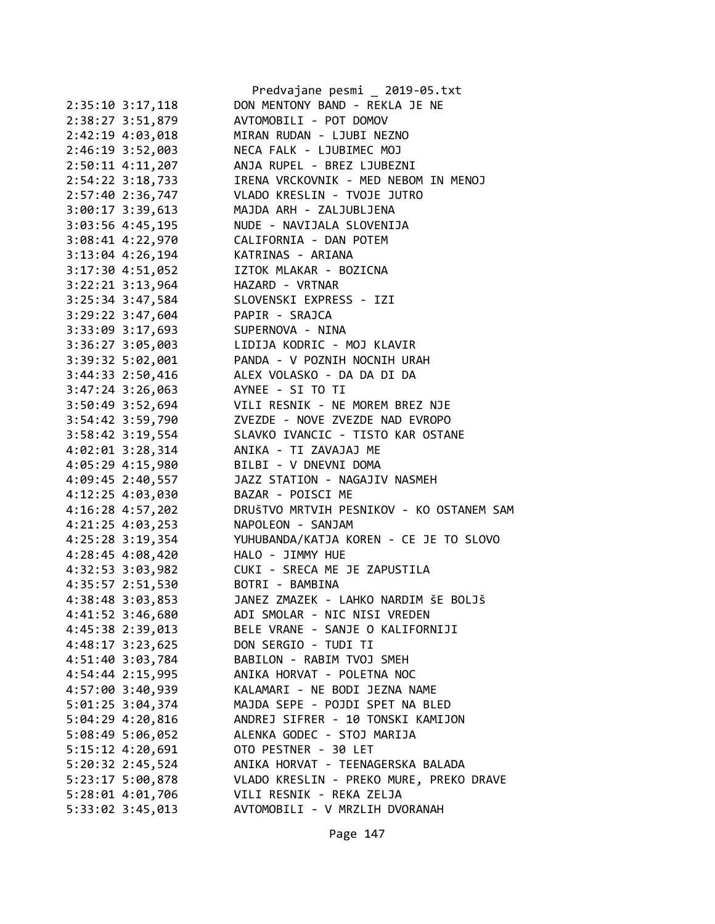|                      | Predvajane pesmi _ 2019-05.txt           |
|----------------------|------------------------------------------|
| 2:35:10 3:17,118     | DON MENTONY BAND - REKLA JE NE           |
| 2:38:27 3:51,879     | AVTOMOBILI - POT DOMOV                   |
| 2:42:19 4:03,018     | MIRAN RUDAN - LJUBI NEZNO                |
| 2:46:19 3:52,003     | NECA FALK - LJUBIMEC MOJ                 |
| 2:50:11 4:11,207     | ANJA RUPEL - BREZ LJUBEZNI               |
| 2:54:22 3:18,733     | IRENA VRCKOVNIK - MED NEBOM IN MENOJ     |
| 2:57:40 2:36,747     | VLADO KRESLIN - TVOJE JUTRO              |
| 3:00:17 3:39,613     | MAJDA ARH - ZALJUBLJENA                  |
| $3:03:56$ 4:45,195   | NUDE - NAVIJALA SLOVENIJA                |
| 3:08:41 4:22,970     | CALIFORNIA - DAN POTEM                   |
| $3:13:04$ 4:26,194   | KATRINAS - ARIANA                        |
| $3:17:30$ 4:51,052   | IZTOK MLAKAR - BOZICNA                   |
| $3:22:21$ $3:13,964$ | HAZARD - VRTNAR                          |
| 3:25:34 3:47,584     | SLOVENSKI EXPRESS - IZI                  |
| 3:29:22 3:47,604     | PAPIR - SRAJCA                           |
| 3:33:09 3:17,693     | SUPERNOVA - NINA                         |
| 3:36:27 3:05,003     | LIDIJA KODRIC - MOJ KLAVIR               |
| 3:39:32 5:02,001     | PANDA - V POZNIH NOCNIH URAH             |
| $3:44:33$ $2:50,416$ | ALEX VOLASKO - DA DA DI DA               |
| $3:47:24$ $3:26,063$ | AYNEE - SI TO TI                         |
| $3:50:49$ $3:52,694$ | VILI RESNIK - NE MOREM BREZ NJE          |
| 3:54:42 3:59,790     | ZVEZDE - NOVE ZVEZDE NAD EVROPO          |
| $3:58:42$ 3:19,554   | SLAVKO IVANCIC - TISTO KAR OSTANE        |
| $4:02:01$ 3:28,314   | ANIKA - TI ZAVAJAJ ME                    |
| 4:05:29 4:15,980     | BILBI - V DNEVNI DOMA                    |
| 4:09:45 2:40,557     | JAZZ STATION - NAGAJIV NASMEH            |
| 4:12:25 4:03,030     | BAZAR - POISCI ME                        |
| 4:16:28 4:57,202     | DRUŠTVO MRTVIH PESNIKOV - KO OSTANEM SAM |
| 4:21:25 4:03,253     | NAPOLEON - SANJAM                        |
| $4:25:28$ 3:19,354   | YUHUBANDA/KATJA KOREN - CE JE TO SLOVO   |
| $4:28:45$ $4:08,420$ | HALO - JIMMY HUE                         |
| 4:32:53 3:03,982     | CUKI - SRECA ME JE ZAPUSTILA             |
| 4:35:57 2:51,530     | BOTRI - BAMBINA                          |
| 4:38:48 3:03,853     | JANEZ ZMAZEK - LAHKO NARDIM ŠE BOLJŠ     |
| 4:41:52 3:46,680     | ADI SMOLAR - NIC NISI VREDEN             |
| 4:45:38 2:39,013     | BELE VRANE - SANJE O KALIFORNIJI         |
| 4:48:17 3:23,625     | DON SERGIO - TUDI TI                     |
| 4:51:40 3:03,784     | BABILON - RABIM TVOJ SMEH                |
| 4:54:44 2:15,995     | ANIKA HORVAT - POLETNA NOC               |
| 4:57:00 3:40,939     | KALAMARI - NE BODI JEZNA NAME            |
| $5:01:25$ 3:04,374   | MAJDA SEPE - POJDI SPET NA BLED          |
| 5:04:29 4:20,816     | ANDREJ SIFRER - 10 TONSKI KAMIJON        |
| 5:08:49 5:06,052     | ALENKA GODEC - STOJ MARIJA               |
| $5:15:12$ $4:20,691$ | OTO PESTNER - 30 LET                     |
| 5:20:32 2:45,524     | ANIKA HORVAT - TEENAGERSKA BALADA        |
| 5:23:17 5:00,878     | VLADO KRESLIN - PREKO MURE, PREKO DRAVE  |
| 5:28:01 4:01,706     | VILI RESNIK - REKA ZELJA                 |
| 5:33:02 3:45,013     | AVTOMOBILI - V MRZLIH DVORANAH           |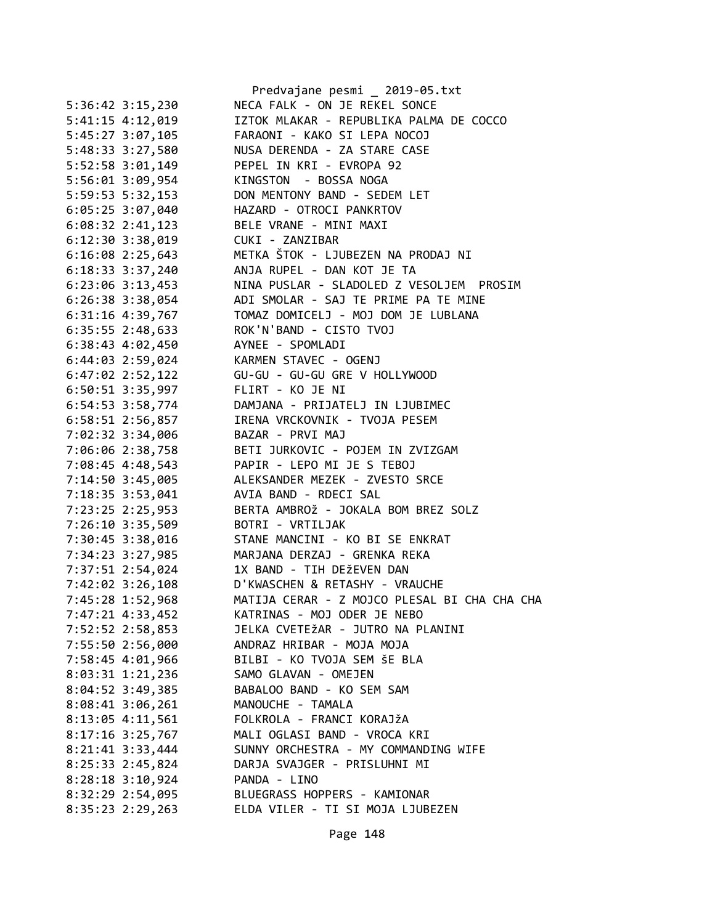|                      | Predvajane pesmi _ 2019-05.txt               |
|----------------------|----------------------------------------------|
| 5:36:42 3:15,230     | NECA FALK - ON JE REKEL SONCE                |
| $5:41:15$ $4:12,019$ | IZTOK MLAKAR - REPUBLIKA PALMA DE COCCO      |
| 5:45:27 3:07,105     | FARAONI - KAKO SI LEPA NOCOJ                 |
| 5:48:33 3:27,580     | NUSA DERENDA - ZA STARE CASE                 |
| 5:52:58 3:01,149     | PEPEL IN KRI - EVROPA 92                     |
| 5:56:01 3:09,954     | KINGSTON - BOSSA NOGA                        |
| 5:59:53 5:32,153     | DON MENTONY BAND - SEDEM LET                 |
| 6:05:25 3:07,040     | HAZARD - OTROCI PANKRTOV                     |
| $6:08:32$ 2:41,123   | BELE VRANE - MINI MAXI                       |
| $6:12:30$ $3:38,019$ | CUKI - ZANZIBAR                              |
| $6:16:08$ 2:25,643   | METKA ŠTOK - LJUBEZEN NA PRODAJ NI           |
| $6:18:33$ $3:37,240$ | ANJA RUPEL - DAN KOT JE TA                   |
| $6:23:06$ $3:13,453$ | NINA PUSLAR - SLADOLED Z VESOLJEM PROSIM     |
| $6:26:38$ 3:38,054   | ADI SMOLAR - SAJ TE PRIME PA TE MINE         |
| 6:31:16 4:39,767     | TOMAZ DOMICELJ - MOJ DOM JE LUBLANA          |
| $6:35:55$ 2:48,633   | ROK'N'BAND - CISTO TVOJ                      |
| $6:38:43$ $4:02,450$ | AYNEE - SPOMLADI                             |
| 6:44:03 2:59,024     | KARMEN STAVEC - OGENJ                        |
|                      |                                              |
| 6:50:51 3:35,997     | FLIRT - KO JE NI                             |
| $6:54:53$ $3:58,774$ | DAMJANA - PRIJATELJ IN LJUBIMEC              |
| 6:58:51 2:56,857     | IRENA VRCKOVNIK - TVOJA PESEM                |
| 7:02:32 3:34,006     | BAZAR - PRVI MAJ                             |
| 7:06:06 2:38,758     | BETI JURKOVIC - POJEM IN ZVIZGAM             |
| 7:08:45 4:48,543     | PAPIR - LEPO MI JE S TEBOJ                   |
| 7:14:50 3:45,005     | ALEKSANDER MEZEK - ZVESTO SRCE               |
| 7:18:35 3:53,041     | AVIA BAND - RDECI SAL                        |
| 7:23:25 2:25,953     | BERTA AMBROŽ - JOKALA BOM BREZ SOLZ          |
| 7:26:10 3:35,509     | BOTRI - VRTILJAK                             |
| 7:30:45 3:38,016     | STANE MANCINI - KO BI SE ENKRAT              |
| 7:34:23 3:27,985     | MARJANA DERZAJ - GRENKA REKA                 |
| 7:37:51 2:54,024     | 1X BAND - TIH DEŽEVEN DAN                    |
| 7:42:02 3:26,108     | D'KWASCHEN & RETASHY - VRAUCHE               |
| 7:45:28 1:52,968     | MATIJA CERAR - Z MOJCO PLESAL BI CHA CHA CHA |
| 7:47:21 4:33,452     | KATRINAS - MOJ ODER JE NEBO                  |
| 7:52:52 2:58,853     | JELKA CVETEŽAR - JUTRO NA PLANINI            |
| 7:55:50 2:56,000     | ANDRAZ HRIBAR - MOJA MOJA                    |
| 7:58:45 4:01,966     | BILBI - KO TVOJA SEM ŠE BLA                  |
| 8:03:31 1:21,236     | SAMO GLAVAN - OMEJEN                         |
| 8:04:52 3:49,385     | BABALOO BAND - KO SEM SAM                    |
| $8:08:41$ 3:06,261   | MANOUCHE - TAMALA                            |
| 8:13:05 4:11,561     | FOLKROLA - FRANCI KORAJŽA                    |
| $8:17:16$ 3:25,767   | MALI OGLASI BAND - VROCA KRI                 |
| 8:21:41 3:33,444     | SUNNY ORCHESTRA - MY COMMANDING WIFE         |
| 8:25:33 2:45,824     | DARJA SVAJGER - PRISLUHNI MI                 |
| $8:28:18$ 3:10,924   | PANDA - LINO                                 |
| 8:32:29 2:54,095     | BLUEGRASS HOPPERS - KAMIONAR                 |
| $8:35:23$ 2:29,263   | ELDA VILER - TI SI MOJA LJUBEZEN             |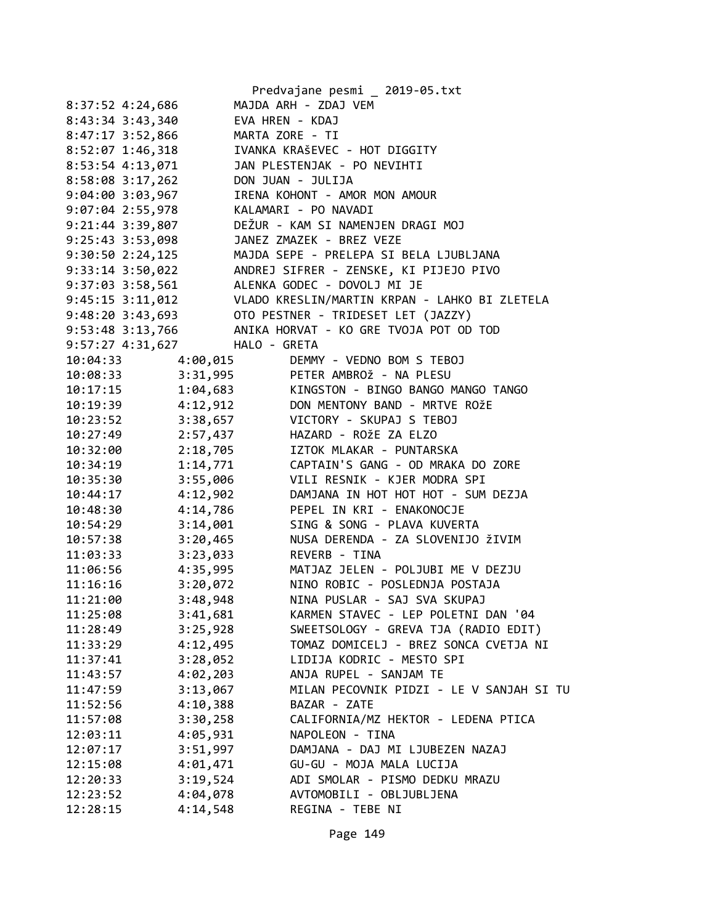|                      | Predvajane pesmi _ 2019-05.txt                |
|----------------------|-----------------------------------------------|
| 8:37:52 4:24,686     | MAJDA ARH - ZDAJ VEM                          |
| 8:43:34 3:43,340     | EVA HREN - KDAJ                               |
| 8:47:17 3:52,866     | MARTA ZORE - TI                               |
| 8:52:07 1:46,318     | IVANKA KRAŠEVEC - HOT DIGGITY                 |
| 8:53:54 4:13,071     | JAN PLESTENJAK - PO NEVIHTI                   |
| 8:58:08 3:17,262     | DON JUAN - JULIJA                             |
| 9:04:00 3:03,967     | IRENA KOHONT - AMOR MON AMOUR                 |
| 9:07:04 2:55,978     | KALAMARI - PO NAVADI                          |
| 9:21:44 3:39,807     | DEŽUR - KAM SI NAMENJEN DRAGI MOJ             |
| $9:25:43$ 3:53,098   | JANEZ ZMAZEK - BREZ VEZE                      |
| 9:30:502:24,125      | MAJDA SEPE - PRELEPA SI BELA LJUBLJANA        |
| 9:33:14 3:50,022     | ANDREJ SIFRER - ZENSKE, KI PIJEJO PIVO        |
| 9:37:03 3:58,561     | ALENKA GODEC - DOVOLJ MI JE                   |
| 9:45:15 3:11,012     | VLADO KRESLIN/MARTIN KRPAN - LAHKO BI ZLETELA |
| $9:48:20$ 3:43,693   | OTO PESTNER - TRIDESET LET (JAZZY)            |
| 9:53:48 3:13,766     | ANIKA HORVAT - KO GRE TVOJA POT OD TOD        |
| 9:57:27 4:31,627     | HALO - GRETA                                  |
| 10:04:33<br>4:00,015 | DEMMY - VEDNO BOM S TEBOJ                     |
| 10:08:33             | 3:31,995 PETER AMBROŽ - NA PLESU              |
| 10:17:15             | 1:04,683 KINGSTON - BINGO BANGO MANGO TANGO   |
| 4:12,912<br>10:19:39 | DON MENTONY BAND - MRTVE ROŽE                 |
| 3:38,657<br>10:23:52 | VICTORY - SKUPAJ S TEBOJ                      |
| 2:57,437<br>10:27:49 | HAZARD - ROŽE ZA ELZO                         |
| 2:18,705<br>10:32:00 | IZTOK MLAKAR - PUNTARSKA                      |
| 10:34:19             | 1:14,771 CAPTAIN'S GANG - OD MRAKA DO ZORE    |
| 3:55,006<br>10:35:30 | VILI RESNIK - KJER MODRA SPI                  |
| 4:12,902<br>10:44:17 | DAMJANA IN HOT HOT HOT - SUM DEZJA            |
| 4:14,786<br>10:48:30 | PEPEL IN KRI - ENAKONOCJE                     |
| 3:14,001<br>10:54:29 | SING & SONG - PLAVA KUVERTA                   |
| 10:57:38<br>3:20,465 | NUSA DERENDA - ZA SLOVENIJO ŽIVIM             |
| 11:03:33<br>3:23,033 | REVERB - TINA                                 |
| 4:35,995<br>11:06:56 | MATJAZ JELEN - POLJUBI ME V DEZJU             |
| 11:16:16<br>3:20,072 | NINO ROBIC - POSLEDNJA POSTAJA                |
| 3:48,948<br>11:21:00 | NINA PUSLAR - SAJ SVA SKUPAJ                  |
| 3:41,681<br>11:25:08 | KARMEN STAVEC - LEP POLETNI DAN '04           |
| 3:25,928<br>11:28:49 | SWEETSOLOGY - GREVA TJA (RADIO EDIT)          |
| 4:12,495<br>11:33:29 | TOMAZ DOMICELJ - BREZ SONCA CVETJA NI         |
| 3:28,052<br>11:37:41 | LIDIJA KODRIC - MESTO SPI                     |
| 4:02,203<br>11:43:57 | ANJA RUPEL - SANJAM TE                        |
| 3:13,067<br>11:47:59 | MILAN PECOVNIK PIDZI - LE V SANJAH SI TU      |
| 4:10,388<br>11:52:56 | BAZAR - ZATE                                  |
| 3:30,258<br>11:57:08 | CALIFORNIA/MZ HEKTOR - LEDENA PTICA           |
| 4:05,931<br>12:03:11 | NAPOLEON - TINA                               |
| 3:51,997<br>12:07:17 | DAMJANA - DAJ MI LJUBEZEN NAZAJ               |
| 4:01,471<br>12:15:08 | GU-GU - MOJA MALA LUCIJA                      |
| 3:19,524<br>12:20:33 | ADI SMOLAR - PISMO DEDKU MRAZU                |
| 4:04,078<br>12:23:52 | AVTOMOBILI - OBLJUBLJENA                      |
| 12:28:15<br>4:14,548 | REGINA - TEBE NI                              |
|                      |                                               |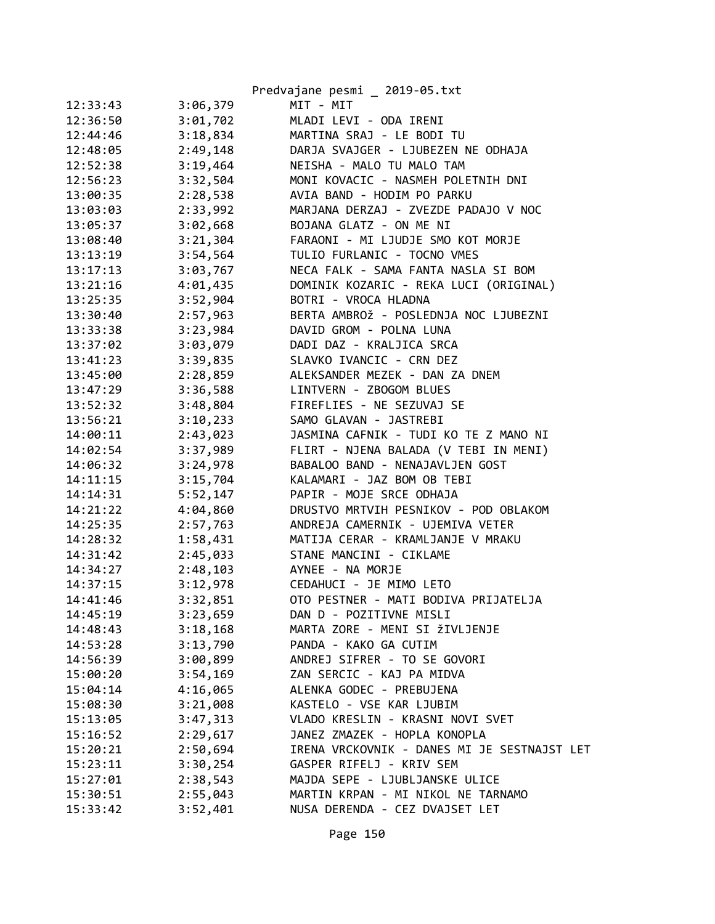|          |          | Predvajane pesmi _ 2019-05.txt              |
|----------|----------|---------------------------------------------|
| 12:33:43 | 3:06,379 | MIT - MIT                                   |
| 12:36:50 | 3:01,702 | MLADI LEVI - ODA IRENI                      |
| 12:44:46 | 3:18,834 | MARTINA SRAJ - LE BODI TU                   |
| 12:48:05 | 2:49,148 | DARJA SVAJGER - LJUBEZEN NE ODHAJA          |
| 12:52:38 | 3:19,464 | NEISHA - MALO TU MALO TAM                   |
| 12:56:23 | 3:32,504 | MONI KOVACIC - NASMEH POLETNIH DNI          |
| 13:00:35 | 2:28,538 | AVIA BAND - HODIM PO PARKU                  |
| 13:03:03 | 2:33,992 | MARJANA DERZAJ - ZVEZDE PADAJO V NOC        |
| 13:05:37 | 3:02,668 | BOJANA GLATZ - ON ME NI                     |
| 13:08:40 | 3:21,304 | FARAONI - MI LJUDJE SMO KOT MORJE           |
| 13:13:19 | 3:54,564 | TULIO FURLANIC - TOCNO VMES                 |
| 13:17:13 | 3:03,767 | NECA FALK - SAMA FANTA NASLA SI BOM         |
| 13:21:16 | 4:01,435 | DOMINIK KOZARIC - REKA LUCI (ORIGINAL)      |
| 13:25:35 | 3:52,904 | BOTRI - VROCA HLADNA                        |
| 13:30:40 | 2:57,963 | BERTA AMBROŽ - POSLEDNJA NOC LJUBEZNI       |
| 13:33:38 | 3:23,984 | DAVID GROM - POLNA LUNA                     |
| 13:37:02 | 3:03,079 | DADI DAZ - KRALJICA SRCA                    |
| 13:41:23 | 3:39,835 | SLAVKO IVANCIC - CRN DEZ                    |
| 13:45:00 | 2:28,859 | ALEKSANDER MEZEK - DAN ZA DNEM              |
| 13:47:29 | 3:36,588 | LINTVERN - ZBOGOM BLUES                     |
| 13:52:32 | 3:48,804 | FIREFLIES - NE SEZUVAJ SE                   |
| 13:56:21 | 3:10,233 | SAMO GLAVAN - JASTREBI                      |
| 14:00:11 | 2:43,023 | JASMINA CAFNIK - TUDI KO TE Z MANO NI       |
| 14:02:54 | 3:37,989 | FLIRT - NJENA BALADA (V TEBI IN MENI)       |
| 14:06:32 | 3:24,978 | BABALOO BAND - NENAJAVLJEN GOST             |
| 14:11:15 | 3:15,704 | KALAMARI - JAZ BOM OB TEBI                  |
| 14:14:31 | 5:52,147 | PAPIR - MOJE SRCE ODHAJA                    |
| 14:21:22 | 4:04,860 | DRUSTVO MRTVIH PESNIKOV - POD OBLAKOM       |
| 14:25:35 | 2:57,763 | ANDREJA CAMERNIK - UJEMIVA VETER            |
| 14:28:32 | 1:58,431 | MATIJA CERAR - KRAMLJANJE V MRAKU           |
| 14:31:42 | 2:45,033 | STANE MANCINI - CIKLAME                     |
| 14:34:27 | 2:48,103 | AYNEE - NA MORJE                            |
| 14:37:15 | 3:12,978 | CEDAHUCI - JE MIMO LETO                     |
| 14:41:46 | 3:32,851 | OTO PESTNER - MATI BODIVA PRIJATELJA        |
| 14:45:19 | 3:23,659 | DAN D - POZITIVNE MISLI                     |
| 14:48:43 | 3:18,168 | MARTA ZORE - MENI SI ŽIVLJENJE              |
| 14:53:28 | 3:13,790 | PANDA - KAKO GA CUTIM                       |
| 14:56:39 | 3:00,899 | ANDREJ SIFRER - TO SE GOVORI                |
| 15:00:20 | 3:54,169 | ZAN SERCIC - KAJ PA MIDVA                   |
| 15:04:14 | 4:16,065 | ALENKA GODEC - PREBUJENA                    |
| 15:08:30 | 3:21,008 | KASTELO - VSE KAR LJUBIM                    |
| 15:13:05 | 3:47,313 | VLADO KRESLIN - KRASNI NOVI SVET            |
| 15:16:52 | 2:29,617 | JANEZ ZMAZEK - HOPLA KONOPLA                |
| 15:20:21 | 2:50,694 | IRENA VRCKOVNIK - DANES MI JE SESTNAJST LET |
| 15:23:11 | 3:30,254 | GASPER RIFELJ - KRIV SEM                    |
| 15:27:01 | 2:38,543 | MAJDA SEPE - LJUBLJANSKE ULICE              |
| 15:30:51 | 2:55,043 | MARTIN KRPAN - MI NIKOL NE TARNAMO          |
| 15:33:42 | 3:52,401 | NUSA DERENDA - CEZ DVAJSET LET              |
|          |          |                                             |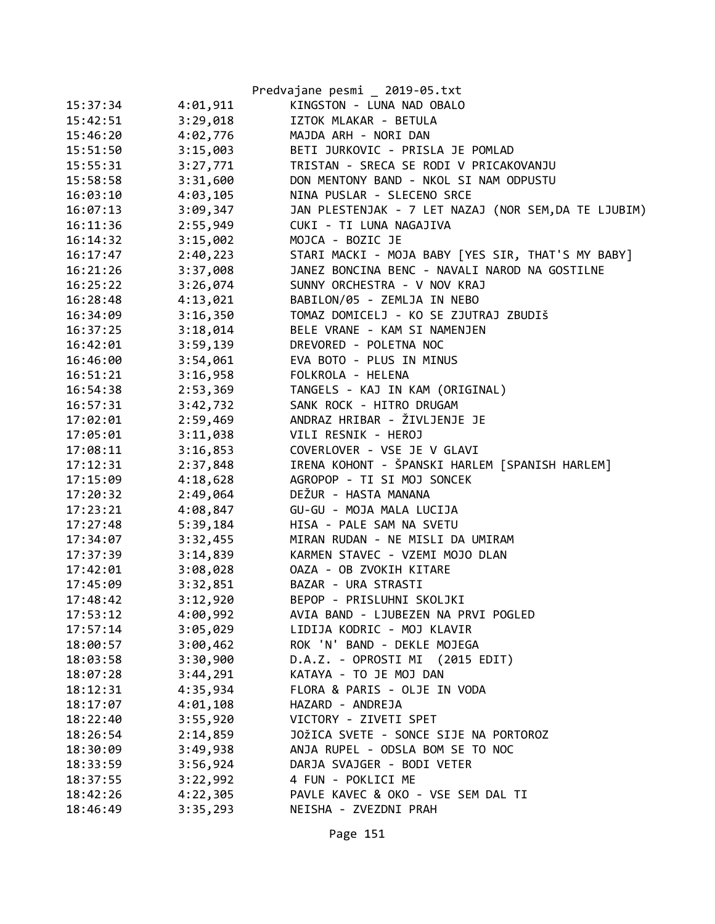|          |          | Predvajane pesmi _ 2019-05.txt                       |
|----------|----------|------------------------------------------------------|
| 15:37:34 | 4:01,911 | KINGSTON - LUNA NAD OBALO                            |
| 15:42:51 | 3:29,018 | IZTOK MLAKAR - BETULA                                |
| 15:46:20 | 4:02,776 | MAJDA ARH - NORI DAN                                 |
| 15:51:50 | 3:15,003 | BETI JURKOVIC - PRISLA JE POMLAD                     |
| 15:55:31 | 3:27,771 | TRISTAN - SRECA SE RODI V PRICAKOVANJU               |
| 15:58:58 | 3:31,600 | DON MENTONY BAND - NKOL SI NAM ODPUSTU               |
| 16:03:10 | 4:03,105 | NINA PUSLAR - SLECENO SRCE                           |
| 16:07:13 | 3:09,347 | JAN PLESTENJAK - 7 LET NAZAJ (NOR SEM, DA TE LJUBIM) |
| 16:11:36 | 2:55,949 | CUKI - TI LUNA NAGAJIVA                              |
| 16:14:32 | 3:15,002 | MOJCA - BOZIC JE                                     |
| 16:17:47 | 2:40,223 | STARI MACKI - MOJA BABY [YES SIR, THAT'S MY BABY]    |
| 16:21:26 | 3:37,008 | JANEZ BONCINA BENC - NAVALI NAROD NA GOSTILNE        |
| 16:25:22 | 3:26,074 | SUNNY ORCHESTRA - V NOV KRAJ                         |
| 16:28:48 | 4:13,021 | BABILON/05 - ZEMLJA IN NEBO                          |
| 16:34:09 | 3:16,350 | TOMAZ DOMICELJ - KO SE ZJUTRAJ ZBUDIŠ                |
| 16:37:25 | 3:18,014 | BELE VRANE - KAM SI NAMENJEN                         |
| 16:42:01 | 3:59,139 | DREVORED - POLETNA NOC                               |
| 16:46:00 | 3:54,061 | EVA BOTO - PLUS IN MINUS                             |
| 16:51:21 | 3:16,958 | FOLKROLA - HELENA                                    |
| 16:54:38 | 2:53,369 | TANGELS - KAJ IN KAM (ORIGINAL)                      |
| 16:57:31 | 3:42,732 | SANK ROCK - HITRO DRUGAM                             |
| 17:02:01 | 2:59,469 | ANDRAZ HRIBAR - ŽIVLJENJE JE                         |
| 17:05:01 | 3:11,038 | VILI RESNIK - HEROJ                                  |
| 17:08:11 | 3:16,853 | COVERLOVER - VSE JE V GLAVI                          |
| 17:12:31 | 2:37,848 | IRENA KOHONT - ŠPANSKI HARLEM [SPANISH HARLEM]       |
| 17:15:09 | 4:18,628 | AGROPOP - TI SI MOJ SONCEK                           |
| 17:20:32 | 2:49,064 | DEŽUR - HASTA MANANA                                 |
| 17:23:21 | 4:08,847 | GU-GU - MOJA MALA LUCIJA                             |
| 17:27:48 | 5:39,184 | HISA - PALE SAM NA SVETU                             |
| 17:34:07 | 3:32,455 | MIRAN RUDAN - NE MISLI DA UMIRAM                     |
| 17:37:39 | 3:14,839 | KARMEN STAVEC - VZEMI MOJO DLAN                      |
| 17:42:01 | 3:08,028 | OAZA - OB ZVOKIH KITARE                              |
| 17:45:09 | 3:32,851 | BAZAR - URA STRASTI                                  |
| 17:48:42 | 3:12,920 | BEPOP - PRISLUHNI SKOLJKI                            |
| 17:53:12 | 4:00,992 | AVIA BAND - LJUBEZEN NA PRVI POGLED                  |
| 17:57:14 | 3:05,029 | LIDIJA KODRIC - MOJ KLAVIR                           |
| 18:00:57 | 3:00,462 | ROK 'N' BAND - DEKLE MOJEGA                          |
| 18:03:58 | 3:30,900 | D.A.Z. - OPROSTI MI (2015 EDIT)                      |
| 18:07:28 | 3:44,291 | KATAYA - TO JE MOJ DAN                               |
| 18:12:31 | 4:35,934 | FLORA & PARIS - OLJE IN VODA                         |
| 18:17:07 | 4:01,108 | HAZARD - ANDREJA                                     |
| 18:22:40 | 3:55,920 | VICTORY - ZIVETI SPET                                |
| 18:26:54 | 2:14,859 | JOŽICA SVETE - SONCE SIJE NA PORTOROZ                |
| 18:30:09 | 3:49,938 | ANJA RUPEL - ODSLA BOM SE TO NOC                     |
| 18:33:59 | 3:56,924 | DARJA SVAJGER - BODI VETER                           |
| 18:37:55 | 3:22,992 | 4 FUN - POKLICI ME                                   |
| 18:42:26 | 4:22,305 | PAVLE KAVEC & OKO - VSE SEM DAL TI                   |
| 18:46:49 | 3:35,293 | NEISHA - ZVEZDNI PRAH                                |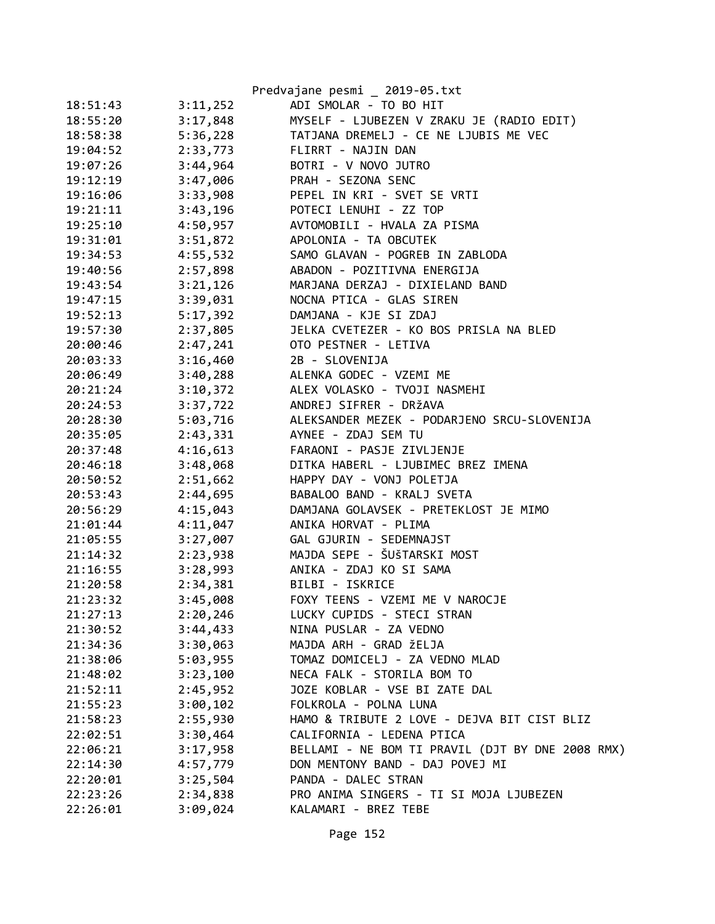|          |          | Predvajane pesmi _ 2019-05.txt                   |
|----------|----------|--------------------------------------------------|
| 18:51:43 | 3:11,252 | ADI SMOLAR - TO BO HIT                           |
| 18:55:20 | 3:17,848 | MYSELF - LJUBEZEN V ZRAKU JE (RADIO EDIT)        |
| 18:58:38 | 5:36,228 | TATJANA DREMELJ - CE NE LJUBIS ME VEC            |
| 19:04:52 | 2:33,773 | FLIRRT - NAJIN DAN                               |
| 19:07:26 | 3:44,964 | BOTRI - V NOVO JUTRO                             |
| 19:12:19 | 3:47,006 | PRAH - SEZONA SENC                               |
| 19:16:06 | 3:33,908 | PEPEL IN KRI - SVET SE VRTI                      |
| 19:21:11 | 3:43,196 | POTECI LENUHI - ZZ TOP                           |
| 19:25:10 | 4:50,957 | AVTOMOBILI - HVALA ZA PISMA                      |
| 19:31:01 | 3:51,872 | APOLONIA - TA OBCUTEK                            |
| 19:34:53 | 4:55,532 | SAMO GLAVAN - POGREB IN ZABLODA                  |
| 19:40:56 | 2:57,898 | ABADON - POZITIVNA ENERGIJA                      |
| 19:43:54 | 3:21,126 | MARJANA DERZAJ - DIXIELAND BAND                  |
| 19:47:15 | 3:39,031 | NOCNA PTICA - GLAS SIREN                         |
| 19:52:13 | 5:17,392 | DAMJANA - KJE SI ZDAJ                            |
| 19:57:30 | 2:37,805 | JELKA CVETEZER - KO BOS PRISLA NA BLED           |
| 20:00:46 | 2:47,241 | OTO PESTNER - LETIVA                             |
| 20:03:33 | 3:16,460 | 2B - SLOVENIJA                                   |
| 20:06:49 | 3:40,288 | ALENKA GODEC - VZEMI ME                          |
| 20:21:24 | 3:10,372 | ALEX VOLASKO - TVOJI NASMEHI                     |
| 20:24:53 | 3:37,722 | ANDREJ SIFRER - DRŽAVA                           |
| 20:28:30 | 5:03,716 | ALEKSANDER MEZEK - PODARJENO SRCU-SLOVENIJA      |
| 20:35:05 | 2:43,331 | AYNEE - ZDAJ SEM TU                              |
| 20:37:48 | 4:16,613 | FARAONI - PASJE ZIVLJENJE                        |
| 20:46:18 | 3:48,068 | DITKA HABERL - LJUBIMEC BREZ IMENA               |
| 20:50:52 | 2:51,662 | HAPPY DAY - VONJ POLETJA                         |
| 20:53:43 | 2:44,695 | BABALOO BAND - KRALJ SVETA                       |
| 20:56:29 | 4:15,043 | DAMJANA GOLAVSEK - PRETEKLOST JE MIMO            |
| 21:01:44 | 4:11,047 | ANIKA HORVAT - PLIMA                             |
| 21:05:55 | 3:27,007 | GAL GJURIN - SEDEMNAJST                          |
| 21:14:32 | 2:23,938 | MAJDA SEPE - ŠUŠTARSKI MOST                      |
| 21:16:55 | 3:28,993 | ANIKA - ZDAJ KO SI SAMA                          |
| 21:20:58 | 2:34,381 | BILBI - ISKRICE                                  |
| 21:23:32 | 3:45,008 | FOXY TEENS - VZEMI ME V NAROCJE                  |
| 21:27:13 | 2:20,246 | LUCKY CUPIDS - STECI STRAN                       |
| 21:30:52 | 3:44,433 | NINA PUSLAR - ZA VEDNO                           |
| 21:34:36 | 3:30,063 | MAJDA ARH - GRAD ŽELJA                           |
| 21:38:06 | 5:03,955 | TOMAZ DOMICELJ - ZA VEDNO MLAD                   |
| 21:48:02 | 3:23,100 | NECA FALK - STORILA BOM TO                       |
| 21:52:11 | 2:45,952 | JOZE KOBLAR - VSE BI ZATE DAL                    |
| 21:55:23 | 3:00,102 | FOLKROLA - POLNA LUNA                            |
| 21:58:23 | 2:55,930 | HAMO & TRIBUTE 2 LOVE - DEJVA BIT CIST BLIZ      |
| 22:02:51 | 3:30,464 | CALIFORNIA - LEDENA PTICA                        |
| 22:06:21 | 3:17,958 | BELLAMI - NE BOM TI PRAVIL (DJT BY DNE 2008 RMX) |
| 22:14:30 | 4:57,779 | DON MENTONY BAND - DAJ POVEJ MI                  |
| 22:20:01 | 3:25,504 | PANDA - DALEC STRAN                              |
| 22:23:26 | 2:34,838 | PRO ANIMA SINGERS - TI SI MOJA LJUBEZEN          |
| 22:26:01 | 3:09,024 | KALAMARI - BREZ TEBE                             |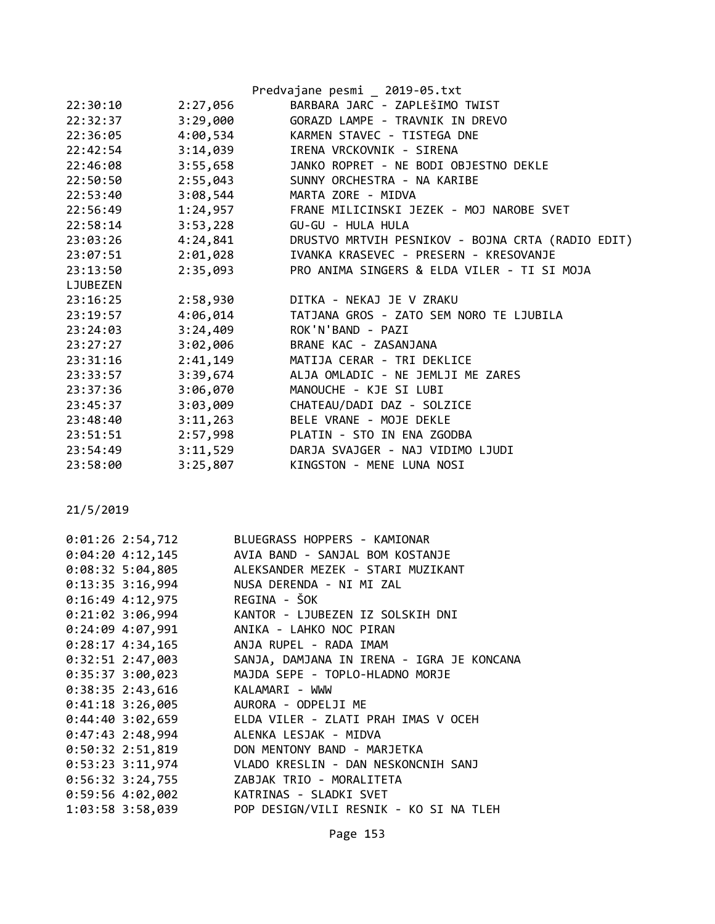|          |          | Predvajane pesmi _ 2019-05.txt                    |
|----------|----------|---------------------------------------------------|
| 22:30:10 | 2:27,056 | BARBARA JARC - ZAPLEŠIMO TWIST                    |
| 22:32:37 | 3:29,000 | GORAZD LAMPE - TRAVNIK IN DREVO                   |
| 22:36:05 | 4:00,534 | KARMEN STAVEC - TISTEGA DNE                       |
| 22:42:54 | 3:14,039 | IRENA VRCKOVNIK - SIRENA                          |
| 22:46:08 | 3:55,658 | JANKO ROPRET - NE BODI OBJESTNO DEKLE             |
| 22:50:50 | 2:55,043 | SUNNY ORCHESTRA - NA KARIBE                       |
| 22:53:40 | 3:08,544 | MARTA ZORE - MIDVA                                |
| 22:56:49 |          | 1:24,957 FRANE MILICINSKI JEZEK - MOJ NAROBE SVET |
| 22:58:14 | 3:53,228 | GU-GU - HULA HULA                                 |
| 23:03:26 | 4:24,841 | DRUSTVO MRTVIH PESNIKOV - BOJNA CRTA (RADIO EDIT) |
| 23:07:51 | 2:01,028 | IVANKA KRASEVEC - PRESERN - KRESOVANJE            |
| 23:13:50 | 2:35,093 | PRO ANIMA SINGERS & ELDA VILER - TI SI MOJA       |
| LJUBEZEN |          |                                                   |
| 23:16:25 | 2:58,930 | DITKA - NEKAJ JE V ZRAKU                          |
| 23:19:57 | 4:06,014 | TATJANA GROS - ZATO SEM NORO TE LJUBILA           |
| 23:24:03 | 3:24,409 | ROK'N'BAND - PAZI                                 |
| 23:27:27 | 3:02,006 | BRANE KAC - ZASANJANA                             |
| 23:31:16 | 2:41,149 | MATIJA CERAR - TRI DEKLICE                        |
| 23:33:57 | 3:39,674 | ALJA OMLADIC - NE JEMLJI ME ZARES                 |
| 23:37:36 | 3:06,070 | MANOUCHE - KJE SI LUBI                            |
| 23:45:37 | 3:03,009 | CHATEAU/DADI DAZ - SOLZICE                        |
| 23:48:40 | 3:11,263 | BELE VRANE - MOJE DEKLE                           |
| 23:51:51 | 2:57,998 | PLATIN - STO IN ENA ZGODBA                        |
| 23:54:49 | 3:11,529 | DARJA SVAJGER - NAJ VIDIMO LJUDI                  |
| 23:58:00 | 3:25,807 | KINGSTON - MENE LUNA NOSI                         |

| $0:01:26$ 2:54,712 | BLUEGRASS HOPPERS - KAMIONAR              |
|--------------------|-------------------------------------------|
| $0:04:20$ 4:12,145 | AVIA BAND - SANJAL BOM KOSTANJE           |
| $0:08:32$ 5:04,805 | ALEKSANDER MEZEK - STARI MUZIKANT         |
| $0:13:35$ 3:16,994 | NUSA DERENDA - NI MI ZAL                  |
| $0:16:49$ 4:12,975 | REGINA - ŠOK                              |
| $0:21:02$ 3:06,994 | KANTOR - LJUBEZEN IZ SOLSKIH DNI          |
| $0:24:09$ 4:07,991 | ANIKA - LAHKO NOC PIRAN                   |
| $0:28:17$ 4:34,165 | ANJA RUPEL - RADA IMAM                    |
| $0:32:51$ 2:47,003 | SANJA, DAMJANA IN IRENA - IGRA JE KONCANA |
| $0:35:37$ 3:00,023 | MAJDA SEPE - TOPLO-HLADNO MORJE           |
| $0:38:35$ 2:43,616 | KALAMARI - WWW                            |
| $0:41:18$ 3:26,005 | AURORA - ODPELJI ME                       |
| $0:44:40$ 3:02,659 | ELDA VILER - ZLATI PRAH IMAS V OCEH       |
| $0:47:43$ 2:48,994 | ALENKA LESJAK - MIDVA                     |
| $0:50:32$ 2:51,819 | DON MENTONY BAND - MARJETKA               |
| $0:53:23$ 3:11,974 | VLADO KRESLIN - DAN NESKONCNIH SANJ       |
| $0:56:32$ 3:24,755 | ZABJAK TRIO - MORALITETA                  |
| 0:59:56 4:02,002   | KATRINAS - SLADKI SVET                    |
| 1:03:58 3:58,039   | POP DESIGN/VILI RESNIK - KO SI NA TLEH    |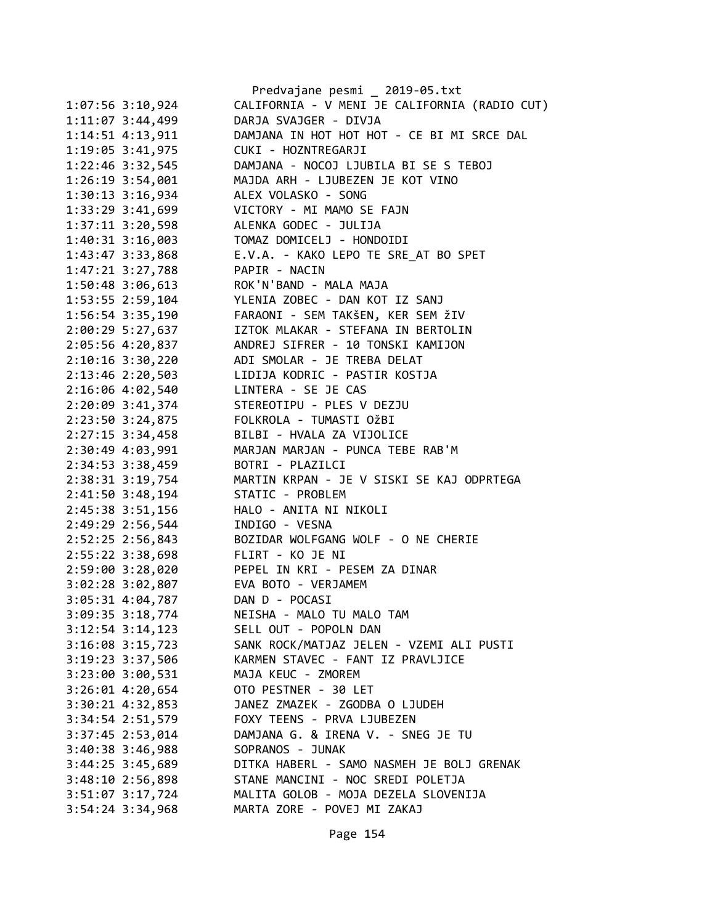|                      | Predvajane pesmi _ 2019-05.txt                |
|----------------------|-----------------------------------------------|
| $1:07:56$ 3:10,924   | CALIFORNIA - V MENI JE CALIFORNIA (RADIO CUT) |
| 1:11:07 3:44,499     | DARJA SVAJGER - DIVJA                         |
| 1:14:51 4:13,911     | DAMJANA IN HOT HOT HOT - CE BI MI SRCE DAL    |
| 1:19:05 3:41,975     | CUKI - HOZNTREGARJI                           |
| 1:22:46 3:32,545     | DAMJANA - NOCOJ LJUBILA BI SE S TEBOJ         |
| 1:26:19 3:54,001     | MAJDA ARH - LJUBEZEN JE KOT VINO              |
| 1:30:13 3:16,934     | ALEX VOLASKO - SONG                           |
| 1:33:29 3:41,699     | VICTORY - MI MAMO SE FAJN                     |
| 1:37:11 3:20,598     | ALENKA GODEC - JULIJA                         |
| $1:40:31$ $3:16,003$ | TOMAZ DOMICELJ - HONDOIDI                     |
| 1:43:47 3:33,868     | E.V.A. - KAKO LEPO TE SRE AT BO SPET          |
| 1:47:21 3:27,788     | PAPIR - NACIN                                 |
| 1:50:48 3:06,613     | ROK'N'BAND - MALA MAJA                        |
| 1:53:55 2:59,104     | YLENIA ZOBEC - DAN KOT IZ SANJ                |
| 1:56:54 3:35,190     | FARAONI - SEM TAKŠEN, KER SEM ŽIV             |
| 2:00:29 5:27,637     | IZTOK MLAKAR - STEFANA IN BERTOLIN            |
| 2:05:56 4:20,837     | ANDREJ SIFRER - 10 TONSKI KAMIJON             |
| 2:10:16 3:30,220     | ADI SMOLAR - JE TREBA DELAT                   |
| 2:13:46 2:20,503     | LIDIJA KODRIC - PASTIR KOSTJA                 |
| 2:16:06 4:02,540     | LINTERA - SE JE CAS                           |
| 2:20:09 3:41,374     | STEREOTIPU - PLES V DEZJU                     |
| 2:23:50 3:24,875     | FOLKROLA - TUMASTI OŽBI                       |
| 2:27:15 3:34,458     | BILBI - HVALA ZA VIJOLICE                     |
| 2:30:49 4:03,991     | MARJAN MARJAN - PUNCA TEBE RAB'M              |
| 2:34:53 3:38,459     | BOTRI - PLAZILCI                              |
| 2:38:31 3:19,754     | MARTIN KRPAN - JE V SISKI SE KAJ ODPRTEGA     |
| 2:41:50 3:48,194     | STATIC - PROBLEM                              |
| 2:45:38 3:51,156     | HALO - ANITA NI NIKOLI                        |
| 2:49:29 2:56,544     | INDIGO - VESNA                                |
| 2:52:25 2:56,843     | BOZIDAR WOLFGANG WOLF - O NE CHERIE           |
| 2:55:22 3:38,698     | FLIRT - KO JE NI                              |
| 2:59:00 3:28,020     | PEPEL IN KRI - PESEM ZA DINAR                 |
| 3:02:28 3:02,807     | EVA BOTO - VERJAMEM                           |
| 3:05:31 4:04,787     | DAN D - POCASI                                |
| $3:09:35$ $3:18,774$ | NEISHA - MALO TU MALO TAM                     |
| $3:12:54$ $3:14,123$ | SELL OUT - POPOLN DAN                         |
| $3:16:08$ $3:15,723$ | SANK ROCK/MATJAZ JELEN - VZEMI ALI PUSTI      |
| 3:19:23 3:37,506     | KARMEN STAVEC - FANT IZ PRAVLJICE             |
| 3:23:00 3:00,531     | MAJA KEUC - ZMOREM                            |
| $3:26:01$ 4:20,654   | OTO PESTNER - 30 LET                          |
| 3:30:21 4:32,853     | JANEZ ZMAZEK - ZGODBA O LJUDEH                |
| 3:34:54 2:51,579     | FOXY TEENS - PRVA LJUBEZEN                    |
| 3:37:45 2:53,014     | DAMJANA G. & IRENA V. - SNEG JE TU            |
| 3:40:38 3:46,988     | SOPRANOS - JUNAK                              |
| 3:44:25 3:45,689     | DITKA HABERL - SAMO NASMEH JE BOLJ GRENAK     |
| $3:48:10$ 2:56,898   | STANE MANCINI - NOC SREDI POLETJA             |
| 3:51:07 3:17,724     | MALITA GOLOB - MOJA DEZELA SLOVENIJA          |
| $3:54:24$ 3:34,968   | MARTA ZORE - POVEJ MI ZAKAJ                   |
|                      |                                               |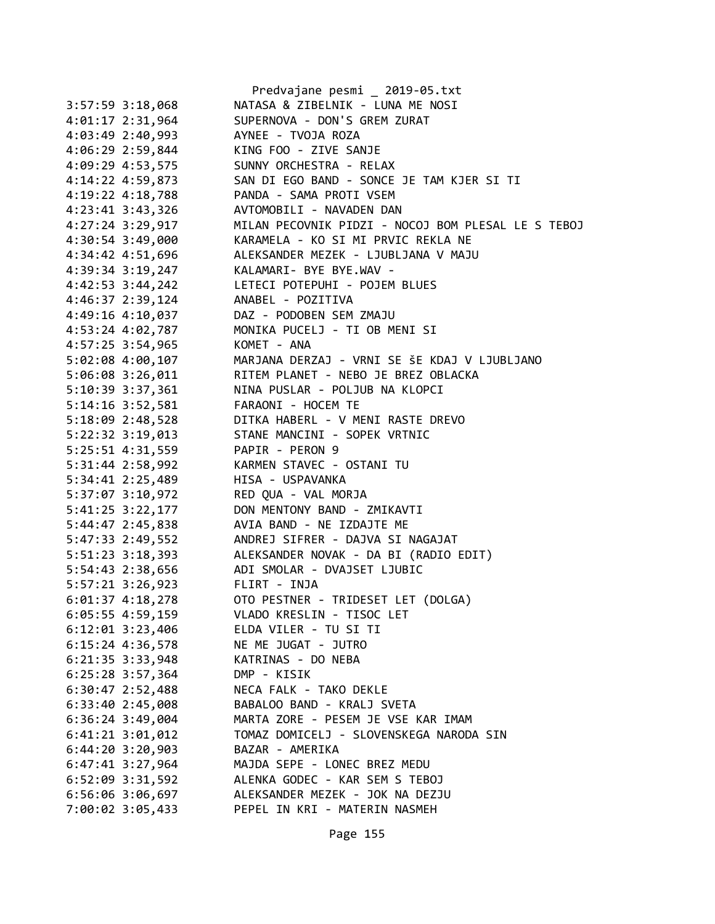|                                        | Predvajane pesmi _ 2019-05.txt                                                                      |
|----------------------------------------|-----------------------------------------------------------------------------------------------------|
| $3:57:59$ $3:18,068$                   | NATASA & ZIBELNIK - LUNA ME NOSI                                                                    |
| 4:01:17 2:31,964                       | SUPERNOVA - DON'S GREM ZURAT                                                                        |
| 4:03:49 2:40,993 AYNEE - TVOJA ROZA    |                                                                                                     |
| 4:06:29 2:59,844 KING FOO - ZIVE SANJE |                                                                                                     |
|                                        | 4:09:29 4:53,575 SUNNY ORCHESTRA - RELAX                                                            |
|                                        | 4:14:22 4:59,873 SAN DI EGO BAND - SONCE JE TAM KJER SI TI                                          |
| $4:19:22$ $4:18,788$                   | PANDA - SAMA PROTI VSEM                                                                             |
| $4:23:41$ $3:43,326$                   | AVTOMOBILI - NAVADEN DAN                                                                            |
| $4:27:24$ 3:29,917                     | MILAN PECOVNIK PIDZI - NOCOJ BOM PLESAL LE S TEBOJ                                                  |
|                                        | 4:30:54 3:49,000 KARAMELA - KO SI MI PRVIC REKLA NE                                                 |
|                                        | 4:34:42 4:51,696 ALEKSANDER MEZEK - LJUBLJANA V MAJU                                                |
|                                        | 4:39:34 3:19,247 KALAMARI- BYE BYE.WAV -                                                            |
|                                        | 4:42:53 3:44,242 LETECI POTEPUHI - POJEM BLUES                                                      |
| 4:46:37 2:39,124                       | ANABEL - POZITIVA                                                                                   |
|                                        | 4:49:16 4:10,037 DAZ - PODOBEN SEM ZMAJU                                                            |
|                                        | 4:53:24 4:02,787 MONIKA PUCELJ - TI OB MENI SI                                                      |
| 4:57:25 3:54,965 KOMET - ANA           |                                                                                                     |
| 5:02:08 4:00,107                       | MARJANA DERZAJ - VRNI SE ŠE KDAJ V LJUBLJANO                                                        |
| 5:06:08 3:26,011                       | RITEM PLANET - NEBO JE BREZ OBLACKA                                                                 |
|                                        | 5:10:39 3:37,361 NINA PUSLAR - POLJUB NA KLOPCI                                                     |
| 5:14:16 3:52,581                       | FARAONI - HOCEM TE                                                                                  |
|                                        |                                                                                                     |
|                                        | 5:18:09 2:48,528 DITKA HABERL - V MENI RASTE DREVO<br>5:22:32 3:19,013 STANE MANCINI - SOPEK VRTNIC |
| 5:25:51 4:31,559 PAPIR - PERON 9       |                                                                                                     |
|                                        | 5:31:44 2:58,992 KARMEN STAVEC - OSTANI TU                                                          |
| 5:34:41 2:25,489 HISA - USPAVANKA      |                                                                                                     |
| 5:37:07 3:10,972 RED QUA - VAL MORJA   |                                                                                                     |
| 5:41:25 3:22,177                       | DON MENTONY BAND - ZMIKAVTI                                                                         |
| 5:44:47 2:45,838                       | AVIA BAND - NE IZDAJTE ME                                                                           |
|                                        |                                                                                                     |
|                                        | 5:51:23 3:18,393 ALEKSANDER NOVAK - DA BI (RADIO EDIT)                                              |
|                                        | 5:54:43 2:38,656 ADI SMOLAR - DVAJSET LJUBIC                                                        |
| 5:57:21 3:26,923 FLIRT - INJA          |                                                                                                     |
| $6:01:37$ $4:18,278$                   | OTO PESTNER - TRIDESET LET (DOLGA)                                                                  |
| 6:05:55 4:59,159                       | VLADO KRESLIN - TISOC LET                                                                           |
| $6:12:01$ 3:23,406                     | ELDA VILER - TU SI TI                                                                               |
| $6:15:24$ 4:36,578                     | NE ME JUGAT - JUTRO                                                                                 |
| $6:21:35$ $3:33,948$                   | KATRINAS - DO NEBA                                                                                  |
| $6:25:28$ 3:57,364                     | DMP - KISIK                                                                                         |
| $6:30:47$ 2:52,488                     | NECA FALK - TAKO DEKLE                                                                              |
| 6:33:40 2:45,008                       | BABALOO BAND - KRALJ SVETA                                                                          |
| $6:36:24$ 3:49,004                     | MARTA ZORE - PESEM JE VSE KAR IMAM                                                                  |
| $6:41:21$ $3:01,012$                   | TOMAZ DOMICELJ - SLOVENSKEGA NARODA SIN                                                             |
| $6:44:20$ 3:20,903                     | BAZAR - AMERIKA                                                                                     |
| $6:47:41$ 3:27,964                     | MAJDA SEPE - LONEC BREZ MEDU                                                                        |
| 6:52:09 3:31,592                       | ALENKA GODEC - KAR SEM S TEBOJ                                                                      |
| 6:56:06 3:06,697                       | ALEKSANDER MEZEK - JOK NA DEZJU                                                                     |
| 7:00:02 3:05,433                       | PEPEL IN KRI - MATERIN NASMEH                                                                       |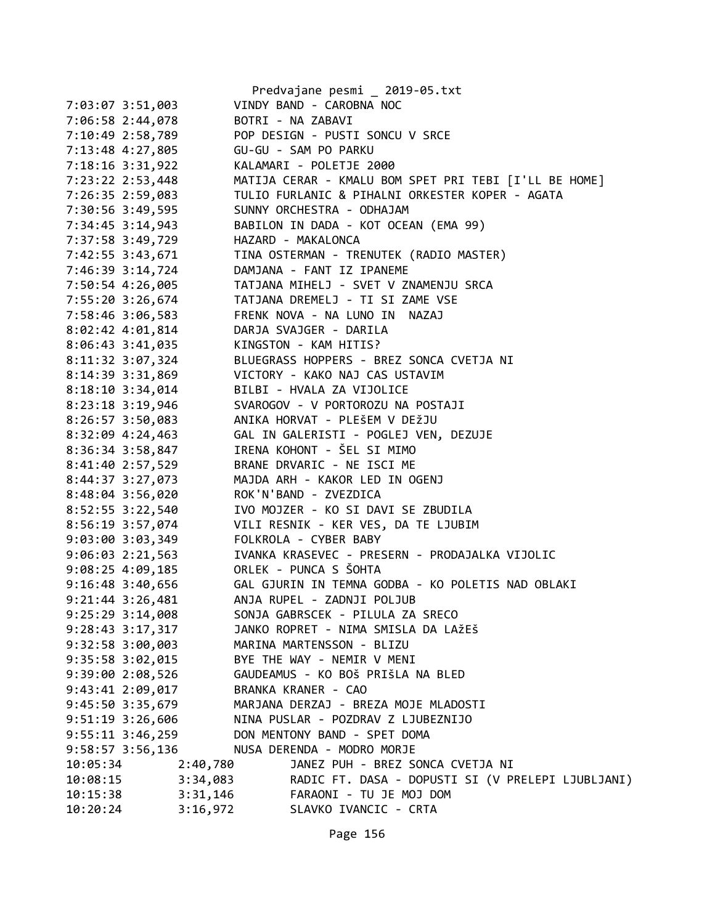|                      |          | Predvajane pesmi _ 2019-05.txt                                     |
|----------------------|----------|--------------------------------------------------------------------|
| 7:03:07 3:51,003     |          | VINDY BAND - CAROBNA NOC                                           |
| 7:06:58 2:44,078     |          | BOTRI - NA ZABAVI                                                  |
| 7:10:49 2:58,789     |          | POP DESIGN - PUSTI SONCU V SRCE                                    |
| 7:13:48 4:27,805     |          | GU-GU - SAM PO PARKU                                               |
| 7:18:16 3:31,922     |          | KALAMARI - POLETJE 2000                                            |
| 7:23:22 2:53,448     |          | MATIJA CERAR - KMALU BOM SPET PRI TEBI [I'LL BE HOME]              |
| 7:26:35 2:59,083     |          | TULIO FURLANIC & PIHALNI ORKESTER KOPER - AGATA                    |
| 7:30:56 3:49,595     |          | SUNNY ORCHESTRA - ODHAJAM                                          |
| 7:34:45 3:14,943     |          | BABILON IN DADA - KOT OCEAN (EMA 99)                               |
| 7:37:58 3:49,729     |          | HAZARD - MAKALONCA                                                 |
| 7:42:55 3:43,671     |          | TINA OSTERMAN - TRENUTEK (RADIO MASTER)                            |
| 7:46:39 3:14,724     |          | DAMJANA - FANT IZ IPANEME                                          |
| 7:50:54 4:26,005     |          | TATJANA MIHELJ - SVET V ZNAMENJU SRCA                              |
| 7:55:20 3:26,674     |          | TATJANA DREMELJ - TI SI ZAME VSE                                   |
| 7:58:46 3:06,583     |          | FRENK NOVA - NA LUNO IN NAZAJ                                      |
| 8:02:42 4:01,814     |          | DARJA SVAJGER - DARILA                                             |
| 8:06:43 3:41,035     |          | KINGSTON - KAM HITIS?                                              |
| 8:11:32 3:07,324     |          | BLUEGRASS HOPPERS - BREZ SONCA CVETJA NI                           |
| 8:14:39 3:31,869     |          | VICTORY - KAKO NAJ CAS USTAVIM                                     |
| $8:18:10$ 3:34,014   |          | BILBI - HVALA ZA VIJOLICE                                          |
| 8:23:18 3:19,946     |          | SVAROGOV - V PORTOROZU NA POSTAJI                                  |
| 8:26:57 3:50,083     |          | ANIKA HORVAT - PLEŠEM V DEŽJU                                      |
| $8:32:09$ 4:24,463   |          | GAL IN GALERISTI - POGLEJ VEN, DEZUJE                              |
| 8:36:34 3:58,847     |          | IRENA KOHONT - ŠEL SI MIMO                                         |
| 8:41:40 2:57,529     |          | BRANE DRVARIC - NE ISCI ME                                         |
| 8:44:37 3:27,073     |          | MAJDA ARH - KAKOR LED IN OGENJ                                     |
| 8:48:04 3:56,020     |          | ROK'N'BAND - ZVEZDICA                                              |
| 8:52:55 3:22,540     |          | IVO MOJZER - KO SI DAVI SE ZBUDILA                                 |
| 8:56:19 3:57,074     |          | VILI RESNIK - KER VES, DA TE LJUBIM                                |
| 9:03:00 3:03,349     |          | FOLKROLA - CYBER BABY                                              |
| 9:06:03 2:21,563     |          | IVANKA KRASEVEC - PRESERN - PRODAJALKA VIJOLIC                     |
| $9:08:25$ 4:09,185   |          | ORLEK - PUNCA S ŠOHTA                                              |
|                      |          | 9:16:48 3:40,656 GAL GJURIN IN TEMNA GODBA - KO POLETIS NAD OBLAKI |
| 9:21:44 3:26,481     |          | ANJA RUPEL - ZADNJI POLJUB                                         |
| 9:25:29 3:14,008     |          | SONJA GABRSCEK - PILULA ZA SRECO                                   |
| $9:28:43$ 3:17,317   |          | JANKO ROPRET - NIMA SMISLA DA LAŽEŠ                                |
| 9:32:58 3:00,003     |          | MARINA MARTENSSON - BLIZU                                          |
| 9:35:58 3:02,015     |          | BYE THE WAY - NEMIR V MENI                                         |
| 9:39:00 2:08,526     |          | GAUDEAMUS - KO BOŠ PRIŠLA NA BLED                                  |
| $9:43:41$ $2:09,017$ |          | BRANKA KRANER - CAO                                                |
| 9:45:50 3:35,679     |          | MARJANA DERZAJ - BREZA MOJE MLADOSTI                               |
| $9:51:19$ 3:26,606   |          | NINA PUSLAR - POZDRAV Z LJUBEZNIJO                                 |
| $9:55:11$ $3:46,259$ |          | DON MENTONY BAND - SPET DOMA                                       |
| 9:58:57 3:56,136     |          | NUSA DERENDA - MODRO MORJE                                         |
| 10:05:34             | 2:40,780 | JANEZ PUH - BREZ SONCA CVETJA NI                                   |
| 10:08:15             | 3:34,083 | RADIC FT. DASA - DOPUSTI SI (V PRELEPI LJUBLJANI)                  |
| 10:15:38             | 3:31,146 | FARAONI - TU JE MOJ DOM                                            |
| 10:20:24             | 3:16,972 | SLAVKO IVANCIC - CRTA                                              |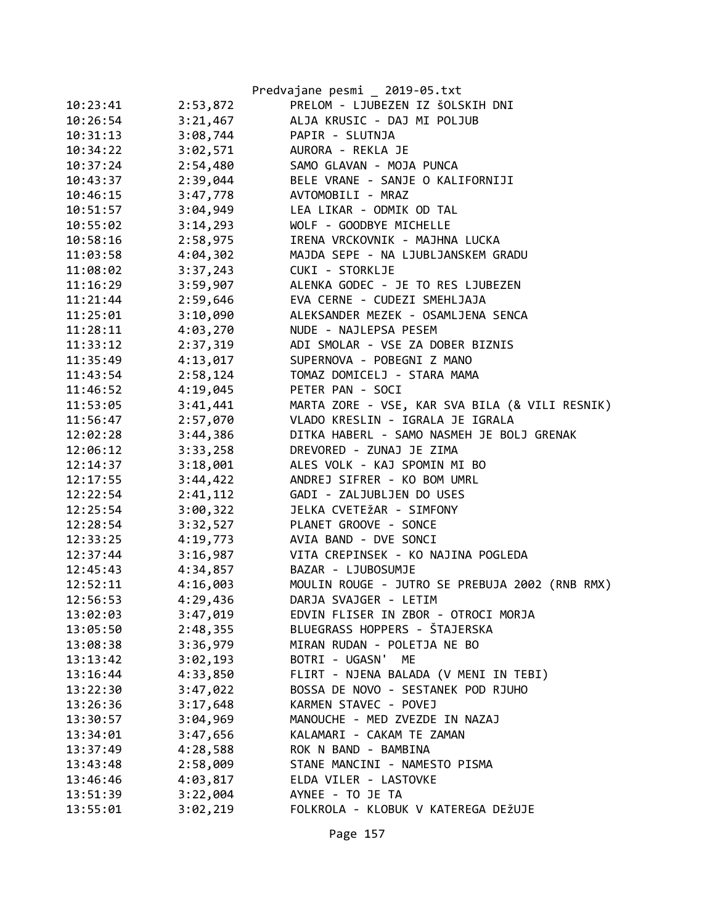|          |          | Predvajane pesmi _ 2019-05.txt                 |
|----------|----------|------------------------------------------------|
| 10:23:41 | 2:53,872 | PRELOM - LJUBEZEN IZ ŠOLSKIH DNI               |
| 10:26:54 | 3:21,467 | ALJA KRUSIC - DAJ MI POLJUB                    |
| 10:31:13 | 3:08,744 | PAPIR - SLUTNJA                                |
| 10:34:22 | 3:02,571 | AURORA - REKLA JE                              |
| 10:37:24 |          | 2:54,480 SAMO GLAVAN - MOJA PUNCA              |
| 10:43:37 |          | 2:39,044 BELE VRANE - SANJE O KALIFORNIJI      |
| 10:46:15 | 3:47,778 | AVTOMOBILI - MRAZ                              |
| 10:51:57 | 3:04,949 | LEA LIKAR - ODMIK OD TAL                       |
| 10:55:02 | 3:14,293 | WOLF - GOODBYE MICHELLE                        |
| 10:58:16 | 2:58,975 | IRENA VRCKOVNIK - MAJHNA LUCKA                 |
| 11:03:58 | 4:04,302 | MAJDA SEPE - NA LJUBLJANSKEM GRADU             |
| 11:08:02 | 3:37,243 | CUKI - STORKLJE                                |
| 11:16:29 | 3:59,907 | ALENKA GODEC - JE TO RES LJUBEZEN              |
| 11:21:44 | 2:59,646 | EVA CERNE - CUDEZI SMEHLJAJA                   |
| 11:25:01 | 3:10,090 | ALEKSANDER MEZEK - OSAMLJENA SENCA             |
| 11:28:11 | 4:03,270 | NUDE - NAJLEPSA PESEM                          |
| 11:33:12 | 2:37,319 | ADI SMOLAR - VSE ZA DOBER BIZNIS               |
| 11:35:49 | 4:13,017 | SUPERNOVA - POBEGNI Z MANO                     |
| 11:43:54 | 2:58,124 | TOMAZ DOMICELJ - STARA MAMA                    |
| 11:46:52 | 4:19,045 | PETER PAN - SOCI                               |
| 11:53:05 | 3:41,441 | MARTA ZORE - VSE, KAR SVA BILA (& VILI RESNIK) |
| 11:56:47 | 2:57,070 | VLADO KRESLIN - IGRALA JE IGRALA               |
| 12:02:28 | 3:44,386 | DITKA HABERL - SAMO NASMEH JE BOLJ GRENAK      |
| 12:06:12 | 3:33,258 | DREVORED - ZUNAJ JE ZIMA                       |
| 12:14:37 | 3:18,001 | ALES VOLK - KAJ SPOMIN MI BO                   |
| 12:17:55 | 3:44,422 | ANDREJ SIFRER - KO BOM UMRL                    |
| 12:22:54 | 2:41,112 | GADI - ZALJUBLJEN DO USES                      |
| 12:25:54 | 3:00,322 | JELKA CVETEŽAR - SIMFONY                       |
| 12:28:54 | 3:32,527 | PLANET GROOVE - SONCE                          |
| 12:33:25 | 4:19,773 | AVIA BAND - DVE SONCI                          |
| 12:37:44 | 3:16,987 | VITA CREPINSEK - KO NAJINA POGLEDA             |
| 12:45:43 | 4:34,857 | BAZAR - LJUBOSUMJE                             |
| 12:52:11 | 4:16,003 | MOULIN ROUGE - JUTRO SE PREBUJA 2002 (RNB RMX) |
| 12:56:53 | 4:29,436 | DARJA SVAJGER - LETIM                          |
| 13:02:03 | 3:47,019 | EDVIN FLISER IN ZBOR - OTROCI MORJA            |
| 13:05:50 | 2:48,355 | BLUEGRASS HOPPERS - ŠTAJERSKA                  |
| 13:08:38 | 3:36,979 | MIRAN RUDAN - POLETJA NE BO                    |
| 13:13:42 | 3:02,193 | BOTRI - UGASN' ME                              |
| 13:16:44 | 4:33,850 | FLIRT - NJENA BALADA (V MENI IN TEBI)          |
| 13:22:30 | 3:47,022 | BOSSA DE NOVO - SESTANEK POD RJUHO             |
| 13:26:36 | 3:17,648 | KARMEN STAVEC - POVEJ                          |
| 13:30:57 | 3:04,969 | MANOUCHE - MED ZVEZDE IN NAZAJ                 |
| 13:34:01 | 3:47,656 | KALAMARI - CAKAM TE ZAMAN                      |
| 13:37:49 | 4:28,588 | ROK N BAND - BAMBINA                           |
| 13:43:48 | 2:58,009 | STANE MANCINI - NAMESTO PISMA                  |
| 13:46:46 | 4:03,817 | ELDA VILER - LASTOVKE                          |
| 13:51:39 | 3:22,004 | AYNEE - TO JE TA                               |
| 13:55:01 | 3:02,219 | FOLKROLA - KLOBUK V KATEREGA DEŽUJE            |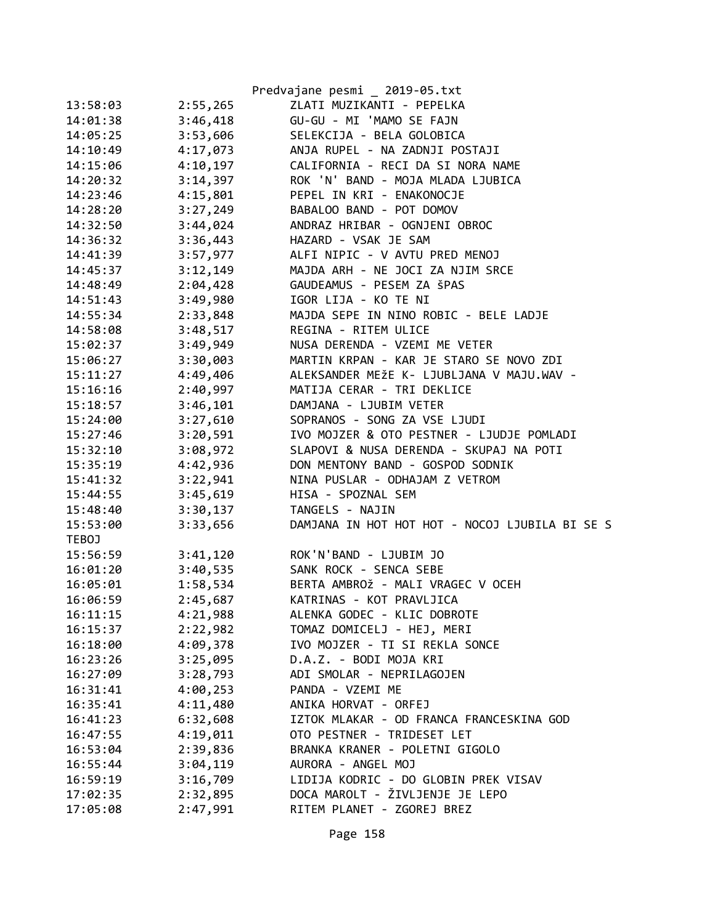|              |          | Predvajane pesmi _ 2019-05.txt                 |
|--------------|----------|------------------------------------------------|
| 13:58:03     | 2:55,265 | ZLATI MUZIKANTI - PEPELKA                      |
| 14:01:38     | 3:46,418 | GU-GU - MI 'MAMO SE FAJN                       |
| 14:05:25     | 3:53,606 | SELEKCIJA - BELA GOLOBICA                      |
| 14:10:49     | 4:17,073 | ANJA RUPEL - NA ZADNJI POSTAJI                 |
| 14:15:06     | 4:10,197 | CALIFORNIA - RECI DA SI NORA NAME              |
| 14:20:32     | 3:14,397 | ROK 'N' BAND - MOJA MLADA LJUBICA              |
| 14:23:46     | 4:15,801 | PEPEL IN KRI - ENAKONOCJE                      |
| 14:28:20     | 3:27,249 | BABALOO BAND - POT DOMOV                       |
| 14:32:50     | 3:44,024 | ANDRAZ HRIBAR - OGNJENI OBROC                  |
| 14:36:32     | 3:36,443 | HAZARD - VSAK JE SAM                           |
| 14:41:39     | 3:57,977 | ALFI NIPIC - V AVTU PRED MENOJ                 |
| 14:45:37     | 3:12,149 | MAJDA ARH - NE JOCI ZA NJIM SRCE               |
| 14:48:49     | 2:04,428 | GAUDEAMUS - PESEM ZA ŠPAS                      |
| 14:51:43     | 3:49,980 | IGOR LIJA - KO TE NI                           |
| 14:55:34     | 2:33,848 | MAJDA SEPE IN NINO ROBIC - BELE LADJE          |
| 14:58:08     | 3:48,517 | REGINA - RITEM ULICE                           |
| 15:02:37     | 3:49,949 | NUSA DERENDA - VZEMI ME VETER                  |
| 15:06:27     | 3:30,003 | MARTIN KRPAN - KAR JE STARO SE NOVO ZDI        |
| 15:11:27     | 4:49,406 | ALEKSANDER MEŽE K- LJUBLJANA V MAJU.WAV -      |
| 15:16:16     | 2:40,997 | MATIJA CERAR - TRI DEKLICE                     |
| 15:18:57     | 3:46,101 | DAMJANA - LJUBIM VETER                         |
| 15:24:00     | 3:27,610 | SOPRANOS - SONG ZA VSE LJUDI                   |
| 15:27:46     | 3:20,591 | IVO MOJZER & OTO PESTNER - LJUDJE POMLADI      |
| 15:32:10     | 3:08,972 | SLAPOVI & NUSA DERENDA - SKUPAJ NA POTI        |
| 15:35:19     | 4:42,936 | DON MENTONY BAND - GOSPOD SODNIK               |
| 15:41:32     | 3:22,941 | NINA PUSLAR - ODHAJAM Z VETROM                 |
| 15:44:55     | 3:45,619 | HISA - SPOZNAL SEM                             |
| 15:48:40     | 3:30,137 | TANGELS - NAJIN                                |
| 15:53:00     | 3:33,656 | DAMJANA IN HOT HOT HOT - NOCOJ LJUBILA BI SE S |
| <b>TEBOJ</b> |          |                                                |
| 15:56:59     | 3:41,120 | ROK'N'BAND - LJUBIM JO                         |
| 16:01:20     | 3:40,535 | SANK ROCK - SENCA SEBE                         |
| 16:05:01     | 1:58,534 | BERTA AMBROŽ - MALI VRAGEC V OCEH              |
| 16:06:59     | 2:45,687 | KATRINAS - KOT PRAVLJICA                       |
| 16:11:15     | 4:21,988 | ALENKA GODEC - KLIC DOBROTE                    |
| 16:15:37     | 2:22,982 | TOMAZ DOMICELJ - HEJ, MERI                     |
| 16:18:00     | 4:09,378 | IVO MOJZER - TI SI REKLA SONCE                 |
| 16:23:26     | 3:25,095 | D.A.Z. - BODI MOJA KRI                         |
| 16:27:09     | 3:28,793 | ADI SMOLAR - NEPRILAGOJEN                      |
| 16:31:41     | 4:00,253 | PANDA - VZEMI ME                               |
| 16:35:41     | 4:11,480 | ANIKA HORVAT - ORFEJ                           |
| 16:41:23     | 6:32,608 | IZTOK MLAKAR - OD FRANCA FRANCESKINA GOD       |
| 16:47:55     | 4:19,011 | OTO PESTNER - TRIDESET LET                     |
| 16:53:04     | 2:39,836 | BRANKA KRANER - POLETNI GIGOLO                 |
| 16:55:44     | 3:04,119 | AURORA - ANGEL MOJ                             |
| 16:59:19     | 3:16,709 | LIDIJA KODRIC - DO GLOBIN PREK VISAV           |
| 17:02:35     | 2:32,895 | DOCA MAROLT - ŽIVLJENJE JE LEPO                |
| 17:05:08     | 2:47,991 | RITEM PLANET - ZGOREJ BREZ                     |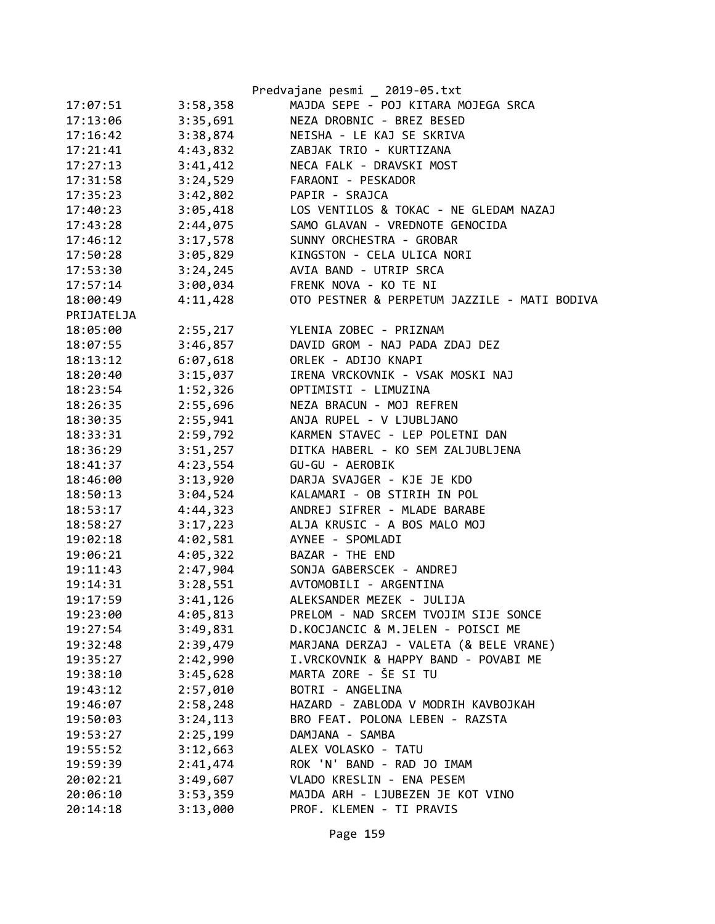|            |          | Predvajane pesmi _ 2019-05.txt               |
|------------|----------|----------------------------------------------|
| 17:07:51   | 3:58,358 | MAJDA SEPE - POJ KITARA MOJEGA SRCA          |
| 17:13:06   | 3:35,691 | NEZA DROBNIC - BREZ BESED                    |
| 17:16:42   | 3:38,874 | NEISHA - LE KAJ SE SKRIVA                    |
| 17:21:41   | 4:43,832 | ZABJAK TRIO - KURTIZANA                      |
| 17:27:13   | 3:41,412 | NECA FALK - DRAVSKI MOST                     |
| 17:31:58   | 3:24,529 | FARAONI - PESKADOR                           |
| 17:35:23   | 3:42,802 | PAPIR - SRAJCA                               |
| 17:40:23   | 3:05,418 | LOS VENTILOS & TOKAC - NE GLEDAM NAZAJ       |
| 17:43:28   | 2:44,075 | SAMO GLAVAN - VREDNOTE GENOCIDA              |
| 17:46:12   | 3:17,578 | SUNNY ORCHESTRA - GROBAR                     |
| 17:50:28   | 3:05,829 | KINGSTON - CELA ULICA NORI                   |
| 17:53:30   | 3:24,245 | AVIA BAND - UTRIP SRCA                       |
| 17:57:14   | 3:00,034 | FRENK NOVA - KO TE NI                        |
| 18:00:49   | 4:11,428 | OTO PESTNER & PERPETUM JAZZILE - MATI BODIVA |
| PRIJATELJA |          |                                              |
| 18:05:00   | 2:55,217 | YLENIA ZOBEC - PRIZNAM                       |
| 18:07:55   | 3:46,857 | DAVID GROM - NAJ PADA ZDAJ DEZ               |
| 18:13:12   | 6:07,618 | ORLEK - ADIJO KNAPI                          |
| 18:20:40   | 3:15,037 | IRENA VRCKOVNIK - VSAK MOSKI NAJ             |
| 18:23:54   | 1:52,326 | OPTIMISTI - LIMUZINA                         |
| 18:26:35   | 2:55,696 | NEZA BRACUN - MOJ REFREN                     |
| 18:30:35   | 2:55,941 | ANJA RUPEL - V LJUBLJANO                     |
| 18:33:31   | 2:59,792 | KARMEN STAVEC - LEP POLETNI DAN              |
| 18:36:29   | 3:51,257 | DITKA HABERL - KO SEM ZALJUBLJENA            |
| 18:41:37   | 4:23,554 | GU-GU - AEROBIK                              |
| 18:46:00   | 3:13,920 | DARJA SVAJGER - KJE JE KDO                   |
| 18:50:13   | 3:04,524 | KALAMARI - OB STIRIH IN POL                  |
| 18:53:17   | 4:44,323 | ANDREJ SIFRER - MLADE BARABE                 |
| 18:58:27   | 3:17,223 | ALJA KRUSIC - A BOS MALO MOJ                 |
| 19:02:18   | 4:02,581 | AYNEE - SPOMLADI                             |
| 19:06:21   | 4:05,322 | BAZAR - THE END                              |
| 19:11:43   | 2:47,904 | SONJA GABERSCEK - ANDREJ                     |
| 19:14:31   | 3:28,551 | AVTOMOBILI - ARGENTINA                       |
| 19:17:59   | 3:41,126 | ALEKSANDER MEZEK - JULIJA                    |
| 19:23:00   | 4:05,813 | PRELOM - NAD SRCEM TVOJIM SIJE SONCE         |
| 19:27:54   | 3:49,831 | D.KOCJANCIC & M.JELEN - POISCI ME            |
| 19:32:48   | 2:39,479 | MARJANA DERZAJ - VALETA (& BELE VRANE)       |
| 19:35:27   | 2:42,990 | I.VRCKOVNIK & HAPPY BAND - POVABI ME         |
| 19:38:10   | 3:45,628 | MARTA ZORE - ŠE SI TU                        |
| 19:43:12   | 2:57,010 | BOTRI - ANGELINA                             |
| 19:46:07   | 2:58,248 | HAZARD - ZABLODA V MODRIH KAVBOJKAH          |
| 19:50:03   | 3:24,113 | BRO FEAT. POLONA LEBEN - RAZSTA              |
| 19:53:27   | 2:25,199 | DAMJANA - SAMBA                              |
| 19:55:52   | 3:12,663 | ALEX VOLASKO - TATU                          |
| 19:59:39   | 2:41,474 | ROK 'N' BAND - RAD JO IMAM                   |
| 20:02:21   | 3:49,607 | VLADO KRESLIN - ENA PESEM                    |
| 20:06:10   | 3:53,359 | MAJDA ARH - LJUBEZEN JE KOT VINO             |
| 20:14:18   | 3:13,000 | PROF. KLEMEN - TI PRAVIS                     |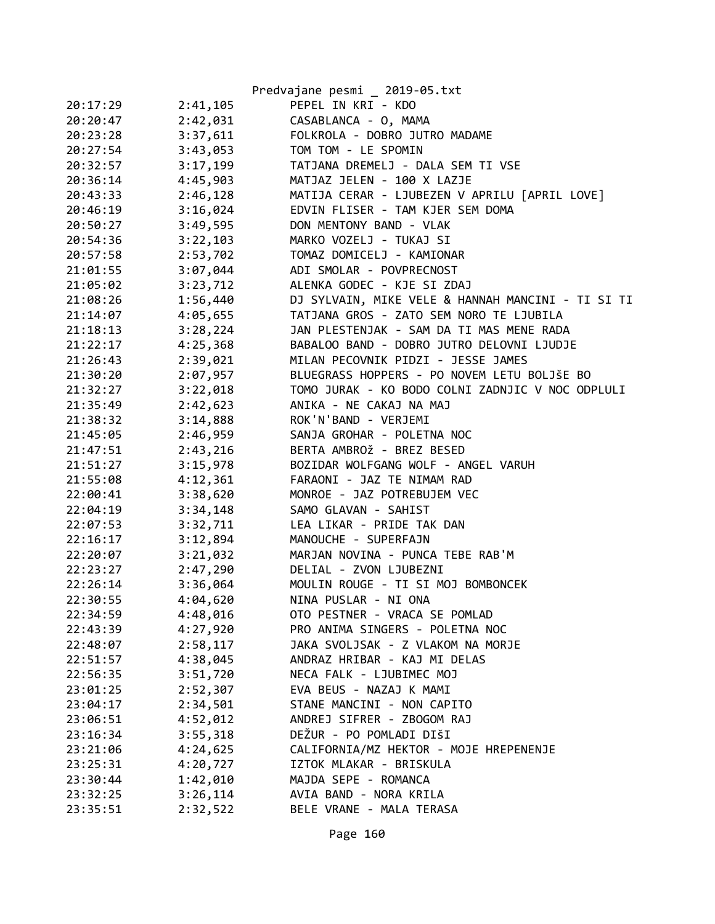|          |          | Predvajane pesmi _ 2019-05.txt                    |
|----------|----------|---------------------------------------------------|
| 20:17:29 | 2:41,105 | PEPEL IN KRI - KDO                                |
| 20:20:47 | 2:42,031 | CASABLANCA - 0, MAMA                              |
| 20:23:28 | 3:37,611 | FOLKROLA - DOBRO JUTRO MADAME                     |
| 20:27:54 | 3:43,053 | TOM TOM - LE SPOMIN                               |
| 20:32:57 | 3:17,199 | TATJANA DREMELJ - DALA SEM TI VSE                 |
| 20:36:14 | 4:45,903 | MATJAZ JELEN - 100 X LAZJE                        |
| 20:43:33 | 2:46,128 | MATIJA CERAR - LJUBEZEN V APRILU [APRIL LOVE]     |
| 20:46:19 | 3:16,024 | EDVIN FLISER - TAM KJER SEM DOMA                  |
| 20:50:27 | 3:49,595 | DON MENTONY BAND - VLAK                           |
| 20:54:36 | 3:22,103 | MARKO VOZELJ - TUKAJ SI                           |
| 20:57:58 | 2:53,702 | TOMAZ DOMICELJ - KAMIONAR                         |
| 21:01:55 | 3:07,044 | ADI SMOLAR - POVPRECNOST                          |
| 21:05:02 | 3:23,712 | ALENKA GODEC - KJE SI ZDAJ                        |
| 21:08:26 | 1:56,440 | DJ SYLVAIN, MIKE VELE & HANNAH MANCINI - TI SI TI |
| 21:14:07 | 4:05,655 | TATJANA GROS - ZATO SEM NORO TE LJUBILA           |
| 21:18:13 | 3:28,224 | JAN PLESTENJAK - SAM DA TI MAS MENE RADA          |
| 21:22:17 | 4:25,368 | BABALOO BAND - DOBRO JUTRO DELOVNI LJUDJE         |
| 21:26:43 | 2:39,021 | MILAN PECOVNIK PIDZI - JESSE JAMES                |
| 21:30:20 | 2:07,957 | BLUEGRASS HOPPERS - PO NOVEM LETU BOLJŠE BO       |
| 21:32:27 | 3:22,018 | TOMO JURAK - KO BODO COLNI ZADNJIC V NOC ODPLULI  |
| 21:35:49 | 2:42,623 | ANIKA - NE CAKAJ NA MAJ                           |
| 21:38:32 | 3:14,888 | ROK'N'BAND - VERJEMI                              |
| 21:45:05 | 2:46,959 | SANJA GROHAR - POLETNA NOC                        |
| 21:47:51 | 2:43,216 | BERTA AMBROŽ - BREZ BESED                         |
| 21:51:27 | 3:15,978 | BOZIDAR WOLFGANG WOLF - ANGEL VARUH               |
| 21:55:08 | 4:12,361 | FARAONI - JAZ TE NIMAM RAD                        |
| 22:00:41 | 3:38,620 | MONROE - JAZ POTREBUJEM VEC                       |
| 22:04:19 | 3:34,148 | SAMO GLAVAN - SAHIST                              |
| 22:07:53 | 3:32,711 | LEA LIKAR - PRIDE TAK DAN                         |
| 22:16:17 | 3:12,894 | MANOUCHE - SUPERFAJN                              |
| 22:20:07 | 3:21,032 | MARJAN NOVINA - PUNCA TEBE RAB'M                  |
| 22:23:27 | 2:47,290 | DELIAL - ZVON LJUBEZNI                            |
| 22:26:14 | 3:36,064 | MOULIN ROUGE - TI SI MOJ BOMBONCEK                |
| 22:30:55 | 4:04,620 | NINA PUSLAR - NI ONA                              |
| 22:34:59 | 4:48,016 | OTO PESTNER - VRACA SE POMLAD                     |
| 22:43:39 | 4:27,920 | PRO ANIMA SINGERS - POLETNA NOC                   |
| 22:48:07 | 2:58,117 | JAKA SVOLJSAK - Z VLAKOM NA MORJE                 |
| 22:51:57 | 4:38,045 | ANDRAZ HRIBAR - KAJ MI DELAS                      |
| 22:56:35 | 3:51,720 | NECA FALK - LJUBIMEC MOJ                          |
| 23:01:25 | 2:52,307 | EVA BEUS - NAZAJ K MAMI                           |
| 23:04:17 | 2:34,501 | STANE MANCINI - NON CAPITO                        |
| 23:06:51 | 4:52,012 | ANDREJ SIFRER - ZBOGOM RAJ                        |
| 23:16:34 | 3:55,318 | DEŽUR - PO POMLADI DIŠI                           |
| 23:21:06 | 4:24,625 | CALIFORNIA/MZ HEKTOR - MOJE HREPENENJE            |
| 23:25:31 | 4:20,727 | IZTOK MLAKAR - BRISKULA                           |
| 23:30:44 | 1:42,010 | MAJDA SEPE - ROMANCA                              |
| 23:32:25 | 3:26,114 | AVIA BAND - NORA KRILA                            |
| 23:35:51 | 2:32,522 | BELE VRANE - MALA TERASA                          |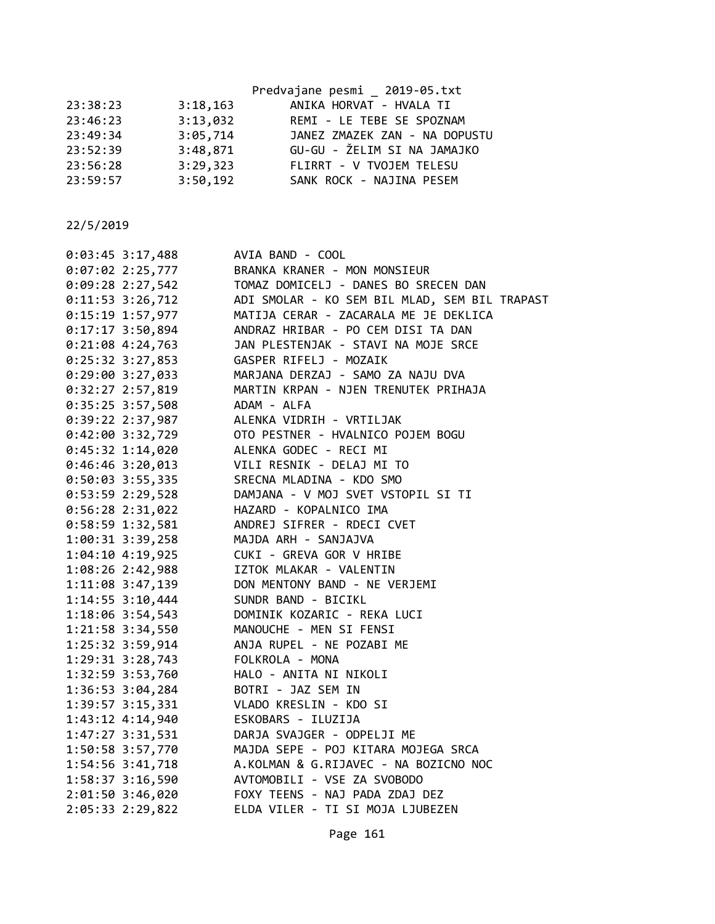|          |          | Predvajane pesmi _ 2019-05.txt |
|----------|----------|--------------------------------|
| 23:38:23 | 3:18,163 | ANIKA HORVAT - HVALA TI        |
| 23:46:23 | 3:13,032 | REMI - LE TEBE SE SPOZNAM      |
| 23:49:34 | 3:05,714 | JANEZ ZMAZEK ZAN - NA DOPUSTU  |
| 23:52:39 | 3:48,871 | GU-GU - ŽELIM SI NA JAMAJKO    |
| 23:56:28 | 3:29,323 | FLIRRT - V TVOJEM TELESU       |
| 23:59:57 | 3:50,192 | SANK ROCK - NAJINA PESEM       |
|          |          |                                |

| $0:03:45$ 3:17,488   | AVIA BAND - COOL                                                                                                                                                                  |
|----------------------|-----------------------------------------------------------------------------------------------------------------------------------------------------------------------------------|
|                      | 0:07:02 2:25,777 BRANKA KRANER - MON MONSIEUR                                                                                                                                     |
|                      |                                                                                                                                                                                   |
| $0:11:53$ 3:26,712   | ADI SMOLAR - KO SEM BIL MLAD, SEM BIL TRAPAST                                                                                                                                     |
| 0:15:19 1:57,977     | MATIJA CERAR - ZACARALA ME JE DEKLICA                                                                                                                                             |
| $0:17:17$ 3:50,894   | ANDRAZ HRIBAR - PO CEM DISI TA DAN                                                                                                                                                |
| $0:21:08$ 4:24,763   | JAN PLESTENJAK - STAVI NA MOJE SRCE                                                                                                                                               |
| $0:25:32 \t3:27,853$ | GASPER RIFELJ - MOZAIK                                                                                                                                                            |
| $0:29:00$ 3:27,033   | MARJANA DERZAJ - SAMO ZA NAJU DVA                                                                                                                                                 |
| $0:32:27$ 2:57,819   | MARTIN KRPAN - NJEN TRENUTEK PRIHAJA                                                                                                                                              |
| 0:35:25 3:57,508     | ADAM - ALFA                                                                                                                                                                       |
| 0:39:22 2:37,987     | ALENKA VIDRIH - VRTILJAK                                                                                                                                                          |
| 0:42:00 3:32,729     | OTO PESTNER - HVALNICO POJEM BOGU                                                                                                                                                 |
| $0:45:32$ 1:14,020   | OTO PESTNER - HVALNICO<br>ALENKA GODEC - RECI MI                                                                                                                                  |
| $0:46:46$ 3:20,013   | VILI RESNIK - DELAJ MI TO                                                                                                                                                         |
| $0:50:03$ 3:55,335   | SRECNA MLADINA - KDO SMO                                                                                                                                                          |
| $0:53:59$ 2:29,528   | DAMJANA - V MOJ SVET VSTOPIL SI TI                                                                                                                                                |
| $0:56:28$ 2:31,022   | HAZARD - KOPALNICO IMA                                                                                                                                                            |
| 0:58:59 1:32,581     | ANDREJ SIFRER - RDECI CVET                                                                                                                                                        |
| $1:00:31$ $3:39,258$ | MAJDA ARH - SANJAJVA                                                                                                                                                              |
|                      | 1:04:10 4:19,925 CUKI - GREVA GOR V HRIBE                                                                                                                                         |
|                      | 1:08:26 2:42,988 IZTOK MLAKAR - VALENTIN                                                                                                                                          |
|                      | 1:11:08 3:47,139 DON MENTONY BAND - NE VERJEMI                                                                                                                                    |
|                      | 1:14:55 3:10,444 SUNDR BAND - BICIKL                                                                                                                                              |
|                      | 1:18:06 3:54,543 DOMINIK KOZARIC - REKA LUCI                                                                                                                                      |
|                      | 1:21:58 3:34,550 MANOUCHE - MEN SI FENSI                                                                                                                                          |
| 1:25:32 3:59,914     | ANJA RUPEL - NE POZABI ME                                                                                                                                                         |
|                      | 1:29:31 3:28,743 FOLKROLA - MONA                                                                                                                                                  |
|                      | 1:32:59 3:53,760 HALO - ANITA NI NIKOLI                                                                                                                                           |
| $1:36:53$ $3:04,284$ | BOTRI - JAZ SEM IN                                                                                                                                                                |
| 1:39:57 3:15,331     | VLADO KRESLIN - KDO SI                                                                                                                                                            |
| 1:43:12 4:14,940     | ESKOBARS - ILUZIJA                                                                                                                                                                |
| 1:47:27 3:31,531     | DARJA SVAJGER - ODPELJI ME                                                                                                                                                        |
| 1:50:58 3:57,770     |                                                                                                                                                                                   |
| 1:54:56 3:41,718     |                                                                                                                                                                                   |
| 1:58:37 3:16,590     | MAJDA SEPE - POJ KITARA MOJEGA SRCA<br>A.KOLMAN & G.RIJAVEC - NA BOZICNO NOC<br>AVTOMOBILI - VSE ZA SVOBODO<br>FOXY TEENS - NAJ PADA ZDAJ DEZ<br>ELDA VILER - TI SI MOJA LJUREZEN |
| 2:01:50 3:46,020     |                                                                                                                                                                                   |
| 2:05:33 2:29,822     | ELDA VILER - TI SI MOJA LJUBEZEN                                                                                                                                                  |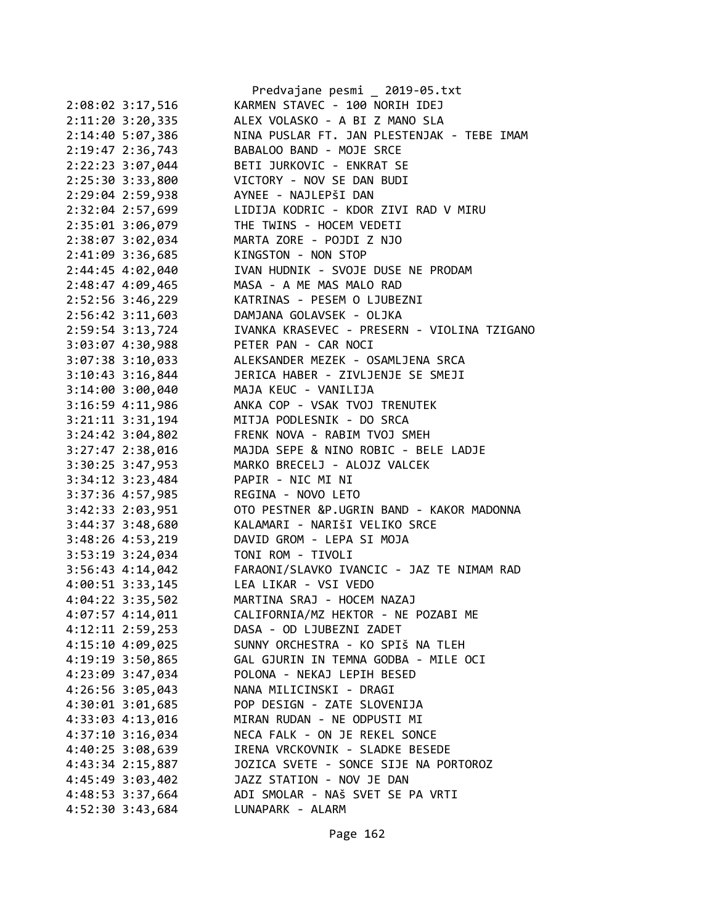|                      | Predvajane pesmi _ 2019-05.txt              |
|----------------------|---------------------------------------------|
| 2:08:02 3:17,516     | KARMEN STAVEC - 100 NORIH IDEJ              |
| $2:11:20$ 3:20,335   | ALEX VOLASKO - A BI Z MANO SLA              |
| 2:14:40 5:07,386     | NINA PUSLAR FT. JAN PLESTENJAK - TEBE IMAM  |
| 2:19:47 2:36,743     | BABALOO BAND - MOJE SRCE                    |
| 2:22:23 3:07,044     | BETI JURKOVIC - ENKRAT SE                   |
| 2:25:30 3:33,800     | VICTORY - NOV SE DAN BUDI                   |
| 2:29:04 2:59,938     | AYNEE - NAJLEPŠI DAN                        |
| 2:32:04 2:57,699     | LIDIJA KODRIC - KDOR ZIVI RAD V MIRU        |
| 2:35:01 3:06,079     | THE TWINS - HOCEM VEDETI                    |
| 2:38:07 3:02,034     | MARTA ZORE - POJDI Z NJO                    |
| 2:41:09 3:36,685     | KINGSTON - NON STOP                         |
| 2:44:45 4:02,040     | IVAN HUDNIK - SVOJE DUSE NE PRODAM          |
| 2:48:47 4:09,465     | MASA - A ME MAS MALO RAD                    |
| 2:52:56 3:46,229     | KATRINAS - PESEM O LJUBEZNI                 |
| 2:56:42 3:11,603     | DAMJANA GOLAVSEK - OLJKA                    |
| 2:59:54 3:13,724     | IVANKA KRASEVEC - PRESERN - VIOLINA TZIGANO |
| 3:03:07 4:30,988     | PETER PAN - CAR NOCI                        |
| $3:07:38$ $3:10,033$ | ALEKSANDER MEZEK - OSAMLJENA SRCA           |
| $3:10:43$ 3:16,844   | JERICA HABER - ZIVLJENJE SE SMEJI           |
|                      | MAJA KEUC - VANILIJA                        |
| $3:14:00$ $3:00,040$ |                                             |
| 3:16:59 4:11,986     | ANKA COP - VSAK TVOJ TRENUTEK               |
| 3:21:11 3:31,194     | MITJA PODLESNIK - DO SRCA                   |
| 3:24:42 3:04,802     | FRENK NOVA - RABIM TVOJ SMEH                |
| 3:27:47 2:38,016     | MAJDA SEPE & NINO ROBIC - BELE LADJE        |
| 3:30:25 3:47,953     | MARKO BRECELJ - ALOJZ VALCEK                |
| 3:34:12 3:23,484     | PAPIR - NIC MI NI                           |
| 3:37:36 4:57,985     | REGINA - NOVO LETO                          |
| 3:42:33 2:03,951     | OTO PESTNER &P.UGRIN BAND - KAKOR MADONNA   |
| 3:44:37 3:48,680     | KALAMARI - NARIŠI VELIKO SRCE               |
| 3:48:26 4:53,219     | DAVID GROM - LEPA SI MOJA                   |
| 3:53:19 3:24,034     | TONI ROM - TIVOLI                           |
| $3:56:43$ 4:14,042   | FARAONI/SLAVKO IVANCIC - JAZ TE NIMAM RAD   |
| $4:00:51$ 3:33,145   | LEA LIKAR - VSI VEDO                        |
| 4:04:22 3:35,502     | MARTINA SRAJ - HOCEM NAZAJ                  |
| 4:07:57 4:14,011     | CALIFORNIA/MZ HEKTOR - NE POZABI ME         |
| $4:12:11$ $2:59,253$ | DASA - OD LJUBEZNI ZADET                    |
| 4:15:10 4:09,025     | SUNNY ORCHESTRA - KO SPIŠ NA TLEH           |
| 4:19:19 3:50,865     | GAL GJURIN IN TEMNA GODBA - MILE OCI        |
| 4:23:09 3:47,034     | POLONA - NEKAJ LEPIH BESED                  |
| 4:26:56 3:05,043     | NANA MILICINSKI - DRAGI                     |
| 4:30:01 3:01,685     | POP DESIGN - ZATE SLOVENIJA                 |
| 4:33:03 4:13,016     | MIRAN RUDAN - NE ODPUSTI MI                 |
| 4:37:10 3:16,034     | NECA FALK - ON JE REKEL SONCE               |
| 4:40:25 3:08,639     | IRENA VRCKOVNIK - SLADKE BESEDE             |
| 4:43:34 2:15,887     | JOZICA SVETE - SONCE SIJE NA PORTOROZ       |
| 4:45:49 3:03,402     | JAZZ STATION - NOV JE DAN                   |
| 4:48:53 3:37,664     | ADI SMOLAR - NAŠ SVET SE PA VRTI            |
| 4:52:30 3:43,684     | LUNAPARK - ALARM                            |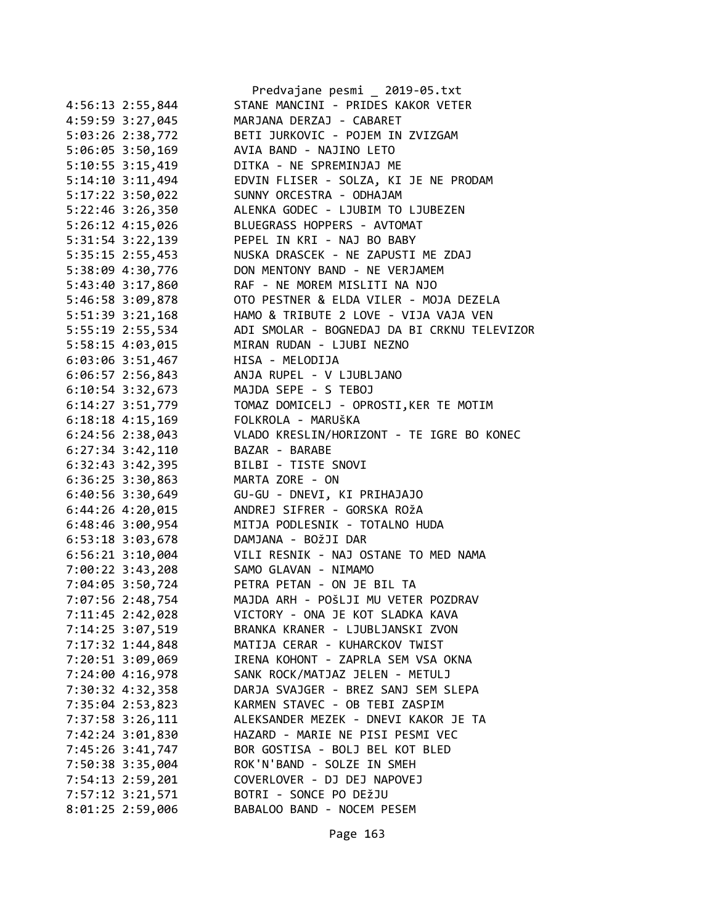|                      | Predvajane pesmi _ 2019-05.txt                               |
|----------------------|--------------------------------------------------------------|
| 4:56:13 2:55,844     | STANE MANCINI - PRIDES KAKOR VETER                           |
| 4:59:59 3:27,045     | MARJANA DERZAJ - CABARET                                     |
| 5:03:26 2:38,772     | BETI JURKOVIC - POJEM IN ZVIZGAM                             |
| 5:06:05 3:50,169     | AVIA BAND - NAJINO LETO                                      |
| $5:10:55$ 3:15,419   | DITKA - NE SPREMINJAJ ME                                     |
| $5:14:10$ $3:11,494$ | EDVIN FLISER - SOLZA, KI JE NE PRODAM                        |
| 5:17:22 3:50,022     | SUNNY ORCESTRA - ODHAJAM                                     |
| 5:22:46 3:26,350     | ALENKA GODEC - LJUBIM TO LJUBEZEN                            |
| 5:26:12 4:15,026     | BLUEGRASS HOPPERS - AVTOMAT                                  |
| 5:31:54 3:22,139     | PEPEL IN KRI - NAJ BO BABY                                   |
| 5:35:15 2:55,453     | NUSKA DRASCEK - NE ZAPUSTI ME ZDAJ                           |
| 5:38:09 4:30,776     | DON MENTONY BAND - NE VERJAMEM                               |
| 5:43:40 3:17,860     | RAF - NE MOREM MISLITI NA NJO                                |
| 5:46:58 3:09,878     | OTO PESTNER & ELDA VILER - MOJA DEZELA                       |
| 5:51:39 3:21,168     | HAMO & TRIBUTE 2 LOVE - VIJA VAJA VEN                        |
| 5:55:19 2:55,534     | ADI SMOLAR - BOGNEDAJ DA BI CRKNU TELEVIZOR                  |
| 5:58:15 4:03,015     | MIRAN RUDAN - LJUBI NEZNO                                    |
| 6:03:06 3:51,467     | HISA - MELODIJA                                              |
| $6:06:57$ 2:56,843   | ANJA RUPEL - V LJUBLJANO                                     |
| $6:10:54$ 3:32,673   | MAJDA SEPE - S TEBOJ                                         |
|                      |                                                              |
| 6:14:27 3:51,779     | TOMAZ DOMICELJ - OPROSTI, KER TE MOTIM<br>FOLKROLA - MARUŠKA |
| $6:18:18$ 4:15,169   |                                                              |
| $6:24:56$ $2:38,043$ | VLADO KRESLIN/HORIZONT - TE IGRE BO KONEC                    |
| $6:27:34$ 3:42,110   | BAZAR - BARABE                                               |
| 6:32:43 3:42,395     | BILBI - TISTE SNOVI                                          |
| 6:36:25 3:30,863     | MARTA ZORE - ON                                              |
| $6:40:56$ 3:30,649   | GU-GU - DNEVI, KI PRIHAJAJO                                  |
| 6:44:26 4:20,015     | ANDREJ SIFRER - GORSKA ROŽA                                  |
| 6:48:46 3:00,954     | MITJA PODLESNIK - TOTALNO HUDA                               |
| 6:53:18 3:03,678     | DAMJANA - BOŽJI DAR                                          |
| 6:56:21 3:10,004     | VILI RESNIK - NAJ OSTANE TO MED NAMA                         |
| 7:00:22 3:43,208     | SAMO GLAVAN - NIMAMO                                         |
| 7:04:05 3:50,724     | PETRA PETAN - ON JE BIL TA                                   |
| 7:07:56 2:48,754     | MAJDA ARH - POŠLJI MU VETER POZDRAV                          |
| 7:11:45 2:42,028     | VICTORY - ONA JE KOT SLADKA KAVA                             |
| 7:14:25 3:07,519     | BRANKA KRANER - LJUBLJANSKI ZVON                             |
| 7:17:32 1:44,848     | MATIJA CERAR - KUHARCKOV TWIST                               |
| 7:20:51 3:09,069     | IRENA KOHONT - ZAPRLA SEM VSA OKNA                           |
| 7:24:00 4:16,978     | SANK ROCK/MATJAZ JELEN - METULJ                              |
| 7:30:32 4:32,358     | DARJA SVAJGER - BREZ SANJ SEM SLEPA                          |
| 7:35:04 2:53,823     | KARMEN STAVEC - OB TEBI ZASPIM                               |
| 7:37:58 3:26,111     | ALEKSANDER MEZEK - DNEVI KAKOR JE TA                         |
| 7:42:24 3:01,830     | HAZARD - MARIE NE PISI PESMI VEC                             |
| 7:45:26 3:41,747     | BOR GOSTISA - BOLJ BEL KOT BLED                              |
| 7:50:38 3:35,004     | ROK'N'BAND - SOLZE IN SMEH                                   |
| 7:54:13 2:59,201     | COVERLOVER - DJ DEJ NAPOVEJ                                  |
| 7:57:12 3:21,571     | BOTRI - SONCE PO DEŽJU                                       |
| 8:01:25 2:59,006     | BABALOO BAND - NOCEM PESEM                                   |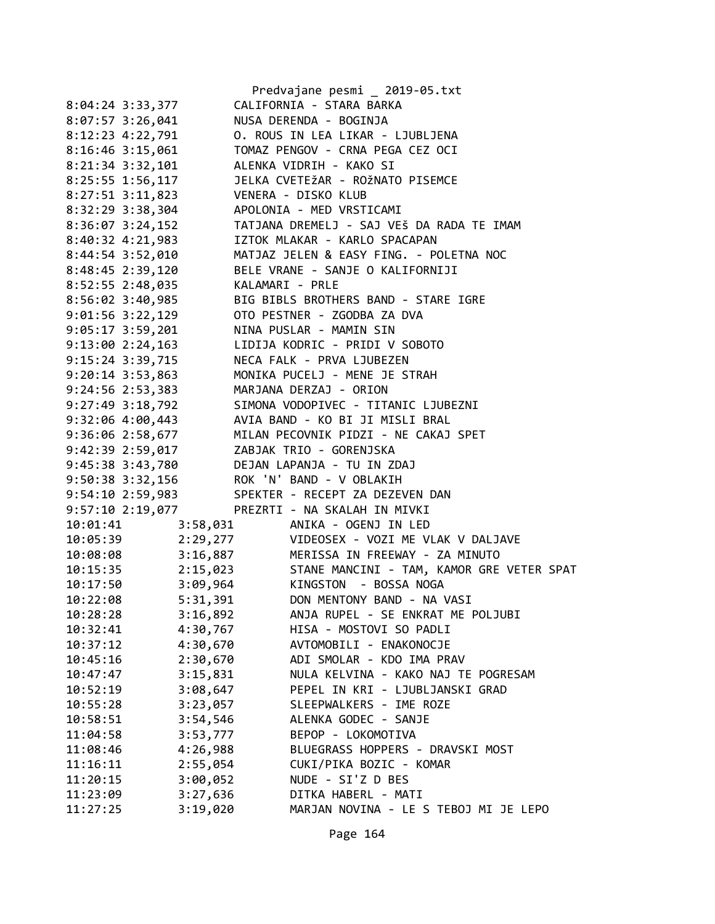|                                          |          | Predvajane pesmi _ 2019-05.txt                                                                                                                                                                       |
|------------------------------------------|----------|------------------------------------------------------------------------------------------------------------------------------------------------------------------------------------------------------|
| 8:04:24 3:33,377                         |          | CALIFORNIA - STARA BARKA                                                                                                                                                                             |
| 8:07:57 3:26,041                         |          | NUSA DERENDA - BOGINJA                                                                                                                                                                               |
| 8:12:23 4:22,791                         |          | O. ROUS IN LEA LIKAR - LJUBLJENA                                                                                                                                                                     |
| 8:16:46 3:15,061                         |          | TOMAZ PENGOV - CRNA PEGA CEZ OCI                                                                                                                                                                     |
| 8:21:34 3:32,101 ALENKA VIDRIH - KAKO SI |          |                                                                                                                                                                                                      |
| 8:25:55 1:56,117                         |          | JELKA CVETEŽAR - ROŽNATO PISEMCE                                                                                                                                                                     |
|                                          |          | 8:27:51 3:11,823<br>8:32:29 3:38,304 APOLONIA - MED VRSTICAMI<br>APOLONIA - MED VRSTICAMI                                                                                                            |
|                                          |          |                                                                                                                                                                                                      |
|                                          |          |                                                                                                                                                                                                      |
|                                          |          | 8:40:32 4:21,983 IZTOK MLAKAR - KARLO SPACAPAN                                                                                                                                                       |
|                                          |          | 8:44:54 3:52,010 MATJAZ JELEN & EASY FING. - POLETNA NOC                                                                                                                                             |
| 8:48:45 2:39,120                         |          | BELE VRANE - SANJE O KALIFORNIJI                                                                                                                                                                     |
| 8:52:55 2:48,035                         |          | KALAMARI - PRLE                                                                                                                                                                                      |
| $8:56:02 3:40,985$<br>$9:01:56 3:22,129$ |          | BIG BIBLS BROTHERS BAND - STARE IGRE                                                                                                                                                                 |
|                                          |          | OTO PESTNER - ZGODBA ZA DVA                                                                                                                                                                          |
| $9:05:17$ 3:59,201                       |          | NINA PUSLAR - MAMIN SIN                                                                                                                                                                              |
|                                          |          | 9:13:00 2:24,163 LIDIJA KODRIC - PRIDI V SOBOTO                                                                                                                                                      |
| 9:15:24 3:39,715                         |          | NECA FALK - PRVA LJUBEZEN                                                                                                                                                                            |
| $9:20:14$ 3:53,863                       |          | MONIKA PUCELJ - MENE JE STRAH                                                                                                                                                                        |
|                                          |          |                                                                                                                                                                                                      |
|                                          |          | 9:24:56 2:53,383<br>9:27:49 3:18,792<br>9:32:06 4:00,443<br>AVIA BAND - KO BI JI MISLI BRAL<br>AVIA BAND - KO BI JI MISLI BRAL<br>AVIA BAND - KO BI JI MISLI BRAL<br>AVIA BAND - KO BI JI MISLI BRAL |
|                                          |          |                                                                                                                                                                                                      |
|                                          |          | 9:36:06 2:58,677 MILAN PECOVNIK PIDZI - NE CAKAJ SPET                                                                                                                                                |
| 9:42:39 2:59,017 ZABJAK TRIO - GORENJSKA |          |                                                                                                                                                                                                      |
|                                          |          | 9:45:38 3:43,780 DEJAN LAPANJA - TU IN ZDAJ                                                                                                                                                          |
|                                          |          | 9:50:38 3:32,156 ROK 'N' BAND - V OBLAKIH                                                                                                                                                            |
|                                          |          | 9:54:10 2:59,983 SPEKTER - RECEPT ZA DEZEVEN DAN                                                                                                                                                     |
|                                          |          | 9:57:10 2:19,077 PREZRTI - NA SKALAH IN MIVKI                                                                                                                                                        |
| 10:01:41                                 | 3:58,031 | ANIKA - OGENJ IN LED                                                                                                                                                                                 |
| 10:05:39                                 |          | 2:29,277 VIDEOSEX - VOZI ME VLAK V DALJAVE                                                                                                                                                           |
| 10:08:08                                 |          | 3:16,887 MERISSA IN FREEWAY - ZA MINUTO                                                                                                                                                              |
| 10:15:35                                 |          | 2:15,023 STANE MANCINI - TAM, KAMOR GRE VETER SPAT                                                                                                                                                   |
| 10:17:50                                 |          | 3:09,964 KINGSTON - BOSSA NOGA                                                                                                                                                                       |
| 10:22:08                                 | 5:31,391 | DON MENTONY BAND - NA VASI                                                                                                                                                                           |
| 10:28:28                                 | 3:16,892 | ANJA RUPEL - SE ENKRAT ME POLJUBI                                                                                                                                                                    |
| 10:32:41                                 | 4:30,767 | HISA - MOSTOVI SO PADLI                                                                                                                                                                              |
| 10:37:12                                 | 4:30,670 | AVTOMOBILI - ENAKONOCJE                                                                                                                                                                              |
| 10:45:16                                 | 2:30,670 | ADI SMOLAR - KDO IMA PRAV                                                                                                                                                                            |
| 10:47:47                                 | 3:15,831 | NULA KELVINA - KAKO NAJ TE POGRESAM                                                                                                                                                                  |
| 10:52:19                                 | 3:08,647 | PEPEL IN KRI - LJUBLJANSKI GRAD                                                                                                                                                                      |
| 10:55:28                                 | 3:23,057 | SLEEPWALKERS - IME ROZE                                                                                                                                                                              |
| 10:58:51                                 | 3:54,546 | ALENKA GODEC - SANJE                                                                                                                                                                                 |
| 11:04:58                                 | 3:53,777 | BEPOP - LOKOMOTIVA                                                                                                                                                                                   |
| 11:08:46                                 | 4:26,988 | BLUEGRASS HOPPERS - DRAVSKI MOST                                                                                                                                                                     |
| 11:16:11                                 | 2:55,054 | CUKI/PIKA BOZIC - KOMAR                                                                                                                                                                              |
| 11:20:15                                 | 3:00,052 | NUDE - SI'Z D BES                                                                                                                                                                                    |
| 11:23:09                                 | 3:27,636 | DITKA HABERL - MATI                                                                                                                                                                                  |
| 11:27:25                                 | 3:19,020 | MARJAN NOVINA - LE S TEBOJ MI JE LEPO                                                                                                                                                                |
|                                          |          |                                                                                                                                                                                                      |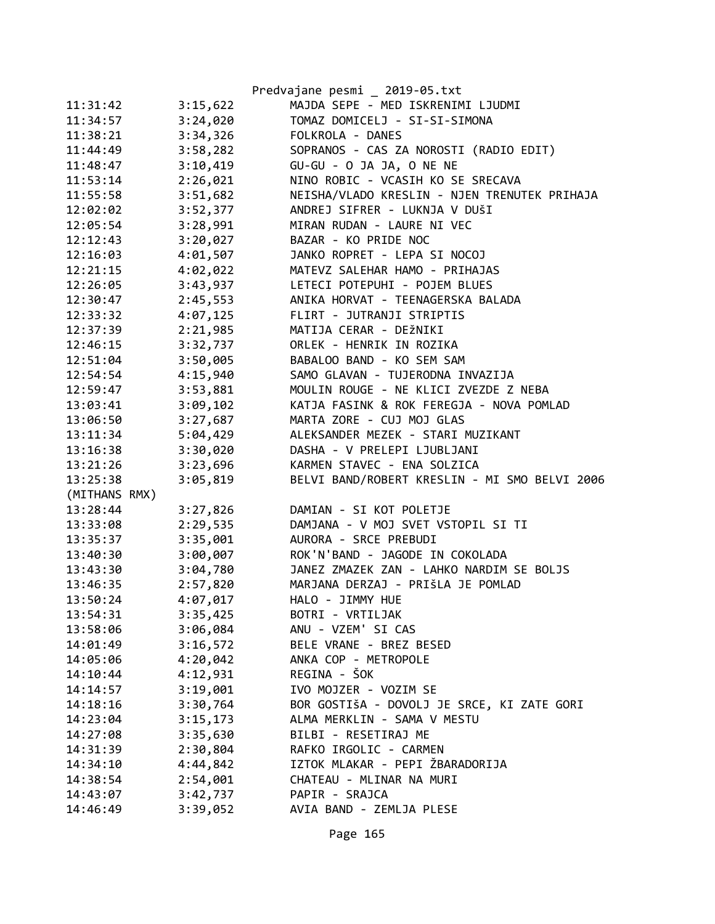|               |          | Predvajane pesmi _ 2019-05.txt                |
|---------------|----------|-----------------------------------------------|
| 11:31:42      | 3:15,622 | MAJDA SEPE - MED ISKRENIMI LJUDMI             |
| 11:34:57      | 3:24,020 | TOMAZ DOMICELJ - SI-SI-SIMONA                 |
| 11:38:21      | 3:34,326 | FOLKROLA - DANES                              |
| 11:44:49      | 3:58,282 | SOPRANOS - CAS ZA NOROSTI (RADIO EDIT)        |
| 11:48:47      | 3:10,419 | GU-GU - O JA JA, O NE NE                      |
| 11:53:14      | 2:26,021 | NINO ROBIC - VCASIH KO SE SRECAVA             |
| 11:55:58      | 3:51,682 | NEISHA/VLADO KRESLIN - NJEN TRENUTEK PRIHAJA  |
| 12:02:02      | 3:52,377 | ANDREJ SIFRER - LUKNJA V DUŠI                 |
| 12:05:54      | 3:28,991 | MIRAN RUDAN - LAURE NI VEC                    |
| 12:12:43      | 3:20,027 | BAZAR - KO PRIDE NOC                          |
| 12:16:03      | 4:01,507 | JANKO ROPRET - LEPA SI NOCOJ                  |
| 12:21:15      | 4:02,022 | MATEVZ SALEHAR HAMO - PRIHAJAS                |
| 12:26:05      | 3:43,937 | LETECI POTEPUHI - POJEM BLUES                 |
| 12:30:47      | 2:45,553 | ANIKA HORVAT - TEENAGERSKA BALADA             |
| 12:33:32      | 4:07,125 | FLIRT - JUTRANJI STRIPTIS                     |
| 12:37:39      | 2:21,985 | MATIJA CERAR - DEŽNIKI                        |
| 12:46:15      | 3:32,737 | ORLEK - HENRIK IN ROZIKA                      |
| 12:51:04      | 3:50,005 | BABALOO BAND - KO SEM SAM                     |
| 12:54:54      | 4:15,940 | SAMO GLAVAN - TUJERODNA INVAZIJA              |
| 12:59:47      | 3:53,881 | MOULIN ROUGE - NE KLICI ZVEZDE Z NEBA         |
| 13:03:41      | 3:09,102 | KATJA FASINK & ROK FEREGJA - NOVA POMLAD      |
| 13:06:50      | 3:27,687 | MARTA ZORE - CUJ MOJ GLAS                     |
| 13:11:34      | 5:04,429 | ALEKSANDER MEZEK - STARI MUZIKANT             |
| 13:16:38      | 3:30,020 | DASHA - V PRELEPI LJUBLJANI                   |
| 13:21:26      | 3:23,696 | KARMEN STAVEC - ENA SOLZICA                   |
| 13:25:38      | 3:05,819 | BELVI BAND/ROBERT KRESLIN - MI SMO BELVI 2006 |
| (MITHANS RMX) |          |                                               |
| 13:28:44      | 3:27,826 | DAMIAN - SI KOT POLETJE                       |
| 13:33:08      | 2:29,535 | DAMJANA - V MOJ SVET VSTOPIL SI TI            |
| 13:35:37      | 3:35,001 | AURORA - SRCE PREBUDI                         |
| 13:40:30      | 3:00,007 | ROK'N'BAND - JAGODE IN COKOLADA               |
| 13:43:30      | 3:04,780 | JANEZ ZMAZEK ZAN - LAHKO NARDIM SE BOLJS      |
| 13:46:35      | 2:57,820 | MARJANA DERZAJ - PRIŠLA JE POMLAD             |
| 13:50:24      | 4:07,017 | HALO - JIMMY HUE                              |
| 13:54:31      | 3:35,425 | BOTRI - VRTILJAK                              |
| 13:58:06      | 3:06,084 | ANU - VZEM' SI CAS                            |
| 14:01:49      | 3:16,572 | BELE VRANE - BREZ BESED                       |
| 14:05:06      | 4:20,042 | ANKA COP - METROPOLE                          |
| 14:10:44      | 4:12,931 | REGINA - ŠOK                                  |
| 14:14:57      | 3:19,001 | IVO MOJZER - VOZIM SE                         |
| 14:18:16      | 3:30,764 | BOR GOSTIŠA - DOVOLJ JE SRCE, KI ZATE GORI    |
| 14:23:04      | 3:15,173 | ALMA MERKLIN - SAMA V MESTU                   |
| 14:27:08      | 3:35,630 | BILBI - RESETIRAJ ME                          |
| 14:31:39      | 2:30,804 | RAFKO IRGOLIC - CARMEN                        |
| 14:34:10      | 4:44,842 | IZTOK MLAKAR - PEPI ŽBARADORIJA               |
| 14:38:54      | 2:54,001 | CHATEAU - MLINAR NA MURI                      |
| 14:43:07      | 3:42,737 | PAPIR - SRAJCA                                |
| 14:46:49      | 3:39,052 | AVIA BAND - ZEMLJA PLESE                      |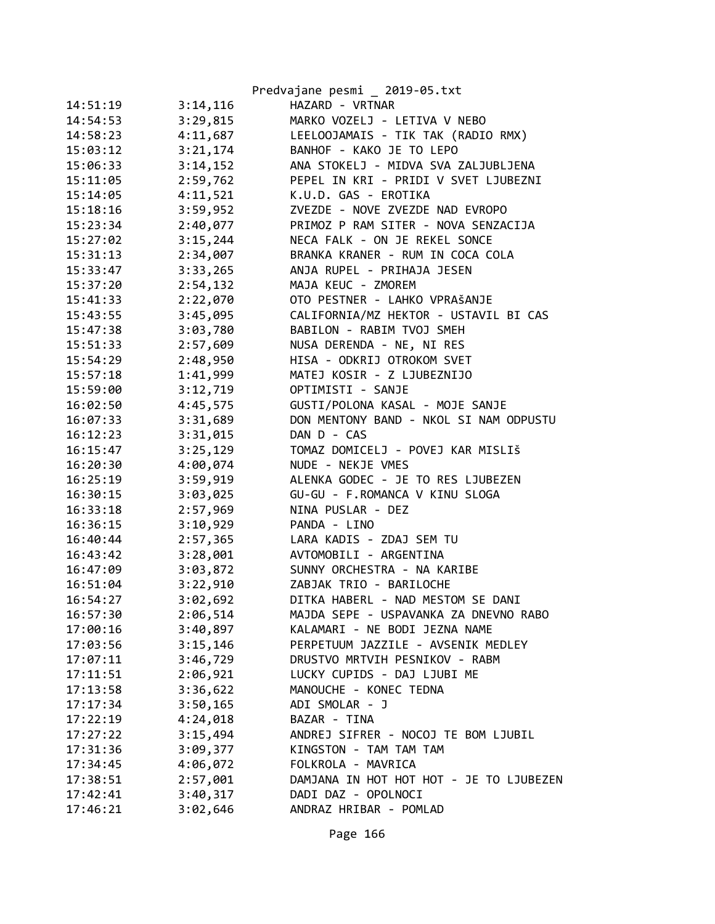| Predvajane pesmi _ 2019-05.txt          |
|-----------------------------------------|
| HAZARD - VRTNAR                         |
| MARKO VOZELJ - LETIVA V NEBO            |
| LEELOOJAMAIS - TIK TAK (RADIO RMX)      |
| BANHOF - KAKO JE TO LEPO                |
| ANA STOKELJ - MIDVA SVA ZALJUBLJENA     |
| PEPEL IN KRI - PRIDI V SVET LJUBEZNI    |
| K.U.D. GAS - EROTIKA                    |
| ZVEZDE - NOVE ZVEZDE NAD EVROPO         |
| PRIMOZ P RAM SITER - NOVA SENZACIJA     |
| NECA FALK - ON JE REKEL SONCE           |
| BRANKA KRANER - RUM IN COCA COLA        |
| ANJA RUPEL - PRIHAJA JESEN              |
| MAJA KEUC - ZMOREM                      |
| OTO PESTNER - LAHKO VPRAŠANJE           |
| CALIFORNIA/MZ HEKTOR - USTAVIL BI CAS   |
| BABILON - RABIM TVOJ SMEH               |
| NUSA DERENDA - NE, NI RES               |
| HISA - ODKRIJ OTROKOM SVET              |
| MATEJ KOSIR - Z LJUBEZNIJO              |
| OPTIMISTI - SANJE                       |
| GUSTI/POLONA KASAL - MOJE SANJE         |
| DON MENTONY BAND - NKOL SI NAM ODPUSTU  |
| DAN D - CAS                             |
| TOMAZ DOMICELJ - POVEJ KAR MISLIŠ       |
| NUDE - NEKJE VMES                       |
| ALENKA GODEC - JE TO RES LJUBEZEN       |
| GU-GU - F.ROMANCA V KINU SLOGA          |
| NINA PUSLAR - DEZ                       |
| PANDA - LINO                            |
| LARA KADIS - ZDAJ SEM TU                |
| AVTOMOBILI - ARGENTINA                  |
| SUNNY ORCHESTRA - NA KARIBE             |
| ZABJAK TRIO - BARILOCHE                 |
| DITKA HABERL - NAD MESTOM SE DANI       |
| MAJDA SEPE - USPAVANKA ZA DNEVNO RABO   |
| KALAMARI - NE BODI JEZNA NAME           |
| PERPETUUM JAZZILE - AVSENIK MEDLEY      |
| DRUSTVO MRTVIH PESNIKOV - RABM          |
| LUCKY CUPIDS - DAJ LJUBI ME             |
| MANOUCHE - KONEC TEDNA                  |
| ADI SMOLAR - J                          |
| BAZAR - TINA                            |
| ANDREJ SIFRER - NOCOJ TE BOM LJUBIL     |
| KINGSTON - TAM TAM TAM                  |
| FOLKROLA - MAVRICA                      |
| DAMJANA IN HOT HOT HOT - JE TO LJUBEZEN |
| DADI DAZ - OPOLNOCI                     |
| ANDRAZ HRIBAR - POMLAD                  |
|                                         |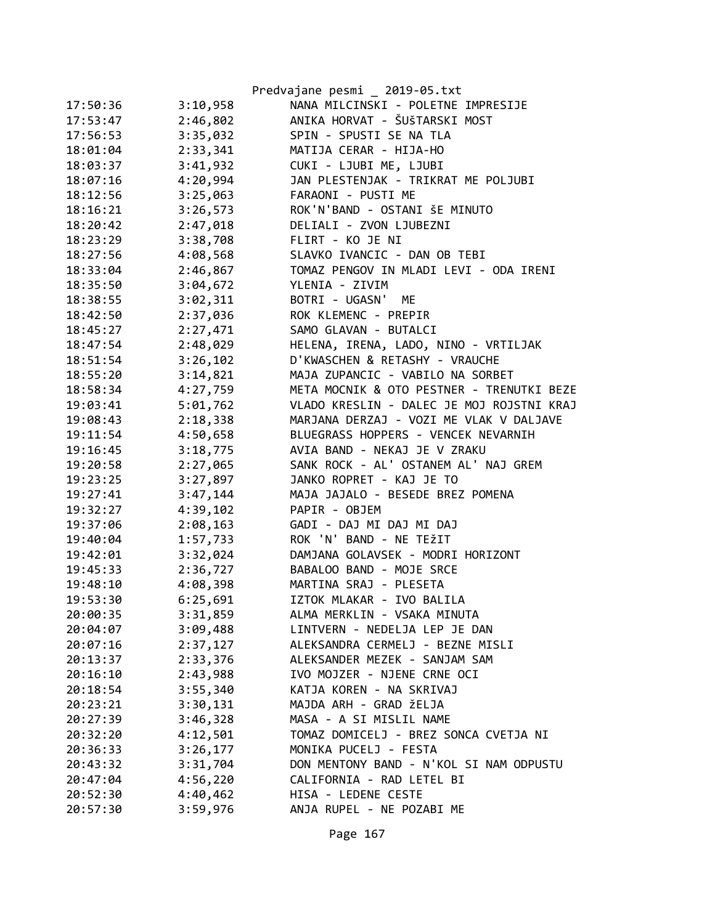|          |          | Predvajane pesmi _ 2019-05.txt            |
|----------|----------|-------------------------------------------|
| 17:50:36 | 3:10,958 | NANA MILCINSKI - POLETNE IMPRESIJE        |
| 17:53:47 | 2:46,802 | ANIKA HORVAT - ŠUŠTARSKI MOST             |
| 17:56:53 | 3:35,032 | SPIN - SPUSTI SE NA TLA                   |
| 18:01:04 | 2:33,341 | MATIJA CERAR - HIJA-HO                    |
| 18:03:37 | 3:41,932 | CUKI - LJUBI ME, LJUBI                    |
| 18:07:16 | 4:20,994 | JAN PLESTENJAK - TRIKRAT ME POLJUBI       |
| 18:12:56 | 3:25,063 | FARAONI - PUSTI ME                        |
| 18:16:21 | 3:26,573 | ROK'N'BAND - OSTANI ŠE MINUTO             |
| 18:20:42 | 2:47,018 | DELIALI - ZVON LJUBEZNI                   |
| 18:23:29 | 3:38,708 | FLIRT - KO JE NI                          |
| 18:27:56 | 4:08,568 | SLAVKO IVANCIC - DAN OB TEBI              |
| 18:33:04 | 2:46,867 | TOMAZ PENGOV IN MLADI LEVI - ODA IRENI    |
| 18:35:50 | 3:04,672 | YLENIA - ZIVIM                            |
| 18:38:55 | 3:02,311 | BOTRI - UGASN' ME                         |
| 18:42:50 | 2:37,036 | ROK KLEMENC - PREPIR                      |
| 18:45:27 | 2:27,471 | SAMO GLAVAN - BUTALCI                     |
| 18:47:54 | 2:48,029 | HELENA, IRENA, LADO, NINO - VRTILJAK      |
| 18:51:54 | 3:26,102 | D'KWASCHEN & RETASHY - VRAUCHE            |
| 18:55:20 | 3:14,821 | MAJA ZUPANCIC - VABILO NA SORBET          |
| 18:58:34 | 4:27,759 | META MOCNIK & OTO PESTNER - TRENUTKI BEZE |
| 19:03:41 | 5:01,762 | VLADO KRESLIN - DALEC JE MOJ ROJSTNI KRAJ |
| 19:08:43 | 2:18,338 | MARJANA DERZAJ - VOZI ME VLAK V DALJAVE   |
| 19:11:54 | 4:50,658 | BLUEGRASS HOPPERS - VENCEK NEVARNIH       |
| 19:16:45 | 3:18,775 | AVIA BAND - NEKAJ JE V ZRAKU              |
| 19:20:58 | 2:27,065 | SANK ROCK - AL' OSTANEM AL' NAJ GREM      |
| 19:23:25 | 3:27,897 | JANKO ROPRET - KAJ JE TO                  |
| 19:27:41 | 3:47,144 | MAJA JAJALO - BESEDE BREZ POMENA          |
| 19:32:27 | 4:39,102 | PAPIR - OBJEM                             |
| 19:37:06 | 2:08,163 | GADI - DAJ MI DAJ MI DAJ                  |
| 19:40:04 | 1:57,733 | ROK 'N' BAND - NE TEŽIT                   |
| 19:42:01 | 3:32,024 | DAMJANA GOLAVSEK - MODRI HORIZONT         |
| 19:45:33 | 2:36,727 | BABALOO BAND - MOJE SRCE                  |
| 19:48:10 | 4:08,398 | MARTINA SRAJ - PLESETA                    |
| 19:53:30 | 6:25,691 | IZTOK MLAKAR - IVO BALILA                 |
| 20:00:35 | 3:31,859 | ALMA MERKLIN - VSAKA MINUTA               |
| 20:04:07 | 3:09,488 | LINTVERN - NEDELJA LEP JE DAN             |
| 20:07:16 | 2:37,127 | ALEKSANDRA CERMELJ - BEZNE MISLI          |
| 20:13:37 | 2:33,376 | ALEKSANDER MEZEK - SANJAM SAM             |
| 20:16:10 | 2:43,988 | IVO MOJZER - NJENE CRNE OCI               |
| 20:18:54 | 3:55,340 | KATJA KOREN - NA SKRIVAJ                  |
| 20:23:21 | 3:30,131 | MAJDA ARH - GRAD ŽELJA                    |
| 20:27:39 | 3:46,328 | MASA - A SI MISLIL NAME                   |
| 20:32:20 | 4:12,501 | TOMAZ DOMICELJ - BREZ SONCA CVETJA NI     |
| 20:36:33 | 3:26,177 | MONIKA PUCELJ - FESTA                     |
| 20:43:32 | 3:31,704 | DON MENTONY BAND - N'KOL SI NAM ODPUSTU   |
| 20:47:04 | 4:56,220 | CALIFORNIA - RAD LETEL BI                 |
| 20:52:30 | 4:40,462 | HISA - LEDENE CESTE                       |
| 20:57:30 | 3:59,976 | ANJA RUPEL - NE POZABI ME                 |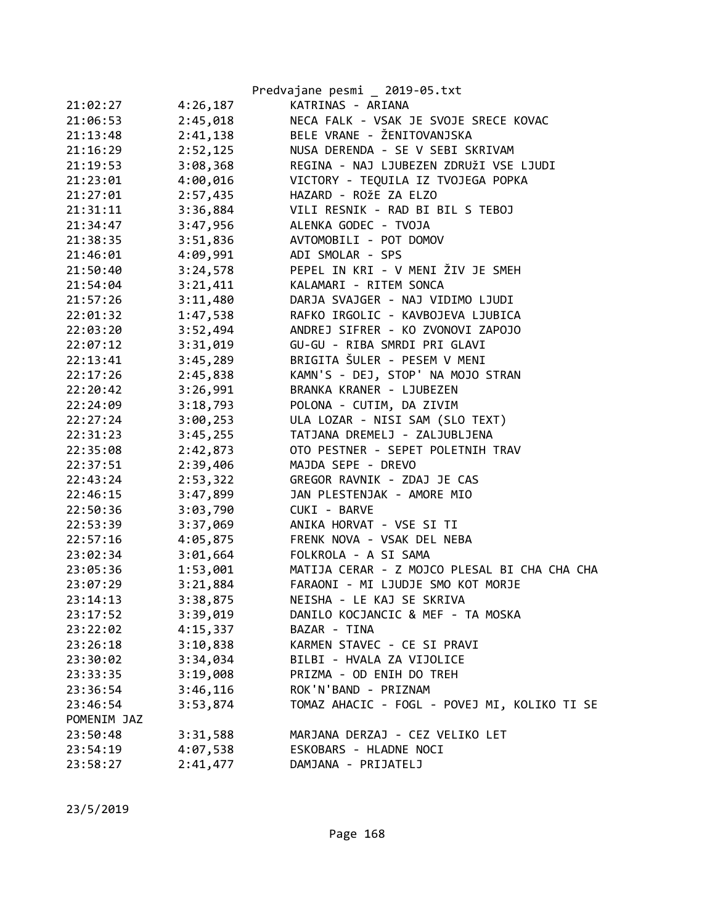|             |          | Predvajane pesmi _ 2019-05.txt               |
|-------------|----------|----------------------------------------------|
| 21:02:27    | 4:26,187 | KATRINAS - ARIANA                            |
| 21:06:53    | 2:45,018 | NECA FALK - VSAK JE SVOJE SRECE KOVAC        |
| 21:13:48    | 2:41,138 | BELE VRANE - ŽENITOVANJSKA                   |
| 21:16:29    | 2:52,125 | NUSA DERENDA - SE V SEBI SKRIVAM             |
| 21:19:53    | 3:08,368 | REGINA - NAJ LJUBEZEN ZDRUŽI VSE LJUDI       |
| 21:23:01    | 4:00,016 | VICTORY - TEQUILA IZ TVOJEGA POPKA           |
| 21:27:01    | 2:57,435 | HAZARD - ROŽE ZA ELZO                        |
| 21:31:11    | 3:36,884 | VILI RESNIK - RAD BI BIL S TEBOJ             |
| 21:34:47    | 3:47,956 | ALENKA GODEC - TVOJA                         |
| 21:38:35    | 3:51,836 | AVTOMOBILI - POT DOMOV                       |
| 21:46:01    | 4:09,991 | ADI SMOLAR - SPS                             |
| 21:50:40    | 3:24,578 | PEPEL IN KRI - V MENI ŽIV JE SMEH            |
| 21:54:04    | 3:21,411 | KALAMARI - RITEM SONCA                       |
| 21:57:26    | 3:11,480 | DARJA SVAJGER - NAJ VIDIMO LJUDI             |
| 22:01:32    | 1:47,538 | RAFKO IRGOLIC - KAVBOJEVA LJUBICA            |
| 22:03:20    | 3:52,494 | ANDREJ SIFRER - KO ZVONOVI ZAPOJO            |
| 22:07:12    | 3:31,019 | GU-GU - RIBA SMRDI PRI GLAVI                 |
| 22:13:41    | 3:45,289 | BRIGITA ŠULER - PESEM V MENI                 |
| 22:17:26    | 2:45,838 | KAMN'S - DEJ, STOP' NA MOJO STRAN            |
| 22:20:42    | 3:26,991 | BRANKA KRANER - LJUBEZEN                     |
| 22:24:09    | 3:18,793 | POLONA - CUTIM, DA ZIVIM                     |
| 22:27:24    | 3:00,253 | ULA LOZAR - NISI SAM (SLO TEXT)              |
| 22:31:23    | 3:45,255 | TATJANA DREMELJ - ZALJUBLJENA                |
| 22:35:08    | 2:42,873 | OTO PESTNER - SEPET POLETNIH TRAV            |
| 22:37:51    | 2:39,406 | MAJDA SEPE - DREVO                           |
| 22:43:24    | 2:53,322 | GREGOR RAVNIK - ZDAJ JE CAS                  |
| 22:46:15    | 3:47,899 | JAN PLESTENJAK - AMORE MIO                   |
| 22:50:36    | 3:03,790 | CUKI - BARVE                                 |
| 22:53:39    | 3:37,069 | ANIKA HORVAT - VSE SI TI                     |
| 22:57:16    | 4:05,875 | FRENK NOVA - VSAK DEL NEBA                   |
| 23:02:34    | 3:01,664 | FOLKROLA - A SI SAMA                         |
| 23:05:36    | 1:53,001 | MATIJA CERAR - Z MOJCO PLESAL BI CHA CHA CHA |
| 23:07:29    | 3:21,884 | FARAONI - MI LJUDJE SMO KOT MORJE            |
| 23:14:13    | 3:38,875 | NEISHA - LE KAJ SE SKRIVA                    |
| 23:17:52    | 3:39,019 | DANILO KOCJANCIC & MEF - TA MOSKA            |
| 23:22:02    | 4:15,337 | BAZAR - TINA                                 |
| 23:26:18    | 3:10,838 | KARMEN STAVEC - CE SI PRAVI                  |
| 23:30:02    | 3:34,034 | BILBI - HVALA ZA VIJOLICE                    |
| 23:33:35    | 3:19,008 | PRIZMA - OD ENIH DO TREH                     |
| 23:36:54    | 3:46,116 | ROK'N'BAND - PRIZNAM                         |
| 23:46:54    | 3:53,874 | TOMAZ AHACIC - FOGL - POVEJ MI, KOLIKO TI SE |
| POMENIM JAZ |          |                                              |
| 23:50:48    | 3:31,588 | MARJANA DERZAJ - CEZ VELIKO LET              |
| 23:54:19    | 4:07,538 | ESKOBARS - HLADNE NOCI                       |
| 23:58:27    | 2:41,477 | DAMJANA - PRIJATELJ                          |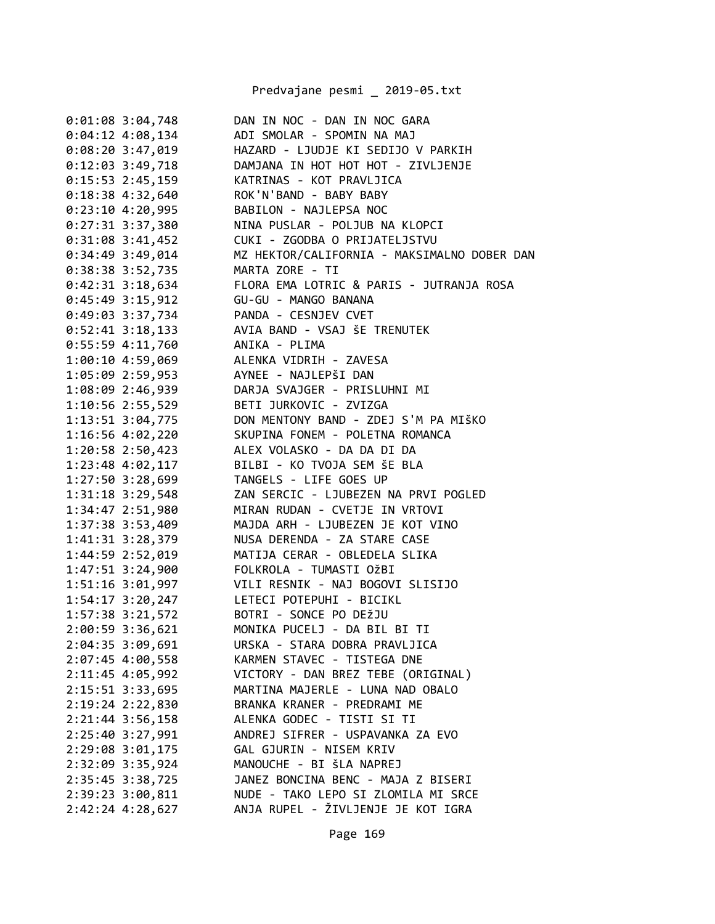Predvajane pesmi \_ 2019-05.txt

| $0:01:08$ 3:04,748                      | DAN IN NOC - DAN IN NOC GARA                                                                                                                                          |
|-----------------------------------------|-----------------------------------------------------------------------------------------------------------------------------------------------------------------------|
| $0:04:12$ 4:08,134                      | ADI SMOLAR - SPOMIN NA MAJ                                                                                                                                            |
| $0:08:20$ 3:47,019                      | HAZARD - LJUDJE KI SEDIJO V PARKIH                                                                                                                                    |
| $0:12:03$ 3:49,718                      | DAMJANA IN HOT HOT HOT - ZIVLJENJE                                                                                                                                    |
| $0:15:53$ 2:45,159                      | KATRINAS - KOT PRAVLJICA                                                                                                                                              |
| $0:18:38$ 4:32,640                      | KATRINAS - KOT PRAVLJIO<br>ROK'N'BAND - BABY BABY                                                                                                                     |
| 0:23:10 4:20,995 BABILON - NAJLEPSA NOC |                                                                                                                                                                       |
|                                         | 0:27:31 3:37,380 NINA PUSLAR - POLJUB NA KLOPCI                                                                                                                       |
| 0:31:08 3:41,452                        | CUKI - ZGODBA O PRIJATELJSTVU                                                                                                                                         |
|                                         | 0:34:49 3:49,014 MZ HEKTOR/CALIFORNIA - MAKSIMALNO DOBER DAN                                                                                                          |
| 0:38:38 3:52,735                        | MARTA ZORE - TI                                                                                                                                                       |
| $0:42:31$ 3:18,634                      | FLORA EMA LOTRIC & PARIS - JUTRANJA ROSA                                                                                                                              |
| 0:45:49 3:15,912                        | GU-GU - MANGO BANANA                                                                                                                                                  |
| 0:49:03 3:37,734 PANDA - CESNJEV CVET   |                                                                                                                                                                       |
|                                         | 0:52:41 3:18,133 AVIA BAND - VSAJ ŠE TRENUTEK                                                                                                                         |
| 0:55:59 4:11,760 ANIKA - PLIMA          |                                                                                                                                                                       |
| 1:00:10 4:59,069 ALENKA VIDRIH - ZAVESA |                                                                                                                                                                       |
| 1:05:09 2:59,953 AYNEE - NAJLEPŠI DAN   |                                                                                                                                                                       |
|                                         |                                                                                                                                                                       |
|                                         |                                                                                                                                                                       |
|                                         | 1:08:09 2:46,939<br>1:08:09 2:46,939 DARJA SVAJGER - PRISLUHNI MI<br>1:10:56 2:55,529 BETI JURKOVIC - ZVIZGA<br>1:13:51 3:04,775 DON MENTONY BAND - ZDEJ S'M PA MIŠKO |
|                                         | 1:16:56 4:02,220 SKUPINA FONEM - POLETNA ROMANCA                                                                                                                      |
|                                         | 1:20:58 2:50,423 ALEX VOLASKO - DA DA DI DA                                                                                                                           |
|                                         | 1:23:48 4:02,117 BILBI - KO TVOJA SEM ŠE BLA                                                                                                                          |
| 1:27:50 3:28,699 TANGELS - LIFE GOES UP |                                                                                                                                                                       |
| 1:31:18 3:29,548                        | ZAN SERCIC - LJUBEZEN NA PRVI POGLED                                                                                                                                  |
| 1:34:47 2:51,980                        | MIRAN RUDAN - CVETJE IN VRTOVI                                                                                                                                        |
| 1:37:38 3:53,409                        | MAJDA ARH - LJUBEZEN JE KOT VINO                                                                                                                                      |
| 1:41:31 3:28,379                        | NUSA DERENDA - ZA STARE CASE                                                                                                                                          |
| 1:44:59 2:52,019                        | MATIJA CERAR - OBLEDELA SLIKA                                                                                                                                         |
|                                         | 1:47:51 3:24,900 FOLKROLA - TUMASTI OŽBI                                                                                                                              |
|                                         | 1:51:16 3:01,997 VILI RESNIK - NAJ BOGOVI SLISIJO                                                                                                                     |
| 1:54:17 3:20,247                        | LETECI POTEPUHI - BICIKL                                                                                                                                              |
| 1:57:38 3:21,572                        | BOTRI - SONCE PO DEŽJU                                                                                                                                                |
| 2:00:59 3:36,621                        | MONIKA PUCELJ - DA BIL BI TI                                                                                                                                          |
| 2:04:35 3:09,691                        | URSKA - STARA DOBRA PRAVLJICA                                                                                                                                         |
| 2:07:45 4:00,558                        | KARMEN STAVEC - TISTEGA DNE                                                                                                                                           |
| 2:11:45 4:05,992                        | VICTORY - DAN BREZ TEBE (ORIGINAL)                                                                                                                                    |
| $2:15:51$ $3:33,695$                    | MARTINA MAJERLE - LUNA NAD OBALO                                                                                                                                      |
| 2:19:24 2:22,830                        | BRANKA KRANER - PREDRAMI ME                                                                                                                                           |
| $2:21:44$ 3:56,158                      | ALENKA GODEC - TISTI SI TI                                                                                                                                            |
| 2:25:40 3:27,991                        | ANDREJ SIFRER - USPAVANKA ZA EVO                                                                                                                                      |
| 2:29:08 3:01,175                        | GAL GJURIN - NISEM KRIV                                                                                                                                               |
| 2:32:09 3:35,924                        | MANOUCHE - BI ŠLA NAPREJ                                                                                                                                              |
| 2:35:45 3:38,725                        | JANEZ BONCINA BENC - MAJA Z BISERI                                                                                                                                    |
| 2:39:23 3:00,811                        | NUDE - TAKO LEPO SI ZLOMILA MI SRCE                                                                                                                                   |
| 2:42:24 4:28,627                        | ANJA RUPEL - ŽIVLJENJE JE KOT IGRA                                                                                                                                    |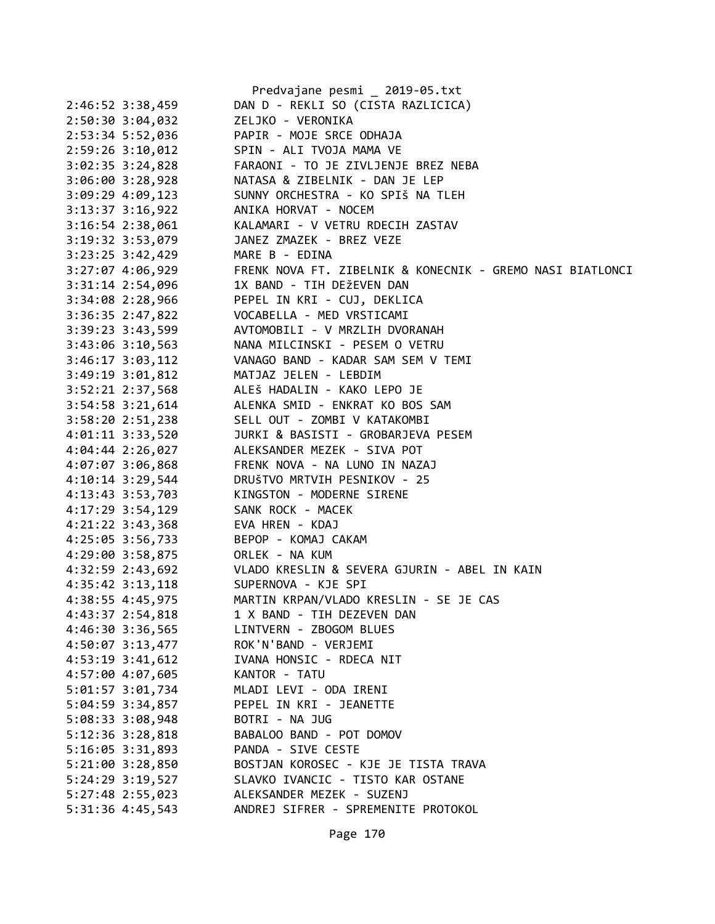|                      | Predvajane pesmi _ 2019-05.txt                                |
|----------------------|---------------------------------------------------------------|
| 2:46:52 3:38,459     | DAN D - REKLI SO (CISTA RAZLICICA)                            |
| 2:50:30 3:04,032     | ZELJKO - VERONIKA                                             |
| 2:53:34 5:52,036     | PAPIR - MOJE SRCE ODHAJA                                      |
| 2:59:26 3:10,012     | SPIN - ALI TVOJA MAMA VE                                      |
| $3:02:35$ $3:24,828$ | FARAONI - TO JE ZIVLJENJE BREZ NEBA                           |
| 3:06:00 3:28,928     | NATASA & ZIBELNIK - DAN JE LEP                                |
| $3:09:29$ 4:09,123   | SUNNY ORCHESTRA - KO SPIŠ NA TLEH                             |
| $3:13:37$ $3:16,922$ | ANIKA HORVAT - NOCEM                                          |
| $3:16:54$ 2:38,061   | KALAMARI - V VETRU RDECIH ZASTAV                              |
| 3:19:32 3:53,079     | JANEZ ZMAZEK - BREZ VEZE                                      |
| $3:23:25$ $3:42,429$ | MARE B - EDINA                                                |
| 3:27:07 4:06,929     | FRENK NOVA FT. ZIBELNIK & KONECNIK - GREMO NASI BIATLONCI     |
| 3:31:14 2:54,096     | 1X BAND - TIH DEŽEVEN DAN                                     |
| 3:34:08 2:28,966     | PEPEL IN KRI - CUJ, DEKLICA                                   |
| 3:36:35 2:47,822     | VOCABELLA - MED VRSTICAMI                                     |
| $3:39:23$ $3:43,599$ | AVTOMOBILI - V MRZLIH DVORANAH                                |
| 3:43:06 3:10,563     | NANA MILCINSKI - PESEM O VETRU                                |
| $3:46:17$ $3:03,112$ | VANAGO BAND - KADAR SAM SEM V TEMI                            |
| 3:49:19 3:01,812     | MATJAZ JELEN - LEBDIM                                         |
| 3:52:21 2:37,568     | ALEŠ HADALIN - KAKO LEPO JE                                   |
| $3:54:58$ $3:21,614$ | ALENKA SMID - ENKRAT KO BOS SAM                               |
| 3:58:20 2:51,238     | SELL OUT - ZOMBI V KATAKOMBI                                  |
| 4:01:11 3:33,520     | JURKI & BASISTI - GROBARJEVA PESEM                            |
| 4:04:44 2:26,027     | ALEKSANDER MEZEK - SIVA POT                                   |
| 4:07:07 3:06,868     | FRENK NOVA - NA LUNO IN NAZAJ                                 |
| $4:10:14$ 3:29,544   | DRUŠTVO MRTVIH PESNIKOV - 25                                  |
| 4:13:43 3:53,703     | KINGSTON - MODERNE SIRENE                                     |
| 4:17:29 3:54,129     | SANK ROCK - MACEK                                             |
| $4:21:22$ 3:43,368   | EVA HREN - KDAJ                                               |
| 4:25:05 3:56,733     | BEPOP - KOMAJ CAKAM                                           |
| 4:29:00 3:58,875     | ORLEK - NA KUM                                                |
|                      | 4:32:59 2:43,692 VLADO KRESLIN & SEVERA GJURIN - ABEL IN KAIN |
| $4:35:42$ $3:13,118$ | SUPERNOVA - KJE SPI                                           |
| 4:38:55 4:45,975     | MARTIN KRPAN/VLADO KRESLIN - SE JE CAS                        |
| 4:43:37 2:54,818     | 1 X BAND - TIH DEZEVEN DAN                                    |
| 4:46:30 3:36,565     | LINTVERN - ZBOGOM BLUES                                       |
| 4:50:07 3:13,477     | ROK'N'BAND - VERJEMI                                          |
| 4:53:19 3:41,612     | IVANA HONSIC - RDECA NIT                                      |
| 4:57:00 4:07,605     | KANTOR - TATU                                                 |
| 5:01:57 3:01,734     | MLADI LEVI - ODA IRENI                                        |
| 5:04:59 3:34,857     | PEPEL IN KRI - JEANETTE                                       |
| 5:08:33 3:08,948     | BOTRI - NA JUG                                                |
| 5:12:36 3:28,818     | BABALOO BAND - POT DOMOV                                      |
| 5:16:05 3:31,893     | PANDA - SIVE CESTE                                            |
| 5:21:00 3:28,850     | BOSTJAN KOROSEC - KJE JE TISTA TRAVA                          |
| 5:24:29 3:19,527     | SLAVKO IVANCIC - TISTO KAR OSTANE                             |
| 5:27:48 2:55,023     | ALEKSANDER MEZEK - SUZENJ                                     |
| 5:31:36 4:45,543     | ANDREJ SIFRER - SPREMENITE PROTOKOL                           |
|                      |                                                               |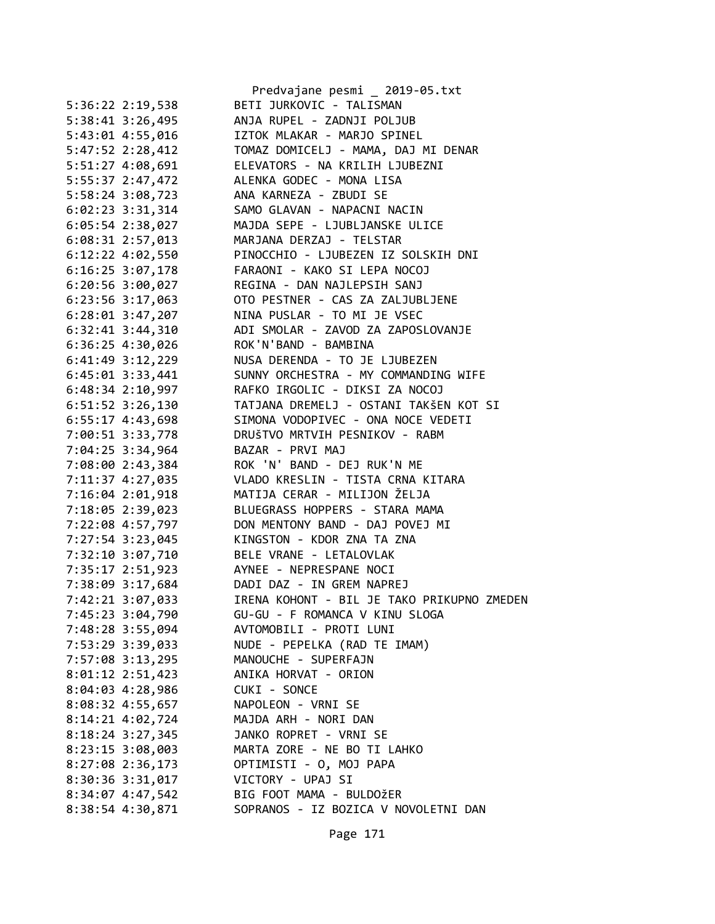|                                      | Predvajane pesmi _ 2019-05.txt                 |
|--------------------------------------|------------------------------------------------|
| 5:36:22 2:19,538                     | BETI JURKOVIC - TALISMAN                       |
| 5:38:41 3:26,495                     | ANJA RUPEL - ZADNJI POLJUB                     |
| 5:43:01 4:55,016                     | IZTOK MLAKAR - MARJO SPINEL                    |
| 5:47:52 2:28,412                     | TOMAZ DOMICELJ - MAMA, DAJ MI DENAR            |
| 5:51:27 4:08,691                     | ELEVATORS - NA KRILIH LJUBEZNI                 |
| 5:55:37 2:47,472                     | ALENKA GODEC - MONA LISA                       |
| 5:58:24 3:08,723                     | ANA KARNEZA - ZBUDI SE                         |
| $6:02:23$ 3:31,314                   | SAMO GLAVAN - NAPACNI NACIN                    |
| $6:05:54$ 2:38,027                   | MAJDA SEPE - LJUBLJANSKE ULICE                 |
| $6:08:31$ 2:57,013                   | MARJANA DERZAJ - TELSTAR                       |
| $6:12:22$ $4:02,550$                 | PINOCCHIO - LJUBEZEN IZ SOLSKIH DNI            |
| 6:16:25 3:07,178                     | FARAONI - KAKO SI LEPA NOCOJ                   |
| $6:20:56$ 3:00,027                   | REGINA - DAN NAJLEPSIH SANJ                    |
| 6:23:56 3:17,063                     | OTO PESTNER - CAS ZA ZALJUBLJENE               |
| $6:28:01$ 3:47,207                   | NINA PUSLAR - TO MI JE VSEC                    |
| $6:32:41$ $3:44,310$                 | ADI SMOLAR - ZAVOD ZA ZAPOSLOVANJE             |
| 6:36:25 4:30,026                     | ROK'N'BAND - BAMBINA                           |
| $6:41:49$ $3:12,229$                 | NUSA DERENDA - TO JE LJUBEZEN                  |
| $6:45:01$ 3:33,441                   | SUNNY ORCHESTRA - MY COMMANDING WIFE           |
| $6:48:34$ 2:10,997                   | RAFKO IRGOLIC - DIKSI ZA NOCOJ                 |
| 6:51:52 3:26,130                     | TATJANA DREMELJ - OSTANI TAKŠEN KOT SI         |
| $6:55:17$ 4:43,698                   | SIMONA VODOPIVEC - ONA NOCE VEDETI             |
| 7:00:51 3:33,778                     | DRUŠTVO MRTVIH PESNIKOV - RABM                 |
| 7:04:25 3:34,964                     | BAZAR - PRVI MAJ                               |
| 7:08:00 2:43,384                     | ROK 'N' BAND - DEJ RUK'N ME                    |
| 7:11:37 4:27,035                     | VLADO KRESLIN - TISTA CRNA KITARA              |
| 7:16:04 2:01,918                     | MATIJA CERAR - MILIJON ŽELJA                   |
| 7:18:05 2:39,023                     | BLUEGRASS HOPPERS - STARA MAMA                 |
| 7:22:08 4:57,797                     | DON MENTONY BAND - DAJ POVEJ MI                |
| 7:27:54 3:23,045                     | KINGSTON - KDOR ZNA TA ZNA                     |
| 7:32:10 3:07,710                     | BELE VRANE - LETALOVLAK                        |
| 7:35:17 2:51,923                     | AYNEE - NEPRESPANE NOCI                        |
| 7:38:09 3:17,684                     | DADI DAZ - IN GREM NAPREJ                      |
| 7:42:21 3:07,033                     | IRENA KOHONT - BIL JE TAKO PRIKUPNO ZMEDEN     |
| 7:45:23 3:04,790                     | GU-GU - F ROMANCA V KINU SLOGA                 |
|                                      | AVTOMOBILI - PROTI LUNI                        |
| 7:48:28 3:55,094<br>7:53:29 3:39,033 | NUDE - PEPELKA (RAD TE IMAM)                   |
| 7:57:08 3:13,295                     | MANOUCHE - SUPERFAJN                           |
| 8:01:12 2:51,423                     | ANIKA HORVAT - ORION                           |
|                                      |                                                |
| $8:04:03$ 4:28,986                   | CUKI - SONCE<br>NAPOLEON - VRNI SE             |
| 8:08:32 4:55,657                     |                                                |
| 8:14:21 4:02,724                     | MAJDA ARH - NORI DAN<br>JANKO ROPRET - VRNI SE |
| 8:18:24 3:27,345                     |                                                |
| 8:23:15 3:08,003                     | MARTA ZORE - NE BO TI LAHKO                    |
| 8:27:08 2:36,173                     | OPTIMISTI - O, MOJ PAPA                        |
| 8:30:36 3:31,017                     | VICTORY - UPAJ SI                              |
| 8:34:07 4:47,542                     | BIG FOOT MAMA - BULDOŽER                       |
| 8:38:54 4:30,871                     | SOPRANOS - IZ BOZICA V NOVOLETNI DAN           |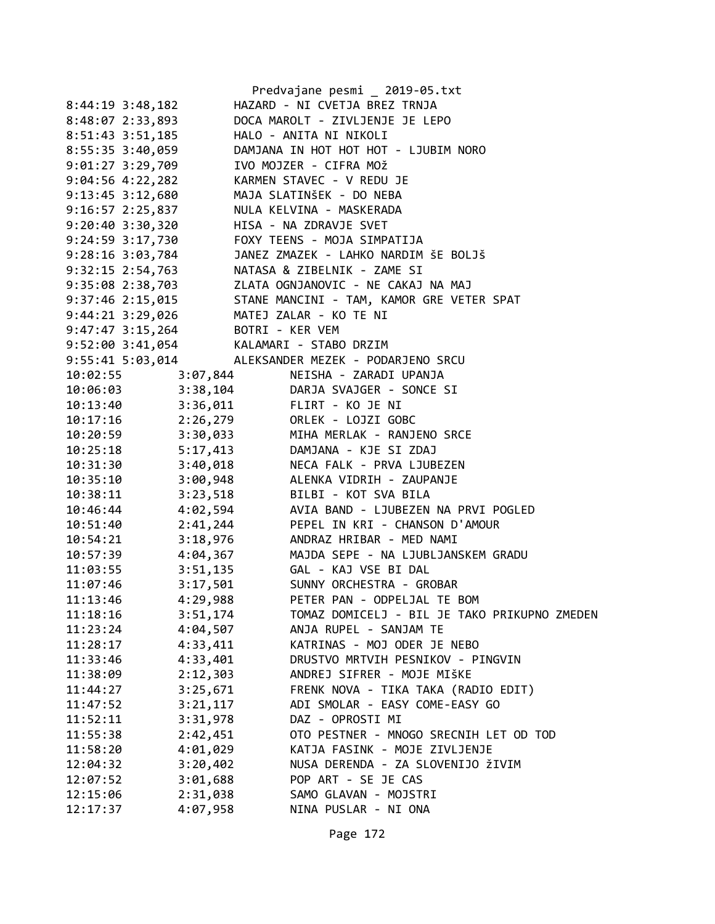|                      | Predvajane pesmi _ 2019-05.txt                                                                                                                                                                                                                       |
|----------------------|------------------------------------------------------------------------------------------------------------------------------------------------------------------------------------------------------------------------------------------------------|
| $8:44:19$ 3:48,182   | HAZARD - NI CVETJA BREZ TRNJA                                                                                                                                                                                                                        |
| 8:48:07 2:33,893     | DOCA MAROLT - ZIVLJENJE JE LEPO                                                                                                                                                                                                                      |
| 8:51:43 3:51,185     | HALO - ANITA NI NIKOLI                                                                                                                                                                                                                               |
| 8:55:35 3:40,059     | DAMJANA IN HOT HOT HOT - LJUBIM NORO                                                                                                                                                                                                                 |
| 9:01:27 3:29,709     | IVO MOJZER - CIFRA MOŽ                                                                                                                                                                                                                               |
|                      | 9:04:56 4:22,282 KARMEN STAVEC - V REDU JE                                                                                                                                                                                                           |
|                      | 9:13:45 3:12,680 MAJA SLATINŠEK - DO NEBA<br>9:16:57 2:25,837 NULA KELVINA - MASKERADA                                                                                                                                                               |
|                      |                                                                                                                                                                                                                                                      |
|                      | 9:20:40 3:30,320 HISA - NA ZDRAVJE SVET                                                                                                                                                                                                              |
|                      | 9:24:59 3:17,730 FOXY TEENS - MOJA SIMPATIJA                                                                                                                                                                                                         |
|                      | 9:28:16 3:03,784 JANEZ ZMAZEK - LAHKO NARDIM ŠE BOLJŠ                                                                                                                                                                                                |
|                      | 9:32:15 2:54,763 NATASA & ZIBELNIK - ZAME SI                                                                                                                                                                                                         |
|                      |                                                                                                                                                                                                                                                      |
|                      | 9:35:08 2:38,703<br>9:37:46 2:15,015<br>9:44:21 3:29,026<br>9:47:47 3:15,264<br>BOTRI - KER VEM<br>BOTRI - KER VEM<br>BOTRI - KER VEM<br>PORT - KER VEM<br>BOTRI - KER VEM<br>PORT - STANG PORT - MOTE NI<br>PORT - STANG PORT - KER VEM<br>PORT - K |
|                      |                                                                                                                                                                                                                                                      |
|                      |                                                                                                                                                                                                                                                      |
|                      | 9:52:00 3:41,054 KALAMARI - STABO DRZIM                                                                                                                                                                                                              |
|                      | 9:55:41 5:03,014 ALEKSANDER MEZEK - PODARJENO SRCU                                                                                                                                                                                                   |
| 10:02:55             | NEISHA - ZARADI UPANJA<br>3:07,844                                                                                                                                                                                                                   |
| 10:06:03             | 3:38,104 DARJA SVAJGER - SONCE SI                                                                                                                                                                                                                    |
| 10:13:40             | 3.36,011<br>2.26,279 ORLEK - LOJZI GOBC<br>3.30,033 MIHA MERLAK - RANJENO SRCE<br>3.30,033 MIHA MERLAK - RANJENO SRCE                                                                                                                                |
| 10:17:16             |                                                                                                                                                                                                                                                      |
| 10:20:59             |                                                                                                                                                                                                                                                      |
| 10:25:18             | 5:17,413 DAMJANA - KJE SI ZDAJ                                                                                                                                                                                                                       |
| 10:31:30             | 3:40,018 NECA FALK - PRVA LJUBEZEN                                                                                                                                                                                                                   |
| 10:35:10             | 3:00,948 ALENKA VIDRIH - ZAUPANJE                                                                                                                                                                                                                    |
| 10:38:11             | 3:23,518 BILBI - KOT SVA BILA                                                                                                                                                                                                                        |
| 10:46:44             | 4:02,594 AVIA BAND - LJUBEZEN NA PRVI POGLED                                                                                                                                                                                                         |
| 10:51:40             | 2:41,244 PEPEL IN KRI - CHANSON D'AMOUR                                                                                                                                                                                                              |
| 10:54:21             | 3:18,976 ANDRAZ HRIBAR - MED NAMI                                                                                                                                                                                                                    |
| 10:57:39             | 4:04,367 MAJDA SEPE - NA LJUBLJANSKEM GRADU                                                                                                                                                                                                          |
| 11:03:55             | 3:51,135 GAL - KAJ VSE BI DAL                                                                                                                                                                                                                        |
| 11:07:46             | 3:17,501 SUNNY ORCHESTRA - GROBAR                                                                                                                                                                                                                    |
| 11:13:46             | 4:29,988 PETER PAN - ODPELJAL TE BOM                                                                                                                                                                                                                 |
| 3:51,174<br>11:18:16 | TOMAZ DOMICELJ - BIL JE TAKO PRIKUPNO ZMEDEN                                                                                                                                                                                                         |
| 4:04,507<br>11:23:24 | ANJA RUPEL - SANJAM TE                                                                                                                                                                                                                               |
| 4:33,411<br>11:28:17 | KATRINAS - MOJ ODER JE NEBO                                                                                                                                                                                                                          |
| 4:33,401<br>11:33:46 | DRUSTVO MRTVIH PESNIKOV - PINGVIN                                                                                                                                                                                                                    |
| 2:12,303<br>11:38:09 | ANDREJ SIFRER - MOJE MIŠKE                                                                                                                                                                                                                           |
| 3:25,671<br>11:44:27 | FRENK NOVA - TIKA TAKA (RADIO EDIT)                                                                                                                                                                                                                  |
| 3:21,117<br>11:47:52 | ADI SMOLAR - EASY COME-EASY GO                                                                                                                                                                                                                       |
| 3:31,978<br>11:52:11 | DAZ - OPROSTI MI                                                                                                                                                                                                                                     |
| 11:55:38<br>2:42,451 | OTO PESTNER - MNOGO SRECNIH LET OD TOD                                                                                                                                                                                                               |
| 4:01,029<br>11:58:20 | KATJA FASINK - MOJE ZIVLJENJE                                                                                                                                                                                                                        |
| 3:20,402<br>12:04:32 | NUSA DERENDA - ZA SLOVENIJO ŽIVIM                                                                                                                                                                                                                    |
| 3:01,688<br>12:07:52 | POP ART - SE JE CAS                                                                                                                                                                                                                                  |
| 2:31,038<br>12:15:06 | SAMO GLAVAN - MOJSTRI                                                                                                                                                                                                                                |
| 12:17:37<br>4:07,958 | NINA PUSLAR - NI ONA                                                                                                                                                                                                                                 |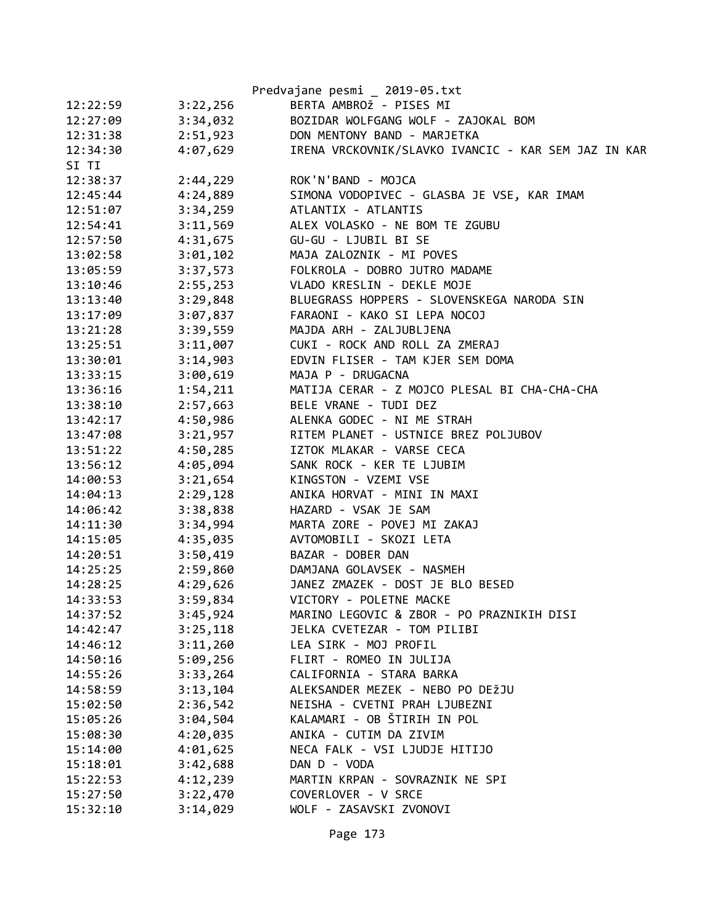|          |          | Predvajane pesmi _ 2019-05.txt                                                      |
|----------|----------|-------------------------------------------------------------------------------------|
| 12:22:59 | 3:22,256 | BERTA AMBROŽ - PISES MI                                                             |
| 12:27:09 | 3:34,032 | BOZIDAR WOLFGANG WOLF - ZAJOKAL BOM                                                 |
| 12:31:38 |          | 2:51,923 DON MENTONY BAND - MARJETKA                                                |
| 12:34:30 | 4:07,629 | IRENA VRCKOVNIK/SLAVKO IVANCIC - KAR SEM JAZ IN KAR                                 |
| SI TI    |          |                                                                                     |
| 12:38:37 | 2:44,229 | ROK'N'BAND - MOJCA                                                                  |
| 12:45:44 |          |                                                                                     |
| 12:51:07 |          | 4:24,889 SIMONA VODOPIVEC - GLASBA JE VSE, KAR IMAM<br>3:34,259 ATLANTIX - ATLANTIS |
| 12:54:41 | 3:11,569 | ALEX VOLASKO - NE BOM TE ZGUBU                                                      |
| 12:57:50 |          |                                                                                     |
| 13:02:58 |          | 3:01,102 MAJA ZALOZNIK - MI POVES                                                   |
| 13:05:59 |          | 3:37,573 FOLKROLA - DOBRO JUTRO MADAME                                              |
| 13:10:46 | 2:55,253 | VLADO KRESLIN - DEKLE MOJE                                                          |
| 13:13:40 | 3:29,848 | BLUEGRASS HOPPERS - SLOVENSKEGA NARODA SIN                                          |
| 13:17:09 | 3:07,837 | FARAONI - KAKO SI LEPA NOCOJ                                                        |
| 13:21:28 | 3:39,559 | MAJDA ARH - ZALJUBLJENA                                                             |
| 13:25:51 | 3:11,007 | CUKI - ROCK AND ROLL ZA ZMERAJ                                                      |
| 13:30:01 |          | 3:14,903 EDVIN FLISER - TAM KJER SEM DOMA                                           |
| 13:33:15 |          | 3:00,619 MAJA P - DRUGACNA                                                          |
| 13:36:16 | 1:54,211 | MATIJA CERAR - Z MOJCO PLESAL BI CHA-CHA-CHA                                        |
| 13:38:10 | 2:57,663 | BELE VRANE - TUDI DEZ                                                               |
| 13:42:17 | 4:50,986 | ALENKA GODEC - NI ME STRAH                                                          |
| 13:47:08 | 3:21,957 | RITEM PLANET - USTNICE BREZ POLJUBOV                                                |
| 13:51:22 | 4:50,285 | IZTOK MLAKAR - VARSE CECA                                                           |
| 13:56:12 |          | 4:05,094 SANK ROCK - KER TE LJUBIM                                                  |
| 14:00:53 |          | 3:21,654 KINGSTON - VZEMI VSE                                                       |
| 14:04:13 | 2:29,128 | ANIKA HORVAT - MINI IN MAXI                                                         |
| 14:06:42 | 3:38,838 | HAZARD - VSAK JE SAM                                                                |
| 14:11:30 | 3:34,994 | MARTA ZORE - POVEJ MI ZAKAJ                                                         |
| 14:15:05 | 4:35,035 | AVTOMOBILI - SKOZI LETA                                                             |
| 14:20:51 |          | 3:50,419 BAZAR - DOBER DAN                                                          |
| 14:25:25 |          | 2:59,860 DAMJANA GOLAVSEK - NASMEH                                                  |
| 14:28:25 |          | 4:29,626 JANEZ ZMAZEK - DOST JE BLO BESED                                           |
| 14:33:53 | 3:59,834 | VICTORY - POLETNE MACKE                                                             |
| 14:37:52 | 3:45,924 | MARINO LEGOVIC & ZBOR - PO PRAZNIKIH DISI                                           |
| 14:42:47 | 3:25,118 | JELKA CVETEZAR - TOM PILIBI                                                         |
| 14:46:12 | 3:11,260 | LEA SIRK - MOJ PROFIL                                                               |
| 14:50:16 | 5:09,256 | FLIRT - ROMEO IN JULIJA                                                             |
| 14:55:26 | 3:33,264 | CALIFORNIA - STARA BARKA                                                            |
| 14:58:59 | 3:13,104 | ALEKSANDER MEZEK - NEBO PO DEŽJU                                                    |
| 15:02:50 | 2:36,542 | NEISHA - CVETNI PRAH LJUBEZNI                                                       |
| 15:05:26 | 3:04,504 | KALAMARI - OB ŠTIRIH IN POL                                                         |
| 15:08:30 | 4:20,035 | ANIKA - CUTIM DA ZIVIM                                                              |
| 15:14:00 | 4:01,625 | NECA FALK - VSI LJUDJE HITIJO                                                       |
| 15:18:01 | 3:42,688 | DAN D - VODA                                                                        |
| 15:22:53 | 4:12,239 | MARTIN KRPAN - SOVRAZNIK NE SPI                                                     |
| 15:27:50 | 3:22,470 | COVERLOVER - V SRCE                                                                 |
| 15:32:10 | 3:14,029 | WOLF - ZASAVSKI ZVONOVI                                                             |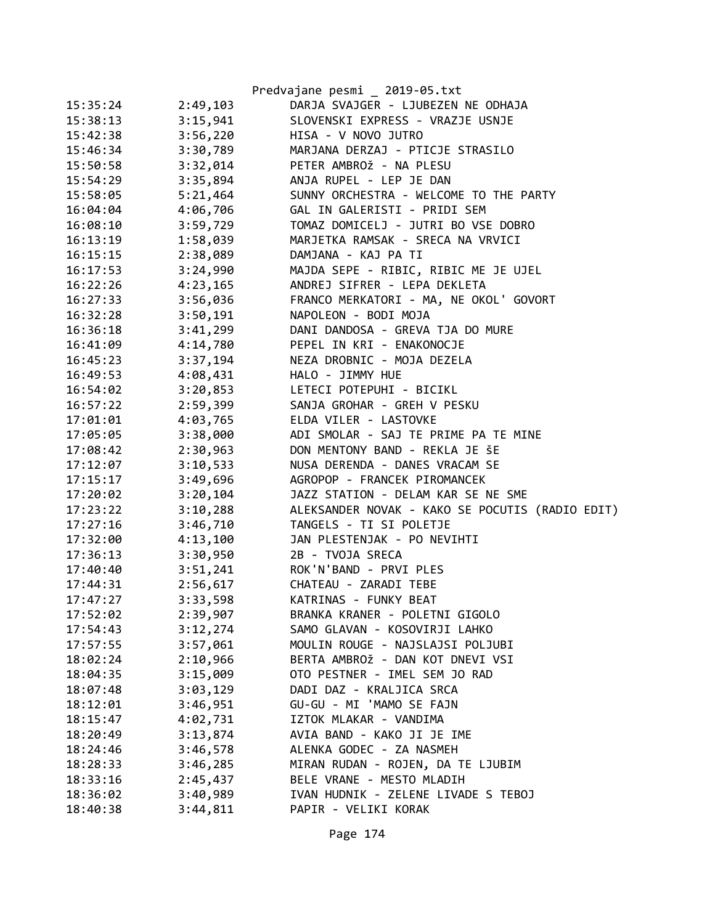|          |          | Predvajane pesmi _ 2019-05.txt                  |
|----------|----------|-------------------------------------------------|
| 15:35:24 | 2:49,103 | DARJA SVAJGER - LJUBEZEN NE ODHAJA              |
| 15:38:13 | 3:15,941 | SLOVENSKI EXPRESS - VRAZJE USNJE                |
| 15:42:38 | 3:56,220 | HISA - V NOVO JUTRO                             |
| 15:46:34 | 3:30,789 | MARJANA DERZAJ - PTICJE STRASILO                |
| 15:50:58 | 3:32,014 | PETER AMBROŽ - NA PLESU                         |
| 15:54:29 | 3:35,894 | ANJA RUPEL - LEP JE DAN                         |
| 15:58:05 | 5:21,464 | SUNNY ORCHESTRA - WELCOME TO THE PARTY          |
| 16:04:04 | 4:06,706 | GAL IN GALERISTI - PRIDI SEM                    |
| 16:08:10 | 3:59,729 | TOMAZ DOMICELJ - JUTRI BO VSE DOBRO             |
| 16:13:19 | 1:58,039 | MARJETKA RAMSAK - SRECA NA VRVICI               |
| 16:15:15 | 2:38,089 | DAMJANA - KAJ PA TI                             |
| 16:17:53 | 3:24,990 | MAJDA SEPE - RIBIC, RIBIC ME JE UJEL            |
| 16:22:26 | 4:23,165 | ANDREJ SIFRER - LEPA DEKLETA                    |
| 16:27:33 | 3:56,036 | FRANCO MERKATORI - MA, NE OKOL' GOVORT          |
| 16:32:28 | 3:50,191 | NAPOLEON - BODI MOJA                            |
| 16:36:18 | 3:41,299 | DANI DANDOSA - GREVA TJA DO MURE                |
| 16:41:09 | 4:14,780 | PEPEL IN KRI - ENAKONOCJE                       |
| 16:45:23 | 3:37,194 | NEZA DROBNIC - MOJA DEZELA                      |
| 16:49:53 | 4:08,431 | HALO - JIMMY HUE                                |
| 16:54:02 | 3:20,853 | LETECI POTEPUHI - BICIKL                        |
| 16:57:22 | 2:59,399 | SANJA GROHAR - GREH V PESKU                     |
| 17:01:01 | 4:03,765 | ELDA VILER - LASTOVKE                           |
| 17:05:05 | 3:38,000 | ADI SMOLAR - SAJ TE PRIME PA TE MINE            |
| 17:08:42 | 2:30,963 | DON MENTONY BAND - REKLA JE ŠE                  |
| 17:12:07 | 3:10,533 | NUSA DERENDA - DANES VRACAM SE                  |
| 17:15:17 | 3:49,696 | AGROPOP - FRANCEK PIROMANCEK                    |
| 17:20:02 | 3:20,104 | JAZZ STATION - DELAM KAR SE NE SME              |
| 17:23:22 | 3:10,288 | ALEKSANDER NOVAK - KAKO SE POCUTIS (RADIO EDIT) |
| 17:27:16 | 3:46,710 | TANGELS - TI SI POLETJE                         |
| 17:32:00 | 4:13,100 | JAN PLESTENJAK - PO NEVIHTI                     |
| 17:36:13 | 3:30,950 | 2B - TVOJA SRECA                                |
| 17:40:40 | 3:51,241 | ROK'N'BAND - PRVI PLES                          |
| 17:44:31 | 2:56,617 | CHATEAU - ZARADI TEBE                           |
| 17:47:27 | 3:33,598 | KATRINAS - FUNKY BEAT                           |
| 17:52:02 | 2:39,907 | BRANKA KRANER - POLETNI GIGOLO                  |
| 17:54:43 | 3:12,274 | SAMO GLAVAN - KOSOVIRJI LAHKO                   |
| 17:57:55 | 3:57,061 | MOULIN ROUGE - NAJSLAJSI POLJUBI                |
| 18:02:24 | 2:10,966 | BERTA AMBROŽ - DAN KOT DNEVI VSI                |
| 18:04:35 | 3:15,009 | OTO PESTNER - IMEL SEM JO RAD                   |
| 18:07:48 | 3:03,129 | DADI DAZ - KRALJICA SRCA                        |
| 18:12:01 | 3:46,951 | GU-GU - MI 'MAMO SE FAJN                        |
| 18:15:47 | 4:02,731 | IZTOK MLAKAR - VANDIMA                          |
| 18:20:49 | 3:13,874 | AVIA BAND - KAKO JI JE IME                      |
| 18:24:46 | 3:46,578 | ALENKA GODEC - ZA NASMEH                        |
| 18:28:33 | 3:46,285 | MIRAN RUDAN - ROJEN, DA TE LJUBIM               |
| 18:33:16 | 2:45,437 | BELE VRANE - MESTO MLADIH                       |
| 18:36:02 | 3:40,989 | IVAN HUDNIK - ZELENE LIVADE S TEBOJ             |
| 18:40:38 | 3:44,811 | PAPIR - VELIKI KORAK                            |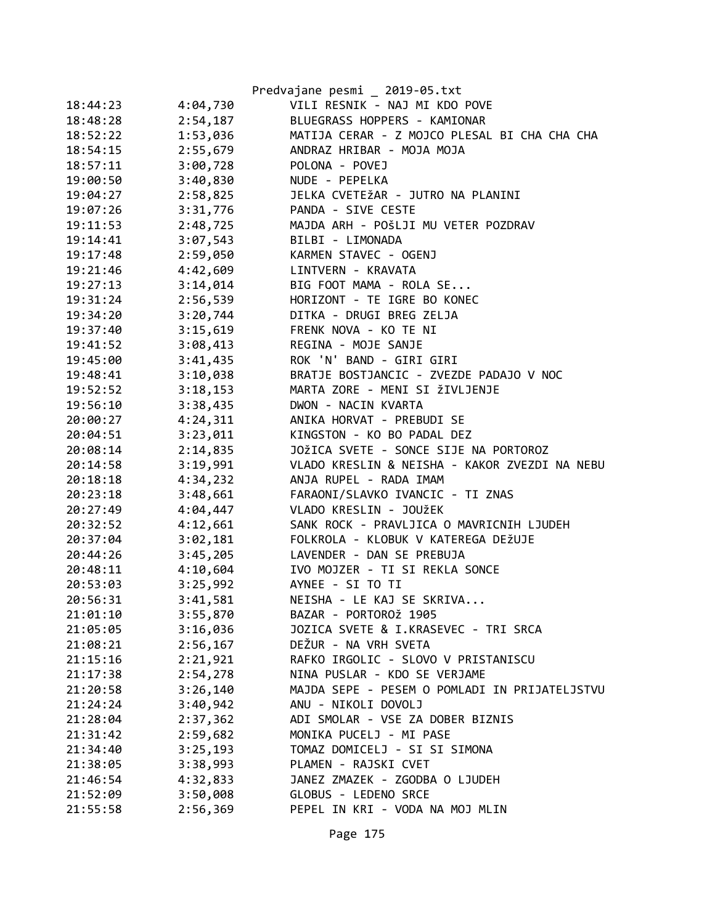|          |          | Predvajane pesmi _ 2019-05.txt                |
|----------|----------|-----------------------------------------------|
| 18:44:23 | 4:04,730 | VILI RESNIK - NAJ MI KDO POVE                 |
| 18:48:28 | 2:54,187 | BLUEGRASS HOPPERS - KAMIONAR                  |
| 18:52:22 | 1:53,036 | MATIJA CERAR - Z MOJCO PLESAL BI CHA CHA CHA  |
| 18:54:15 | 2:55,679 | ANDRAZ HRIBAR - MOJA MOJA                     |
| 18:57:11 | 3:00,728 | POLONA - POVEJ                                |
| 19:00:50 | 3:40,830 | NUDE - PEPELKA                                |
| 19:04:27 | 2:58,825 | JELKA CVETEŽAR - JUTRO NA PLANINI             |
| 19:07:26 | 3:31,776 | PANDA - SIVE CESTE                            |
| 19:11:53 | 2:48,725 | MAJDA ARH - POŠLJI MU VETER POZDRAV           |
| 19:14:41 | 3:07,543 | BILBI - LIMONADA                              |
| 19:17:48 | 2:59,050 | KARMEN STAVEC - OGENJ                         |
| 19:21:46 | 4:42,609 | LINTVERN - KRAVATA                            |
| 19:27:13 | 3:14,014 | BIG FOOT MAMA - ROLA SE                       |
| 19:31:24 | 2:56,539 | HORIZONT - TE IGRE BO KONEC                   |
| 19:34:20 | 3:20,744 | DITKA - DRUGI BREG ZELJA                      |
| 19:37:40 | 3:15,619 | FRENK NOVA - KO TE NI                         |
| 19:41:52 | 3:08,413 | REGINA - MOJE SANJE                           |
| 19:45:00 | 3:41,435 | ROK 'N' BAND - GIRI GIRI                      |
| 19:48:41 | 3:10,038 | BRATJE BOSTJANCIC - ZVEZDE PADAJO V NOC       |
| 19:52:52 | 3:18,153 | MARTA ZORE - MENI SI ŽIVLJENJE                |
| 19:56:10 | 3:38,435 | DWON - NACIN KVARTA                           |
| 20:00:27 | 4:24,311 | ANIKA HORVAT - PREBUDI SE                     |
| 20:04:51 | 3:23,011 | KINGSTON - KO BO PADAL DEZ                    |
| 20:08:14 | 2:14,835 | JOŽICA SVETE - SONCE SIJE NA PORTOROZ         |
| 20:14:58 | 3:19,991 | VLADO KRESLIN & NEISHA - KAKOR ZVEZDI NA NEBU |
| 20:18:18 | 4:34,232 | ANJA RUPEL - RADA IMAM                        |
| 20:23:18 | 3:48,661 | FARAONI/SLAVKO IVANCIC - TI ZNAS              |
| 20:27:49 | 4:04,447 | VLADO KRESLIN - JOUŽEK                        |
| 20:32:52 | 4:12,661 | SANK ROCK - PRAVLJICA O MAVRICNIH LJUDEH      |
| 20:37:04 | 3:02,181 | FOLKROLA - KLOBUK V KATEREGA DEŽUJE           |
| 20:44:26 | 3:45,205 | LAVENDER - DAN SE PREBUJA                     |
| 20:48:11 | 4:10,604 | IVO MOJZER - TI SI REKLA SONCE                |
| 20:53:03 | 3:25,992 | AYNEE - SI TO TI                              |
| 20:56:31 | 3:41,581 | NEISHA - LE KAJ SE SKRIVA                     |
| 21:01:10 | 3:55,870 | BAZAR - PORTOROŽ 1905                         |
| 21:05:05 | 3:16,036 | JOZICA SVETE & I.KRASEVEC - TRI SRCA          |
| 21:08:21 | 2:56,167 | DEŽUR - NA VRH SVETA                          |
| 21:15:16 | 2:21,921 | RAFKO IRGOLIC - SLOVO V PRISTANISCU           |
| 21:17:38 | 2:54,278 | NINA PUSLAR - KDO SE VERJAME                  |
| 21:20:58 | 3:26,140 | MAJDA SEPE - PESEM O POMLADI IN PRIJATELJSTVU |
| 21:24:24 | 3:40,942 | ANU - NIKOLI DOVOLJ                           |
| 21:28:04 | 2:37,362 | ADI SMOLAR - VSE ZA DOBER BIZNIS              |
| 21:31:42 | 2:59,682 | MONIKA PUCELJ - MI PASE                       |
| 21:34:40 | 3:25,193 | TOMAZ DOMICELJ - SI SI SIMONA                 |
| 21:38:05 | 3:38,993 | PLAMEN - RAJSKI CVET                          |
| 21:46:54 | 4:32,833 | JANEZ ZMAZEK - ZGODBA O LJUDEH                |
| 21:52:09 | 3:50,008 | GLOBUS - LEDENO SRCE                          |
| 21:55:58 | 2:56,369 | PEPEL IN KRI - VODA NA MOJ MLIN               |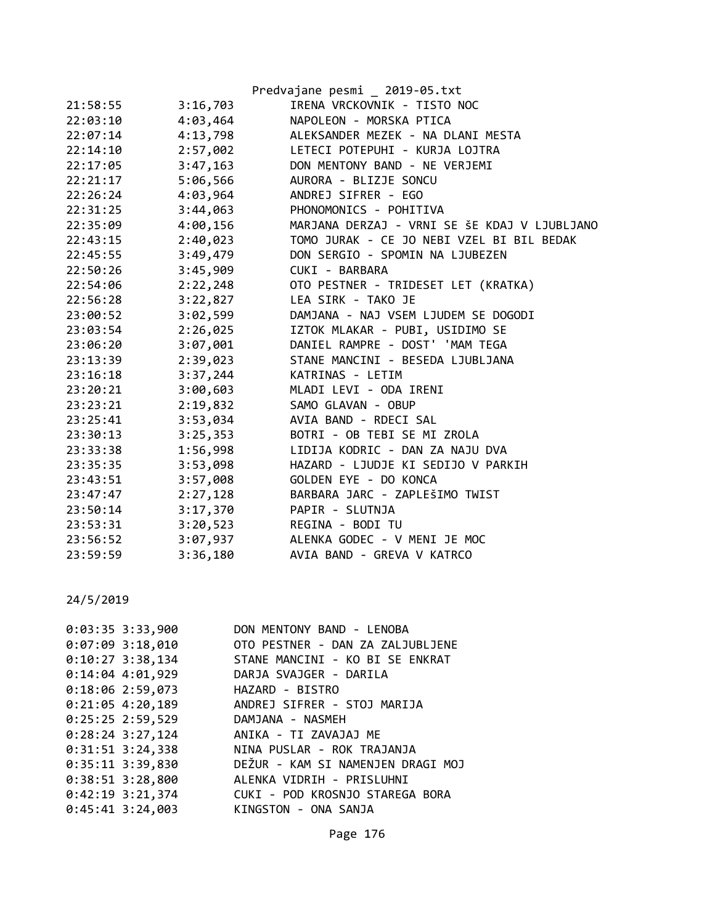|          |          | Predvajane pesmi _ 2019-05.txt               |
|----------|----------|----------------------------------------------|
| 21:58:55 | 3:16,703 | IRENA VRCKOVNIK - TISTO NOC                  |
| 22:03:10 | 4:03,464 | NAPOLEON - MORSKA PTICA                      |
| 22:07:14 | 4:13,798 | ALEKSANDER MEZEK - NA DLANI MESTA            |
| 22:14:10 | 2:57,002 | LETECI POTEPUHI - KURJA LOJTRA               |
| 22:17:05 | 3:47,163 | DON MENTONY BAND - NE VERJEMI                |
| 22:21:17 | 5:06,566 | AURORA - BLIZJE SONCU                        |
| 22:26:24 | 4:03,964 | ANDREJ SIFRER - EGO                          |
| 22:31:25 | 3:44,063 | PHONOMONICS - POHITIVA                       |
| 22:35:09 | 4:00,156 | MARJANA DERZAJ - VRNI SE ŠE KDAJ V LJUBLJANO |
| 22:43:15 | 2:40,023 | TOMO JURAK - CE JO NEBI VZEL BI BIL BEDAK    |
| 22:45:55 | 3:49,479 | DON SERGIO - SPOMIN NA LJUBEZEN              |
| 22:50:26 | 3:45,909 | CUKI - BARBARA                               |
| 22:54:06 | 2:22,248 | OTO PESTNER - TRIDESET LET (KRATKA)          |
| 22:56:28 | 3:22,827 | LEA SIRK - TAKO JE                           |
| 23:00:52 | 3:02,599 | DAMJANA - NAJ VSEM LJUDEM SE DOGODI          |
| 23:03:54 | 2:26,025 | IZTOK MLAKAR - PUBI, USIDIMO SE              |
| 23:06:20 | 3:07,001 | DANIEL RAMPRE - DOST' 'MAM TEGA              |
| 23:13:39 | 2:39,023 | STANE MANCINI - BESEDA LJUBLJANA             |
| 23:16:18 | 3:37,244 | KATRINAS - LETIM                             |
| 23:20:21 | 3:00,603 | MLADI LEVI - ODA IRENI                       |
| 23:23:21 | 2:19,832 | SAMO GLAVAN - OBUP                           |
| 23:25:41 | 3:53,034 | AVIA BAND - RDECI SAL                        |
| 23:30:13 | 3:25,353 | BOTRI - OB TEBI SE MI ZROLA                  |
| 23:33:38 | 1:56,998 | LIDIJA KODRIC - DAN ZA NAJU DVA              |
| 23:35:35 | 3:53,098 | HAZARD - LJUDJE KI SEDIJO V PARKIH           |
| 23:43:51 | 3:57,008 | GOLDEN EYE - DO KONCA                        |
| 23:47:47 | 2:27,128 | BARBARA JARC - ZAPLEŠIMO TWIST               |
| 23:50:14 | 3:17,370 | PAPIR - SLUTNJA                              |
| 23:53:31 | 3:20,523 | REGINA - BODI TU                             |
| 23:56:52 | 3:07,937 | ALENKA GODEC - V MENI JE MOC                 |
| 23:59:59 | 3:36,180 | AVIA BAND - GREVA V KATRCO                   |

| $0:03:35$ 3:33,900 | DON MENTONY BAND - LENOBA                         |
|--------------------|---------------------------------------------------|
|                    | 0:07:09 3:18,010 OTO PESTNER - DAN ZA ZALJUBLJENE |
| $0:10:27$ 3:38,134 | STANE MANCINI - KO BI SE ENKRAT                   |
| $0:14:04$ 4:01,929 | DARJA SVAJGER - DARILA                            |
| $0:18:06$ 2:59,073 | HAZARD - BISTRO                                   |
| $0:21:05$ 4:20,189 | ANDREJ SIFRER - STOJ MARIJA                       |
| $0:25:25$ 2:59,529 | DAMJANA - NASMEH                                  |
| $0:28:24$ 3:27,124 | ANIKA - TI ZAVAJAJ ME                             |
| $0:31:51$ 3:24,338 | NINA PUSLAR - ROK TRAJANJA                        |
| $0:35:11$ 3:39,830 | DEŽUR - KAM SI NAMENJEN DRAGI MOJ                 |
| $0:38:51$ 3:28,800 | ALENKA VIDRIH - PRISLUHNI                         |
| $0:42:19$ 3:21,374 | CUKI - POD KROSNJO STAREGA BORA                   |
| $0:45:41$ 3:24,003 | KINGSTON - ONA SANJA                              |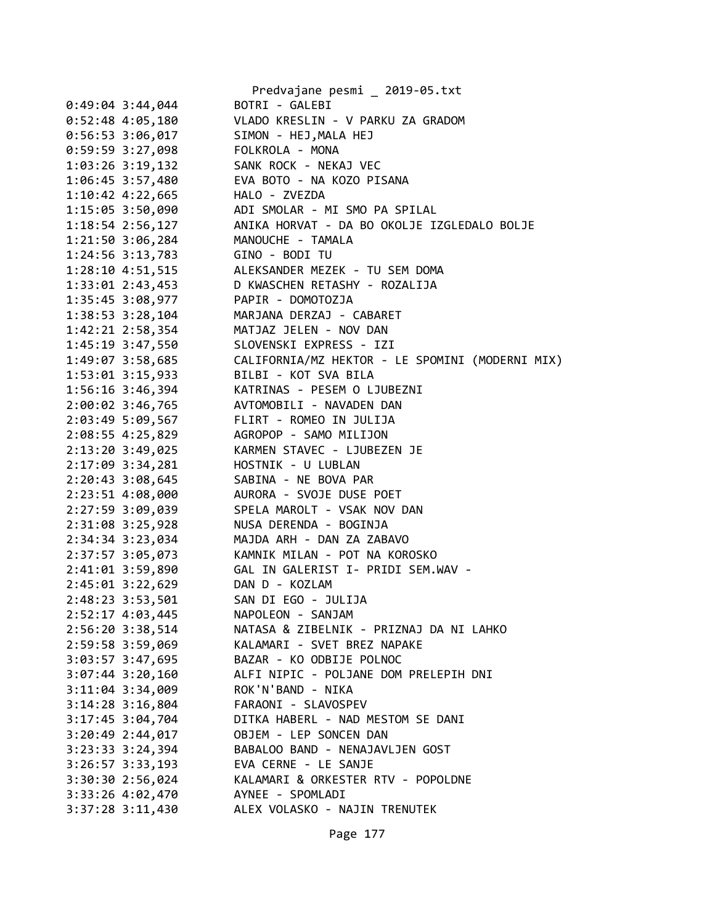|                        | Predvajane pesmi _ 2019-05.txt                  |
|------------------------|-------------------------------------------------|
| $0:49:04$ 3:44,044     | BOTRI - GALEBI                                  |
| $0:52:48$ 4:05,180     | VLADO KRESLIN - V PARKU ZA GRADOM               |
| $0:56:53$ 3:06,017     | SIMON - HEJ, MALA HEJ                           |
| 0:59:59 3:27,098       | FOLKROLA - MONA                                 |
| 1:03:26 3:19,132       | SANK ROCK - NEKAJ VEC                           |
| 1:06:45 3:57,480       | EVA BOTO - NA KOZO PISANA                       |
| 1:10:42 4:22,665       | HALO - ZVEZDA                                   |
| 1:15:05 3:50,090       | ADI SMOLAR - MI SMO PA SPILAL                   |
| $1:18:54$ $2:56,127$   | ANIKA HORVAT - DA BO OKOLJE IZGLEDALO BOLJE     |
| 1:21:50 3:06,284       | MANOUCHE - TAMALA                               |
| $1:24:56$ $3:13,783$   | GINO - BODI TU                                  |
| 1:28:10 4:51,515       | ALEKSANDER MEZEK - TU SEM DOMA                  |
| 1:33:01 2:43,453       | D KWASCHEN RETASHY - ROZALIJA                   |
| 1:35:45 3:08,977       | PAPIR - DOMOTOZJA                               |
| 1:38:53 3:28,104       | MARJANA DERZAJ - CABARET                        |
| $1:42:21$ $2:58,354$   | MATJAZ JELEN - NOV DAN                          |
| 1:45:19 3:47,550       | SLOVENSKI EXPRESS - IZI                         |
| 1:49:07 3:58,685       | CALIFORNIA/MZ HEKTOR - LE SPOMINI (MODERNI MIX) |
| $1:53:01$ $3:15,933$   | BILBI - KOT SVA BILA                            |
| $1:56:16$ 3:46,394     | KATRINAS - PESEM O LJUBEZNI                     |
| 2:00:02 3:46,765       | AVTOMOBILI - NAVADEN DAN                        |
| 2:03:49 5:09,567       | FLIRT - ROMEO IN JULIJA                         |
|                        |                                                 |
| 2:08:55 4:25,829       | AGROPOP - SAMO MILIJON                          |
| 2:13:20 3:49,025       | KARMEN STAVEC - LJUBEZEN JE                     |
| 2:17:09 3:34,281       | HOSTNIK - U LUBLAN                              |
| 2:20:43 3:08,645       | SABINA - NE BOVA PAR                            |
| 2:23:51 4:08,000       | AURORA - SVOJE DUSE POET                        |
| 2:27:59 3:09,039       | SPELA MAROLT - VSAK NOV DAN                     |
| 2:31:08 3:25,928       | NUSA DERENDA - BOGINJA                          |
| 2:34:34 3:23,034       | MAJDA ARH - DAN ZA ZABAVO                       |
| 2:37:57 3:05,073       | KAMNIK MILAN - POT NA KOROSKO                   |
| 2:41:01 3:59,890       | GAL IN GALERIST I- PRIDI SEM.WAV -              |
| $2:45:01$ $3:22,629$   | DAN D - KOZLAM                                  |
| 2:48:23 3:53,501       | SAN DI EGO - JULIJA                             |
| 2:52:17 4:03,445       | NAPOLEON - SANJAM                               |
| 2:56:20 3:38,514       | NATASA & ZIBELNIK - PRIZNAJ DA NI LAHKO         |
| 2:59:58 3:59,069       | KALAMARI - SVET BREZ NAPAKE                     |
| 3:03:57 3:47,695       | BAZAR - KO ODBIJE POLNOC                        |
| $3:07:44$ $3:20,160$   | ALFI NIPIC - POLJANE DOM PRELEPIH DNI           |
| $3:11:04$ $3:34,009$   | ROK'N'BAND - NIKA                               |
| $3:14:28$ $3:16,804$   | FARAONI - SLAVOSPEV                             |
| $3:17:45$ $3:04$ , 704 | DITKA HABERL - NAD MESTOM SE DANI               |
| $3:20:49$ 2:44,017     | OBJEM - LEP SONCEN DAN                          |
| $3:23:33$ $3:24$ , 394 | BABALOO BAND - NENAJAVLJEN GOST                 |
| $3:26:57$ $3:33,193$   | EVA CERNE - LE SANJE                            |
| $3:30:30$ 2:56,024     | KALAMARI & ORKESTER RTV - POPOLDNE              |
| 3:33:26 4:02,470       | AYNEE - SPOMLADI                                |
| $3:37:28$ $3:11,430$   | ALEX VOLASKO - NAJIN TRENUTEK                   |
|                        |                                                 |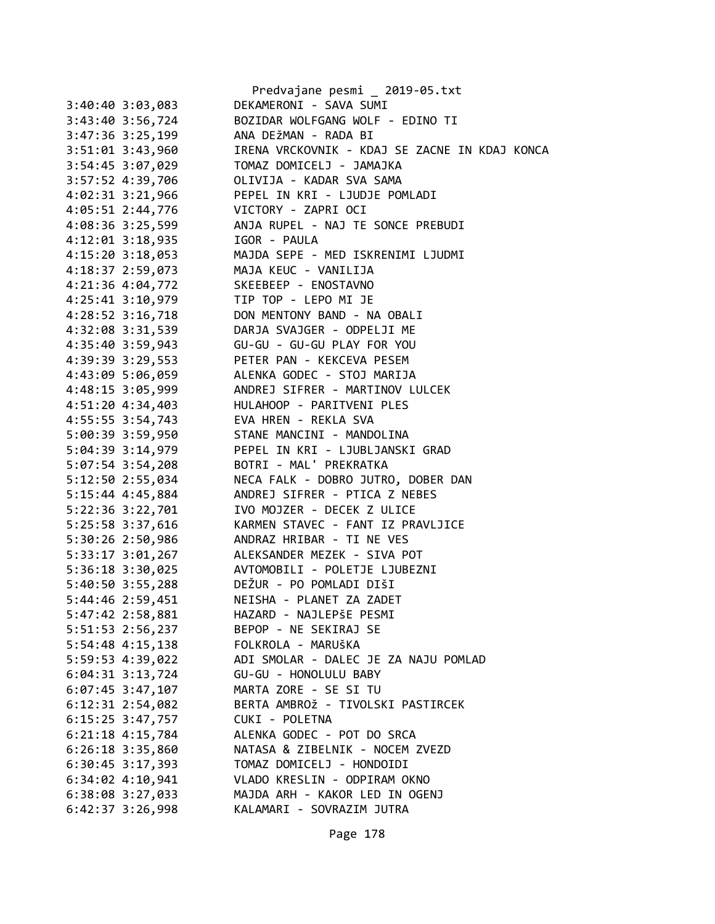|                      | Predvajane pesmi _ 2019-05.txt                 |
|----------------------|------------------------------------------------|
| $3:40:40$ $3:03,083$ | DEKAMERONI - SAVA SUMI                         |
| 3:43:40 3:56,724     | BOZIDAR WOLFGANG WOLF - EDINO TI               |
| $3:47:36$ $3:25,199$ | ANA DEŽMAN - RADA BI                           |
| 3:51:01 3:43,960     | IRENA VRCKOVNIK - KDAJ SE ZACNE IN KDAJ KONCA  |
| 3:54:45 3:07,029     | TOMAZ DOMICELJ - JAMAJKA                       |
| 3:57:52 4:39,706     | OLIVIJA - KADAR SVA SAMA                       |
| 4:02:31 3:21,966     | PEPEL IN KRI - LJUDJE POMLADI                  |
| 4:05:51 2:44,776     | VICTORY - ZAPRI OCI                            |
| 4:08:36 3:25,599     | ANJA RUPEL - NAJ TE SONCE PREBUDI              |
| 4:12:01 3:18,935     | IGOR - PAULA                                   |
| $4:15:20$ 3:18,053   | MAJDA SEPE - MED ISKRENIMI LJUDMI              |
| 4:18:37 2:59,073     | MAJA KEUC - VANILIJA                           |
| 4:21:36 4:04,772     | SKEEBEEP - ENOSTAVNO                           |
| 4:25:41 3:10,979     | TIP TOP - LEPO MI JE                           |
| 4:28:52 3:16,718     | DON MENTONY BAND - NA OBALI                    |
| 4:32:08 3:31,539     | DARJA SVAJGER - ODPELJI ME                     |
|                      | GU-GU - GU-GU PLAY FOR YOU                     |
| 4:35:40 3:59,943     |                                                |
| 4:39:39 3:29,553     | PETER PAN - KEKCEVA PESEM                      |
| 4:43:09 5:06,059     | ALENKA GODEC - STOJ MARIJA                     |
| 4:48:15 3:05,999     | ANDREJ SIFRER - MARTINOV LULCEK                |
| 4:51:20 4:34,403     | HULAHOOP - PARITVENI PLES                      |
| 4:55:55 3:54,743     | EVA HREN - REKLA SVA                           |
| 5:00:39 3:59,950     | STANE MANCINI - MANDOLINA                      |
| 5:04:39 3:14,979     | PEPEL IN KRI - LJUBLJANSKI GRAD                |
| 5:07:54 3:54,208     | BOTRI - MAL' PREKRATKA                         |
| 5:12:50 2:55,034     | NECA FALK - DOBRO JUTRO, DOBER DAN             |
| 5:15:44 4:45,884     | ANDREJ SIFRER - PTICA Z NEBES                  |
| 5:22:36 3:22,701     | IVO MOJZER - DECEK Z ULICE                     |
| 5:25:58 3:37,616     | KARMEN STAVEC - FANT IZ PRAVLJICE              |
| 5:30:26 2:50,986     | ANDRAZ HRIBAR - TI NE VES                      |
| 5:33:17 3:01,267     | ALEKSANDER MEZEK - SIVA POT                    |
|                      | 5:36:18 3:30,025 AVTOMOBILI - POLETJE LJUBEZNI |
|                      | 5:40:50 3:55,288 DEŽUR - PO POMLADI DIŠI       |
| 5:44:46 2:59,451     | NEISHA - PLANET ZA ZADET                       |
| 5:47:42 2:58,881     | HAZARD - NAJLEPŠE PESMI                        |
| 5:51:53 2:56,237     | BEPOP - NE SEKIRAJ SE                          |
| 5:54:48 4:15,138     | FOLKROLA - MARUŠKA                             |
| 5:59:53 4:39,022     | ADI SMOLAR - DALEC JE ZA NAJU POMLAD           |
| $6:04:31$ $3:13,724$ | GU-GU - HONOLULU BABY                          |
| $6:07:45$ 3:47,107   | MARTA ZORE - SE SI TU                          |
| 6:12:31 2:54,082     | BERTA AMBROŽ - TIVOLSKI PASTIRCEK              |
| $6:15:25$ 3:47,757   | CUKI - POLETNA                                 |
| $6:21:18$ $4:15,784$ | ALENKA GODEC - POT DO SRCA                     |
| $6:26:18$ 3:35,860   | NATASA & ZIBELNIK - NOCEM ZVEZD                |
| $6:30:45$ 3:17,393   | TOMAZ DOMICELJ - HONDOIDI                      |
| $6:34:02$ $4:10,941$ | VLADO KRESLIN - ODPIRAM OKNO                   |
| 6:38:08 3:27,033     | MAJDA ARH - KAKOR LED IN OGENJ                 |
| $6:42:37$ 3:26,998   | KALAMARI - SOVRAZIM JUTRA                      |
|                      |                                                |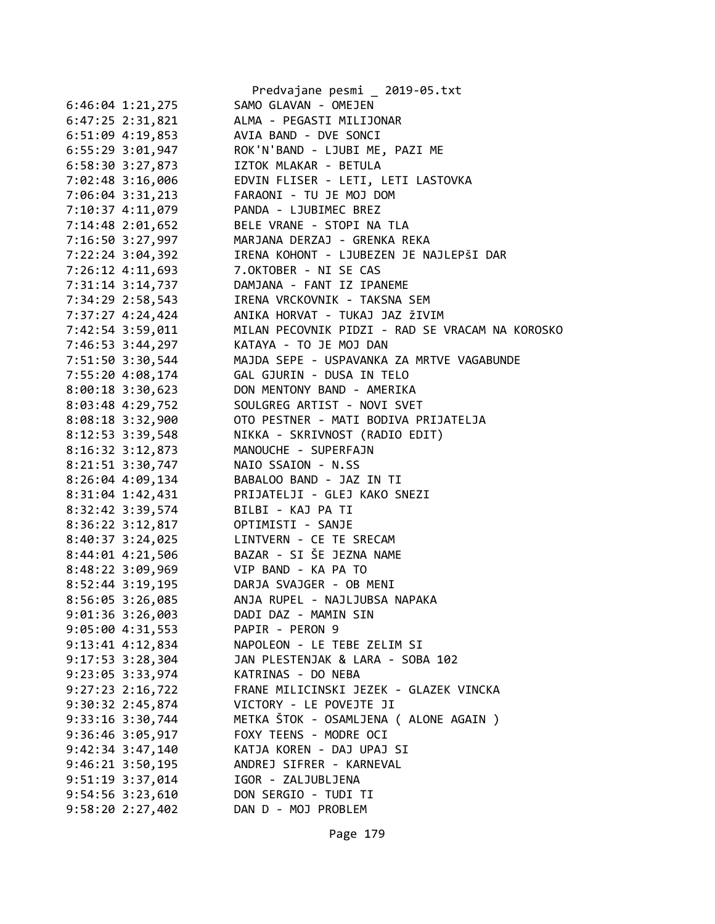|                                            | Predvajane pesmi _ 2019-05.txt                  |
|--------------------------------------------|-------------------------------------------------|
| $6:46:04$ 1:21,275                         | SAMO GLAVAN - OMEJEN                            |
| 6:47:25 2:31,821                           | ALMA - PEGASTI MILIJONAR                        |
| 6:51:09 4:19,853                           | AVIA BAND - DVE SONCI                           |
| 6:55:29 3:01,947                           | ROK'N'BAND - LJUBI ME, PAZI ME                  |
| 6:58:30 3:27,873                           | IZTOK MLAKAR - BETULA                           |
| 7:02:48 3:16,006                           | EDVIN FLISER - LETI, LETI LASTOVKA              |
| 7:06:04 3:31,213                           | FARAONI - TU JE MOJ DOM                         |
| 7:10:37 4:11,079                           | PANDA - LJUBIMEC BREZ                           |
| 7:14:48 2:01,652                           | BELE VRANE - STOPI NA TLA                       |
| 7:16:50 3:27,997                           | MARJANA DERZAJ - GRENKA REKA                    |
| 7:22:24 3:04,392                           | IRENA KOHONT - LJUBEZEN JE NAJLEPŠI DAR         |
| 7:26:12 4:11,693                           | 7.OKTOBER - NI SE CAS                           |
| 7:31:14 3:14,737                           | DAMJANA - FANT IZ IPANEME                       |
| 7:34:29 2:58,543                           | IRENA VRCKOVNIK - TAKSNA SEM                    |
|                                            | ANIKA HORVAT - TUKAJ JAZ ŽIVIM                  |
| 7:37:27 4:24,424                           |                                                 |
| 7:42:54 3:59,011                           | MILAN PECOVNIK PIDZI - RAD SE VRACAM NA KOROSKO |
| 7:46:53 3:44,297                           | KATAYA - TO JE MOJ DAN                          |
| 7:51:50 3:30,544                           | MAJDA SEPE - USPAVANKA ZA MRTVE VAGABUNDE       |
| 7:55:20 4:08,174                           | GAL GJURIN - DUSA IN TELO                       |
| $8:00:18$ 3:30,623                         | DON MENTONY BAND - AMERIKA                      |
| 8:03:48 4:29,752                           | SOULGREG ARTIST - NOVI SVET                     |
| $8:08:18$ 3:32,900                         | OTO PESTNER - MATI BODIVA PRIJATELJA            |
| 8:12:53 3:39,548                           | NIKKA - SKRIVNOST (RADIO EDIT)                  |
| $8:16:32$ $3:12,873$                       | MANOUCHE - SUPERFAJN                            |
| 8:21:51 3:30,747                           | NAIO SSAION - N.SS                              |
| 8:26:04 4:09,134                           | BABALOO BAND - JAZ IN TI                        |
| 8:31:04 1:42,431                           | PRIJATELJI - GLEJ KAKO SNEZI                    |
| 8:32:42 3:39,574                           | BILBI - KAJ PA TI                               |
| 8:36:22 3:12,817                           | OPTIMISTI - SANJE                               |
| 8:40:37 3:24,025                           | LINTVERN - CE TE SRECAM                         |
|                                            | 8:44:01 4:21,506 BAZAR - SI ŠE JEZNA NAME       |
| 8:48:22 3:09,969 VIP BAND - KA PA TO       |                                                 |
|                                            | 8:52:44 3:19,195 DARJA SVAJGER - OB MENI        |
| 8:56:05 3:26,085                           | ANJA RUPEL - NAJLJUBSA NAPAKA                   |
| 9:01:36 3:26,003                           |                                                 |
|                                            | DADI DAZ - MAMIN SIN                            |
|                                            |                                                 |
| $9:05:00$ 4:31,553                         | PAPIR - PERON 9                                 |
| $9:13:41$ $4:12,834$                       | NAPOLEON - LE TEBE ZELIM SI                     |
| $9:17:53$ $3:28,304$                       | JAN PLESTENJAK & LARA - SOBA 102                |
| 9:23:05 3:33,974                           | KATRINAS - DO NEBA                              |
| $9:27:23$ $2:16,722$                       | FRANE MILICINSKI JEZEK - GLAZEK VINCKA          |
| 9:30:32 2:45,874                           | VICTORY - LE POVEJTE JI                         |
| $9:33:16$ $3:30,744$                       | METKA ŠTOK - OSAMLJENA ( ALONE AGAIN )          |
| $9:36:46$ $3:05,917$                       | FOXY TEENS - MODRE OCI                          |
| $9:42:34$ $3:47,140$                       | KATJA KOREN - DAJ UPAJ SI                       |
| $9:46:21$ $3:50,195$                       | ANDREJ SIFRER - KARNEVAL                        |
| 9:51:19 3:37,014                           | IGOR - ZALJUBLJENA                              |
| $9:54:56$ $3:23,610$<br>$9:58:20$ 2:27,402 | DON SERGIO - TUDI TI<br>DAN D - MOJ PROBLEM     |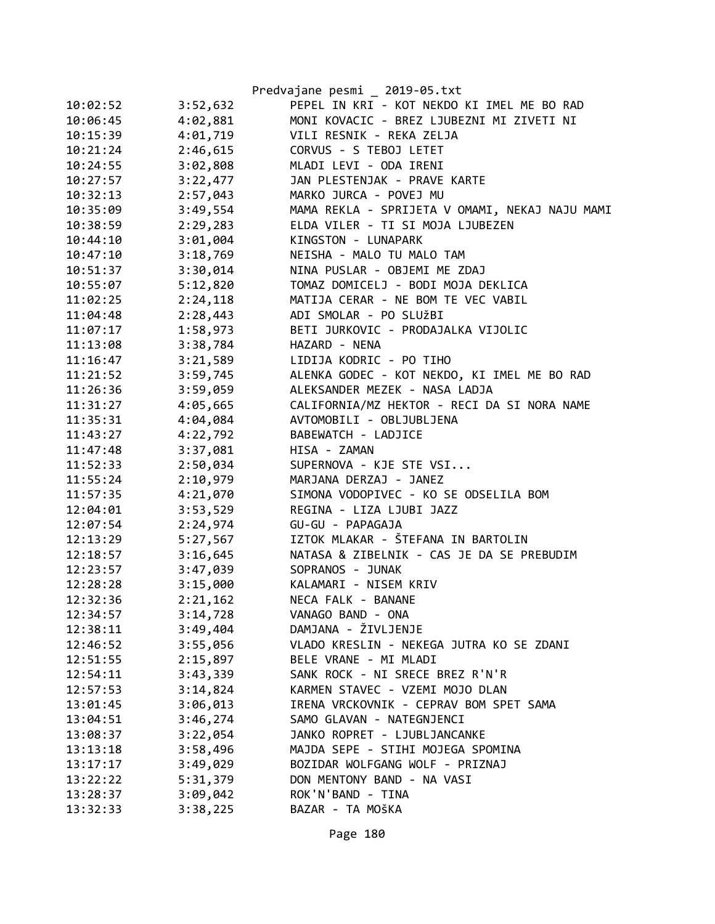|          |          | Predvajane pesmi _ 2019-05.txt                 |
|----------|----------|------------------------------------------------|
| 10:02:52 | 3:52,632 | PEPEL IN KRI - KOT NEKDO KI IMEL ME BO RAD     |
| 10:06:45 | 4:02,881 | MONI KOVACIC - BREZ LJUBEZNI MI ZIVETI NI      |
| 10:15:39 | 4:01,719 | VILI RESNIK - REKA ZELJA                       |
| 10:21:24 | 2:46,615 | CORVUS - S TEBOJ LETET                         |
| 10:24:55 | 3:02,808 | MLADI LEVI - ODA IRENI                         |
| 10:27:57 | 3:22,477 | JAN PLESTENJAK - PRAVE KARTE                   |
| 10:32:13 | 2:57,043 | MARKO JURCA - POVEJ MU                         |
| 10:35:09 | 3:49,554 | MAMA REKLA - SPRIJETA V OMAMI, NEKAJ NAJU MAMI |
| 10:38:59 | 2:29,283 | ELDA VILER - TI SI MOJA LJUBEZEN               |
| 10:44:10 | 3:01,004 | KINGSTON - LUNAPARK                            |
| 10:47:10 | 3:18,769 | NEISHA - MALO TU MALO TAM                      |
| 10:51:37 | 3:30,014 | NINA PUSLAR - OBJEMI ME ZDAJ                   |
| 10:55:07 | 5:12,820 | TOMAZ DOMICELJ - BODI MOJA DEKLICA             |
| 11:02:25 | 2:24,118 | MATIJA CERAR - NE BOM TE VEC VABIL             |
| 11:04:48 | 2:28,443 | ADI SMOLAR - PO SLUŽBI                         |
| 11:07:17 | 1:58,973 | BETI JURKOVIC - PRODAJALKA VIJOLIC             |
| 11:13:08 | 3:38,784 | HAZARD - NENA                                  |
| 11:16:47 | 3:21,589 | LIDIJA KODRIC - PO TIHO                        |
| 11:21:52 | 3:59,745 | ALENKA GODEC - KOT NEKDO, KI IMEL ME BO RAD    |
| 11:26:36 | 3:59,059 | ALEKSANDER MEZEK - NASA LADJA                  |
| 11:31:27 | 4:05,665 | CALIFORNIA/MZ HEKTOR - RECI DA SI NORA NAME    |
| 11:35:31 | 4:04,084 | AVTOMOBILI - OBLJUBLJENA                       |
| 11:43:27 | 4:22,792 | BABEWATCH - LADJICE                            |
| 11:47:48 | 3:37,081 | HISA - ZAMAN                                   |
| 11:52:33 | 2:50,034 | SUPERNOVA - KJE STE VSI                        |
| 11:55:24 | 2:10,979 | MARJANA DERZAJ - JANEZ                         |
| 11:57:35 | 4:21,070 | SIMONA VODOPIVEC - KO SE ODSELILA BOM          |
| 12:04:01 | 3:53,529 | REGINA - LIZA LJUBI JAZZ                       |
| 12:07:54 | 2:24,974 | GU-GU - PAPAGAJA                               |
| 12:13:29 | 5:27,567 | IZTOK MLAKAR - ŠTEFANA IN BARTOLIN             |
| 12:18:57 | 3:16,645 | NATASA & ZIBELNIK - CAS JE DA SE PREBUDIM      |
| 12:23:57 | 3:47,039 | SOPRANOS - JUNAK                               |
| 12:28:28 | 3:15,000 | KALAMARI - NISEM KRIV                          |
| 12:32:36 | 2:21,162 | NECA FALK - BANANE                             |
| 12:34:57 | 3:14,728 | VANAGO BAND - ONA                              |
| 12:38:11 | 3:49,404 | DAMJANA - ŽIVLJENJE                            |
| 12:46:52 | 3:55,056 | VLADO KRESLIN - NEKEGA JUTRA KO SE ZDANI       |
| 12:51:55 | 2:15,897 | BELE VRANE - MI MLADI                          |
| 12:54:11 | 3:43,339 | SANK ROCK - NI SRECE BREZ R'N'R                |
| 12:57:53 | 3:14,824 | KARMEN STAVEC - VZEMI MOJO DLAN                |
| 13:01:45 | 3:06,013 | IRENA VRCKOVNIK - CEPRAV BOM SPET SAMA         |
| 13:04:51 | 3:46,274 | SAMO GLAVAN - NATEGNJENCI                      |
| 13:08:37 | 3:22,054 | JANKO ROPRET - LJUBLJANCANKE                   |
| 13:13:18 | 3:58,496 | MAJDA SEPE - STIHI MOJEGA SPOMINA              |
| 13:17:17 | 3:49,029 | BOZIDAR WOLFGANG WOLF - PRIZNAJ                |
| 13:22:22 | 5:31,379 | DON MENTONY BAND - NA VASI                     |
| 13:28:37 | 3:09,042 | ROK'N'BAND - TINA                              |
| 13:32:33 | 3:38,225 | BAZAR - TA MOŠKA                               |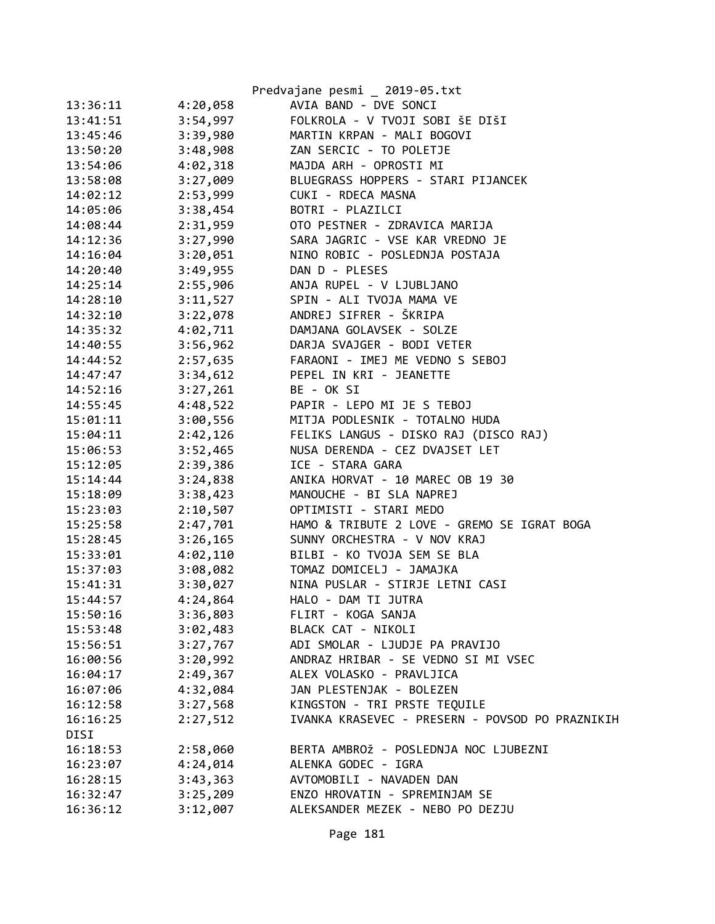|          |          | Predvajane pesmi _ 2019-05.txt                  |
|----------|----------|-------------------------------------------------|
| 13:36:11 | 4:20,058 | AVIA BAND - DVE SONCI                           |
| 13:41:51 | 3:54,997 | FOLKROLA - V TVOJI SOBI ŠE DIŠI                 |
| 13:45:46 | 3:39,980 | MARTIN KRPAN - MALI BOGOVI                      |
| 13:50:20 | 3:48,908 | ZAN SERCIC - TO POLETJE                         |
| 13:54:06 | 4:02,318 | MAJDA ARH - OPROSTI MI                          |
| 13:58:08 | 3:27,009 | BLUEGRASS HOPPERS - STARI PIJANCEK              |
| 14:02:12 | 2:53,999 | CUKI - RDECA MASNA                              |
| 14:05:06 | 3:38,454 | BOTRI - PLAZILCI                                |
| 14:08:44 | 2:31,959 | OTO PESTNER - ZDRAVICA MARIJA                   |
| 14:12:36 | 3:27,990 | SARA JAGRIC - VSE KAR VREDNO JE                 |
| 14:16:04 | 3:20,051 | NINO ROBIC - POSLEDNJA POSTAJA                  |
| 14:20:40 | 3:49,955 | DAN D - PLESES                                  |
| 14:25:14 | 2:55,906 | ANJA RUPEL - V LJUBLJANO                        |
| 14:28:10 | 3:11,527 | SPIN - ALI TVOJA MAMA VE                        |
| 14:32:10 | 3:22,078 | ANDREJ SIFRER - ŠKRIPA                          |
| 14:35:32 | 4:02,711 | DAMJANA GOLAVSEK - SOLZE                        |
| 14:40:55 | 3:56,962 | DARJA SVAJGER - BODI VETER                      |
| 14:44:52 | 2:57,635 | FARAONI - IMEJ ME VEDNO S SEBOJ                 |
| 14:47:47 | 3:34,612 | PEPEL IN KRI - JEANETTE                         |
| 14:52:16 | 3:27,261 | BE - OK SI                                      |
| 14:55:45 | 4:48,522 | PAPIR - LEPO MI JE S TEBOJ                      |
| 15:01:11 | 3:00,556 | MITJA PODLESNIK - TOTALNO HUDA                  |
| 15:04:11 | 2:42,126 | FELIKS LANGUS - DISKO RAJ (DISCO RAJ)           |
| 15:06:53 | 3:52,465 | NUSA DERENDA - CEZ DVAJSET LET                  |
| 15:12:05 | 2:39,386 | ICE - STARA GARA                                |
| 15:14:44 | 3:24,838 | ANIKA HORVAT - 10 MAREC OB 19 30                |
| 15:18:09 | 3:38,423 | MANOUCHE - BI SLA NAPREJ                        |
| 15:23:03 | 2:10,507 | OPTIMISTI - STARI MEDO                          |
| 15:25:58 | 2:47,701 | HAMO & TRIBUTE 2 LOVE - GREMO SE IGRAT BOGA     |
| 15:28:45 | 3:26,165 | SUNNY ORCHESTRA - V NOV KRAJ                    |
| 15:33:01 | 4:02,110 | BILBI - KO TVOJA SEM SE BLA                     |
| 15:37:03 | 3:08,082 | TOMAZ DOMICELJ - JAMAJKA                        |
| 15:41:31 | 3:30,027 | NINA PUSLAR - STIRJE LETNI CASI                 |
| 15:44:57 | 4:24,864 | HALO - DAM TI JUTRA                             |
| 15:50:16 | 3:36,803 | FLIRT - KOGA SANJA                              |
| 15:53:48 | 3:02,483 | BLACK CAT - NIKOLI                              |
| 15:56:51 | 3:27,767 | ADI SMOLAR - LJUDJE PA PRAVIJO                  |
| 16:00:56 | 3:20,992 | ANDRAZ HRIBAR - SE VEDNO SI MI VSEC             |
| 16:04:17 | 2:49,367 | ALEX VOLASKO - PRAVLJICA                        |
| 16:07:06 | 4:32,084 | JAN PLESTENJAK - BOLEZEN                        |
| 16:12:58 | 3:27,568 | KINGSTON - TRI PRSTE TEQUILE                    |
| 16:16:25 | 2:27,512 | IVANKA KRASEVEC - PRESERN - POVSOD PO PRAZNIKIH |
| DISI     |          |                                                 |
| 16:18:53 | 2:58,060 | BERTA AMBROŽ - POSLEDNJA NOC LJUBEZNI           |
| 16:23:07 | 4:24,014 | ALENKA GODEC - IGRA                             |
| 16:28:15 | 3:43,363 | AVTOMOBILI - NAVADEN DAN                        |
| 16:32:47 | 3:25,209 | ENZO HROVATIN - SPREMINJAM SE                   |
| 16:36:12 | 3:12,007 | ALEKSANDER MEZEK - NEBO PO DEZJU                |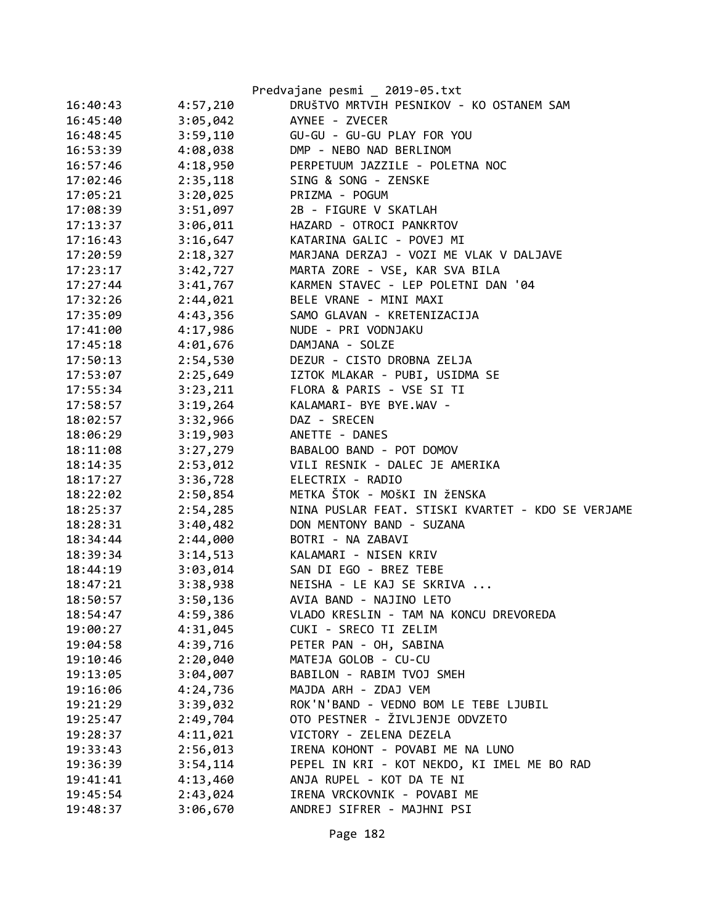|          |          | Predvajane pesmi _ 2019-05.txt                    |
|----------|----------|---------------------------------------------------|
| 16:40:43 | 4:57,210 | DRUŠTVO MRTVIH PESNIKOV - KO OSTANEM SAM          |
| 16:45:40 | 3:05,042 | AYNEE - ZVECER                                    |
| 16:48:45 | 3:59,110 | GU-GU - GU-GU PLAY FOR YOU                        |
| 16:53:39 | 4:08,038 | DMP - NEBO NAD BERLINOM                           |
| 16:57:46 | 4:18,950 | PERPETUUM JAZZILE - POLETNA NOC                   |
| 17:02:46 | 2:35,118 | SING & SONG - ZENSKE                              |
| 17:05:21 | 3:20,025 | PRIZMA - POGUM                                    |
| 17:08:39 | 3:51,097 | 2B - FIGURE V SKATLAH                             |
| 17:13:37 | 3:06,011 | HAZARD - OTROCI PANKRTOV                          |
| 17:16:43 | 3:16,647 | KATARINA GALIC - POVEJ MI                         |
| 17:20:59 | 2:18,327 | MARJANA DERZAJ - VOZI ME VLAK V DALJAVE           |
| 17:23:17 | 3:42,727 | MARTA ZORE - VSE, KAR SVA BILA                    |
| 17:27:44 | 3:41,767 | KARMEN STAVEC - LEP POLETNI DAN '04               |
| 17:32:26 | 2:44,021 | BELE VRANE - MINI MAXI                            |
| 17:35:09 | 4:43,356 | SAMO GLAVAN - KRETENIZACIJA                       |
| 17:41:00 | 4:17,986 | NUDE - PRI VODNJAKU                               |
| 17:45:18 | 4:01,676 | DAMJANA - SOLZE                                   |
| 17:50:13 | 2:54,530 | DEZUR - CISTO DROBNA ZELJA                        |
| 17:53:07 | 2:25,649 | IZTOK MLAKAR - PUBI, USIDMA SE                    |
| 17:55:34 | 3:23,211 | FLORA & PARIS - VSE SI TI                         |
| 17:58:57 | 3:19,264 | KALAMARI- BYE BYE.WAV -                           |
| 18:02:57 | 3:32,966 | DAZ - SRECEN                                      |
| 18:06:29 | 3:19,903 | ANETTE - DANES                                    |
| 18:11:08 | 3:27,279 | BABALOO BAND - POT DOMOV                          |
| 18:14:35 | 2:53,012 | VILI RESNIK - DALEC JE AMERIKA                    |
| 18:17:27 | 3:36,728 | ELECTRIX - RADIO                                  |
| 18:22:02 | 2:50,854 | METKA ŠTOK - MOŠKI IN ŽENSKA                      |
| 18:25:37 | 2:54,285 | NINA PUSLAR FEAT. STISKI KVARTET - KDO SE VERJAME |
| 18:28:31 | 3:40,482 | DON MENTONY BAND - SUZANA                         |
| 18:34:44 | 2:44,000 | BOTRI - NA ZABAVI                                 |
| 18:39:34 | 3:14,513 | KALAMARI - NISEN KRIV                             |
| 18:44:19 | 3:03,014 | SAN DI EGO - BREZ TEBE                            |
| 18:47:21 | 3:38,938 | NEISHA - LE KAJ SE SKRIVA                         |
| 18:50:57 | 3:50,136 | AVIA BAND - NAJINO LETO                           |
| 18:54:47 | 4:59,386 | VLADO KRESLIN - TAM NA KONCU DREVOREDA            |
| 19:00:27 | 4:31,045 | CUKI - SRECO TI ZELIM                             |
| 19:04:58 | 4:39,716 | PETER PAN - OH, SABINA                            |
| 19:10:46 | 2:20,040 | MATEJA GOLOB - CU-CU                              |
| 19:13:05 | 3:04,007 | BABILON - RABIM TVOJ SMEH                         |
| 19:16:06 | 4:24,736 | MAJDA ARH - ZDAJ VEM                              |
| 19:21:29 | 3:39,032 | ROK'N'BAND - VEDNO BOM LE TEBE LJUBIL             |
| 19:25:47 | 2:49,704 | OTO PESTNER - ŽIVLJENJE ODVZETO                   |
| 19:28:37 | 4:11,021 | VICTORY - ZELENA DEZELA                           |
| 19:33:43 | 2:56,013 | IRENA KOHONT - POVABI ME NA LUNO                  |
| 19:36:39 | 3:54,114 | PEPEL IN KRI - KOT NEKDO, KI IMEL ME BO RAD       |
| 19:41:41 | 4:13,460 | ANJA RUPEL - KOT DA TE NI                         |
| 19:45:54 | 2:43,024 | IRENA VRCKOVNIK - POVABI ME                       |
| 19:48:37 | 3:06,670 | ANDREJ SIFRER - MAJHNI PSI                        |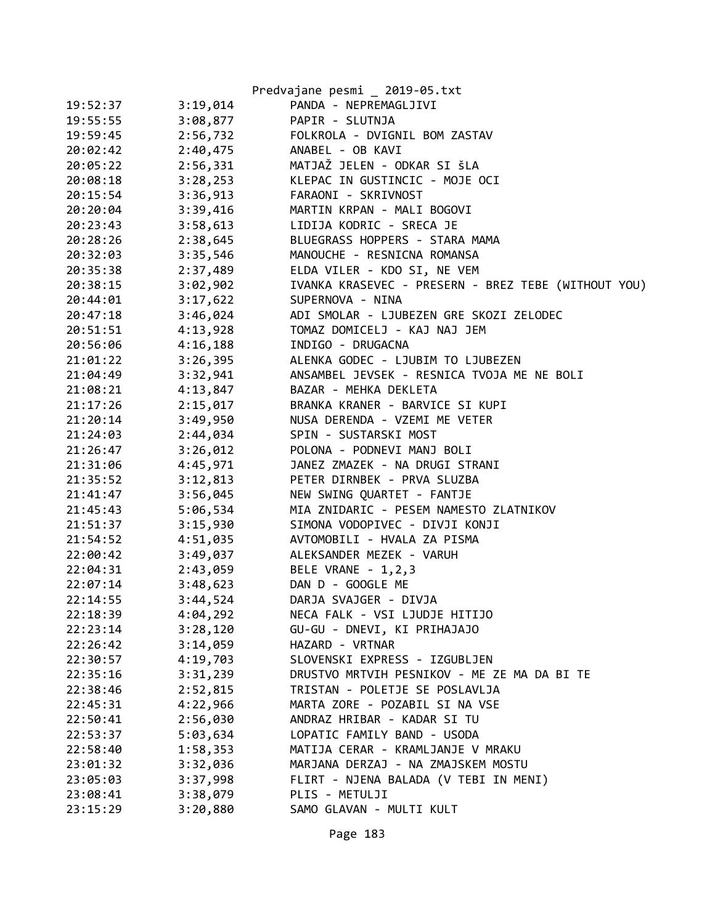|          |          | Predvajane pesmi _ 2019-05.txt                      |
|----------|----------|-----------------------------------------------------|
| 19:52:37 | 3:19,014 | PANDA - NEPREMAGLJIVI                               |
| 19:55:55 | 3:08,877 | PAPIR - SLUTNJA                                     |
| 19:59:45 | 2:56,732 | FOLKROLA - DVIGNIL BOM ZASTAV                       |
| 20:02:42 | 2:40,475 | ANABEL - OB KAVI                                    |
| 20:05:22 | 2:56,331 | MATJAŽ JELEN - ODKAR SI ŠLA                         |
| 20:08:18 | 3:28,253 | KLEPAC IN GUSTINCIC - MOJE OCI                      |
| 20:15:54 | 3:36,913 | FARAONI - SKRIVNOST                                 |
| 20:20:04 | 3:39,416 | MARTIN KRPAN - MALI BOGOVI                          |
| 20:23:43 | 3:58,613 | LIDIJA KODRIC - SRECA JE                            |
| 20:28:26 | 2:38,645 | BLUEGRASS HOPPERS - STARA MAMA                      |
| 20:32:03 | 3:35,546 | MANOUCHE - RESNICNA ROMANSA                         |
| 20:35:38 | 2:37,489 | ELDA VILER - KDO SI, NE VEM                         |
| 20:38:15 | 3:02,902 | IVANKA KRASEVEC - PRESERN - BREZ TEBE (WITHOUT YOU) |
| 20:44:01 | 3:17,622 | SUPERNOVA - NINA                                    |
| 20:47:18 | 3:46,024 | ADI SMOLAR - LJUBEZEN GRE SKOZI ZELODEC             |
| 20:51:51 | 4:13,928 | TOMAZ DOMICELJ - KAJ NAJ JEM                        |
| 20:56:06 | 4:16,188 | INDIGO - DRUGACNA                                   |
| 21:01:22 | 3:26,395 | ALENKA GODEC - LJUBIM TO LJUBEZEN                   |
| 21:04:49 | 3:32,941 | ANSAMBEL JEVSEK - RESNICA TVOJA ME NE BOLI          |
| 21:08:21 | 4:13,847 | BAZAR - MEHKA DEKLETA                               |
| 21:17:26 | 2:15,017 | BRANKA KRANER - BARVICE SI KUPI                     |
| 21:20:14 | 3:49,950 | NUSA DERENDA - VZEMI ME VETER                       |
| 21:24:03 | 2:44,034 | SPIN - SUSTARSKI MOST                               |
| 21:26:47 | 3:26,012 | POLONA - PODNEVI MANJ BOLI                          |
| 21:31:06 | 4:45,971 | JANEZ ZMAZEK - NA DRUGI STRANI                      |
| 21:35:52 | 3:12,813 | PETER DIRNBEK - PRVA SLUZBA                         |
| 21:41:47 | 3:56,045 | NEW SWING QUARTET - FANTJE                          |
| 21:45:43 | 5:06,534 | MIA ZNIDARIC - PESEM NAMESTO ZLATNIKOV              |
| 21:51:37 | 3:15,930 | SIMONA VODOPIVEC - DIVJI KONJI                      |
| 21:54:52 | 4:51,035 | AVTOMOBILI - HVALA ZA PISMA                         |
| 22:00:42 | 3:49,037 | ALEKSANDER MEZEK - VARUH                            |
| 22:04:31 | 2:43,059 | BELE VRANE - 1,2,3                                  |
| 22:07:14 | 3:48,623 | DAN D - GOOGLE ME                                   |
| 22:14:55 | 3:44,524 | DARJA SVAJGER - DIVJA                               |
| 22:18:39 | 4:04,292 | NECA FALK - VSI LJUDJE HITIJO                       |
| 22:23:14 | 3:28,120 | GU-GU - DNEVI, KI PRIHAJAJO                         |
| 22:26:42 | 3:14,059 | HAZARD - VRTNAR                                     |
| 22:30:57 | 4:19,703 | SLOVENSKI EXPRESS - IZGUBLJEN                       |
| 22:35:16 | 3:31,239 | DRUSTVO MRTVIH PESNIKOV - ME ZE MA DA BI TE         |
| 22:38:46 | 2:52,815 | TRISTAN - POLETJE SE POSLAVLJA                      |
| 22:45:31 | 4:22,966 | MARTA ZORE - POZABIL SI NA VSE                      |
| 22:50:41 | 2:56,030 | ANDRAZ HRIBAR - KADAR SI TU                         |
| 22:53:37 | 5:03,634 | LOPATIC FAMILY BAND - USODA                         |
| 22:58:40 | 1:58,353 | MATIJA CERAR - KRAMLJANJE V MRAKU                   |
| 23:01:32 | 3:32,036 | MARJANA DERZAJ - NA ZMAJSKEM MOSTU                  |
| 23:05:03 | 3:37,998 | FLIRT - NJENA BALADA (V TEBI IN MENI)               |
| 23:08:41 | 3:38,079 | PLIS - METULJI                                      |
| 23:15:29 | 3:20,880 | SAMO GLAVAN - MULTI KULT                            |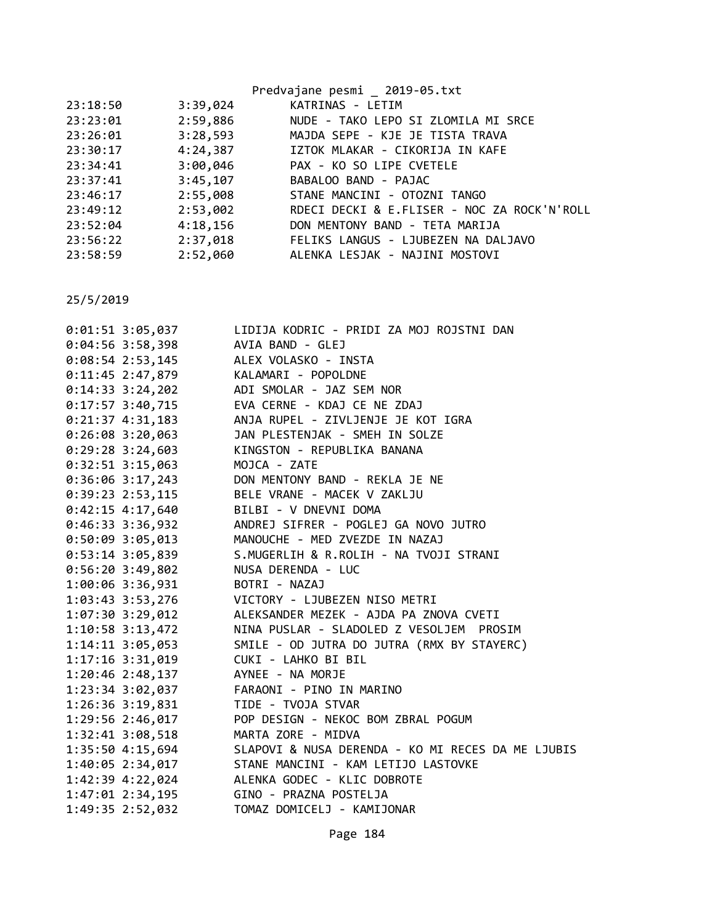|          |          | Predvajane pesmi _ 2019-05.txt              |
|----------|----------|---------------------------------------------|
| 23:18:50 | 3:39,024 | KATRINAS - LETIM                            |
| 23:23:01 | 2:59,886 | NUDE - TAKO LEPO SI ZLOMILA MI SRCE         |
| 23:26:01 | 3:28,593 | MAJDA SEPE - KJE JE TISTA TRAVA             |
| 23:30:17 | 4:24,387 | IZTOK MLAKAR - CIKORIJA IN KAFE             |
| 23:34:41 |          | 3:00,046 PAX - KO SO LIPE CVETELE           |
| 23:37:41 | 3:45,107 | BABALOO BAND - PAJAC                        |
| 23:46:17 | 2:55,008 | STANE MANCINI - OTOZNI TANGO                |
| 23:49:12 | 2:53,002 | RDECI DECKI & E.FLISER - NOC ZA ROCK'N'ROLL |
| 23:52:04 | 4:18,156 | DON MENTONY BAND - TETA MARIJA              |
| 23:56:22 | 2:37,018 | FELIKS LANGUS - LJUBEZEN NA DALJAVO         |
| 23:58:59 | 2:52,060 | ALENKA LESJAK - NAJINI MOSTOVI              |
|          |          |                                             |

| 0:01:51 3:05,037     | LIDIJA KODRIC - PRIDI ZA MOJ ROJSTNI DAN             |
|----------------------|------------------------------------------------------|
| $0:04:56$ 3:58,398   | AVIA BAND - GLEJ                                     |
| $0:08:54$ 2:53,145   | ALEX VOLASKO - INSTA                                 |
| $0:11:45$ 2:47,879   | KALAMARI - POPOLDNE                                  |
| $0:14:33$ 3:24,202   | ADI SMOLAR - JAZ SEM NOR                             |
| $0:17:57$ 3:40,715   | EVA CERNE - KDAJ CE NE ZDAJ                          |
| $0:21:37$ 4:31,183   | ANJA RUPEL - ZIVLJENJE JE KOT IGRA                   |
| $0:26:08$ 3:20,063   | JAN PLESTENJAK - SMEH IN SOLZE                       |
| $0:29:28$ 3:24,603   | KINGSTON - REPUBLIKA BANANA                          |
| $0:32:51$ 3:15,063   | MOJCA - ZATE                                         |
| $0:36:06$ 3:17,243   | DON MENTONY BAND - REKLA JE NE                       |
| $0:39:23$ 2:53,115   | BELE VRANE - MACEK V ZAKLJU                          |
| $0:42:15$ 4:17,640   | BILBI - V DNEVNI DOMA                                |
| $0:46:33$ 3:36,932   | ANDREJ SIFRER - POGLEJ GA NOVO JUTRO                 |
| $0:50:09$ 3:05,013   | MANOUCHE - MED ZVEZDE IN NAZAJ                       |
| $0:53:14$ 3:05,839   | S.MUGERLIH & R.ROLIH - NA TVOJI STRANI               |
| $0:56:20$ 3:49,802   | NUSA DERENDA - LUC                                   |
| 1:00:06 3:36,931     | BOTRI - NAZAJ                                        |
| 1:03:43 3:53,276     | VICTORY - LJUBEZEN NISO METRI                        |
| 1:07:30 3:29,012     | ALEKSANDER MEZEK - AJDA PA ZNOVA CVETI               |
| $1:10:58$ 3:13,472   | NINA PUSLAR - SLADOLED Z VESOLJEM PROSIM             |
| $1:14:11$ $3:05,053$ | SMILE - OD JUTRA DO JUTRA (RMX BY STAYERC)           |
| $1:17:16$ $3:31,019$ | CUKI - LAHKO BI BIL                                  |
| $1:20:46$ 2:48,137   | AYNEE - NA MORJE                                     |
| $1:23:34$ $3:02,037$ | FARAONI - PINO IN MARINO                             |
| 1:26:36 3:19,831     | TIDE - TVOJA STVAR                                   |
| 1:29:56 2:46,017     | POP DESIGN - NEKOC BOM ZBRAL POGUM                   |
| 1:32:41 3:08,518     | MARTA ZORE - MIDVA                                   |
| 1:35:50 4:15,694     | SLAPOVI & NUSA DERENDA - KO MI RECES DA ME LJUBIS    |
|                      | 1:40:05 2:34,017 STANE MANCINI - KAM LETIJO LASTOVKE |
| 1:42:39 4:22,024     | ALENKA GODEC - KLIC DOBROTE                          |
|                      |                                                      |
| 1:49:35 2:52,032     | TOMAZ DOMICELJ - KAMIJONAR                           |
|                      |                                                      |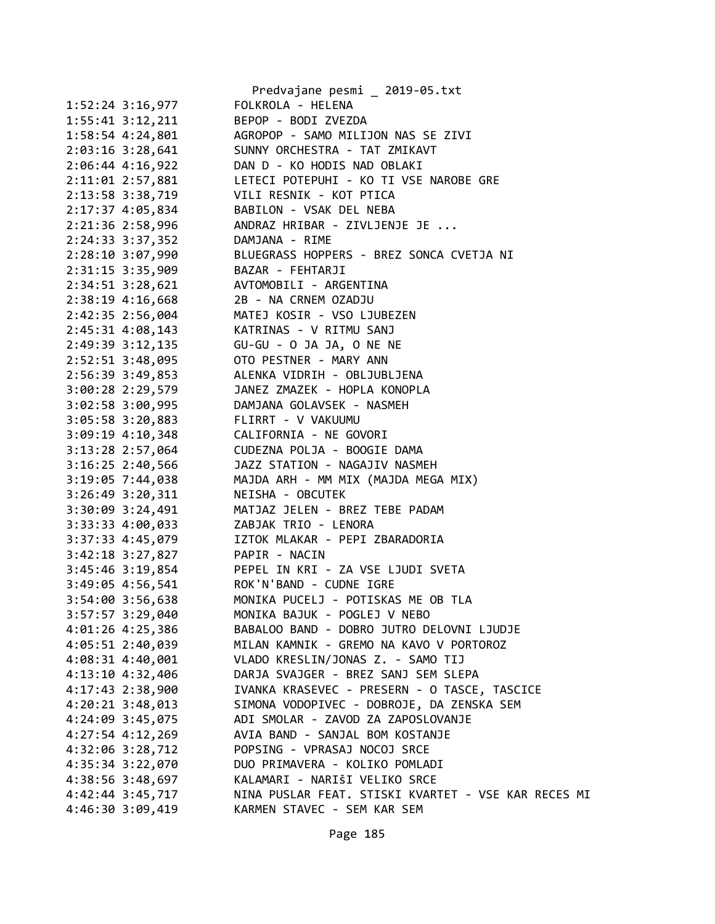|                                        | Predvajane pesmi _ 2019-05.txt                      |
|----------------------------------------|-----------------------------------------------------|
| 1:52:24 3:16,977                       | FOLKROLA - HELENA                                   |
| $1:55:41$ $3:12,211$                   | BEPOP - BODI ZVEZDA                                 |
| 1:58:54 4:24,801                       | AGROPOP - SAMO MILIJON NAS SE ZIVI                  |
| 2:03:16 3:28,641                       | SUNNY ORCHESTRA - TAT ZMIKAVT                       |
| 2:06:44 4:16,922                       | DAN D - KO HODIS NAD OBLAKI                         |
| 2:11:01 2:57,881                       | LETECI POTEPUHI - KO TI VSE NAROBE GRE              |
| 2:13:58 3:38,719                       | VILI RESNIK - KOT PTICA                             |
| 2:17:37 4:05,834                       | BABILON - VSAK DEL NEBA                             |
| 2:21:36 2:58,996                       | ANDRAZ HRIBAR - ZIVLJENJE JE                        |
| 2:24:33 3:37,352                       | DAMJANA - RIME                                      |
| $2:28:10$ 3:07,990                     | BLUEGRASS HOPPERS - BREZ SONCA CVETJA NI            |
| 2:31:15 3:35,909                       | BAZAR - FEHTARJI                                    |
| 2:34:51 3:28,621                       | AVTOMOBILI - ARGENTINA                              |
| 2:38:19 4:16,668                       | 2B - NA CRNEM OZADJU                                |
| 2:42:35 2:56,004                       | MATEJ KOSIR - VSO LJUBEZEN                          |
| 2:45:31 4:08,143                       | KATRINAS - V RITMU SANJ                             |
| 2:49:39 3:12,135                       | GU-GU - O JA JA, O NE NE                            |
| 2:52:51 3:48,095                       | OTO PESTNER - MARY ANN                              |
| 2:56:39 3:49,853                       | ALENKA VIDRIH - OBLJUBLJENA                         |
| 3:00:28 2:29,579                       | JANEZ ZMAZEK - HOPLA KONOPLA                        |
| $3:02:58$ $3:00,995$                   | DAMJANA GOLAVSEK - NASMEH                           |
| $3:05:58$ $3:20,883$                   | FLIRRT - V VAKUUMU                                  |
| $3:09:19$ 4:10,348                     | CALIFORNIA - NE GOVORI                              |
| 3:13:28 2:57,064                       | CUDEZNA POLJA - BOOGIE DAMA                         |
| $3:16:25$ 2:40,566                     | JAZZ STATION - NAGAJIV NASMEH                       |
| 3:19:05 7:44,038                       | MAJDA ARH - MM MIX (MAJDA MEGA MIX)                 |
| $3:26:49$ $3:20,311$                   | NEISHA - OBCUTEK                                    |
| 3:30:09 3:24,491                       | MATJAZ JELEN - BREZ TEBE PADAM                      |
| 3:33:33 4:00,033                       | ZABJAK TRIO - LENORA                                |
| 3:37:33 4:45,079                       | IZTOK MLAKAR - PEPI ZBARADORIA                      |
| 3:42:18 3:27,827                       | PAPIR - NACIN                                       |
|                                        | 3:45:46 3:19,854 PEPEL IN KRI - ZA VSE LJUDI SVETA  |
| $3:49:05$ 4:56,541                     | ROK'N'BAND - CUDNE IGRE                             |
| 3:54:00 3:56,638                       | MONIKA PUCELJ - POTISKAS ME OB TLA                  |
| 3:57:57 3:29,040                       | MONIKA BAJUK - POGLEJ V NEBO                        |
| 4:01:26 4:25,386                       | BABALOO BAND - DOBRO JUTRO DELOVNI LJUDJE           |
| 4:05:51 2:40,039                       | MILAN KAMNIK - GREMO NA KAVO V PORTOROZ             |
|                                        | VLADO KRESLIN/JONAS Z. - SAMO TIJ                   |
| 4:08:31 4:40,001                       | DARJA SVAJGER - BREZ SANJ SEM SLEPA                 |
| 4:13:10 4:32,406                       |                                                     |
| 4:17:43 2:38,900                       | IVANKA KRASEVEC - PRESERN - O TASCE, TASCICE        |
| $4:20:21$ 3:48,013<br>4:24:09 3:45,075 | SIMONA VODOPIVEC - DOBROJE, DA ZENSKA SEM           |
|                                        | ADI SMOLAR - ZAVOD ZA ZAPOSLOVANJE                  |
| 4:27:54 4:12,269                       | AVIA BAND - SANJAL BOM KOSTANJE                     |
| 4:32:06 3:28,712                       | POPSING - VPRASAJ NOCOJ SRCE                        |
| 4:35:34 3:22,070                       | DUO PRIMAVERA - KOLIKO POMLADI                      |
| 4:38:56 3:48,697                       | KALAMARI - NARIŠI VELIKO SRCE                       |
| 4:42:44 3:45,717                       | NINA PUSLAR FEAT. STISKI KVARTET - VSE KAR RECES MI |
| 4:46:30 3:09,419                       | KARMEN STAVEC - SEM KAR SEM                         |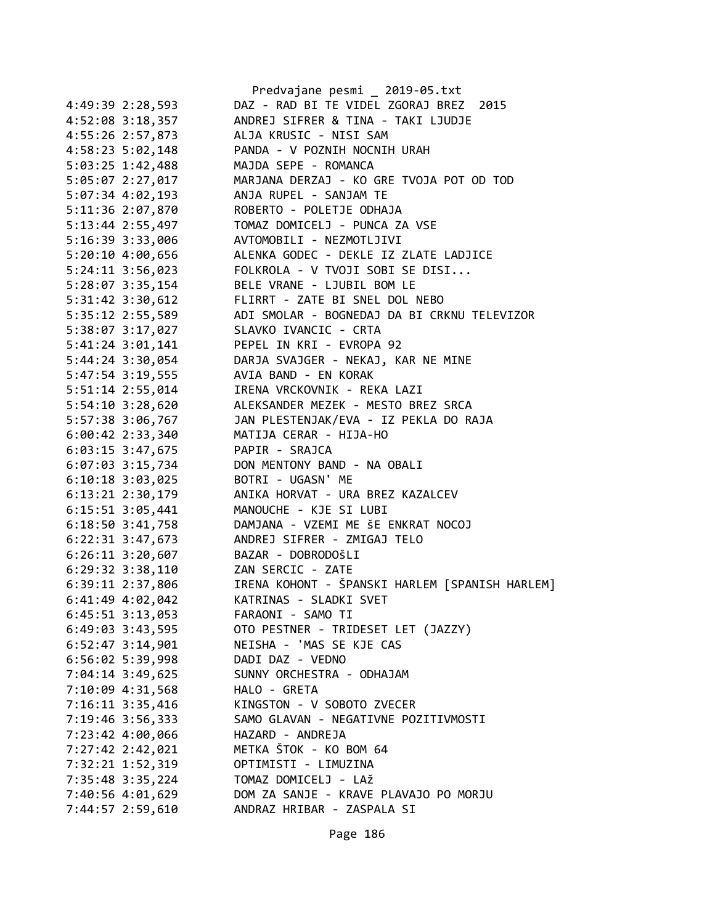|                      | Predvajane pesmi _ 2019-05.txt                 |
|----------------------|------------------------------------------------|
| 4:49:39 2:28,593     | DAZ - RAD BI TE VIDEL ZGORAJ BREZ 2015         |
| 4:52:08 3:18,357     | ANDREJ SIFRER & TINA - TAKI LJUDJE             |
| 4:55:26 2:57,873     | ALJA KRUSIC - NISI SAM                         |
| 4:58:23 5:02,148     | PANDA - V POZNIH NOCNIH URAH                   |
| 5:03:25 1:42,488     | MAJDA SEPE - ROMANCA                           |
| 5:05:07 2:27,017     | MARJANA DERZAJ - KO GRE TVOJA POT OD TOD       |
| 5:07:34 4:02,193     | ANJA RUPEL - SANJAM TE                         |
| 5:11:36 2:07,870     | ROBERTO - POLETJE ODHAJA                       |
| 5:13:44 2:55,497     | TOMAZ DOMICELJ - PUNCA ZA VSE                  |
| 5:16:39 3:33,006     | AVTOMOBILI - NEZMOTLJIVI                       |
| 5:20:10 4:00,656     | ALENKA GODEC - DEKLE IZ ZLATE LADJICE          |
| 5:24:11 3:56,023     | FOLKROLA - V TVOJI SOBI SE DISI                |
| 5:28:07 3:35,154     | BELE VRANE - LJUBIL BOM LE                     |
| 5:31:42 3:30,612     | FLIRRT - ZATE BI SNEL DOL NEBO                 |
| 5:35:12 2:55,589     | ADI SMOLAR - BOGNEDAJ DA BI CRKNU TELEVIZOR    |
| 5:38:07 3:17,027     | SLAVKO IVANCIC - CRTA                          |
| 5:41:24 3:01,141     | PEPEL IN KRI - EVROPA 92                       |
| 5:44:24 3:30,054     | DARJA SVAJGER - NEKAJ, KAR NE MINE             |
| 5:47:54 3:19,555     | AVIA BAND - EN KORAK                           |
| 5:51:14 2:55,014     | IRENA VRCKOVNIK - REKA LAZI                    |
| 5:54:10 3:28,620     | ALEKSANDER MEZEK - MESTO BREZ SRCA             |
| 5:57:38 3:06,767     | JAN PLESTENJAK/EVA - IZ PEKLA DO RAJA          |
| 6:00:42 2:33,340     | MATIJA CERAR - HIJA-HO                         |
| $6:03:15$ 3:47,675   | PAPIR - SRAJCA                                 |
| 6:07:03 3:15,734     | DON MENTONY BAND - NA OBALI                    |
| $6:10:18$ 3:03,025   | BOTRI - UGASN' ME                              |
| 6:13:21 2:30,179     | ANIKA HORVAT - URA BREZ KAZALCEV               |
| 6:15:51 3:05,441     | MANOUCHE - KJE SI LUBI                         |
| 6:18:50 3:41,758     | DAMJANA - VZEMI ME ŠE ENKRAT NOCOJ             |
| 6:22:31 3:47,673     | ANDREJ SIFRER - ZMIGAJ TELO                    |
| $6:26:11$ 3:20,607   | BAZAR - DOBRODOŠLI                             |
| $6:29:32$ $3:38,110$ | ZAN SERCIC - ZATE                              |
| 6:39:11 2:37,806     | IRENA KOHONT - ŠPANSKI HARLEM [SPANISH HARLEM] |
| 6:41:49 4:02,042     | KATRINAS - SLADKI SVET                         |
| 6:45:51 3:13,053     | FARAONI - SAMO TI                              |
|                      | OTO PESTNER - TRIDESET LET (JAZZY)             |
| $6:49:03$ 3:43,595   | NEISHA - 'MAS SE KJE CAS                       |
| $6:52:47$ 3:14,901   | DADI DAZ - VEDNO                               |
| 6:56:02 5:39,998     |                                                |
| 7:04:14 3:49,625     | SUNNY ORCHESTRA - ODHAJAM                      |
| 7:10:09 4:31,568     | HALO - GRETA                                   |
| 7:16:11 3:35,416     | KINGSTON - V SOBOTO ZVECER                     |
| 7:19:46 3:56,333     | SAMO GLAVAN - NEGATIVNE POZITIVMOSTI           |
| 7:23:42 4:00,066     | HAZARD - ANDREJA                               |
| 7:27:42 2:42,021     | METKA ŠTOK - KO BOM 64                         |
| 7:32:21 1:52,319     | OPTIMISTI - LIMUZINA                           |
| 7:35:48 3:35,224     | TOMAZ DOMICELJ - LAŽ                           |
| 7:40:56 4:01,629     | DOM ZA SANJE - KRAVE PLAVAJO PO MORJU          |
| 7:44:57 2:59,610     | ANDRAZ HRIBAR - ZASPALA SI                     |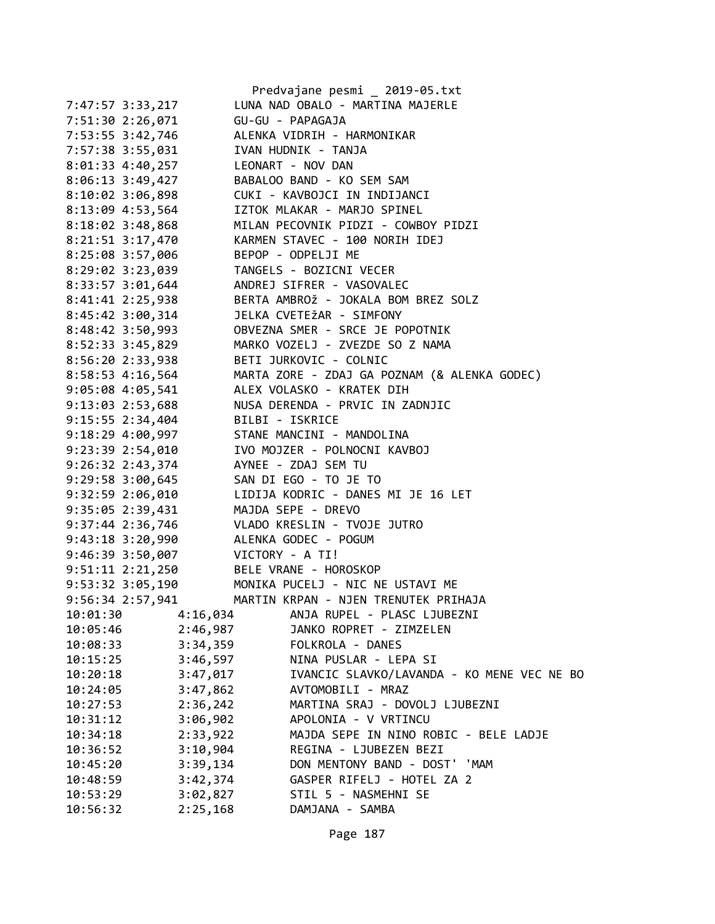|                      |                 | Predvajane pesmi _ 2019-05.txt               |
|----------------------|-----------------|----------------------------------------------|
| 7:47:57 3:33,217     |                 | LUNA NAD OBALO - MARTINA MAJERLE             |
| 7:51:30 2:26,071     |                 | GU-GU - PAPAGAJA                             |
| 7:53:55 3:42,746     |                 | ALENKA VIDRIH - HARMONIKAR                   |
| 7:57:38 3:55,031     |                 | IVAN HUDNIK - TANJA                          |
| 8:01:33 4:40,257     |                 | LEONART - NOV DAN                            |
| $8:06:13$ 3:49,427   |                 | BABALOO BAND - KO SEM SAM                    |
| $8:10:02$ 3:06,898   |                 | CUKI - KAVBOJCI IN INDIJANCI                 |
| 8:13:09 4:53,564     |                 | IZTOK MLAKAR - MARJO SPINEL                  |
| $8:18:02$ 3:48,868   |                 | MILAN PECOVNIK PIDZI - COWBOY PIDZI          |
| 8:21:51 3:17,470     |                 | KARMEN STAVEC - 100 NORIH IDEJ               |
| 8:25:08 3:57,006     |                 | BEPOP - ODPELJI ME                           |
| 8:29:02 3:23,039     |                 | TANGELS - BOZICNI VECER                      |
| 8:33:57 3:01,644     |                 | ANDREJ SIFRER - VASOVALEC                    |
| 8:41:41 2:25,938     |                 | BERTA AMBROŽ - JOKALA BOM BREZ SOLZ          |
| $8:45:42$ 3:00,314   |                 | JELKA CVETEŽAR - SIMFONY                     |
| 8:48:42 3:50,993     |                 | OBVEZNA SMER - SRCE JE POPOTNIK              |
| 8:52:33 3:45,829     |                 | MARKO VOZELJ - ZVEZDE SO Z NAMA              |
| 8:56:20 2:33,938     |                 | BETI JURKOVIC - COLNIC                       |
| 8:58:53 4:16,564     |                 | MARTA ZORE - ZDAJ GA POZNAM (& ALENKA GODEC) |
| $9:05:08$ 4:05,541   |                 | ALEX VOLASKO - KRATEK DIH                    |
| $9:13:03$ $2:53,688$ |                 | NUSA DERENDA - PRVIC IN ZADNJIC              |
| 9:15:55 2:34,404     |                 | BILBI - ISKRICE                              |
| $9:18:29$ 4:00,997   |                 | STANE MANCINI - MANDOLINA                    |
| 9:23:39 2:54,010     |                 | IVO MOJZER - POLNOCNI KAVBOJ                 |
| 9:26:32 2:43,374     |                 | AYNEE - ZDAJ SEM TU                          |
| 9:29:58 3:00,645     |                 | SAN DI EGO - TO JE TO                        |
| 9:32:59 2:06,010     |                 | LIDIJA KODRIC - DANES MI JE 16 LET           |
| 9:35:05 2:39,431     |                 | MAJDA SEPE - DREVO                           |
| $9:37:44$ 2:36,746   |                 | VLADO KRESLIN - TVOJE JUTRO                  |
| 9:43:18 3:20,990     |                 | ALENKA GODEC - POGUM                         |
| 9:46:39 3:50,007     | VICTORY - A TI! |                                              |
| $9:51:11$ $2:21,250$ |                 | BELE VRANE - HOROSKOP                        |
| 9:53:32 3:05,190     |                 | MONIKA PUCELJ - NIC NE USTAVI ME             |
| 9:56:34 2:57,941     |                 | MARTIN KRPAN - NJEN TRENUTEK PRIHAJA         |
| 10:01:30             | 4:16,034        | ANJA RUPEL - PLASC LJUBEZNI                  |
| 10:05:46             | 2:46,987        | JANKO ROPRET - ZIMZELEN                      |
| 10:08:33             | 3:34,359        | FOLKROLA - DANES                             |
| 10:15:25             | 3:46,597        | NINA PUSLAR - LEPA SI                        |
| 10:20:18             | 3:47,017        | IVANCIC SLAVKO/LAVANDA - KO MENE VEC NE BO   |
| 10:24:05             | 3:47,862        | AVTOMOBILI - MRAZ                            |
| 10:27:53             | 2:36,242        | MARTINA SRAJ - DOVOLJ LJUBEZNI               |
| 10:31:12             | 3:06,902        | APOLONIA - V VRTINCU                         |
| 10:34:18             | 2:33,922        | MAJDA SEPE IN NINO ROBIC - BELE LADJE        |
| 10:36:52             | 3:10,904        | REGINA - LJUBEZEN BEZI                       |
| 10:45:20             | 3:39,134        | DON MENTONY BAND - DOST' 'MAM                |
| 10:48:59             | 3:42,374        | GASPER RIFELJ - HOTEL ZA 2                   |
| 10:53:29             | 3:02,827        | STIL 5 - NASMEHNI SE                         |
| 10:56:32             | 2:25,168        | DAMJANA - SAMBA                              |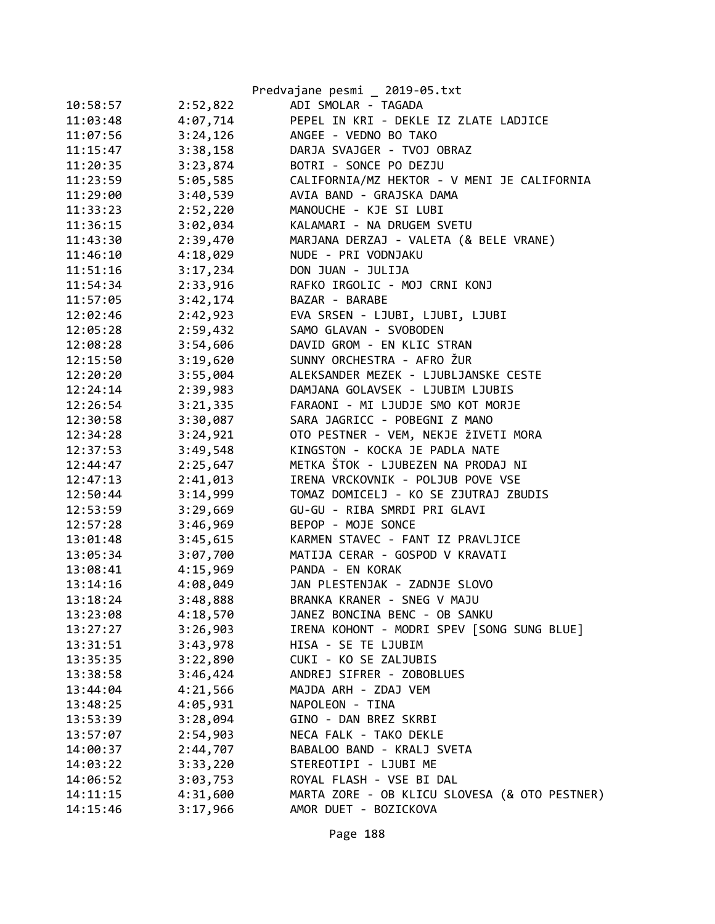|          |          | Predvajane pesmi _ 2019-05.txt                |
|----------|----------|-----------------------------------------------|
| 10:58:57 | 2:52,822 | ADI SMOLAR - TAGADA                           |
| 11:03:48 | 4:07,714 | PEPEL IN KRI - DEKLE IZ ZLATE LADJICE         |
| 11:07:56 | 3:24,126 | ANGEE - VEDNO BO TAKO                         |
| 11:15:47 | 3:38,158 | DARJA SVAJGER - TVOJ OBRAZ                    |
| 11:20:35 | 3:23,874 | BOTRI - SONCE PO DEZJU                        |
| 11:23:59 | 5:05,585 | CALIFORNIA/MZ HEKTOR - V MENI JE CALIFORNIA   |
| 11:29:00 | 3:40,539 | AVIA BAND - GRAJSKA DAMA                      |
| 11:33:23 | 2:52,220 | MANOUCHE - KJE SI LUBI                        |
| 11:36:15 | 3:02,034 | KALAMARI - NA DRUGEM SVETU                    |
| 11:43:30 | 2:39,470 | MARJANA DERZAJ - VALETA (& BELE VRANE)        |
| 11:46:10 | 4:18,029 | NUDE - PRI VODNJAKU                           |
| 11:51:16 | 3:17,234 | DON JUAN - JULIJA                             |
| 11:54:34 | 2:33,916 | RAFKO IRGOLIC - MOJ CRNI KONJ                 |
| 11:57:05 | 3:42,174 | BAZAR - BARABE                                |
| 12:02:46 | 2:42,923 | EVA SRSEN - LJUBI, LJUBI, LJUBI               |
| 12:05:28 | 2:59,432 | SAMO GLAVAN - SVOBODEN                        |
| 12:08:28 | 3:54,606 | DAVID GROM - EN KLIC STRAN                    |
| 12:15:50 | 3:19,620 | SUNNY ORCHESTRA - AFRO ŽUR                    |
| 12:20:20 | 3:55,004 | ALEKSANDER MEZEK - LJUBLJANSKE CESTE          |
| 12:24:14 | 2:39,983 | DAMJANA GOLAVSEK - LJUBIM LJUBIS              |
| 12:26:54 | 3:21,335 | FARAONI - MI LJUDJE SMO KOT MORJE             |
| 12:30:58 | 3:30,087 | SARA JAGRICC - POBEGNI Z MANO                 |
| 12:34:28 | 3:24,921 | OTO PESTNER - VEM, NEKJE ŽIVETI MORA          |
| 12:37:53 | 3:49,548 | KINGSTON - KOCKA JE PADLA NATE                |
| 12:44:47 | 2:25,647 | METKA ŠTOK - LJUBEZEN NA PRODAJ NI            |
| 12:47:13 | 2:41,013 | IRENA VRCKOVNIK - POLJUB POVE VSE             |
| 12:50:44 | 3:14,999 | TOMAZ DOMICELJ - KO SE ZJUTRAJ ZBUDIS         |
| 12:53:59 | 3:29,669 | GU-GU - RIBA SMRDI PRI GLAVI                  |
| 12:57:28 | 3:46,969 | BEPOP - MOJE SONCE                            |
| 13:01:48 | 3:45,615 | KARMEN STAVEC - FANT IZ PRAVLJICE             |
| 13:05:34 | 3:07,700 | MATIJA CERAR - GOSPOD V KRAVATI               |
| 13:08:41 | 4:15,969 | PANDA - EN KORAK                              |
| 13:14:16 | 4:08,049 | JAN PLESTENJAK - ZADNJE SLOVO                 |
| 13:18:24 | 3:48,888 | BRANKA KRANER - SNEG V MAJU                   |
| 13:23:08 | 4:18,570 | JANEZ BONCINA BENC - OB SANKU                 |
| 13:27:27 | 3:26,903 | IRENA KOHONT - MODRI SPEV [SONG SUNG BLUE]    |
| 13:31:51 | 3:43,978 | HISA - SE TE LJUBIM                           |
| 13:35:35 | 3:22,890 | CUKI - KO SE ZALJUBIS                         |
| 13:38:58 | 3:46,424 | ANDREJ SIFRER - ZOBOBLUES                     |
| 13:44:04 | 4:21,566 | MAJDA ARH - ZDAJ VEM                          |
| 13:48:25 | 4:05,931 | NAPOLEON - TINA                               |
| 13:53:39 | 3:28,094 | GINO - DAN BREZ SKRBI                         |
| 13:57:07 | 2:54,903 | NECA FALK - TAKO DEKLE                        |
| 14:00:37 | 2:44,707 | BABALOO BAND - KRALJ SVETA                    |
| 14:03:22 | 3:33,220 | STEREOTIPI - LJUBI ME                         |
| 14:06:52 | 3:03,753 | ROYAL FLASH - VSE BI DAL                      |
| 14:11:15 | 4:31,600 | MARTA ZORE - OB KLICU SLOVESA (& OTO PESTNER) |
| 14:15:46 | 3:17,966 | AMOR DUET - BOZICKOVA                         |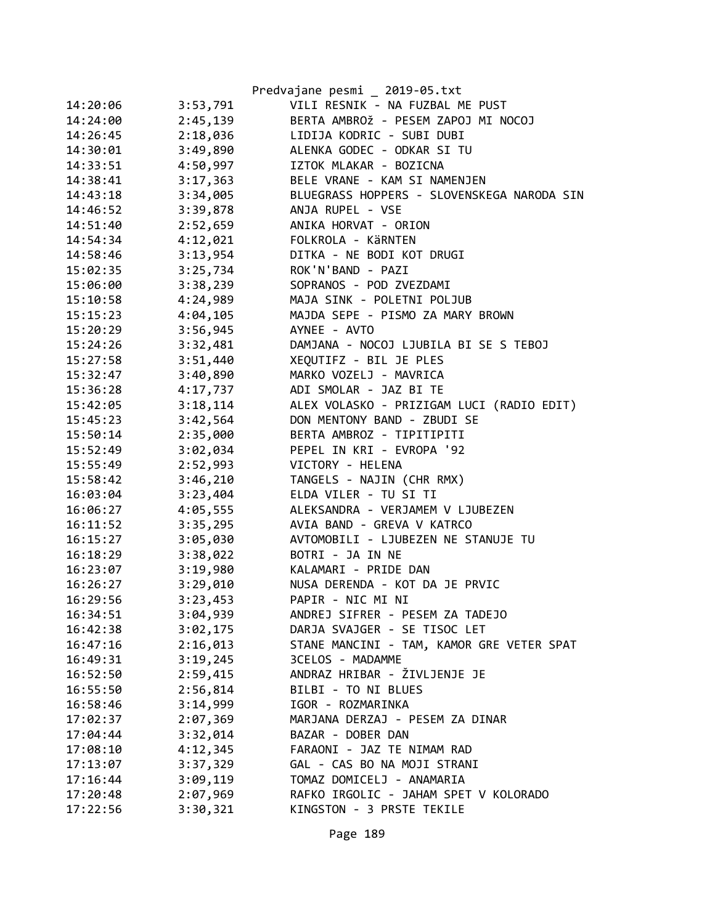|          |          | Predvajane pesmi _ 2019-05.txt             |
|----------|----------|--------------------------------------------|
| 14:20:06 | 3:53,791 | VILI RESNIK - NA FUZBAL ME PUST            |
| 14:24:00 | 2:45,139 | BERTA AMBROŽ - PESEM ZAPOJ MI NOCOJ        |
| 14:26:45 | 2:18,036 | LIDIJA KODRIC - SUBI DUBI                  |
| 14:30:01 | 3:49,890 | ALENKA GODEC - ODKAR SI TU                 |
| 14:33:51 | 4:50,997 | IZTOK MLAKAR - BOZICNA                     |
| 14:38:41 | 3:17,363 | BELE VRANE - KAM SI NAMENJEN               |
| 14:43:18 | 3:34,005 | BLUEGRASS HOPPERS - SLOVENSKEGA NARODA SIN |
| 14:46:52 | 3:39,878 | ANJA RUPEL - VSE                           |
| 14:51:40 | 2:52,659 | ANIKA HORVAT - ORION                       |
| 14:54:34 | 4:12,021 | FOLKROLA - KÄRNTEN                         |
| 14:58:46 | 3:13,954 | DITKA - NE BODI KOT DRUGI                  |
| 15:02:35 | 3:25,734 | ROK'N'BAND - PAZI                          |
| 15:06:00 | 3:38,239 | SOPRANOS - POD ZVEZDAMI                    |
| 15:10:58 | 4:24,989 | MAJA SINK - POLETNI POLJUB                 |
| 15:15:23 | 4:04,105 | MAJDA SEPE - PISMO ZA MARY BROWN           |
| 15:20:29 | 3:56,945 | AYNEE - AVTO                               |
| 15:24:26 | 3:32,481 | DAMJANA - NOCOJ LJUBILA BI SE S TEBOJ      |
| 15:27:58 | 3:51,440 | XEQUTIFZ - BIL JE PLES                     |
| 15:32:47 | 3:40,890 | MARKO VOZELJ - MAVRICA                     |
| 15:36:28 | 4:17,737 | ADI SMOLAR - JAZ BI TE                     |
| 15:42:05 | 3:18,114 | ALEX VOLASKO - PRIZIGAM LUCI (RADIO EDIT)  |
| 15:45:23 | 3:42,564 | DON MENTONY BAND - ZBUDI SE                |
| 15:50:14 | 2:35,000 | BERTA AMBROZ - TIPITIPITI                  |
| 15:52:49 | 3:02,034 | PEPEL IN KRI - EVROPA '92                  |
| 15:55:49 | 2:52,993 | VICTORY - HELENA                           |
| 15:58:42 | 3:46,210 | TANGELS - NAJIN (CHR RMX)                  |
| 16:03:04 | 3:23,404 | ELDA VILER - TU SI TI                      |
| 16:06:27 | 4:05,555 | ALEKSANDRA - VERJAMEM V LJUBEZEN           |
| 16:11:52 | 3:35,295 | AVIA BAND - GREVA V KATRCO                 |
| 16:15:27 | 3:05,030 | AVTOMOBILI - LJUBEZEN NE STANUJE TU        |
| 16:18:29 | 3:38,022 | BOTRI - JA IN NE                           |
| 16:23:07 | 3:19,980 | KALAMARI - PRIDE DAN                       |
| 16:26:27 | 3:29,010 | NUSA DERENDA - KOT DA JE PRVIC             |
| 16:29:56 | 3:23,453 | PAPIR - NIC MI NI                          |
| 16:34:51 | 3:04,939 | ANDREJ SIFRER - PESEM ZA TADEJO            |
| 16:42:38 | 3:02,175 | DARJA SVAJGER - SE TISOC LET               |
| 16:47:16 | 2:16,013 | STANE MANCINI - TAM, KAMOR GRE VETER SPAT  |
| 16:49:31 | 3:19,245 | 3CELOS - MADAMME                           |
| 16:52:50 | 2:59,415 | ANDRAZ HRIBAR - ŽIVLJENJE JE               |
| 16:55:50 | 2:56,814 | BILBI - TO NI BLUES                        |
| 16:58:46 | 3:14,999 | IGOR - ROZMARINKA                          |
| 17:02:37 | 2:07,369 | MARJANA DERZAJ - PESEM ZA DINAR            |
| 17:04:44 | 3:32,014 | BAZAR - DOBER DAN                          |
| 17:08:10 | 4:12,345 | FARAONI - JAZ TE NIMAM RAD                 |
| 17:13:07 | 3:37,329 | GAL - CAS BO NA MOJI STRANI                |
| 17:16:44 | 3:09,119 | TOMAZ DOMICELJ - ANAMARIA                  |
| 17:20:48 | 2:07,969 | RAFKO IRGOLIC - JAHAM SPET V KOLORADO      |
| 17:22:56 | 3:30,321 | KINGSTON - 3 PRSTE TEKILE                  |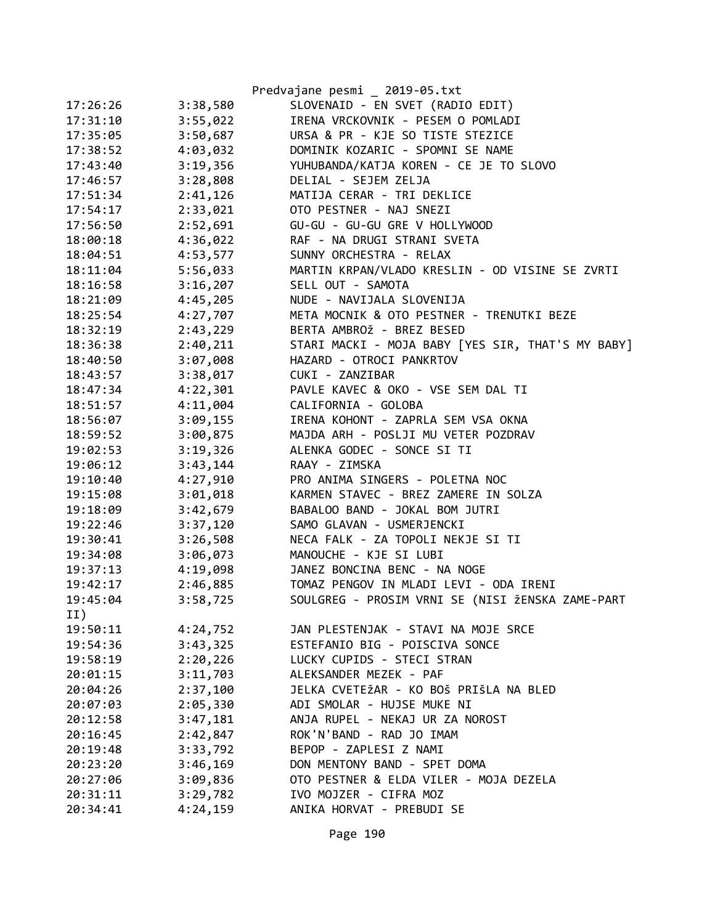|          |          | Predvajane pesmi _ 2019-05.txt                    |
|----------|----------|---------------------------------------------------|
| 17:26:26 | 3:38,580 | SLOVENAID - EN SVET (RADIO EDIT)                  |
| 17:31:10 | 3:55,022 | IRENA VRCKOVNIK - PESEM O POMLADI                 |
| 17:35:05 | 3:50,687 | URSA & PR - KJE SO TISTE STEZICE                  |
| 17:38:52 | 4:03,032 | DOMINIK KOZARIC - SPOMNI SE NAME                  |
| 17:43:40 | 3:19,356 | YUHUBANDA/KATJA KOREN - CE JE TO SLOVO            |
| 17:46:57 | 3:28,808 | DELIAL - SEJEM ZELJA                              |
| 17:51:34 | 2:41,126 | MATIJA CERAR - TRI DEKLICE                        |
| 17:54:17 | 2:33,021 | OTO PESTNER - NAJ SNEZI                           |
| 17:56:50 | 2:52,691 | GU-GU - GU-GU GRE V HOLLYWOOD                     |
| 18:00:18 | 4:36,022 | RAF - NA DRUGI STRANI SVETA                       |
| 18:04:51 | 4:53,577 | SUNNY ORCHESTRA - RELAX                           |
| 18:11:04 | 5:56,033 | MARTIN KRPAN/VLADO KRESLIN - OD VISINE SE ZVRTI   |
| 18:16:58 | 3:16,207 | SELL OUT - SAMOTA                                 |
| 18:21:09 | 4:45,205 | NUDE - NAVIJALA SLOVENIJA                         |
| 18:25:54 | 4:27,707 | META MOCNIK & OTO PESTNER - TRENUTKI BEZE         |
| 18:32:19 | 2:43,229 | BERTA AMBROŽ - BREZ BESED                         |
| 18:36:38 | 2:40,211 | STARI MACKI - MOJA BABY [YES SIR, THAT'S MY BABY] |
| 18:40:50 | 3:07,008 | HAZARD - OTROCI PANKRTOV                          |
| 18:43:57 | 3:38,017 | CUKI - ZANZIBAR                                   |
| 18:47:34 | 4:22,301 | PAVLE KAVEC & OKO - VSE SEM DAL TI                |
| 18:51:57 | 4:11,004 | CALIFORNIA - GOLOBA                               |
| 18:56:07 | 3:09,155 | IRENA KOHONT - ZAPRLA SEM VSA OKNA                |
| 18:59:52 | 3:00,875 | MAJDA ARH - POSLJI MU VETER POZDRAV               |
| 19:02:53 | 3:19,326 | ALENKA GODEC - SONCE SI TI                        |
| 19:06:12 | 3:43,144 | RAAY - ZIMSKA                                     |
| 19:10:40 | 4:27,910 | PRO ANIMA SINGERS - POLETNA NOC                   |
| 19:15:08 | 3:01,018 | KARMEN STAVEC - BREZ ZAMERE IN SOLZA              |
| 19:18:09 | 3:42,679 | BABALOO BAND - JOKAL BOM JUTRI                    |
| 19:22:46 | 3:37,120 | SAMO GLAVAN - USMERJENCKI                         |
| 19:30:41 | 3:26,508 | NECA FALK - ZA TOPOLI NEKJE SI TI                 |
| 19:34:08 | 3:06,073 | MANOUCHE - KJE SI LUBI                            |
| 19:37:13 | 4:19,098 | JANEZ BONCINA BENC - NA NOGE                      |
| 19:42:17 | 2:46,885 | TOMAZ PENGOV IN MLADI LEVI - ODA IRENI            |
| 19:45:04 | 3:58,725 | SOULGREG - PROSIM VRNI SE (NISI ŽENSKA ZAME-PART  |
| II)      |          |                                                   |
| 19:50:11 | 4:24,752 | JAN PLESTENJAK - STAVI NA MOJE SRCE               |
| 19:54:36 | 3:43,325 | ESTEFANIO BIG - POISCIVA SONCE                    |
| 19:58:19 | 2:20,226 | LUCKY CUPIDS - STECI STRAN                        |
| 20:01:15 | 3:11,703 | ALEKSANDER MEZEK - PAF                            |
| 20:04:26 | 2:37,100 | JELKA CVETEŽAR - KO BOŠ PRIŠLA NA BLED            |
| 20:07:03 | 2:05,330 | ADI SMOLAR - HUJSE MUKE NI                        |
| 20:12:58 | 3:47,181 | ANJA RUPEL - NEKAJ UR ZA NOROST                   |
| 20:16:45 | 2:42,847 | ROK'N'BAND - RAD JO IMAM                          |
| 20:19:48 | 3:33,792 | BEPOP - ZAPLESI Z NAMI                            |
| 20:23:20 | 3:46,169 | DON MENTONY BAND - SPET DOMA                      |
| 20:27:06 | 3:09,836 | OTO PESTNER & ELDA VILER - MOJA DEZELA            |
| 20:31:11 | 3:29,782 | IVO MOJZER - CIFRA MOZ                            |
| 20:34:41 | 4:24,159 | ANIKA HORVAT - PREBUDI SE                         |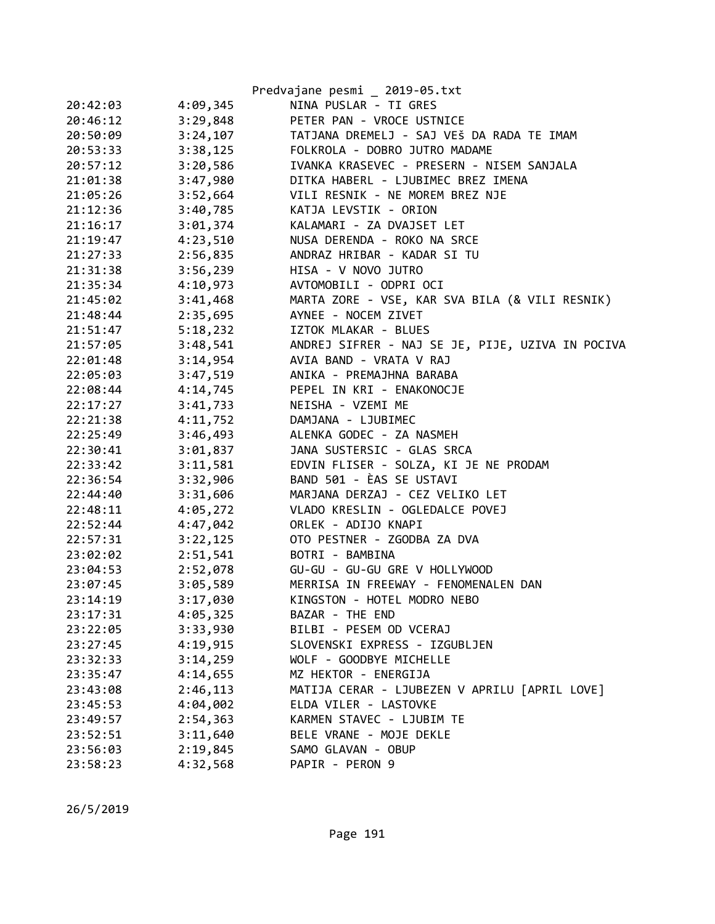|          |          | Predvajane pesmi _ 2019-05.txt                   |
|----------|----------|--------------------------------------------------|
| 20:42:03 | 4:09,345 | NINA PUSLAR - TI GRES                            |
| 20:46:12 | 3:29,848 | PETER PAN - VROCE USTNICE                        |
| 20:50:09 | 3:24,107 | TATJANA DREMELJ - SAJ VEŠ DA RADA TE IMAM        |
| 20:53:33 | 3:38,125 | FOLKROLA - DOBRO JUTRO MADAME                    |
| 20:57:12 | 3:20,586 | IVANKA KRASEVEC - PRESERN - NISEM SANJALA        |
| 21:01:38 | 3:47,980 | DITKA HABERL - LJUBIMEC BREZ IMENA               |
| 21:05:26 | 3:52,664 | VILI RESNIK - NE MOREM BREZ NJE                  |
| 21:12:36 | 3:40,785 | KATJA LEVSTIK - ORION                            |
| 21:16:17 | 3:01,374 | KALAMARI - ZA DVAJSET LET                        |
| 21:19:47 | 4:23,510 | NUSA DERENDA - ROKO NA SRCE                      |
| 21:27:33 | 2:56,835 | ANDRAZ HRIBAR - KADAR SI TU                      |
| 21:31:38 | 3:56,239 | HISA - V NOVO JUTRO                              |
| 21:35:34 | 4:10,973 | AVTOMOBILI - ODPRI OCI                           |
| 21:45:02 | 3:41,468 | MARTA ZORE - VSE, KAR SVA BILA (& VILI RESNIK)   |
| 21:48:44 | 2:35,695 | AYNEE - NOCEM ZIVET                              |
| 21:51:47 | 5:18,232 | IZTOK MLAKAR - BLUES                             |
| 21:57:05 | 3:48,541 | ANDREJ SIFRER - NAJ SE JE, PIJE, UZIVA IN POCIVA |
| 22:01:48 | 3:14,954 | AVIA BAND - VRATA V RAJ                          |
| 22:05:03 | 3:47,519 | ANIKA - PREMAJHNA BARABA                         |
| 22:08:44 | 4:14,745 | PEPEL IN KRI - ENAKONOCJE                        |
| 22:17:27 | 3:41,733 | NEISHA - VZEMI ME                                |
| 22:21:38 | 4:11,752 | DAMJANA - LJUBIMEC                               |
| 22:25:49 | 3:46,493 | ALENKA GODEC - ZA NASMEH                         |
| 22:30:41 | 3:01,837 | JANA SUSTERSIC - GLAS SRCA                       |
| 22:33:42 | 3:11,581 | EDVIN FLISER - SOLZA, KI JE NE PRODAM            |
| 22:36:54 | 3:32,906 | BAND 501 - ÈAS SE USTAVI                         |
| 22:44:40 | 3:31,606 | MARJANA DERZAJ - CEZ VELIKO LET                  |
| 22:48:11 | 4:05,272 | VLADO KRESLIN - OGLEDALCE POVEJ                  |
| 22:52:44 | 4:47,042 | ORLEK - ADIJO KNAPI                              |
| 22:57:31 | 3:22,125 | OTO PESTNER - ZGODBA ZA DVA                      |
| 23:02:02 | 2:51,541 | BOTRI - BAMBINA                                  |
| 23:04:53 | 2:52,078 | GU-GU - GU-GU GRE V HOLLYWOOD                    |
| 23:07:45 | 3:05,589 | MERRISA IN FREEWAY - FENOMENALEN DAN             |
| 23:14:19 | 3:17,030 | KINGSTON - HOTEL MODRO NEBO                      |
| 23:17:31 | 4:05,325 | BAZAR - THE END                                  |
| 23:22:05 | 3:33,930 | BILBI - PESEM OD VCERAJ                          |
| 23:27:45 | 4:19,915 | SLOVENSKI EXPRESS - IZGUBLJEN                    |
| 23:32:33 | 3:14,259 | WOLF - GOODBYE MICHELLE                          |
| 23:35:47 | 4:14,655 | MZ HEKTOR - ENERGIJA                             |
| 23:43:08 | 2:46,113 | MATIJA CERAR - LJUBEZEN V APRILU [APRIL LOVE]    |
| 23:45:53 | 4:04,002 | ELDA VILER - LASTOVKE                            |
| 23:49:57 | 2:54,363 | KARMEN STAVEC - LJUBIM TE                        |
| 23:52:51 | 3:11,640 | BELE VRANE - MOJE DEKLE                          |
| 23:56:03 | 2:19,845 | SAMO GLAVAN - OBUP                               |
| 23:58:23 | 4:32,568 | PAPIR - PERON 9                                  |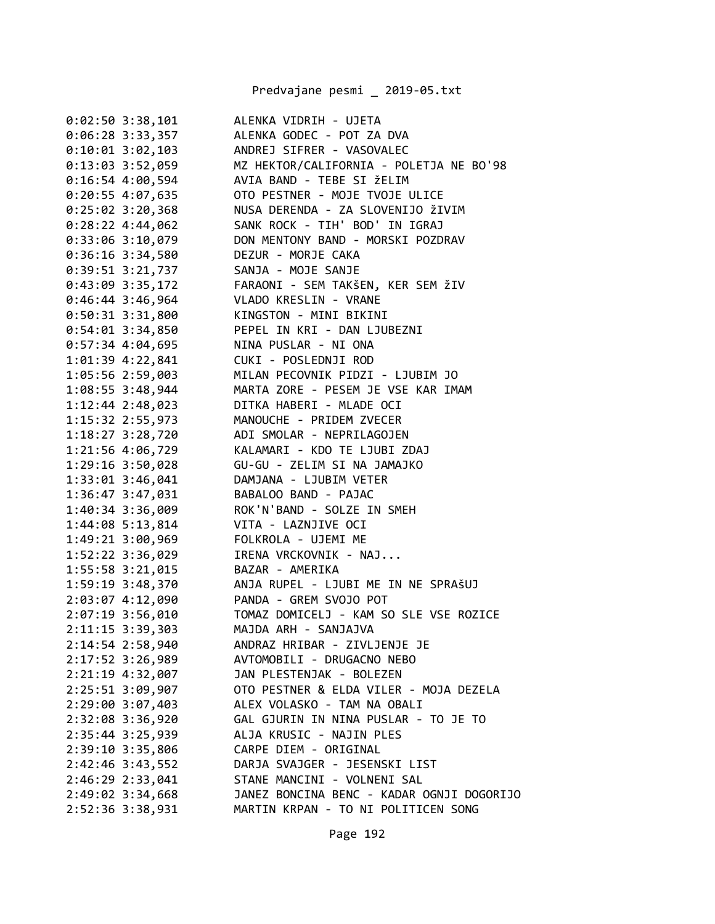Predvajane pesmi \_ 2019-05.txt

| $0:02:50$ 3:38,101   | ALENKA VIDRIH - UJETA                     |
|----------------------|-------------------------------------------|
| $0:06:28$ 3:33,357   | ALENKA GODEC - POT ZA DVA                 |
| $0:10:01$ 3:02,103   | ANDREJ SIFRER - VASOVALEC                 |
| $0:13:03$ 3:52,059   | MZ HEKTOR/CALIFORNIA - POLETJA NE BO'98   |
| $0:16:54$ 4:00,594   | AVIA BAND - TEBE SI ŽELIM                 |
| 0:20:55 4:07,635     | OTO PESTNER - MOJE TVOJE ULICE            |
| $0:25:02$ 3:20,368   | NUSA DERENDA - ZA SLOVENIJO ŽIVIM         |
| 0:28:224:34,062      | SANK ROCK - TIH' BOD' IN IGRAJ            |
| 0:33:06 3:10,079     | DON MENTONY BAND - MORSKI POZDRAV         |
| 0:36:16 3:34,580     | DEZUR - MORJE CAKA                        |
| $0:39:51$ $3:21,737$ | SANJA - MOJE SANJE                        |
| $0:43:09$ 3:35,172   | FARAONI - SEM TAKŠEN, KER SEM ŽIV         |
| $0:46:44$ 3:46,964   | VLADO KRESLIN - VRANE                     |
| $0:50:31$ 3:31,800   | KINGSTON - MINI BIKINI                    |
| $0:54:01$ 3:34,850   | PEPEL IN KRI - DAN LJUBEZNI               |
| $0:57:34$ 4:04,695   | NINA PUSLAR - NI ONA                      |
| 1:01:39 4:22,841     | CUKI - POSLEDNJI ROD                      |
| 1:05:56 2:59,003     | MILAN PECOVNIK PIDZI - LJUBIM JO          |
| 1:08:55 3:48,944     | MARTA ZORE - PESEM JE VSE KAR IMAM        |
| $1:12:44$ 2:48,023   | DITKA HABERI - MLADE OCI                  |
| $1:15:32$ $2:55,973$ | MANOUCHE - PRIDEM ZVECER                  |
| $1:18:27$ $3:28,720$ | ADI SMOLAR - NEPRILAGOJEN                 |
| 1:21:56 4:06,729     | KALAMARI - KDO TE LJUBI ZDAJ              |
| 1:29:16 3:50,028     | GU-GU - ZELIM SI NA JAMAJKO               |
| 1:33:01 3:46,041     | DAMJANA - LJUBIM VETER                    |
| 1:36:47 3:47,031     | BABALOO BAND - PAJAC                      |
| 1:40:34 3:36,009     | ROK'N'BAND - SOLZE IN SMEH                |
| 1:44:08 5:13,814     | VITA - LAZNJIVE OCI                       |
| 1:49:21 3:00,969     | FOLKROLA - UJEMI ME                       |
| 1:52:22 3:36,029     | IRENA VRCKOVNIK - NAJ                     |
| 1:55:58 3:21,015     | BAZAR - AMERIKA                           |
| 1:59:19 3:48,370     | ANJA RUPEL - LJUBI ME IN NE SPRAŠUJ       |
| 2:03:07 4:12,090     | PANDA - GREM SVOJO POT                    |
| 2:07:19 3:56,010     | TOMAZ DOMICELJ - KAM SO SLE VSE ROZICE    |
| 2:11:15 3:39,303     | MAJDA ARH - SANJAJVA                      |
| 2:14:54 2:58,940     | ANDRAZ HRIBAR - ZIVLJENJE JE              |
| $2:17:52$ 3:26,989   | AVTOMOBILI - DRUGACNO NEBO                |
| 2:21:19 4:32,007     | JAN PLESTENJAK - BOLEZEN                  |
| $2:25:51$ $3:09,907$ | OTO PESTNER & ELDA VILER - MOJA DEZELA    |
| 2:29:00 3:07,403     | ALEX VOLASKO - TAM NA OBALI               |
| 2:32:08 3:36,920     | GAL GJURIN IN NINA PUSLAR - TO JE TO      |
| $2:35:44$ 3:25,939   | ALJA KRUSIC - NAJIN PLES                  |
| 2:39:10 3:35,806     | CARPE DIEM - ORIGINAL                     |
| $2:42:46$ 3:43,552   | DARJA SVAJGER - JESENSKI LIST             |
| 2:46:29 2:33,041     | STANE MANCINI - VOLNENI SAL               |
| 2:49:02 3:34,668     | JANEZ BONCINA BENC - KADAR OGNJI DOGORIJO |
| 2:52:36 3:38,931     | MARTIN KRPAN - TO NI POLITICEN SONG       |
|                      |                                           |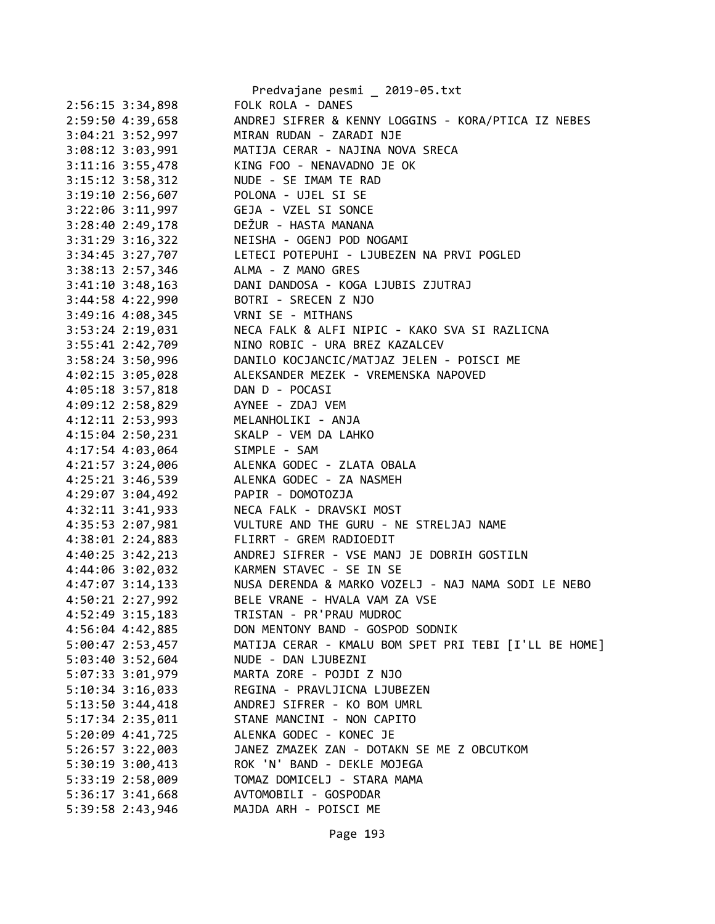|                      | Predvajane pesmi _ 2019-05.txt                        |
|----------------------|-------------------------------------------------------|
| $2:56:15$ 3:34,898   | FOLK ROLA - DANES                                     |
| 2:59:50 4:39,658     | ANDREJ SIFRER & KENNY LOGGINS - KORA/PTICA IZ NEBES   |
| 3:04:21 3:52,997     | MIRAN RUDAN - ZARADI NJE                              |
| 3:08:12 3:03,991     | MATIJA CERAR - NAJINA NOVA SRECA                      |
| $3:11:16$ $3:55,478$ | KING FOO - NENAVADNO JE OK                            |
| $3:15:12$ $3:58,312$ | NUDE - SE IMAM TE RAD                                 |
| $3:19:10$ 2:56,607   | POLONA - UJEL SI SE                                   |
| $3:22:06$ $3:11,997$ | GEJA - VZEL SI SONCE                                  |
| 3:28:40 2:49,178     | DEŽUR - HASTA MANANA                                  |
| $3:31:29$ $3:16,322$ | NEISHA - OGENJ POD NOGAMI                             |
| 3:34:45 3:27,707     | LETECI POTEPUHI - LJUBEZEN NA PRVI POGLED             |
| $3:38:13$ 2:57,346   | ALMA - Z MANO GRES                                    |
| $3:41:10$ $3:48,163$ | DANI DANDOSA - KOGA LJUBIS ZJUTRAJ                    |
| 3:44:58 4:22,990     | BOTRI - SRECEN Z NJO                                  |
| 3:49:16 4:08,345     | VRNI SE - MITHANS                                     |
| 3:53:24 2:19,031     | NECA FALK & ALFI NIPIC - KAKO SVA SI RAZLICNA         |
| 3:55:41 2:42,709     | NINO ROBIC - URA BREZ KAZALCEV                        |
| $3:58:24$ 3:50,996   | DANILO KOCJANCIC/MATJAZ JELEN - POISCI ME             |
| $4:02:15$ 3:05,028   | ALEKSANDER MEZEK - VREMENSKA NAPOVED                  |
| 4:05:18 3:57,818     | DAN D - POCASI                                        |
| 4:09:12 2:58,829     | AYNEE - ZDAJ VEM                                      |
| 4:12:11 2:53,993     | MELANHOLIKI - ANJA                                    |
| $4:15:04$ 2:50,231   | SKALP - VEM DA LAHKO                                  |
| $4:17:54$ $4:03,064$ | SIMPLE - SAM                                          |
| 4:21:57 3:24,006     | ALENKA GODEC - ZLATA OBALA                            |
| 4:25:21 3:46,539     | ALENKA GODEC - ZA NASMEH                              |
| 4:29:07 3:04,492     | PAPIR - DOMOTOZJA                                     |
| 4:32:11 3:41,933     | NECA FALK - DRAVSKI MOST                              |
| 4:35:53 2:07,981     | VULTURE AND THE GURU - NE STRELJAJ NAME               |
| 4:38:01 2:24,883     | FLIRRT - GREM RADIOEDIT                               |
| 4:40:25 3:42,213     | ANDREJ SIFRER - VSE MANJ JE DOBRIH GOSTILN            |
| 4:44:06 3:02,032     | KARMEN STAVEC - SE IN SE                              |
| $4:47:07$ 3:14,133   | NUSA DERENDA & MARKO VOZELJ - NAJ NAMA SODI LE NEBO   |
| 4:50:21 2:27,992     | BELE VRANE - HVALA VAM ZA VSE                         |
| 4:52:49 3:15,183     | TRISTAN - PR'PRAU MUDROC                              |
| 4:56:04 4:42,885     | DON MENTONY BAND - GOSPOD SODNIK                      |
| 5:00:47 2:53,457     | MATIJA CERAR - KMALU BOM SPET PRI TEBI [I'LL BE HOME] |
| 5:03:40 3:52,604     | NUDE - DAN LJUBEZNI                                   |
| 5:07:33 3:01,979     | MARTA ZORE - POJDI Z NJO                              |
| $5:10:34$ 3:16,033   | REGINA - PRAVLJICNA LJUBEZEN                          |
| $5:13:50$ $3:44,418$ | ANDREJ SIFRER - KO BOM UMRL                           |
| 5:17:34 2:35,011     | STANE MANCINI - NON CAPITO                            |
| 5:20:09 4:41,725     | ALENKA GODEC - KONEC JE                               |
| $5:26:57$ $3:22,003$ | JANEZ ZMAZEK ZAN - DOTAKN SE ME Z OBCUTKOM            |
| 5:30:19 3:00,413     | ROK 'N' BAND - DEKLE MOJEGA                           |
| 5:33:19 2:58,009     | TOMAZ DOMICELJ - STARA MAMA                           |
| 5:36:17 3:41,668     | AVTOMOBILI - GOSPODAR                                 |
| 5:39:58 2:43,946     | MAJDA ARH - POISCI ME                                 |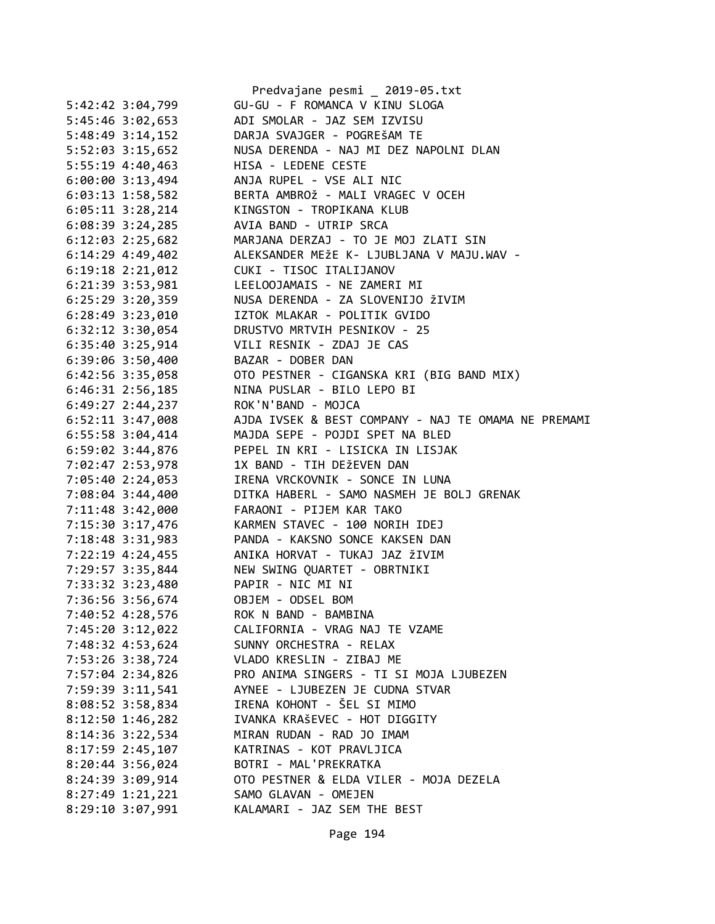|                      | Predvajane pesmi _ 2019-05.txt                             |
|----------------------|------------------------------------------------------------|
| 5:42:42 3:04,799     | GU-GU - F ROMANCA V KINU SLOGA                             |
| 5:45:46 3:02,653     | ADI SMOLAR - JAZ SEM IZVISU                                |
| $5:48:49$ 3:14,152   | DARJA SVAJGER - POGREŠAM TE                                |
| 5:52:03 3:15,652     | NUSA DERENDA - NAJ MI DEZ NAPOLNI DLAN                     |
| 5:55:19 4:40,463     | HISA - LEDENE CESTE                                        |
| 6:00:003:13,494      | ANJA RUPEL - VSE ALI NIC                                   |
| $6:03:13$ 1:58,582   | BERTA AMBROŽ - MALI VRAGEC V OCEH                          |
| $6:05:11$ 3:28,214   | KINGSTON - TROPIKANA KLUB                                  |
| $6:08:39$ 3:24,285   | AVIA BAND - UTRIP SRCA                                     |
| 6:12:03 2:25,682     | MARJANA DERZAJ - TO JE MOJ ZLATI SIN                       |
| $6:14:29$ 4:49,402   | ALEKSANDER MEŽE K- LJUBLJANA V MAJU.WAV -                  |
| $6:19:18$ $2:21,012$ | CUKI - TISOC ITALIJANOV                                    |
| 6:21:39 3:53,981     | LEELOOJAMAIS - NE ZAMERI MI                                |
| $6:25:29$ 3:20,359   | NUSA DERENDA - ZA SLOVENIJO ŽIVIM                          |
| $6:28:49$ 3:23,010   | IZTOK MLAKAR - POLITIK GVIDO                               |
| $6:32:12$ $3:30,054$ | DRUSTVO MRTVIH PESNIKOV - 25                               |
| 6:35:40 3:25,914     | VILI RESNIK - ZDAJ JE CAS                                  |
| $6:39:06$ 3:50,400   | BAZAR - DOBER DAN                                          |
|                      | 6:42:56 3:35,058 OTO PESTNER - CIGANSKA KRI (BIG BAND MIX) |
| $6:46:31$ $2:56,185$ | NINA PUSLAR - BILO LEPO BI                                 |
| $6:49:27$ 2:44,237   | ROK'N'BAND - MOJCA                                         |
| $6:52:11$ 3:47,008   | AJDA IVSEK & BEST COMPANY - NAJ TE OMAMA NE PREMAMI        |
| 6:55:58 3:04,414     | MAJDA SEPE - POJDI SPET NA BLED                            |
| 6:59:02 3:44,876     | PEPEL IN KRI - LISICKA IN LISJAK                           |
| 7:02:47 2:53,978     | 1X BAND - TIH DEŽEVEN DAN                                  |
|                      | IRENA VRCKOVNIK - SONCE IN LUNA                            |
| 7:05:40 2:24,053     | DITKA HABERL - SAMO NASMEH JE BOLJ GRENAK                  |
| 7:08:04 3:44,400     | FARAONI - PIJEM KAR TAKO                                   |
| 7:11:48 3:42,000     |                                                            |
| 7:15:30 3:17,476     | KARMEN STAVEC - 100 NORIH IDEJ                             |
|                      | 7:18:48 3:31,983 PANDA - KAKSNO SONCE KAKSEN DAN           |
| $7:22:19$ 4:24,455   | ANIKA HORVAT - TUKAJ JAZ ŽIVIM                             |
|                      | 7:29:57 3:35,844 NEW SWING QUARTET - OBRTNIKI              |
| 7:33:32 3:23,480     | PAPIR - NIC MI NI                                          |
| 7:36:56 3:56,674     | OBJEM - ODSEL BOM                                          |
| 7:40:52 4:28,576     | ROK N BAND - BAMBINA                                       |
| 7:45:20 3:12,022     | CALIFORNIA - VRAG NAJ TE VZAME                             |
| 7:48:32 4:53,624     | SUNNY ORCHESTRA - RELAX                                    |
| 7:53:26 3:38,724     | VLADO KRESLIN - ZIBAJ ME                                   |
| 7:57:04 2:34,826     | PRO ANIMA SINGERS - TI SI MOJA LJUBEZEN                    |
| 7:59:39 3:11,541     | AYNEE - LJUBEZEN JE CUDNA STVAR                            |
| 8:08:52 3:58,834     | IRENA KOHONT - ŠEL SI MIMO                                 |
| 8:12:50 1:46,282     | IVANKA KRAŠEVEC - HOT DIGGITY                              |
| 8:14:36 3:22,534     | MIRAN RUDAN - RAD JO IMAM                                  |
| 8:17:59 2:45,107     | KATRINAS - KOT PRAVLJICA                                   |
| 8:20:44 3:56,024     | BOTRI - MAL'PREKRATKA                                      |
| 8:24:39 3:09,914     | OTO PESTNER & ELDA VILER - MOJA DEZELA                     |
| 8:27:49 1:21,221     | SAMO GLAVAN - OMEJEN                                       |
| 8:29:10 3:07,991     | KALAMARI - JAZ SEM THE BEST                                |
|                      |                                                            |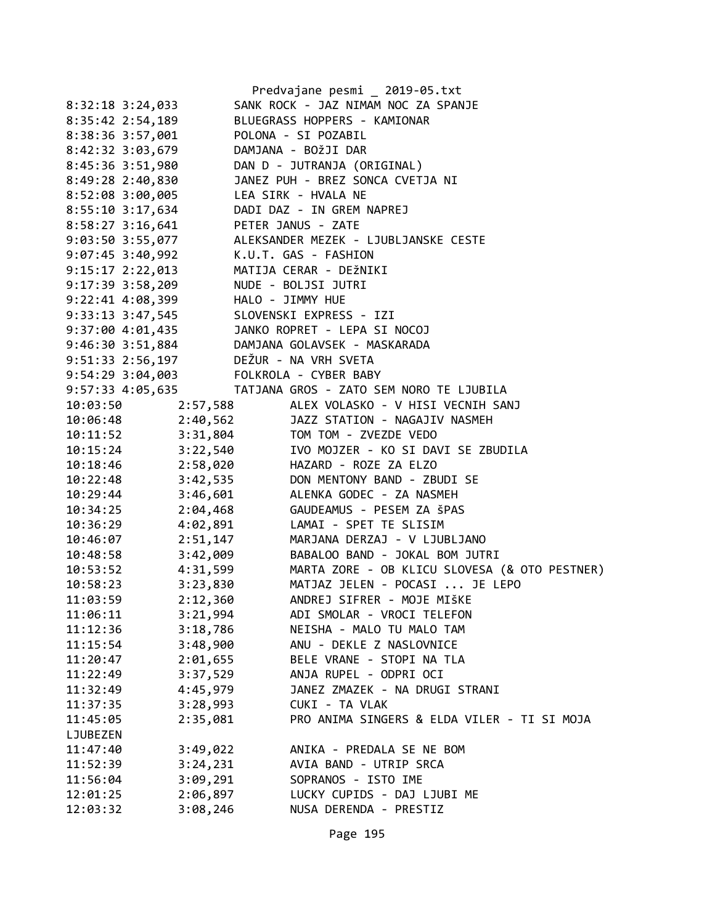|                                        |          | Predvajane pesmi _ 2019-05.txt                                                                                           |
|----------------------------------------|----------|--------------------------------------------------------------------------------------------------------------------------|
| $8:32:18$ 3:24,033                     |          | SANK ROCK - JAZ NIMAM NOC ZA SPANJE                                                                                      |
| 8:35:42 2:54,189                       |          | BLUEGRASS HOPPERS - KAMIONAR                                                                                             |
| 8:38:36 3:57,001                       |          | POLONA - SI POZABIL                                                                                                      |
| 8:42:32 3:03,679                       |          | DAMJANA - BOŽJI DAR                                                                                                      |
| 8:45:36 3:51,980                       |          | DAN D - JUTRANJA (ORIGINAL)                                                                                              |
| 8:49:28 2:40,830                       |          | JANEZ PUH - BREZ SONCA CVETJA NI                                                                                         |
| 8:52:08 3:00,005                       |          | LEA SIRK - HVALA NE                                                                                                      |
| 8:55:10 3:17,634                       |          | DADI DAZ - IN GREM NAPREJ                                                                                                |
| 8:58:27 3:16,641 PETER JANUS - ZATE    |          |                                                                                                                          |
|                                        |          | 9:03:50 3:55,077 ALEKSANDER MEZEK - LJUBLJANSKE CESTE                                                                    |
| 9:07:45 3:40,992 K.U.T. GAS - FASHION  |          |                                                                                                                          |
| 9:15:17 2:22,013                       |          | MATIJA CERAR - DEŽNIKI                                                                                                   |
| 9:17:39 3:58,209                       |          | NUDE - BOLJSI JUTRI                                                                                                      |
|                                        |          |                                                                                                                          |
|                                        |          |                                                                                                                          |
|                                        |          |                                                                                                                          |
|                                        |          | 9:22:41 4:08,399<br>9:33:13 3:47,545<br>9:37:00 4:01,435<br>9:46:30 3:51,884<br>9:51:33 2:56,197<br>DEŽUR - NA VRH SVETA |
|                                        |          |                                                                                                                          |
| 9:54:29 3:04,003 FOLKROLA - CYBER BABY |          |                                                                                                                          |
|                                        |          | 9:57:33 4:05,635 TATJANA GROS - ZATO SEM NORO TE LJUBILA                                                                 |
| 10:03:50                               |          | 2:57,588 ALEX VOLASKO - V HISI VECNIH SANJ                                                                               |
| 10:06:48                               |          |                                                                                                                          |
| 10:11:52                               |          | 2.37,300<br>2:40,562 JAZZ STATION - NAGAJIV NASMEH<br>3:31,804 TOM TOM - ZVEZDE VEDO                                     |
| 10:15:24                               |          | 3:22,540 IVO MOJZER - KO SI DAVI SE ZBUDILA                                                                              |
| 10:18:46                               |          | 2:58,020 HAZARD - ROZE ZA ELZO                                                                                           |
| 10:22:48                               |          | 3:42,535 DON MENTONY BAND - ZBUDI SE                                                                                     |
| 10:29:44                               |          | 3:46,601 ALENKA GODEC - ZA NASMEH                                                                                        |
| 10:34:25                               |          | 2:04,468 GAUDEAMUS - PESEM ZA ŠPAS                                                                                       |
| 10:36:29                               | 4:02,891 | LAMAI - SPET TE SLISIM                                                                                                   |
| 10:46:07                               | 2:51,147 | MARJANA DERZAJ - V LJUBLJANO                                                                                             |
| 10:48:58                               | 3:42,009 | BABALOO BAND - JOKAL BOM JUTRI                                                                                           |
| 10:53:52                               |          | 4:31,599 MARTA ZORE - OB KLICU SLOVESA (& OTO PESTNER)                                                                   |
| 10:58:23                               |          | 3:23,830 MATJAZ JELEN - POCASI  JE LEPO                                                                                  |
| 11:03:59                               | 2:12,360 | ANDREJ SIFRER - MOJE MIŠKE                                                                                               |
| 11:06:11                               | 3:21,994 | ADI SMOLAR - VROCI TELEFON                                                                                               |
| 11:12:36                               | 3:18,786 | NEISHA - MALO TU MALO TAM                                                                                                |
| 11:15:54                               | 3:48,900 | ANU - DEKLE Z NASLOVNICE                                                                                                 |
| 11:20:47                               | 2:01,655 | BELE VRANE - STOPI NA TLA                                                                                                |
| 11:22:49                               | 3:37,529 | ANJA RUPEL - ODPRI OCI                                                                                                   |
| 11:32:49                               | 4:45,979 | JANEZ ZMAZEK - NA DRUGI STRANI                                                                                           |
| 11:37:35                               | 3:28,993 | CUKI - TA VLAK                                                                                                           |
| 11:45:05                               | 2:35,081 | PRO ANIMA SINGERS & ELDA VILER - TI SI MOJA                                                                              |
| LJUBEZEN                               |          |                                                                                                                          |
| 11:47:40                               | 3:49,022 | ANIKA - PREDALA SE NE BOM                                                                                                |
| 11:52:39                               | 3:24,231 | AVIA BAND - UTRIP SRCA                                                                                                   |
| 11:56:04                               | 3:09,291 | SOPRANOS - ISTO IME                                                                                                      |
| 12:01:25                               | 2:06,897 | LUCKY CUPIDS - DAJ LJUBI ME                                                                                              |
| 12:03:32                               | 3:08,246 | NUSA DERENDA - PRESTIZ                                                                                                   |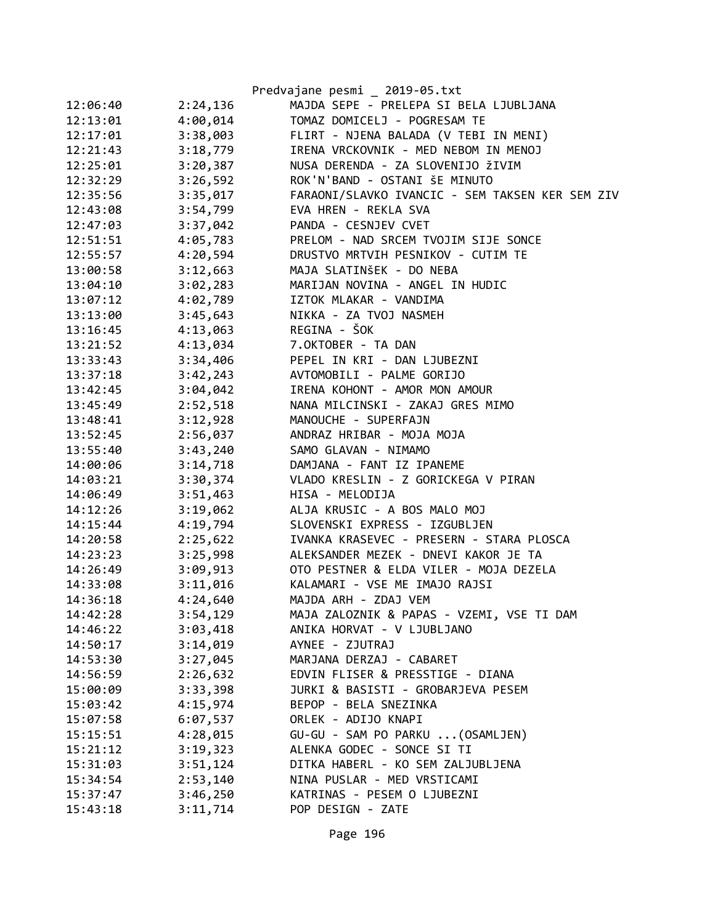|          |          | Predvajane pesmi _ 2019-05.txt                  |
|----------|----------|-------------------------------------------------|
| 12:06:40 | 2:24,136 | MAJDA SEPE - PRELEPA SI BELA LJUBLJANA          |
| 12:13:01 | 4:00,014 | TOMAZ DOMICELJ - POGRESAM TE                    |
| 12:17:01 | 3:38,003 | FLIRT - NJENA BALADA (V TEBI IN MENI)           |
| 12:21:43 | 3:18,779 | IRENA VRCKOVNIK - MED NEBOM IN MENOJ            |
| 12:25:01 | 3:20,387 | NUSA DERENDA - ZA SLOVENIJO ŽIVIM               |
| 12:32:29 | 3:26,592 | ROK'N'BAND - OSTANI ŠE MINUTO                   |
| 12:35:56 | 3:35,017 | FARAONI/SLAVKO IVANCIC - SEM TAKSEN KER SEM ZIV |
| 12:43:08 | 3:54,799 | EVA HREN - REKLA SVA                            |
| 12:47:03 | 3:37,042 | PANDA - CESNJEV CVET                            |
| 12:51:51 | 4:05,783 | PRELOM - NAD SRCEM TVOJIM SIJE SONCE            |
| 12:55:57 | 4:20,594 | DRUSTVO MRTVIH PESNIKOV - CUTIM TE              |
| 13:00:58 | 3:12,663 | MAJA SLATINŠEK - DO NEBA                        |
| 13:04:10 | 3:02,283 | MARIJAN NOVINA - ANGEL IN HUDIC                 |
| 13:07:12 | 4:02,789 | IZTOK MLAKAR - VANDIMA                          |
| 13:13:00 | 3:45,643 | NIKKA - ZA TVOJ NASMEH                          |
| 13:16:45 | 4:13,063 | REGINA - ŠOK                                    |
| 13:21:52 | 4:13,034 | 7.OKTOBER - TA DAN                              |
| 13:33:43 | 3:34,406 | PEPEL IN KRI - DAN LJUBEZNI                     |
| 13:37:18 | 3:42,243 | AVTOMOBILI - PALME GORIJO                       |
| 13:42:45 | 3:04,042 | IRENA KOHONT - AMOR MON AMOUR                   |
| 13:45:49 | 2:52,518 | NANA MILCINSKI - ZAKAJ GRES MIMO                |
| 13:48:41 | 3:12,928 | MANOUCHE - SUPERFAJN                            |
| 13:52:45 | 2:56,037 | ANDRAZ HRIBAR - MOJA MOJA                       |
| 13:55:40 | 3:43,240 | SAMO GLAVAN - NIMAMO                            |
| 14:00:06 | 3:14,718 | DAMJANA - FANT IZ IPANEME                       |
| 14:03:21 | 3:30,374 | VLADO KRESLIN - Z GORICKEGA V PIRAN             |
| 14:06:49 | 3:51,463 | HISA - MELODIJA                                 |
| 14:12:26 | 3:19,062 | ALJA KRUSIC - A BOS MALO MOJ                    |
| 14:15:44 | 4:19,794 | SLOVENSKI EXPRESS - IZGUBLJEN                   |
| 14:20:58 | 2:25,622 | IVANKA KRASEVEC - PRESERN - STARA PLOSCA        |
| 14:23:23 | 3:25,998 | ALEKSANDER MEZEK - DNEVI KAKOR JE TA            |
| 14:26:49 | 3:09,913 | OTO PESTNER & ELDA VILER - MOJA DEZELA          |
| 14:33:08 | 3:11,016 | KALAMARI - VSE ME IMAJO RAJSI                   |
| 14:36:18 | 4:24,640 | MAJDA ARH - ZDAJ VEM                            |
| 14:42:28 | 3:54,129 | MAJA ZALOZNIK & PAPAS - VZEMI, VSE TI DAM       |
| 14:46:22 | 3:03,418 | ANIKA HORVAT - V LJUBLJANO                      |
| 14:50:17 | 3:14,019 | AYNEE - ZJUTRAJ                                 |
| 14:53:30 | 3:27,045 | MARJANA DERZAJ - CABARET                        |
| 14:56:59 | 2:26,632 | EDVIN FLISER & PRESSTIGE - DIANA                |
| 15:00:09 | 3:33,398 | JURKI & BASISTI - GROBARJEVA PESEM              |
| 15:03:42 | 4:15,974 | BEPOP - BELA SNEZINKA                           |
| 15:07:58 | 6:07,537 | ORLEK - ADIJO KNAPI                             |
| 15:15:51 | 4:28,015 | GU-GU - SAM PO PARKU  (OSAMLJEN)                |
| 15:21:12 | 3:19,323 | ALENKA GODEC - SONCE SI TI                      |
| 15:31:03 | 3:51,124 | DITKA HABERL - KO SEM ZALJUBLJENA               |
| 15:34:54 | 2:53,140 | NINA PUSLAR - MED VRSTICAMI                     |
| 15:37:47 | 3:46,250 | KATRINAS - PESEM O LJUBEZNI                     |
| 15:43:18 | 3:11,714 | POP DESIGN - ZATE                               |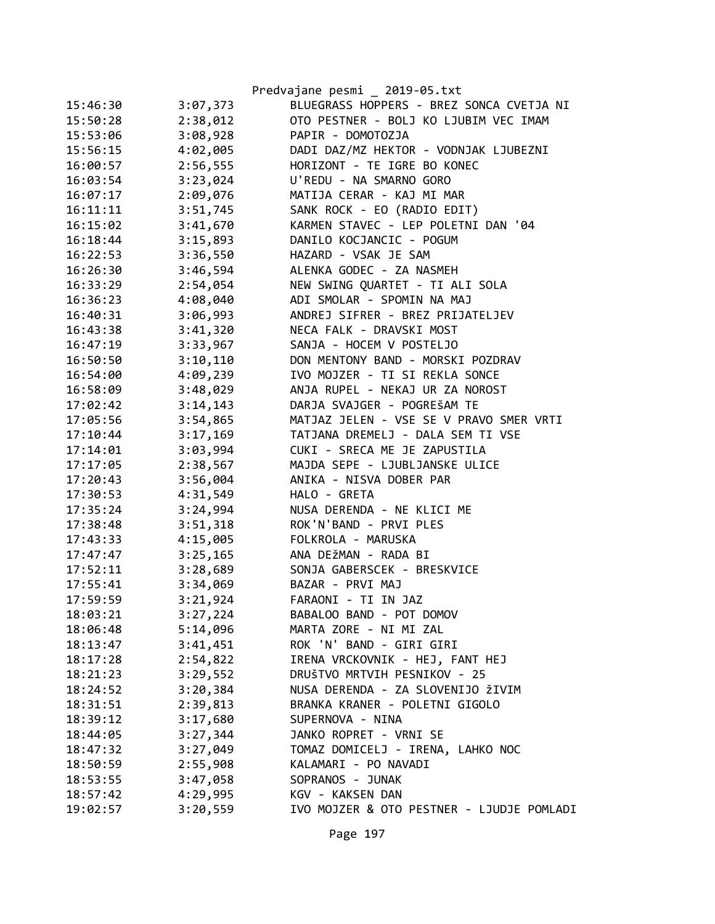|          |          | Predvajane pesmi _ 2019-05.txt            |
|----------|----------|-------------------------------------------|
| 15:46:30 | 3:07,373 | BLUEGRASS HOPPERS - BREZ SONCA CVETJA NI  |
| 15:50:28 | 2:38,012 | OTO PESTNER - BOLJ KO LJUBIM VEC IMAM     |
| 15:53:06 | 3:08,928 | PAPIR - DOMOTOZJA                         |
| 15:56:15 | 4:02,005 | DADI DAZ/MZ HEKTOR - VODNJAK LJUBEZNI     |
| 16:00:57 | 2:56,555 | HORIZONT - TE IGRE BO KONEC               |
| 16:03:54 | 3:23,024 | U'REDU - NA SMARNO GORO                   |
| 16:07:17 | 2:09,076 | MATIJA CERAR - KAJ MI MAR                 |
| 16:11:11 | 3:51,745 | SANK ROCK - EO (RADIO EDIT)               |
| 16:15:02 | 3:41,670 | KARMEN STAVEC - LEP POLETNI DAN '04       |
| 16:18:44 | 3:15,893 | DANILO KOCJANCIC - POGUM                  |
| 16:22:53 | 3:36,550 | HAZARD - VSAK JE SAM                      |
| 16:26:30 | 3:46,594 | ALENKA GODEC - ZA NASMEH                  |
| 16:33:29 | 2:54,054 | NEW SWING QUARTET - TI ALI SOLA           |
| 16:36:23 | 4:08,040 | ADI SMOLAR - SPOMIN NA MAJ                |
| 16:40:31 | 3:06,993 | ANDREJ SIFRER - BREZ PRIJATELJEV          |
| 16:43:38 | 3:41,320 | NECA FALK - DRAVSKI MOST                  |
| 16:47:19 | 3:33,967 | SANJA - HOCEM V POSTELJO                  |
| 16:50:50 | 3:10,110 | DON MENTONY BAND - MORSKI POZDRAV         |
| 16:54:00 | 4:09,239 | IVO MOJZER - TI SI REKLA SONCE            |
| 16:58:09 | 3:48,029 | ANJA RUPEL - NEKAJ UR ZA NOROST           |
| 17:02:42 | 3:14,143 | DARJA SVAJGER - POGREŠAM TE               |
| 17:05:56 | 3:54,865 | MATJAZ JELEN - VSE SE V PRAVO SMER VRTI   |
| 17:10:44 | 3:17,169 | TATJANA DREMELJ - DALA SEM TI VSE         |
| 17:14:01 | 3:03,994 | CUKI - SRECA ME JE ZAPUSTILA              |
| 17:17:05 | 2:38,567 | MAJDA SEPE - LJUBLJANSKE ULICE            |
| 17:20:43 | 3:56,004 | ANIKA - NISVA DOBER PAR                   |
| 17:30:53 | 4:31,549 | HALO - GRETA                              |
| 17:35:24 | 3:24,994 | NUSA DERENDA - NE KLICI ME                |
| 17:38:48 | 3:51,318 | ROK'N'BAND - PRVI PLES                    |
| 17:43:33 | 4:15,005 | FOLKROLA - MARUSKA                        |
| 17:47:47 | 3:25,165 | ANA DEŽMAN - RADA BI                      |
| 17:52:11 | 3:28,689 | SONJA GABERSCEK - BRESKVICE               |
| 17:55:41 | 3:34,069 | BAZAR - PRVI MAJ                          |
| 17:59:59 | 3:21,924 | FARAONI - TI IN JAZ                       |
| 18:03:21 | 3:27,224 | BABALOO BAND - POT DOMOV                  |
| 18:06:48 | 5:14,096 | MARTA ZORE - NI MI ZAL                    |
| 18:13:47 | 3:41,451 | ROK 'N' BAND - GIRI GIRI                  |
| 18:17:28 | 2:54,822 | IRENA VRCKOVNIK - HEJ, FANT HEJ           |
| 18:21:23 | 3:29,552 | DRUŠTVO MRTVIH PESNIKOV - 25              |
| 18:24:52 | 3:20,384 | NUSA DERENDA - ZA SLOVENIJO ŽIVIM         |
| 18:31:51 | 2:39,813 | BRANKA KRANER - POLETNI GIGOLO            |
| 18:39:12 | 3:17,680 | SUPERNOVA - NINA                          |
| 18:44:05 | 3:27,344 | JANKO ROPRET - VRNI SE                    |
| 18:47:32 | 3:27,049 | TOMAZ DOMICELJ - IRENA, LAHKO NOC         |
| 18:50:59 | 2:55,908 | KALAMARI - PO NAVADI                      |
| 18:53:55 | 3:47,058 | SOPRANOS - JUNAK                          |
| 18:57:42 | 4:29,995 | KGV - KAKSEN DAN                          |
| 19:02:57 | 3:20,559 | IVO MOJZER & OTO PESTNER - LJUDJE POMLADI |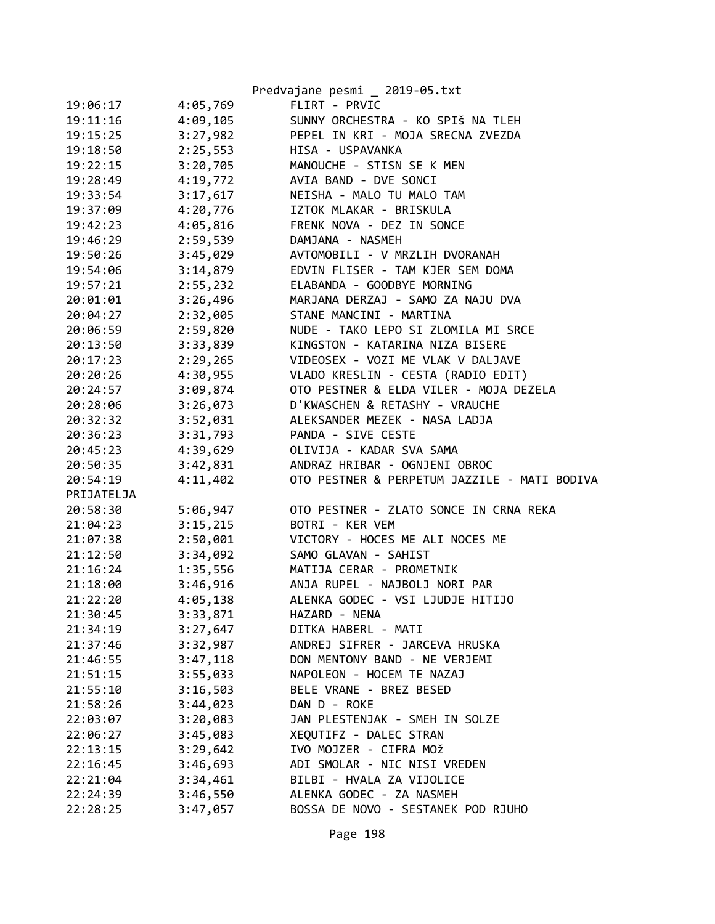|            |          | Predvajane pesmi _ 2019-05.txt               |
|------------|----------|----------------------------------------------|
| 19:06:17   | 4:05,769 | FLIRT - PRVIC                                |
| 19:11:16   | 4:09,105 | SUNNY ORCHESTRA - KO SPIŠ NA TLEH            |
| 19:15:25   | 3:27,982 | PEPEL IN KRI - MOJA SRECNA ZVEZDA            |
| 19:18:50   | 2:25,553 | HISA - USPAVANKA                             |
| 19:22:15   | 3:20,705 | MANOUCHE - STISN SE K MEN                    |
| 19:28:49   | 4:19,772 | AVIA BAND - DVE SONCI                        |
| 19:33:54   | 3:17,617 | NEISHA - MALO TU MALO TAM                    |
| 19:37:09   | 4:20,776 | IZTOK MLAKAR - BRISKULA                      |
| 19:42:23   | 4:05,816 | FRENK NOVA - DEZ IN SONCE                    |
| 19:46:29   | 2:59,539 | DAMJANA - NASMEH                             |
| 19:50:26   | 3:45,029 | AVTOMOBILI - V MRZLIH DVORANAH               |
| 19:54:06   | 3:14,879 | EDVIN FLISER - TAM KJER SEM DOMA             |
| 19:57:21   | 2:55,232 | ELABANDA - GOODBYE MORNING                   |
| 20:01:01   | 3:26,496 | MARJANA DERZAJ - SAMO ZA NAJU DVA            |
| 20:04:27   | 2:32,005 | STANE MANCINI - MARTINA                      |
| 20:06:59   | 2:59,820 | NUDE - TAKO LEPO SI ZLOMILA MI SRCE          |
| 20:13:50   | 3:33,839 | KINGSTON - KATARINA NIZA BISERE              |
| 20:17:23   | 2:29,265 | VIDEOSEX - VOZI ME VLAK V DALJAVE            |
| 20:20:26   | 4:30,955 | VLADO KRESLIN - CESTA (RADIO EDIT)           |
| 20:24:57   | 3:09,874 | OTO PESTNER & ELDA VILER - MOJA DEZELA       |
| 20:28:06   | 3:26,073 | D'KWASCHEN & RETASHY - VRAUCHE               |
| 20:32:32   | 3:52,031 | ALEKSANDER MEZEK - NASA LADJA                |
| 20:36:23   | 3:31,793 | PANDA - SIVE CESTE                           |
| 20:45:23   | 4:39,629 | OLIVIJA - KADAR SVA SAMA                     |
| 20:50:35   | 3:42,831 | ANDRAZ HRIBAR - OGNJENI OBROC                |
| 20:54:19   | 4:11,402 | OTO PESTNER & PERPETUM JAZZILE - MATI BODIVA |
| PRIJATELJA |          |                                              |
| 20:58:30   | 5:06,947 | OTO PESTNER - ZLATO SONCE IN CRNA REKA       |
| 21:04:23   | 3:15,215 | BOTRI - KER VEM                              |
| 21:07:38   | 2:50,001 | VICTORY - HOCES ME ALI NOCES ME              |
| 21:12:50   | 3:34,092 | SAMO GLAVAN - SAHIST                         |
| 21:16:24   | 1:35,556 | MATIJA CERAR - PROMETNIK                     |
| 21:18:00   | 3:46,916 | ANJA RUPEL - NAJBOLJ NORI PAR                |
| 21:22:20   | 4:05,138 | ALENKA GODEC - VSI LJUDJE HITIJO             |
| 21:30:45   | 3:33,871 | HAZARD - NENA                                |
| 21:34:19   | 3:27,647 | DITKA HABERL - MATI                          |
| 21:37:46   | 3:32,987 | ANDREJ SIFRER - JARCEVA HRUSKA               |
| 21:46:55   | 3:47,118 | DON MENTONY BAND - NE VERJEMI                |
| 21:51:15   | 3:55,033 | NAPOLEON - HOCEM TE NAZAJ                    |
| 21:55:10   | 3:16,503 | BELE VRANE - BREZ BESED                      |
| 21:58:26   | 3:44,023 | DAN D - ROKE                                 |
| 22:03:07   | 3:20,083 | JAN PLESTENJAK - SMEH IN SOLZE               |
| 22:06:27   | 3:45,083 | XEQUTIFZ - DALEC STRAN                       |
| 22:13:15   | 3:29,642 | IVO MOJZER - CIFRA MOŽ                       |
| 22:16:45   | 3:46,693 | ADI SMOLAR - NIC NISI VREDEN                 |
| 22:21:04   | 3:34,461 | BILBI - HVALA ZA VIJOLICE                    |
| 22:24:39   | 3:46,550 | ALENKA GODEC - ZA NASMEH                     |
| 22:28:25   | 3:47,057 | BOSSA DE NOVO - SESTANEK POD RJUHO           |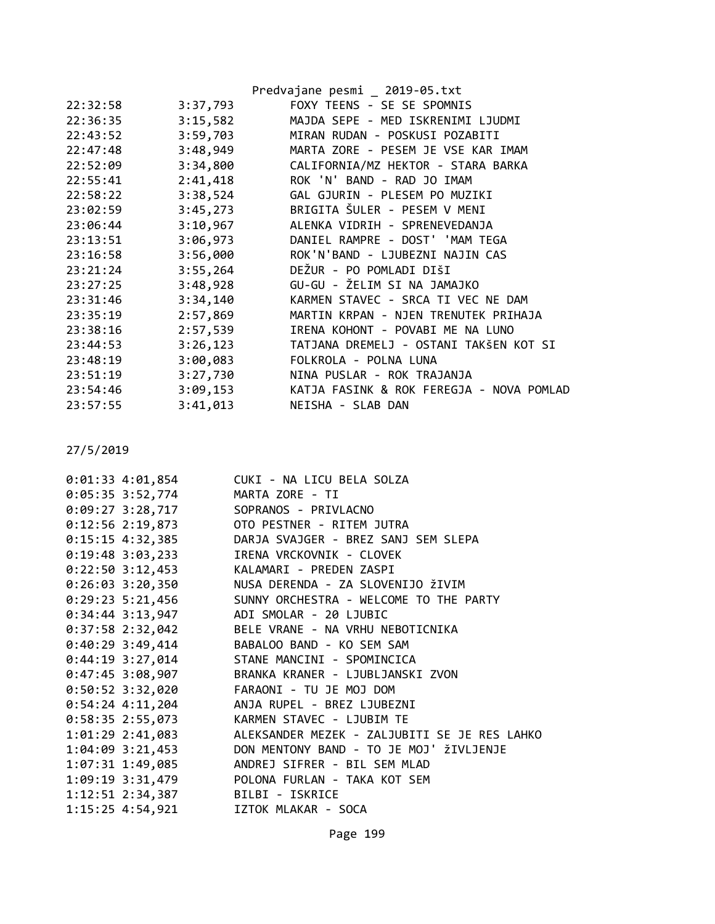|          |          | Predvajane pesmi _ 2019-05.txt           |
|----------|----------|------------------------------------------|
| 22:32:58 | 3:37,793 | FOXY TEENS - SE SE SPOMNIS               |
| 22:36:35 | 3:15,582 | MAJDA SEPE - MED ISKRENIMI LJUDMI        |
| 22:43:52 | 3:59,703 | MIRAN RUDAN - POSKUSI POZABITI           |
| 22:47:48 | 3:48,949 | MARTA ZORE - PESEM JE VSE KAR IMAM       |
| 22:52:09 | 3:34,800 | CALIFORNIA/MZ HEKTOR - STARA BARKA       |
| 22:55:41 | 2:41,418 | ROK 'N' BAND - RAD JO IMAM               |
| 22:58:22 | 3:38,524 | GAL GJURIN - PLESEM PO MUZIKI            |
| 23:02:59 | 3:45,273 | BRIGITA ŠULER - PESEM V MENI             |
| 23:06:44 | 3:10,967 | ALENKA VIDRIH - SPRENEVEDANJA            |
| 23:13:51 | 3:06,973 | DANIEL RAMPRE - DOST' 'MAM TEGA          |
| 23:16:58 | 3:56,000 | ROK'N'BAND - LJUBEZNI NAJIN CAS          |
| 23:21:24 | 3:55,264 | DEŽUR - PO POMLADI DIŠI                  |
| 23:27:25 | 3:48,928 | GU-GU - ŽELIM SI NA JAMAJKO              |
| 23:31:46 | 3:34,140 | KARMEN STAVEC - SRCA TI VEC NE DAM       |
| 23:35:19 | 2:57,869 | MARTIN KRPAN - NJEN TRENUTEK PRIHAJA     |
| 23:38:16 | 2:57,539 | IRENA KOHONT - POVABI ME NA LUNO         |
| 23:44:53 | 3:26,123 | TATJANA DREMELJ - OSTANI TAKŠEN KOT SI   |
| 23:48:19 | 3:00,083 | FOLKROLA - POLNA LUNA                    |
| 23:51:19 | 3:27,730 | NINA PUSLAR - ROK TRAJANJA               |
| 23:54:46 | 3:09,153 | KATJA FASINK & ROK FEREGJA - NOVA POMLAD |
| 23:57:55 | 3:41,013 | NEISHA - SLAB DAN                        |
|          |          |                                          |

| $0:01:33$ 4:01,854                      | CUKI - NA LICU BELA SOLZA                                     |
|-----------------------------------------|---------------------------------------------------------------|
| $0:05:35$ 3:52,774                      | MARTA ZORE - TI                                               |
| 0:09:27 3:28,717 SOPRANOS - PRIVLACNO   |                                                               |
|                                         | 0:12:56 2:19,873 OTO PESTNER - RITEM JUTRA                    |
|                                         | 0:15:15 4:32,385 DARJA SVAJGER - BREZ SANJ SEM SLEPA          |
| $0:19:48$ 3:03,233                      | IRENA VRCKOVNIK - CLOVEK                                      |
| $0:22:50$ 3:12,453                      | KALAMARI - PREDEN ZASPI                                       |
|                                         | 0:26:03 3:20,350 NUSA DERENDA - ZA SLOVENIJO ŽIVIM            |
| $0:29:23 \t5:21,456$                    | SUNNY ORCHESTRA - WELCOME TO THE PARTY                        |
| 0:34:44 3:13,947 ADI SMOLAR - 20 LJUBIC |                                                               |
|                                         | 0:37:58 2:32,042 BELE VRANE - NA VRHU NEBOTICNIKA             |
|                                         | 0:40:29 3:49,414 BABALOO BAND - KO SEM SAM                    |
|                                         | 0:44:19 3:27,014 STANE MANCINI - SPOMINCICA                   |
|                                         | 0:47:45 3:08,907 BRANKA KRANER - LJUBLJANSKI ZVON             |
|                                         | 0:50:52 3:32,020 FARAONI - TU JE MOJ DOM                      |
|                                         | 0:54:24 4:11,204 ANJA RUPEL - BREZ LJUBEZNI                   |
| 0:58:35 2:55,073                        | KARMEN STAVEC - LJUBIM TE                                     |
|                                         | 1:01:29 2:41,083 ALEKSANDER MEZEK - ZALJUBITI SE JE RES LAHKO |
|                                         | 1:04:09 3:21,453 DON MENTONY BAND - TO JE MOJ' ŽIVLJENJE      |
| 1:07:31 1:49,085                        | ANDREJ SIFRER - BIL SEM MLAD                                  |
|                                         | 1:09:19 3:31,479 POLONA FURLAN - TAKA KOT SEM                 |
| 1:12:51 2:34,387 BILBI - ISKRICE        |                                                               |
| 1:15:25 4:54,921                        | IZTOK MLAKAR - SOCA                                           |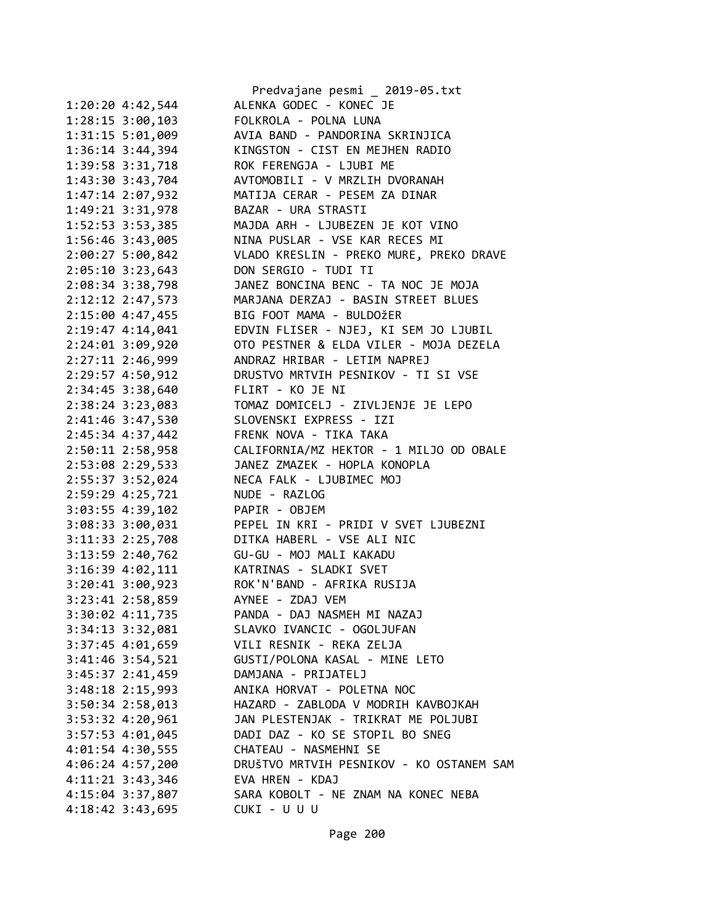|                        | Predvajane pesmi _ 2019-05.txt           |
|------------------------|------------------------------------------|
| $1:20:20$ 4:42,544     | ALENKA GODEC - KONEC JE                  |
| 1:28:15 3:00,103       | FOLKROLA - POLNA LUNA                    |
| 1:31:15 5:01,009       | AVIA BAND - PANDORINA SKRINJICA          |
| 1:36:14 3:44,394       | KINGSTON - CIST EN MEJHEN RADIO          |
| 1:39:58 3:31,718       | ROK FERENGJA - LJUBI ME                  |
| 1:43:30 3:43,704       | AVTOMOBILI - V MRZLIH DVORANAH           |
| 1:47:14 2:07,932       | MATIJA CERAR - PESEM ZA DINAR            |
| 1:49:21 3:31,978       | BAZAR - URA STRASTI                      |
| 1:52:53 3:53,385       | MAJDA ARH - LJUBEZEN JE KOT VINO         |
| 1:56:46 3:43,005       | NINA PUSLAR - VSE KAR RECES MI           |
| 2:00:27 5:00,842       | VLADO KRESLIN - PREKO MURE, PREKO DRAVE  |
| $2:05:10$ 3:23,643     | DON SERGIO - TUDI TI                     |
| 2:08:34 3:38,798       | JANEZ BONCINA BENC - TA NOC JE MOJA      |
| 2:12:12 2:47,573       | MARJANA DERZAJ - BASIN STREET BLUES      |
| 2:15:00 4:47,455       | BIG FOOT MAMA - BULDOŽER                 |
| 2:19:47 4:14,041       | EDVIN FLISER - NJEJ, KI SEM JO LJUBIL    |
| 2:24:01 3:09,920       | OTO PESTNER & ELDA VILER - MOJA DEZELA   |
| 2:27:11 2:46,999       | ANDRAZ HRIBAR - LETIM NAPREJ             |
| 2:29:57 4:50,912       | DRUSTVO MRTVIH PESNIKOV - TI SI VSE      |
| 2:34:45 3:38,640       | FLIRT - KO JE NI                         |
| 2:38:24 3:23,083       | TOMAZ DOMICELJ - ZIVLJENJE JE LEPO       |
| 2:41:46 3:47,530       | SLOVENSKI EXPRESS - IZI                  |
| 2:45:34 4:37,442       | FRENK NOVA - TIKA TAKA                   |
| 2:50:11 2:58,958       | CALIFORNIA/MZ HEKTOR - 1 MILJO OD OBALE  |
| 2:53:08 2:29,533       | JANEZ ZMAZEK - HOPLA KONOPLA             |
| 2:55:37 3:52,024       | NECA FALK - LJUBIMEC MOJ                 |
| 2:59:29 4:25,721       | NUDE - RAZLOG                            |
| 3:03:55 4:39,102       | PAPIR - OBJEM                            |
| 3:08:33 3:00,031       | PEPEL IN KRI - PRIDI V SVET LJUBEZNI     |
| 3:11:33 2:25,708       | DITKA HABERL - VSE ALI NIC               |
| 3:13:59 2:40,762       | GU-GU - MOJ MALI KAKADU                  |
| 3:16:39 4:02,111       | KATRINAS - SLADKI SVET                   |
| 3:20:41 3:00,923       | ROK'N'BAND - AFRIKA RUSIJA               |
| 3:23:41 2:58,859       | AYNEE - ZDAJ VEM                         |
| 3:30:02 4:11,735       | PANDA - DAJ NASMEH MI NAZAJ              |
| $3:34:13$ $3:32,081$   | SLAVKO IVANCIC - OGOLJUFAN               |
|                        | VILI RESNIK - REKA ZELJA                 |
| $3:37:45$ 4:01,659     |                                          |
| $3:41:46$ $3:54$ , 521 | GUSTI/POLONA KASAL - MINE LETO           |
| 3:45:37 2:41,459       | DAMJANA - PRIJATELJ                      |
| $3:48:18$ $2:15,993$   | ANIKA HORVAT - POLETNA NOC               |
| $3:50:34$ 2:58,013     | HAZARD - ZABLODA V MODRIH KAVBOJKAH      |
| $3:53:32$ 4:20,961     | JAN PLESTENJAK - TRIKRAT ME POLJUBI      |
| $3:57:53$ $4:01,045$   | DADI DAZ - KO SE STOPIL BO SNEG          |
| $4:01:54$ $4:30,555$   | CHATEAU - NASMEHNI SE                    |
| $4:06:24$ $4:57,200$   | DRUŠTVO MRTVIH PESNIKOV - KO OSTANEM SAM |
| $4:11:21$ 3:43,346     | EVA HREN - KDAJ                          |
| 4:15:04 3:37,807       | SARA KOBOLT - NE ZNAM NA KONEC NEBA      |
| 4:18:42 3:43,695       | CUKI - U U U                             |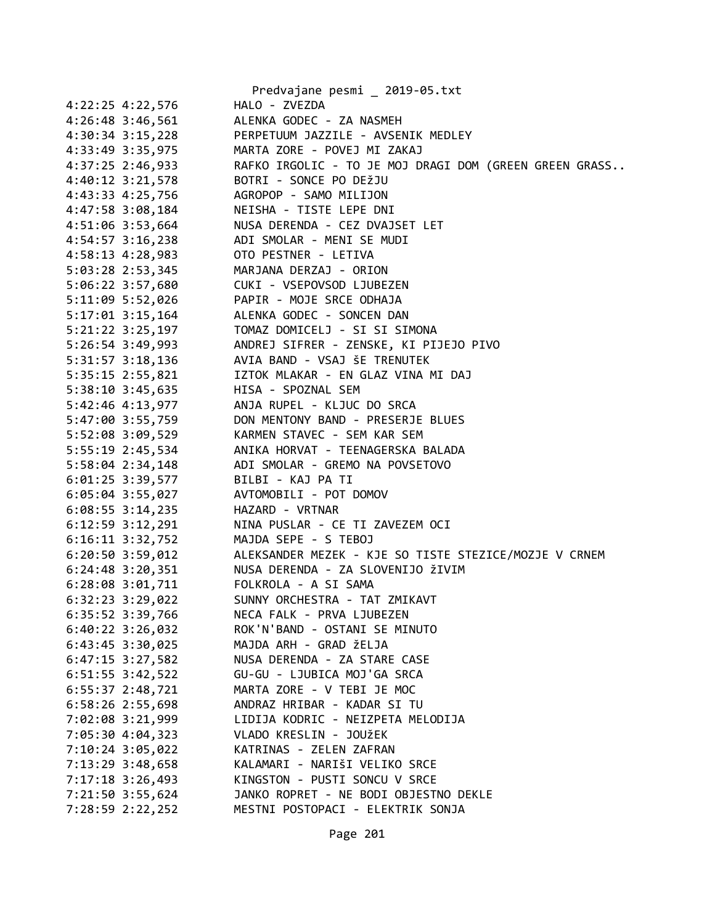|                                         | Predvajane pesmi _ 2019-05.txt                                                                                                                                                          |
|-----------------------------------------|-----------------------------------------------------------------------------------------------------------------------------------------------------------------------------------------|
| 4:22:25 4:22,576                        | HALO - ZVEZDA                                                                                                                                                                           |
|                                         | 4:26:48 3:46,561 ALENKA GODEC - ZA NASMEH                                                                                                                                               |
|                                         | 4:30:34 3:15,228 PERPETUUM JAZZILE - AVSENIK MEDLEY                                                                                                                                     |
|                                         | 4:33:49 3:35,975 MARTA ZORE - POVEJ MI ZAKAJ                                                                                                                                            |
|                                         | 4:37:25 2:46,933 RAFKO IRGOLIC - TO JE MOJ DRAGI DOM (GREEN GREEN GRASS                                                                                                                 |
| 4:40:12 3:21,578 BOTRI - SONCE PO DEŽJU |                                                                                                                                                                                         |
|                                         |                                                                                                                                                                                         |
|                                         |                                                                                                                                                                                         |
|                                         | 4:43:33 4:25,756<br>4:47:58 3:08,184<br>4:51:06 3:53,664<br>4:54:57 3:16,238<br>ADI SMOLAR - MENI SE MUDI<br>ADI SMOLAR - MENI SE MUDI                                                  |
|                                         |                                                                                                                                                                                         |
| 4:58:13 4:28,983 OTO PESTNER - LETIVA   |                                                                                                                                                                                         |
| 5:03:28 2:53,345 MARJANA DERZAJ - ORION |                                                                                                                                                                                         |
|                                         | 5:06:22 3:57,680 CUKI - VSEPOVSOD LJUBEZEN                                                                                                                                              |
|                                         |                                                                                                                                                                                         |
|                                         |                                                                                                                                                                                         |
|                                         | 5:11:09 5:52,026<br>5:17:01 3:15,164<br>5:21:22 3:25,197<br>10MAZ DOMICELJ - SI SI SIMONA<br>10MAZ DOMICELJ - SI SI SIMONA<br>10MAZ DOMICELJ - SI SI SIMONA                             |
|                                         | 5:26:54 3:49,993 ANDREJ SIFRER - ZENSKE, KI PIJEJO PIVO                                                                                                                                 |
|                                         | 5:31:57 3:18,136 AVIA BAND - VSAJ ŠE TRENUTEK                                                                                                                                           |
|                                         | 5:35:15 2:55,821 IZTOK MLAKAR - EN GLAZ VINA MI DAJ                                                                                                                                     |
| 5:38:10 3:45,635 HISA - SPOZNAL SEM     |                                                                                                                                                                                         |
|                                         |                                                                                                                                                                                         |
|                                         | 5:42:46 4:13,977<br>5:42:46 4:13,977<br>5:47:00 3:55,759<br>5:52:08 3:09,529<br>5:55:19 2:45,534<br>ANIKA HORVAT - TEENAGERSKA BALADA<br>ANIKA HORVAT - TEENAGERSKA BALADA              |
|                                         |                                                                                                                                                                                         |
|                                         |                                                                                                                                                                                         |
|                                         | 5:58:04 2:34,148 ADI SMOLAR - GREMO NA POVSETOVO                                                                                                                                        |
| 6:01:25 3:39,577 BILBI - KAJ PA TI      |                                                                                                                                                                                         |
| 6:05:04 3:55,027 AVTOMOBILI - POT DOMOV |                                                                                                                                                                                         |
|                                         |                                                                                                                                                                                         |
|                                         |                                                                                                                                                                                         |
|                                         | 6:08:55 3:14,235<br>6:12:59 3:12,291 MINA PUSLAR - CE TI ZAVEZEM OCI<br>6:16:11 3:32,752 MAJDA SEPE - S TEBOJ<br>6:20:50 3:59,012 ALEKSANDER MEZEK - KJE SO TISTE STEZICE/MOZJE V CRNEM |
|                                         |                                                                                                                                                                                         |
|                                         | 6:24:48 3:20,351 NUSA DERENDA - ZA SLOVENIJO ŽIVIM                                                                                                                                      |
| 6:28:08 3:01,711 FOLKROLA - A SI SAMA   |                                                                                                                                                                                         |
| 6:32:23 3:29,022                        | SUNNY ORCHESTRA - TAT ZMIKAVT                                                                                                                                                           |
| 6:35:52 3:39,766                        | NECA FALK - PRVA LJUBEZEN                                                                                                                                                               |
| 6:40:22 3:26,032                        | ROK'N'BAND - OSTANI SE MINUTO                                                                                                                                                           |
| 6:43:45 3:30,025                        | MAJDA ARH - GRAD ŽELJA                                                                                                                                                                  |
| $6:47:15$ 3:27,582                      | NUSA DERENDA - ZA STARE CASE                                                                                                                                                            |
| $6:51:55$ 3:42,522                      | GU-GU - LJUBICA MOJ'GA SRCA                                                                                                                                                             |
| $6:55:37$ 2:48,721                      | MARTA ZORE - V TEBI JE MOC                                                                                                                                                              |
| 6:58:26 2:55,698                        | ANDRAZ HRIBAR - KADAR SI TU                                                                                                                                                             |
| 7:02:08 3:21,999                        | LIDIJA KODRIC - NEIZPETA MELODIJA                                                                                                                                                       |
| 7:05:30 4:04,323                        | VLADO KRESLIN - JOUŽEK                                                                                                                                                                  |
| 7:10:24 3:05,022                        | KATRINAS - ZELEN ZAFRAN                                                                                                                                                                 |
| 7:13:29 3:48,658                        | KALAMARI - NARIŠI VELIKO SRCE                                                                                                                                                           |
| 7:17:18 3:26,493                        | KINGSTON - PUSTI SONCU V SRCE                                                                                                                                                           |
| 7:21:50 3:55,624                        | JANKO ROPRET - NE BODI OBJESTNO DEKLE                                                                                                                                                   |
| 7:28:59 2:22,252                        | MESTNI POSTOPACI - ELEKTRIK SONJA                                                                                                                                                       |
|                                         |                                                                                                                                                                                         |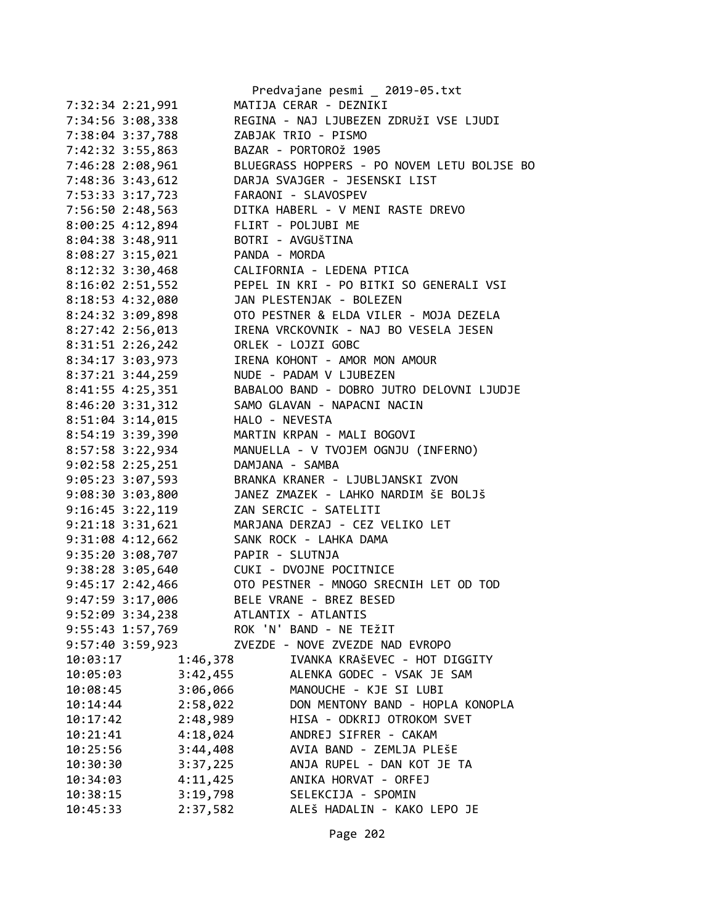|                      | Predvajane pesmi _ 2019-05.txt              |
|----------------------|---------------------------------------------|
| 7:32:34 2:21,991     | MATIJA CERAR - DEZNIKI                      |
| 7:34:56 3:08,338     | REGINA - NAJ LJUBEZEN ZDRUŽI VSE LJUDI      |
| 7:38:04 3:37,788     | ZABJAK TRIO - PISMO                         |
| 7:42:32 3:55,863     | BAZAR - PORTOROŽ 1905                       |
| 7:46:28 2:08,961     | BLUEGRASS HOPPERS - PO NOVEM LETU BOLJSE BO |
| 7:48:36 3:43,612     | DARJA SVAJGER - JESENSKI LIST               |
| 7:53:33 3:17,723     | FARAONI - SLAVOSPEV                         |
| 7:56:50 2:48,563     | DITKA HABERL - V MENI RASTE DREVO           |
|                      | FLIRT - POLJUBI ME                          |
| 8:00:25 4:12,894     |                                             |
| 8:04:38 3:48,911     | BOTRI - AVGUŠTINA                           |
| $8:08:27$ 3:15,021   | PANDA - MORDA                               |
| 8:12:32 3:30,468     | CALIFORNIA - LEDENA PTICA                   |
| $8:16:02$ 2:51,552   | PEPEL IN KRI - PO BITKI SO GENERALI VSI     |
| 8:18:53 4:32,080     | JAN PLESTENJAK - BOLEZEN                    |
| 8:24:32 3:09,898     | OTO PESTNER & ELDA VILER - MOJA DEZELA      |
| 8:27:42 2:56,013     | IRENA VRCKOVNIK - NAJ BO VESELA JESEN       |
| 8:31:51 2:26,242     | ORLEK - LOJZI GOBC                          |
| 8:34:17 3:03,973     | IRENA KOHONT - AMOR MON AMOUR               |
| 8:37:21 3:44,259     | NUDE - PADAM V LJUBEZEN                     |
| 8:41:55 4:25,351     | BABALOO BAND - DOBRO JUTRO DELOVNI LJUDJE   |
| 8:46:20 3:31,312     | SAMO GLAVAN - NAPACNI NACIN                 |
| 8:51:04 3:14,015     | HALO - NEVESTA                              |
| 8:54:19 3:39,390     | MARTIN KRPAN - MALI BOGOVI                  |
| 8:57:58 3:22,934     | MANUELLA - V TVOJEM OGNJU (INFERNO)         |
| $9:02:58$ 2:25,251   | DAMJANA - SAMBA                             |
| 9:05:23 3:07,593     | BRANKA KRANER - LJUBLJANSKI ZVON            |
| 9:08:30 3:03,800     | JANEZ ZMAZEK - LAHKO NARDIM ŠE BOLJŠ        |
| $9:16:45$ $3:22,119$ | ZAN SERCIC - SATELITI                       |
| 9:21:18 3:31,621     | MARJANA DERZAJ - CEZ VELIKO LET             |
| 9:31:08 4:12,662     | SANK ROCK - LAHKA DAMA                      |
| 9:35:20 3:08,707     | PAPIR - SLUTNJA                             |
| 9:38:28 3:05,640     | CUKI - DVOJNE POCITNICE                     |
| 9:45:17 2:42,466     | OTO PESTNER - MNOGO SRECNIH LET OD TOD      |
| 9:47:59 3:17,006     | BELE VRANE - BREZ BESED                     |
| 9:52:09 3:34,238     | ATLANTIX - ATLANTIS                         |
| 9:55:43 1:57,769     | ROK 'N' BAND - NE TEŽIT                     |
| 9:57:40 3:59,923     | ZVEZDE - NOVE ZVEZDE NAD EVROPO             |
|                      |                                             |
| 1:46,378<br>10:03:17 | IVANKA KRAŠEVEC - HOT DIGGITY               |
| 10:05:03<br>3:42,455 | ALENKA GODEC - VSAK JE SAM                  |
| 3:06,066<br>10:08:45 | MANOUCHE - KJE SI LUBI                      |
| 2:58,022<br>10:14:44 | DON MENTONY BAND - HOPLA KONOPLA            |
| 2:48,989<br>10:17:42 | HISA - ODKRIJ OTROKOM SVET                  |
| 10:21:41<br>4:18,024 | ANDREJ SIFRER - CAKAM                       |
| 3:44,408<br>10:25:56 | AVIA BAND - ZEMLJA PLEŠE                    |
| 3:37,225<br>10:30:30 | ANJA RUPEL - DAN KOT JE TA                  |
| 4:11,425<br>10:34:03 | ANIKA HORVAT - ORFEJ                        |
| 3:19,798<br>10:38:15 | SELEKCIJA - SPOMIN                          |
| 10:45:33<br>2:37,582 | ALEŠ HADALIN - KAKO LEPO JE                 |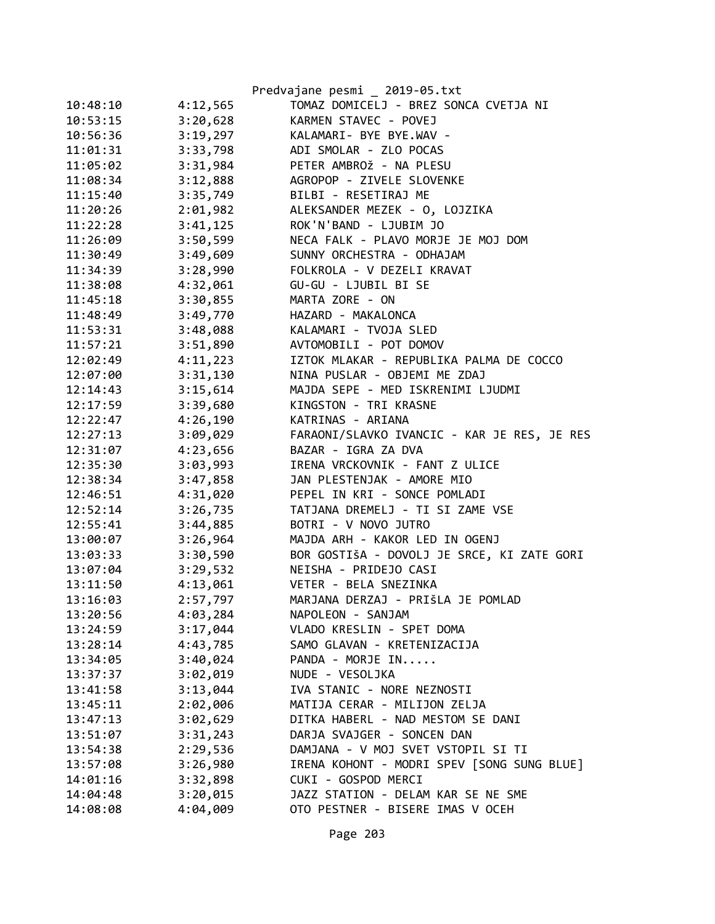|          |          | Predvajane pesmi _ 2019-05.txt              |
|----------|----------|---------------------------------------------|
| 10:48:10 | 4:12,565 | TOMAZ DOMICELJ - BREZ SONCA CVETJA NI       |
| 10:53:15 | 3:20,628 | KARMEN STAVEC - POVEJ                       |
| 10:56:36 | 3:19,297 | KALAMARI- BYE BYE.WAV -                     |
| 11:01:31 | 3:33,798 | ADI SMOLAR - ZLO POCAS                      |
| 11:05:02 | 3:31,984 | PETER AMBROŽ - NA PLESU                     |
| 11:08:34 | 3:12,888 | AGROPOP - ZIVELE SLOVENKE                   |
| 11:15:40 | 3:35,749 | BILBI - RESETIRAJ ME                        |
| 11:20:26 | 2:01,982 | ALEKSANDER MEZEK - 0, LOJZIKA               |
| 11:22:28 | 3:41,125 | ROK'N'BAND - LJUBIM JO                      |
| 11:26:09 | 3:50,599 | NECA FALK - PLAVO MORJE JE MOJ DOM          |
| 11:30:49 | 3:49,609 | SUNNY ORCHESTRA - ODHAJAM                   |
| 11:34:39 | 3:28,990 | FOLKROLA - V DEZELI KRAVAT                  |
| 11:38:08 | 4:32,061 | GU-GU - LJUBIL BI SE                        |
| 11:45:18 | 3:30,855 | MARTA ZORE - ON                             |
| 11:48:49 | 3:49,770 | HAZARD - MAKALONCA                          |
| 11:53:31 | 3:48,088 | KALAMARI - TVOJA SLED                       |
| 11:57:21 | 3:51,890 | AVTOMOBILI - POT DOMOV                      |
| 12:02:49 | 4:11,223 | IZTOK MLAKAR - REPUBLIKA PALMA DE COCCO     |
| 12:07:00 | 3:31,130 | NINA PUSLAR - OBJEMI ME ZDAJ                |
| 12:14:43 | 3:15,614 | MAJDA SEPE - MED ISKRENIMI LJUDMI           |
| 12:17:59 | 3:39,680 | KINGSTON - TRI KRASNE                       |
| 12:22:47 | 4:26,190 | KATRINAS - ARIANA                           |
| 12:27:13 | 3:09,029 | FARAONI/SLAVKO IVANCIC - KAR JE RES, JE RES |
| 12:31:07 | 4:23,656 | BAZAR - IGRA ZA DVA                         |
| 12:35:30 | 3:03,993 | IRENA VRCKOVNIK - FANT Z ULICE              |
| 12:38:34 | 3:47,858 | JAN PLESTENJAK - AMORE MIO                  |
| 12:46:51 | 4:31,020 | PEPEL IN KRI - SONCE POMLADI                |
| 12:52:14 | 3:26,735 | TATJANA DREMELJ - TI SI ZAME VSE            |
| 12:55:41 | 3:44,885 | BOTRI - V NOVO JUTRO                        |
| 13:00:07 | 3:26,964 | MAJDA ARH - KAKOR LED IN OGENJ              |
| 13:03:33 | 3:30,590 | BOR GOSTIŠA - DOVOLJ JE SRCE, KI ZATE GORI  |
| 13:07:04 | 3:29,532 | NEISHA - PRIDEJO CASI                       |
| 13:11:50 | 4:13,061 | VETER - BELA SNEZINKA                       |
| 13:16:03 | 2:57,797 | MARJANA DERZAJ - PRIŠLA JE POMLAD           |
| 13:20:56 | 4:03,284 | NAPOLEON - SANJAM                           |
| 13:24:59 | 3:17,044 | VLADO KRESLIN - SPET DOMA                   |
| 13:28:14 | 4:43,785 | SAMO GLAVAN - KRETENIZACIJA                 |
| 13:34:05 | 3:40,024 | PANDA - MORJE IN                            |
| 13:37:37 | 3:02,019 | NUDE - VESOLJKA                             |
| 13:41:58 | 3:13,044 | IVA STANIC - NORE NEZNOSTI                  |
| 13:45:11 | 2:02,006 | MATIJA CERAR - MILIJON ZELJA                |
| 13:47:13 | 3:02,629 | DITKA HABERL - NAD MESTOM SE DANI           |
| 13:51:07 | 3:31,243 | DARJA SVAJGER - SONCEN DAN                  |
| 13:54:38 | 2:29,536 | DAMJANA - V MOJ SVET VSTOPIL SI TI          |
| 13:57:08 | 3:26,980 | IRENA KOHONT - MODRI SPEV [SONG SUNG BLUE]  |
| 14:01:16 | 3:32,898 | CUKI - GOSPOD MERCI                         |
| 14:04:48 | 3:20,015 | JAZZ STATION - DELAM KAR SE NE SME          |
| 14:08:08 | 4:04,009 | OTO PESTNER - BISERE IMAS V OCEH            |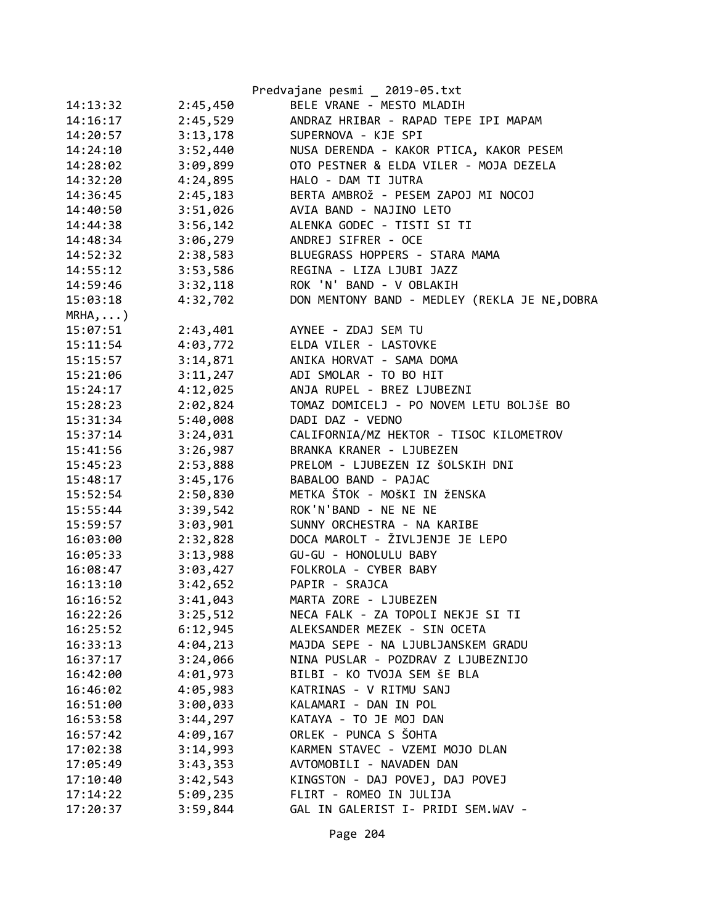|            |          | Predvajane pesmi _ 2019-05.txt                |
|------------|----------|-----------------------------------------------|
| 14:13:32   | 2:45,450 | BELE VRANE - MESTO MLADIH                     |
| 14:16:17   | 2:45,529 | ANDRAZ HRIBAR - RAPAD TEPE IPI MAPAM          |
| 14:20:57   | 3:13,178 | SUPERNOVA - KJE SPI                           |
| 14:24:10   | 3:52,440 | NUSA DERENDA - KAKOR PTICA, KAKOR PESEM       |
| 14:28:02   | 3:09,899 | OTO PESTNER & ELDA VILER - MOJA DEZELA        |
| 14:32:20   | 4:24,895 | HALO - DAM TI JUTRA                           |
| 14:36:45   | 2:45,183 | BERTA AMBROŽ - PESEM ZAPOJ MI NOCOJ           |
| 14:40:50   | 3:51,026 | AVIA BAND - NAJINO LETO                       |
| 14:44:38   | 3:56,142 | ALENKA GODEC - TISTI SI TI                    |
| 14:48:34   | 3:06,279 | ANDREJ SIFRER - OCE                           |
| 14:52:32   | 2:38,583 | BLUEGRASS HOPPERS - STARA MAMA                |
| 14:55:12   | 3:53,586 | REGINA - LIZA LJUBI JAZZ                      |
| 14:59:46   | 3:32,118 | ROK 'N' BAND - V OBLAKIH                      |
| 15:03:18   | 4:32,702 | DON MENTONY BAND - MEDLEY (REKLA JE NE, DOBRA |
| $MRHA$ , ) |          |                                               |
| 15:07:51   | 2:43,401 | AYNEE - ZDAJ SEM TU                           |
| 15:11:54   | 4:03,772 | ELDA VILER - LASTOVKE                         |
| 15:15:57   | 3:14,871 | ANIKA HORVAT - SAMA DOMA                      |
| 15:21:06   | 3:11,247 | ADI SMOLAR - TO BO HIT                        |
| 15:24:17   | 4:12,025 | ANJA RUPEL - BREZ LJUBEZNI                    |
| 15:28:23   | 2:02,824 | TOMAZ DOMICELJ - PO NOVEM LETU BOLJŠE BO      |
| 15:31:34   | 5:40,008 | DADI DAZ - VEDNO                              |
| 15:37:14   | 3:24,031 | CALIFORNIA/MZ HEKTOR - TISOC KILOMETROV       |
| 15:41:56   | 3:26,987 | BRANKA KRANER - LJUBEZEN                      |
| 15:45:23   | 2:53,888 | PRELOM - LJUBEZEN IZ ŠOLSKIH DNI              |
| 15:48:17   | 3:45,176 | BABALOO BAND - PAJAC                          |
| 15:52:54   | 2:50,830 | METKA ŠTOK - MOŠKI IN ŽENSKA                  |
| 15:55:44   | 3:39,542 | ROK'N'BAND - NE NE NE                         |
| 15:59:57   | 3:03,901 | SUNNY ORCHESTRA - NA KARIBE                   |
| 16:03:00   | 2:32,828 | DOCA MAROLT - ŽIVLJENJE JE LEPO               |
| 16:05:33   | 3:13,988 | GU-GU - HONOLULU BABY                         |
| 16:08:47   | 3:03,427 | FOLKROLA - CYBER BABY                         |
| 16:13:10   | 3:42,652 | PAPIR - SRAJCA                                |
| 16:16:52   | 3:41,043 | MARTA ZORE - LJUBEZEN                         |
| 16:22:26   | 3:25,512 | NECA FALK - ZA TOPOLI NEKJE SI TI             |
| 16:25:52   | 6:12,945 | ALEKSANDER MEZEK - SIN OCETA                  |
| 16:33:13   | 4:04,213 | MAJDA SEPE - NA LJUBLJANSKEM GRADU            |
| 16:37:17   | 3:24,066 | NINA PUSLAR - POZDRAV Z LJUBEZNIJO            |
| 16:42:00   | 4:01,973 | BILBI - KO TVOJA SEM ŠE BLA                   |
| 16:46:02   | 4:05,983 | KATRINAS - V RITMU SANJ                       |
| 16:51:00   | 3:00,033 | KALAMARI - DAN IN POL                         |
| 16:53:58   | 3:44,297 | KATAYA - TO JE MOJ DAN                        |
| 16:57:42   | 4:09,167 | ORLEK - PUNCA S ŠOHTA                         |
| 17:02:38   | 3:14,993 | KARMEN STAVEC - VZEMI MOJO DLAN               |
| 17:05:49   | 3:43,353 | AVTOMOBILI - NAVADEN DAN                      |
| 17:10:40   | 3:42,543 | KINGSTON - DAJ POVEJ, DAJ POVEJ               |
| 17:14:22   | 5:09,235 | FLIRT - ROMEO IN JULIJA                       |
| 17:20:37   | 3:59,844 | GAL IN GALERIST I- PRIDI SEM.WAV -            |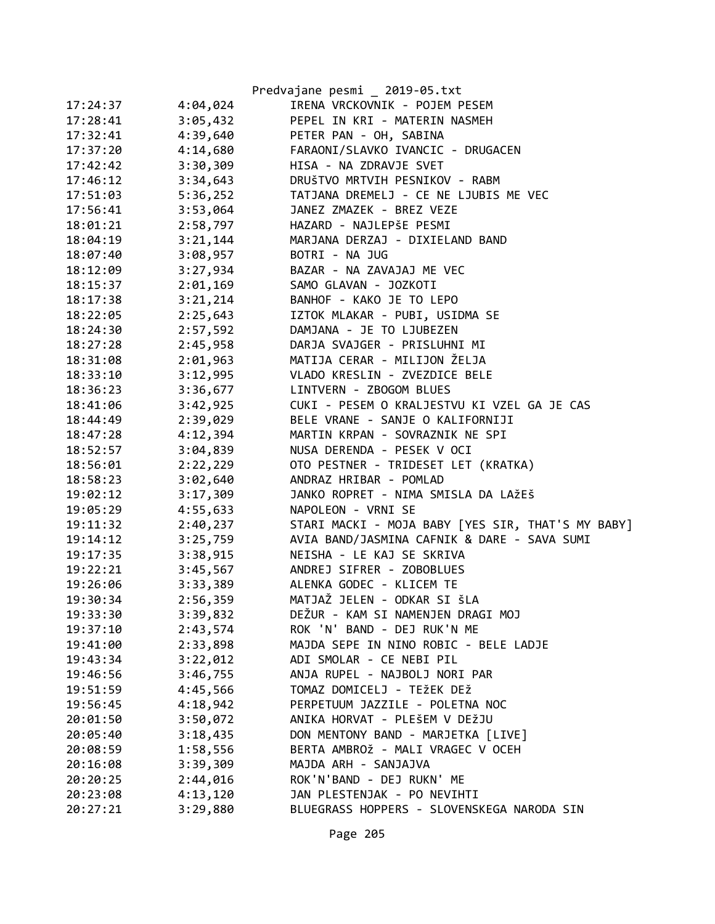|          |          | Predvajane pesmi _ 2019-05.txt                    |
|----------|----------|---------------------------------------------------|
| 17:24:37 | 4:04,024 | IRENA VRCKOVNIK - POJEM PESEM                     |
| 17:28:41 | 3:05,432 | PEPEL IN KRI - MATERIN NASMEH                     |
| 17:32:41 | 4:39,640 | PETER PAN - OH, SABINA                            |
| 17:37:20 | 4:14,680 | FARAONI/SLAVKO IVANCIC - DRUGACEN                 |
| 17:42:42 | 3:30,309 | HISA - NA ZDRAVJE SVET                            |
| 17:46:12 | 3:34,643 | DRUŠTVO MRTVIH PESNIKOV - RABM                    |
| 17:51:03 | 5:36,252 | TATJANA DREMELJ - CE NE LJUBIS ME VEC             |
| 17:56:41 | 3:53,064 | JANEZ ZMAZEK - BREZ VEZE                          |
| 18:01:21 | 2:58,797 | HAZARD - NAJLEPŠE PESMI                           |
| 18:04:19 | 3:21,144 | MARJANA DERZAJ - DIXIELAND BAND                   |
| 18:07:40 | 3:08,957 | BOTRI - NA JUG                                    |
| 18:12:09 | 3:27,934 | BAZAR - NA ZAVAJAJ ME VEC                         |
| 18:15:37 | 2:01,169 | SAMO GLAVAN - JOZKOTI                             |
| 18:17:38 | 3:21,214 | BANHOF - KAKO JE TO LEPO                          |
| 18:22:05 | 2:25,643 | IZTOK MLAKAR - PUBI, USIDMA SE                    |
| 18:24:30 | 2:57,592 | DAMJANA - JE TO LJUBEZEN                          |
| 18:27:28 | 2:45,958 | DARJA SVAJGER - PRISLUHNI MI                      |
| 18:31:08 | 2:01,963 | MATIJA CERAR - MILIJON ŽELJA                      |
| 18:33:10 | 3:12,995 | VLADO KRESLIN - ZVEZDICE BELE                     |
| 18:36:23 | 3:36,677 | LINTVERN - ZBOGOM BLUES                           |
| 18:41:06 | 3:42,925 | CUKI - PESEM O KRALJESTVU KI VZEL GA JE CAS       |
| 18:44:49 | 2:39,029 | BELE VRANE - SANJE O KALIFORNIJI                  |
| 18:47:28 | 4:12,394 | MARTIN KRPAN - SOVRAZNIK NE SPI                   |
| 18:52:57 | 3:04,839 | NUSA DERENDA - PESEK V OCI                        |
| 18:56:01 | 2:22,229 | OTO PESTNER - TRIDESET LET (KRATKA)               |
| 18:58:23 | 3:02,640 | ANDRAZ HRIBAR - POMLAD                            |
| 19:02:12 | 3:17,309 | JANKO ROPRET - NIMA SMISLA DA LAŽEŠ               |
| 19:05:29 | 4:55,633 | NAPOLEON - VRNI SE                                |
| 19:11:32 | 2:40,237 | STARI MACKI - MOJA BABY [YES SIR, THAT'S MY BABY] |
| 19:14:12 | 3:25,759 | AVIA BAND/JASMINA CAFNIK & DARE - SAVA SUMI       |
| 19:17:35 | 3:38,915 | NEISHA - LE KAJ SE SKRIVA                         |
| 19:22:21 | 3:45,567 | ANDREJ SIFRER - ZOBOBLUES                         |
| 19:26:06 | 3:33,389 | ALENKA GODEC - KLICEM TE                          |
| 19:30:34 | 2:56,359 | MATJAŽ JELEN - ODKAR SI ŠLA                       |
| 19:33:30 | 3:39,832 | DEŽUR - KAM SI NAMENJEN DRAGI MOJ                 |
| 19:37:10 | 2:43,574 | ROK 'N' BAND - DEJ RUK'N ME                       |
| 19:41:00 | 2:33,898 | MAJDA SEPE IN NINO ROBIC - BELE LADJE             |
| 19:43:34 | 3:22,012 | ADI SMOLAR - CE NEBI PIL                          |
| 19:46:56 | 3:46,755 | ANJA RUPEL - NAJBOLJ NORI PAR                     |
| 19:51:59 | 4:45,566 | TOMAZ DOMICELJ - TEŽEK DEŽ                        |
| 19:56:45 | 4:18,942 | PERPETUUM JAZZILE - POLETNA NOC                   |
| 20:01:50 | 3:50,072 | ANIKA HORVAT - PLEŠEM V DEŽJU                     |
| 20:05:40 | 3:18,435 | DON MENTONY BAND - MARJETKA [LIVE]                |
| 20:08:59 | 1:58,556 | BERTA AMBROŽ - MALI VRAGEC V OCEH                 |
| 20:16:08 | 3:39,309 | MAJDA ARH - SANJAJVA                              |
| 20:20:25 | 2:44,016 | ROK'N'BAND - DEJ RUKN' ME                         |
| 20:23:08 | 4:13,120 | JAN PLESTENJAK - PO NEVIHTI                       |
| 20:27:21 | 3:29,880 | BLUEGRASS HOPPERS - SLOVENSKEGA NARODA SIN        |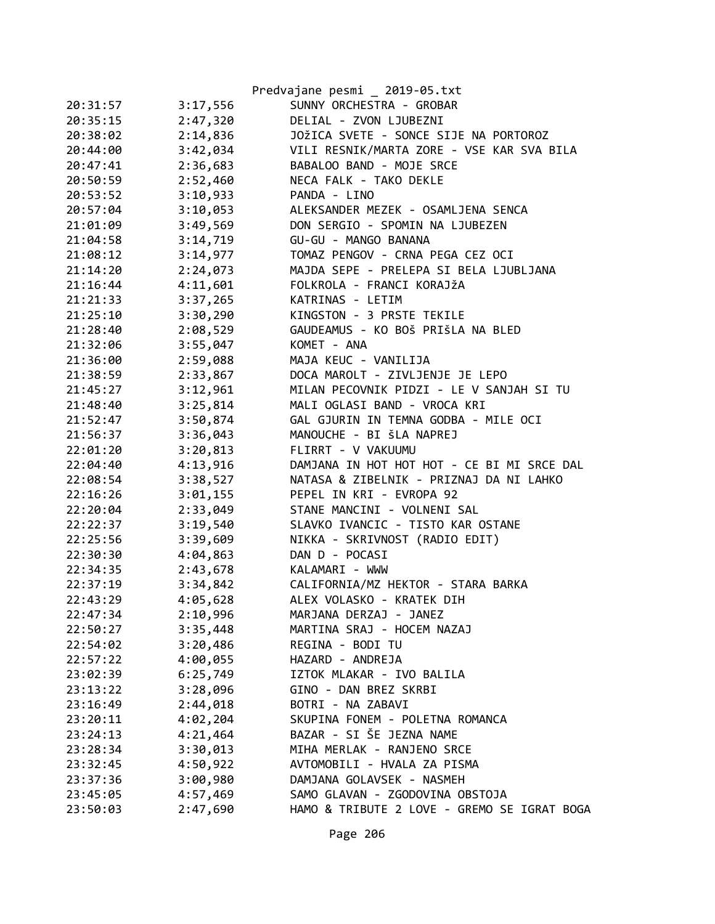|          |          | Predvajane pesmi _ 2019-05.txt              |
|----------|----------|---------------------------------------------|
| 20:31:57 | 3:17,556 | SUNNY ORCHESTRA - GROBAR                    |
| 20:35:15 | 2:47,320 | DELIAL - ZVON LJUBEZNI                      |
| 20:38:02 | 2:14,836 | JOŽICA SVETE - SONCE SIJE NA PORTOROZ       |
| 20:44:00 | 3:42,034 | VILI RESNIK/MARTA ZORE - VSE KAR SVA BILA   |
| 20:47:41 | 2:36,683 | BABALOO BAND - MOJE SRCE                    |
| 20:50:59 | 2:52,460 | NECA FALK - TAKO DEKLE                      |
| 20:53:52 | 3:10,933 | PANDA - LINO                                |
| 20:57:04 | 3:10,053 | ALEKSANDER MEZEK - OSAMLJENA SENCA          |
| 21:01:09 | 3:49,569 | DON SERGIO - SPOMIN NA LJUBEZEN             |
| 21:04:58 | 3:14,719 | GU-GU - MANGO BANANA                        |
| 21:08:12 | 3:14,977 | TOMAZ PENGOV - CRNA PEGA CEZ OCI            |
| 21:14:20 | 2:24,073 | MAJDA SEPE - PRELEPA SI BELA LJUBLJANA      |
| 21:16:44 | 4:11,601 | FOLKROLA - FRANCI KORAJŽA                   |
| 21:21:33 | 3:37,265 | KATRINAS - LETIM                            |
| 21:25:10 | 3:30,290 | KINGSTON - 3 PRSTE TEKILE                   |
| 21:28:40 | 2:08,529 | GAUDEAMUS - KO BOŠ PRIŠLA NA BLED           |
| 21:32:06 | 3:55,047 | KOMET - ANA                                 |
| 21:36:00 | 2:59,088 | MAJA KEUC - VANILIJA                        |
| 21:38:59 | 2:33,867 | DOCA MAROLT - ZIVLJENJE JE LEPO             |
| 21:45:27 | 3:12,961 | MILAN PECOVNIK PIDZI - LE V SANJAH SI TU    |
| 21:48:40 | 3:25,814 | MALI OGLASI BAND - VROCA KRI                |
| 21:52:47 | 3:50,874 | GAL GJURIN IN TEMNA GODBA - MILE OCI        |
| 21:56:37 | 3:36,043 | MANOUCHE - BI ŠLA NAPREJ                    |
| 22:01:20 | 3:20,813 | FLIRRT - V VAKUUMU                          |
| 22:04:40 | 4:13,916 | DAMJANA IN HOT HOT HOT - CE BI MI SRCE DAL  |
| 22:08:54 | 3:38,527 | NATASA & ZIBELNIK - PRIZNAJ DA NI LAHKO     |
| 22:16:26 | 3:01,155 | PEPEL IN KRI - EVROPA 92                    |
| 22:20:04 | 2:33,049 | STANE MANCINI - VOLNENI SAL                 |
| 22:22:37 | 3:19,540 | SLAVKO IVANCIC - TISTO KAR OSTANE           |
| 22:25:56 | 3:39,609 | NIKKA - SKRIVNOST (RADIO EDIT)              |
| 22:30:30 | 4:04,863 | DAN D - POCASI                              |
| 22:34:35 | 2:43,678 | KALAMARI - WWW                              |
| 22:37:19 | 3:34,842 | CALIFORNIA/MZ HEKTOR - STARA BARKA          |
| 22:43:29 | 4:05,628 | ALEX VOLASKO - KRATEK DIH                   |
| 22:47:34 | 2:10,996 | MARJANA DERZAJ - JANEZ                      |
| 22:50:27 | 3:35,448 | MARTINA SRAJ - HOCEM NAZAJ                  |
| 22:54:02 | 3:20,486 | REGINA - BODI TU                            |
| 22:57:22 | 4:00,055 | HAZARD - ANDREJA                            |
| 23:02:39 | 6:25,749 | IZTOK MLAKAR - IVO BALILA                   |
| 23:13:22 | 3:28,096 | GINO - DAN BREZ SKRBI                       |
| 23:16:49 | 2:44,018 | BOTRI - NA ZABAVI                           |
| 23:20:11 | 4:02,204 | SKUPINA FONEM - POLETNA ROMANCA             |
| 23:24:13 | 4:21,464 | BAZAR - SI ŠE JEZNA NAME                    |
| 23:28:34 | 3:30,013 | MIHA MERLAK - RANJENO SRCE                  |
| 23:32:45 | 4:50,922 | AVTOMOBILI - HVALA ZA PISMA                 |
| 23:37:36 | 3:00,980 | DAMJANA GOLAVSEK - NASMEH                   |
| 23:45:05 | 4:57,469 | SAMO GLAVAN - ZGODOVINA OBSTOJA             |
| 23:50:03 | 2:47,690 | HAMO & TRIBUTE 2 LOVE - GREMO SE IGRAT BOGA |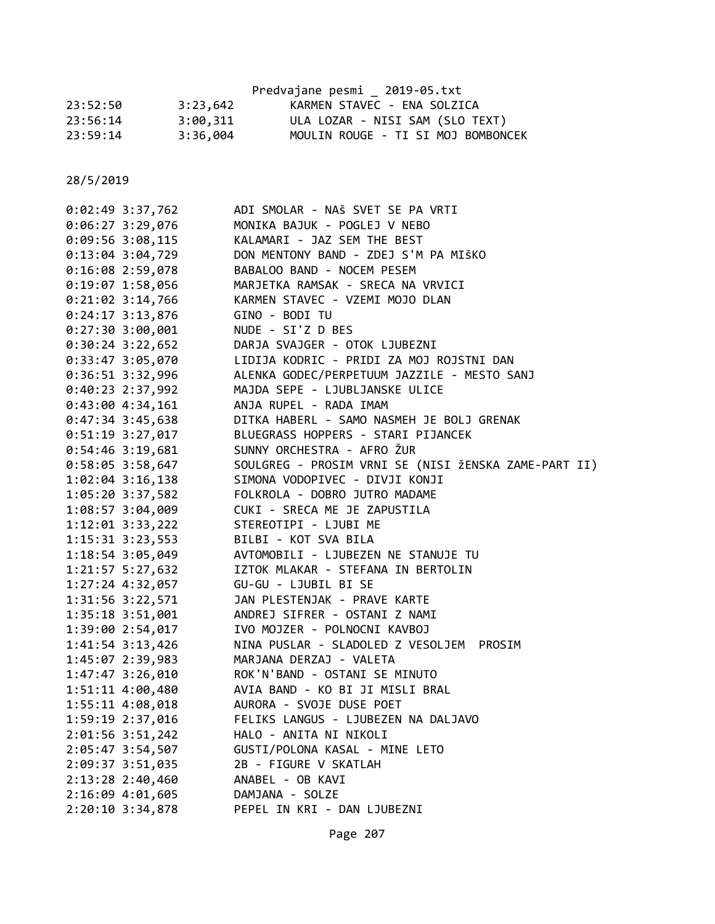|          |          | Predvajane pesmi 2019-05.txt       |
|----------|----------|------------------------------------|
| 23:52:50 | 3:23,642 | KARMEN STAVEC - ENA SOLZICA        |
| 23:56:14 | 3:00,311 | ULA LOZAR - NISI SAM (SLO TEXT)    |
| 23:59:14 | 3:36.004 | MOULIN ROUGE - TI SI MOJ BOMBONCEK |

| $0:02:49$ 3:37,762   | ADI SMOLAR - NAŠ SVET SE PA VRTI                     |
|----------------------|------------------------------------------------------|
| $0:06:27$ 3:29,076   | MONIKA BAJUK - POGLEJ V NEBO                         |
| $0:09:56$ 3:08,115   | KALAMARI - JAZ SEM THE BEST                          |
| $0:13:04$ 3:04,729   | DON MENTONY BAND - ZDEJ S'M PA MIŠKO                 |
| $0:16:08$ 2:59,078   | BABALOO BAND - NOCEM PESEM                           |
| $0:19:07$ 1:58,056   | MARJETKA RAMSAK - SRECA NA VRVICI                    |
| $0:21:02$ 3:14,766   | KARMEN STAVEC - VZEMI MOJO DLAN                      |
| $0:24:17$ 3:13,876   | GINO - BODI TU                                       |
| 0:27:303:00,001      | NUDE - SI'Z D BES                                    |
| $0:30:24$ 3:22,652   | DARJA SVAJGER - OTOK LJUBEZNI                        |
| 0:33:47 3:05,070     | LIDIJA KODRIC - PRIDI ZA MOJ ROJSTNI DAN             |
| $0:36:51$ 3:32,996   | ALENKA GODEC/PERPETUUM JAZZILE - MESTO SANJ          |
| $0:40:23$ 2:37,992   | MAJDA SEPE - LJUBLJANSKE ULICE                       |
| 0:43:004:34,161      | ANJA RUPEL - RADA IMAM                               |
| $0:47:34$ 3:45,638   | DITKA HABERL - SAMO NASMEH JE BOLJ GRENAK            |
| $0:51:19$ 3:27,017   | BLUEGRASS HOPPERS - STARI PIJANCEK                   |
| $0:54:46$ 3:19,681   | SUNNY ORCHESTRA - AFRO ŽUR                           |
| $0:58:05$ 3:58,647   | SOULGREG - PROSIM VRNI SE (NISI ŽENSKA ZAME-PART II) |
| $1:02:04$ 3:16,138   | SIMONA VODOPIVEC - DIVJI KONJI                       |
| 1:05:20 3:37,582     | FOLKROLA - DOBRO JUTRO MADAME                        |
| $1:08:57$ 3:04,009   | CUKI - SRECA ME JE ZAPUSTILA                         |
| $1:12:01$ $3:33,222$ | STEREOTIPI - LJUBI ME                                |
| $1:15:31$ $3:23,553$ | BILBI - KOT SVA BILA                                 |
| 1:18:54 3:05,049     | AVTOMOBILI - LJUBEZEN NE STANUJE TU                  |
| 1:21:57 5:27,632     | IZTOK MLAKAR - STEFANA IN BERTOLIN                   |
| 1:27:24 4:32,057     | GU-GU - LJUBIL BI SE                                 |
| 1:31:56 3:22,571     | JAN PLESTENJAK - PRAVE KARTE                         |
| 1:35:18 3:51,001     | ANDREJ SIFRER - OSTANI Z NAMI                        |
| 1:39:00 2:54,017     | IVO MOJZER - POLNOCNI KAVBOJ                         |
| 1:41:54 3:13,426     | NINA PUSLAR - SLADOLED Z VESOLJEM PROSIM             |
| 1:45:07 2:39,983     | MARJANA DERZAJ - VALETA                              |
| 1:47:47 3:26,010     | ROK'N'BAND - OSTANI SE MINUTO                        |
| $1:51:11$ $4:00,480$ | AVIA BAND - KO BI JI MISLI BRAL                      |
| 1:55:11 4:08,018     | AURORA - SVOJE DUSE POET                             |
| 1:59:19 2:37,016     | FELIKS LANGUS - LJUBEZEN NA DALJAVO                  |
| 2:01:56 3:51,242     | HALO - ANITA NI NIKOLI                               |
| 2:05:47 3:54,507     | GUSTI/POLONA KASAL - MINE LETO                       |
| 2:09:37 3:51,035     | 2B - FIGURE V SKATLAH                                |
| 2:13:28 2:40,460     | ANABEL - OB KAVI                                     |
| 2:16:09 4:01,605     | DAMJANA - SOLZE                                      |
| 2:20:10 3:34,878     | PEPEL IN KRI - DAN LJUBEZNI                          |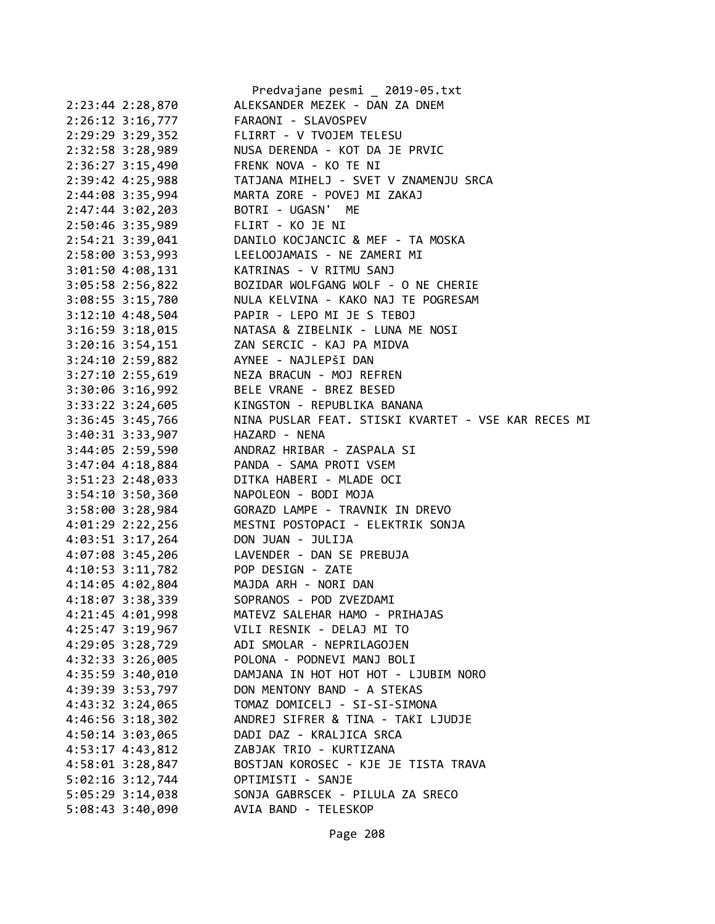|                        | Predvajane pesmi _ 2019-05.txt                      |
|------------------------|-----------------------------------------------------|
| 2:23:44 2:28,870       | ALEKSANDER MEZEK - DAN ZA DNEM                      |
| $2:26:12$ 3:16,777     | FARAONI - SLAVOSPEV                                 |
| 2:29:29 3:29,352       | FLIRRT - V TVOJEM TELESU                            |
| 2:32:58 3:28,989       | NUSA DERENDA - KOT DA JE PRVIC                      |
| 2:36:27 3:15,490       | FRENK NOVA - KO TE NI                               |
| 2:39:42 4:25,988       | TATJANA MIHELJ - SVET V ZNAMENJU SRCA               |
| 2:44:08 3:35,994       | MARTA ZORE - POVEJ MI ZAKAJ                         |
| 2:47:44 3:02,203       | BOTRI - UGASN' ME                                   |
| 2:50:46 3:35,989       | FLIRT - KO JE NI                                    |
| 2:54:21 3:39,041       | DANILO KOCJANCIC & MEF - TA MOSKA                   |
| 2:58:00 3:53,993       | LEELOOJAMAIS - NE ZAMERI MI                         |
| 3:01:50 4:08,131       | KATRINAS - V RITMU SANJ                             |
| 3:05:58 2:56,822       | BOZIDAR WOLFGANG WOLF - O NE CHERIE                 |
| 3:08:55 3:15,780       | NULA KELVINA - KAKO NAJ TE POGRESAM                 |
| 3:12:10 4:48,504       | PAPIR - LEPO MI JE S TEBOJ                          |
| $3:16:59$ $3:18,015$   | NATASA & ZIBELNIK - LUNA ME NOSI                    |
|                        | ZAN SERCIC - KAJ PA MIDVA                           |
| $3:20:16$ $3:54$ , 151 |                                                     |
| 3:24:10 2:59,882       | AYNEE - NAJLEPŠI DAN                                |
| $3:27:10$ 2:55,619     | NEZA BRACUN - MOJ REFREN                            |
| 3:30:06 3:16,992       | BELE VRANE - BREZ BESED                             |
| 3:33:22 3:24,605       | KINGSTON - REPUBLIKA BANANA                         |
| 3:36:45 3:45,766       | NINA PUSLAR FEAT. STISKI KVARTET - VSE KAR RECES MI |
| 3:40:31 3:33,907       | HAZARD - NENA                                       |
| 3:44:05 2:59,590       | ANDRAZ HRIBAR - ZASPALA SI                          |
| 3:47:04 4:18,884       | PANDA - SAMA PROTI VSEM                             |
| 3:51:23 2:48,033       | DITKA HABERI - MLADE OCI                            |
| $3:54:10$ $3:50,360$   | NAPOLEON - BODI MOJA                                |
| 3:58:00 3:28,984       | GORAZD LAMPE - TRAVNIK IN DREVO                     |
| 4:01:29 2:22,256       | MESTNI POSTOPACI - ELEKTRIK SONJA                   |
| 4:03:51 3:17,264       | DON JUAN - JULIJA                                   |
| 4:07:08 3:45,206       | LAVENDER - DAN SE PREBUJA                           |
| 4:10:53 3:11,782       | POP DESIGN - ZATE                                   |
| 4:14:05 4:02,804       | MAJDA ARH - NORI DAN                                |
| 4:18:07 3:38,339       | SOPRANOS - POD ZVEZDAMI                             |
| 4:21:45 4:01,998       | MATEVZ SALEHAR HAMO - PRIHAJAS                      |
| 4:25:47 3:19,967       | VILI RESNIK - DELAJ MI TO                           |
| 4:29:05 3:28,729       | ADI SMOLAR - NEPRILAGOJEN                           |
| 4:32:33 3:26,005       | POLONA - PODNEVI MANJ BOLI                          |
| 4:35:59 3:40,010       | DAMJANA IN HOT HOT HOT - LJUBIM NORO                |
| 4:39:39 3:53,797       | DON MENTONY BAND - A STEKAS                         |
| 4:43:32 3:24,065       | TOMAZ DOMICELJ - SI-SI-SIMONA                       |
| 4:46:56 3:18,302       | ANDREJ SIFRER & TINA - TAKI LJUDJE                  |
| 4:50:14 3:03,065       | DADI DAZ - KRALJICA SRCA                            |
| 4:53:17 4:43,812       | ZABJAK TRIO - KURTIZANA                             |
| 4:58:01 3:28,847       | BOSTJAN KOROSEC - KJE JE TISTA TRAVA                |
| 5:02:16 3:12,744       | OPTIMISTI - SANJE                                   |
| 5:05:29 3:14,038       | SONJA GABRSCEK - PILULA ZA SRECO                    |
| 5:08:43 3:40,090       | AVIA BAND - TELESKOP                                |
|                        |                                                     |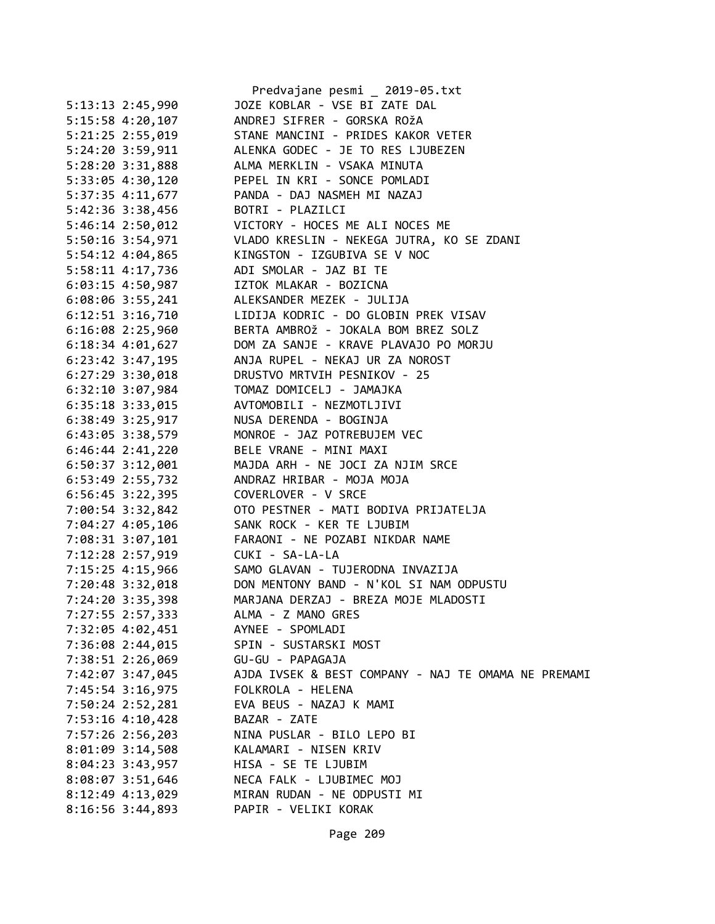|                      | Predvajane pesmi _ 2019-05.txt                      |
|----------------------|-----------------------------------------------------|
| 5:13:13 2:45,990     | JOZE KOBLAR - VSE BI ZATE DAL                       |
| 5:15:58 4:20,107     | ANDREJ SIFRER - GORSKA ROŽA                         |
| 5:21:25 2:55,019     | STANE MANCINI - PRIDES KAKOR VETER                  |
| 5:24:20 3:59,911     | ALENKA GODEC - JE TO RES LJUBEZEN                   |
| 5:28:20 3:31,888     | ALMA MERKLIN - VSAKA MINUTA                         |
| 5:33:05 4:30,120     | PEPEL IN KRI - SONCE POMLADI                        |
| 5:37:35 4:11,677     | PANDA - DAJ NASMEH MI NAZAJ                         |
| 5:42:36 3:38,456     | BOTRI - PLAZILCI                                    |
| $5:46:14$ 2:50,012   | VICTORY - HOCES ME ALI NOCES ME                     |
| 5:50:16 3:54,971     | VLADO KRESLIN - NEKEGA JUTRA, KO SE ZDANI           |
| 5:54:12 4:04,865     | KINGSTON - IZGUBIVA SE V NOC                        |
| 5:58:11 4:17,736     | ADI SMOLAR - JAZ BI TE                              |
| 6:03:15 4:50,987     | IZTOK MLAKAR - BOZICNA                              |
| 6:08:06 3:55,241     | ALEKSANDER MEZEK - JULIJA                           |
| 6:12:51 3:16,710     | LIDIJA KODRIC - DO GLOBIN PREK VISAV                |
| $6:16:08$ 2:25,960   | BERTA AMBROŽ - JOKALA BOM BREZ SOLZ                 |
| $6:18:34$ $4:01,627$ | DOM ZA SANJE - KRAVE PLAVAJO PO MORJU               |
| 6:23:42 3:47,195     | ANJA RUPEL - NEKAJ UR ZA NOROST                     |
| $6:27:29$ 3:30,018   | DRUSTVO MRTVIH PESNIKOV - 25                        |
| $6:32:10$ $3:07,984$ | TOMAZ DOMICELJ - JAMAJKA                            |
| $6:35:18$ 3:33,015   | AVTOMOBILI - NEZMOTLJIVI                            |
| $6:38:49$ 3:25,917   | NUSA DERENDA - BOGINJA                              |
| 6:43:05 3:38,579     | MONROE - JAZ POTREBUJEM VEC                         |
| $6:46:44$ 2:41,220   | BELE VRANE - MINI MAXI                              |
| $6:50:37$ $3:12,001$ | MAJDA ARH - NE JOCI ZA NJIM SRCE                    |
| 6:53:49 2:55,732     | ANDRAZ HRIBAR - MOJA MOJA                           |
| $6:56:45$ 3:22,395   | COVERLOVER - V SRCE                                 |
| 7:00:54 3:32,842     | OTO PESTNER - MATI BODIVA PRIJATELJA                |
| 7:04:27 4:05,106     | SANK ROCK - KER TE LJUBIM                           |
| 7:08:31 3:07,101     | FARAONI - NE POZABI NIKDAR NAME                     |
| 7:12:28 2:57,919     | CUKI - SA-LA-LA                                     |
| 7:15:25 4:15,966     | SAMO GLAVAN - TUJERODNA INVAZIJA                    |
| 7:20:48 3:32,018     | DON MENTONY BAND - N'KOL SI NAM ODPUSTU             |
| 7:24:20 3:35,398     | MARJANA DERZAJ - BREZA MOJE MLADOSTI                |
| 7:27:55 2:57,333     | ALMA - Z MANO GRES                                  |
| 7:32:05 4:02,451     | AYNEE - SPOMLADI                                    |
| 7:36:08 2:44,015     | SPIN - SUSTARSKI MOST                               |
| 7:38:51 2:26,069     | GU-GU - PAPAGAJA                                    |
| 7:42:07 3:47,045     | AJDA IVSEK & BEST COMPANY - NAJ TE OMAMA NE PREMAMI |
| 7:45:54 3:16,975     | FOLKROLA - HELENA                                   |
| 7:50:24 2:52,281     | EVA BEUS - NAZAJ K MAMI                             |
| 7:53:16 4:10,428     | BAZAR - ZATE                                        |
| 7:57:26 2:56,203     | NINA PUSLAR - BILO LEPO BI                          |
| 8:01:09 3:14,508     | KALAMARI - NISEN KRIV                               |
| 8:04:23 3:43,957     | HISA - SE TE LJUBIM                                 |
| 8:08:07 3:51,646     | NECA FALK - LJUBIMEC MOJ                            |
| 8:12:49 4:13,029     | MIRAN RUDAN - NE ODPUSTI MI                         |
| 8:16:56 3:44,893     | PAPIR - VELIKI KORAK                                |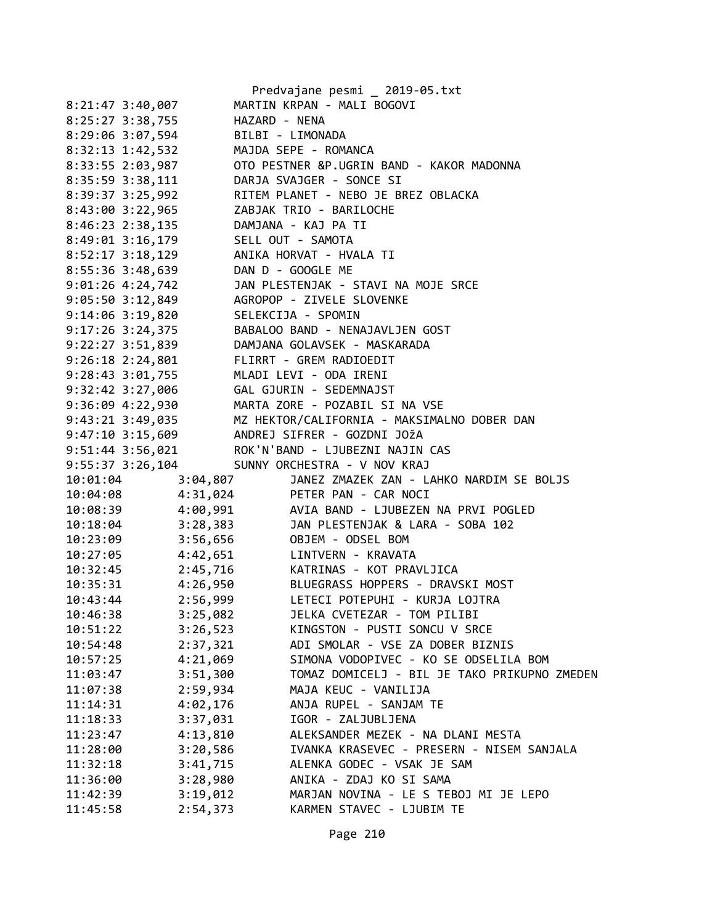|                      |               | Predvajane pesmi _ 2019-05.txt                                                                                          |
|----------------------|---------------|-------------------------------------------------------------------------------------------------------------------------|
| 8:21:47 3:40,007     |               | MARTIN KRPAN - MALI BOGOVI                                                                                              |
| 8:25:27 3:38,755     | HAZARD - NENA |                                                                                                                         |
| 8:29:06 3:07,594     |               | BILBI - LIMONADA                                                                                                        |
| 8:32:13 1:42,532     |               | MAJDA SEPE - ROMANCA                                                                                                    |
| 8:33:55 2:03,987     |               | OTO PESTNER &P.UGRIN BAND - KAKOR MADONNA                                                                               |
| 8:35:59 3:38,111     |               | DARJA SVAJGER - SONCE SI                                                                                                |
| 8:39:37 3:25,992     |               | RITEM PLANET - NEBO JE BREZ OBLACKA                                                                                     |
| 8:43:00 3:22,965     |               | ZABJAK TRIO - BARILOCHE                                                                                                 |
| 8:46:23 2:38,135     |               | DAMJANA - KAJ PA TI                                                                                                     |
| 8:49:01 3:16,179     |               | SELL OUT - SAMOTA                                                                                                       |
| $8:52:17$ 3:18,129   |               | ANIKA HORVAT - HVALA TI                                                                                                 |
| 8:55:36 3:48,639     |               | DAN D - GOOGLE ME                                                                                                       |
| 9:01:26 4:24,742     |               | JAN PLESTENJAK - STAVI NA MOJE SRCE                                                                                     |
| $9:05:50$ $3:12,849$ |               | AGROPOP - ZIVELE SLOVENKE                                                                                               |
| 9:14:06 3:19,820     |               | SELEKCIJA - SPOMIN                                                                                                      |
| 9:17:26 3:24,375     |               | BABALOO BAND - NENAJAVLJEN GOST                                                                                         |
| 9:22:27 3:51,839     |               | DAMJANA GOLAVSEK - MASKARADA                                                                                            |
| 9:26:18 2:24,801     |               | FLIRRT - GREM RADIOEDIT                                                                                                 |
| $9:28:43$ $3:01,755$ |               | MLADI LEVI - ODA IRENI                                                                                                  |
|                      |               |                                                                                                                         |
|                      |               | 9:36:09 4:22,930 MARTA ZORE - POZABIL SI NA VSE                                                                         |
|                      |               | 9:43:21 3:49,035 MZ HEKTOR/CALIFORNIA - MAKSIMALNO DOBER DAN<br>9:47:10 3:15,609 ANDREJ SIFRER - GOZDNI JOŽA            |
|                      |               |                                                                                                                         |
|                      |               | 9:51:44 3:56,021 ROK'N'BAND - LJUBEZNI NAJIN CAS                                                                        |
|                      |               | 9:55:37 3:26,104 SUNNY ORCHESTRA - V NOV KRAJ                                                                           |
| 10:01:04             | 3:04,807      | JANEZ ZMAZEK ZAN - LAHKO NARDIM SE BOLJS                                                                                |
| 10:04:08             |               | 4:31,024 PETER PAN - CAR NOCI                                                                                           |
| 10:08:39             |               | 4:00,991 AVIA BAND - LJUBEZEN NA PRVI POGLED<br>3:28,383 JAN PLESTENJAK & LARA - SOBA 102<br>3:56,656 OBJEM - ODSEL BOM |
| 10:18:04             |               |                                                                                                                         |
| 10:23:09             |               |                                                                                                                         |
| 10:27:05             |               | 4:42,651 LINTVERN - KRAVATA                                                                                             |
| 10:32:45             |               | 2:45,716 KATRINAS - KOT PRAVLJICA                                                                                       |
| 10:35:31             |               | 4:26,950 BLUEGRASS HOPPERS - DRAVSKI MOST                                                                               |
| 10:43:44             | 2:56,999      | LETECI POTEPUHI - KURJA LOJTRA                                                                                          |
| 10:46:38             | 3:25,082      | JELKA CVETEZAR - TOM PILIBI                                                                                             |
| 10:51:22             | 3:26,523      | KINGSTON - PUSTI SONCU V SRCE                                                                                           |
| 10:54:48             | 2:37,321      | ADI SMOLAR - VSE ZA DOBER BIZNIS                                                                                        |
| 10:57:25             | 4:21,069      | SIMONA VODOPIVEC - KO SE ODSELILA BOM                                                                                   |
| 11:03:47             | 3:51,300      | TOMAZ DOMICELJ - BIL JE TAKO PRIKUPNO ZMEDEN                                                                            |
| 11:07:38             | 2:59,934      | MAJA KEUC - VANILIJA                                                                                                    |
| 11:14:31             | 4:02,176      | ANJA RUPEL - SANJAM TE                                                                                                  |
| 11:18:33             | 3:37,031      | IGOR - ZALJUBLJENA                                                                                                      |
| 11:23:47             | 4:13,810      | ALEKSANDER MEZEK - NA DLANI MESTA                                                                                       |
| 11:28:00             | 3:20,586      | IVANKA KRASEVEC - PRESERN - NISEM SANJALA                                                                               |
| 11:32:18             | 3:41,715      | ALENKA GODEC - VSAK JE SAM                                                                                              |
| 11:36:00             | 3:28,980      | ANIKA - ZDAJ KO SI SAMA                                                                                                 |
| 11:42:39             | 3:19,012      | MARJAN NOVINA - LE S TEBOJ MI JE LEPO                                                                                   |
| 11:45:58             | 2:54,373      | KARMEN STAVEC - LJUBIM TE                                                                                               |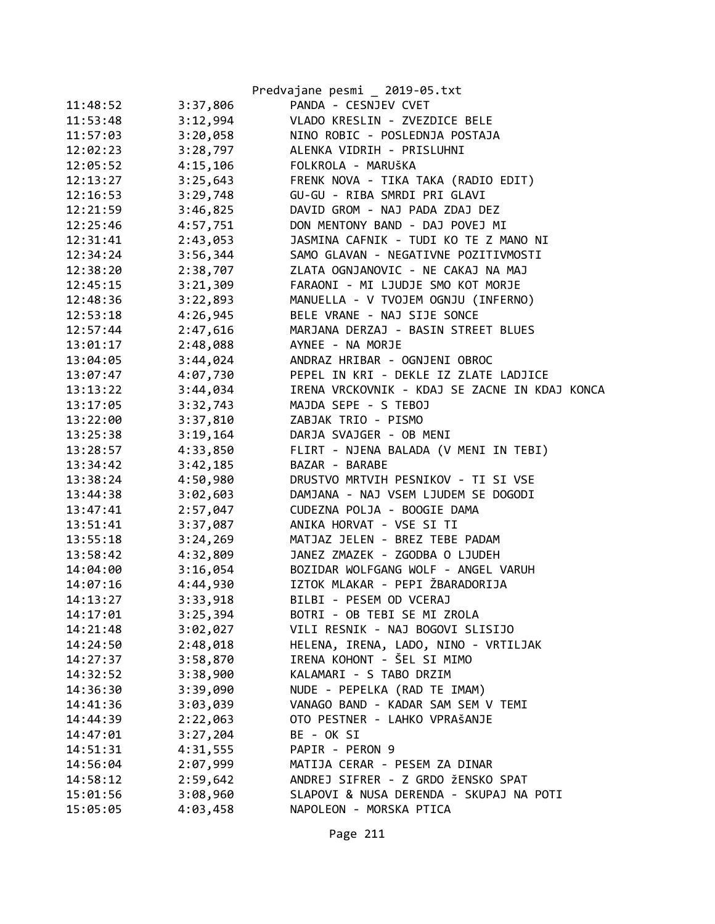|          |          | Predvajane pesmi _ 2019-05.txt                |
|----------|----------|-----------------------------------------------|
| 11:48:52 | 3:37,806 | PANDA - CESNJEV CVET                          |
| 11:53:48 | 3:12,994 | VLADO KRESLIN - ZVEZDICE BELE                 |
| 11:57:03 | 3:20,058 | NINO ROBIC - POSLEDNJA POSTAJA                |
| 12:02:23 | 3:28,797 | ALENKA VIDRIH - PRISLUHNI                     |
| 12:05:52 | 4:15,106 | FOLKROLA - MARUŠKA                            |
| 12:13:27 | 3:25,643 | FRENK NOVA - TIKA TAKA (RADIO EDIT)           |
| 12:16:53 | 3:29,748 | GU-GU - RIBA SMRDI PRI GLAVI                  |
| 12:21:59 | 3:46,825 | DAVID GROM - NAJ PADA ZDAJ DEZ                |
| 12:25:46 | 4:57,751 | DON MENTONY BAND - DAJ POVEJ MI               |
| 12:31:41 | 2:43,053 | JASMINA CAFNIK - TUDI KO TE Z MANO NI         |
| 12:34:24 | 3:56,344 | SAMO GLAVAN - NEGATIVNE POZITIVMOSTI          |
| 12:38:20 | 2:38,707 | ZLATA OGNJANOVIC - NE CAKAJ NA MAJ            |
| 12:45:15 | 3:21,309 | FARAONI - MI LJUDJE SMO KOT MORJE             |
| 12:48:36 | 3:22,893 | MANUELLA - V TVOJEM OGNJU (INFERNO)           |
| 12:53:18 | 4:26,945 | BELE VRANE - NAJ SIJE SONCE                   |
| 12:57:44 | 2:47,616 | MARJANA DERZAJ - BASIN STREET BLUES           |
| 13:01:17 | 2:48,088 | AYNEE - NA MORJE                              |
| 13:04:05 | 3:44,024 | ANDRAZ HRIBAR - OGNJENI OBROC                 |
| 13:07:47 | 4:07,730 | PEPEL IN KRI - DEKLE IZ ZLATE LADJICE         |
| 13:13:22 | 3:44,034 | IRENA VRCKOVNIK - KDAJ SE ZACNE IN KDAJ KONCA |
| 13:17:05 | 3:32,743 | MAJDA SEPE - S TEBOJ                          |
| 13:22:00 | 3:37,810 | ZABJAK TRIO - PISMO                           |
| 13:25:38 | 3:19,164 | DARJA SVAJGER - OB MENI                       |
| 13:28:57 | 4:33,850 | FLIRT - NJENA BALADA (V MENI IN TEBI)         |
| 13:34:42 | 3:42,185 | BAZAR - BARABE                                |
| 13:38:24 | 4:50,980 | DRUSTVO MRTVIH PESNIKOV - TI SI VSE           |
| 13:44:38 | 3:02,603 | DAMJANA - NAJ VSEM LJUDEM SE DOGODI           |
| 13:47:41 | 2:57,047 | CUDEZNA POLJA - BOOGIE DAMA                   |
| 13:51:41 | 3:37,087 | ANIKA HORVAT - VSE SI TI                      |
| 13:55:18 | 3:24,269 | MATJAZ JELEN - BREZ TEBE PADAM                |
| 13:58:42 | 4:32,809 | JANEZ ZMAZEK - ZGODBA O LJUDEH                |
| 14:04:00 | 3:16,054 | BOZIDAR WOLFGANG WOLF - ANGEL VARUH           |
| 14:07:16 | 4:44,930 | IZTOK MLAKAR - PEPI ŽBARADORIJA               |
| 14:13:27 | 3:33,918 | BILBI - PESEM OD VCERAJ                       |
| 14:17:01 | 3:25,394 | BOTRI - OB TEBI SE MI ZROLA                   |
| 14:21:48 | 3:02,027 | VILI RESNIK - NAJ BOGOVI SLISIJO              |
| 14:24:50 | 2:48,018 | HELENA, IRENA, LADO, NINO - VRTILJAK          |
| 14:27:37 | 3:58,870 | IRENA KOHONT - ŠEL SI MIMO                    |
| 14:32:52 | 3:38,900 | KALAMARI - S TABO DRZIM                       |
| 14:36:30 | 3:39,090 | NUDE - PEPELKA (RAD TE IMAM)                  |
| 14:41:36 | 3:03,039 | VANAGO BAND - KADAR SAM SEM V TEMI            |
| 14:44:39 | 2:22,063 | OTO PESTNER - LAHKO VPRAŠANJE                 |
| 14:47:01 | 3:27,204 | BE - OK SI                                    |
| 14:51:31 | 4:31,555 | PAPIR - PERON 9                               |
| 14:56:04 | 2:07,999 | MATIJA CERAR - PESEM ZA DINAR                 |
| 14:58:12 | 2:59,642 | ANDREJ SIFRER - Z GRDO ŽENSKO SPAT            |
| 15:01:56 | 3:08,960 | SLAPOVI & NUSA DERENDA - SKUPAJ NA POTI       |
| 15:05:05 | 4:03,458 | NAPOLEON - MORSKA PTICA                       |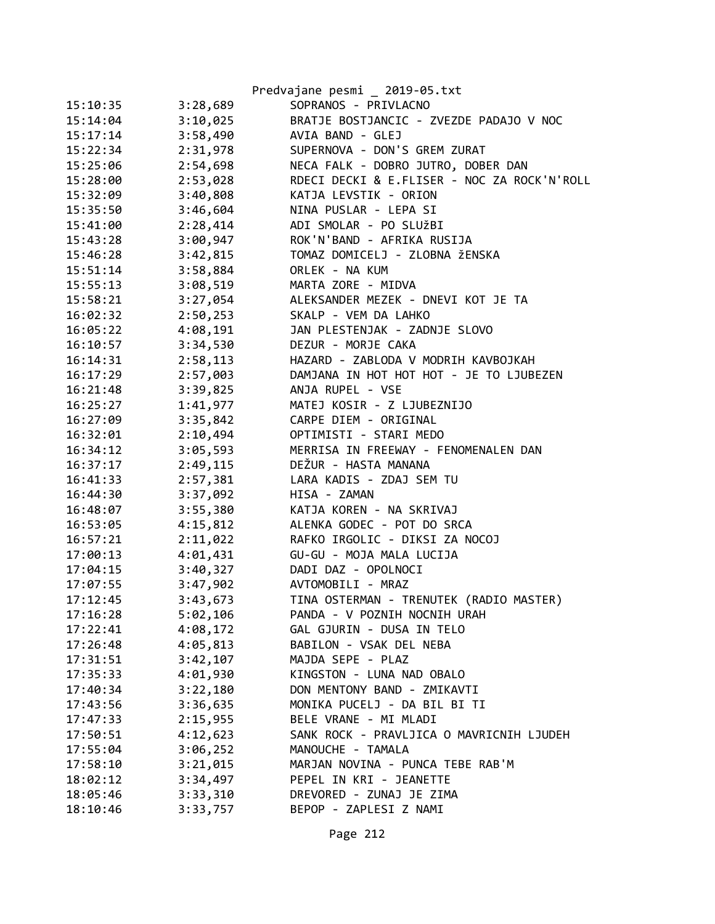|          |          | Predvajane pesmi _ 2019-05.txt              |
|----------|----------|---------------------------------------------|
| 15:10:35 | 3:28,689 | SOPRANOS - PRIVLACNO                        |
| 15:14:04 | 3:10,025 | BRATJE BOSTJANCIC - ZVEZDE PADAJO V NOC     |
| 15:17:14 | 3:58,490 | AVIA BAND - GLEJ                            |
| 15:22:34 | 2:31,978 | SUPERNOVA - DON'S GREM ZURAT                |
| 15:25:06 | 2:54,698 | NECA FALK - DOBRO JUTRO, DOBER DAN          |
| 15:28:00 | 2:53,028 | RDECI DECKI & E.FLISER - NOC ZA ROCK'N'ROLL |
| 15:32:09 | 3:40,808 | KATJA LEVSTIK - ORION                       |
| 15:35:50 | 3:46,604 | NINA PUSLAR - LEPA SI                       |
| 15:41:00 | 2:28,414 | ADI SMOLAR - PO SLUŽBI                      |
| 15:43:28 | 3:00,947 | ROK'N'BAND - AFRIKA RUSIJA                  |
| 15:46:28 | 3:42,815 | TOMAZ DOMICELJ - ZLOBNA ŽENSKA              |
| 15:51:14 | 3:58,884 | ORLEK - NA KUM                              |
| 15:55:13 | 3:08,519 | MARTA ZORE - MIDVA                          |
| 15:58:21 | 3:27,054 | ALEKSANDER MEZEK - DNEVI KOT JE TA          |
| 16:02:32 | 2:50,253 | SKALP - VEM DA LAHKO                        |
| 16:05:22 | 4:08,191 | JAN PLESTENJAK - ZADNJE SLOVO               |
| 16:10:57 | 3:34,530 | DEZUR - MORJE CAKA                          |
| 16:14:31 | 2:58,113 | HAZARD - ZABLODA V MODRIH KAVBOJKAH         |
| 16:17:29 | 2:57,003 | DAMJANA IN HOT HOT HOT - JE TO LJUBEZEN     |
| 16:21:48 | 3:39,825 | ANJA RUPEL - VSE                            |
| 16:25:27 | 1:41,977 | MATEJ KOSIR - Z LJUBEZNIJO                  |
| 16:27:09 | 3:35,842 | CARPE DIEM - ORIGINAL                       |
| 16:32:01 | 2:10,494 | OPTIMISTI - STARI MEDO                      |
| 16:34:12 | 3:05,593 | MERRISA IN FREEWAY - FENOMENALEN DAN        |
| 16:37:17 | 2:49,115 | DEŽUR - HASTA MANANA                        |
| 16:41:33 | 2:57,381 | LARA KADIS - ZDAJ SEM TU                    |
| 16:44:30 | 3:37,092 | HISA - ZAMAN                                |
| 16:48:07 | 3:55,380 | KATJA KOREN - NA SKRIVAJ                    |
| 16:53:05 | 4:15,812 | ALENKA GODEC - POT DO SRCA                  |
| 16:57:21 | 2:11,022 | RAFKO IRGOLIC - DIKSI ZA NOCOJ              |
| 17:00:13 | 4:01,431 | GU-GU - MOJA MALA LUCIJA                    |
| 17:04:15 | 3:40,327 | DADI DAZ - OPOLNOCI                         |
| 17:07:55 | 3:47,902 | AVTOMOBILI - MRAZ                           |
| 17:12:45 | 3:43,673 | TINA OSTERMAN - TRENUTEK (RADIO MASTER)     |
| 17:16:28 | 5:02,106 | PANDA - V POZNIH NOCNIH URAH                |
| 17:22:41 | 4:08,172 | GAL GJURIN - DUSA IN TELO                   |
| 17:26:48 | 4:05,813 | BABILON - VSAK DEL NEBA                     |
| 17:31:51 | 3:42,107 | MAJDA SEPE - PLAZ                           |
| 17:35:33 | 4:01,930 | KINGSTON - LUNA NAD OBALO                   |
| 17:40:34 | 3:22,180 | DON MENTONY BAND - ZMIKAVTI                 |
| 17:43:56 | 3:36,635 | MONIKA PUCELJ - DA BIL BI TI                |
| 17:47:33 | 2:15,955 | BELE VRANE - MI MLADI                       |
| 17:50:51 | 4:12,623 | SANK ROCK - PRAVLJICA O MAVRICNIH LJUDEH    |
| 17:55:04 | 3:06,252 | MANOUCHE - TAMALA                           |
| 17:58:10 | 3:21,015 | MARJAN NOVINA - PUNCA TEBE RAB'M            |
| 18:02:12 | 3:34,497 | PEPEL IN KRI - JEANETTE                     |
| 18:05:46 | 3:33,310 | DREVORED - ZUNAJ JE ZIMA                    |
| 18:10:46 | 3:33,757 | BEPOP - ZAPLESI Z NAMI                      |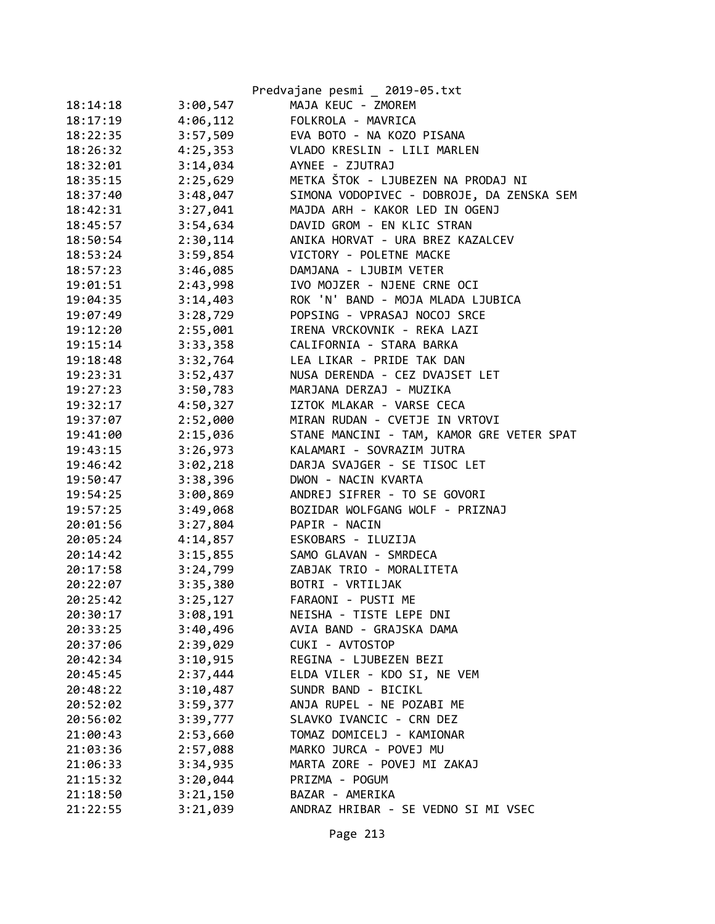|          |          | Predvajane pesmi _ 2019-05.txt            |
|----------|----------|-------------------------------------------|
| 18:14:18 | 3:00,547 | MAJA KEUC - ZMOREM                        |
| 18:17:19 | 4:06,112 | FOLKROLA - MAVRICA                        |
| 18:22:35 | 3:57,509 | EVA BOTO - NA KOZO PISANA                 |
| 18:26:32 | 4:25,353 | VLADO KRESLIN - LILI MARLEN               |
| 18:32:01 | 3:14,034 | AYNEE - ZJUTRAJ                           |
| 18:35:15 | 2:25,629 | METKA ŠTOK - LJUBEZEN NA PRODAJ NI        |
| 18:37:40 | 3:48,047 | SIMONA VODOPIVEC - DOBROJE, DA ZENSKA SEM |
| 18:42:31 | 3:27,041 | MAJDA ARH - KAKOR LED IN OGENJ            |
| 18:45:57 | 3:54,634 | DAVID GROM - EN KLIC STRAN                |
| 18:50:54 | 2:30,114 | ANIKA HORVAT - URA BREZ KAZALCEV          |
| 18:53:24 | 3:59,854 | VICTORY - POLETNE MACKE                   |
| 18:57:23 | 3:46,085 | DAMJANA - LJUBIM VETER                    |
| 19:01:51 | 2:43,998 | IVO MOJZER - NJENE CRNE OCI               |
| 19:04:35 | 3:14,403 | ROK 'N' BAND - MOJA MLADA LJUBICA         |
| 19:07:49 | 3:28,729 | POPSING - VPRASAJ NOCOJ SRCE              |
| 19:12:20 | 2:55,001 | IRENA VRCKOVNIK - REKA LAZI               |
| 19:15:14 | 3:33,358 | CALIFORNIA - STARA BARKA                  |
| 19:18:48 | 3:32,764 | LEA LIKAR - PRIDE TAK DAN                 |
| 19:23:31 | 3:52,437 | NUSA DERENDA - CEZ DVAJSET LET            |
| 19:27:23 | 3:50,783 | MARJANA DERZAJ - MUZIKA                   |
| 19:32:17 | 4:50,327 | IZTOK MLAKAR - VARSE CECA                 |
| 19:37:07 | 2:52,000 | MIRAN RUDAN - CVETJE IN VRTOVI            |
| 19:41:00 | 2:15,036 | STANE MANCINI - TAM, KAMOR GRE VETER SPAT |
| 19:43:15 | 3:26,973 | KALAMARI - SOVRAZIM JUTRA                 |
| 19:46:42 | 3:02,218 | DARJA SVAJGER - SE TISOC LET              |
| 19:50:47 | 3:38,396 | DWON - NACIN KVARTA                       |
| 19:54:25 | 3:00,869 | ANDREJ SIFRER - TO SE GOVORI              |
| 19:57:25 | 3:49,068 | BOZIDAR WOLFGANG WOLF - PRIZNAJ           |
| 20:01:56 | 3:27,804 | PAPIR - NACIN                             |
| 20:05:24 | 4:14,857 | ESKOBARS - ILUZIJA                        |
| 20:14:42 | 3:15,855 | SAMO GLAVAN - SMRDECA                     |
| 20:17:58 | 3:24,799 | ZABJAK TRIO - MORALITETA                  |
| 20:22:07 | 3:35,380 | BOTRI - VRTILJAK                          |
| 20:25:42 | 3:25,127 | FARAONI - PUSTI ME                        |
| 20:30:17 | 3:08,191 | NEISHA - TISTE LEPE DNI                   |
| 20:33:25 | 3:40,496 | AVIA BAND - GRAJSKA DAMA                  |
| 20:37:06 | 2:39,029 | CUKI - AVTOSTOP                           |
| 20:42:34 | 3:10,915 | REGINA - LJUBEZEN BEZI                    |
| 20:45:45 | 2:37,444 | ELDA VILER - KDO SI, NE VEM               |
| 20:48:22 | 3:10,487 | SUNDR BAND - BICIKL                       |
| 20:52:02 | 3:59,377 | ANJA RUPEL - NE POZABI ME                 |
| 20:56:02 | 3:39,777 | SLAVKO IVANCIC - CRN DEZ                  |
| 21:00:43 | 2:53,660 | TOMAZ DOMICELJ - KAMIONAR                 |
| 21:03:36 | 2:57,088 | MARKO JURCA - POVEJ MU                    |
| 21:06:33 | 3:34,935 | MARTA ZORE - POVEJ MI ZAKAJ               |
| 21:15:32 | 3:20,044 | PRIZMA - POGUM                            |
| 21:18:50 | 3:21,150 | BAZAR - AMERIKA                           |
| 21:22:55 | 3:21,039 | ANDRAZ HRIBAR - SE VEDNO SI MI VSEC       |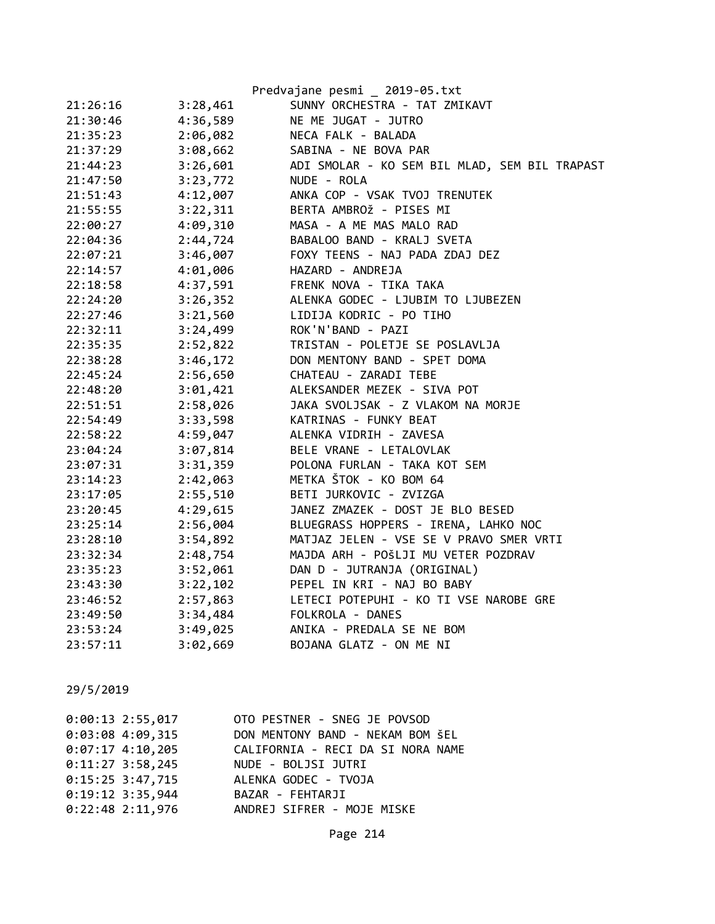|          |          | Predvajane pesmi _ 2019-05.txt                |
|----------|----------|-----------------------------------------------|
| 21:26:16 | 3:28,461 | SUNNY ORCHESTRA - TAT ZMIKAVT                 |
| 21:30:46 | 4:36,589 | NE ME JUGAT - JUTRO                           |
| 21:35:23 | 2:06,082 | NECA FALK - BALADA                            |
| 21:37:29 | 3:08,662 | SABINA - NE BOVA PAR                          |
| 21:44:23 | 3:26,601 | ADI SMOLAR - KO SEM BIL MLAD, SEM BIL TRAPAST |
| 21:47:50 | 3:23,772 | NUDE - ROLA                                   |
| 21:51:43 | 4:12,007 | ANKA COP - VSAK TVOJ TRENUTEK                 |
| 21:55:55 | 3:22,311 | BERTA AMBROŽ - PISES MI                       |
| 22:00:27 | 4:09,310 | MASA - A ME MAS MALO RAD                      |
| 22:04:36 | 2:44,724 | BABALOO BAND - KRALJ SVETA                    |
| 22:07:21 | 3:46,007 | FOXY TEENS - NAJ PADA ZDAJ DEZ                |
| 22:14:57 | 4:01,006 | HAZARD - ANDREJA                              |
| 22:18:58 | 4:37,591 | FRENK NOVA - TIKA TAKA                        |
| 22:24:20 | 3:26,352 | ALENKA GODEC - LJUBIM TO LJUBEZEN             |
| 22:27:46 | 3:21,560 | LIDIJA KODRIC - PO TIHO                       |
| 22:32:11 | 3:24,499 | ROK'N'BAND - PAZI                             |
| 22:35:35 | 2:52,822 | TRISTAN - POLETJE SE POSLAVLJA                |
| 22:38:28 | 3:46,172 | DON MENTONY BAND - SPET DOMA                  |
| 22:45:24 | 2:56,650 | CHATEAU - ZARADI TEBE                         |
| 22:48:20 | 3:01,421 | ALEKSANDER MEZEK - SIVA POT                   |
| 22:51:51 | 2:58,026 | JAKA SVOLJSAK - Z VLAKOM NA MORJE             |
| 22:54:49 | 3:33,598 | KATRINAS - FUNKY BEAT                         |
| 22:58:22 | 4:59,047 | ALENKA VIDRIH - ZAVESA                        |
| 23:04:24 | 3:07,814 | BELE VRANE - LETALOVLAK                       |
| 23:07:31 | 3:31,359 | POLONA FURLAN - TAKA KOT SEM                  |
| 23:14:23 | 2:42,063 | METKA ŠTOK - KO BOM 64                        |
| 23:17:05 | 2:55,510 | BETI JURKOVIC - ZVIZGA                        |
| 23:20:45 | 4:29,615 | JANEZ ZMAZEK - DOST JE BLO BESED              |
| 23:25:14 | 2:56,004 | BLUEGRASS HOPPERS - IRENA, LAHKO NOC          |
| 23:28:10 | 3:54,892 | MATJAZ JELEN - VSE SE V PRAVO SMER VRTI       |
| 23:32:34 | 2:48,754 | MAJDA ARH - POŠLJI MU VETER POZDRAV           |
| 23:35:23 | 3:52,061 | DAN D - JUTRANJA (ORIGINAL)                   |
| 23:43:30 | 3:22,102 | PEPEL IN KRI - NAJ BO BABY                    |
| 23:46:52 | 2:57,863 | LETECI POTEPUHI - KO TI VSE NAROBE GRE        |
| 23:49:50 | 3:34,484 | FOLKROLA - DANES                              |
| 23:53:24 | 3:49,025 | ANIKA - PREDALA SE NE BOM                     |
| 23:57:11 | 3:02,669 | BOJANA GLATZ - ON ME NI                       |

| $0:00:13$ 2:55,017 | OTO PESTNER - SNEG JE POVSOD      |
|--------------------|-----------------------------------|
| $0:03:08$ 4:09,315 | DON MENTONY BAND - NEKAM BOM ŠEL  |
| $0:07:17$ 4:10,205 | CALIFORNIA - RECI DA SI NORA NAME |
| $0:11:27$ 3:58,245 | NUDE - BOLJSI JUTRI               |
| $0:15:25$ 3:47,715 | ALENKA GODEC - TVOJA              |
| $0:19:12$ 3:35,944 | BAZAR - FEHTARJI                  |
| $0:22:48$ 2:11,976 | ANDREJ SIFRER - MOJE MISKE        |
|                    |                                   |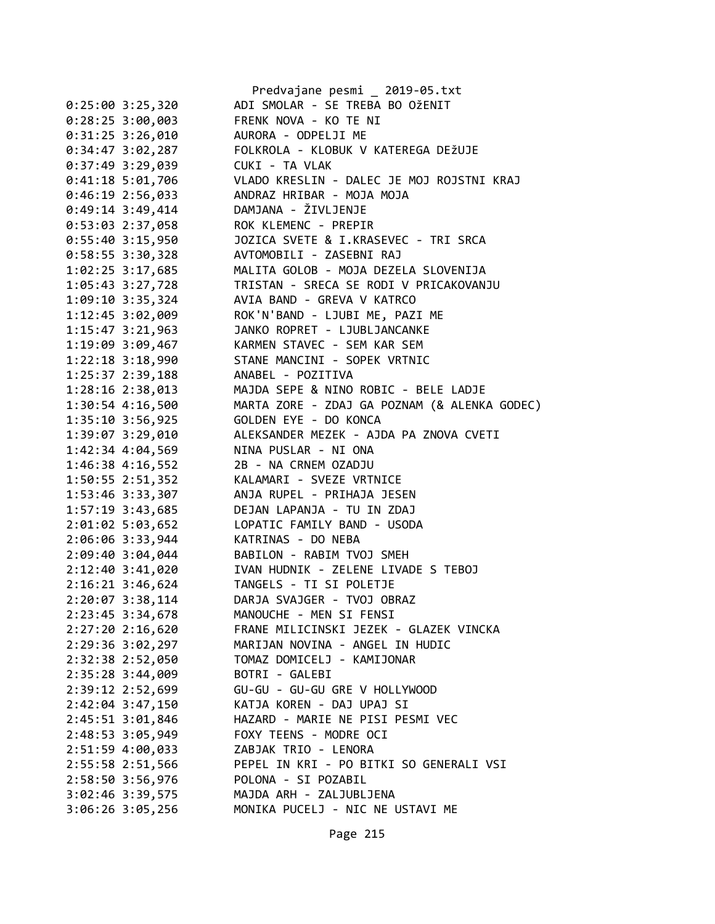|                      | Predvajane pesmi _ 2019-05.txt                        |
|----------------------|-------------------------------------------------------|
| $0:25:00$ 3:25,320   | ADI SMOLAR - SE TREBA BO OŽENIT                       |
| $0:28:25$ 3:00,003   | FRENK NOVA - KO TE NI                                 |
| 0:31:25 3:26,010     | AURORA - ODPELJI ME                                   |
| 0:34:47 3:02,287     | FOLKROLA - KLOBUK V KATEREGA DEŽUJE                   |
| 0:37:49 3:29,039     | CUKI - TA VLAK                                        |
| 0:41:18 5:01,706     | VLADO KRESLIN - DALEC JE MOJ ROJSTNI KRAJ             |
| 0:46:19 2:56,033     | ANDRAZ HRIBAR - MOJA MOJA                             |
| 0:49:14 3:49,414     | DAMJANA - ŽIVLJENJE                                   |
| 0:53:03 2:37,058     | ROK KLEMENC - PREPIR                                  |
| $0:55:40$ 3:15,950   | JOZICA SVETE & I.KRASEVEC - TRI SRCA                  |
| $0:58:55$ 3:30,328   | AVTOMOBILI - ZASEBNI RAJ                              |
| $1:02:25$ 3:17,685   | MALITA GOLOB - MOJA DEZELA SLOVENIJA                  |
| 1:05:43 3:27,728     | TRISTAN - SRECA SE RODI V PRICAKOVANJU                |
| 1:09:10 3:35,324     | AVIA BAND - GREVA V KATRCO                            |
| 1:12:45 3:02,009     | ROK'N'BAND - LJUBI ME, PAZI ME                        |
| 1:15:47 3:21,963     | JANKO ROPRET - LJUBLJANCANKE                          |
| 1:19:09 3:09,467     | KARMEN STAVEC - SEM KAR SEM                           |
| $1:22:18$ $3:18,990$ | STANE MANCINI - SOPEK VRTNIC                          |
| 1:25:37 2:39,188     | ANABEL - POZITIVA                                     |
| 1:28:16 2:38,013     | MAJDA SEPE & NINO ROBIC - BELE LADJE                  |
| 1:30:54 4:16,500     | MARTA ZORE - ZDAJ GA POZNAM (& ALENKA GODEC)          |
| 1:35:10 3:56,925     | GOLDEN EYE - DO KONCA                                 |
| 1:39:07 3:29,010     | ALEKSANDER MEZEK - AJDA PA ZNOVA CVETI                |
| 1:42:34 4:04,569     | NINA PUSLAR - NI ONA                                  |
| $1:46:38$ 4:16,552   | 2B - NA CRNEM OZADJU                                  |
| 1:50:55 2:51,352     | KALAMARI - SVEZE VRTNICE                              |
| 1:53:46 3:33,307     | ANJA RUPEL - PRIHAJA JESEN                            |
| $1:57:19$ 3:43,685   | DEJAN LAPANJA - TU IN ZDAJ                            |
| 2:01:02 5:03,652     | LOPATIC FAMILY BAND - USODA                           |
| 2:06:06 3:33,944     | KATRINAS - DO NEBA                                    |
| 2:09:40 3:04,044     | BABILON - RABIM TVOJ SMEH                             |
|                      | IVAN HUDNIK - ZELENE LIVADE S TEBOJ                   |
| 2:12:40 3:41,020     |                                                       |
| 2:16:21 3:46,624     | TANGELS - TI SI POLETJE<br>DARJA SVAJGER - TVOJ OBRAZ |
| 2:20:07 3:38,114     |                                                       |
| 2:23:45 3:34,678     | MANOUCHE - MEN SI FENSI                               |
| $2:27:20$ $2:16,620$ | FRANE MILICINSKI JEZEK - GLAZEK VINCKA                |
| 2:29:36 3:02,297     | MARIJAN NOVINA - ANGEL IN HUDIC                       |
| 2:32:38 2:52,050     | TOMAZ DOMICELJ - KAMIJONAR                            |
| 2:35:28 3:44,009     | BOTRI - GALEBI                                        |
| 2:39:12 2:52,699     | GU-GU - GU-GU GRE V HOLLYWOOD                         |
| $2:42:04$ 3:47,150   | KATJA KOREN - DAJ UPAJ SI                             |
| 2:45:51 3:01,846     | HAZARD - MARIE NE PISI PESMI VEC                      |
| 2:48:53 3:05,949     | FOXY TEENS - MODRE OCI                                |
| 2:51:59 4:00,033     | ZABJAK TRIO - LENORA                                  |
| 2:55:58 2:51,566     | PEPEL IN KRI - PO BITKI SO GENERALI VSI               |
| 2:58:50 3:56,976     | POLONA - SI POZABIL                                   |
| 3:02:46 3:39,575     | MAJDA ARH - ZALJUBLJENA                               |
| 3:06:26 3:05,256     | MONIKA PUCELJ - NIC NE USTAVI ME                      |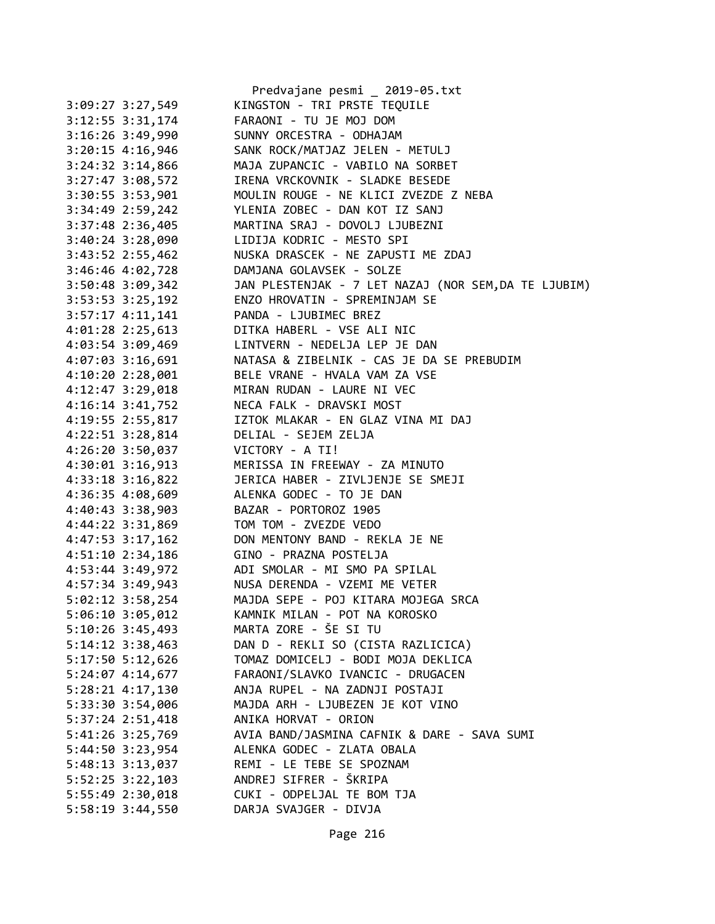|                    | Predvajane pesmi _ 2019-05.txt                       |
|--------------------|------------------------------------------------------|
| 3:09:27 3:27,549   | KINGSTON - TRI PRSTE TEQUILE                         |
| 3:12:55 3:31,174   | FARAONI - TU JE MOJ DOM                              |
| 3:16:26 3:49,990   | SUNNY ORCESTRA - ODHAJAM                             |
| 3:20:15 4:16,946   | SANK ROCK/MATJAZ JELEN - METULJ                      |
| 3:24:32 3:14,866   | MAJA ZUPANCIC - VABILO NA SORBET                     |
| 3:27:47 3:08,572   | IRENA VRCKOVNIK - SLADKE BESEDE                      |
| 3:30:55 3:53,901   | MOULIN ROUGE - NE KLICI ZVEZDE Z NEBA                |
| 3:34:49 2:59,242   | YLENIA ZOBEC - DAN KOT IZ SANJ                       |
| 3:37:48 2:36,405   | MARTINA SRAJ - DOVOLJ LJUBEZNI                       |
| 3:40:24 3:28,090   | LIDIJA KODRIC - MESTO SPI                            |
| 3:43:52 2:55,462   | NUSKA DRASCEK - NE ZAPUSTI ME ZDAJ                   |
| 3:46:46 4:02,728   | DAMJANA GOLAVSEK - SOLZE                             |
| 3:50:48 3:09,342   | JAN PLESTENJAK - 7 LET NAZAJ (NOR SEM, DA TE LJUBIM) |
| 3:53:53 3:25,192   | ENZO HROVATIN - SPREMINJAM SE                        |
| $3:57:17$ 4:11,141 | PANDA - LJUBIMEC BREZ                                |
| 4:01:28 2:25,613   | DITKA HABERL - VSE ALI NIC                           |
| 4:03:54 3:09,469   | LINTVERN - NEDELJA LEP JE DAN                        |
| 4:07:03 3:16,691   | NATASA & ZIBELNIK - CAS JE DA SE PREBUDIM            |
| $4:10:20$ 2:28,001 | BELE VRANE - HVALA VAM ZA VSE                        |
| 4:12:47 3:29,018   | MIRAN RUDAN - LAURE NI VEC                           |
|                    | NECA FALK - DRAVSKI MOST                             |
| $4:16:14$ 3:41,752 | IZTOK MLAKAR - EN GLAZ VINA MI DAJ                   |
| 4:19:55 2:55,817   |                                                      |
| 4:22:51 3:28,814   | DELIAL - SEJEM ZELJA                                 |
| 4:26:20 3:50,037   | VICTORY - A TI!                                      |
| 4:30:01 3:16,913   | MERISSA IN FREEWAY - ZA MINUTO                       |
| 4:33:18 3:16,822   | JERICA HABER - ZIVLJENJE SE SMEJI                    |
| 4:36:35 4:08,609   | ALENKA GODEC - TO JE DAN                             |
| 4:40:43 3:38,903   | BAZAR - PORTOROZ 1905                                |
| 4:44:22 3:31,869   | TOM TOM - ZVEZDE VEDO                                |
| 4:47:53 3:17,162   | DON MENTONY BAND - REKLA JE NE                       |
| 4:51:10 2:34,186   | GINO - PRAZNA POSTELJA                               |
| 4:53:44 3:49,972   | ADI SMOLAR - MI SMO PA SPILAL                        |
| 4:57:34 3:49,943   | NUSA DERENDA - VZEMI ME VETER                        |
| 5:02:12 3:58,254   | MAJDA SEPE - POJ KITARA MOJEGA SRCA                  |
| 5:06:10 3:05,012   | KAMNIK MILAN - POT NA KOROSKO                        |
| 5:10:26 3:45,493   | MARTA ZORE - ŠE SI TU                                |
| 5:14:12 3:38,463   | DAN D - REKLI SO (CISTA RAZLICICA)                   |
| 5:17:50 5:12,626   | TOMAZ DOMICELJ - BODI MOJA DEKLICA                   |
| 5:24:07 4:14,677   | FARAONI/SLAVKO IVANCIC - DRUGACEN                    |
| 5:28:21 4:17,130   | ANJA RUPEL - NA ZADNJI POSTAJI                       |
| 5:33:30 3:54,006   | MAJDA ARH - LJUBEZEN JE KOT VINO                     |
| 5:37:24 2:51,418   | ANIKA HORVAT - ORION                                 |
| 5:41:26 3:25,769   | AVIA BAND/JASMINA CAFNIK & DARE - SAVA SUMI          |
| 5:44:50 3:23,954   | ALENKA GODEC - ZLATA OBALA                           |
| 5:48:13 3:13,037   | REMI - LE TEBE SE SPOZNAM                            |
| 5:52:25 3:22,103   | ANDREJ SIFRER - ŠKRIPA                               |
| 5:55:49 2:30,018   | CUKI - ODPELJAL TE BOM TJA                           |
| 5:58:19 3:44,550   | DARJA SVAJGER - DIVJA                                |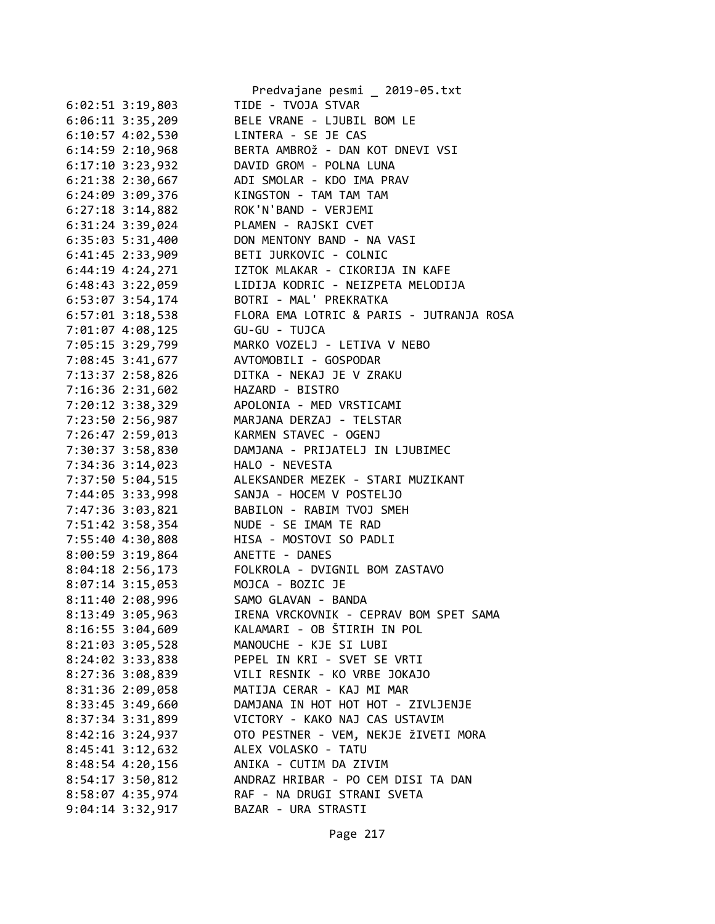|                                 | Predvajane pesmi _ 2019-05.txt                  |
|---------------------------------|-------------------------------------------------|
| 6:02:51 3:19,803                | TIDE - TVOJA STVAR                              |
| $6:06:11$ 3:35,209              | BELE VRANE - LJUBIL BOM LE                      |
| 6:10:57 4:02,530                | LINTERA - SE JE CAS                             |
| $6:14:59$ $2:10,968$            | BERTA AMBROŽ - DAN KOT DNEVI VSI                |
| $6:17:10$ 3:23,932              | DAVID GROM - POLNA LUNA                         |
| 6:21:38 2:30,667                | ADI SMOLAR - KDO IMA PRAV                       |
| 6:24:09 3:09,376                | KINGSTON - TAM TAM TAM                          |
| $6:27:18$ 3:14,882              | ROK'N'BAND - VERJEMI                            |
| $6:31:24$ $3:39,024$            | PLAMEN - RAJSKI CVET                            |
| $6:35:03$ 5:31,400              | DON MENTONY BAND - NA VASI                      |
| $6:41:45$ 2:33,909              | BETI JURKOVIC - COLNIC                          |
| 6:44:19 4:24,271                | IZTOK MLAKAR - CIKORIJA IN KAFE                 |
| 6:48:43 3:22,059                | LIDIJA KODRIC - NEIZPETA MELODIJA               |
| 6:53:07 3:54,174                | BOTRI - MAL' PREKRATKA                          |
| $6:57:01$ 3:18,538              | FLORA EMA LOTRIC & PARIS - JUTRANJA ROSA        |
| 7:01:07 4:08,125                | GU-GU - TUJCA                                   |
|                                 | MARKO VOZELJ - LETIVA V NEBO                    |
| 7:05:15 3:29,799                |                                                 |
| 7:08:45 3:41,677                | AVTOMOBILI - GOSPODAR                           |
| 7:13:37 2:58,826                | DITKA - NEKAJ JE V ZRAKU                        |
| 7:16:36 2:31,602                | HAZARD - BISTRO                                 |
| 7:20:12 3:38,329                | APOLONIA - MED VRSTICAMI                        |
| 7:23:50 2:56,987                | MARJANA DERZAJ - TELSTAR                        |
| 7:26:47 2:59,013                | KARMEN STAVEC - OGENJ                           |
| 7:30:37 3:58,830                | DAMJANA - PRIJATELJ IN LJUBIMEC                 |
| 7:34:36 3:14,023                | HALO - NEVESTA                                  |
| 7:37:50 5:04,515                | ALEKSANDER MEZEK - STARI MUZIKANT               |
| 7:44:05 3:33,998                | SANJA - HOCEM V POSTELJO                        |
| 7:47:36 3:03,821                | BABILON - RABIM TVOJ SMEH                       |
| 7:51:42 3:58,354                | NUDE - SE IMAM TE RAD                           |
| 7:55:40 4:30,808                | HISA - MOSTOVI SO PADLI                         |
| 8:00:59 3:19,864 ANETTE - DANES |                                                 |
|                                 | 8:04:18 2:56,173 FOLKROLA - DVIGNIL BOM ZASTAVO |
| 8:07:14 3:15,053                | MOJCA - BOZIC JE                                |
| 8:11:40 2:08,996                | SAMO GLAVAN - BANDA                             |
| 8:13:49 3:05,963                | IRENA VRCKOVNIK - CEPRAV BOM SPET SAMA          |
| $8:16:55$ 3:04,609              | KALAMARI - OB ŠTIRIH IN POL                     |
| 8:21:03 3:05,528                | MANOUCHE - KJE SI LUBI                          |
| 8:24:02 3:33,838                | PEPEL IN KRI - SVET SE VRTI                     |
| 8:27:36 3:08,839                | VILI RESNIK - KO VRBE JOKAJO                    |
| 8:31:36 2:09,058                | MATIJA CERAR - KAJ MI MAR                       |
| 8:33:45 3:49,660                | DAMJANA IN HOT HOT HOT - ZIVLJENJE              |
| 8:37:34 3:31,899                | VICTORY - KAKO NAJ CAS USTAVIM                  |
| $8:42:16$ 3:24,937              | OTO PESTNER - VEM, NEKJE ŽIVETI MORA            |
| $8:45:41$ $3:12,632$            | ALEX VOLASKO - TATU                             |
| 8:48:54 4:20,156                | ANIKA - CUTIM DA ZIVIM                          |
| 8:54:17 3:50,812                | ANDRAZ HRIBAR - PO CEM DISI TA DAN              |
|                                 |                                                 |
| 8:58:07 4:35,974                | RAF - NA DRUGI STRANI SVETA                     |
| $9:04:14$ 3:32,917              | BAZAR - URA STRASTI                             |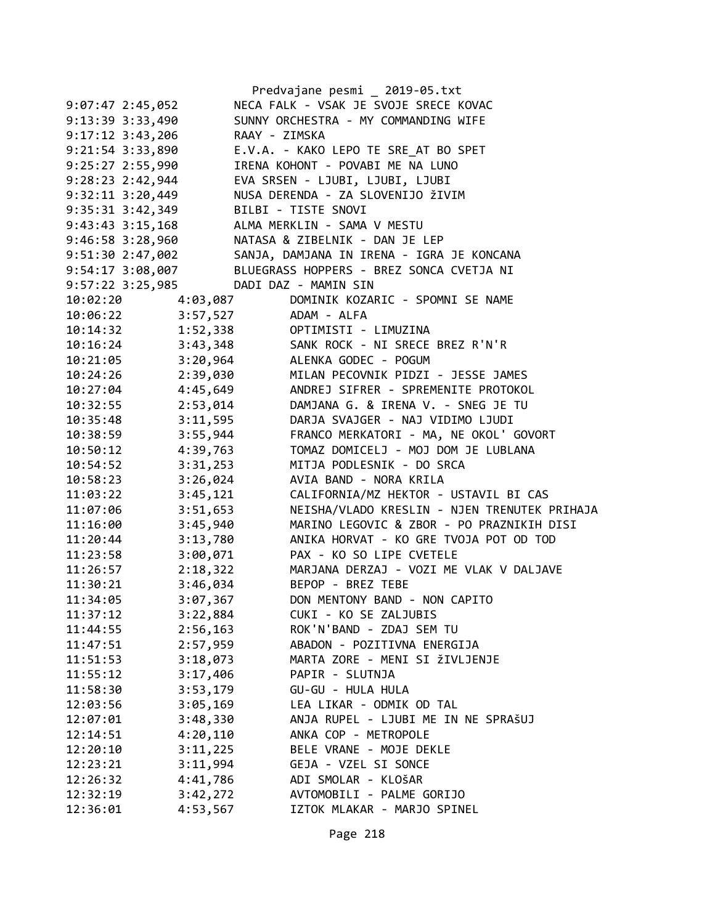|                          |               | Predvajane pesmi _ 2019-05.txt                            |
|--------------------------|---------------|-----------------------------------------------------------|
| $9:07:47$ 2:45,052       |               | NECA FALK - VSAK JE SVOJE SRECE KOVAC                     |
| 9:13:39 3:33,490         |               | SUNNY ORCHESTRA - MY COMMANDING WIFE                      |
| $9:17:12 \t3:43,206$     | RAAY - ZIMSKA |                                                           |
| 9:21:54 3:33,890         |               | E.V.A. - KAKO LEPO TE SRE AT BO SPET                      |
| $9:25:27$ 2:55,990       |               | IRENA KOHONT - POVABI ME NA LUNO                          |
| $9:28:23$ $2:42,944$     |               | EVA SRSEN - LJUBI, LJUBI, LJUBI                           |
| $9:32:11$ $3:20,449$     |               | NUSA DERENDA - ZA SLOVENIJO ŽIVIM                         |
| $9:35:31$ $3:42,349$     |               | BILBI - TISTE SNOVI                                       |
| $9:43:43$ $3:15,168$     |               | ALMA MERKLIN - SAMA V MESTU                               |
| $9:46:58$ $3:28,960$     |               | NATASA & ZIBELNIK - DAN JE LEP                            |
| 9:51:30 2:47,002         |               | SANJA, DAMJANA IN IRENA - IGRA JE KONCANA                 |
|                          |               | 9:54:17 3:08,007 BLUEGRASS HOPPERS - BREZ SONCA CVETJA NI |
| 9:57:22 3:25,985         |               | DADI DAZ - MAMIN SIN                                      |
| 10:02:20                 | 4:03,087      | DOMINIK KOZARIC - SPOMNI SE NAME                          |
| $10:06:22$<br>$10:14:22$ | 3:57,527      | ADAM - ALFA                                               |
| 10:14:32                 |               | 1:52,338 OPTIMISTI - LIMUZINA                             |
| 10:16:24                 |               | 3:43,348 SANK ROCK - NI SRECE BREZ R'N'R                  |
|                          |               | 10:21:05 3:20,964 ALENKA GODEC - POGUM                    |
| 10:24:26                 |               | 2:39,030 MILAN PECOVNIK PIDZI - JESSE JAMES               |
| 10:27:04                 | 4:45,649      | ANDREJ SIFRER - SPREMENITE PROTOKOL                       |
| 10:32:55                 | 2:53,014      | DAMJANA G. & IRENA V. - SNEG JE TU                        |
| 10:35:48                 | 3:11,595      | DARJA SVAJGER - NAJ VIDIMO LJUDI                          |
| 10:38:59                 | 3:55,944      | FRANCO MERKATORI - MA, NE OKOL' GOVORT                    |
| 10:50:12                 | 4:39,763      | TOMAZ DOMICELJ - MOJ DOM JE LUBLANA                       |
| 10:54:52                 | 3:31,253      | MITJA PODLESNIK - DO SRCA                                 |
| 10:58:23                 | 3:26,024      | AVIA BAND - NORA KRILA                                    |
| 11:03:22                 | 3:45,121      | CALIFORNIA/MZ HEKTOR - USTAVIL BI CAS                     |
| 11:07:06                 | 3:51,653      | NEISHA/VLADO KRESLIN - NJEN TRENUTEK PRIHAJA              |
| 11:16:00                 | 3:45,940      | MARINO LEGOVIC & ZBOR - PO PRAZNIKIH DISI                 |
| 11:20:44                 | 3:13,780      | ANIKA HORVAT - KO GRE TVOJA POT OD TOD                    |
| 11:23:58                 | 3:00,071      | PAX - KO SO LIPE CVETELE                                  |
| 11:26:57                 | 2:18,322      | MARJANA DERZAJ - VOZI ME VLAK V DALJAVE                   |
| 11:30:21                 |               | 3:46,034 BEPOP - BREZ TEBE                                |
| 11:34:05                 | 3:07,367      | DON MENTONY BAND - NON CAPITO                             |
| 11:37:12                 | 3:22,884      | CUKI - KO SE ZALJUBIS                                     |
| 11:44:55                 | 2:56,163      | ROK'N'BAND - ZDAJ SEM TU                                  |
| 11:47:51                 | 2:57,959      | ABADON - POZITIVNA ENERGIJA                               |
| 11:51:53                 | 3:18,073      | MARTA ZORE - MENI SI ŽIVLJENJE                            |
| 11:55:12                 | 3:17,406      | PAPIR - SLUTNJA                                           |
| 11:58:30                 | 3:53,179      | GU-GU - HULA HULA                                         |
| 12:03:56                 | 3:05,169      | LEA LIKAR - ODMIK OD TAL                                  |
| 12:07:01                 | 3:48,330      | ANJA RUPEL - LJUBI ME IN NE SPRAŠUJ                       |
| 12:14:51                 | 4:20,110      | ANKA COP - METROPOLE                                      |
| 12:20:10                 | 3:11,225      | BELE VRANE - MOJE DEKLE                                   |
| 12:23:21                 | 3:11,994      | GEJA - VZEL SI SONCE                                      |
| 12:26:32                 | 4:41,786      | ADI SMOLAR - KLOŠAR                                       |
| 12:32:19                 | 3:42,272      | AVTOMOBILI - PALME GORIJO                                 |
| 12:36:01                 | 4:53,567      | IZTOK MLAKAR - MARJO SPINEL                               |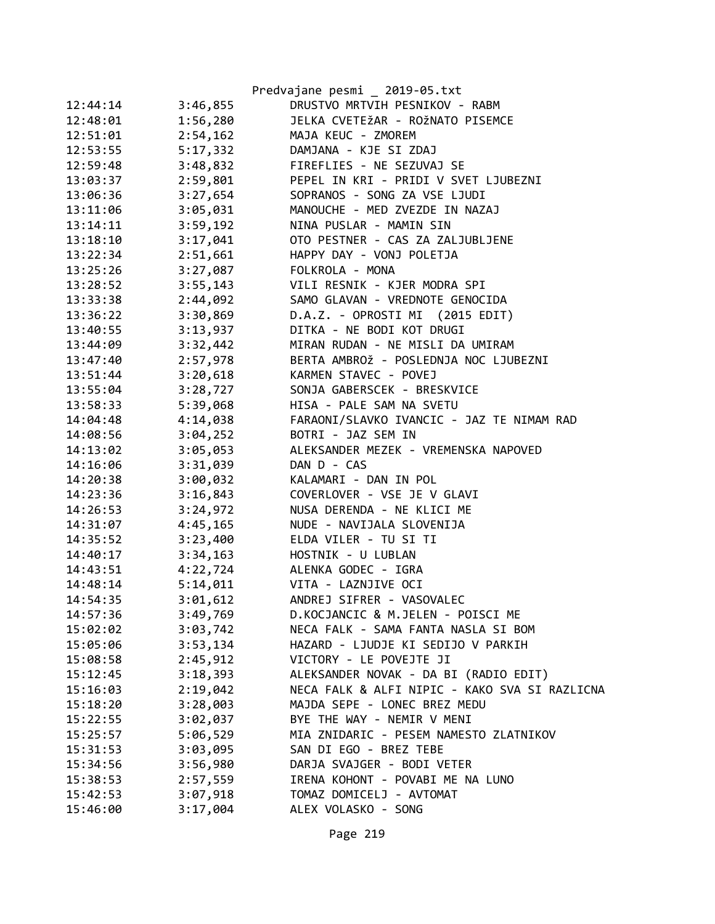|          |          | Predvajane pesmi _ 2019-05.txt                |
|----------|----------|-----------------------------------------------|
| 12:44:14 | 3:46,855 | DRUSTVO MRTVIH PESNIKOV - RABM                |
| 12:48:01 | 1:56,280 | JELKA CVETEŽAR - ROŽNATO PISEMCE              |
| 12:51:01 | 2:54,162 | MAJA KEUC - ZMOREM                            |
| 12:53:55 | 5:17,332 | DAMJANA - KJE SI ZDAJ                         |
| 12:59:48 | 3:48,832 | FIREFLIES - NE SEZUVAJ SE                     |
| 13:03:37 | 2:59,801 | PEPEL IN KRI - PRIDI V SVET LJUBEZNI          |
| 13:06:36 | 3:27,654 | SOPRANOS - SONG ZA VSE LJUDI                  |
| 13:11:06 | 3:05,031 | MANOUCHE - MED ZVEZDE IN NAZAJ                |
| 13:14:11 | 3:59,192 | NINA PUSLAR - MAMIN SIN                       |
| 13:18:10 | 3:17,041 | OTO PESTNER - CAS ZA ZALJUBLJENE              |
| 13:22:34 | 2:51,661 | HAPPY DAY - VONJ POLETJA                      |
| 13:25:26 | 3:27,087 | FOLKROLA - MONA                               |
| 13:28:52 | 3:55,143 | VILI RESNIK - KJER MODRA SPI                  |
| 13:33:38 | 2:44,092 | SAMO GLAVAN - VREDNOTE GENOCIDA               |
| 13:36:22 | 3:30,869 | D.A.Z. - OPROSTI MI (2015 EDIT)               |
| 13:40:55 | 3:13,937 | DITKA - NE BODI KOT DRUGI                     |
| 13:44:09 | 3:32,442 | MIRAN RUDAN - NE MISLI DA UMIRAM              |
| 13:47:40 | 2:57,978 | BERTA AMBROŽ - POSLEDNJA NOC LJUBEZNI         |
| 13:51:44 | 3:20,618 | KARMEN STAVEC - POVEJ                         |
| 13:55:04 | 3:28,727 | SONJA GABERSCEK - BRESKVICE                   |
| 13:58:33 | 5:39,068 | HISA - PALE SAM NA SVETU                      |
| 14:04:48 | 4:14,038 | FARAONI/SLAVKO IVANCIC - JAZ TE NIMAM RAD     |
| 14:08:56 | 3:04,252 | BOTRI - JAZ SEM IN                            |
| 14:13:02 | 3:05,053 | ALEKSANDER MEZEK - VREMENSKA NAPOVED          |
| 14:16:06 | 3:31,039 | DAN D - CAS                                   |
| 14:20:38 | 3:00,032 | KALAMARI - DAN IN POL                         |
| 14:23:36 | 3:16,843 | COVERLOVER - VSE JE V GLAVI                   |
| 14:26:53 | 3:24,972 | NUSA DERENDA - NE KLICI ME                    |
| 14:31:07 | 4:45,165 | NUDE - NAVIJALA SLOVENIJA                     |
| 14:35:52 | 3:23,400 | ELDA VILER - TU SI TI                         |
| 14:40:17 | 3:34,163 | HOSTNIK - U LUBLAN                            |
| 14:43:51 | 4:22,724 | ALENKA GODEC - IGRA                           |
| 14:48:14 | 5:14,011 | VITA - LAZNJIVE OCI                           |
| 14:54:35 | 3:01,612 | ANDREJ SIFRER - VASOVALEC                     |
| 14:57:36 | 3:49,769 | D.KOCJANCIC & M.JELEN - POISCI ME             |
| 15:02:02 | 3:03,742 | NECA FALK - SAMA FANTA NASLA SI BOM           |
| 15:05:06 | 3:53,134 | HAZARD - LJUDJE KI SEDIJO V PARKIH            |
| 15:08:58 | 2:45,912 | VICTORY - LE POVEJTE JI                       |
| 15:12:45 | 3:18,393 | ALEKSANDER NOVAK - DA BI (RADIO EDIT)         |
| 15:16:03 | 2:19,042 | NECA FALK & ALFI NIPIC - KAKO SVA SI RAZLICNA |
| 15:18:20 | 3:28,003 | MAJDA SEPE - LONEC BREZ MEDU                  |
| 15:22:55 | 3:02,037 | BYE THE WAY - NEMIR V MENI                    |
| 15:25:57 | 5:06,529 | MIA ZNIDARIC - PESEM NAMESTO ZLATNIKOV        |
| 15:31:53 | 3:03,095 | SAN DI EGO - BREZ TEBE                        |
| 15:34:56 | 3:56,980 | DARJA SVAJGER - BODI VETER                    |
| 15:38:53 | 2:57,559 | IRENA KOHONT - POVABI ME NA LUNO              |
| 15:42:53 | 3:07,918 | TOMAZ DOMICELJ - AVTOMAT                      |
| 15:46:00 | 3:17,004 | ALEX VOLASKO - SONG                           |
|          |          |                                               |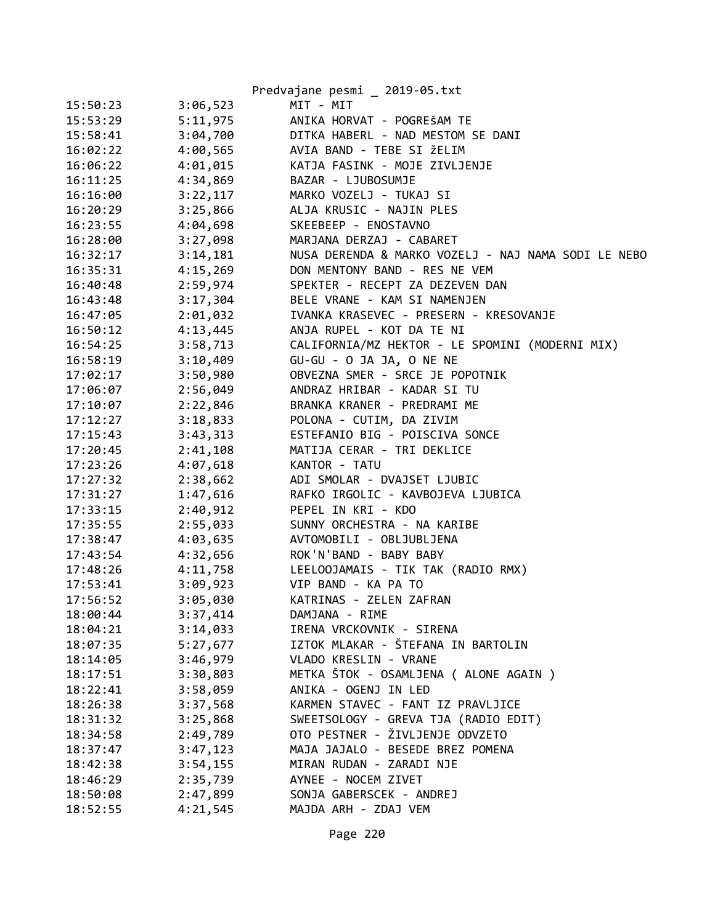|          |          | Predvajane pesmi _ 2019-05.txt                      |
|----------|----------|-----------------------------------------------------|
| 15:50:23 | 3:06,523 | MIT - MIT                                           |
| 15:53:29 | 5:11,975 | ANIKA HORVAT - POGREŠAM TE                          |
| 15:58:41 | 3:04,700 | DITKA HABERL - NAD MESTOM SE DANI                   |
| 16:02:22 | 4:00,565 | AVIA BAND - TEBE SI ŽELIM                           |
| 16:06:22 | 4:01,015 | KATJA FASINK - MOJE ZIVLJENJE                       |
| 16:11:25 | 4:34,869 | BAZAR - LJUBOSUMJE                                  |
| 16:16:00 | 3:22,117 | MARKO VOZELJ - TUKAJ SI                             |
| 16:20:29 | 3:25,866 | ALJA KRUSIC - NAJIN PLES                            |
| 16:23:55 | 4:04,698 | SKEEBEEP - ENOSTAVNO                                |
| 16:28:00 | 3:27,098 | MARJANA DERZAJ - CABARET                            |
| 16:32:17 | 3:14,181 | NUSA DERENDA & MARKO VOZELJ - NAJ NAMA SODI LE NEBO |
| 16:35:31 | 4:15,269 | DON MENTONY BAND - RES NE VEM                       |
| 16:40:48 | 2:59,974 | SPEKTER - RECEPT ZA DEZEVEN DAN                     |
| 16:43:48 | 3:17,304 | BELE VRANE - KAM SI NAMENJEN                        |
| 16:47:05 | 2:01,032 | IVANKA KRASEVEC - PRESERN - KRESOVANJE              |
| 16:50:12 | 4:13,445 | ANJA RUPEL - KOT DA TE NI                           |
| 16:54:25 | 3:58,713 | CALIFORNIA/MZ HEKTOR - LE SPOMINI (MODERNI MIX)     |
| 16:58:19 | 3:10,409 | GU-GU - O JA JA, O NE NE                            |
| 17:02:17 | 3:50,980 | OBVEZNA SMER - SRCE JE POPOTNIK                     |
| 17:06:07 | 2:56,049 | ANDRAZ HRIBAR - KADAR SI TU                         |
| 17:10:07 | 2:22,846 | BRANKA KRANER - PREDRAMI ME                         |
| 17:12:27 | 3:18,833 | POLONA - CUTIM, DA ZIVIM                            |
| 17:15:43 | 3:43,313 | ESTEFANIO BIG - POISCIVA SONCE                      |
| 17:20:45 | 2:41,108 | MATIJA CERAR - TRI DEKLICE                          |
| 17:23:26 | 4:07,618 | KANTOR - TATU                                       |
| 17:27:32 | 2:38,662 | ADI SMOLAR - DVAJSET LJUBIC                         |
| 17:31:27 | 1:47,616 | RAFKO IRGOLIC - KAVBOJEVA LJUBICA                   |
| 17:33:15 | 2:40,912 | PEPEL IN KRI - KDO                                  |
| 17:35:55 | 2:55,033 | SUNNY ORCHESTRA - NA KARIBE                         |
| 17:38:47 | 4:03,635 | AVTOMOBILI - OBLJUBLJENA                            |
| 17:43:54 | 4:32,656 | ROK'N'BAND - BABY BABY                              |
| 17:48:26 | 4:11,758 | LEELOOJAMAIS - TIK TAK (RADIO RMX)                  |
| 17:53:41 | 3:09,923 | VIP BAND - KA PA TO                                 |
| 17:56:52 | 3:05,030 | KATRINAS - ZELEN ZAFRAN                             |
| 18:00:44 | 3:37,414 | DAMJANA - RIME                                      |
| 18:04:21 | 3:14,033 | IRENA VRCKOVNIK - SIRENA                            |
| 18:07:35 | 5:27,677 | IZTOK MLAKAR - ŠTEFANA IN BARTOLIN                  |
| 18:14:05 | 3:46,979 | VLADO KRESLIN - VRANE                               |
| 18:17:51 | 3:30,803 | METKA ŠTOK - OSAMLJENA ( ALONE AGAIN )              |
| 18:22:41 | 3:58,059 | ANIKA - OGENJ IN LED                                |
| 18:26:38 | 3:37,568 | KARMEN STAVEC - FANT IZ PRAVLJICE                   |
| 18:31:32 | 3:25,868 | SWEETSOLOGY - GREVA TJA (RADIO EDIT)                |
| 18:34:58 | 2:49,789 | OTO PESTNER - ŽIVLJENJE ODVZETO                     |
| 18:37:47 | 3:47,123 | MAJA JAJALO - BESEDE BREZ POMENA                    |
| 18:42:38 | 3:54,155 | MIRAN RUDAN - ZARADI NJE                            |
| 18:46:29 | 2:35,739 | AYNEE - NOCEM ZIVET                                 |
| 18:50:08 | 2:47,899 | SONJA GABERSCEK - ANDREJ                            |
| 18:52:55 | 4:21,545 | MAJDA ARH - ZDAJ VEM                                |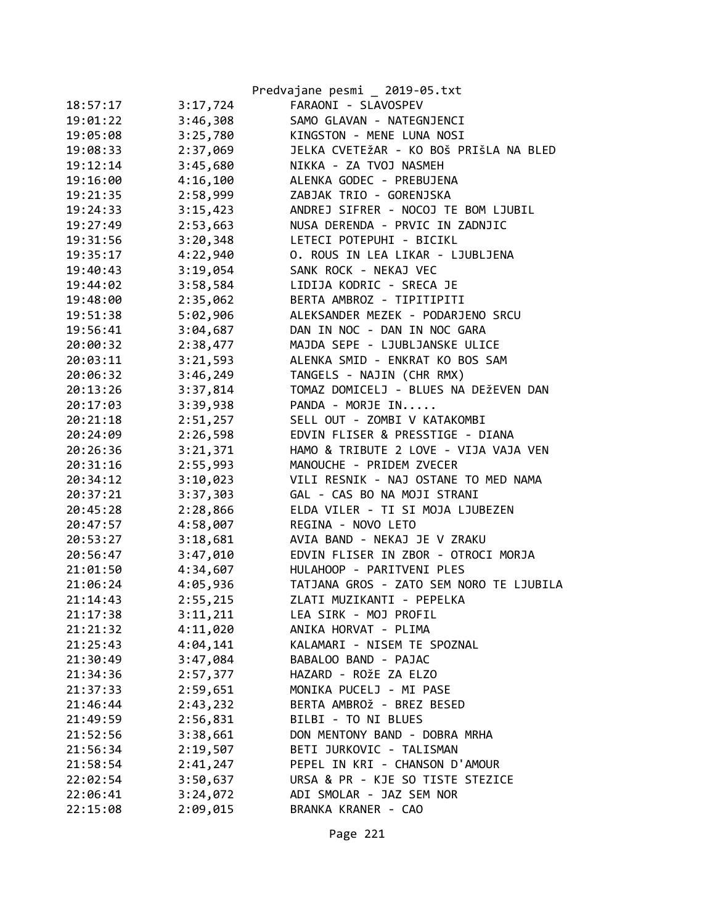|          |          | Predvajane pesmi _ 2019-05.txt          |
|----------|----------|-----------------------------------------|
| 18:57:17 | 3:17,724 | FARAONI - SLAVOSPEV                     |
| 19:01:22 | 3:46,308 | SAMO GLAVAN - NATEGNJENCI               |
| 19:05:08 | 3:25,780 | KINGSTON - MENE LUNA NOSI               |
| 19:08:33 | 2:37,069 | JELKA CVETEŽAR - KO BOŠ PRIŠLA NA BLED  |
| 19:12:14 | 3:45,680 | NIKKA - ZA TVOJ NASMEH                  |
| 19:16:00 | 4:16,100 | ALENKA GODEC - PREBUJENA                |
| 19:21:35 | 2:58,999 | ZABJAK TRIO - GORENJSKA                 |
| 19:24:33 | 3:15,423 | ANDREJ SIFRER - NOCOJ TE BOM LJUBIL     |
| 19:27:49 | 2:53,663 | NUSA DERENDA - PRVIC IN ZADNJIC         |
| 19:31:56 | 3:20,348 | LETECI POTEPUHI - BICIKL                |
| 19:35:17 | 4:22,940 | O. ROUS IN LEA LIKAR - LJUBLJENA        |
| 19:40:43 | 3:19,054 | SANK ROCK - NEKAJ VEC                   |
| 19:44:02 | 3:58,584 | LIDIJA KODRIC - SRECA JE                |
| 19:48:00 | 2:35,062 | BERTA AMBROZ - TIPITIPITI               |
| 19:51:38 | 5:02,906 | ALEKSANDER MEZEK - PODARJENO SRCU       |
| 19:56:41 | 3:04,687 | DAN IN NOC - DAN IN NOC GARA            |
| 20:00:32 | 2:38,477 | MAJDA SEPE - LJUBLJANSKE ULICE          |
| 20:03:11 | 3:21,593 | ALENKA SMID - ENKRAT KO BOS SAM         |
| 20:06:32 | 3:46,249 | TANGELS - NAJIN (CHR RMX)               |
| 20:13:26 | 3:37,814 | TOMAZ DOMICELJ - BLUES NA DEŽEVEN DAN   |
| 20:17:03 | 3:39,938 | PANDA - MORJE IN                        |
| 20:21:18 | 2:51,257 | SELL OUT - ZOMBI V KATAKOMBI            |
| 20:24:09 | 2:26,598 | EDVIN FLISER & PRESSTIGE - DIANA        |
| 20:26:36 | 3:21,371 | HAMO & TRIBUTE 2 LOVE - VIJA VAJA VEN   |
| 20:31:16 | 2:55,993 | MANOUCHE - PRIDEM ZVECER                |
| 20:34:12 | 3:10,023 | VILI RESNIK - NAJ OSTANE TO MED NAMA    |
| 20:37:21 | 3:37,303 | GAL - CAS BO NA MOJI STRANI             |
| 20:45:28 | 2:28,866 | ELDA VILER - TI SI MOJA LJUBEZEN        |
| 20:47:57 | 4:58,007 | REGINA - NOVO LETO                      |
| 20:53:27 | 3:18,681 | AVIA BAND - NEKAJ JE V ZRAKU            |
| 20:56:47 | 3:47,010 | EDVIN FLISER IN ZBOR - OTROCI MORJA     |
| 21:01:50 | 4:34,607 | HULAHOOP - PARITVENI PLES               |
| 21:06:24 | 4:05,936 | TATJANA GROS - ZATO SEM NORO TE LJUBILA |
| 21:14:43 | 2:55,215 | ZLATI MUZIKANTI - PEPELKA               |
| 21:17:38 | 3:11,211 | LEA SIRK - MOJ PROFIL                   |
| 21:21:32 | 4:11,020 | ANIKA HORVAT - PLIMA                    |
| 21:25:43 | 4:04,141 | KALAMARI - NISEM TE SPOZNAL             |
| 21:30:49 | 3:47,084 | BABALOO BAND - PAJAC                    |
| 21:34:36 | 2:57,377 | HAZARD - ROŽE ZA ELZO                   |
| 21:37:33 | 2:59,651 | MONIKA PUCELJ - MI PASE                 |
| 21:46:44 | 2:43,232 | BERTA AMBROŽ - BREZ BESED               |
| 21:49:59 | 2:56,831 | BILBI - TO NI BLUES                     |
| 21:52:56 | 3:38,661 | DON MENTONY BAND - DOBRA MRHA           |
| 21:56:34 | 2:19,507 | BETI JURKOVIC - TALISMAN                |
| 21:58:54 | 2:41,247 | PEPEL IN KRI - CHANSON D'AMOUR          |
| 22:02:54 | 3:50,637 | URSA & PR - KJE SO TISTE STEZICE        |
| 22:06:41 | 3:24,072 | ADI SMOLAR - JAZ SEM NOR                |
| 22:15:08 | 2:09,015 | BRANKA KRANER - CAO                     |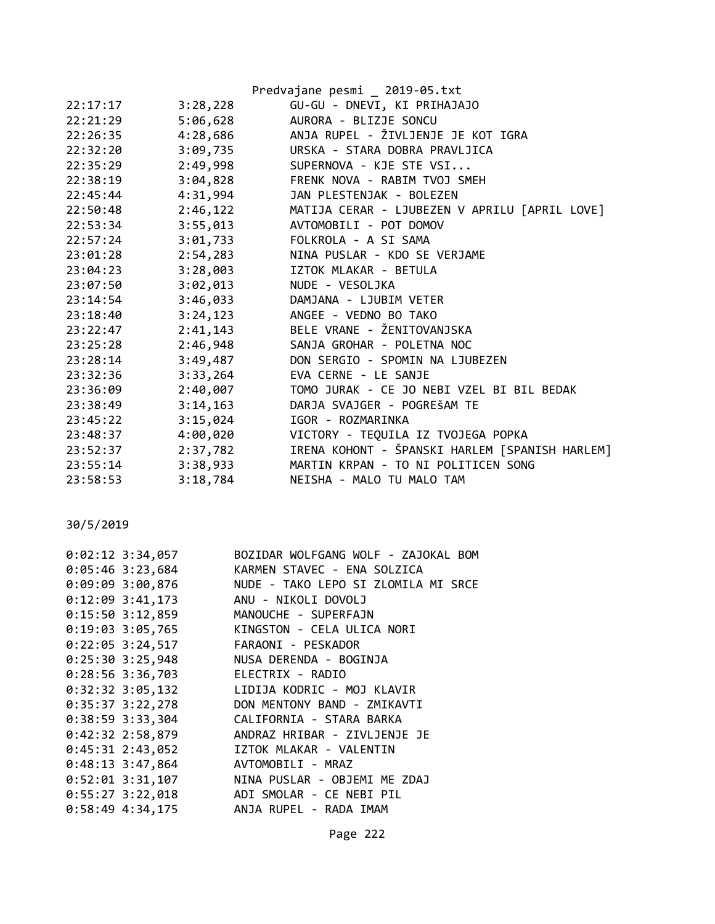|          |          | Predvajane pesmi _ 2019-05.txt                 |
|----------|----------|------------------------------------------------|
| 22:17:17 | 3:28,228 | GU-GU - DNEVI, KI PRIHAJAJO                    |
| 22:21:29 | 5:06,628 | AURORA - BLIZJE SONCU                          |
| 22:26:35 | 4:28,686 | ANJA RUPEL - ŽIVLJENJE JE KOT IGRA             |
| 22:32:20 |          | 3:09,735 URSKA - STARA DOBRA PRAVLJICA         |
| 22:35:29 | 2:49,998 | SUPERNOVA - KJE STE VSI                        |
| 22:38:19 | 3:04,828 | FRENK NOVA - RABIM TVOJ SMEH                   |
| 22:45:44 | 4:31,994 | JAN PLESTENJAK - BOLEZEN                       |
| 22:50:48 | 2:46,122 | MATIJA CERAR - LJUBEZEN V APRILU [APRIL LOVE]  |
| 22:53:34 | 3:55,013 | AVTOMOBILI - POT DOMOV                         |
| 22:57:24 | 3:01,733 | FOLKROLA - A SI SAMA                           |
| 23:01:28 | 2:54,283 | NINA PUSLAR - KDO SE VERJAME                   |
| 23:04:23 | 3:28,003 | IZTOK MLAKAR - BETULA                          |
| 23:07:50 | 3:02,013 | NUDE - VESOLJKA                                |
| 23:14:54 | 3:46,033 | DAMJANA - LJUBIM VETER                         |
| 23:18:40 |          | 3:24,123 ANGEE - VEDNO BO TAKO                 |
| 23:22:47 | 2:41,143 | BELE VRANE - ŽENITOVANJSKA                     |
| 23:25:28 | 2:46,948 | SANJA GROHAR - POLETNA NOC                     |
| 23:28:14 |          | 3:49,487 DON SERGIO - SPOMIN NA LJUBEZEN       |
| 23:32:36 | 3:33,264 | EVA CERNE - LE SANJE                           |
| 23:36:09 | 2:40,007 | TOMO JURAK - CE JO NEBI VZEL BI BIL BEDAK      |
| 23:38:49 | 3:14,163 | DARJA SVAJGER - POGREŠAM TE                    |
| 23:45:22 | 3:15,024 | IGOR - ROZMARINKA                              |
| 23:48:37 | 4:00,020 | VICTORY - TEQUILA IZ TVOJEGA POPKA             |
| 23:52:37 | 2:37,782 | IRENA KOHONT - ŠPANSKI HARLEM [SPANISH HARLEM] |
| 23:55:14 | 3:38,933 | MARTIN KRPAN - TO NI POLITICEN SONG            |
| 23:58:53 | 3:18,784 | NEISHA - MALO TU MALO TAM                      |
|          |          |                                                |

30/5/2019

|                    | 0:02:12 3:34,057 BOZIDAR WOLFGANG WOLF - ZAJOKAL BOM |
|--------------------|------------------------------------------------------|
|                    | 0:05:46 3:23,684 KARMEN STAVEC - ENA SOLZICA         |
|                    | 0:09:09 3:00,876 NUDE - TAKO LEPO SI ZLOMILA MI SRCE |
|                    | 0:12:09 3:41,173 ANU - NIKOLI DOVOLJ                 |
|                    | 0:15:50 3:12,859 MANOUCHE - SUPERFAJN                |
|                    | 0:19:03 3:05,765 KINGSTON - CELA ULICA NORI          |
|                    | 0:22:05 3:24,517 FARAONI - PESKADOR                  |
|                    | 0:25:30 3:25,948 NUSA DERENDA - BOGINJA              |
|                    | 0:28:56 3:36,703 ELECTRIX - RADIO                    |
|                    | 0:32:32 3:05,132 LIDIJA KODRIC - MOJ KLAVIR          |
|                    | 0:35:37 3:22,278 DON MENTONY BAND - ZMIKAVTI         |
|                    | 0:38:59 3:33,304 CALIFORNIA - STARA BARKA            |
| 0:42:32 2:58,879   | ANDRAZ HRIBAR - ZIVLJENJE JE                         |
|                    | 0:45:31 2:43,052 IZTOK MLAKAR - VALENTIN             |
| $0:48:13$ 3:47,864 | AVTOMOBILI - MRAZ                                    |
| $0:52:01$ 3:31,107 | NINA PUSLAR - OBJEMI ME ZDAJ                         |
| $0:55:27$ 3:22,018 | ADI SMOLAR - CE NEBI PIL                             |
|                    | 0:58:49 4:34,175 ANJA RUPEL - RADA IMAM              |
|                    |                                                      |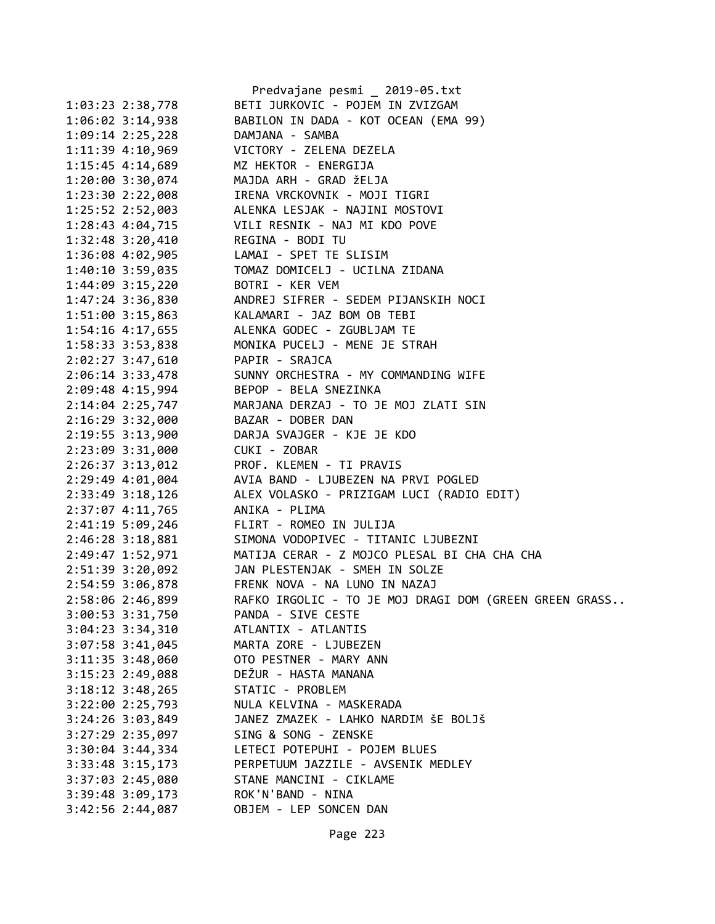|                                         | Predvajane pesmi _ 2019-05.txt                                |
|-----------------------------------------|---------------------------------------------------------------|
| $1:03:23$ $2:38,778$                    | BETI JURKOVIC - POJEM IN ZVIZGAM                              |
| 1:06:02 3:14,938                        | BABILON IN DADA - KOT OCEAN (EMA 99)                          |
| 1:09:14 2:25,228                        | DAMJANA - SAMBA                                               |
| 1:11:39 4:10,969                        | VICTORY - ZELENA DEZELA                                       |
| $1:15:45$ 4:14,689                      | MZ HEKTOR - ENERGIJA                                          |
| 1:20:00 3:30,074                        | MAJDA ARH - GRAD ŽELJA                                        |
| 1:23:30 2:22,008                        | IRENA VRCKOVNIK - MOJI TIGRI                                  |
| 1:25:52 2:52,003                        | ALENKA LESJAK - NAJINI MOSTOVI                                |
|                                         | 1:28:43 4:04,715 VILI RESNIK - NAJ MI KDO POVE                |
| 1:32:48 3:20,410 REGINA - BODI TU       |                                                               |
| 1:36:08 4:02,905 LAMAI - SPET TE SLISIM |                                                               |
| 1:40:10 3:59,035                        | TOMAZ DOMICELJ - UCILNA ZIDANA                                |
| 1:44:09 3:15,220                        | BOTRI - KER VEM                                               |
| 1:47:24 3:36,830                        | ANDREJ SIFRER - SEDEM PIJANSKIH NOCI                          |
|                                         | 1:51:00 3:15,863 KALAMARI - JAZ BOM OB TEBI                   |
| 1:54:16 4:17,655                        | ALENKA GODEC - ZGUBLJAM TE                                    |
| 1:58:33 3:53,838                        | MONIKA PUCELJ - MENE JE STRAH                                 |
| 2:02:27 3:47,610 PAPIR - SRAJCA         |                                                               |
|                                         | 2:06:14 3:33,478 SUNNY ORCHESTRA - MY COMMANDING WIFE         |
| 2:09:48 4:15,994 BEPOP - BELA SNEZINKA  |                                                               |
|                                         | 2:14:04 2:25,747 MARJANA DERZAJ - TO JE MOJ ZLATI SIN         |
| 2:16:29 3:32,000                        | BAZAR - DOBER DAN                                             |
|                                         |                                                               |
|                                         | 2:19:55 3:13,900 DARJA SVAJGER - KJE JE KDO                   |
| 2:23:09 3:31,000 CUKI - ZOBAR           |                                                               |
|                                         | 2:26:37 3:13,012 PROF. KLEMEN - TI PRAVIS                     |
| 2:29:49 4:01,004                        | AVIA BAND - LJUBEZEN NA PRVI POGLED                           |
| 2:33:49 3:18,126                        | ALEX VOLASKO - PRIZIGAM LUCI (RADIO EDIT)<br>ANIKA - PLIMA    |
| 2:37:07 4:11,765                        |                                                               |
| 2:41:19 5:09,246                        | FLIRT - ROMEO IN JULIJA                                       |
| 2:46:28 3:18,881                        | SIMONA VODOPIVEC - TITANIC LJUBEZNI                           |
|                                         | 2:49:47 1:52,971 MATIJA CERAR - Z MOJCO PLESAL BI CHA CHA CHA |
|                                         | 2:51:39 3:20,092 JAN PLESTENJAK - SMEH IN SOLZE               |
|                                         | 2:54:59 3:06,878 FRENK NOVA - NA LUNO IN NAZAJ                |
| 2:58:06 2:46,899                        | RAFKO IRGOLIC - TO JE MOJ DRAGI DOM (GREEN GREEN GRASS        |
| 3:00:53 3:31,750                        | PANDA - SIVE CESTE                                            |
| 3:04:23 3:34,310                        | ATLANTIX - ATLANTIS                                           |
| 3:07:58 3:41,045                        | MARTA ZORE - LJUBEZEN                                         |
| 3:11:35 3:48,060                        | OTO PESTNER - MARY ANN                                        |
| 3:15:23 2:49,088                        | DEŽUR - HASTA MANANA                                          |
| $3:18:12$ $3:48,265$                    | STATIC - PROBLEM                                              |
| 3:22:00 2:25,793                        | NULA KELVINA - MASKERADA                                      |
| 3:24:26 3:03,849                        | JANEZ ZMAZEK - LAHKO NARDIM ŠE BOLJŠ                          |
| 3:27:29 2:35,097                        | SING & SONG - ZENSKE                                          |
| $3:30:04$ 3:44,334                      | LETECI POTEPUHI - POJEM BLUES                                 |
| $3:33:48$ $3:15,173$                    | PERPETUUM JAZZILE - AVSENIK MEDLEY                            |
| 3:37:03 2:45,080                        | STANE MANCINI - CIKLAME                                       |
| 3:39:48 3:09,173                        | ROK'N'BAND - NINA                                             |
| 3:42:56 2:44,087                        | OBJEM - LEP SONCEN DAN                                        |
|                                         |                                                               |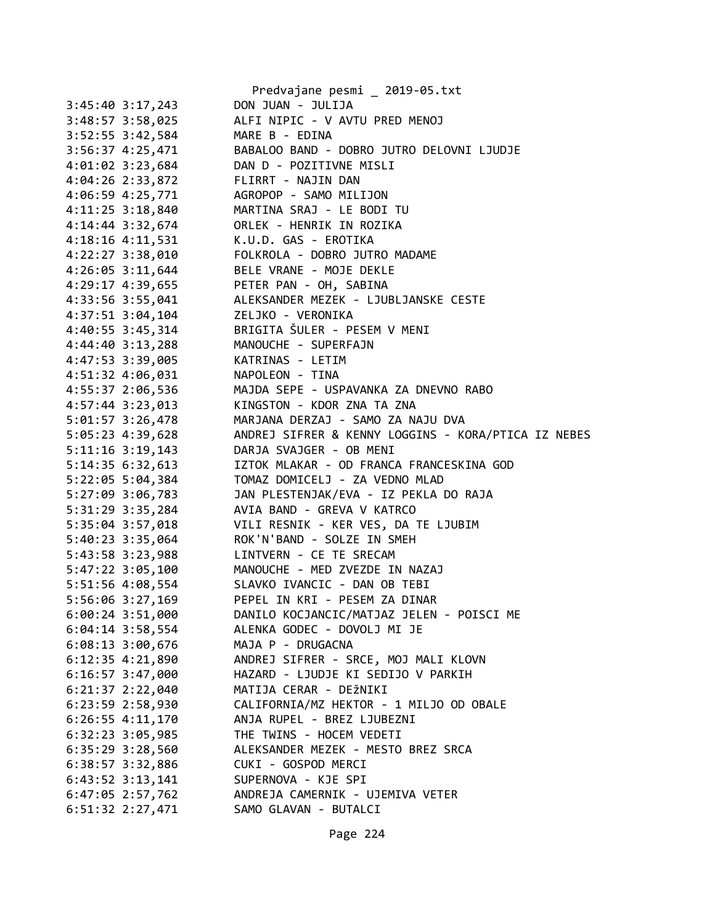|                      | Predvajane pesmi _ 2019-05.txt                      |
|----------------------|-----------------------------------------------------|
| $3:45:40$ $3:17,243$ | DON JUAN - JULIJA                                   |
| $3:48:57$ $3:58,025$ | ALFI NIPIC - V AVTU PRED MENOJ                      |
| $3:52:55$ $3:42,584$ | MARE B - EDINA                                      |
| $3:56:37$ 4:25,471   | BABALOO BAND - DOBRO JUTRO DELOVNI LJUDJE           |
| 4:01:02 3:23,684     | DAN D - POZITIVNE MISLI                             |
| 4:04:26 2:33,872     | FLIRRT - NAJIN DAN                                  |
| 4:06:59 4:25,771     | AGROPOP - SAMO MILIJON                              |
| 4:11:25 3:18,840     | MARTINA SRAJ - LE BODI TU                           |
| 4:14:44 3:32,674     | ORLEK - HENRIK IN ROZIKA                            |
| $4:18:16$ $4:11,531$ | K.U.D. GAS - EROTIKA                                |
| 4:22:27 3:38,010     | FOLKROLA - DOBRO JUTRO MADAME                       |
| 4:26:05 3:11,644     | BELE VRANE - MOJE DEKLE                             |
| 4:29:17 4:39,655     | PETER PAN - OH, SABINA                              |
| 4:33:56 3:55,041     | ALEKSANDER MEZEK - LJUBLJANSKE CESTE                |
| 4:37:51 3:04,104     |                                                     |
| 4:40:55 3:45,314     | ZELJKO - VERONIKA<br>BRIGITA ŠULER - PESEM V MENI   |
| 4:44:40 3:13,288     | MANOUCHE - SUPERFAJN                                |
| 4:47:53 3:39,005     |                                                     |
|                      | KATRINAS - LETIM                                    |
| 4:51:32 4:06,031     | NAPOLEON - TINA                                     |
| 4:55:37 2:06,536     | MAJDA SEPE - USPAVANKA ZA DNEVNO RABO               |
| 4:57:44 3:23,013     | KINGSTON - KDOR ZNA TA ZNA                          |
| $5:01:57$ 3:26,478   | MARJANA DERZAJ - SAMO ZA NAJU DVA                   |
| 5:05:23 4:39,628     | ANDREJ SIFRER & KENNY LOGGINS - KORA/PTICA IZ NEBES |
| $5:11:16$ 3:19,143   | DARJA SVAJGER - OB MENI                             |
| 5:14:35 6:32,613     | IZTOK MLAKAR - OD FRANCA FRANCESKINA GOD            |
| 5:22:05 5:04,384     | TOMAZ DOMICELJ - ZA VEDNO MLAD                      |
| 5:27:09 3:06,783     | JAN PLESTENJAK/EVA - IZ PEKLA DO RAJA               |
| 5:31:29 3:35,284     | AVIA BAND - GREVA V KATRCO                          |
| 5:35:04 3:57,018     | VILI RESNIK - KER VES, DA TE LJUBIM                 |
| 5:40:23 3:35,064     | ROK'N'BAND - SOLZE IN SMEH                          |
| 5:43:58 3:23,988     | LINTVERN - CE TE SRECAM                             |
| 5:47:22 3:05,100     | MANOUCHE - MED ZVEZDE IN NAZAJ                      |
| 5:51:56 4:08,554     | SLAVKO IVANCIC - DAN OB TEBI                        |
| 5:56:06 3:27,169     | PEPEL IN KRI - PESEM ZA DINAR                       |
| 6:00:24 3:51,000     | DANILO KOCJANCIC/MATJAZ JELEN - POISCI ME           |
| $6:04:14$ 3:58,554   | ALENKA GODEC - DOVOLJ MI JE                         |
| $6:08:13$ 3:00,676   | MAJA P - DRUGACNA                                   |
| $6:12:35$ $4:21,890$ | ANDREJ SIFRER - SRCE, MOJ MALI KLOVN                |
| $6:16:57$ 3:47,000   | HAZARD - LJUDJE KI SEDIJO V PARKIH                  |
| $6:21:37$ $2:22,040$ | MATIJA CERAR - DEŽNIKI                              |
| 6:23:59 2:58,930     | CALIFORNIA/MZ HEKTOR - 1 MILJO OD OBALE             |
| $6:26:55$ 4:11,170   | ANJA RUPEL - BREZ LJUBEZNI                          |
| $6:32:23$ $3:05,985$ | THE TWINS - HOCEM VEDETI                            |
| $6:35:29$ 3:28,560   | ALEKSANDER MEZEK - MESTO BREZ SRCA                  |
| 6:38:57 3:32,886     | CUKI - GOSPOD MERCI                                 |
| $6:43:52$ $3:13,141$ | SUPERNOVA - KJE SPI                                 |
| 6:47:05 2:57,762     | ANDREJA CAMERNIK - UJEMIVA VETER                    |
| 6:51:32 2:27,471     | SAMO GLAVAN - BUTALCI                               |
|                      |                                                     |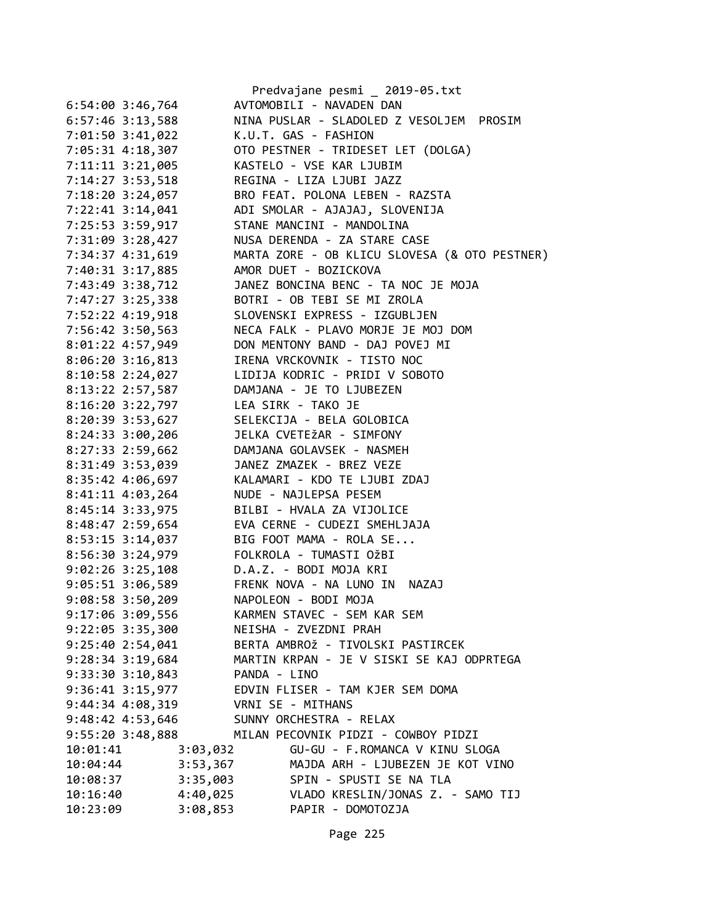|                      |              | Predvajane pesmi _ 2019-05.txt                |
|----------------------|--------------|-----------------------------------------------|
| $6:54:00$ 3:46,764   |              | AVTOMOBILI - NAVADEN DAN                      |
| $6:57:46$ 3:13,588   |              | NINA PUSLAR - SLADOLED Z VESOLJEM PROSIM      |
| 7:01:50 3:41,022     |              | K.U.T. GAS - FASHION                          |
| 7:05:31 4:18,307     |              | OTO PESTNER - TRIDESET LET (DOLGA)            |
| 7:11:11 3:21,005     |              | KASTELO - VSE KAR LJUBIM                      |
| 7:14:27 3:53,518     |              | REGINA - LIZA LJUBI JAZZ                      |
| 7:18:20 3:24,057     |              | BRO FEAT. POLONA LEBEN - RAZSTA               |
| 7:22:41 3:14,041     |              | ADI SMOLAR - AJAJAJ, SLOVENIJA                |
| 7:25:53 3:59,917     |              | STANE MANCINI - MANDOLINA                     |
| 7:31:09 3:28,427     |              | NUSA DERENDA - ZA STARE CASE                  |
| 7:34:37 4:31,619     |              | MARTA ZORE - OB KLICU SLOVESA (& OTO PESTNER) |
| 7:40:31 3:17,885     |              | AMOR DUET - BOZICKOVA                         |
| 7:43:49 3:38,712     |              | JANEZ BONCINA BENC - TA NOC JE MOJA           |
| 7:47:27 3:25,338     |              | BOTRI - OB TEBI SE MI ZROLA                   |
| 7:52:22 4:19,918     |              | SLOVENSKI EXPRESS - IZGUBLJEN                 |
| 7:56:42 3:50,563     |              | NECA FALK - PLAVO MORJE JE MOJ DOM            |
| 8:01:22 4:57,949     |              | DON MENTONY BAND - DAJ POVEJ MI               |
| $8:06:20$ 3:16,813   |              | IRENA VRCKOVNIK - TISTO NOC                   |
| 8:10:58 2:24,027     |              | LIDIJA KODRIC - PRIDI V SOBOTO                |
| 8:13:22 2:57,587     |              | DAMJANA - JE TO LJUBEZEN                      |
| 8:16:20 3:22,797     |              | LEA SIRK - TAKO JE                            |
| 8:20:39 3:53,627     |              | SELEKCIJA - BELA GOLOBICA                     |
| 8:24:33 3:00,206     |              | JELKA CVETEŽAR - SIMFONY                      |
| 8:27:33 2:59,662     |              | DAMJANA GOLAVSEK - NASMEH                     |
| 8:31:49 3:53,039     |              | JANEZ ZMAZEK - BREZ VEZE                      |
| 8:35:42 4:06,697     |              | KALAMARI - KDO TE LJUBI ZDAJ                  |
| 8:41:11 4:03,264     |              | NUDE - NAJLEPSA PESEM                         |
|                      |              | BILBI - HVALA ZA VIJOLICE                     |
| 8:45:14 3:33,975     |              | EVA CERNE - CUDEZI SMEHLJAJA                  |
| 8:48:47 2:59,654     |              | BIG FOOT MAMA - ROLA SE                       |
| 8:53:15 3:14,037     |              | FOLKROLA - TUMASTI OŽBI                       |
| 8:56:30 3:24,979     |              |                                               |
| $9:02:26$ 3:25,108   |              | D.A.Z. - BODI MOJA KRI                        |
| 9:05:51 3:06,589     |              | FRENK NOVA - NA LUNO IN<br><b>NAZAJ</b>       |
| 9:08:58 3:50,209     |              | NAPOLEON - BODI MOJA                          |
| 9:17:06 3:09,556     |              | KARMEN STAVEC - SEM KAR SEM                   |
| 9:22:05 3:35,300     |              | NEISHA - ZVEZDNI PRAH                         |
| 9:25:402:54,041      |              | BERTA AMBROŽ - TIVOLSKI PASTIRCEK             |
| 9:28:34 3:19,684     |              | MARTIN KRPAN - JE V SISKI SE KAJ ODPRTEGA     |
| $9:33:30$ $3:10,843$ | PANDA - LINO |                                               |
| 9:36:41 3:15,977     |              | EDVIN FLISER - TAM KJER SEM DOMA              |
| 9:44:34 4:08,319     |              | VRNI SE - MITHANS                             |
| 9:48:42 4:53,646     |              | SUNNY ORCHESTRA - RELAX                       |
| 9:55:20 3:48,888     |              | MILAN PECOVNIK PIDZI - COWBOY PIDZI           |
| 10:01:41             | 3:03,032     | GU-GU - F.ROMANCA V KINU SLOGA                |
| 10:04:44             | 3:53,367     | MAJDA ARH - LJUBEZEN JE KOT VINO              |
| 10:08:37             | 3:35,003     | SPIN - SPUSTI SE NA TLA                       |
| 10:16:40             | 4:40,025     | VLADO KRESLIN/JONAS Z. - SAMO TIJ             |
| 10:23:09             | 3:08,853     | PAPIR - DOMOTOZJA                             |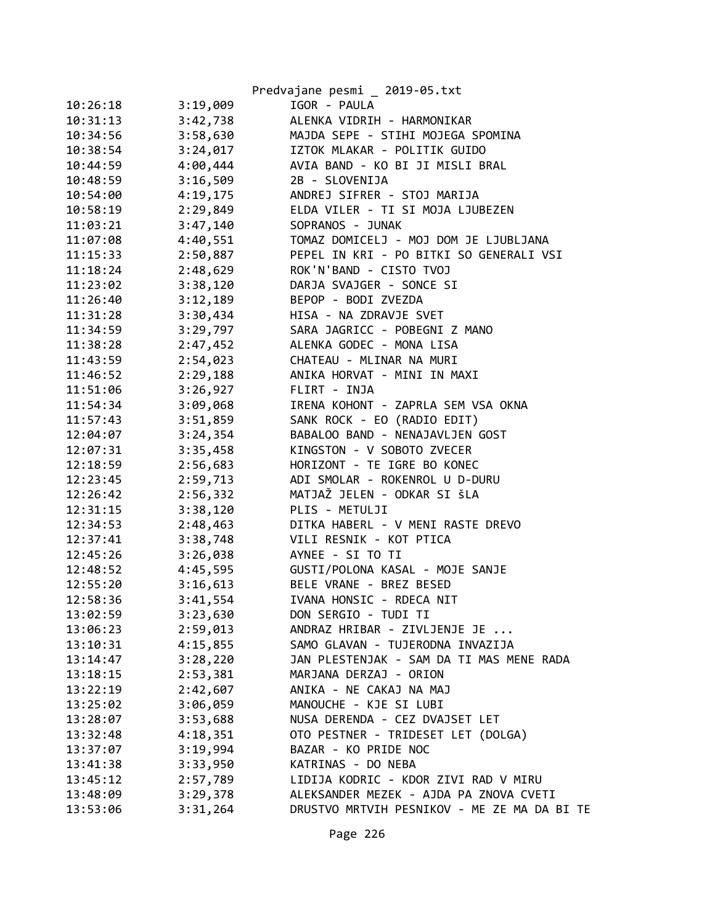|          |          | Predvajane pesmi _ 2019-05.txt              |
|----------|----------|---------------------------------------------|
| 10:26:18 | 3:19,009 | IGOR - PAULA                                |
| 10:31:13 | 3:42,738 | ALENKA VIDRIH - HARMONIKAR                  |
| 10:34:56 | 3:58,630 | MAJDA SEPE - STIHI MOJEGA SPOMINA           |
| 10:38:54 | 3:24,017 | IZTOK MLAKAR - POLITIK GUIDO                |
| 10:44:59 | 4:00,444 | AVIA BAND - KO BI JI MISLI BRAL             |
| 10:48:59 | 3:16,509 | 2B - SLOVENIJA                              |
| 10:54:00 | 4:19,175 | ANDREJ SIFRER - STOJ MARIJA                 |
| 10:58:19 | 2:29,849 | ELDA VILER - TI SI MOJA LJUBEZEN            |
| 11:03:21 | 3:47,140 | SOPRANOS - JUNAK                            |
| 11:07:08 | 4:40,551 | TOMAZ DOMICELJ - MOJ DOM JE LJUBLJANA       |
| 11:15:33 | 2:50,887 | PEPEL IN KRI - PO BITKI SO GENERALI VSI     |
| 11:18:24 | 2:48,629 | ROK'N'BAND - CISTO TVOJ                     |
| 11:23:02 | 3:38,120 | DARJA SVAJGER - SONCE SI                    |
| 11:26:40 | 3:12,189 | BEPOP - BODI ZVEZDA                         |
| 11:31:28 | 3:30,434 | HISA - NA ZDRAVJE SVET                      |
| 11:34:59 | 3:29,797 | SARA JAGRICC - POBEGNI Z MANO               |
| 11:38:28 | 2:47,452 | ALENKA GODEC - MONA LISA                    |
| 11:43:59 | 2:54,023 | CHATEAU - MLINAR NA MURI                    |
| 11:46:52 | 2:29,188 | ANIKA HORVAT - MINI IN MAXI                 |
| 11:51:06 | 3:26,927 | FLIRT - INJA                                |
| 11:54:34 | 3:09,068 | IRENA KOHONT - ZAPRLA SEM VSA OKNA          |
| 11:57:43 | 3:51,859 | SANK ROCK - EO (RADIO EDIT)                 |
| 12:04:07 | 3:24,354 | BABALOO BAND - NENAJAVLJEN GOST             |
| 12:07:31 | 3:35,458 | KINGSTON - V SOBOTO ZVECER                  |
| 12:18:59 | 2:56,683 | HORIZONT - TE IGRE BO KONEC                 |
| 12:23:45 | 2:59,713 | ADI SMOLAR - ROKENROL U D-DURU              |
| 12:26:42 | 2:56,332 | MATJAŽ JELEN - ODKAR SI ŠLA                 |
| 12:31:15 | 3:38,120 | PLIS - METULJI                              |
| 12:34:53 | 2:48,463 | DITKA HABERL - V MENI RASTE DREVO           |
| 12:37:41 | 3:38,748 | VILI RESNIK - KOT PTICA                     |
| 12:45:26 | 3:26,038 | AYNEE - SI TO TI                            |
| 12:48:52 | 4:45,595 | GUSTI/POLONA KASAL - MOJE SANJE             |
| 12:55:20 | 3:16,613 | BELE VRANE - BREZ BESED                     |
| 12:58:36 | 3:41,554 | IVANA HONSIC - RDECA NIT                    |
| 13:02:59 |          | DON SERGIO - TUDI TI                        |
| 13:06:23 | 3:23,630 | ANDRAZ HRIBAR - ZIVLJENJE JE                |
|          | 2:59,013 | SAMO GLAVAN - TUJERODNA INVAZIJA            |
| 13:10:31 | 4:15,855 |                                             |
| 13:14:47 | 3:28,220 | JAN PLESTENJAK - SAM DA TI MAS MENE RADA    |
| 13:18:15 | 2:53,381 | MARJANA DERZAJ - ORION                      |
| 13:22:19 | 2:42,607 | ANIKA - NE CAKAJ NA MAJ                     |
| 13:25:02 | 3:06,059 | MANOUCHE - KJE SI LUBI                      |
| 13:28:07 | 3:53,688 | NUSA DERENDA - CEZ DVAJSET LET              |
| 13:32:48 | 4:18,351 | OTO PESTNER - TRIDESET LET (DOLGA)          |
| 13:37:07 | 3:19,994 | BAZAR - KO PRIDE NOC                        |
| 13:41:38 | 3:33,950 | KATRINAS - DO NEBA                          |
| 13:45:12 | 2:57,789 | LIDIJA KODRIC - KDOR ZIVI RAD V MIRU        |
| 13:48:09 | 3:29,378 | ALEKSANDER MEZEK - AJDA PA ZNOVA CVETI      |
| 13:53:06 | 3:31,264 | DRUSTVO MRTVIH PESNIKOV - ME ZE MA DA BI TE |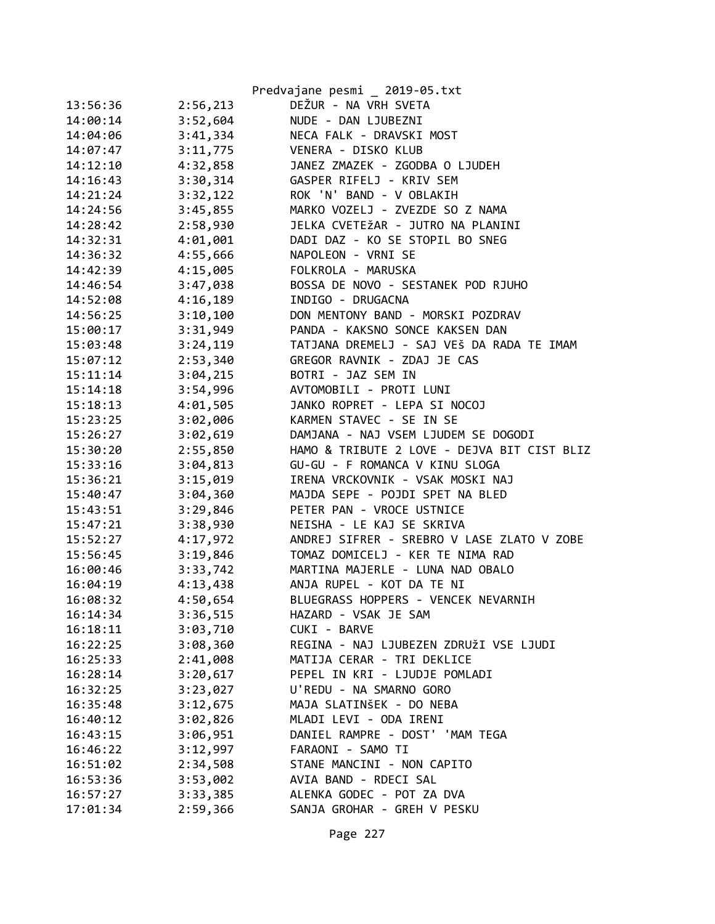|          |          | Predvajane pesmi _ 2019-05.txt              |
|----------|----------|---------------------------------------------|
| 13:56:36 | 2:56,213 | DEŽUR - NA VRH SVETA                        |
| 14:00:14 | 3:52,604 | NUDE - DAN LJUBEZNI                         |
| 14:04:06 | 3:41,334 | NECA FALK - DRAVSKI MOST                    |
| 14:07:47 | 3:11,775 | VENERA - DISKO KLUB                         |
| 14:12:10 | 4:32,858 | JANEZ ZMAZEK - ZGODBA O LJUDEH              |
| 14:16:43 | 3:30,314 | GASPER RIFELJ - KRIV SEM                    |
| 14:21:24 | 3:32,122 | ROK 'N' BAND - V OBLAKIH                    |
| 14:24:56 | 3:45,855 | MARKO VOZELJ - ZVEZDE SO Z NAMA             |
| 14:28:42 | 2:58,930 | JELKA CVETEŽAR - JUTRO NA PLANINI           |
| 14:32:31 | 4:01,001 | DADI DAZ - KO SE STOPIL BO SNEG             |
| 14:36:32 | 4:55,666 | NAPOLEON - VRNI SE                          |
| 14:42:39 | 4:15,005 | FOLKROLA - MARUSKA                          |
| 14:46:54 | 3:47,038 | BOSSA DE NOVO - SESTANEK POD RJUHO          |
| 14:52:08 | 4:16,189 | INDIGO - DRUGACNA                           |
| 14:56:25 | 3:10,100 | DON MENTONY BAND - MORSKI POZDRAV           |
| 15:00:17 | 3:31,949 | PANDA - KAKSNO SONCE KAKSEN DAN             |
| 15:03:48 | 3:24,119 | TATJANA DREMELJ - SAJ VEŠ DA RADA TE IMAM   |
| 15:07:12 | 2:53,340 | GREGOR RAVNIK - ZDAJ JE CAS                 |
| 15:11:14 | 3:04,215 | BOTRI - JAZ SEM IN                          |
| 15:14:18 | 3:54,996 | AVTOMOBILI - PROTI LUNI                     |
| 15:18:13 | 4:01,505 | JANKO ROPRET - LEPA SI NOCOJ                |
| 15:23:25 | 3:02,006 | KARMEN STAVEC - SE IN SE                    |
| 15:26:27 | 3:02,619 | DAMJANA - NAJ VSEM LJUDEM SE DOGODI         |
| 15:30:20 | 2:55,850 | HAMO & TRIBUTE 2 LOVE - DEJVA BIT CIST BLIZ |
| 15:33:16 | 3:04,813 | GU-GU - F ROMANCA V KINU SLOGA              |
| 15:36:21 | 3:15,019 | IRENA VRCKOVNIK - VSAK MOSKI NAJ            |
| 15:40:47 | 3:04,360 | MAJDA SEPE - POJDI SPET NA BLED             |
| 15:43:51 | 3:29,846 | PETER PAN - VROCE USTNICE                   |
| 15:47:21 | 3:38,930 | NEISHA - LE KAJ SE SKRIVA                   |
| 15:52:27 | 4:17,972 | ANDREJ SIFRER - SREBRO V LASE ZLATO V ZOBE  |
| 15:56:45 | 3:19,846 | TOMAZ DOMICELJ - KER TE NIMA RAD            |
| 16:00:46 | 3:33,742 | MARTINA MAJERLE - LUNA NAD OBALO            |
| 16:04:19 | 4:13,438 | ANJA RUPEL - KOT DA TE NI                   |
| 16:08:32 | 4:50,654 | BLUEGRASS HOPPERS - VENCEK NEVARNIH         |
| 16:14:34 | 3:36,515 | HAZARD - VSAK JE SAM                        |
| 16:18:11 | 3:03,710 | CUKI - BARVE                                |
| 16:22:25 | 3:08,360 | REGINA - NAJ LJUBEZEN ZDRUŽI VSE LJUDI      |
| 16:25:33 | 2:41,008 | MATIJA CERAR - TRI DEKLICE                  |
| 16:28:14 | 3:20,617 | PEPEL IN KRI - LJUDJE POMLADI               |
| 16:32:25 | 3:23,027 | U'REDU - NA SMARNO GORO                     |
| 16:35:48 | 3:12,675 | MAJA SLATINŠEK - DO NEBA                    |
| 16:40:12 | 3:02,826 | MLADI LEVI - ODA IRENI                      |
| 16:43:15 | 3:06,951 | DANIEL RAMPRE - DOST' 'MAM TEGA             |
| 16:46:22 | 3:12,997 | FARAONI - SAMO TI                           |
| 16:51:02 | 2:34,508 | STANE MANCINI - NON CAPITO                  |
| 16:53:36 | 3:53,002 | AVIA BAND - RDECI SAL                       |
| 16:57:27 | 3:33,385 | ALENKA GODEC - POT ZA DVA                   |
| 17:01:34 | 2:59,366 | SANJA GROHAR - GREH V PESKU                 |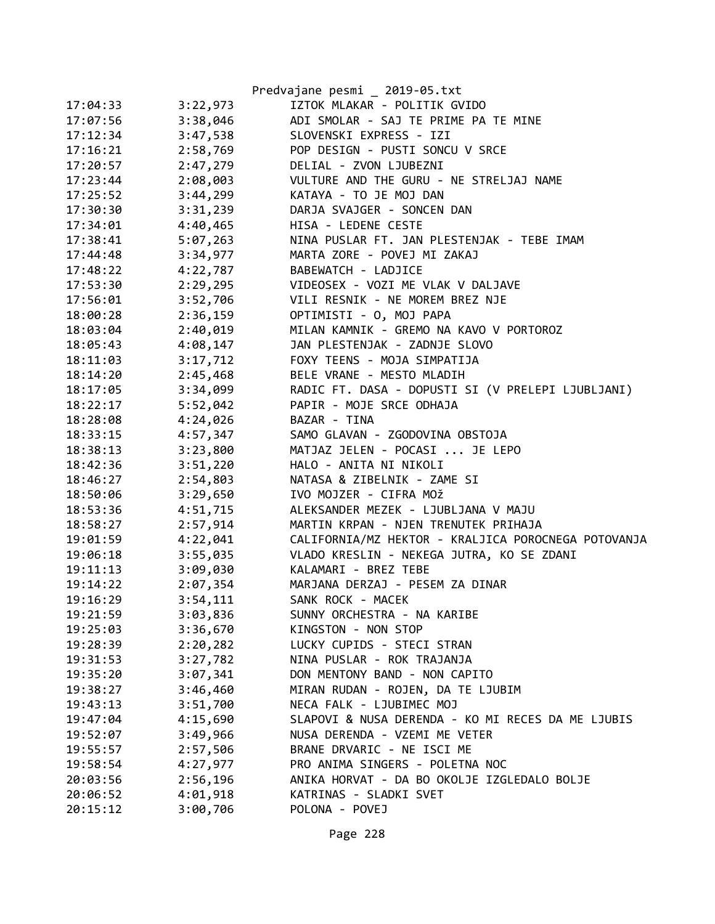|          |          | Predvajane pesmi _ 2019-05.txt                      |
|----------|----------|-----------------------------------------------------|
| 17:04:33 | 3:22,973 | IZTOK MLAKAR - POLITIK GVIDO                        |
| 17:07:56 | 3:38,046 | ADI SMOLAR - SAJ TE PRIME PA TE MINE                |
| 17:12:34 | 3:47,538 | SLOVENSKI EXPRESS - IZI                             |
| 17:16:21 | 2:58,769 | POP DESIGN - PUSTI SONCU V SRCE                     |
| 17:20:57 | 2:47,279 | DELIAL - ZVON LJUBEZNI                              |
| 17:23:44 | 2:08,003 | VULTURE AND THE GURU - NE STRELJAJ NAME             |
| 17:25:52 | 3:44,299 | KATAYA - TO JE MOJ DAN                              |
| 17:30:30 | 3:31,239 | DARJA SVAJGER - SONCEN DAN                          |
| 17:34:01 | 4:40,465 | HISA - LEDENE CESTE                                 |
| 17:38:41 | 5:07,263 | NINA PUSLAR FT. JAN PLESTENJAK - TEBE IMAM          |
| 17:44:48 | 3:34,977 | MARTA ZORE - POVEJ MI ZAKAJ                         |
| 17:48:22 |          | 4:22,787 BABEWATCH - LADJICE                        |
| 17:53:30 |          | 2:29,295 VIDEOSEX - VOZI ME VLAK V DALJAVE          |
| 17:56:01 | 3:52,706 | VILI RESNIK - NE MOREM BREZ NJE                     |
| 18:00:28 | 2:36,159 | OPTIMISTI - 0, MOJ PAPA                             |
| 18:03:04 | 2:40,019 | MILAN KAMNIK - GREMO NA KAVO V PORTOROZ             |
| 18:05:43 | 4:08,147 | JAN PLESTENJAK - ZADNJE SLOVO                       |
| 18:11:03 |          | 3:17,712 FOXY TEENS - MOJA SIMPATIJA                |
| 18:14:20 | 2:45,468 | BELE VRANE - MESTO MLADIH                           |
| 18:17:05 | 3:34,099 | RADIC FT. DASA - DOPUSTI SI (V PRELEPI LJUBLJANI)   |
| 18:22:17 | 5:52,042 | PAPIR - MOJE SRCE ODHAJA                            |
| 18:28:08 | 4:24,026 | BAZAR - TINA                                        |
| 18:33:15 | 4:57,347 | SAMO GLAVAN - ZGODOVINA OBSTOJA                     |
| 18:38:13 | 3:23,800 | MATJAZ JELEN - POCASI  JE LEPO                      |
| 18:42:36 | 3:51,220 | HALO - ANITA NI NIKOLI                              |
| 18:46:27 | 2:54,803 | NATASA & ZIBELNIK - ZAME SI                         |
| 18:50:06 | 3:29,650 | IVO MOJZER - CIFRA MOŽ                              |
| 18:53:36 | 4:51,715 | ALEKSANDER MEZEK - LJUBLJANA V MAJU                 |
| 18:58:27 | 2:57,914 | MARTIN KRPAN - NJEN TRENUTEK PRIHAJA                |
| 19:01:59 | 4:22,041 | CALIFORNIA/MZ HEKTOR - KRALJICA POROCNEGA POTOVANJA |
| 19:06:18 | 3:55,035 | VLADO KRESLIN - NEKEGA JUTRA, KO SE ZDANI           |
| 19:11:13 | 3:09,030 | KALAMARI - BREZ TEBE                                |
| 19:14:22 |          | 2:07,354 MARJANA DERZAJ - PESEM ZA DINAR            |
| 19:16:29 | 3:54,111 | SANK ROCK - MACEK                                   |
| 19:21:59 | 3:03,836 | SUNNY ORCHESTRA - NA KARIBE                         |
| 19:25:03 | 3:36,670 | KINGSTON - NON STOP                                 |
| 19:28:39 | 2:20,282 | LUCKY CUPIDS - STECI STRAN                          |
| 19:31:53 | 3:27,782 | NINA PUSLAR - ROK TRAJANJA                          |
| 19:35:20 | 3:07,341 | DON MENTONY BAND - NON CAPITO                       |
| 19:38:27 | 3:46,460 | MIRAN RUDAN - ROJEN, DA TE LJUBIM                   |
| 19:43:13 | 3:51,700 | NECA FALK - LJUBIMEC MOJ                            |
| 19:47:04 | 4:15,690 | SLAPOVI & NUSA DERENDA - KO MI RECES DA ME LJUBIS   |
| 19:52:07 | 3:49,966 | NUSA DERENDA - VZEMI ME VETER                       |
| 19:55:57 | 2:57,506 | BRANE DRVARIC - NE ISCI ME                          |
| 19:58:54 | 4:27,977 | PRO ANIMA SINGERS - POLETNA NOC                     |
| 20:03:56 | 2:56,196 | ANIKA HORVAT - DA BO OKOLJE IZGLEDALO BOLJE         |
| 20:06:52 | 4:01,918 | KATRINAS - SLADKI SVET                              |
| 20:15:12 | 3:00,706 | POLONA - POVEJ                                      |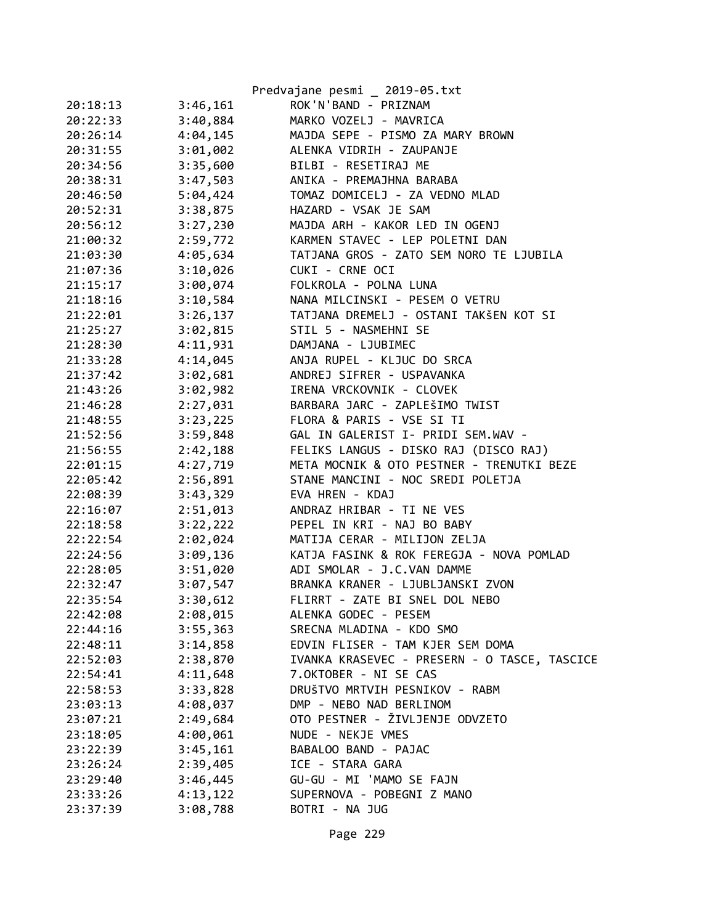|          |          | Predvajane pesmi _ 2019-05.txt               |
|----------|----------|----------------------------------------------|
| 20:18:13 | 3:46,161 | ROK'N'BAND - PRIZNAM                         |
| 20:22:33 | 3:40,884 | MARKO VOZELJ - MAVRICA                       |
| 20:26:14 | 4:04,145 | MAJDA SEPE - PISMO ZA MARY BROWN             |
| 20:31:55 | 3:01,002 | ALENKA VIDRIH - ZAUPANJE                     |
| 20:34:56 | 3:35,600 | BILBI - RESETIRAJ ME                         |
| 20:38:31 | 3:47,503 | ANIKA - PREMAJHNA BARABA                     |
| 20:46:50 | 5:04,424 | TOMAZ DOMICELJ - ZA VEDNO MLAD               |
| 20:52:31 | 3:38,875 | HAZARD - VSAK JE SAM                         |
| 20:56:12 | 3:27,230 | MAJDA ARH - KAKOR LED IN OGENJ               |
| 21:00:32 | 2:59,772 | KARMEN STAVEC - LEP POLETNI DAN              |
| 21:03:30 | 4:05,634 | TATJANA GROS - ZATO SEM NORO TE LJUBILA      |
| 21:07:36 | 3:10,026 | CUKI - CRNE OCI                              |
| 21:15:17 | 3:00,074 | FOLKROLA - POLNA LUNA                        |
| 21:18:16 | 3:10,584 | NANA MILCINSKI - PESEM O VETRU               |
| 21:22:01 | 3:26,137 | TATJANA DREMELJ - OSTANI TAKŠEN KOT SI       |
| 21:25:27 | 3:02,815 | STIL 5 - NASMEHNI SE                         |
| 21:28:30 | 4:11,931 | DAMJANA - LJUBIMEC                           |
| 21:33:28 | 4:14,045 | ANJA RUPEL - KLJUC DO SRCA                   |
| 21:37:42 | 3:02,681 | ANDREJ SIFRER - USPAVANKA                    |
| 21:43:26 | 3:02,982 | IRENA VRCKOVNIK - CLOVEK                     |
| 21:46:28 | 2:27,031 | BARBARA JARC - ZAPLEŠIMO TWIST               |
| 21:48:55 | 3:23,225 | FLORA & PARIS - VSE SI TI                    |
| 21:52:56 | 3:59,848 | GAL IN GALERIST I- PRIDI SEM.WAV -           |
| 21:56:55 | 2:42,188 | FELIKS LANGUS - DISKO RAJ (DISCO RAJ)        |
| 22:01:15 | 4:27,719 | META MOCNIK & OTO PESTNER - TRENUTKI BEZE    |
| 22:05:42 | 2:56,891 | STANE MANCINI - NOC SREDI POLETJA            |
| 22:08:39 | 3:43,329 | EVA HREN - KDAJ                              |
| 22:16:07 | 2:51,013 | ANDRAZ HRIBAR - TI NE VES                    |
| 22:18:58 | 3:22,222 | PEPEL IN KRI - NAJ BO BABY                   |
| 22:22:54 | 2:02,024 | MATIJA CERAR - MILIJON ZELJA                 |
| 22:24:56 | 3:09,136 | KATJA FASINK & ROK FEREGJA - NOVA POMLAD     |
| 22:28:05 | 3:51,020 | ADI SMOLAR - J.C.VAN DAMME                   |
| 22:32:47 | 3:07,547 | BRANKA KRANER - LJUBLJANSKI ZVON             |
| 22:35:54 | 3:30,612 | FLIRRT - ZATE BI SNEL DOL NEBO               |
| 22:42:08 | 2:08,015 | ALENKA GODEC - PESEM                         |
| 22:44:16 | 3:55,363 | SRECNA MLADINA - KDO SMO                     |
| 22:48:11 | 3:14,858 | EDVIN FLISER - TAM KJER SEM DOMA             |
| 22:52:03 | 2:38,870 | IVANKA KRASEVEC - PRESERN - O TASCE, TASCICE |
| 22:54:41 | 4:11,648 | 7.OKTOBER - NI SE CAS                        |
| 22:58:53 | 3:33,828 | DRUŠTVO MRTVIH PESNIKOV - RABM               |
| 23:03:13 | 4:08,037 | DMP - NEBO NAD BERLINOM                      |
| 23:07:21 | 2:49,684 | OTO PESTNER - ŽIVLJENJE ODVZETO              |
| 23:18:05 | 4:00,061 | NUDE - NEKJE VMES                            |
| 23:22:39 | 3:45,161 | BABALOO BAND - PAJAC                         |
| 23:26:24 | 2:39,405 | ICE - STARA GARA                             |
| 23:29:40 | 3:46,445 | GU-GU - MI 'MAMO SE FAJN                     |
| 23:33:26 | 4:13,122 | SUPERNOVA - POBEGNI Z MANO                   |
| 23:37:39 | 3:08,788 | BOTRI - NA JUG                               |
|          |          |                                              |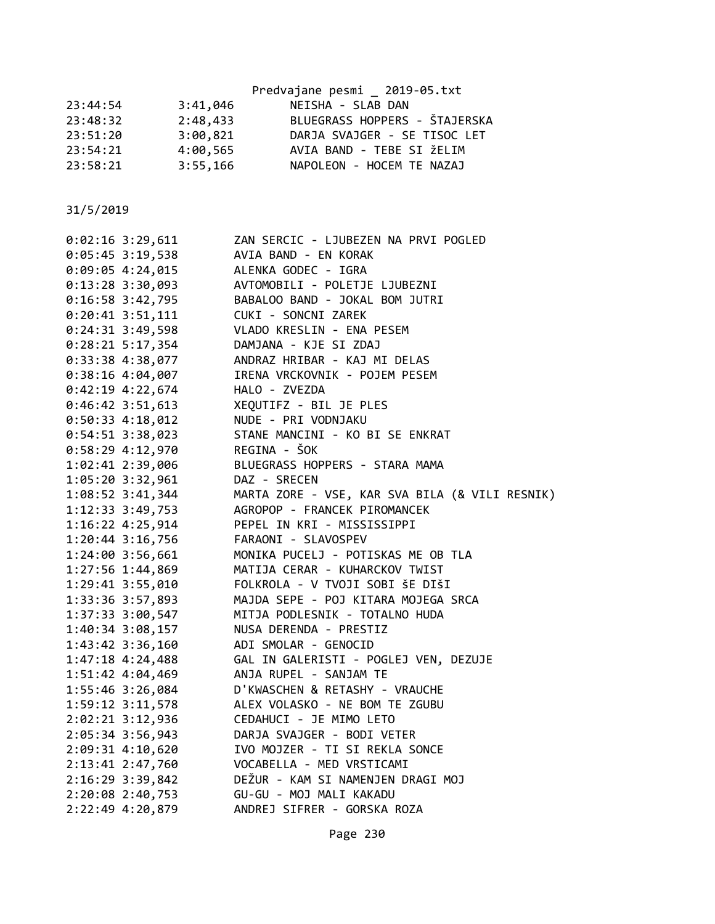|          |          | Predvajane pesmi 2019-05.txt  |
|----------|----------|-------------------------------|
| 23:44:54 | 3:41,046 | NEISHA - SLAB DAN             |
| 23:48:32 | 2:48,433 | BLUEGRASS HOPPERS - ŠTAJERSKA |
| 23:51:20 | 3:00,821 | DARJA SVAJGER - SE TISOC LET  |
| 23:54:21 | 4:00,565 | AVIA BAND - TEBE SI ŽELIM     |
| 23:58:21 | 3:55,166 | NAPOLEON - HOCEM TE NAZAJ     |
|          |          |                               |

31/5/2019

| $0:02:16$ 3:29,611 | ZAN SERCIC - LJUBEZEN NA PRVI POGLED           |
|--------------------|------------------------------------------------|
| 0:05:45 3:19,538   | AVIA BAND - EN KORAK                           |
| $0:09:05$ 4:24,015 | ALENKA GODEC - IGRA                            |
| 0:13:28 3:30,093   | AVTOMOBILI - POLETJE LJUBEZNI                  |
| $0:16:58$ 3:42,795 | BABALOO BAND - JOKAL BOM JUTRI                 |
| $0:20:41$ 3:51,111 | CUKI - SONCNI ZAREK                            |
| $0:24:31$ 3:49,598 | VLADO KRESLIN - ENA PESEM                      |
| $0:28:21$ 5:17,354 | DAMJANA - KJE SI ZDAJ                          |
| $0:33:38$ 4:38,077 | ANDRAZ HRIBAR - KAJ MI DELAS                   |
| $0:38:16$ 4:04,007 | IRENA VRCKOVNIK - POJEM PESEM                  |
| $0:42:19$ 4:22,674 | HALO - ZVEZDA                                  |
| $0:46:42$ 3:51,613 | XEQUTIFZ - BIL JE PLES                         |
| $0:50:33$ 4:18,012 | NUDE - PRI VODNJAKU                            |
| $0:54:51$ 3:38,023 | STANE MANCINI - KO BI SE ENKRAT                |
| $0:58:29$ 4:12,970 | REGINA - ŠOK                                   |
| 1:02:41 2:39,006   | BLUEGRASS HOPPERS - STARA MAMA                 |
| 1:05:20 3:32,961   | DAZ - SRECEN                                   |
| $1:08:52$ 3:41,344 | MARTA ZORE - VSE, KAR SVA BILA (& VILI RESNIK) |
| $1:12:33$ 3:49,753 | AGROPOP - FRANCEK PIROMANCEK                   |
| $1:16:22$ 4:25,914 | PEPEL IN KRI - MISSISSIPPI                     |
| 1:20:44 3:16,756   | FARAONI - SLAVOSPEV                            |
| 1:24:00 3:56,661   | MONIKA PUCELJ - POTISKAS ME OB TLA             |
| 1:27:56 1:44,869   | MATIJA CERAR - KUHARCKOV TWIST                 |
| 1:29:41 3:55,010   | FOLKROLA - V TVOJI SOBI ŠE DIŠI                |
| 1:33:36 3:57,893   | MAJDA SEPE - POJ KITARA MOJEGA SRCA            |
| 1:37:33 3:00,547   | MITJA PODLESNIK - TOTALNO HUDA                 |
| 1:40:34 3:08,157   | NUSA DERENDA - PRESTIZ                         |
| 1:43:42 3:36,160   | ADI SMOLAR - GENOCID                           |
| 1:47:18 4:24,488   | GAL IN GALERISTI - POGLEJ VEN, DEZUJE          |
| 1:51:42 4:04,469   | ANJA RUPEL - SANJAM TE                         |
| 1:55:46 3:26,084   | D'KWASCHEN & RETASHY - VRAUCHE                 |
| 1:59:12 3:11,578   | ALEX VOLASKO - NE BOM TE ZGUBU                 |
| 2:02:21 3:12,936   | CEDAHUCI - JE MIMO LETO                        |
| 2:05:34 3:56,943   | DARJA SVAJGER - BODI VETER                     |
| 2:09:31 4:10,620   | IVO MOJZER - TI SI REKLA SONCE                 |
| 2:13:41 2:47,760   | VOCABELLA - MED VRSTICAMI                      |
| 2:16:29 3:39,842   | DEŽUR - KAM SI NAMENJEN DRAGI MOJ              |
| 2:20:08 2:40,753   | GU-GU - MOJ MALI KAKADU                        |
| 2:22:49 4:20,879   | ANDREJ SIFRER - GORSKA ROZA                    |
|                    |                                                |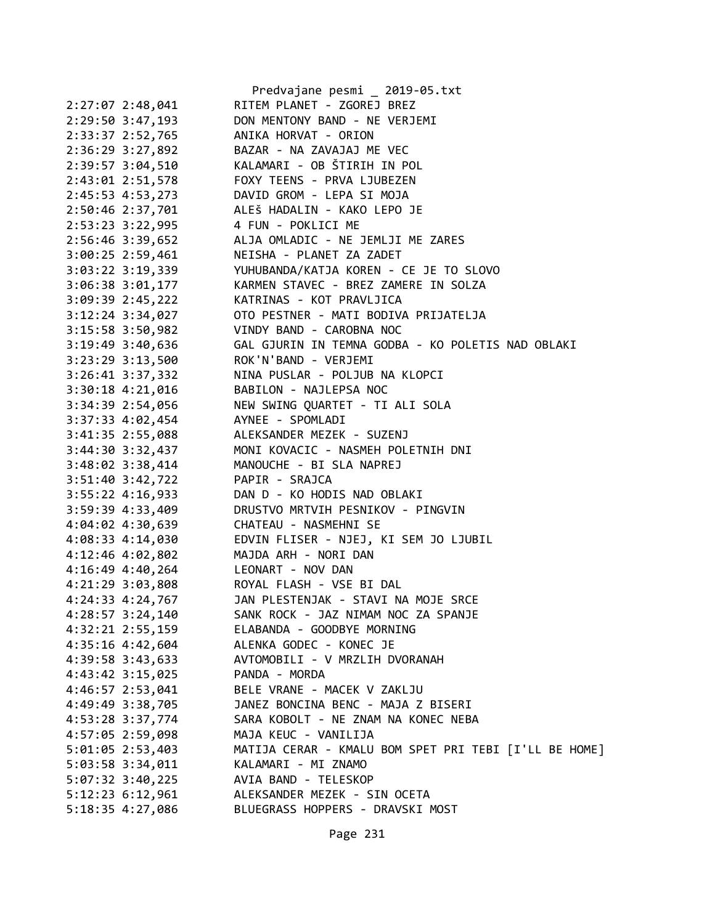|                                      | Predvajane pesmi _ 2019-05.txt                        |
|--------------------------------------|-------------------------------------------------------|
| $2:27:07$ $2:48,041$                 | RITEM PLANET - ZGOREJ BREZ                            |
| 2:29:50 3:47,193                     | DON MENTONY BAND - NE VERJEMI                         |
| 2:33:37 2:52,765                     | ANIKA HORVAT - ORION                                  |
| 2:36:29 3:27,892                     | BAZAR - NA ZAVAJAJ ME VEC                             |
| 2:39:57 3:04,510                     | KALAMARI - OB ŠTIRIH IN POL                           |
| 2:43:01 2:51,578                     | FOXY TEENS - PRVA LJUBEZEN                            |
| 2:45:53 4:53,273                     | DAVID GROM - LEPA SI MOJA                             |
| 2:50:46 2:37,701                     | ALEŠ HADALIN - KAKO LEPO JE                           |
| 2:53:23 3:22,995                     | 4 FUN - POKLICI ME                                    |
| 2:56:46 3:39,652                     | ALJA OMLADIC - NE JEMLJI ME ZARES                     |
| 3:00:25 2:59,461                     | NEISHA - PLANET ZA ZADET                              |
| 3:03:22 3:19,339                     | YUHUBANDA/KATJA KOREN - CE JE TO SLOVO                |
| 3:06:38 3:01,177                     | KARMEN STAVEC - BREZ ZAMERE IN SOLZA                  |
| $3:09:39$ 2:45,222                   | KATRINAS - KOT PRAVLJICA                              |
| $3:12:24$ $3:34,027$                 | OTO PESTNER - MATI BODIVA PRIJATELJA                  |
| 3:15:58 3:50,982                     | VINDY BAND - CAROBNA NOC                              |
| $3:19:49$ $3:40,636$                 | GAL GJURIN IN TEMNA GODBA - KO POLETIS NAD OBLAKI     |
| 3:23:29 3:13,500                     | ROK'N'BAND - VERJEMI                                  |
| 3:26:41 3:37,332                     | NINA PUSLAR - POLJUB NA KLOPCI                        |
| $3:30:18$ 4:21,016                   | BABILON - NAJLEPSA NOC                                |
| 3:34:39 2:54,056                     | NEW SWING QUARTET - TI ALI SOLA                       |
| 3:37:33 4:02,454                     | AYNEE - SPOMLADI                                      |
| 3:41:35 2:55,088                     | ALEKSANDER MEZEK - SUZENJ                             |
| $3:44:30$ $3:32,437$                 | MONI KOVACIC - NASMEH POLETNIH DNI                    |
| $3:48:02$ $3:38,414$                 | MANOUCHE - BI SLA NAPREJ                              |
| 3:51:40 3:42,722                     | PAPIR - SRAJCA                                        |
| $3:55:22$ 4:16,933                   | DAN D - KO HODIS NAD OBLAKI                           |
| 3:59:39 4:33,409                     | DRUSTVO MRTVIH PESNIKOV - PINGVIN                     |
| 4:04:02 4:30,639                     | CHATEAU - NASMEHNI SE                                 |
| 4:08:33 4:14,030                     | EDVIN FLISER - NJEJ, KI SEM JO LJUBIL                 |
| 4:12:46 4:02,802                     | MAJDA ARH - NORI DAN                                  |
| $4:16:49$ $4:40,264$                 | LEONART - NOV DAN                                     |
| $4:21:29$ $3:03,808$                 | ROYAL FLASH - VSE BI DAL                              |
|                                      | JAN PLESTENJAK - STAVI NA MOJE SRCE                   |
| 4:24:33 4:24,767<br>4:28:57 3:24,140 | SANK ROCK - JAZ NIMAM NOC ZA SPANJE                   |
|                                      |                                                       |
| 4:32:21 2:55,159                     | ELABANDA - GOODBYE MORNING                            |
| 4:35:16 4:42,604                     | ALENKA GODEC - KONEC JE                               |
| 4:39:58 3:43,633                     | AVTOMOBILI - V MRZLIH DVORANAH                        |
| 4:43:42 3:15,025                     | PANDA - MORDA                                         |
| $4:46:57$ $2:53,041$                 | BELE VRANE - MACEK V ZAKLJU                           |
| 4:49:49 3:38,705                     | JANEZ BONCINA BENC - MAJA Z BISERI                    |
| 4:53:28 3:37,774                     | SARA KOBOLT - NE ZNAM NA KONEC NEBA                   |
| 4:57:05 2:59,098                     | MAJA KEUC - VANILIJA                                  |
| 5:01:05 2:53,403                     | MATIJA CERAR - KMALU BOM SPET PRI TEBI [I'LL BE HOME] |
| 5:03:58 3:34,011                     | KALAMARI - MI ZNAMO                                   |
| $5:07:32$ 3:40,225                   | AVIA BAND - TELESKOP                                  |
| 5:12:23 6:12,961                     | ALEKSANDER MEZEK - SIN OCETA                          |
| 5:18:35 4:27,086                     | BLUEGRASS HOPPERS - DRAVSKI MOST                      |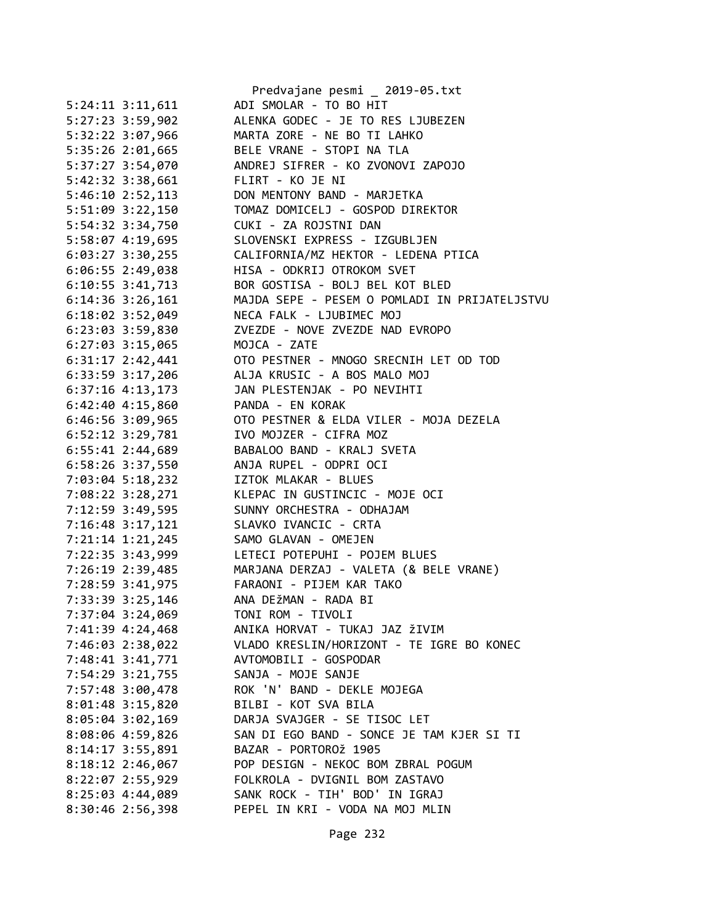|                      | Predvajane pesmi _ 2019-05.txt                |
|----------------------|-----------------------------------------------|
| $5:24:11$ $3:11,611$ | ADI SMOLAR - TO BO HIT                        |
| 5:27:23 3:59,902     | ALENKA GODEC - JE TO RES LJUBEZEN             |
| 5:32:22 3:07,966     | MARTA ZORE - NE BO TI LAHKO                   |
| 5:35:26 2:01,665     | BELE VRANE - STOPI NA TLA                     |
| 5:37:27 3:54,070     | ANDREJ SIFRER - KO ZVONOVI ZAPOJO             |
| 5:42:32 3:38,661     | FLIRT - KO JE NI                              |
| 5:46:10 2:52,113     | DON MENTONY BAND - MARJETKA                   |
| 5:51:09 3:22,150     | TOMAZ DOMICELJ - GOSPOD DIREKTOR              |
| 5:54:32 3:34,750     | CUKI - ZA ROJSTNI DAN                         |
| 5:58:07 4:19,695     | SLOVENSKI EXPRESS - IZGUBLJEN                 |
| $6:03:27$ 3:30,255   | CALIFORNIA/MZ HEKTOR - LEDENA PTICA           |
| $6:06:55$ 2:49,038   | HISA - ODKRIJ OTROKOM SVET                    |
| 6:10:55 3:41,713     | BOR GOSTISA - BOLJ BEL KOT BLED               |
| $6:14:36$ 3:26,161   | MAJDA SEPE - PESEM O POMLADI IN PRIJATELJSTVU |
| 6:18:02 3:52,049     | NECA FALK - LJUBIMEC MOJ                      |
| 6:23:03 3:59,830     | ZVEZDE - NOVE ZVEZDE NAD EVROPO               |
| 6:27:03 3:15,065     | MOJCA - ZATE                                  |
| $6:31:17$ $2:42,441$ | OTO PESTNER - MNOGO SRECNIH LET OD TOD        |
| $6:33:59$ $3:17,206$ | ALJA KRUSIC - A BOS MALO MOJ                  |
| $6:37:16$ 4:13,173   | JAN PLESTENJAK - PO NEVIHTI                   |
|                      | PANDA - EN KORAK                              |
| $6:42:40$ $4:15,860$ |                                               |
| 6:46:56 3:09,965     | OTO PESTNER & ELDA VILER - MOJA DEZELA        |
| 6:52:12 3:29,781     | IVO MOJZER - CIFRA MOZ                        |
| $6:55:41$ 2:44,689   | BABALOO BAND - KRALJ SVETA                    |
| 6:58:26 3:37,550     | ANJA RUPEL - ODPRI OCI                        |
| 7:03:04 5:18,232     | IZTOK MLAKAR - BLUES                          |
| 7:08:22 3:28,271     | KLEPAC IN GUSTINCIC - MOJE OCI                |
| 7:12:59 3:49,595     | SUNNY ORCHESTRA - ODHAJAM                     |
| 7:16:48 3:17,121     | SLAVKO IVANCIC - CRTA                         |
| 7:21:14 1:21,245     | SAMO GLAVAN - OMEJEN                          |
| 7:22:35 3:43,999     | LETECI POTEPUHI - POJEM BLUES                 |
| 7:26:19 2:39,485     | MARJANA DERZAJ - VALETA (& BELE VRANE)        |
| 7:28:59 3:41,975     | FARAONI - PIJEM KAR TAKO                      |
| 7:33:39 3:25,146     | ANA DEŽMAN - RADA BI                          |
| 7:37:04 3:24,069     | TONI ROM - TIVOLI                             |
| 7:41:39 4:24,468     | ANIKA HORVAT - TUKAJ JAZ ŽIVIM                |
| 7:46:03 2:38,022     | VLADO KRESLIN/HORIZONT - TE IGRE BO KONEC     |
| 7:48:41 3:41,771     | AVTOMOBILI - GOSPODAR                         |
| 7:54:29 3:21,755     | SANJA - MOJE SANJE                            |
| 7:57:48 3:00,478     | ROK 'N' BAND - DEKLE MOJEGA                   |
| 8:01:48 3:15,820     | BILBI - KOT SVA BILA                          |
| 8:05:04 3:02,169     | DARJA SVAJGER - SE TISOC LET                  |
| 8:08:06 4:59,826     | SAN DI EGO BAND - SONCE JE TAM KJER SI TI     |
| 8:14:17 3:55,891     | BAZAR - PORTOROŽ 1905                         |
| 8:18:12 2:46,067     | POP DESIGN - NEKOC BOM ZBRAL POGUM            |
| 8:22:07 2:55,929     | FOLKROLA - DVIGNIL BOM ZASTAVO                |
| 8:25:03 4:44,089     | SANK ROCK - TIH' BOD' IN IGRAJ                |
| $8:30:46$ 2:56,398   | PEPEL IN KRI - VODA NA MOJ MLIN               |
|                      |                                               |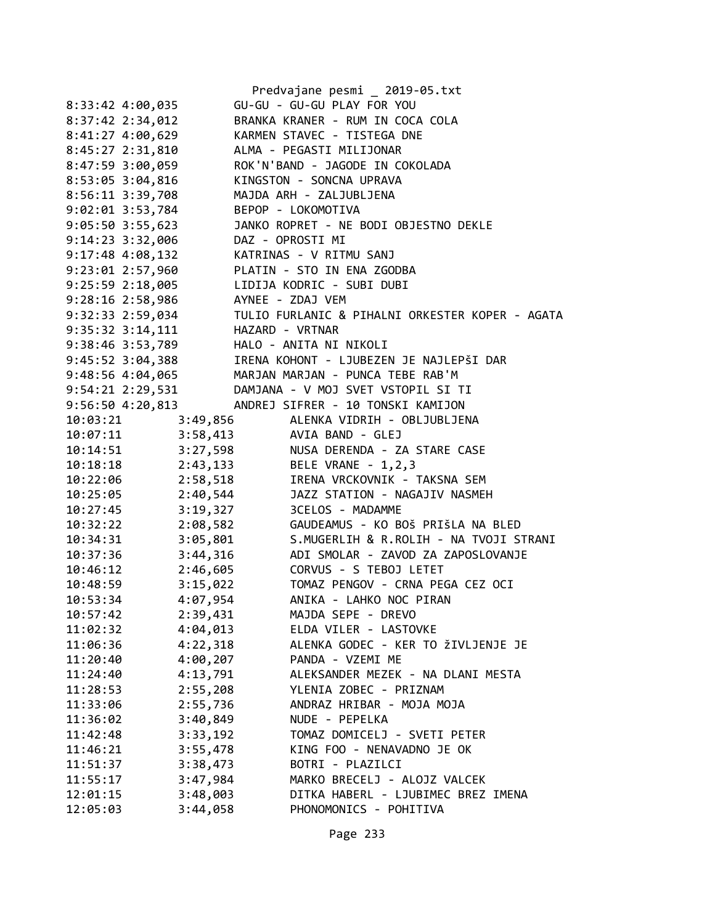|                                          | Predvajane pesmi _ 2019-05.txt                                     |
|------------------------------------------|--------------------------------------------------------------------|
| 8:33:42 4:00,035                         | GU-GU - GU-GU PLAY FOR YOU                                         |
| $8:37:42$ $2:34,012$                     | BRANKA KRANER - RUM IN COCA COLA                                   |
|                                          | 8:41:27 4:00,629 KARMEN STAVEC - TISTEGA DNE                       |
| 8:45:27 2:31,810                         | ALMA - PEGASTI MILIJONAR                                           |
| 8:47:59 3:00,059                         | ROK'N'BAND - JAGODE IN COKOLADA                                    |
| 8:53:05 3:04,816                         | KINGSTON - SONCNA UPRAVA                                           |
| $8:56:11$ $3:39,708$                     | MAJDA ARH - ZALJUBLJENA                                            |
| $9:02:01$ $3:53,784$                     | BEPOP - LOKOMOTIVA                                                 |
| $9:05:50$ 3:55,623                       | JANKO ROPRET - NE BODI OBJESTNO DEKLE                              |
| 9:14:23 3:32,006 DAZ - OPROSTI MI        |                                                                    |
| 9:17:48 4:08,132 KATRINAS - V RITMU SANJ |                                                                    |
|                                          | 9:23:01 2:57,960 PLATIN - STO IN ENA ZGODBA                        |
|                                          | 9:25:59 2:18,005 LIDIJA KODRIC - SUBI DUBI                         |
| $9:28:16$ $2:58,986$                     | AYNEE - ZDAJ VEM                                                   |
| 9:32:33 2:59,034                         | TULIO FURLANIC & PIHALNI ORKESTER KOPER - AGATA                    |
| 9:35:32 3:14,111 HAZARD - VRTNAR         |                                                                    |
| 9:38:46 3:53,789 HALO - ANITA NI NIKOLI  |                                                                    |
|                                          | 9:45:52 3:04,388 IRENA KOHONT - LJUBEZEN JE NAJLEPŠI DAR           |
|                                          | 9:48:56 4:04,065 MARJAN MARJAN - PUNCA TEBE RAB'M                  |
|                                          | 9:54:21 2:29,531 DAMJANA - V MOJ SVET VSTOPIL SI TI                |
| 9:56:50 4:20,813                         | ANDREJ SIFRER - 10 TONSKI KAMIJON                                  |
| 10:03:21                                 | 3:49,856 ALENKA VIDRIH - OBLJUBLJENA                               |
|                                          | 10:07:11 3:58,413 AVIA BAND - GLEJ                                 |
|                                          | 10:14:51 3:27,598 NUSA DERENDA - ZA STARE CASE                     |
|                                          | 10:18:18 2:43,133 BELE VRANE - 1,2,3                               |
| 10:22:06 2:58,518                        | IRENA VRCKOVNIK - TAKSNA SEM                                       |
| 10:25:05                                 | 2:40,544<br>JAZZ STATION - NAGAJIV NASMEH                          |
| 3:19,327<br>10:27:45                     | 3CELOS - MADAMME                                                   |
| 10:32:22                                 | GAUDEAMUS - KO BOŠ PRIŠLA NA BLED                                  |
| 10:34:31                                 | $2:08,582$<br>$3:05,801$<br>S.MUGERLIH & R.ROLIH - NA TVOJI STRANI |
| 10:37:36                                 | 3:44,316 ADI SMOLAR - ZAVOD ZA ZAPOSLOVANJE                        |
| 10:46:12 2:46,605                        | CORVUS - S TEBOJ LETET                                             |
| 10:48:59                                 | 3:15,022 TOMAZ PENGOV - CRNA PEGA CEZ OCI                          |
| 4:07,954<br>10:53:34                     | ANIKA - LAHKO NOC PIRAN                                            |
| 10:57:42<br>2:39,431                     | MAJDA SEPE - DREVO                                                 |
| 4:04,013<br>11:02:32                     | ELDA VILER - LASTOVKE                                              |
| 4:22,318<br>11:06:36                     | ALENKA GODEC - KER TO ŽIVLJENJE JE                                 |
| 4:00,207<br>11:20:40                     | PANDA - VZEMI ME                                                   |
| 4:13,791<br>11:24:40                     | ALEKSANDER MEZEK - NA DLANI MESTA                                  |
| 2:55,208<br>11:28:53                     | YLENIA ZOBEC - PRIZNAM                                             |
| 2:55,736<br>11:33:06                     | ANDRAZ HRIBAR - MOJA MOJA                                          |
| 3:40,849<br>11:36:02                     | NUDE - PEPELKA                                                     |
| 3:33,192<br>11:42:48                     | TOMAZ DOMICELJ - SVETI PETER                                       |
| 3:55,478<br>11:46:21                     | KING FOO - NENAVADNO JE OK                                         |
| 3:38,473<br>11:51:37                     | BOTRI - PLAZILCI                                                   |
| 3:47,984<br>11:55:17                     | MARKO BRECELJ - ALOJZ VALCEK                                       |
| 3:48,003<br>12:01:15                     | DITKA HABERL - LJUBIMEC BREZ IMENA                                 |
| 12:05:03<br>3:44,058                     | PHONOMONICS - POHITIVA                                             |
|                                          |                                                                    |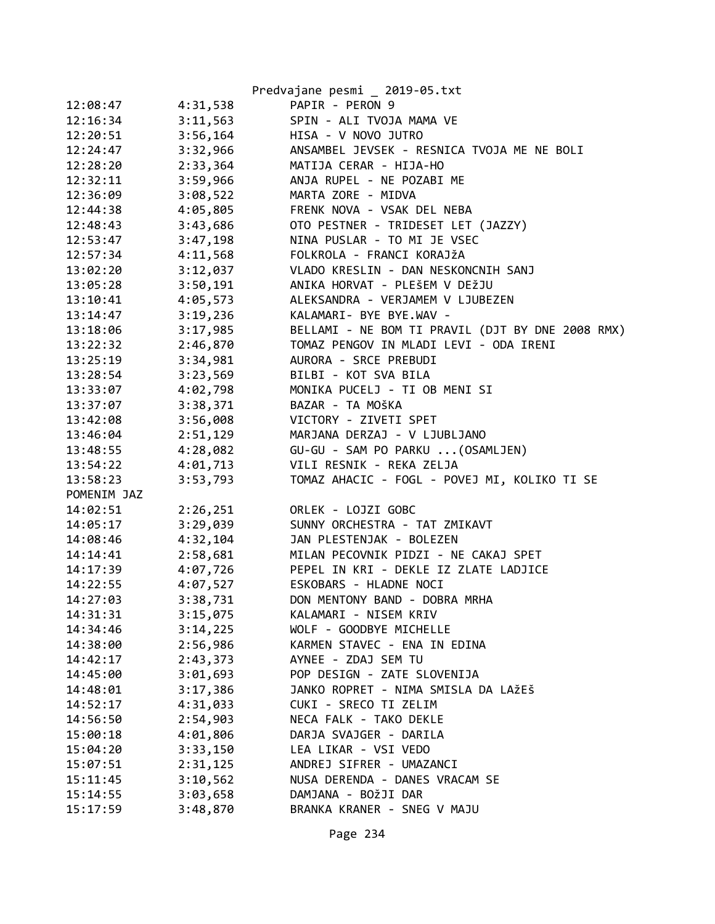|                      |                      | Predvajane pesmi _ 2019-05.txt                   |
|----------------------|----------------------|--------------------------------------------------|
| 12:08:47             | 4:31,538             | PAPIR - PERON 9                                  |
| 12:16:34             | 3:11,563             | SPIN - ALI TVOJA MAMA VE                         |
| 12:20:51             | 3:56,164             | HISA - V NOVO JUTRO                              |
| 12:24:47             | 3:32,966             | ANSAMBEL JEVSEK - RESNICA TVOJA ME NE BOLI       |
| 12:28:20             | 2:33,364             | MATIJA CERAR - HIJA-HO                           |
| 12:32:11             | 3:59,966             | ANJA RUPEL - NE POZABI ME                        |
| 12:36:09             | 3:08,522             | MARTA ZORE - MIDVA                               |
| 12:44:38             | 4:05,805             | FRENK NOVA - VSAK DEL NEBA                       |
| 12:48:43             | 3:43,686             | OTO PESTNER - TRIDESET LET (JAZZY)               |
| 12:53:47             | 3:47,198             | NINA PUSLAR - TO MI JE VSEC                      |
| 12:57:34             | 4:11,568             | FOLKROLA - FRANCI KORAJŽA                        |
| 13:02:20             | 3:12,037             | VLADO KRESLIN - DAN NESKONCNIH SANJ              |
| 13:05:28             | 3:50,191             | ANIKA HORVAT - PLEŠEM V DEŽJU                    |
| 13:10:41             | 4:05,573             | ALEKSANDRA - VERJAMEM V LJUBEZEN                 |
| 13:14:47             | 3:19,236             | KALAMARI- BYE BYE.WAV -                          |
| 13:18:06             | 3:17,985             | BELLAMI - NE BOM TI PRAVIL (DJT BY DNE 2008 RMX) |
| 13:22:32             | 2:46,870             | TOMAZ PENGOV IN MLADI LEVI - ODA IRENI           |
| 13:25:19             | 3:34,981             | AURORA - SRCE PREBUDI                            |
| 13:28:54             | 3:23,569             | BILBI - KOT SVA BILA                             |
| 13:33:07             | 4:02,798             | MONIKA PUCELJ - TI OB MENI SI                    |
| 13:37:07             | 3:38,371             | BAZAR - TA MOŠKA                                 |
| 13:42:08             | 3:56,008             | VICTORY - ZIVETI SPET                            |
| 13:46:04             | 2:51,129             | MARJANA DERZAJ - V LJUBLJANO                     |
| 13:48:55             | 4:28,082             | GU-GU - SAM PO PARKU  (OSAMLJEN)                 |
| 13:54:22             | 4:01,713             | VILI RESNIK - REKA ZELJA                         |
| 13:58:23             | 3:53,793             | TOMAZ AHACIC - FOGL - POVEJ MI, KOLIKO TI SE     |
| POMENIM JAZ          |                      |                                                  |
| 14:02:51             | 2:26,251             | ORLEK - LOJZI GOBC                               |
| 14:05:17             | 3:29,039             | SUNNY ORCHESTRA - TAT ZMIKAVT                    |
| 14:08:46             | 4:32,104             | JAN PLESTENJAK - BOLEZEN                         |
| 14:14:41             | 2:58,681             | MILAN PECOVNIK PIDZI - NE CAKAJ SPET             |
| 14:17:39             | 4:07,726             | PEPEL IN KRI - DEKLE IZ ZLATE LADJICE            |
| 14:22:55             | 4:07,527             | ESKOBARS - HLADNE NOCI                           |
| 14:27:03             | 3:38,731             | DON MENTONY BAND - DOBRA MRHA                    |
| 14:31:31             | 3:15,075             | KALAMARI - NISEM KRIV                            |
| 14:34:46             | 3:14,225             | WOLF - GOODBYE MICHELLE                          |
| 14:38:00             | 2:56,986             | KARMEN STAVEC - ENA IN EDINA                     |
| 14:42:17             | 2:43,373             | AYNEE - ZDAJ SEM TU                              |
| 14:45:00             | 3:01,693             | POP DESIGN - ZATE SLOVENIJA                      |
| 14:48:01             | 3:17,386             | JANKO ROPRET - NIMA SMISLA DA LAŽEŠ              |
| 14:52:17             | 4:31,033             | CUKI - SRECO TI ZELIM<br>NECA FALK - TAKO DEKLE  |
| 14:56:50             | 2:54,903             | DARJA SVAJGER - DARILA                           |
| 15:00:18             | 4:01,806             | LEA LIKAR - VSI VEDO                             |
| 15:04:20<br>15:07:51 | 3:33,150<br>2:31,125 | ANDREJ SIFRER - UMAZANCI                         |
| 15:11:45             | 3:10,562             | NUSA DERENDA - DANES VRACAM SE                   |
| 15:14:55             | 3:03,658             | DAMJANA - BOŽJI DAR                              |
|                      |                      | BRANKA KRANER - SNEG V MAJU                      |
| 15:17:59             | 3:48,870             |                                                  |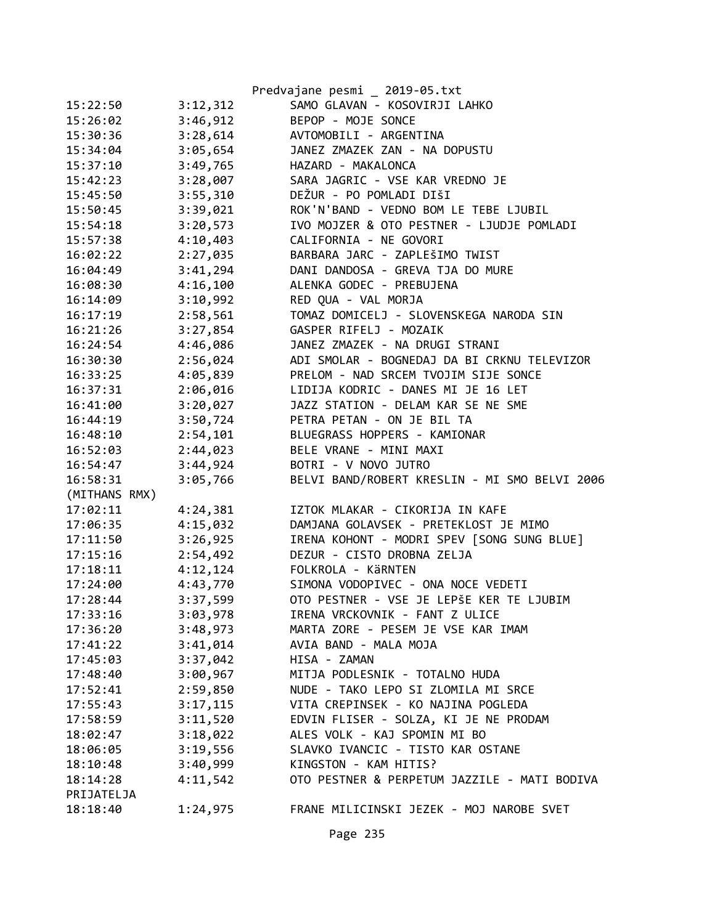|               |          | Predvajane pesmi _ 2019-05.txt                |
|---------------|----------|-----------------------------------------------|
| 15:22:50      | 3:12,312 | SAMO GLAVAN - KOSOVIRJI LAHKO                 |
| 15:26:02      | 3:46,912 | BEPOP - MOJE SONCE                            |
| 15:30:36      | 3:28,614 | AVTOMOBILI - ARGENTINA                        |
| 15:34:04      | 3:05,654 | JANEZ ZMAZEK ZAN - NA DOPUSTU                 |
| 15:37:10      | 3:49,765 | HAZARD - MAKALONCA                            |
| 15:42:23      | 3:28,007 | SARA JAGRIC - VSE KAR VREDNO JE               |
| 15:45:50      | 3:55,310 | DEŽUR - PO POMLADI DIŠI                       |
| 15:50:45      | 3:39,021 | ROK'N'BAND - VEDNO BOM LE TEBE LJUBIL         |
| 15:54:18      | 3:20,573 | IVO MOJZER & OTO PESTNER - LJUDJE POMLADI     |
| 15:57:38      | 4:10,403 | CALIFORNIA - NE GOVORI                        |
| 16:02:22      | 2:27,035 | BARBARA JARC - ZAPLEŠIMO TWIST                |
| 16:04:49      | 3:41,294 | DANI DANDOSA - GREVA TJA DO MURE              |
| 16:08:30      | 4:16,100 | ALENKA GODEC - PREBUJENA                      |
| 16:14:09      | 3:10,992 | RED QUA - VAL MORJA                           |
| 16:17:19      | 2:58,561 | TOMAZ DOMICELJ - SLOVENSKEGA NARODA SIN       |
| 16:21:26      | 3:27,854 | GASPER RIFELJ - MOZAIK                        |
| 16:24:54      | 4:46,086 | JANEZ ZMAZEK - NA DRUGI STRANI                |
| 16:30:30      | 2:56,024 | ADI SMOLAR - BOGNEDAJ DA BI CRKNU TELEVIZOR   |
| 16:33:25      | 4:05,839 | PRELOM - NAD SRCEM TVOJIM SIJE SONCE          |
| 16:37:31      | 2:06,016 | LIDIJA KODRIC - DANES MI JE 16 LET            |
| 16:41:00      | 3:20,027 | JAZZ STATION - DELAM KAR SE NE SME            |
| 16:44:19      | 3:50,724 | PETRA PETAN - ON JE BIL TA                    |
| 16:48:10      | 2:54,101 | BLUEGRASS HOPPERS - KAMIONAR                  |
| 16:52:03      | 2:44,023 | BELE VRANE - MINI MAXI                        |
| 16:54:47      | 3:44,924 | BOTRI - V NOVO JUTRO                          |
| 16:58:31      | 3:05,766 | BELVI BAND/ROBERT KRESLIN - MI SMO BELVI 2006 |
| (MITHANS RMX) |          |                                               |
| 17:02:11      | 4:24,381 | IZTOK MLAKAR - CIKORIJA IN KAFE               |
| 17:06:35      | 4:15,032 | DAMJANA GOLAVSEK - PRETEKLOST JE MIMO         |
| 17:11:50      | 3:26,925 | IRENA KOHONT - MODRI SPEV [SONG SUNG BLUE]    |
| 17:15:16      | 2:54,492 | DEZUR - CISTO DROBNA ZELJA                    |
| 17:18:11      | 4:12,124 | FOLKROLA - KÄRNTEN                            |
| 17:24:00      | 4:43,770 | SIMONA VODOPIVEC - ONA NOCE VEDETI            |
| 17:28:44      | 3:37,599 | OTO PESTNER - VSE JE LEPŠE KER TE LJUBIM      |
| 17:33:16      | 3:03,978 | IRENA VRCKOVNIK - FANT Z ULICE                |
| 17:36:20      | 3:48,973 | MARTA ZORE - PESEM JE VSE KAR IMAM            |
| 17:41:22      | 3:41,014 | AVIA BAND - MALA MOJA                         |
| 17:45:03      | 3:37,042 | HISA - ZAMAN                                  |
| 17:48:40      | 3:00,967 | MITJA PODLESNIK - TOTALNO HUDA                |
| 17:52:41      | 2:59,850 | NUDE - TAKO LEPO SI ZLOMILA MI SRCE           |
| 17:55:43      | 3:17,115 | VITA CREPINSEK - KO NAJINA POGLEDA            |
| 17:58:59      | 3:11,520 | EDVIN FLISER - SOLZA, KI JE NE PRODAM         |
| 18:02:47      | 3:18,022 | ALES VOLK - KAJ SPOMIN MI BO                  |
| 18:06:05      | 3:19,556 | SLAVKO IVANCIC - TISTO KAR OSTANE             |
| 18:10:48      | 3:40,999 | KINGSTON - KAM HITIS?                         |
| 18:14:28      | 4:11,542 | OTO PESTNER & PERPETUM JAZZILE - MATI BODIVA  |
| PRIJATELJA    |          |                                               |
| 18:18:40      | 1:24,975 | FRANE MILICINSKI JEZEK - MOJ NAROBE SVET      |
|               |          |                                               |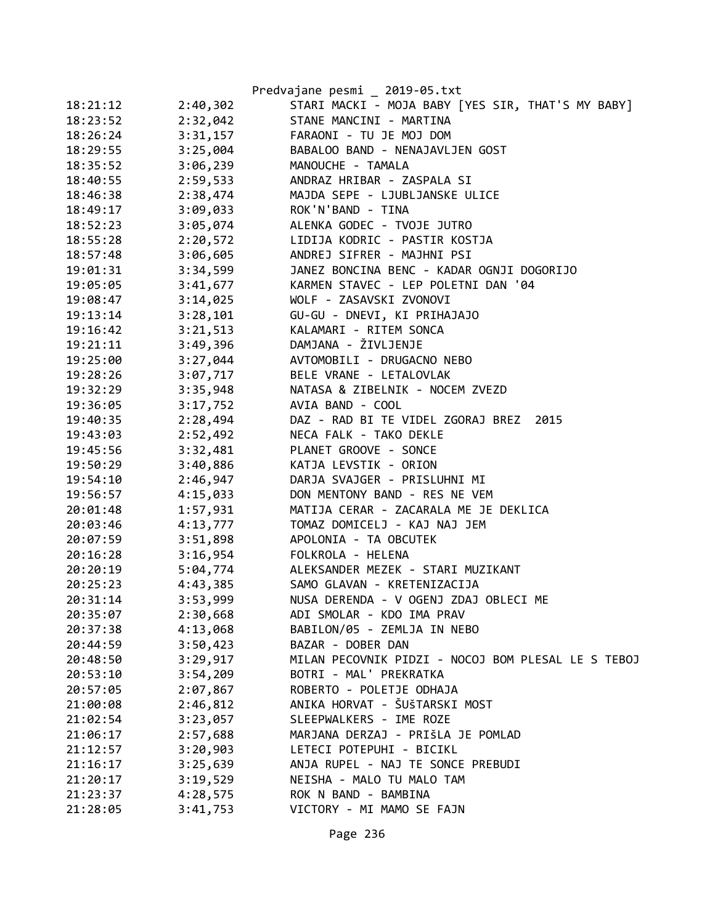|          |          | Predvajane pesmi _ 2019-05.txt                     |
|----------|----------|----------------------------------------------------|
| 18:21:12 | 2:40,302 | STARI MACKI - MOJA BABY [YES SIR, THAT'S MY BABY]  |
| 18:23:52 | 2:32,042 | STANE MANCINI - MARTINA                            |
| 18:26:24 | 3:31,157 | FARAONI - TU JE MOJ DOM                            |
| 18:29:55 | 3:25,004 | BABALOO BAND - NENAJAVLJEN GOST                    |
| 18:35:52 | 3:06,239 | MANOUCHE - TAMALA                                  |
| 18:40:55 | 2:59,533 | ANDRAZ HRIBAR - ZASPALA SI                         |
| 18:46:38 | 2:38,474 | MAJDA SEPE - LJUBLJANSKE ULICE                     |
| 18:49:17 | 3:09,033 | ROK'N'BAND - TINA                                  |
| 18:52:23 | 3:05,074 | ALENKA GODEC - TVOJE JUTRO                         |
| 18:55:28 | 2:20,572 | LIDIJA KODRIC - PASTIR KOSTJA                      |
| 18:57:48 | 3:06,605 | ANDREJ SIFRER - MAJHNI PSI                         |
| 19:01:31 | 3:34,599 | JANEZ BONCINA BENC - KADAR OGNJI DOGORIJO          |
| 19:05:05 | 3:41,677 | KARMEN STAVEC - LEP POLETNI DAN '04                |
| 19:08:47 | 3:14,025 | WOLF - ZASAVSKI ZVONOVI                            |
| 19:13:14 | 3:28,101 | GU-GU - DNEVI, KI PRIHAJAJO                        |
| 19:16:42 | 3:21,513 | KALAMARI - RITEM SONCA                             |
| 19:21:11 | 3:49,396 | DAMJANA - ŽIVLJENJE                                |
| 19:25:00 | 3:27,044 | AVTOMOBILI - DRUGACNO NEBO                         |
| 19:28:26 | 3:07,717 | BELE VRANE - LETALOVLAK                            |
| 19:32:29 | 3:35,948 | NATASA & ZIBELNIK - NOCEM ZVEZD                    |
| 19:36:05 | 3:17,752 | AVIA BAND - COOL                                   |
| 19:40:35 | 2:28,494 | DAZ - RAD BI TE VIDEL ZGORAJ BREZ 2015             |
| 19:43:03 | 2:52,492 | NECA FALK - TAKO DEKLE                             |
| 19:45:56 | 3:32,481 | PLANET GROOVE - SONCE                              |
| 19:50:29 | 3:40,886 | KATJA LEVSTIK - ORION                              |
| 19:54:10 | 2:46,947 | DARJA SVAJGER - PRISLUHNI MI                       |
| 19:56:57 | 4:15,033 | DON MENTONY BAND - RES NE VEM                      |
| 20:01:48 | 1:57,931 | MATIJA CERAR - ZACARALA ME JE DEKLICA              |
| 20:03:46 | 4:13,777 | TOMAZ DOMICELJ - KAJ NAJ JEM                       |
| 20:07:59 | 3:51,898 | APOLONIA - TA OBCUTEK                              |
| 20:16:28 | 3:16,954 | FOLKROLA - HELENA                                  |
| 20:20:19 | 5:04,774 | ALEKSANDER MEZEK - STARI MUZIKANT                  |
| 20:25:23 | 4:43,385 | SAMO GLAVAN - KRETENIZACIJA                        |
| 20:31:14 | 3:53,999 | NUSA DERENDA - V OGENJ ZDAJ OBLECI ME              |
| 20:35:07 | 2:30,668 | ADI SMOLAR - KDO IMA PRAV                          |
| 20:37:38 | 4:13,068 | BABILON/05 - ZEMLJA IN NEBO                        |
| 20:44:59 | 3:50,423 | BAZAR - DOBER DAN                                  |
| 20:48:50 | 3:29,917 | MILAN PECOVNIK PIDZI - NOCOJ BOM PLESAL LE S TEBOJ |
| 20:53:10 | 3:54,209 | BOTRI - MAL' PREKRATKA                             |
| 20:57:05 | 2:07,867 | ROBERTO - POLETJE ODHAJA                           |
| 21:00:08 | 2:46,812 | ANIKA HORVAT - ŠUŠTARSKI MOST                      |
| 21:02:54 | 3:23,057 | SLEEPWALKERS - IME ROZE                            |
| 21:06:17 | 2:57,688 | MARJANA DERZAJ - PRIŠLA JE POMLAD                  |
| 21:12:57 | 3:20,903 | LETECI POTEPUHI - BICIKL                           |
| 21:16:17 | 3:25,639 | ANJA RUPEL - NAJ TE SONCE PREBUDI                  |
| 21:20:17 | 3:19,529 | NEISHA - MALO TU MALO TAM                          |
| 21:23:37 | 4:28,575 | ROK N BAND - BAMBINA                               |
| 21:28:05 | 3:41,753 | VICTORY - MI MAMO SE FAJN                          |